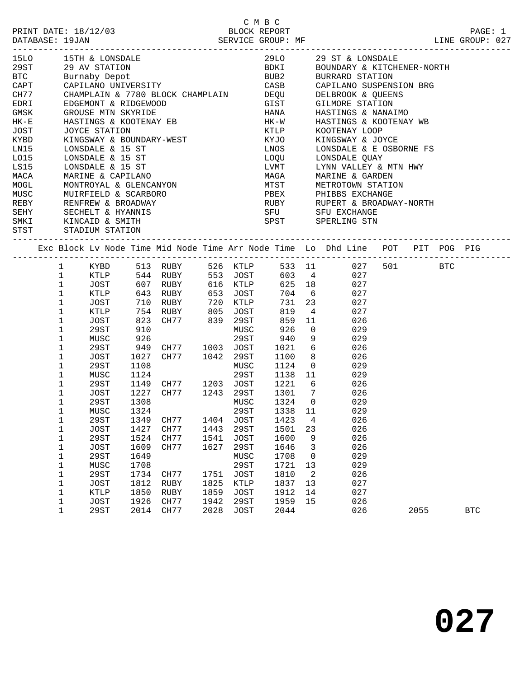|                                           |              |                                                            |            |                                           |      |             |                       |                |                 |                                               |      | PAGE: 1    |  |
|-------------------------------------------|--------------|------------------------------------------------------------|------------|-------------------------------------------|------|-------------|-----------------------|----------------|-----------------|-----------------------------------------------|------|------------|--|
| 15LO 15TH & LONSDAL<br>29ST 29 AV STATION |              | 15TH & LONSDALE                                            |            |                                           |      |             |                       |                |                 | 29LO 29 ST & LONSDALE                         |      |            |  |
|                                           |              |                                                            |            |                                           |      |             |                       |                |                 | BDKI BOUNDARY & KITCHENER-NORTH               |      |            |  |
| <b>BTC</b>                                |              | Burnaby Depot                                              |            |                                           |      |             |                       |                |                 | BUB2 BURRARD STATION                          |      |            |  |
| CAPT                                      |              |                                                            |            | CAPILANO UNIVERSITY                       |      |             |                       |                |                 |                                               |      |            |  |
| CH77                                      |              |                                                            |            |                                           |      |             |                       |                |                 |                                               |      |            |  |
| EDRI                                      |              |                                                            |            |                                           |      |             |                       |                |                 |                                               |      |            |  |
| GMSK                                      |              | GROUSE MTN SKYRIDE                                         |            |                                           |      |             | <b>HANA</b>           |                |                 | HASTINGS & NANAIMO                            |      |            |  |
| HK-E                                      |              |                                                            |            | HASTINGS & KOOTENAY EB                    |      |             | $HK-W$                |                |                 | HASTINGS & KOOTENAY WB                        |      |            |  |
| JOST                                      |              |                                                            |            |                                           |      |             |                       |                |                 | KOOTENAY LOOP                                 |      |            |  |
| KYBD                                      |              |                                                            |            | JOYCE STATION<br>KINGSWAY & BOUNDARY-WEST |      |             | KTLP<br>"Y.TO<br>KYJO |                |                 | KINGSWAY & JOYCE                              |      |            |  |
| LN15                                      |              | LONSDALE & 15 ST                                           |            |                                           |      |             | LNOS                  |                |                 | LONSDALE & E OSBORNE FS                       |      |            |  |
| L015                                      |              | LONSDALE & 15 ST                                           |            |                                           |      |             | LOQU                  |                |                 | LONSDALE QUAY                                 |      |            |  |
| LS15                                      |              | LONSDALE & 15 ST                                           |            |                                           |      |             | LVMT                  |                |                 | LYNN VALLEY & MTN HWY                         |      |            |  |
| MACA                                      |              | MARINE & CAPILANO                                          |            |                                           |      |             | MAGA                  |                |                 | MARINE & GARDEN                               |      |            |  |
| MOGL                                      |              | MONTROYAL & GLENCANYON                                     |            |                                           |      |             |                       |                |                 | MTST METROTOWN STATION                        |      |            |  |
| MUSC                                      |              | MUIRFIELD & SCARBORO                                       |            |                                           |      |             |                       |                |                 | PBEX PHIBBS EXCHANGE                          |      |            |  |
| REBY                                      |              |                                                            |            |                                           |      |             |                       |                |                 |                                               |      |            |  |
| SEHY                                      |              |                                                            |            | RENFREW & BROADWAY                        |      |             |                       |                |                 | RUBY RUPERT & BROADWAY-NORTH SFU SFU EXCHANGE |      |            |  |
| SMKI                                      |              | RENFREW & BROADWAY<br>SECHELT & HYANNIS<br>KINCAID & SMITH |            |                                           |      |             |                       |                |                 | SPST SPERLING STN                             |      |            |  |
| STST                                      |              | STADIUM STATION                                            |            |                                           |      |             |                       |                |                 |                                               |      |            |  |
|                                           |              |                                                            |            |                                           |      |             |                       |                |                 | -------------------------------------         |      |            |  |
|                                           |              |                                                            |            |                                           |      |             |                       |                |                 |                                               |      |            |  |
|                                           | 1 KYBD       |                                                            |            |                                           |      |             |                       |                |                 | 513 RUBY 526 KTLP 533 11 027 501 BTC          |      |            |  |
|                                           | $\mathbf{1}$ | KTLP                                                       |            |                                           |      |             |                       |                |                 | 544 RUBY 553 JOST 603 4 027                   |      |            |  |
| $\mathbf{1}$                              |              | JOST                                                       |            |                                           |      |             |                       | 625 18         |                 | 027                                           |      |            |  |
| $\mathbf{1}$                              |              | KTLP                                                       |            |                                           |      |             |                       | 704 6          |                 | 027                                           |      |            |  |
| $\mathbf{1}$                              |              | JOST                                                       |            | 710 RUBY 720 KTLP                         |      |             |                       | 731 23         |                 | 027                                           |      |            |  |
| $\mathbf 1$                               |              | KTLP                                                       |            | 754 RUBY 805 JOST                         |      |             | 819                   | $\overline{4}$ |                 | 027                                           |      |            |  |
| $\mathbf{1}$                              |              | JOST                                                       |            | CH77 839 29ST                             |      |             | 859                   | 11             |                 | 026                                           |      |            |  |
| $\mathbf 1$                               |              | 29ST                                                       | 823<br>910 |                                           |      | MUSC        | 926                   | $\overline{0}$ |                 | 029                                           |      |            |  |
| $\mathbf 1$                               |              | MUSC                                                       | 926        |                                           |      | 29ST        | 940                   |                | 9               | 029                                           |      |            |  |
| $\mathbf{1}$                              |              | 29ST                                                       | 949        | CH77 1003 JOST                            |      |             | 1021                  |                | 6               | 026                                           |      |            |  |
| $\mathbf 1$                               |              | JOST                                                       | 1027       | CH77 1042 29ST                            |      |             | 1100                  |                | 8               | 026                                           |      |            |  |
| $\mathbf{1}$                              |              | 29ST                                                       | 1108       |                                           |      | MUSC        | 1124                  |                | $\overline{0}$  | 029                                           |      |            |  |
| $\mathbf 1$                               |              | MUSC                                                       | 1124       |                                           |      | 29ST        |                       |                |                 | 1138 11<br>029                                |      |            |  |
| $\mathbf 1$                               |              | 29ST                                                       | 1149       | CH77 1203 JOST                            |      |             | 1221                  |                | $6\overline{6}$ | 026                                           |      |            |  |
| $\mathbf 1$                               |              | JOST                                                       | 1227       | CH77 1243 29ST                            |      |             |                       | 1301 7         |                 | 026                                           |      |            |  |
| 1                                         |              | 29ST                                                       | 1308       |                                           |      | MUSC        | 1324                  | $\overline{0}$ |                 | 029                                           |      |            |  |
|                                           | 1            | MUSC                                                       | 1324       |                                           |      |             |                       |                |                 | 29ST 1338 11 029                              |      |            |  |
|                                           |              |                                                            |            | CH77                                      | 1404 |             |                       |                |                 |                                               |      |            |  |
| 1                                         |              | 29ST                                                       | 1349       |                                           |      | JOST        | 1423                  |                | 4               | 026                                           |      |            |  |
| 1                                         |              | JOST                                                       | 1427       | CH77                                      | 1443 | 29ST        | 1501                  | 23             |                 | 026                                           |      |            |  |
| 1                                         |              | <b>29ST</b>                                                | 1524       | CH77                                      | 1541 | <b>JOST</b> | 1600                  |                | 9               | 026                                           |      |            |  |
| 1                                         |              | <b>JOST</b>                                                | 1609       | CH77                                      | 1627 | 29ST        | 1646                  |                | 3               | 026                                           |      |            |  |
| 1                                         |              | <b>29ST</b>                                                | 1649       |                                           |      | MUSC        | 1708                  |                | 0               | 029                                           |      |            |  |
| 1                                         |              | MUSC                                                       | 1708       |                                           |      | 29ST        | 1721                  | 13             |                 | 029                                           |      |            |  |
| 1                                         |              | 29ST                                                       | 1734       | CH77                                      | 1751 | <b>JOST</b> | 1810                  | $\overline{2}$ |                 | 026                                           |      |            |  |
| 1                                         |              | <b>JOST</b>                                                | 1812       | RUBY                                      | 1825 | KTLP        | 1837                  | 13             |                 | 027                                           |      |            |  |
| 1                                         |              | <b>KTLP</b>                                                | 1850       | RUBY                                      | 1859 | <b>JOST</b> | 1912                  | 14             |                 | 027                                           |      |            |  |
| 1                                         |              | <b>JOST</b>                                                | 1926       | CH77                                      | 1942 | 29ST        | 1959                  | 15             |                 | 026                                           |      |            |  |
| $\mathbf 1$                               |              | <b>29ST</b>                                                | 2014       | CH77                                      | 2028 | <b>JOST</b> | 2044                  |                |                 | 026                                           | 2055 | <b>BTC</b> |  |

C M B C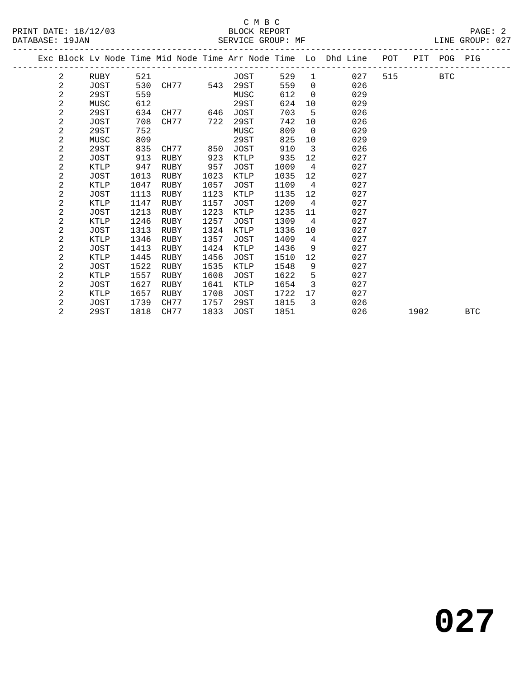PRINT DATE: 18/12/03 BLOCK REPORT PAGE: 2 DATABASE: 19JAN

# C M B C<br>BLOCK REPORT

| DATABASE: 19JAN |  |      |     |          |     | SERVICE GROUP: MF |     |      |                                                                                |     |      | LINE GROUP: 027 |  |
|-----------------|--|------|-----|----------|-----|-------------------|-----|------|--------------------------------------------------------------------------------|-----|------|-----------------|--|
|                 |  |      |     |          |     |                   |     |      | Exc Block Lv Node Time Mid Node Time Arr Node Time Lo Dhd Line POT PIT POG PIG |     |      |                 |  |
|                 |  | RUBY | 521 |          |     | JOST              | 529 |      | 027                                                                            | 515 | BTC. |                 |  |
|                 |  | JOST |     | 530 CH77 | 543 | 29ST              | 559 |      | 026                                                                            |     |      |                 |  |
|                 |  | 29ST | 559 |          |     | MUSC              | 612 |      | 029                                                                            |     |      |                 |  |
|                 |  | MUSC | 612 |          |     | 29ST              | 624 | - 10 | 029                                                                            |     |      |                 |  |

| 2 | 29ST | 634  | CH77 | 646  | JOST | 703  | 5              | 026 |      |            |
|---|------|------|------|------|------|------|----------------|-----|------|------------|
| 2 | JOST | 708  | CH77 | 722  | 29ST | 742  | 10             | 026 |      |            |
| 2 | 29ST | 752  |      |      | MUSC | 809  | $\overline{0}$ | 029 |      |            |
| 2 | MUSC | 809  |      |      | 29ST | 825  | 10             | 029 |      |            |
| 2 | 29ST | 835  | CH77 | 850  | JOST | 910  | 3              | 026 |      |            |
| 2 | JOST | 913  | RUBY | 923  | KTLP | 935  | 12             | 027 |      |            |
| 2 | KTLP | 947  | RUBY | 957  | JOST | 1009 | 4              | 027 |      |            |
| 2 | JOST | 1013 | RUBY | 1023 | KTLP | 1035 | 12             | 027 |      |            |
| 2 | KTLP | 1047 | RUBY | 1057 | JOST | 1109 | 4              | 027 |      |            |
| 2 | JOST | 1113 | RUBY | 1123 | KTLP | 1135 | 12             | 027 |      |            |
| 2 | KTLP | 1147 | RUBY | 1157 | JOST | 1209 | 4              | 027 |      |            |
| 2 | JOST | 1213 | RUBY | 1223 | KTLP | 1235 | 11             | 027 |      |            |
| 2 | KTLP | 1246 | RUBY | 1257 | JOST | 1309 | 4              | 027 |      |            |
| 2 | JOST | 1313 | RUBY | 1324 | KTLP | 1336 | 10             | 027 |      |            |
| 2 | KTLP | 1346 | RUBY | 1357 | JOST | 1409 | 4              | 027 |      |            |
| 2 | JOST | 1413 | RUBY | 1424 | KTLP | 1436 | 9              | 027 |      |            |
| 2 | KTLP | 1445 | RUBY | 1456 | JOST | 1510 | 12             | 027 |      |            |
| 2 | JOST | 1522 | RUBY | 1535 | KTLP | 1548 | 9              | 027 |      |            |
| 2 | KTLP | 1557 | RUBY | 1608 | JOST | 1622 | 5              | 027 |      |            |
| 2 | JOST | 1627 | RUBY | 1641 | KTLP | 1654 | 3              | 027 |      |            |
| 2 | KTLP | 1657 | RUBY | 1708 | JOST | 1722 | 17             | 027 |      |            |
| 2 | JOST | 1739 | CH77 | 1757 | 29ST | 1815 | 3              | 026 |      |            |
| 2 | 29ST | 1818 | CH77 | 1833 | JOST | 1851 |                | 026 | 1902 | <b>BTC</b> |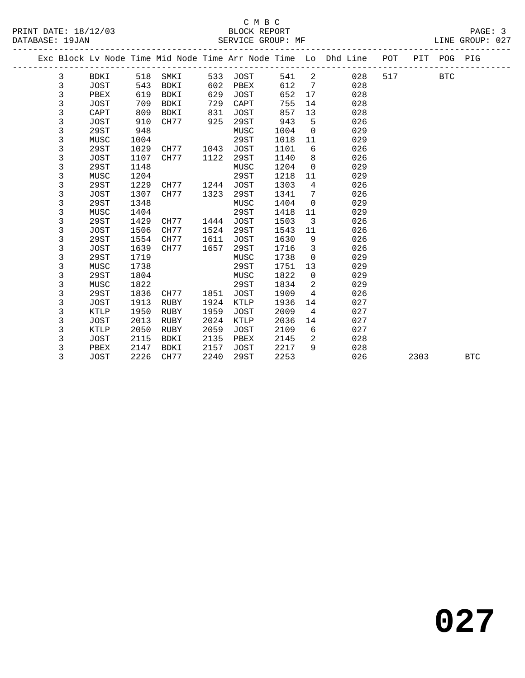## C M B C<br>BLOCK REPORT PRINT DATE: 18/12/03 BLOCK REPORT PAGE: 3 SERVICE GROUP: MF

|  |              |             |      |      |      |             |      |                         | Exc Block Lv Node Time Mid Node Time Arr Node Time Lo Dhd Line | POT |      | PIT POG PIG |            |
|--|--------------|-------------|------|------|------|-------------|------|-------------------------|----------------------------------------------------------------|-----|------|-------------|------------|
|  | 3            | BDKI        | 518  | SMKI | 533  | JOST        | 541  | 2                       | 028                                                            | 517 |      | <b>BTC</b>  |            |
|  | 3            | JOST        | 543  | BDKI | 602  | PBEX        | 612  | $7\phantom{.0}$         | 028                                                            |     |      |             |            |
|  | $\mathbf{3}$ | PBEX        | 619  | BDKI | 629  | JOST        | 652  | 17                      | 028                                                            |     |      |             |            |
|  | 3            | JOST        | 709  | BDKI | 729  | CAPT        | 755  | 14                      | 028                                                            |     |      |             |            |
|  | 3            | CAPT        | 809  | BDKI | 831  | JOST        | 857  | 13                      | 028                                                            |     |      |             |            |
|  | 3            | JOST        | 910  | CH77 | 925  | 29ST        | 943  | 5                       | 026                                                            |     |      |             |            |
|  | 3            | 29ST        | 948  |      |      | MUSC        | 1004 | $\mathbf 0$             | 029                                                            |     |      |             |            |
|  | 3            | MUSC        | 1004 |      |      | 29ST        | 1018 | 11                      | 029                                                            |     |      |             |            |
|  | 3            | 29ST        | 1029 | CH77 | 1043 | JOST        | 1101 | 6                       | 026                                                            |     |      |             |            |
|  | 3            | <b>JOST</b> | 1107 | CH77 | 1122 | 29ST        | 1140 | 8                       | 026                                                            |     |      |             |            |
|  | 3            | 29ST        | 1148 |      |      | MUSC        | 1204 | $\mathbf 0$             | 029                                                            |     |      |             |            |
|  | 3            | MUSC        | 1204 |      |      | 29ST        | 1218 | 11                      | 029                                                            |     |      |             |            |
|  | 3            | 29ST        | 1229 | CH77 | 1244 | <b>JOST</b> | 1303 | 4                       | 026                                                            |     |      |             |            |
|  | 3            | JOST        | 1307 | CH77 | 1323 | 29ST        | 1341 | 7                       | 026                                                            |     |      |             |            |
|  | 3            | 29ST        | 1348 |      |      | MUSC        | 1404 | $\Omega$                | 029                                                            |     |      |             |            |
|  | 3            | MUSC        | 1404 |      |      | 29ST        | 1418 | 11                      | 029                                                            |     |      |             |            |
|  | 3            | 29ST        | 1429 | CH77 | 1444 | JOST        | 1503 | $\overline{\mathbf{3}}$ | 026                                                            |     |      |             |            |
|  | 3            | JOST        | 1506 | CH77 | 1524 | 29ST        | 1543 | 11                      | 026                                                            |     |      |             |            |
|  | 3            | 29ST        | 1554 | CH77 | 1611 | <b>JOST</b> | 1630 | 9                       | 026                                                            |     |      |             |            |
|  | 3            | <b>JOST</b> | 1639 | CH77 | 1657 | 29ST        | 1716 | 3                       | 026                                                            |     |      |             |            |
|  | 3            | 29ST        | 1719 |      |      | MUSC        | 1738 | $\mathbf 0$             | 029                                                            |     |      |             |            |
|  | 3            | MUSC        | 1738 |      |      | 29ST        | 1751 | 13                      | 029                                                            |     |      |             |            |
|  | 3            | 29ST        | 1804 |      |      | MUSC        | 1822 | $\mathbf 0$             | 029                                                            |     |      |             |            |
|  | 3            | MUSC        | 1822 |      |      | 29ST        | 1834 | 2                       | 029                                                            |     |      |             |            |
|  | 3            | 29ST        | 1836 | CH77 | 1851 | <b>JOST</b> | 1909 | 4                       | 026                                                            |     |      |             |            |
|  | 3            | <b>JOST</b> | 1913 | RUBY | 1924 | KTLP        | 1936 | 14                      | 027                                                            |     |      |             |            |
|  | 3            | KTLP        | 1950 | RUBY | 1959 | <b>JOST</b> | 2009 | $\overline{4}$          | 027                                                            |     |      |             |            |
|  | 3            | <b>JOST</b> | 2013 | RUBY | 2024 | KTLP        | 2036 | 14                      | 027                                                            |     |      |             |            |
|  | 3            | KTLP        | 2050 | RUBY | 2059 | JOST        | 2109 | 6                       | 027                                                            |     |      |             |            |
|  | 3            | <b>JOST</b> | 2115 | BDKI | 2135 | PBEX        | 2145 | 2                       | 028                                                            |     |      |             |            |
|  | 3            | PBEX        | 2147 | BDKI | 2157 | JOST        | 2217 | 9                       | 028                                                            |     |      |             |            |
|  | 3            | JOST        | 2226 | CH77 | 2240 | 29ST        | 2253 |                         | 026                                                            |     | 2303 |             | <b>BTC</b> |
|  |              |             |      |      |      |             |      |                         |                                                                |     |      |             |            |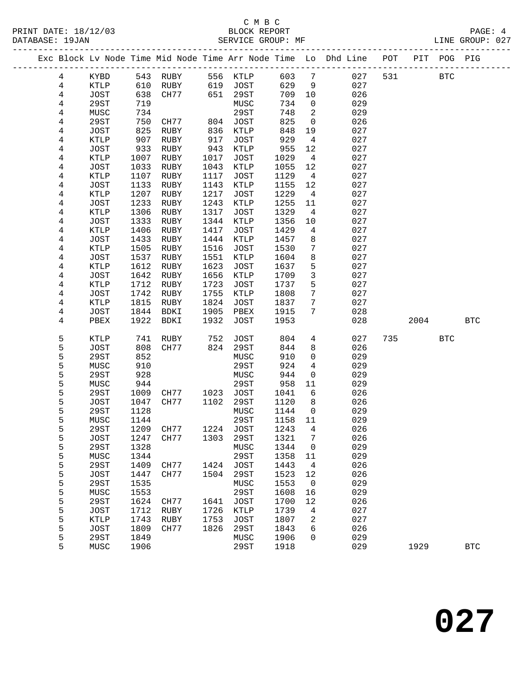## C M B C<br>BLOCK REPORT PRINT DATE: 18/12/03 BLOCK REPORT PAGE: 4 SERVICE GROUP: MF

|  |                         |                            |              |              |              |                     |              |                               | Exc Block Lv Node Time Mid Node Time Arr Node Time Lo Dhd Line POT |     |      | PIT POG PIG |            |
|--|-------------------------|----------------------------|--------------|--------------|--------------|---------------------|--------------|-------------------------------|--------------------------------------------------------------------|-----|------|-------------|------------|
|  | 4                       | KYBD                       |              |              |              |                     | 603          | $7\overline{7}$               | 027                                                                | 531 |      | <b>BTC</b>  |            |
|  | 4                       | KTLP                       |              |              |              |                     | 629          | 9                             | 027                                                                |     |      |             |            |
|  | 4                       | JOST                       | 638          | CH77         | 651          | 29ST                | 709          | 10                            | 026                                                                |     |      |             |            |
|  | 4                       | 29ST                       | 719          |              |              | MUSC                | 734          | $\mathsf{O}$                  | 029                                                                |     |      |             |            |
|  | 4                       | MUSC                       | 734          |              |              | 29ST                | 748          | 2                             | 029                                                                |     |      |             |            |
|  | 4                       | 29ST                       | 750          | CH77         | 804          | JOST                | 825          | $\overline{0}$                | 026                                                                |     |      |             |            |
|  | 4                       | JOST                       | 825          | RUBY         | 836          | KTLP                | 848          | 19                            | 027                                                                |     |      |             |            |
|  | 4                       | KTLP                       | 907          | RUBY         | 917          | <b>JOST</b>         | 929          | $\overline{4}$                | 027                                                                |     |      |             |            |
|  | 4                       | JOST                       | 933          | RUBY         | 943          | KTLP                | 955          | 12                            | 027                                                                |     |      |             |            |
|  | 4                       | KTLP                       | 1007         | RUBY         | 1017         | <b>JOST</b>         | 1029         | $\overline{4}$                | 027                                                                |     |      |             |            |
|  | 4                       | JOST                       | 1033         | RUBY         | 1043         | KTLP                | 1055         | 12                            | 027                                                                |     |      |             |            |
|  | 4                       | KTLP                       | 1107         | RUBY         | 1117         | JOST                | 1129         | $\overline{4}$                | 027                                                                |     |      |             |            |
|  | 4                       | <b>JOST</b>                | 1133         | RUBY         | 1143         | KTLP                | 1155         | 12                            | 027                                                                |     |      |             |            |
|  | 4                       | KTLP                       | 1207         | RUBY         | 1217         | <b>JOST</b>         | 1229         | $\overline{4}$                | 027                                                                |     |      |             |            |
|  | $\overline{\mathbf{4}}$ | JOST                       | 1233         | RUBY         | 1243         | KTLP                | 1255         | 11                            | 027                                                                |     |      |             |            |
|  | 4                       | KTLP                       | 1306         | RUBY         | 1317<br>1344 | JOST                | 1329<br>1356 | $\overline{4}$                | 027<br>027                                                         |     |      |             |            |
|  | 4<br>4                  | <b>JOST</b><br><b>KTLP</b> | 1333<br>1406 | RUBY<br>RUBY | 1417         | KTLP<br><b>JOST</b> | 1429         | 10<br>4                       | 027                                                                |     |      |             |            |
|  | 4                       | JOST                       | 1433         | RUBY         | 1444         | KTLP                | 1457         | 8                             | 027                                                                |     |      |             |            |
|  | 4                       | KTLP                       | 1505         | RUBY         | 1516         | JOST                | 1530         | 7                             | 027                                                                |     |      |             |            |
|  | 4                       | JOST                       | 1537         | RUBY         | 1551         | KTLP                | 1604         | 8                             | 027                                                                |     |      |             |            |
|  | 4                       | KTLP                       | 1612         | RUBY         | 1623         | JOST                | 1637         | 5                             | 027                                                                |     |      |             |            |
|  | 4                       | JOST                       | 1642         | RUBY         | 1656         | KTLP                | 1709         | $\mathbf{3}$                  | 027                                                                |     |      |             |            |
|  | 4                       | KTLP                       | 1712         | RUBY         | 1723         | JOST                | 1737         | 5                             | 027                                                                |     |      |             |            |
|  | 4                       | JOST                       | 1742         | RUBY         | 1755         | KTLP                | 1808         | 7                             | 027                                                                |     |      |             |            |
|  | 4                       | KTLP                       | 1815         | RUBY         | 1824         | JOST                | 1837         | $7\phantom{.0}$               | 027                                                                |     |      |             |            |
|  | 4                       | JOST                       | 1844         | BDKI         | 1905         | PBEX                | 1915         | 7                             | 028                                                                |     |      |             |            |
|  | 4                       | PBEX                       | 1922         | BDKI         | 1932         | JOST                | 1953         |                               | 028                                                                |     | 2004 |             | <b>BTC</b> |
|  |                         |                            |              |              |              |                     |              |                               |                                                                    |     |      |             |            |
|  | 5                       | KTLP                       | 741          | RUBY         | 752          | JOST                | 804          | $4\overline{ }$               | 027                                                                | 735 |      | <b>BTC</b>  |            |
|  | 5                       | JOST                       | 808          | CH77         | 824          | 29ST                | 844          | 8                             | 026                                                                |     |      |             |            |
|  | 5<br>5                  | 29ST<br>MUSC               | 852<br>910   |              |              | MUSC<br>29ST        | 910<br>924   | $\mathbf 0$<br>$\overline{4}$ | 029<br>029                                                         |     |      |             |            |
|  | 5                       | <b>29ST</b>                | 928          |              |              | MUSC                | 944          | $\mathsf{O}$                  | 029                                                                |     |      |             |            |
|  | 5                       | MUSC                       | 944          |              |              | 29ST                | 958          | 11                            | 029                                                                |     |      |             |            |
|  | 5                       | 29ST                       | 1009         | CH77         | 1023         | JOST                | 1041         | 6                             | 026                                                                |     |      |             |            |
|  | 5                       | JOST                       | 1047         | CH77         | 1102         | 29ST                | 1120         | 8                             | 026                                                                |     |      |             |            |
|  | 5                       | 29ST                       | 1128         |              |              | MUSC                | 1144         | $\overline{0}$                | 029                                                                |     |      |             |            |
|  | 5                       | MUSC                       | 1144         |              |              | 29ST                | 1158         | 11                            | 029                                                                |     |      |             |            |
|  | 5                       | 29ST                       |              | 1209 CH77    |              | 1224 JOST 1243 4    |              |                               | 026                                                                |     |      |             |            |
|  | 5                       | JOST                       | 1247         | CH77         | 1303         | 29ST                | 1321         | 7                             | 026                                                                |     |      |             |            |
|  | 5                       | <b>29ST</b>                | 1328         |              |              | MUSC                | 1344         | 0                             | 029                                                                |     |      |             |            |
|  | 5                       | MUSC                       | 1344         |              |              | 29ST                | 1358         | 11                            | 029                                                                |     |      |             |            |
|  | 5                       | <b>29ST</b>                | 1409         | CH77         | 1424         | <b>JOST</b>         | 1443         | $\overline{4}$                | 026                                                                |     |      |             |            |
|  | 5                       | <b>JOST</b>                | 1447         | CH77         | 1504         | 29ST                | 1523         | 12                            | 026                                                                |     |      |             |            |
|  | 5                       | 29ST                       | 1535         |              |              | MUSC                | 1553         | $\mathbf 0$                   | 029                                                                |     |      |             |            |
|  | 5                       | MUSC                       | 1553         |              |              | 29ST                | 1608         | 16                            | 029                                                                |     |      |             |            |
|  | 5                       | 29ST                       | 1624         | CH77         | 1641         | JOST                | 1700         | 12                            | 026                                                                |     |      |             |            |
|  | 5                       | JOST                       | 1712         | RUBY         | 1726         | KTLP                | 1739         | 4                             | 027                                                                |     |      |             |            |
|  | 5                       | <b>KTLP</b>                | 1743         | RUBY         | 1753         | <b>JOST</b>         | 1807         | 2                             | 027                                                                |     |      |             |            |
|  | 5<br>5                  | JOST<br>29ST               | 1809<br>1849 | CH77         | 1826         | 29ST<br>MUSC        | 1843<br>1906 | 6<br>$\Omega$                 | 026<br>029                                                         |     |      |             |            |
|  | 5                       | MUSC                       | 1906         |              |              | 29ST                | 1918         |                               | 029                                                                |     | 1929 |             | <b>BTC</b> |
|  |                         |                            |              |              |              |                     |              |                               |                                                                    |     |      |             |            |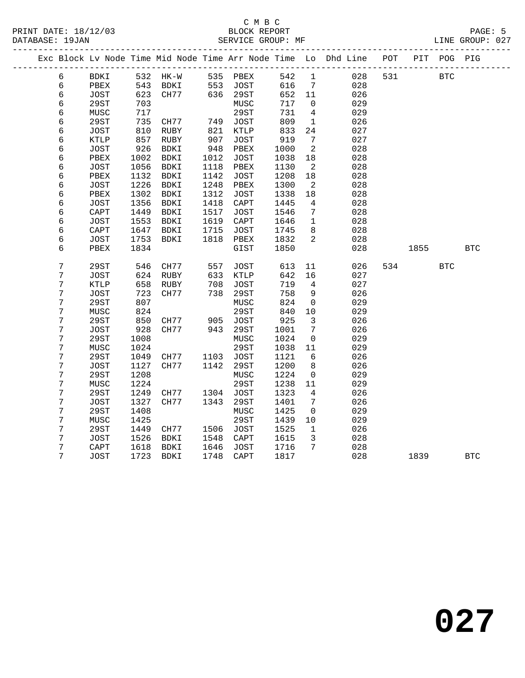## C M B C<br>BLOCK REPORT PRINT DATE: 18/12/03 BLOCK REPORT PAGE: 5 SERVICE GROUP: MF

|  |                  |                 |      | _____________________________ |      |             |      |                 | Exc Block Lv Node Time Mid Node Time Arr Node Time Lo Dhd Line | POT |      | PIT POG PIG |            |
|--|------------------|-----------------|------|-------------------------------|------|-------------|------|-----------------|----------------------------------------------------------------|-----|------|-------------|------------|
|  | 6                | BDKI            | 532  | HK-W                          |      | 535 PBEX    | 542  | $\mathbf 1$     | 028                                                            | 531 |      | <b>BTC</b>  |            |
|  | $\sqrt{6}$       | PBEX            | 543  | BDKI                          | 553  | JOST        | 616  | $7\phantom{.0}$ | 028                                                            |     |      |             |            |
|  | 6                | <b>JOST</b>     | 623  | CH77                          | 636  | 29ST        | 652  | 11              | 026                                                            |     |      |             |            |
|  | 6                | 29ST            | 703  |                               |      | MUSC        | 717  | $\mathbf 0$     | 029                                                            |     |      |             |            |
|  | $\epsilon$       | MUSC            | 717  |                               |      | 29ST        | 731  | 4               | 029                                                            |     |      |             |            |
|  | 6                | 29ST            | 735  | CH77                          | 749  | JOST        | 809  | $\mathbf{1}$    | 026                                                            |     |      |             |            |
|  | 6                | JOST            | 810  | RUBY                          | 821  | KTLP        | 833  | 24              | 027                                                            |     |      |             |            |
|  | 6                | $\texttt{KTLP}$ | 857  | RUBY                          | 907  | JOST        | 919  | 7               | 027                                                            |     |      |             |            |
|  | 6                | JOST            | 926  | BDKI                          | 948  | PBEX        | 1000 | 2               | 028                                                            |     |      |             |            |
|  | 6                | ${\tt PBEX}$    | 1002 | BDKI                          | 1012 | JOST        | 1038 | 18              | 028                                                            |     |      |             |            |
|  | 6                | JOST            | 1056 | BDKI                          | 1118 | PBEX        | 1130 | $\overline{2}$  | 028                                                            |     |      |             |            |
|  | 6                | PBEX            | 1132 | BDKI                          | 1142 | JOST        | 1208 | 18              | 028                                                            |     |      |             |            |
|  | 6                | <b>JOST</b>     | 1226 | BDKI                          | 1248 | PBEX        | 1300 | 2               | 028                                                            |     |      |             |            |
|  | 6                | PBEX            | 1302 | BDKI                          | 1312 | JOST        | 1338 | 18              | 028                                                            |     |      |             |            |
|  | 6                | <b>JOST</b>     | 1356 | <b>BDKI</b>                   | 1418 | CAPT        | 1445 | 4               | 028                                                            |     |      |             |            |
|  | 6                | CAPT            | 1449 | BDKI                          | 1517 | JOST        | 1546 | 7               | 028                                                            |     |      |             |            |
|  | 6                | <b>JOST</b>     | 1553 | BDKI                          | 1619 | CAPT        | 1646 | 1               | 028                                                            |     |      |             |            |
|  | 6                | CAPT            | 1647 | BDKI                          | 1715 | JOST        | 1745 | 8               | 028                                                            |     |      |             |            |
|  | 6                | <b>JOST</b>     | 1753 | BDKI                          | 1818 | PBEX        | 1832 | 2               | 028                                                            |     |      |             |            |
|  | 6                | PBEX            | 1834 |                               |      | GIST        | 1850 |                 | 028                                                            |     | 1855 |             | <b>BTC</b> |
|  | $\boldsymbol{7}$ | 29ST            | 546  | CH77                          | 557  | JOST        | 613  | 11              | 026                                                            | 534 |      | <b>BTC</b>  |            |
|  | $\boldsymbol{7}$ | <b>JOST</b>     | 624  | RUBY                          | 633  | KTLP        | 642  | 16              | 027                                                            |     |      |             |            |
|  | 7                | KTLP            | 658  | RUBY                          | 708  | JOST        | 719  | 4               | 027                                                            |     |      |             |            |
|  | 7                | <b>JOST</b>     | 723  | CH77                          | 738  | 29ST        | 758  | 9               | 026                                                            |     |      |             |            |
|  | 7                | 29ST            | 807  |                               |      | MUSC        | 824  | 0               | 029                                                            |     |      |             |            |
|  | $\overline{7}$   | MUSC            | 824  |                               |      | <b>29ST</b> | 840  | 10              | 029                                                            |     |      |             |            |
|  | $\overline{7}$   | 29ST            | 850  | CH77                          | 905  | JOST        | 925  | $\mathbf{3}$    | 026                                                            |     |      |             |            |
|  | 7                | <b>JOST</b>     | 928  | CH77                          | 943  | 29ST        | 1001 | 7               | 026                                                            |     |      |             |            |
|  | 7                | 29ST            | 1008 |                               |      | MUSC        | 1024 | 0               | 029                                                            |     |      |             |            |
|  | $\boldsymbol{7}$ | MUSC            | 1024 |                               |      | 29ST        | 1038 | 11              | 029                                                            |     |      |             |            |
|  | 7                | 29ST            | 1049 | CH77                          | 1103 | JOST        | 1121 | 6               | 026                                                            |     |      |             |            |
|  | 7                | JOST            | 1127 | CH77                          | 1142 | 29ST        | 1200 | 8               | 026                                                            |     |      |             |            |
|  | 7                | 29ST            | 1208 |                               |      | MUSC        | 1224 | 0               | 029                                                            |     |      |             |            |
|  | 7                | MUSC            | 1224 |                               |      | 29ST        | 1238 | 11              | 029                                                            |     |      |             |            |
|  | 7                | 29ST            | 1249 | CH77                          | 1304 | JOST        | 1323 | 4               | 026                                                            |     |      |             |            |
|  | 7                | JOST            | 1327 | CH77                          | 1343 | 29ST        | 1401 | 7               | 026                                                            |     |      |             |            |
|  | 7                | 29ST            | 1408 |                               |      | MUSC        | 1425 | $\mathbf 0$     | 029                                                            |     |      |             |            |
|  | 7                | MUSC            | 1425 |                               |      | 29ST        | 1439 | 10              | 029                                                            |     |      |             |            |
|  | 7                | 29ST            | 1449 | CH77                          | 1506 | <b>JOST</b> | 1525 | $\mathbf 1$     | 026                                                            |     |      |             |            |
|  | $\overline{7}$   | JOST            | 1526 | BDKI                          | 1548 | CAPT        | 1615 | $\overline{3}$  | 028                                                            |     |      |             |            |
|  | 7                | CAPT            | 1618 | BDKI                          | 1646 | JOST        | 1716 | $7\phantom{.0}$ | 028                                                            |     |      |             |            |
|  | 7                | <b>JOST</b>     | 1723 | BDKI                          | 1748 | CAPT        | 1817 |                 | 028                                                            |     | 1839 |             | <b>BTC</b> |
|  |                  |                 |      |                               |      |             |      |                 |                                                                |     |      |             |            |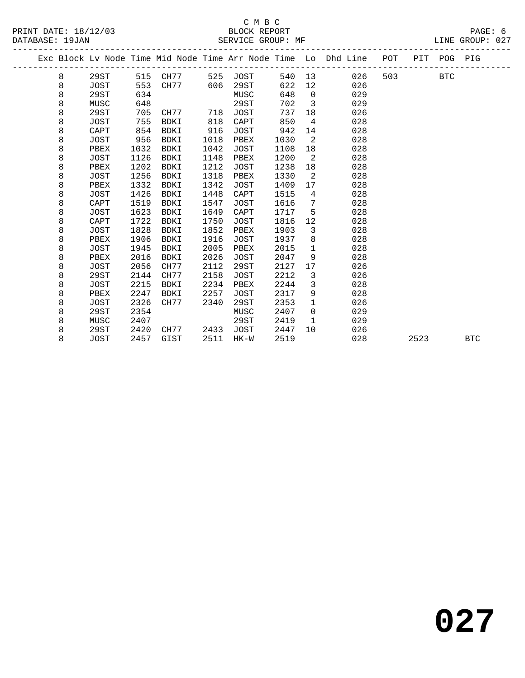## C M B C<br>BLOCK REPORT PRINT DATE: 18/12/03 BLOCK REPORT PAGE: 6 SERVICE GROUP: MF

|  |   |             |      |             |      |             |        |                | Exc Block Lv Node Time Mid Node Time Arr Node Time Lo Dhd Line | POT |      | PIT POG PIG |            |
|--|---|-------------|------|-------------|------|-------------|--------|----------------|----------------------------------------------------------------|-----|------|-------------|------------|
|  | 8 | 29ST        |      | 515 CH77    | 525  | JOST        | 540 13 |                | 026                                                            | 503 |      | <b>BTC</b>  |            |
|  | 8 | JOST        | 553  | CH77        | 606  | 29ST        | 622    | 12             | 026                                                            |     |      |             |            |
|  | 8 | 29ST        | 634  |             |      | MUSC        | 648    | $\Omega$       | 029                                                            |     |      |             |            |
|  | 8 | MUSC        | 648  |             |      | 29ST        | 702    | $\overline{3}$ | 029                                                            |     |      |             |            |
|  | 8 | 29ST        | 705  | CH77        | 718  | JOST        | 737    | 18             | 026                                                            |     |      |             |            |
|  | 8 | <b>JOST</b> | 755  | BDKI        | 818  | CAPT        | 850    | $\overline{4}$ | 028                                                            |     |      |             |            |
|  | 8 | CAPT        | 854  | <b>BDKI</b> | 916  | <b>JOST</b> | 942    | 14             | 028                                                            |     |      |             |            |
|  | 8 | JOST        | 956  | BDKI        | 1018 | PBEX        | 1030   | 2              | 028                                                            |     |      |             |            |
|  | 8 | PBEX        | 1032 | BDKI        | 1042 | JOST        | 1108   | 18             | 028                                                            |     |      |             |            |
|  | 8 | JOST        | 1126 | BDKI        | 1148 | PBEX        | 1200   | 2              | 028                                                            |     |      |             |            |
|  | 8 | PBEX        | 1202 | <b>BDKI</b> | 1212 | <b>JOST</b> | 1238   | 18             | 028                                                            |     |      |             |            |
|  | 8 | JOST        | 1256 | BDKI        | 1318 | PBEX        | 1330   | 2              | 028                                                            |     |      |             |            |
|  | 8 | PBEX        | 1332 | <b>BDKI</b> | 1342 | JOST        | 1409   | 17             | 028                                                            |     |      |             |            |
|  | 8 | JOST        | 1426 | <b>BDKI</b> | 1448 | CAPT        | 1515   | 4              | 028                                                            |     |      |             |            |
|  | 8 | CAPT        | 1519 | <b>BDKI</b> | 1547 | <b>JOST</b> | 1616   | 7              | 028                                                            |     |      |             |            |
|  | 8 | JOST        | 1623 | BDKI        | 1649 | CAPT        | 1717   | 5              | 028                                                            |     |      |             |            |
|  | 8 | CAPT        | 1722 | BDKI        | 1750 | JOST        | 1816   | 12             | 028                                                            |     |      |             |            |
|  | 8 | JOST        | 1828 | <b>BDKI</b> | 1852 | PBEX        | 1903   | 3              | 028                                                            |     |      |             |            |
|  | 8 | PBEX        | 1906 | BDKI        | 1916 | JOST        | 1937   | 8              | 028                                                            |     |      |             |            |
|  | 8 | <b>JOST</b> | 1945 | <b>BDKI</b> | 2005 | PBEX        | 2015   | $\mathbf{1}$   | 028                                                            |     |      |             |            |
|  | 8 | PBEX        | 2016 | <b>BDKI</b> | 2026 | <b>JOST</b> | 2047   | 9              | 028                                                            |     |      |             |            |
|  | 8 | JOST        | 2056 | CH77        | 2112 | 29ST        | 2127   | 17             | 026                                                            |     |      |             |            |
|  | 8 | 29ST        | 2144 | CH77        | 2158 | <b>JOST</b> | 2212   | 3              | 026                                                            |     |      |             |            |
|  | 8 | <b>JOST</b> | 2215 | BDKI        | 2234 | PBEX        | 2244   | 3              | 028                                                            |     |      |             |            |
|  | 8 | PBEX        | 2247 | BDKI        | 2257 | JOST        | 2317   | 9              | 028                                                            |     |      |             |            |
|  | 8 | JOST        | 2326 | CH77        | 2340 | 29ST        | 2353   | 1              | 026                                                            |     |      |             |            |
|  | 8 | 29ST        | 2354 |             |      | MUSC        | 2407   | $\mathbf 0$    | 029                                                            |     |      |             |            |
|  | 8 | MUSC        | 2407 |             |      | 29ST        | 2419   | $\mathbf{1}$   | 029                                                            |     |      |             |            |
|  | 8 | 29ST        | 2420 | CH77        | 2433 | JOST        | 2447   | 10             | 026                                                            |     |      |             |            |
|  | 8 | <b>JOST</b> | 2457 | GIST        | 2511 | $HK-W$      | 2519   |                | 028                                                            |     | 2523 |             | <b>BTC</b> |
|  |   |             |      |             |      |             |        |                |                                                                |     |      |             |            |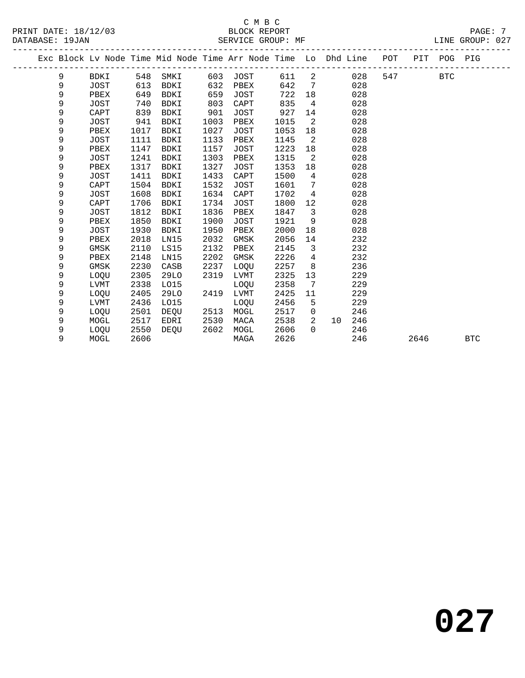# C M B C<br>BLOCK REPORT SERVICE GROUP: MF

PRINT DATE: 18/12/03 BLOCK REPORT PAGE: 7

|   |             |      | Exc Block Lv Node Time Mid Node Time Arr Node Time Lo Dhd Line |      |             |      |                         |    |     | POT |      | PIT POG PIG |            |
|---|-------------|------|----------------------------------------------------------------|------|-------------|------|-------------------------|----|-----|-----|------|-------------|------------|
| 9 | BDKI        | 548  | SMKI                                                           | 603  | JOST        | 611  | 2                       |    | 028 | 547 |      | <b>BTC</b>  |            |
| 9 | <b>JOST</b> | 613  | BDKI                                                           | 632  | PBEX        | 642  | 7                       |    | 028 |     |      |             |            |
| 9 | PBEX        | 649  | <b>BDKI</b>                                                    | 659  | <b>JOST</b> | 722  | 18                      |    | 028 |     |      |             |            |
| 9 | <b>JOST</b> | 740  | <b>BDKI</b>                                                    | 803  | CAPT        | 835  | 4                       |    | 028 |     |      |             |            |
| 9 | CAPT        | 839  | <b>BDKI</b>                                                    | 901  | <b>JOST</b> | 927  | 14                      |    | 028 |     |      |             |            |
| 9 | JOST        | 941  | <b>BDKI</b>                                                    | 1003 | PBEX        | 1015 | 2                       |    | 028 |     |      |             |            |
| 9 | PBEX        | 1017 | <b>BDKI</b>                                                    | 1027 | JOST        | 1053 | 18                      |    | 028 |     |      |             |            |
| 9 | JOST        | 1111 | BDKI                                                           | 1133 | PBEX        | 1145 | 2                       |    | 028 |     |      |             |            |
| 9 | PBEX        | 1147 | <b>BDKI</b>                                                    | 1157 | <b>JOST</b> | 1223 | 18                      |    | 028 |     |      |             |            |
| 9 | <b>JOST</b> | 1241 | <b>BDKI</b>                                                    | 1303 | PBEX        | 1315 | 2                       |    | 028 |     |      |             |            |
| 9 | PBEX        | 1317 | BDKI                                                           | 1327 | JOST        | 1353 | 18                      |    | 028 |     |      |             |            |
| 9 | <b>JOST</b> | 1411 | <b>BDKI</b>                                                    | 1433 | CAPT        | 1500 | 4                       |    | 028 |     |      |             |            |
| 9 | CAPT        | 1504 | <b>BDKI</b>                                                    | 1532 | JOST        | 1601 | 7                       |    | 028 |     |      |             |            |
| 9 | <b>JOST</b> | 1608 | <b>BDKI</b>                                                    | 1634 | CAPT        | 1702 | $\overline{4}$          |    | 028 |     |      |             |            |
| 9 | CAPT        | 1706 | <b>BDKI</b>                                                    | 1734 | JOST        | 1800 | 12                      |    | 028 |     |      |             |            |
| 9 | <b>JOST</b> | 1812 | <b>BDKI</b>                                                    | 1836 | PBEX        | 1847 | $\overline{\mathbf{3}}$ |    | 028 |     |      |             |            |
| 9 | PBEX        | 1850 | <b>BDKI</b>                                                    | 1900 | JOST        | 1921 | 9                       |    | 028 |     |      |             |            |
| 9 | <b>JOST</b> | 1930 | <b>BDKI</b>                                                    | 1950 | PBEX        | 2000 | 18                      |    | 028 |     |      |             |            |
| 9 | PBEX        | 2018 | LN15                                                           | 2032 | GMSK        | 2056 | 14                      |    | 232 |     |      |             |            |
| 9 | GMSK        | 2110 | LS15                                                           | 2132 | PBEX        | 2145 | 3                       |    | 232 |     |      |             |            |
| 9 | PBEX        | 2148 | LN15                                                           | 2202 | GMSK        | 2226 | 4                       |    | 232 |     |      |             |            |
| 9 | <b>GMSK</b> | 2230 | CASB                                                           | 2237 | LOQU        | 2257 | 8                       |    | 236 |     |      |             |            |
| 9 | LOQU        | 2305 | 29LO                                                           | 2319 | LVMT        | 2325 | 13                      |    | 229 |     |      |             |            |
| 9 | LVMT        | 2338 | L015                                                           |      | LOQU        | 2358 | 7                       |    | 229 |     |      |             |            |
| 9 | LOOU        | 2405 | 29LO                                                           | 2419 | <b>LVMT</b> | 2425 | 11                      |    | 229 |     |      |             |            |
| 9 | LVMT        | 2436 | L015                                                           |      | LOQU        | 2456 | 5                       |    | 229 |     |      |             |            |
| 9 | LOQU        | 2501 | DEQU                                                           | 2513 | MOGL        | 2517 | $\mathsf{O}$            |    | 246 |     |      |             |            |
| 9 | MOGL        | 2517 | EDRI                                                           | 2530 | MACA        | 2538 | 2                       | 10 | 246 |     |      |             |            |
| 9 | LOQU        | 2550 | DEOU                                                           | 2602 | MOGL        | 2606 | $\Omega$                |    | 246 |     |      |             |            |
| 9 | MOGL        | 2606 |                                                                |      | MAGA        | 2626 |                         |    | 246 |     | 2646 |             | <b>BTC</b> |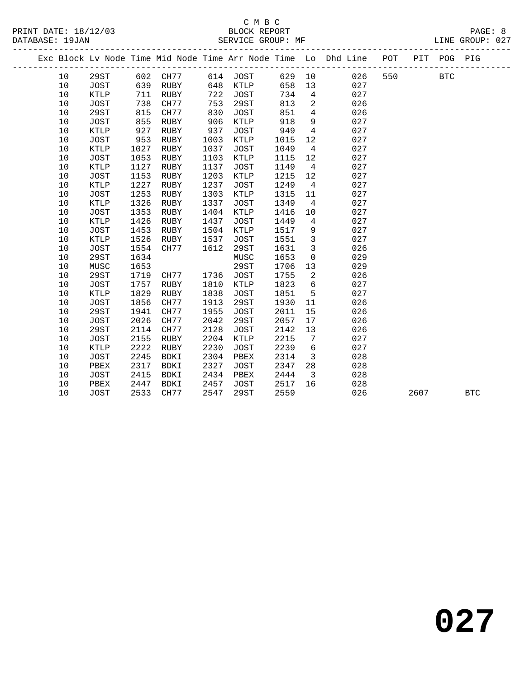|    |             |      |             |      |             |      |                         | Exc Block Lv Node Time Mid Node Time Arr Node Time Lo Dhd Line | POT |      | PIT POG PIG |            |
|----|-------------|------|-------------|------|-------------|------|-------------------------|----------------------------------------------------------------|-----|------|-------------|------------|
| 10 | 29ST        | 602  | CH77        |      | 614 JOST    |      |                         | 629 10<br>026                                                  | 550 |      | <b>BTC</b>  |            |
| 10 | <b>JOST</b> | 639  | RUBY        | 648  | KTLP        | 658  | 13                      | 027                                                            |     |      |             |            |
| 10 | KTLP        | 711  | RUBY        | 722  | JOST        | 734  | $\overline{4}$          | 027                                                            |     |      |             |            |
| 10 | <b>JOST</b> | 738  | CH77        | 753  | 29ST        | 813  | $\overline{a}$          | 026                                                            |     |      |             |            |
| 10 | 29ST        | 815  | CH77        | 830  | JOST        | 851  | $\overline{4}$          | 026                                                            |     |      |             |            |
| 10 | <b>JOST</b> | 855  | RUBY        | 906  | KTLP        | 918  | 9                       | 027                                                            |     |      |             |            |
| 10 | KTLP        | 927  | RUBY        | 937  | JOST        | 949  | $\overline{4}$          | 027                                                            |     |      |             |            |
| 10 | <b>JOST</b> | 953  | RUBY        | 1003 | <b>KTLP</b> | 1015 | 12                      | 027                                                            |     |      |             |            |
| 10 | KTLP        | 1027 | RUBY        | 1037 | JOST        | 1049 | $\overline{4}$          | 027                                                            |     |      |             |            |
| 10 | <b>JOST</b> | 1053 | RUBY        | 1103 | KTLP        | 1115 | 12                      | 027                                                            |     |      |             |            |
| 10 | KTLP        | 1127 | RUBY        | 1137 | JOST        | 1149 | $\overline{4}$          | 027                                                            |     |      |             |            |
| 10 | <b>JOST</b> | 1153 | RUBY        | 1203 | <b>KTLP</b> | 1215 | 12                      | 027                                                            |     |      |             |            |
| 10 | KTLP        | 1227 | RUBY        | 1237 | JOST        | 1249 | $\overline{4}$          | 027                                                            |     |      |             |            |
| 10 | <b>JOST</b> | 1253 | RUBY        | 1303 | KTLP        | 1315 | 11                      | 027                                                            |     |      |             |            |
| 10 | KTLP        | 1326 | RUBY        | 1337 | JOST        | 1349 | $\overline{4}$          | 027                                                            |     |      |             |            |
| 10 | <b>JOST</b> | 1353 | RUBY        | 1404 | KTLP        | 1416 | 10                      | 027                                                            |     |      |             |            |
| 10 | KTLP        | 1426 | RUBY        | 1437 | JOST        | 1449 | $\overline{4}$          | 027                                                            |     |      |             |            |
| 10 | <b>JOST</b> | 1453 | RUBY        | 1504 | KTLP        | 1517 | 9                       | 027                                                            |     |      |             |            |
| 10 | KTLP        | 1526 | RUBY        | 1537 | JOST        | 1551 | $\overline{3}$          | 027                                                            |     |      |             |            |
| 10 | JOST        | 1554 | CH77        | 1612 | 29ST        | 1631 | $\mathbf{3}$            | 026                                                            |     |      |             |            |
| 10 | 29ST        | 1634 |             |      | MUSC        | 1653 | $\mathsf{O}\xspace$     | 029                                                            |     |      |             |            |
| 10 | MUSC        | 1653 |             |      | 29ST        | 1706 | 13                      | 029                                                            |     |      |             |            |
| 10 | 29ST        | 1719 | CH77        | 1736 | JOST        | 1755 | 2                       | 026                                                            |     |      |             |            |
| 10 | <b>JOST</b> | 1757 | RUBY        | 1810 | KTLP        | 1823 | 6                       | 027                                                            |     |      |             |            |
| 10 | KTLP        | 1829 | RUBY        | 1838 | JOST        | 1851 | 5                       | 027                                                            |     |      |             |            |
| 10 | <b>JOST</b> | 1856 | CH77        | 1913 | 29ST        | 1930 | 11                      | 026                                                            |     |      |             |            |
| 10 | 29ST        | 1941 | CH77        | 1955 | JOST        | 2011 | 15                      | 026                                                            |     |      |             |            |
| 10 | <b>JOST</b> | 2026 | CH77        | 2042 | 29ST        | 2057 | 17                      | 026                                                            |     |      |             |            |
| 10 | 29ST        | 2114 | CH77        | 2128 | JOST        | 2142 | 13                      | 026                                                            |     |      |             |            |
| 10 | <b>JOST</b> | 2155 | RUBY        | 2204 | KTLP        | 2215 | 7                       | 027                                                            |     |      |             |            |
| 10 | KTLP        | 2222 | RUBY        | 2230 | <b>JOST</b> | 2239 | 6                       | 027                                                            |     |      |             |            |
| 10 | <b>JOST</b> | 2245 | <b>BDKI</b> | 2304 | PBEX        | 2314 | $\overline{\mathbf{3}}$ | 028                                                            |     |      |             |            |
| 10 | PBEX        | 2317 | BDKI        | 2327 | JOST        | 2347 | 28                      | 028                                                            |     |      |             |            |
| 10 | JOST        | 2415 | <b>BDKI</b> | 2434 | PBEX        | 2444 | $\overline{\mathbf{3}}$ | 028                                                            |     |      |             |            |
| 10 | PBEX        | 2447 | <b>BDKI</b> | 2457 | JOST        | 2517 | 16                      | 028                                                            |     |      |             |            |
| 10 | JOST        | 2533 | CH77        | 2547 | 29ST        | 2559 |                         | 026                                                            |     | 2607 |             | <b>BTC</b> |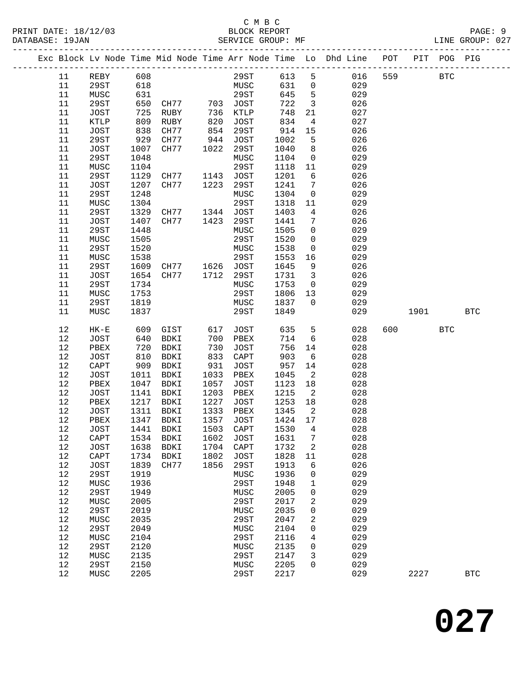### C M B C<br>BLOCK REPORT PRINT DATE: 18/12/03 BLOCK REPORT PAGE: 9 SERVICE GROUP: MF

|  |          |              |              |                          |              |              |              |                            | Exc Block Lv Node Time Mid Node Time Arr Node Time Lo Dhd Line POT PIT POG PIG |     |      |            |            |
|--|----------|--------------|--------------|--------------------------|--------------|--------------|--------------|----------------------------|--------------------------------------------------------------------------------|-----|------|------------|------------|
|  | 11       | REBY         | 608          |                          |              | 29ST         | 613          | 5                          | 016                                                                            | 559 |      | <b>BTC</b> |            |
|  | 11       | 29ST         | 618          |                          |              | MUSC         | 631          | $\overline{0}$             | 029                                                                            |     |      |            |            |
|  | 11       | MUSC         | 631          |                          |              | 29ST         | 645          | $5^{\circ}$                | 029                                                                            |     |      |            |            |
|  | 11       | 29ST         | 650          | CH77 703 JOST            |              |              | 722          | $\overline{\mathbf{3}}$    | 026                                                                            |     |      |            |            |
|  | 11       | JOST         | 725          | RUBY                     | 736          | KTLP         | 748          | 21                         | 027                                                                            |     |      |            |            |
|  | 11       | KTLP         | 809          | RUBY                     | 820          | JOST         | 834          | $\overline{4}$             | 027                                                                            |     |      |            |            |
|  | 11       | JOST         | 838          | CH77                     | 854          | 29ST         | 914          | 15                         | 026                                                                            |     |      |            |            |
|  | 11       | 29ST         | 929          | CH77                     | 944          | JOST         | 1002         | 5                          | 026                                                                            |     |      |            |            |
|  | 11       | JOST         | 1007         | CH77                     | 1022         | 29ST         | 1040         | 8                          | 026                                                                            |     |      |            |            |
|  | 11       | 29ST         | 1048         |                          |              | MUSC         | 1104         | $\overline{0}$             | 029                                                                            |     |      |            |            |
|  | 11       | MUSC         | 1104         |                          |              | 29ST         | 1118         | 11                         | 029                                                                            |     |      |            |            |
|  | 11       | 29ST         | 1129         | CH77 1143                |              | JOST         | 1201         | 6                          | 026                                                                            |     |      |            |            |
|  | 11       | JOST         | 1207         | CH77                     | 1223         | 29ST         | 1241         | $7\phantom{.0}$            | 026                                                                            |     |      |            |            |
|  | 11       | 29ST         | 1248         |                          |              | MUSC         | 1304         | $\overline{0}$             | 029                                                                            |     |      |            |            |
|  | 11       | MUSC         | 1304         |                          |              | 29ST         | 1318         | 11                         | 029                                                                            |     |      |            |            |
|  | 11       | 29ST         | 1329         | CH77 1344                |              | JOST         | 1403         | $4\overline{ }$            | 026                                                                            |     |      |            |            |
|  | 11       | JOST         | 1407         | CH77                     | 1423         | 29ST         | 1441         | 7                          | 026                                                                            |     |      |            |            |
|  | 11       | 29ST         | 1448         |                          |              | MUSC         | 1505         | $\mathbf 0$                | 029                                                                            |     |      |            |            |
|  | 11       | MUSC         | 1505         |                          |              | 29ST         | 1520         | $\mathsf{O}$               | 029                                                                            |     |      |            |            |
|  | 11       | 29ST         | 1520         |                          |              | MUSC         | 1538         | $\mathsf{O}$               | 029                                                                            |     |      |            |            |
|  | 11       | MUSC         | 1538         |                          |              | 29ST         | 1553         | 16                         | 029                                                                            |     |      |            |            |
|  | 11       | 29ST         | 1609         | CH77 1626 JOST           |              |              | 1645         | 9                          | 026                                                                            |     |      |            |            |
|  | 11       | JOST         | 1654         | CH77                     | 1712         | 29ST         | 1731         | $\overline{\mathbf{3}}$    | 026                                                                            |     |      |            |            |
|  | 11       | 29ST         | 1734         |                          |              | MUSC         | 1753         | $\overline{0}$             | 029                                                                            |     |      |            |            |
|  | 11       | MUSC         | 1753         |                          |              | 29ST         | 1806         | 13                         | 029                                                                            |     |      |            |            |
|  | 11       | 29ST         | 1819         |                          |              | MUSC         | 1837         | $\overline{0}$             | 029                                                                            |     |      |            |            |
|  | 11       | MUSC         | 1837         |                          |              | 29ST         | 1849         |                            | 029                                                                            |     | 1901 |            | <b>BTC</b> |
|  |          |              |              |                          |              |              |              |                            |                                                                                | 600 |      |            |            |
|  | 12       | $HK-E$       | 609          | GIST                     | 617          | JOST         | 635          | 5                          | 028                                                                            |     |      | <b>BTC</b> |            |
|  | 12       | JOST         | 640          | BDKI                     | 700          | PBEX         | 714          | $6\overline{6}$            | 028                                                                            |     |      |            |            |
|  | 12       | PBEX         | 720          | BDKI                     | 730          | JOST         | 756          | 14                         | 028                                                                            |     |      |            |            |
|  | 12       | JOST         | 810          | BDKI                     | 833          | CAPT         | 903          | $6\overline{6}$            | 028                                                                            |     |      |            |            |
|  | 12       | CAPT         | 909          | BDKI                     | 931          | JOST         | 957          | 14                         | 028                                                                            |     |      |            |            |
|  | 12       | JOST         | 1011         | BDKI                     | 1033         | PBEX         | 1045         | $\overline{2}$             | 028                                                                            |     |      |            |            |
|  | 12       | PBEX         | 1047         | BDKI<br>BDKI             | 1057         | JOST         | 1123         | 18                         | 028                                                                            |     |      |            |            |
|  | 12       | JOST         | 1141<br>1217 |                          | 1203<br>1227 | PBEX         | 1215<br>1253 | $\overline{\phantom{a}}^2$ | 028<br>028                                                                     |     |      |            |            |
|  | 12<br>12 | PBEX         | 1311         | BDKI                     | 1333         | JOST<br>PBEX | 1345         | 18<br>$\overline{2}$       | 028                                                                            |     |      |            |            |
|  | 12       | JOST<br>PBEX | 1347         | BDKI<br>BDKI             | 1357         | JOST         | 1424 17      |                            | 028                                                                            |     |      |            |            |
|  | 12       |              |              | JOST 1441 BDKI 1503 CAPT |              |              | 1530 4       |                            | 028                                                                            |     |      |            |            |
|  | 12       | CAPT         | 1534         | BDKI                     | 1602         | JOST         | 1631         | 7                          | 028                                                                            |     |      |            |            |
|  | 12       | <b>JOST</b>  | 1638         | BDKI                     | 1704         | CAPT         | 1732         | 2                          | 028                                                                            |     |      |            |            |
|  | 12       | CAPT         | 1734         | BDKI                     | 1802         | <b>JOST</b>  | 1828         | 11                         | 028                                                                            |     |      |            |            |
|  | 12       | <b>JOST</b>  | 1839         | CH77                     | 1856         | 29ST         | 1913         | 6                          | 026                                                                            |     |      |            |            |
|  | $12$     | 29ST         | 1919         |                          |              | MUSC         | 1936         | 0                          | 029                                                                            |     |      |            |            |
|  | 12       | MUSC         | 1936         |                          |              | 29ST         | 1948         | 1                          | 029                                                                            |     |      |            |            |
|  | 12       | <b>29ST</b>  | 1949         |                          |              | MUSC         | 2005         | 0                          | 029                                                                            |     |      |            |            |
|  | 12       | MUSC         | 2005         |                          |              | 29ST         | 2017         | 2                          | 029                                                                            |     |      |            |            |
|  | 12       | 29ST         | 2019         |                          |              | MUSC         | 2035         | 0                          | 029                                                                            |     |      |            |            |
|  | 12       | MUSC         | 2035         |                          |              | 29ST         | 2047         | 2                          | 029                                                                            |     |      |            |            |
|  | 12       | <b>29ST</b>  | 2049         |                          |              | MUSC         | 2104         | 0                          | 029                                                                            |     |      |            |            |
|  | 12       | MUSC         | 2104         |                          |              | 29ST         | 2116         | 4                          | 029                                                                            |     |      |            |            |
|  | 12       | <b>29ST</b>  | 2120         |                          |              | MUSC         | 2135         | 0                          | 029                                                                            |     |      |            |            |
|  | 12       | MUSC         | 2135         |                          |              | 29ST         | 2147         | 3                          | 029                                                                            |     |      |            |            |
|  | 12       | <b>29ST</b>  | 2150         |                          |              | MUSC         | 2205         | 0                          | 029                                                                            |     |      |            |            |
|  | 12       |              | 2205         |                          |              | 29ST         | 2217         |                            | 029                                                                            |     | 2227 |            | <b>BTC</b> |
|  |          | MUSC         |              |                          |              |              |              |                            |                                                                                |     |      |            |            |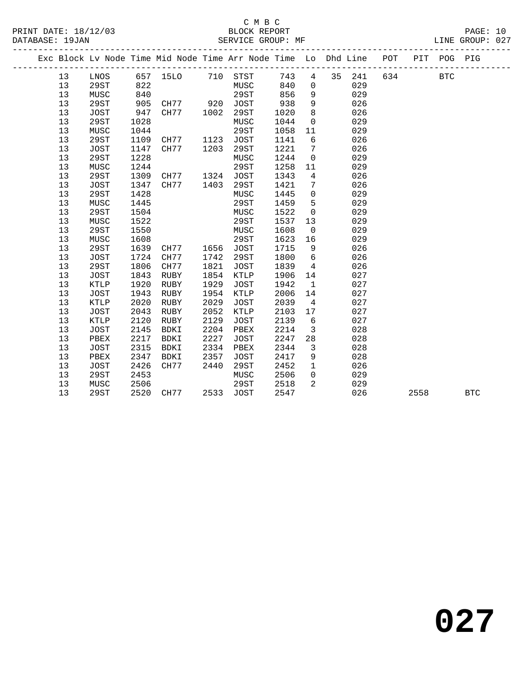# C M B C<br>BLOCK REPORT PRINT DATE: 18/12/03 BLOCK REPORT DATABASE: 19JAN BLOCK REPORT

PAGE: 10<br>LINE GROUP: 027

|    |             |      |                                                                |      | $L_{\text{H}}$ . The discreted interval $L_{\text{H}}$ |      |          |    |     |     |     |      | LIND OROOL . OL! |  |
|----|-------------|------|----------------------------------------------------------------|------|--------------------------------------------------------|------|----------|----|-----|-----|-----|------|------------------|--|
|    |             |      | Exc Block Lv Node Time Mid Node Time Arr Node Time Lo Dhd Line |      |                                                        |      |          |    |     | POT | PIT | POG- | PIG              |  |
| 13 | LNOS        | 657  | 15LO                                                           | 710  | STST                                                   | 743  | 4        | 35 | 241 | 634 |     | BTC  |                  |  |
| 13 | 29ST        | 822  |                                                                |      | MUSC                                                   | 840  | $\Omega$ |    | 029 |     |     |      |                  |  |
| 13 | MUSC        | 840  |                                                                |      | 29ST                                                   | 856  | 9        |    | 029 |     |     |      |                  |  |
| 13 | 29ST        | 905  | CH77                                                           | 920  | JOST                                                   | 938  | 9        |    | 026 |     |     |      |                  |  |
| 13 | <b>JOST</b> | 947  | CH77                                                           | 1002 | 29ST                                                   | 1020 | -8       |    | 026 |     |     |      |                  |  |
| 13 | 29ST        | 1028 |                                                                |      | MUSC                                                   | 1044 | $\Omega$ |    | 029 |     |     |      |                  |  |
| 13 | MUSC        | 1044 |                                                                |      | 29ST                                                   | 1058 | -11      |    | 029 |     |     |      |                  |  |
| 13 | 29ST        | 1109 | CH77                                                           | 1123 | JOST                                                   | 1141 | 6        |    | 026 |     |     |      |                  |  |

| 13 | 29ST        | 1109 | CH77        | 1123 | JOST        | 1141 | 6  | 026 |      |            |
|----|-------------|------|-------------|------|-------------|------|----|-----|------|------------|
| 13 | JOST        | 1147 | CH77        | 1203 | 29ST        | 1221 | 7  | 026 |      |            |
| 13 | 29ST        | 1228 |             |      | MUSC        | 1244 | 0  | 029 |      |            |
| 13 | MUSC        | 1244 |             |      | 29ST        | 1258 | 11 | 029 |      |            |
| 13 | 29ST        | 1309 | CH77        | 1324 | JOST        | 1343 | 4  | 026 |      |            |
| 13 | JOST        | 1347 | CH77        | 1403 | 29ST        | 1421 | 7  | 026 |      |            |
| 13 | 29ST        | 1428 |             |      | MUSC        | 1445 | 0  | 029 |      |            |
| 13 | MUSC        | 1445 |             |      | 29ST        | 1459 | 5  | 029 |      |            |
| 13 | 29ST        | 1504 |             |      | MUSC        | 1522 | 0  | 029 |      |            |
| 13 | MUSC        | 1522 |             |      | 29ST        | 1537 | 13 | 029 |      |            |
| 13 | 29ST        | 1550 |             |      | MUSC        | 1608 | 0  | 029 |      |            |
| 13 | MUSC        | 1608 |             |      | 29ST        | 1623 | 16 | 029 |      |            |
| 13 | 29ST        | 1639 | CH77        | 1656 | JOST        | 1715 | 9  | 026 |      |            |
| 13 | JOST        | 1724 | CH77        | 1742 | 29ST        | 1800 | 6  | 026 |      |            |
| 13 | 29ST        | 1806 | CH77        | 1821 | JOST        | 1839 | 4  | 026 |      |            |
| 13 | JOST        | 1843 | RUBY        | 1854 | KTLP        | 1906 | 14 | 027 |      |            |
| 13 | KTLP        | 1920 | RUBY        | 1929 | <b>JOST</b> | 1942 | 1  | 027 |      |            |
| 13 | <b>JOST</b> | 1943 | <b>RUBY</b> | 1954 | <b>KTLP</b> | 2006 | 14 | 027 |      |            |
| 13 | KTLP        | 2020 | RUBY        | 2029 | <b>JOST</b> | 2039 | 4  | 027 |      |            |
| 13 | JOST        | 2043 | RUBY        | 2052 | <b>KTLP</b> | 2103 | 17 | 027 |      |            |
| 13 | KTLP        | 2120 | RUBY        | 2129 | JOST        | 2139 | 6  | 027 |      |            |
| 13 | JOST        | 2145 | BDKI        | 2204 | PBEX        | 2214 | 3  | 028 |      |            |
| 13 | PBEX        | 2217 | <b>BDKI</b> | 2227 | JOST        | 2247 | 28 | 028 |      |            |
| 13 | JOST        | 2315 | BDKI        | 2334 | PBEX        | 2344 | 3  | 028 |      |            |
| 13 | PBEX        | 2347 | BDKI        | 2357 | JOST        | 2417 | 9  | 028 |      |            |
| 13 | <b>JOST</b> | 2426 | CH77        | 2440 | 29ST        | 2452 | 1  | 026 |      |            |
| 13 | 29ST        | 2453 |             |      | MUSC        | 2506 | 0  | 029 |      |            |
| 13 | MUSC        | 2506 |             |      | 29ST        | 2518 | 2  | 029 |      |            |
| 13 | 29ST        | 2520 | CH77        | 2533 | JOST        | 2547 |    | 026 | 2558 | <b>BTC</b> |
|    |             |      |             |      |             |      |    |     |      |            |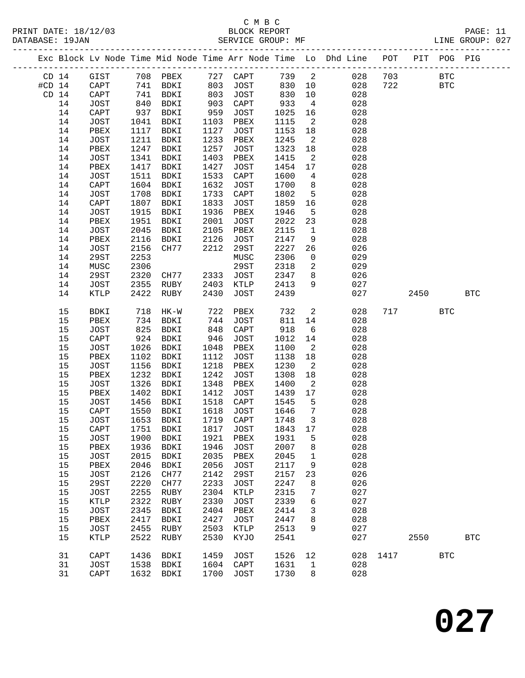## C M B C<br>BLOCK REPORT SERVICE GROUP: MF

|                  |         |                              |      |             |      |              |         |                            | Exc Block Lv Node Time Mid Node Time Arr Node Time Lo Dhd Line POT PIT POG PIG |     |      |              |            |
|------------------|---------|------------------------------|------|-------------|------|--------------|---------|----------------------------|--------------------------------------------------------------------------------|-----|------|--------------|------------|
| CD <sub>14</sub> |         | GIST                         |      | 708 PBEX    |      | 727 CAPT     | 739 2   |                            | 028                                                                            | 703 |      | $_{\rm BTC}$ |            |
| $#CD$ 14         |         | $\mathop{\rm CAPT}\nolimits$ | 741  | BDKI        | 803  | JOST         | 830     | 10                         | 028                                                                            | 722 |      | <b>BTC</b>   |            |
|                  | $CD$ 14 | CAPT                         | 741  | BDKI        | 803  | JOST         | 830     | 10                         | 028                                                                            |     |      |              |            |
|                  | 14      | JOST                         | 840  | BDKI        | 903  | CAPT         | 933     | $\overline{4}$             | 028                                                                            |     |      |              |            |
|                  | 14      | CAPT                         | 937  | BDKI        | 959  | JOST         | 1025    | 16                         | 028                                                                            |     |      |              |            |
|                  | 14      | JOST                         | 1041 | BDKI        | 1103 | PBEX         | 1115    | $\overline{\phantom{a}}^2$ | 028                                                                            |     |      |              |            |
|                  | 14      | PBEX                         | 1117 | BDKI        | 1127 | JOST         | 1153    | 18                         | 028                                                                            |     |      |              |            |
|                  | 14      | JOST                         | 1211 | BDKI        | 1233 | PBEX         | 1245    | 2                          | 028                                                                            |     |      |              |            |
|                  | 14      | PBEX                         | 1247 | <b>BDKI</b> | 1257 | JOST         | 1323    | 18                         | 028                                                                            |     |      |              |            |
|                  | 14      | JOST                         | 1341 | BDKI        | 1403 | PBEX         | 1415    | 2                          | 028                                                                            |     |      |              |            |
|                  | 14      | PBEX                         | 1417 | BDKI        | 1427 | JOST         | 1454    | 17                         | 028                                                                            |     |      |              |            |
|                  | 14      | JOST                         | 1511 | BDKI        | 1533 | CAPT         | 1600    | $\overline{4}$             | 028                                                                            |     |      |              |            |
|                  | 14      | CAPT                         | 1604 | BDKI        | 1632 | JOST         | 1700    | 8                          | 028                                                                            |     |      |              |            |
|                  | 14      | JOST                         | 1708 | BDKI        | 1733 | ${\tt CAPT}$ | 1802    | 5                          | 028                                                                            |     |      |              |            |
|                  | 14      | CAPT                         | 1807 | BDKI        | 1833 | JOST         | 1859    | 16                         | 028                                                                            |     |      |              |            |
|                  | 14      | JOST                         | 1915 | BDKI        | 1936 | PBEX         | 1946    | 5                          | 028                                                                            |     |      |              |            |
|                  | 14      | PBEX                         | 1951 | BDKI        | 2001 | JOST         | 2022    | 23                         | 028                                                                            |     |      |              |            |
|                  | 14      | JOST                         | 2045 | BDKI        | 2105 | PBEX         | 2115    | $\mathbf{1}$               | 028                                                                            |     |      |              |            |
|                  | 14      | PBEX                         | 2116 | BDKI        | 2126 | JOST         | 2147    | 9                          | 028                                                                            |     |      |              |            |
|                  | 14      | JOST                         | 2156 | CH77        | 2212 | 29ST         | 2227    | 26                         | 026                                                                            |     |      |              |            |
|                  | 14      | 29ST                         | 2253 |             |      | MUSC         | 2306    | $\overline{0}$             | 029                                                                            |     |      |              |            |
|                  | 14      | MUSC                         | 2306 |             |      | 29ST         | 2318    | $\overline{a}$             | 029                                                                            |     |      |              |            |
|                  | 14      | 29ST                         | 2320 | CH77        | 2333 | JOST         | 2347    | 8                          | 026                                                                            |     |      |              |            |
|                  | 14      | JOST                         | 2355 | RUBY        | 2403 | KTLP         | 2413    | 9                          | 027                                                                            |     |      |              |            |
|                  | 14      | KTLP                         | 2422 | RUBY        | 2430 | JOST         | 2439    |                            | 027                                                                            |     | 2450 |              | <b>BTC</b> |
|                  |         |                              |      |             |      |              |         |                            |                                                                                |     |      |              |            |
|                  | 15      | BDKI                         | 718  | HK-W        | 722  | PBEX         | 732     | $\overline{a}$             | 028                                                                            | 717 |      | <b>BTC</b>   |            |
|                  | 15      | PBEX                         | 734  | BDKI        | 744  | JOST         | 811     | 14                         | 028                                                                            |     |      |              |            |
|                  | 15      | <b>JOST</b>                  | 825  | BDKI        | 848  | CAPT         | 918     | $6\overline{6}$            | 028                                                                            |     |      |              |            |
|                  | 15      | CAPT                         | 924  | BDKI        | 946  | JOST         | 1012    | 14                         | 028                                                                            |     |      |              |            |
|                  | 15      | JOST                         | 1026 | BDKI        | 1048 | PBEX         | 1100    | 2                          | 028                                                                            |     |      |              |            |
|                  | 15      | PBEX                         | 1102 | BDKI        | 1112 | JOST         | 1138    | 18                         | 028                                                                            |     |      |              |            |
|                  | 15      | JOST                         | 1156 | BDKI        | 1218 | PBEX         | 1230    | 2                          | 028                                                                            |     |      |              |            |
|                  | 15      | PBEX                         | 1232 | <b>BDKI</b> | 1242 | JOST         | 1308    | 18                         | 028                                                                            |     |      |              |            |
|                  | 15      | <b>JOST</b>                  | 1326 | BDKI        | 1348 | PBEX         | 1400    | 2                          | 028                                                                            |     |      |              |            |
|                  | 15      | PBEX                         | 1402 | BDKI        | 1412 | JOST         | 1439    | 17                         | 028                                                                            |     |      |              |            |
|                  | 15      | JOST                         | 1456 | BDKI        | 1518 | CAPT         | 1545    | 5                          | 028                                                                            |     |      |              |            |
|                  | 15      | CAPT                         | 1550 | BDKI        | 1618 | JOST         | 1646    | $7\overline{ }$            | 028                                                                            |     |      |              |            |
|                  | 15      | JOST                         | 1653 | BDKI        | 1719 | CAPT         | 1748    | $\overline{3}$             | 028                                                                            |     |      |              |            |
|                  | 15      | CAPT 1751 BDKI               |      |             |      | 1817 JOST    | 1843 17 |                            | 028                                                                            |     |      |              |            |
|                  | 15      | <b>JOST</b>                  | 1900 | BDKI        | 1921 | PBEX         | 1931    | 5                          | 028                                                                            |     |      |              |            |
|                  | 15      | PBEX                         | 1936 | <b>BDKI</b> | 1946 | <b>JOST</b>  | 2007    | 8                          | 028                                                                            |     |      |              |            |
|                  | 15      | <b>JOST</b>                  | 2015 | BDKI        | 2035 | PBEX         | 2045    | 1                          | 028                                                                            |     |      |              |            |
|                  | 15      | PBEX                         | 2046 | BDKI        | 2056 | <b>JOST</b>  | 2117    | 9                          | 028                                                                            |     |      |              |            |
|                  | 15      | <b>JOST</b>                  | 2126 | CH77        | 2142 | <b>29ST</b>  | 2157    | 23                         | 026                                                                            |     |      |              |            |
|                  | 15      | 29ST                         | 2220 | CH77        | 2233 | <b>JOST</b>  | 2247    | 8                          | 026                                                                            |     |      |              |            |
|                  | 15      | <b>JOST</b>                  | 2255 | RUBY        | 2304 | KTLP         | 2315    | 7                          | 027                                                                            |     |      |              |            |
|                  | 15      | KTLP                         | 2322 | RUBY        | 2330 | <b>JOST</b>  | 2339    | 6                          | 027                                                                            |     |      |              |            |
|                  | 15      | <b>JOST</b>                  | 2345 | BDKI        | 2404 | PBEX         | 2414    | 3                          | 028                                                                            |     |      |              |            |
|                  | 15      | PBEX                         | 2417 | BDKI        | 2427 | <b>JOST</b>  | 2447    | 8                          | 028                                                                            |     |      |              |            |
|                  | 15      | <b>JOST</b>                  | 2455 | RUBY        | 2503 | KTLP         | 2513    | 9                          | 027                                                                            |     |      |              |            |
|                  |         |                              |      |             |      |              |         |                            |                                                                                |     |      |              |            |

15 KTLP 2522 RUBY 2530 KYJO 2541 027 2550 BTC

31 CAPT 1436 BDKI 1459 JOST 1526 12 028 1417 BTC

 31 JOST 1538 BDKI 1604 CAPT 1631 1 028 31 CAPT 1632 BDKI 1700 JOST 1730 8 028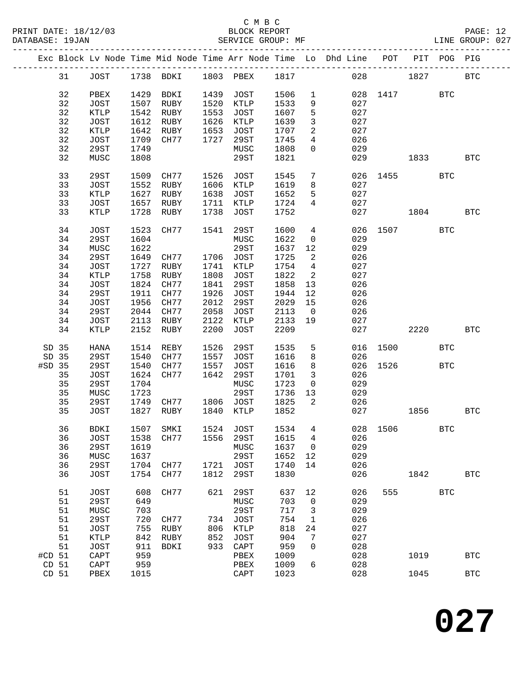|          |             |      |                |      |                               |         |                         | Exc Block Lv Node Time Mid Node Time Arr Node Time Lo Dhd Line POT PIT POG PIG |                |      |              |              |
|----------|-------------|------|----------------|------|-------------------------------|---------|-------------------------|--------------------------------------------------------------------------------|----------------|------|--------------|--------------|
| 31       |             |      |                |      | JOST 1738 BDKI 1803 PBEX 1817 |         |                         |                                                                                | 028 1827       |      |              | <b>BTC</b>   |
| 32       | PBEX        |      | 1429 BDKI      | 1439 | JOST                          | 1506    | $\mathbf{1}$            |                                                                                | 028 1417       |      | <b>BTC</b>   |              |
| 32       | JOST        | 1507 | RUBY           | 1520 | KTLP                          | 1533    | 9                       | 027                                                                            |                |      |              |              |
| 32       | KTLP        | 1542 | RUBY           | 1553 | JOST                          | 1607    | 5                       | 027                                                                            |                |      |              |              |
|          |             |      |                | 1626 |                               |         |                         |                                                                                |                |      |              |              |
| 32       | JOST        | 1612 | RUBY           |      | KTLP                          | 1639    | $\mathbf{3}$            | 027                                                                            |                |      |              |              |
| 32       | KTLP        | 1642 | RUBY           | 1653 | JOST                          | 1707    | $\overline{a}$          | 027                                                                            |                |      |              |              |
| 32       | JOST        | 1709 | CH77           | 1727 | 29ST                          | 1745    | $\overline{4}$          | 026                                                                            |                |      |              |              |
| 32       | 29ST        | 1749 |                |      | MUSC                          | 1808    | $\overline{0}$          | 029                                                                            |                |      |              |              |
| 32       | MUSC        | 1808 |                |      | 29ST                          | 1821    |                         | 029                                                                            |                | 1833 |              | BTC          |
| 33       | 29ST        | 1509 | CH77 1526 JOST |      |                               | 1545    | $7\overline{ }$         | 026                                                                            | 1455           |      | <b>BTC</b>   |              |
| 33       | JOST        | 1552 | RUBY           |      | 1606 KTLP                     | 1619    | 8                       | 027                                                                            |                |      |              |              |
| 33       | KTLP        | 1627 | RUBY           | 1638 | JOST                          | 1652    | 5                       | 027                                                                            |                |      |              |              |
| 33       | JOST        | 1657 | RUBY           | 1711 | KTLP                          | 1724    | $4\overline{ }$         | 027                                                                            |                |      |              |              |
| 33       | KTLP        | 1728 | RUBY           | 1738 | JOST                          | 1752    |                         |                                                                                | 027 and $\sim$ | 1804 |              | <b>BTC</b>   |
|          |             |      |                |      |                               |         |                         |                                                                                |                |      |              |              |
| 34       | JOST        | 1523 | CH77           | 1541 | 29ST                          | 1600    | $4\overline{ }$         |                                                                                | 026 1507       |      | <b>BTC</b>   |              |
| 34       | 29ST        | 1604 |                |      | MUSC                          | 1622    | $\overline{0}$          | 029                                                                            |                |      |              |              |
| 34       | MUSC        | 1622 |                |      | 29ST                          | 1637    | 12                      | 029                                                                            |                |      |              |              |
| 34       | 29ST        | 1649 | CH77 1706 JOST |      |                               | 1725    | $\overline{a}$          | 026                                                                            |                |      |              |              |
| 34       | JOST        | 1727 | RUBY           |      | 1741 KTLP                     | 1754    | $\overline{4}$          | 027                                                                            |                |      |              |              |
| 34       | KTLP        | 1758 | RUBY           |      | 1808 JOST                     | 1822    | $\overline{2}$          | 027                                                                            |                |      |              |              |
| 34       | JOST        | 1824 | CH77           | 1841 | 29ST                          | 1858    | 13                      | 026                                                                            |                |      |              |              |
| 34       | 29ST        | 1911 | CH77           | 1926 | JOST                          | 1944    | 12                      | 026                                                                            |                |      |              |              |
| 34       | JOST        | 1956 | CH77           | 2012 | 29ST                          | 2029 15 |                         | 026                                                                            |                |      |              |              |
|          |             |      |                |      |                               |         |                         |                                                                                |                |      |              |              |
| 34       | 29ST        | 2044 | CH77           | 2058 | JOST                          | 2113    | $\overline{0}$          | 026                                                                            |                |      |              |              |
| 34       | JOST        | 2113 | RUBY           | 2122 | KTLP                          | 2133 19 |                         | 027                                                                            |                |      |              |              |
| 34       | KTLP        | 2152 | RUBY           | 2200 | JOST                          | 2209    |                         |                                                                                | 027            | 2220 |              | <b>BTC</b>   |
| SD 35    | HANA        | 1514 | REBY           | 1526 | 29ST                          | 1535    | 5                       |                                                                                | 016 1500       |      | <b>BTC</b>   |              |
| SD 35    | 29ST        | 1540 | CH77           | 1557 | JOST                          | 1616    | 8                       | 026                                                                            |                |      |              |              |
| #SD 35   | 29ST        | 1540 | CH77           | 1557 | JOST                          | 1616    | 8                       |                                                                                | 026 1526       |      | <b>BTC</b>   |              |
| 35       | JOST        | 1624 | CH77           | 1642 | 29ST                          | 1701    | $\overline{\mathbf{3}}$ | 026                                                                            |                |      |              |              |
| 35       | 29ST        | 1704 |                |      | MUSC                          | 1723    | $\overline{0}$          | 029                                                                            |                |      |              |              |
| 35       | MUSC        | 1723 |                |      | 29ST                          | 1736    | 13                      | 029                                                                            |                |      |              |              |
| 35       | 29ST        | 1749 |                |      | CH77 1806 JOST                | 1825    | 2                       | 026                                                                            |                |      |              |              |
| 35       | JOST        | 1827 | RUBY           |      | 1840 KTLP                     | 1852    |                         |                                                                                | 027 1856       |      |              | <b>BTC</b>   |
|          |             |      |                |      |                               |         |                         |                                                                                |                |      |              |              |
| 36       |             |      |                |      |                               |         |                         | BDKI 1507 SMKI 1524 JOST 1534 4 028 1506                                       |                |      | $_{\rm BTC}$ |              |
| 36       | JOST        | 1538 | CH77           | 1556 | 29ST                          | 1615    | 4                       | 026                                                                            |                |      |              |              |
| 36       | 29ST        | 1619 |                |      | MUSC                          | 1637    | $\overline{0}$          | 029                                                                            |                |      |              |              |
| 36       | MUSC        | 1637 |                |      | 29ST                          | 1652    | 12                      | 029                                                                            |                |      |              |              |
| 36       | 29ST        | 1704 | CH77           | 1721 | JOST                          | 1740    | 14                      | 026                                                                            |                |      |              |              |
| 36       | JOST        | 1754 | CH77           | 1812 | 29ST                          | 1830    |                         | 026                                                                            |                | 1842 |              | $_{\rm BTC}$ |
|          |             |      |                |      |                               |         |                         |                                                                                |                |      |              |              |
| 51       | JOST        | 608  | CH77           | 621  | 29ST                          | 637     | 12                      | 026                                                                            | 555            |      | <b>BTC</b>   |              |
| 51       | 29ST        | 649  |                |      | MUSC                          | 703     | $\overline{0}$          | 029                                                                            |                |      |              |              |
| 51       | MUSC        | 703  |                |      | 29ST                          | 717     | 3                       | 029                                                                            |                |      |              |              |
| 51       | <b>29ST</b> | 720  | CH77           | 734  | JOST                          | 754     | $\mathbf{1}$            | 026                                                                            |                |      |              |              |
| 51       | <b>JOST</b> | 755  | RUBY           | 806  | KTLP                          | 818     | 24                      | 027                                                                            |                |      |              |              |
| 51       | KTLP        | 842  | RUBY           | 852  | JOST                          | 904     | 7                       | 027                                                                            |                |      |              |              |
| 51       | JOST        | 911  | <b>BDKI</b>    | 933  | CAPT                          | 959     | 0                       | 028                                                                            |                |      |              |              |
| $#CD$ 51 | CAPT        | 959  |                |      | PBEX                          | 1009    |                         | 028                                                                            |                | 1019 |              | <b>BTC</b>   |
| CD 51    |             | 959  |                |      |                               | 1009    | 6                       | 028                                                                            |                |      |              |              |
|          | CAPT        |      |                |      | PBEX                          |         |                         |                                                                                |                |      |              |              |
| CD 51    | PBEX        | 1015 |                |      | CAPT                          | 1023    |                         | 028                                                                            |                | 1045 |              | <b>BTC</b>   |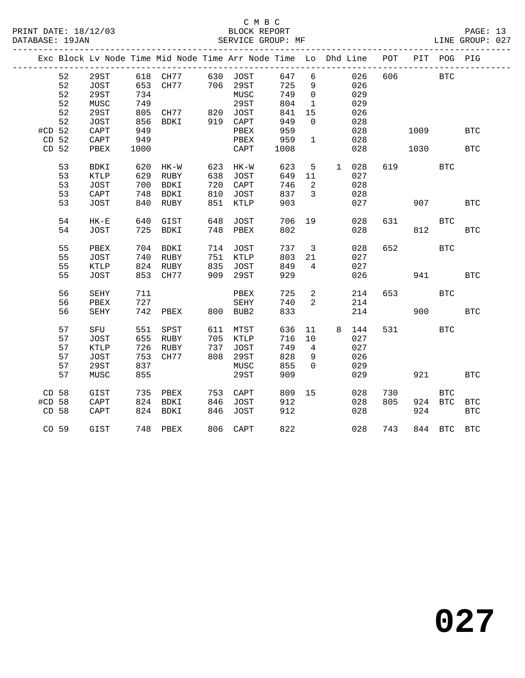|          |       |              |            | Exc Block Lv Node Time Mid Node Time Arr Node Time Lo Dhd Line POT |     |                      |      |                         |   |       |     |            | PIT POG PIG  |            |
|----------|-------|--------------|------------|--------------------------------------------------------------------|-----|----------------------|------|-------------------------|---|-------|-----|------------|--------------|------------|
|          | 52    | 29ST         |            | 618 CH77 630 JOST                                                  |     |                      | 647  | 6                       |   | 026   | 606 | <b>BTC</b> |              |            |
|          | 52    | JOST         |            | 653 CH77 706 29ST                                                  |     |                      | 725  | 9                       |   | 026   |     |            |              |            |
|          | 52    | 29ST         | 734        |                                                                    |     | MUSC                 | 749  | $\overline{0}$          |   | 029   |     |            |              |            |
|          | 52    | MUSC         |            |                                                                    |     | 29ST                 | 804  | $\mathbf{1}$            |   | 029   |     |            |              |            |
|          | 52    | 29ST         | 749<br>805 | CH77 820 JOST                                                      |     |                      | 841  | 15                      |   | 026   |     |            |              |            |
|          | 52    | JOST         | 856        | BDKI                                                               |     | 919 CAPT             | 949  | $\overline{0}$          |   | 028   |     |            |              |            |
| $#CD$ 52 |       | CAPT         | 949        |                                                                    |     | PBEX                 | 959  |                         |   | 028   |     | 1009       |              | <b>BTC</b> |
|          | CD 52 | ${\tt CAPT}$ | 949        |                                                                    |     | PBEX                 | 959  | $\mathbf{1}$            |   | 028   |     |            |              |            |
| CD 52    |       | PBEX         | 1000       |                                                                    |     | CAPT                 | 1008 |                         |   | 028   |     | 1030       |              | <b>BTC</b> |
|          |       |              |            |                                                                    |     |                      |      |                         |   |       |     |            |              |            |
|          | 53    | BDKI         | 620        | HK-W                                                               |     |                      | 623  | $5\overline{)}$         |   | 1 028 |     | 619 BTC    |              |            |
|          | 53    | KTLP         | 629        | RUBY                                                               |     | 623 HK-W<br>638 JOST | 649  | 11                      |   | 027   |     |            |              |            |
|          | 53    | JOST         | 700        | BDKI                                                               | 720 | CAPT                 | 746  | $\overline{2}$          |   | 028   |     |            |              |            |
|          | 53    | CAPT         | 748        | BDKI                                                               | 810 | JOST                 | 837  | $\overline{\mathbf{3}}$ |   | 028   |     |            |              |            |
|          | 53    | <b>JOST</b>  | 840        | RUBY                                                               | 851 | KTLP                 | 903  |                         |   | 027   |     | 907        |              | <b>BTC</b> |
|          |       |              |            |                                                                    |     |                      |      |                         |   |       |     |            |              |            |
|          | 54    | $HK-E$       |            | 640 GIST                                                           | 648 | JOST                 | 706  | 19                      |   | 028   | 631 |            | <b>BTC</b>   |            |
|          | 54    | JOST         |            | 725 BDKI                                                           |     | 748 PBEX             | 802  |                         |   | 028   |     |            | 812 2        | <b>BTC</b> |
|          |       |              |            |                                                                    |     |                      |      |                         |   |       |     |            |              |            |
|          | 55    | PBEX         | 704        | BDKI                                                               | 714 | JOST                 | 737  | $\overline{3}$          |   | 028   | 652 |            | <b>BTC</b>   |            |
|          | 55    | JOST         |            | 740 RUBY                                                           |     | 751 KTLP             | 803  | 21                      |   | 027   |     |            |              |            |
|          | 55    | KTLP         |            | 824 RUBY                                                           |     | 835 JOST             | 849  | $\overline{4}$          |   | 027   |     |            |              |            |
|          | 55    | JOST         |            | 853 CH77                                                           | 909 | 29ST                 | 929  |                         |   | 026   |     | 941        |              | <b>BTC</b> |
|          |       |              |            |                                                                    |     |                      |      |                         |   |       |     |            |              |            |
|          | 56    | SEHY         | 711        |                                                                    |     | PBEX                 | 725  | $\overline{a}$          |   | 214   | 653 |            | <b>BTC</b>   |            |
|          | 56    | PBEX         | 727        |                                                                    |     | SEHY                 | 740  | 2                       |   | 214   |     |            |              |            |
|          | 56    | SEHY         | 742        | PBEX                                                               |     | 800 BUB2             | 833  |                         |   | 214   |     | 900        |              | <b>BTC</b> |
|          |       |              |            |                                                                    |     |                      |      |                         |   |       |     |            |              |            |
|          | 57    | SFU          | 551        | SPST                                                               |     | 611 MTST             | 636  | 11                      | 8 | 144   |     | 531 7      | <b>BTC</b>   |            |
|          | 57    | JOST         |            | 655 RUBY                                                           |     | 705 KTLP<br>737 JOST | 716  | 10                      |   | 027   |     |            |              |            |
|          | 57    | KTLP         |            | 726 RUBY                                                           |     |                      | 749  | $\overline{4}$          |   | 027   |     |            |              |            |
|          | 57    | JOST         | 753        | CH77                                                               | 808 | 29ST                 | 828  | 9                       |   | 026   |     |            |              |            |
|          | 57    | 29ST         | 837        |                                                                    |     | MUSC                 | 855  | $\Omega$                |   | 029   |     |            |              |            |
|          | 57    | MUSC         | 855        |                                                                    |     | 29ST                 | 909  |                         |   | 029   |     | 921        |              | <b>BTC</b> |
|          |       |              |            |                                                                    |     |                      |      |                         |   |       |     |            |              |            |
| CD 58    |       | GIST         | 735        | PBEX                                                               | 753 | CAPT                 | 809  | 15                      |   | 028   | 730 |            | $_{\rm BTC}$ |            |
| #CD 58   |       | CAPT         |            | 824 BDKI                                                           | 846 | JOST                 | 912  |                         |   | 028   | 805 |            | 924 BTC      | <b>BTC</b> |
| CD 58    |       | CAPT         |            | 824 BDKI                                                           | 846 | JOST                 | 912  |                         |   | 028   |     | 924        |              | <b>BTC</b> |
|          |       |              |            |                                                                    |     |                      |      |                         |   |       |     |            |              |            |
|          | CO 59 | GIST         |            | 748 PBEX                                                           |     | 806 CAPT             | 822  |                         |   | 028   | 743 |            | 844 BTC BTC  |            |
|          |       |              |            |                                                                    |     |                      |      |                         |   |       |     |            |              |            |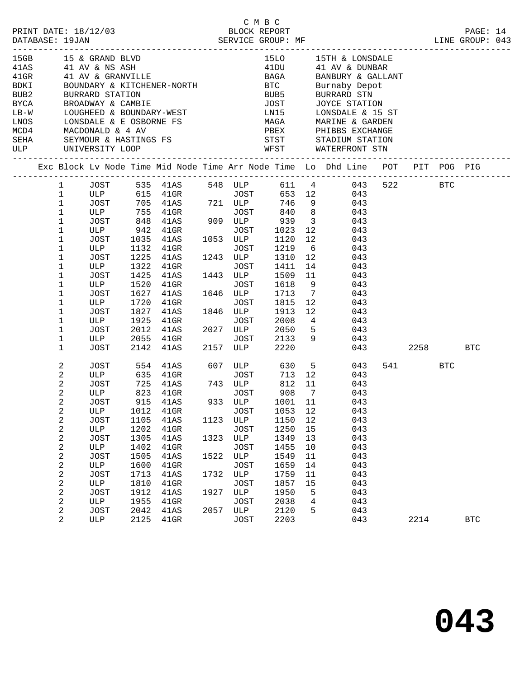|                                |                                                                                                                                                                                                         |                                                                                                                                                                                 |                                                                                                      |                                                                                                                                                                                                                      |                                              |                                                                                                                                           |                                                                                                                                                      |                                                                                           | C M B C<br>PRINT DATE: 18/12/03 BLOCK REPORT PAGE: 14<br>DATABASE: 19JAN SERVICE GROUP: MF LINE GROUP: 043                                                                                                                                                     |     |                 |      |            |  |
|--------------------------------|---------------------------------------------------------------------------------------------------------------------------------------------------------------------------------------------------------|---------------------------------------------------------------------------------------------------------------------------------------------------------------------------------|------------------------------------------------------------------------------------------------------|----------------------------------------------------------------------------------------------------------------------------------------------------------------------------------------------------------------------|----------------------------------------------|-------------------------------------------------------------------------------------------------------------------------------------------|------------------------------------------------------------------------------------------------------------------------------------------------------|-------------------------------------------------------------------------------------------|----------------------------------------------------------------------------------------------------------------------------------------------------------------------------------------------------------------------------------------------------------------|-----|-----------------|------|------------|--|
| BDKI<br>BUB2<br>BYCA<br>$LB-W$ |                                                                                                                                                                                                         | BURRARD STATION<br>BROADWAY & CAMBIE                                                                                                                                            |                                                                                                      | 15GB 15 & GRAND BLVD<br>41AS 41 AV & NS ASH<br>41GR 41 AV & GRANVILLE<br>BOUNDARY & KITCHENER-NORTH<br>LOUGHEED & BOUNDARY-WEST<br>LNOS LONSDALE & E OSBORNE FS                                                      |                                              |                                                                                                                                           | JOST                                                                                                                                                 |                                                                                           | 15LO 15TH & LONSDALE<br>41DU 41 AV & DUNBAR<br>BAGA BANBURY & GALLANT<br>BTC Burnaby Depot<br>BUB5 BURRARD STN<br>JOST JOYCE STATI<br>JOYCE STATION<br>LN15 LONSDALE & 15 ST<br>MAGA MARINE & GARDEN                                                           |     |                 |      |            |  |
|                                |                                                                                                                                                                                                         |                                                                                                                                                                                 |                                                                                                      |                                                                                                                                                                                                                      |                                              |                                                                                                                                           |                                                                                                                                                      |                                                                                           | Exc Block Lv Node Time Mid Node Time Arr Node Time Lo Dhd Line POT PIT POG PIG                                                                                                                                                                                 |     |                 |      |            |  |
|                                | $\mathbf{1}$<br>$\mathbf 1$<br>$\mathbf{1}$<br>$\mathbf{1}$<br>$\mathbf 1$<br>$\mathbf 1$<br>1<br>$\mathbf 1$<br>1<br>$\mathbf 1$<br>1<br>$\mathbf 1$<br>1<br>$\mathbf 1$<br>1<br>1<br>1<br>$\mathbf 1$ | ULP 942<br>JOST<br>ULP<br>JOST<br>ULP<br>JOST<br>ULP<br>JOST<br>ULP<br>JOST<br>ULP<br>JOST<br>ULP<br>JOST                                                                       | 1035<br>1132<br>1322<br>1425<br>1520<br>1627<br>1720<br>1827<br>1925<br>2012<br>2055<br>2142         | ULP 615 41GR<br>JOST 705 41AS 721 ULP<br>ULP 755 41GR<br>JOST 848 41AS 909<br>$41$ GR<br>41AS<br>$41$ GR<br>1225 41AS<br>$41$ GR<br>41AS<br>$41$ GR<br>41AS<br>$41$ GR<br>41AS<br>$41$ GR<br>41AS<br>$41$ GR<br>41AS |                                              | JOST<br>1053 ULP<br>JOST<br>1243 ULP<br>JOST<br>1443 ULP<br>JOST<br>1646 ULP<br>JOST<br>1846 ULP<br>JOST<br>2027 ULP<br>JOST<br>2157 ULP  | JOST 840 8<br>909 ULP 939 3<br>1023<br>1120<br>1219<br>1310<br>1411<br>1509<br>1618<br>1713<br>1815<br>1913<br>2008<br>2050<br>2133<br>2220          | 12<br>12<br>12<br>11<br>$\overline{7}$<br>12<br>12                                        | 1 JOST 535 41AS 548 ULP 611 4 043 522 BTC<br>JOST 653 12 043<br>746 9<br>043<br>043<br>043<br>043<br>043<br>$6\overline{6}$<br>043<br>043<br>14<br>043<br>043<br>9<br>043<br>043<br>043<br>043<br>$4\overline{ }$<br>043<br>$5 -$<br>043<br>$9^{\circ}$<br>043 | 043 |                 | 2258 | <b>BTC</b> |  |
|                                | 2<br>2<br>2<br>2<br>2<br>2<br>2<br>2<br>2<br>2<br>2<br>2<br>2<br>2<br>2<br>2<br>2<br>2                                                                                                                  | JOST<br>ULP 635 41GR<br>JOST<br>ULP<br>JOST<br>ULP<br><b>JOST</b><br>ULP<br><b>JOST</b><br>ULP<br><b>JOST</b><br>ULP<br>JOST<br>ULP<br><b>JOST</b><br>ULP<br><b>JOST</b><br>ULP | 1012<br>1105<br>1202<br>1305<br>1402<br>1505<br>1600<br>1713<br>1810<br>1912<br>1955<br>2042<br>2125 | 554 41AS 607 ULP 630 5<br>725 41AS 743 ULP<br>823 41GR<br>915 41AS<br>41GR<br>41AS<br>41GR<br>41AS<br>$41$ GR<br>41AS<br>41GR<br>41AS<br>41GR<br>41AS<br>41GR<br>41AS<br>41GR                                        | 1123<br>1323<br>1522<br>1732<br>1927<br>2057 | JOST<br>JOST<br>ULP<br><b>JOST</b><br>ULP<br><b>JOST</b><br>ULP<br><b>JOST</b><br>ULP<br>JOST<br>ULP<br><b>JOST</b><br>ULP<br><b>JOST</b> | JOST 713 12<br>812<br>908<br>933 ULP 1001 11<br>1053<br>1150<br>1250<br>1349<br>1455<br>1549<br>1659<br>1759<br>1857<br>1950<br>2038<br>2120<br>2203 | 11<br>$\overline{7}$<br>12<br>12<br>15<br>13<br>10<br>11<br>14<br>11<br>15<br>5<br>4<br>5 | 043<br>043<br>043<br>043<br>043<br>043<br>043<br>043<br>043<br>043<br>043<br>043<br>043<br>043<br>043<br>043<br>043<br>043                                                                                                                                     |     | 541 BTC<br>2214 |      | <b>BTC</b> |  |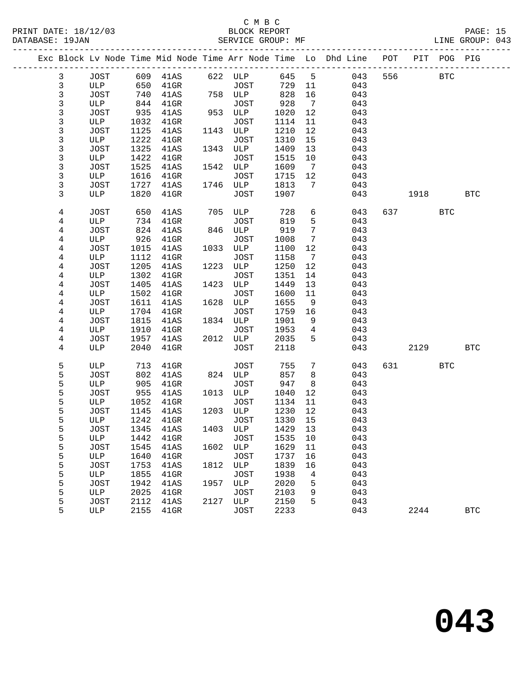## C M B C<br>BLOCK REPORT PRINT DATE: 18/12/03 BLOCK REPORT PAGE: 15 SERVICE GROUP: MF

|  |              |             |      |                  |      |                  |       |                              | Exc Block Lv Node Time Mid Node Time Arr Node Time Lo Dhd Line POT PIT POG PIG |     |           |            |            |
|--|--------------|-------------|------|------------------|------|------------------|-------|------------------------------|--------------------------------------------------------------------------------|-----|-----------|------------|------------|
|  | $\mathbf{3}$ | JOST        |      | 609 41AS 622 ULP |      |                  | 645 5 |                              | 043                                                                            | 556 |           | <b>BTC</b> |            |
|  | $\mathbf{3}$ | ULP         | 650  | $41$ GR          |      | JOST             | 729   | 11                           | 043                                                                            |     |           |            |            |
|  | 3            | JOST        | 740  | 41AS             |      | 758 ULP          | 828   | 16                           | 043                                                                            |     |           |            |            |
|  | 3            | ULP         | 844  | $41$ GR          |      | <b>JOST</b>      | 928   | $\overline{7}$               | 043                                                                            |     |           |            |            |
|  | 3            | JOST        | 935  | 41AS             |      | 953 ULP          | 1020  | 12                           | 043                                                                            |     |           |            |            |
|  | 3            | ULP         | 1032 | $41$ GR          |      | JOST             | 1114  | 11                           | 043                                                                            |     |           |            |            |
|  | 3            | JOST        | 1125 | 41AS             |      | 1143 ULP         | 1210  | 12                           | 043                                                                            |     |           |            |            |
|  | 3            | ULP         | 1222 | $41$ GR          |      | JOST             | 1310  | 15                           | 043                                                                            |     |           |            |            |
|  | 3            | JOST        | 1325 | 41AS             |      | 1343 ULP         | 1409  | 13                           | 043                                                                            |     |           |            |            |
|  | 3            | ULP         | 1422 | $41$ GR          |      | JOST             | 1515  | 10                           | 043                                                                            |     |           |            |            |
|  | 3            | JOST        | 1525 | 41AS             |      | 1542 ULP         | 1609  | $\overline{7}$               | 043                                                                            |     |           |            |            |
|  | 3            | ULP         | 1616 | 41GR             |      | JOST             | 1715  | 12                           | 043                                                                            |     |           |            |            |
|  | 3            | JOST        | 1727 | 41AS             |      | 1746 ULP         | 1813  | 7                            | 043                                                                            |     |           |            |            |
|  | 3            | ULP         | 1820 | 41GR             |      | JOST             | 1907  |                              | 043                                                                            |     | 1918      |            | BTC        |
|  | 4            | JOST        | 650  | 41AS             |      | 705 ULP          | 728   | 6                            | 043                                                                            |     | 637 — 100 | <b>BTC</b> |            |
|  | 4            | ULP         | 734  | 41GR             |      | JOST             | 819   | 5                            | 043                                                                            |     |           |            |            |
|  | 4            | JOST        | 824  | 41AS             |      | 846 ULP          | 919   | $7\phantom{.0}$              | 043                                                                            |     |           |            |            |
|  | 4            | ULP         | 926  | 41GR             |      | JOST             | 1008  | 7                            | 043                                                                            |     |           |            |            |
|  | 4            | JOST        | 1015 | 41AS             | 1033 | ULP              | 1100  | 12                           | 043                                                                            |     |           |            |            |
|  | 4            | ULP         | 1112 | 41GR             |      | JOST             | 1158  | $7\phantom{.0}\phantom{.0}7$ | 043                                                                            |     |           |            |            |
|  | 4            | JOST        | 1205 | 41AS             |      | 1223 ULP         | 1250  | 12                           | 043                                                                            |     |           |            |            |
|  | 4            | ULP         | 1302 | $41$ GR          |      | JOST             | 1351  | 14                           | 043                                                                            |     |           |            |            |
|  | 4            | JOST        | 1405 | 41AS             | 1423 | ULP              | 1449  | 13                           | 043                                                                            |     |           |            |            |
|  | 4            | ULP         | 1502 | 41GR             |      | JOST             | 1600  | 11                           | 043                                                                            |     |           |            |            |
|  | 4            | JOST        | 1611 | 41AS             |      | 1628 ULP         | 1655  | 9                            | 043                                                                            |     |           |            |            |
|  | 4            | ULP         | 1704 | $41$ GR          |      | JOST             | 1759  | 16                           | 043                                                                            |     |           |            |            |
|  | 4            | JOST        | 1815 | 41AS             |      | 1834 ULP         | 1901  | 9                            | 043                                                                            |     |           |            |            |
|  | 4            | ULP         | 1910 | $41$ GR          |      | JOST             | 1953  | $\overline{4}$               | 043                                                                            |     |           |            |            |
|  | 4            | JOST        | 1957 | 41AS             |      | 2012 ULP         | 2035  | 5                            | 043                                                                            |     |           |            |            |
|  | 4            | ULP         | 2040 | $41$ GR          |      | <b>JOST</b>      | 2118  |                              | 043                                                                            |     | 2129      |            | <b>BTC</b> |
|  | 5            | ULP         | 713  | 41GR             |      | JOST             | 755   | 7                            | 043                                                                            |     | 631 63    | <b>BTC</b> |            |
|  | 5            | JOST        | 802  | 41AS             |      | 824 ULP          | 857   | 8                            | 043                                                                            |     |           |            |            |
|  | 5            | ULP         | 905  | 41GR             |      | JOST             | 947   | 8                            | 043                                                                            |     |           |            |            |
|  | 5            | JOST        | 955  | 41AS             |      | 1013 ULP         | 1040  | 12                           | 043                                                                            |     |           |            |            |
|  | 5            | ULP         | 1052 | 41GR             |      | JOST             | 1134  | 11                           | 043                                                                            |     |           |            |            |
|  | 5            | JOST        | 1145 | 41AS             |      | 1203 ULP         | 1230  | 12                           | 043                                                                            |     |           |            |            |
|  | 5            | ULP         | 1242 | 41GR             |      | JOST             | 1330  | 15                           | 043                                                                            |     |           |            |            |
|  | 5            | JOST        |      | 1345 41AS        |      | 1403 ULP 1429 13 |       |                              | 043                                                                            |     |           |            |            |
|  | 5            | ULP         | 1442 | $41$ GR          |      | JOST             | 1535  | 10                           | 043                                                                            |     |           |            |            |
|  | 5            | JOST        | 1545 | 41AS             |      | 1602 ULP         | 1629  | 11                           | 043                                                                            |     |           |            |            |
|  | 5            | ULP         | 1640 | $41$ GR          |      | JOST             | 1737  | 16                           | 043                                                                            |     |           |            |            |
|  | 5            | <b>JOST</b> | 1753 | 41AS             | 1812 | ULP              | 1839  | 16                           | 043                                                                            |     |           |            |            |
|  | 5            | ULP         | 1855 | $41$ GR          |      | <b>JOST</b>      | 1938  | 4                            | 043                                                                            |     |           |            |            |
|  | 5            | <b>JOST</b> | 1942 | 41AS             | 1957 | ULP              | 2020  | 5                            | 043                                                                            |     |           |            |            |
|  | 5            | ULP         | 2025 | $41$ GR          |      | <b>JOST</b>      | 2103  | 9                            | 043                                                                            |     |           |            |            |
|  | 5            | JOST        | 2112 | 41AS             | 2127 | ULP              | 2150  | 5                            | 043                                                                            |     |           |            |            |
|  | 5            | ULP         | 2155 | $41$ GR          |      | JOST             | 2233  |                              | 043                                                                            |     | 2244      |            | <b>BTC</b> |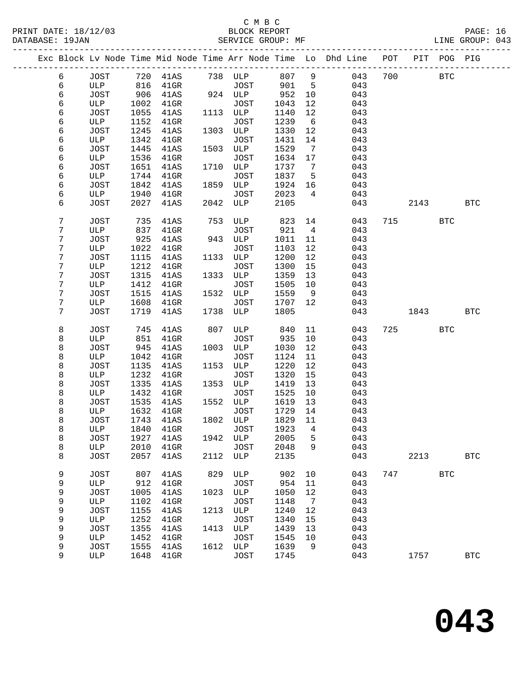### C M B C<br>BLOCK REPORT PRINT DATE: 18/12/03 BLOCK REPORT PAGE: 16 SERVICE GROUP: MF

|        |             |              |                           |      |                  |              |                | Exc Block Lv Node Time Mid Node Time Arr Node Time Lo Dhd Line POT |     |      | PIT POG PIG |            |
|--------|-------------|--------------|---------------------------|------|------------------|--------------|----------------|--------------------------------------------------------------------|-----|------|-------------|------------|
| 6      | JOST        |              |                           |      |                  |              |                | 807 9<br>043                                                       | 700 |      | BTC         |            |
| 6      | ULP         |              |                           |      |                  | 901          | $5^{\circ}$    | 043                                                                |     |      |             |            |
| 6      | JOST        | 906          | 41AS                      |      | 924 ULP          | 952          | 10             | 043                                                                |     |      |             |            |
| 6      | ULP         | 1002         | $41$ GR                   |      | JOST             | 1043         | 12             | 043                                                                |     |      |             |            |
| 6      | JOST        | 1055         | 41AS                      |      | 1113 ULP         | 1140         | 12             | 043                                                                |     |      |             |            |
| 6      | ULP         | 1152         | $41$ GR                   |      | JOST             | 1239         | 6              | 043                                                                |     |      |             |            |
| 6      | JOST        | 1245         | 41AS                      |      | 1303 ULP         | 1330         | 12             | 043                                                                |     |      |             |            |
| 6      | ULP         | 1342         | $41$ GR                   |      | JOST             | 1431         | 14             | 043                                                                |     |      |             |            |
| 6      | JOST        | 1445         | 41AS                      |      | 1503 ULP         | 1529         | $\overline{7}$ | 043                                                                |     |      |             |            |
| 6      | ULP         | 1536         | $41$ GR                   |      | JOST             | 1634         | 17             | 043                                                                |     |      |             |            |
| 6      | JOST        | 1651         | 41AS                      |      | 1710 ULP         | 1737         | $\overline{7}$ | 043                                                                |     |      |             |            |
| 6      | ULP         | 1744         | $41$ GR                   |      | JOST             | 1837         | $5^{\circ}$    | 043                                                                |     |      |             |            |
| 6      | JOST        | 1842         | 41AS                      |      | 1859 ULP         | 1924         | 16             | 043                                                                |     |      |             |            |
| 6      | ULP         | 1940         | 41GR                      |      | JOST             | 2023         | 4              | 043                                                                |     |      |             |            |
| 6      | JOST        | 2027         | 41AS                      |      | 2042 ULP         | 2105         |                | 043                                                                |     | 2143 |             | <b>BTC</b> |
| 7      | JOST        | 735          | 41AS                      |      | 753 ULP          | 823          | 14             | 043                                                                |     | 715  | <b>BTC</b>  |            |
| 7      | ULP         | 837          | $41$ GR                   |      | JOST             | 921          | $\overline{4}$ | 043                                                                |     |      |             |            |
| 7      | JOST        | 925          | 41AS                      |      | 943 ULP          | 1011         | 11             | 043                                                                |     |      |             |            |
| 7      | ULP         | 1022         | $41$ GR                   |      | JOST             | 1103         | 12             | 043                                                                |     |      |             |            |
| 7      | JOST        | 1115         | 41AS                      |      | 1133 ULP         | 1200         | 12             | 043                                                                |     |      |             |            |
| 7      | ULP         | 1212         | 41GR                      |      | JOST             | 1300         | 15             | 043                                                                |     |      |             |            |
| 7      | JOST        | 1315         | 41AS                      |      | 1333 ULP         | 1359         | 13             | 043                                                                |     |      |             |            |
| 7      | ULP         | 1412         | $41$ GR                   |      | JOST             | 1505         | 10             | 043                                                                |     |      |             |            |
| 7      | JOST        | 1515         | 41AS                      |      | 1532 ULP         | 1559         | 9              | 043                                                                |     |      |             |            |
| 7<br>7 | ULP<br>JOST | 1608<br>1719 | 41GR                      |      | JOST<br>1738 ULP | 1707<br>1805 | 12             | 043<br>043                                                         |     |      |             | <b>BTC</b> |
|        |             |              | 41AS                      |      |                  |              |                |                                                                    |     | 1843 |             |            |
| 8      | JOST        | 745          | 41AS                      | 807  | ULP              | 840          | 11             | 043                                                                |     | 725  | <b>BTC</b>  |            |
| 8      | ULP         | 851          | $41$ GR                   |      | JOST             | 935          | 10             | 043                                                                |     |      |             |            |
| 8      | JOST        | 945          | 41AS                      |      | 1003 ULP         | 1030         | 12             | 043                                                                |     |      |             |            |
| 8      | ULP         | 1042         | 41GR                      |      | JOST             | 1124         | 11             | 043                                                                |     |      |             |            |
| 8      | JOST        | 1135         | 41AS                      | 1153 | ULP              | 1220         | 12             | 043                                                                |     |      |             |            |
| 8      | ULP         | 1232         | $41$ GR                   |      | JOST             | 1320         | 15             | 043                                                                |     |      |             |            |
| 8      | JOST        | 1335         | 41AS                      |      | 1353 ULP         | 1419         | 13             | 043                                                                |     |      |             |            |
| 8      | ULP         | 1432         | $41$ GR                   |      | JOST             | 1525         | 10             | 043                                                                |     |      |             |            |
| 8      | JOST        | 1535         | 41AS                      |      | 1552 ULP         | 1619         | 13             | 043                                                                |     |      |             |            |
| 8<br>8 | ULP<br>JOST | 1632<br>1743 | $41$ GR<br>41AS           |      | JOST<br>1802 ULP | 1729<br>1829 | 14<br>11       | 043<br>043                                                         |     |      |             |            |
| 8      |             |              | ULP 1840 41GR JOST 1923 4 |      |                  |              |                | 043                                                                |     |      |             |            |
| 8      | JOST        | 1927         | 41AS                      |      | 1942 ULP         | 2005         | 5              | 043                                                                |     |      |             |            |
| 8      | ULP         | 2010         | $41$ GR                   |      | JOST             | 2048         | 9              | 043                                                                |     |      |             |            |
| 8      | JOST        | 2057         | 41AS                      |      | 2112 ULP         | 2135         |                | 043                                                                |     | 2213 |             | <b>BTC</b> |
|        |             |              |                           |      |                  |              |                |                                                                    |     |      |             |            |
| 9      | <b>JOST</b> | 807          | 41AS                      | 829  | ULP              | 902          | 10             | 043                                                                |     | 747  | <b>BTC</b>  |            |
| 9      | ULP         | 912          | $41$ GR                   |      | JOST             | 954          | 11             | 043                                                                |     |      |             |            |
| 9      | JOST        | 1005         | 41AS                      |      | 1023 ULP         | 1050         | 12             | 043                                                                |     |      |             |            |
| 9      | ULP         | 1102         | 41GR                      |      | <b>JOST</b>      | 1148         | $\overline{7}$ | 043                                                                |     |      |             |            |
| 9      | JOST        | 1155         | 41AS                      | 1213 | ULP              | 1240         | 12             | 043                                                                |     |      |             |            |
| 9      | ULP         | 1252         | $41$ GR                   |      | <b>JOST</b>      | 1340         | 15             | 043                                                                |     |      |             |            |
| 9      | <b>JOST</b> | 1355         | 41AS                      | 1413 | ULP              | 1439         | 13             | 043                                                                |     |      |             |            |
| 9      | ULP         | 1452         | 41GR                      |      | <b>JOST</b>      | 1545         | 10             | 043                                                                |     |      |             |            |
| 9<br>9 | JOST<br>ULP | 1555         | 41AS                      | 1612 | ULP              | 1639         | 9              | 043<br>043                                                         |     |      |             | <b>BTC</b> |
|        |             | 1648         | $41$ GR                   |      | JOST             | 1745         |                |                                                                    |     | 1757 |             |            |

**043**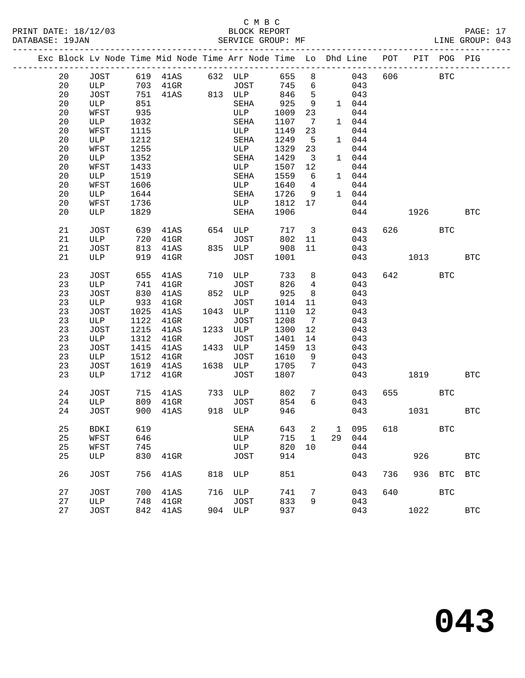### C M B C<br>BLOCK REPORT PRINT DATE: 18/12/03 BLOCK REPORT PAGE: 17 SERVICE GROUP: MF

|    |             |      | Exc Block Lv Node Time Mid Node Time Arr Node Time Lo Dhd Line POT |     |                      |       |                              |    |       |     |        | PIT POG PIG  |              |
|----|-------------|------|--------------------------------------------------------------------|-----|----------------------|-------|------------------------------|----|-------|-----|--------|--------------|--------------|
| 20 |             |      | JOST 619 41AS 632 ULP<br>ULP 703 41GR 50ST                         |     |                      | 655   | 8                            |    | 043   | 606 |        | BTC          |              |
| 20 | ULP         |      |                                                                    |     |                      | 745   | 6                            |    | 043   |     |        |              |              |
| 20 | JOST        |      | 751 41AS 813 ULP                                                   |     |                      | 846   | $-5$                         |    | 043   |     |        |              |              |
| 20 | ULP         | 851  |                                                                    |     | SEHA                 | 925   | 9                            |    | 1 044 |     |        |              |              |
| 20 | WFST        | 935  |                                                                    |     | ULP                  | 1009  | 23                           |    | 044   |     |        |              |              |
| 20 | ULP         | 1032 |                                                                    |     | SEHA                 | 1107  | $7\phantom{.0}\phantom{.0}7$ |    | 1 044 |     |        |              |              |
| 20 | WFST        | 1115 |                                                                    |     | ULP                  | 1149  | 23                           |    | 044   |     |        |              |              |
| 20 | ULP         | 1212 |                                                                    |     | SEHA                 | 1249  | $-5$                         |    | 1 044 |     |        |              |              |
| 20 | WFST        | 1255 |                                                                    |     | ULP                  | 1329  | 23                           |    | 044   |     |        |              |              |
| 20 | ULP         | 1352 |                                                                    |     | SEHA                 | 1429  | $\overline{\mathbf{3}}$      |    | 1 044 |     |        |              |              |
| 20 | WFST        | 1433 |                                                                    |     | ULP                  | 1507  | 12                           |    | 044   |     |        |              |              |
| 20 | ULP         | 1519 |                                                                    |     | SEHA                 | 1559  | 6                            |    | 1 044 |     |        |              |              |
| 20 | WFST        | 1606 |                                                                    |     | ULP                  | 1640  | $\overline{4}$               |    | 044   |     |        |              |              |
| 20 | ULP         | 1644 |                                                                    |     | SEHA                 | 1726  | 9                            |    | 1 044 |     |        |              |              |
| 20 | WFST        | 1736 |                                                                    |     | ULP                  | 1812  | 17                           |    | 044   |     |        |              |              |
| 20 | ULP         | 1829 |                                                                    |     | SEHA                 | 1906  |                              |    | 044   |     | 1926   |              | <b>BTC</b>   |
| 21 | JOST        | 639  | 41AS                                                               |     | 654 ULP              | 717 3 |                              |    | 043   |     | 626 30 | BTC          |              |
| 21 | ULP         | 720  | $41$ GR                                                            |     | JOST                 | 802   | 11                           |    | 043   |     |        |              |              |
| 21 | JOST        | 813  | 41AS                                                               |     | 835 ULP              | 908   | 11                           |    | 043   |     |        |              |              |
| 21 | ULP         | 919  | $41$ GR                                                            |     | JOST                 | 1001  |                              |    | 043   |     | 1013   |              | <b>BTC</b>   |
| 23 | JOST        | 655  | 41AS                                                               |     | 710 ULP              | 733   | 8 <sup>8</sup>               |    | 043   |     | 642    | <b>BTC</b>   |              |
| 23 | ULP         | 741  | $41$ GR                                                            |     | JOST                 | 826   | $\overline{4}$               |    | 043   |     |        |              |              |
| 23 | JOST        | 830  | 41AS                                                               |     | 852 ULP              | 925   | 8 <sup>8</sup>               |    | 043   |     |        |              |              |
| 23 | ULP         | 933  | 41GR                                                               |     | JOST                 | 1014  | 11                           |    | 043   |     |        |              |              |
| 23 | JOST        | 1025 | 41AS                                                               |     | 1043 ULP             | 1110  | 12                           |    | 043   |     |        |              |              |
| 23 | ULP         | 1122 | $41$ GR                                                            |     | JOST                 | 1208  | $\overline{7}$               |    | 043   |     |        |              |              |
| 23 | JOST        | 1215 | 41AS                                                               |     | 1233 ULP             | 1300  | 12                           |    | 043   |     |        |              |              |
| 23 | ULP         | 1312 | $41$ GR                                                            |     | JOST                 | 1401  | 14                           |    | 043   |     |        |              |              |
| 23 | JOST        | 1415 | 41AS                                                               |     | 1433 ULP             | 1459  | 13                           |    | 043   |     |        |              |              |
| 23 | ULP         | 1512 | $41$ GR                                                            |     | JOST                 | 1610  | 9                            |    | 043   |     |        |              |              |
| 23 | JOST        | 1619 | 41AS                                                               |     | 1638 ULP             | 1705  | 7                            |    | 043   |     |        |              |              |
| 23 | ULP         | 1712 | $41$ GR                                                            |     | JOST                 | 1807  |                              |    | 043   |     | 1819   |              | <b>BTC</b>   |
| 24 | JOST        | 715  | 41AS                                                               |     | 733 ULP 802          |       | $7\phantom{.0}$              |    | 043   |     | 655    | BTC          |              |
| 24 | ULP         | 809  | $41$ GR                                                            |     | JOST                 | 854   | 6                            |    | 043   |     |        |              |              |
| 24 | JOST        | 900  | 41AS                                                               |     | 918 ULP              | 946   |                              |    | 043   |     | 1031   |              | <b>BTC</b>   |
| 25 | BDKI 619    |      |                                                                    |     | SEHA 643 2 1 095 618 |       |                              |    |       |     |        | $_{\rm BTC}$ |              |
| 25 | WFST        | 646  |                                                                    |     | ULP                  | 715   | $\overline{1}$               | 29 | 044   |     |        |              |              |
| 25 | WFST        | 745  |                                                                    |     | ULP                  | 820   | 10                           |    | 044   |     |        |              |              |
| 25 | ULP         | 830  | $41$ GR                                                            |     | JOST                 | 914   |                              |    | 043   |     | 926    |              | <b>BTC</b>   |
| 26 | JOST        | 756  | 41AS                                                               | 818 | ULP                  | 851   |                              |    | 043   | 736 |        | 936 BTC      | <b>BTC</b>   |
| 27 | <b>JOST</b> | 700  | 41AS                                                               |     | 716 ULP              | 741   | 7                            |    | 043   | 640 |        | <b>BTC</b>   |              |
| 27 | ULP         | 748  | $41$ GR                                                            |     | JOST                 | 833   | 9                            |    | 043   |     |        |              |              |
| 27 | JOST        |      | 842 41AS                                                           |     | 904 ULP              | 937   |                              |    | 043   |     | 1022   |              | $_{\rm BTC}$ |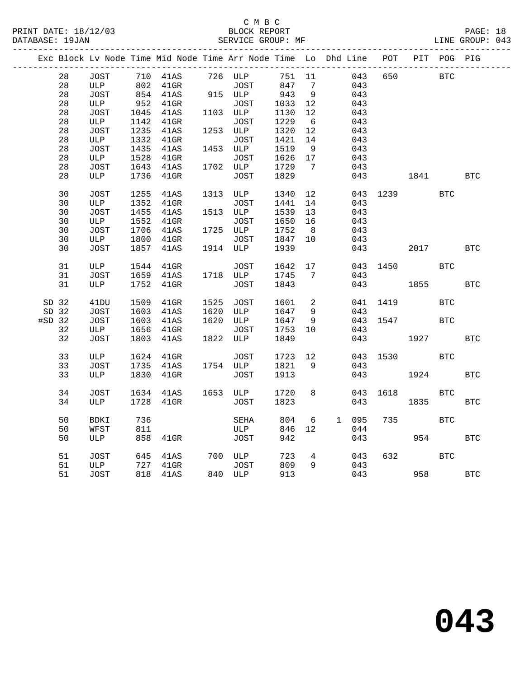|          |    |             |      |          |      | Exc Block Lv Node Time Mid Node Time Arr Node Time Lo Dhd Line POT PIT POG PIG |        |                   |       |          |      |            |            |
|----------|----|-------------|------|----------|------|--------------------------------------------------------------------------------|--------|-------------------|-------|----------|------|------------|------------|
|          | 28 | JOST        |      | 710 41AS |      | 726 ULP                                                                        | 751 11 |                   | 043   | 650      |      | <b>BTC</b> |            |
|          | 28 | ULP         |      | 802 41GR |      | JOST                                                                           | 847    | $7\phantom{.0}$   | 043   |          |      |            |            |
|          | 28 | JOST        |      | 854 41AS |      | 915 ULP                                                                        | 943    | 9                 | 043   |          |      |            |            |
|          | 28 | ULP         | 952  | $41$ GR  |      | JOST                                                                           | 1033   | 12                | 043   |          |      |            |            |
|          | 28 | JOST        | 1045 | 41AS     |      | 1103 ULP                                                                       | 1130   | 12                | 043   |          |      |            |            |
|          | 28 | ULP         | 1142 | $41$ GR  |      | JOST                                                                           | 1229   | 6                 | 043   |          |      |            |            |
|          | 28 | JOST        | 1235 | 41AS     |      | 1253 ULP                                                                       | 1320   | 12                | 043   |          |      |            |            |
|          | 28 | ULP         | 1332 | $41$ GR  |      | JOST                                                                           | 1421   | 14                | 043   |          |      |            |            |
|          | 28 | JOST        | 1435 | 41AS     |      | 1453 ULP                                                                       | 1519   | 9                 | 043   |          |      |            |            |
|          | 28 | ULP         | 1528 | 41GR     |      | JOST                                                                           | 1626   | 17                | 043   |          |      |            |            |
|          | 28 | JOST        | 1643 | 41AS     |      | 1702 ULP                                                                       | 1729   | $\overline{7}$    | 043   |          |      |            |            |
|          | 28 | ULP         | 1736 | 41GR     |      | JOST                                                                           | 1829   |                   | 043   |          | 1841 |            | <b>BTC</b> |
|          | 30 | JOST        | 1255 | 41AS     |      | 1313 ULP                                                                       | 1340   | 12                |       | 043 1239 |      | <b>BTC</b> |            |
|          | 30 | ULP         | 1352 | $41$ GR  |      | JOST                                                                           | 1441   | 14                | 043   |          |      |            |            |
|          | 30 | JOST        | 1455 | 41AS     |      | 1513 ULP                                                                       | 1539   | 13                | 043   |          |      |            |            |
|          | 30 | ULP         | 1552 | $41$ GR  |      | JOST                                                                           | 1650   | 16                | 043   |          |      |            |            |
|          | 30 | JOST        | 1706 | 41AS     |      | 1725 ULP                                                                       | 1752   | 8 <sup>8</sup>    | 043   |          |      |            |            |
|          | 30 | ULP         | 1800 | $41$ GR  |      | JOST                                                                           | 1847   | 10                | 043   |          |      |            |            |
|          | 30 | JOST        | 1857 | 41AS     |      | 1914 ULP                                                                       | 1939   |                   | 043   |          | 2017 |            | <b>BTC</b> |
|          | 31 | ULP         | 1544 | 41GR     |      | JOST                                                                           | 1642   | 17                |       | 043 1450 |      | BTC        |            |
|          | 31 | JOST        | 1659 | 41AS     |      | 1718 ULP                                                                       | 1745   | 7                 | 043   |          |      |            |            |
|          | 31 | ULP         | 1752 | $41$ GR  |      | <b>JOST</b>                                                                    | 1843   |                   | 043   |          | 1855 |            | <b>BTC</b> |
| SD 32    |    | 41DU        | 1509 | $41$ GR  | 1525 | JOST                                                                           | 1601   | 2                 |       | 041 1419 |      | <b>BTC</b> |            |
| SD 32    |    | JOST        | 1603 | 41AS     | 1620 | ULP                                                                            | 1647   | 9                 | 043   |          |      |            |            |
| $#SD$ 32 |    | JOST        | 1603 | 41AS     |      | 1620 ULP                                                                       | 1647   | 9                 |       | 043 1547 |      | <b>BTC</b> |            |
|          | 32 | ULP         | 1656 | $41$ GR  |      | JOST                                                                           | 1753   | 10 <sup>°</sup>   | 043   |          |      |            |            |
|          | 32 | JOST        | 1803 | 41AS     | 1822 | ULP                                                                            | 1849   |                   | 043   |          | 1927 |            | <b>BTC</b> |
|          | 33 | ULP         | 1624 | $41$ GR  |      | JOST                                                                           | 1723   | $12 \overline{ }$ |       | 043 1530 |      | <b>BTC</b> |            |
|          | 33 | JOST        | 1735 | 41AS     |      | 1754 ULP                                                                       | 1821   | 9                 | 043   |          |      |            |            |
|          | 33 | <b>ULP</b>  | 1830 | $41$ GR  |      | JOST                                                                           | 1913   |                   | 043   |          | 1924 |            | <b>BTC</b> |
|          | 34 | JOST        | 1634 | 41AS     |      | 1653 ULP                                                                       | 1720   | 8                 | 043   | 1618     |      | <b>BTC</b> |            |
|          | 34 | ULP         | 1728 | $41$ GR  |      | <b>JOST</b>                                                                    | 1823   |                   | 043   |          | 1835 |            | <b>BTC</b> |
|          |    |             |      |          |      |                                                                                |        |                   |       |          |      |            |            |
|          | 50 | <b>BDKI</b> | 736  |          |      | SEHA                                                                           | 804    | 6                 | 1 095 | 735      |      | <b>BTC</b> |            |
|          | 50 | WFST        | 811  |          |      | ULP                                                                            | 846    | 12                | 044   |          |      |            |            |
|          | 50 | ULP         | 858  | 41GR     |      | JOST                                                                           | 942    |                   | 043   |          | 954  |            | <b>BTC</b> |
|          | 51 | JOST        | 645  | 41AS     |      | 700 ULP                                                                        | 723    | $4\overline{ }$   | 043   | 632      |      | <b>BTC</b> |            |
|          | 51 | ULP         | 727  | $41$ GR  |      | JOST                                                                           | 809    | 9                 | 043   |          |      |            |            |
|          | 51 | JOST        | 818  | 41AS     |      | 840 ULP                                                                        | 913    |                   |       | 043      | 958  |            | <b>BTC</b> |
|          |    |             |      |          |      |                                                                                |        |                   |       |          |      |            |            |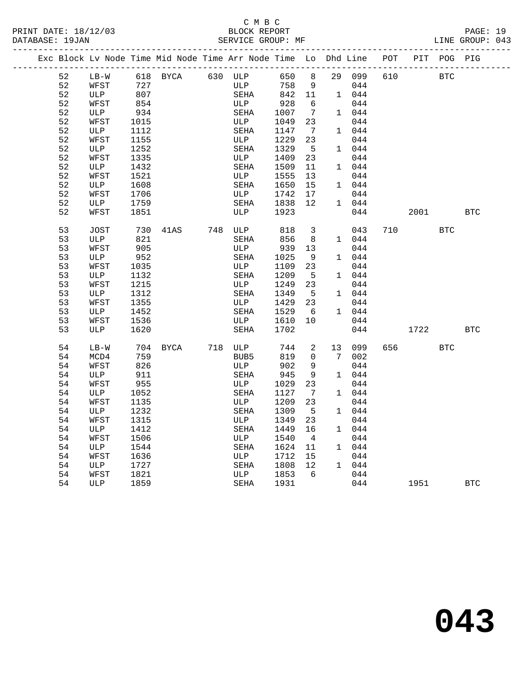## C M B C<br>BLOCK REPORT PRINT DATE: 18/12/03 BLOCK REPORT PAGE: 19 SERVICE GROUP: MF

|  |    |        |      | Exc Block Lv Node Time Mid Node Time Arr Node Time Lo Dhd Line |                  |      |                |    |        | POT |      | PIT POG PIG |            |
|--|----|--------|------|----------------------------------------------------------------|------------------|------|----------------|----|--------|-----|------|-------------|------------|
|  | 52 | $LB-W$ | 618  | BYCA                                                           | 630 ULP          | 650  | 8              |    | 29 099 | 610 |      | <b>BTC</b>  |            |
|  | 52 | WFST   | 727  |                                                                | ULP              | 758  | 9              |    | 044    |     |      |             |            |
|  | 52 | ULP    | 807  |                                                                | SEHA             | 842  | 11             |    | 1 044  |     |      |             |            |
|  | 52 | WFST   | 854  |                                                                | ULP              | 928  | 6              |    | 044    |     |      |             |            |
|  | 52 | ULP    | 934  |                                                                | SEHA             | 1007 | 7              |    | 1 044  |     |      |             |            |
|  | 52 | WFST   | 1015 |                                                                | ULP              | 1049 | 23             |    | 044    |     |      |             |            |
|  | 52 | ULP    | 1112 |                                                                | SEHA             | 1147 | $\overline{7}$ |    | 1 044  |     |      |             |            |
|  | 52 | WFST   | 1155 |                                                                | ULP              | 1229 | 23             |    | 044    |     |      |             |            |
|  | 52 | ULP    | 1252 |                                                                | SEHA             | 1329 | 5              |    | 1 044  |     |      |             |            |
|  | 52 | WFST   | 1335 |                                                                | ULP              | 1409 | 23             |    | 044    |     |      |             |            |
|  | 52 | ULP    | 1432 |                                                                | SEHA             | 1509 | 11             |    | 1 044  |     |      |             |            |
|  | 52 | WFST   | 1521 |                                                                | ULP              | 1555 | 13             |    | 044    |     |      |             |            |
|  | 52 | ULP    | 1608 |                                                                | SEHA             | 1650 | 15             |    | 1 044  |     |      |             |            |
|  | 52 | WFST   | 1706 |                                                                | ULP              | 1742 | 17             |    | 044    |     |      |             |            |
|  | 52 | ULP    | 1759 |                                                                | SEHA             | 1838 | 12             |    | 1 044  |     |      |             |            |
|  | 52 | WFST   | 1851 |                                                                | ULP              | 1923 |                |    | 044    |     | 2001 |             | <b>BTC</b> |
|  | 53 | JOST   | 730  | 41AS                                                           | 748 ULP          | 818  | $\overline{3}$ |    | 043    | 710 |      | <b>BTC</b>  |            |
|  | 53 | ULP    | 821  |                                                                | SEHA             | 856  | 8              |    | 1 044  |     |      |             |            |
|  | 53 | WFST   | 905  |                                                                | ULP              | 939  | 13             |    | 044    |     |      |             |            |
|  | 53 | ULP    | 952  |                                                                | SEHA             | 1025 | - 9            |    | 1 044  |     |      |             |            |
|  | 53 | WFST   | 1035 |                                                                | ULP              | 1109 | 23             |    | 044    |     |      |             |            |
|  | 53 | ULP    | 1132 |                                                                | SEHA             | 1209 | 5              |    | 1 044  |     |      |             |            |
|  | 53 | WFST   | 1215 |                                                                | ULP              | 1249 | 23             |    | 044    |     |      |             |            |
|  | 53 | ULP    | 1312 |                                                                | SEHA             | 1349 | 5              |    | 1 044  |     |      |             |            |
|  | 53 | WFST   | 1355 |                                                                | ULP              | 1429 | 23             |    | 044    |     |      |             |            |
|  | 53 | ULP    | 1452 |                                                                | SEHA             | 1529 | 6              |    | 1 044  |     |      |             |            |
|  | 53 | WFST   | 1536 |                                                                | ULP              | 1610 | 10             |    | 044    |     |      |             |            |
|  | 53 | ULP    | 1620 |                                                                | SEHA             | 1702 |                |    | 044    |     | 1722 |             | <b>BTC</b> |
|  | 54 | $LB-W$ | 704  | BYCA                                                           | 718 ULP          | 744  | 2              | 13 | 099    | 656 |      | <b>BTC</b>  |            |
|  | 54 | MCD4   | 759  |                                                                | BUB <sub>5</sub> | 819  | $\Omega$       | 7  | 002    |     |      |             |            |
|  | 54 | WFST   | 826  |                                                                | ULP              | 902  | 9              |    | 044    |     |      |             |            |
|  | 54 | ULP    | 911  |                                                                | SEHA             | 945  | 9              |    | 1 044  |     |      |             |            |
|  | 54 | WFST   | 955  |                                                                | ULP              | 1029 | 23             |    | 044    |     |      |             |            |
|  | 54 | ULP    | 1052 |                                                                | SEHA             | 1127 | $\overline{7}$ |    | 1 044  |     |      |             |            |
|  | 54 | WFST   | 1135 |                                                                | ULP              | 1209 | 23             |    | 044    |     |      |             |            |
|  | 54 | ULP    | 1232 |                                                                | SEHA             | 1309 | 5              |    | 1 044  |     |      |             |            |
|  | 54 | WFST   | 1315 |                                                                | ULP              | 1349 | 23             |    | 044    |     |      |             |            |
|  | 54 | ULP    | 1412 |                                                                | SEHA             | 1449 | 16             |    | 1 044  |     |      |             |            |
|  | 54 | WFST   | 1506 |                                                                | ULP              | 1540 | $\overline{4}$ |    | 044    |     |      |             |            |
|  | 54 | ULP    | 1544 |                                                                | SEHA             | 1624 | 11             |    | 1 044  |     |      |             |            |
|  | 54 | WFST   | 1636 |                                                                | ULP              | 1712 | 15             |    | 044    |     |      |             |            |
|  | 54 | ULP    | 1727 |                                                                | SEHA             | 1808 | 12             |    | 1 044  |     |      |             |            |
|  | 54 | WFST   | 1821 |                                                                | ULP              | 1853 | 6              |    | 044    |     |      |             |            |
|  | 54 | ULP    | 1859 |                                                                | SEHA             | 1931 |                |    | 044    |     | 1951 |             | <b>BTC</b> |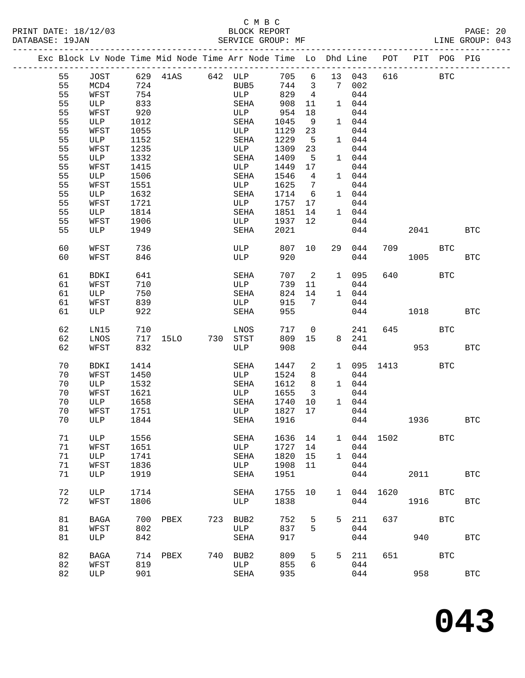# C M B C<br>BLOCK REPORT DATABASE: 19JAN SERVICE GROUP: MF LINE GROUP: 043

------------------------------------------------------------------------------------------------- Exc Block Lv Node Time Mid Node Time Arr Node Time Lo Dhd Line POT PIT POG PIG -------------------------------------------------------------------------------------------------

## 55 JOST 629 41AS 642 ULP 705 6 13 043 616 BTC<br>55 MCD4 724 BUB5 744 3 7 002<br>55 NEST 754 55 MCD4 724 BUB5 744 3 7 002 55 WFST 754 ULP 829 4 044 55 ULP 833 SEHA 908 11 1 044 55 WFST 920 ULP 954 18 044 55 ULP 1012 SEHA 1045 9 1 044 55 WFST 1055 ULP 1129 23 044 55 ULP 1152 SEHA 1229 5 1 044 55 WFST 920<br>
55 ULP 1012<br>
55 ULP 1055<br>
55 ULP 1152<br>
55 ULP 1152<br>
55 ULP 1123<br>
55 ULP 1332<br>
55 ULP 1332<br>
55 ULP 1332<br>
55 ULP 1332<br>
55 ULP 1332<br>
55 ULP 1332<br>
55 ULP 1309 23<br>
544<br>
55 ULP 1349<br>
56 ULP 1449 5 1 044<br>
56 WFST 141 55 ULP 1332 SEHA 1409 5 1 044 55 WFST 1415 ULP 1449 17 044 55 ULP 1506 SEHA 1546 4 1 044 55 WFST 1551 ULP 1625 7 044 55 ULP 1632 SEHA 1714 6 1 044 55 WFST 1721 ULP 1757 17 044 55 ULP 1814 SEHA 1851 14 1 044 55 WFST 1906 ULP 1937 12 044 55 ULP 1949 SEHA 2021 044 2041 BTC 60 WFST 736 ULP 807 10 29 044 709 BTC 60 WFST 846 ULP 920 044 1005 BTC 61 BDKI 641 SEHA 707 2 1 095 640 BTC<br>61 WFST 710 ULP 739 11 044<br>61 ULP 750 SEHA 824 14 1 044 61 WFST 710 ULP 739 11 044 61 ULP 750 SEHA 824 14 1 044 61 WFST 839 ULP 915 7 044 61 WFST 839 ULP 915 7 044<br>61 ULP 922 SEHA 955 044 1018 BTC 62 LN15 710 LNOS 717 0 241 645 BTC<br>62 LNOS 717 15LO 730 STST 809 15 8 241<br>62 WFST 832 ULP 908 044 953 62 LN15 710 LNOS 717 0 241<br>62 LNOS 717 15LO 730 STST 809 15 8 241<br>62 WFST 832 ULP 908 044 953 BTC 10 BDKI 1414 SEHA 1447 2 1 095 1413 BTC<br>
70 WFST 1450 ULP 1524 8 044<br>
70 ULP 1532 SEHA 1612 8 1 044 70 WFST 1450 ULP 1524 8 044 70 ULP 1532 SEHA 1612 8 1 044  $\begin{array}{cccccccc} 70 & \text{BDK I} & 1414 & & \text{SEHA} & 1447 & 2 & 1 & 095 \\ \text{WFST} & 1450 & & & & & & & 1524 & 8 & 044 \\ 70 & \text{ULP} & 1532 & & & & & 1612 & 8 & 1 & 044 \\ 70 & \text{WFST} & 1621 & & & & & & & 1655 & 3 & 044 \\ 70 & \text{ULP} & 1658 & & & & & & 1740 & 10 & 1 & 044 \end{array}$  70 ULP 1658 SEHA 1740 10 1 044 70 WFST 1751 ULP 1827 17 044 70 ULP 1844 SEHA 1916 044 1936 BTC

71 ULP 1556 SEHA 1636 14 1 044 1502 BTC

81 BAGA 700 PBEX 723 BUB2 752 5 5 211 637 BTC

82 BAGA 714 PBEX 740 BUB2 809 5 5 211 651 BTC

81 ULP 842 SEHA 917 044 940 BTC

82 ULP 901 SEHA 935 044 958 BTC

71 ULP 1919 SEHA 1951 044 2011 BTC

 72 ULP 1714 SEHA 1755 10 1 044 1620 BTC 72 WFST 1806 ULP 1838 044 1916 BTC

 71 WFST 1651 ULP 1727 14 044 71 ULP 1741 SEHA 1820 15 1 044 71 WFST 1836 ULP 1908 11 044

81 WFST 802 ULP 837 5 044

82 WFST 819 ULP 855 6 044

**043**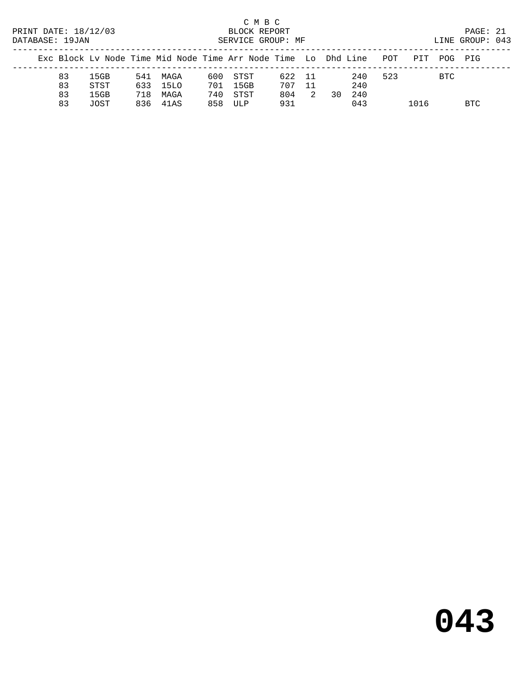# C M B C<br>BLOCK REPORT

LINE GROUP: 043

|  |    |      |     | Exc Block Ly Node Time Mid Node Time Arr Node Time Lo Dhd Line |     |      |        |                |    |      | POT | PTT  | POG PTG    |      |
|--|----|------|-----|----------------------------------------------------------------|-----|------|--------|----------------|----|------|-----|------|------------|------|
|  | 83 | 15GB |     | 541 MAGA                                                       | 600 | STST | 622 11 |                |    | 240  | 523 |      | <b>BTC</b> |      |
|  | 83 | STST |     | 633 1510                                                       | 701 | 15GB | 707 11 |                |    | 240  |     |      |            |      |
|  | 83 | 15GB | 718 | MAGA                                                           | 740 | STST | 804    | $\overline{2}$ | 30 | 2.40 |     |      |            |      |
|  | 83 | JOST |     | 836 41AS                                                       | 858 | ULP  | 931    |                |    | 043  |     | 1016 |            | BTC. |
|  |    |      |     |                                                                |     |      |        |                |    |      |     |      |            |      |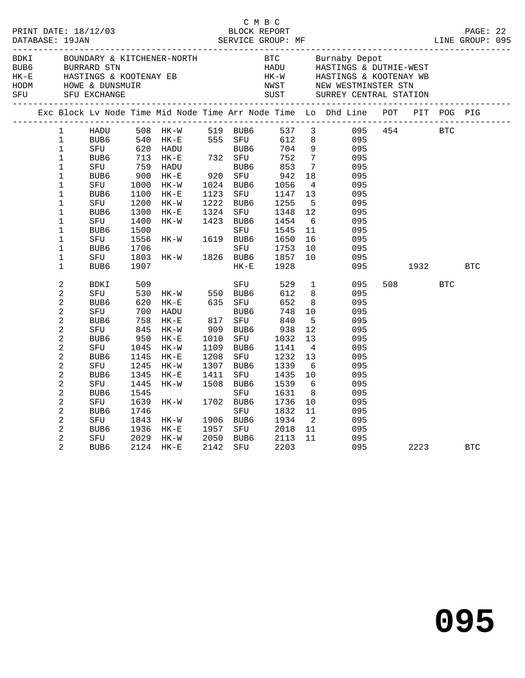| DATABASE: 19JAN                       |                                                                                                                                                                                                                                                         |                                                                                                                                             |                                                                                                                                       |                                                                                                                                                                         |                                                             | C M B C                                                                                                                                                        |                                                                                                                                                |                                                                                                                                                                                            |                                                                                                                                   |                     |            |            |  |
|---------------------------------------|---------------------------------------------------------------------------------------------------------------------------------------------------------------------------------------------------------------------------------------------------------|---------------------------------------------------------------------------------------------------------------------------------------------|---------------------------------------------------------------------------------------------------------------------------------------|-------------------------------------------------------------------------------------------------------------------------------------------------------------------------|-------------------------------------------------------------|----------------------------------------------------------------------------------------------------------------------------------------------------------------|------------------------------------------------------------------------------------------------------------------------------------------------|--------------------------------------------------------------------------------------------------------------------------------------------------------------------------------------------|-----------------------------------------------------------------------------------------------------------------------------------|---------------------|------------|------------|--|
| BDKI<br>BUB6<br>$HK-E$<br>HODM<br>SFU |                                                                                                                                                                                                                                                         | BUUNDANSS                                                                                                                                   |                                                                                                                                       |                                                                                                                                                                         |                                                             |                                                                                                                                                                |                                                                                                                                                |                                                                                                                                                                                            |                                                                                                                                   |                     |            |            |  |
|                                       |                                                                                                                                                                                                                                                         |                                                                                                                                             |                                                                                                                                       |                                                                                                                                                                         |                                                             |                                                                                                                                                                |                                                                                                                                                |                                                                                                                                                                                            | Exc Block Lv Node Time Mid Node Time Arr Node Time Lo Dhd Line POT PIT POG PIG                                                    |                     |            |            |  |
|                                       | $\mathbf{1}$<br>$\mathbf 1$<br>$\mathbf{1}$<br>$\mathbf{1}$<br>$\mathbf{1}$<br>$\mathbf 1$<br>$\mathbf{1}$<br>$\mathbf{1}$<br>$\mathbf{1}$<br>$\mathbf 1$<br>$\mathbf{1}$<br>$\mathbf{1}$<br>$\mathbf{1}$<br>$\mathbf 1$<br>$\mathbf 1$<br>$\mathbf{1}$ | HADU<br>BUB6<br>SFU<br>BUB6<br>SFU<br>BUB6<br>SFU<br>BUB6<br>SFU<br>BUB6<br>SFU<br>BUB6<br>SFU<br>BUB6<br>SFU<br>BUB <sub>6</sub>           | 713<br>759<br>900<br>1000<br>1000<br>1100<br>1200<br>1300<br>1400<br>1500<br>1556<br>1706<br>1803<br>1907                             | 508 HK-W 519 BUB6<br>540 HK-E 555 SFU<br>620 HADU BUB6<br>713 HK-E 732 SFU<br>759 HADU BUB6<br>$HK-E$<br>HK-W<br>$HK-E$<br>$HK-W$<br>$HK-E$<br>HK-W<br>$HK-W$<br>$HK-W$ | 1123<br>1324                                                | 920 SFU<br>1024 BUB6<br>SFU<br>1222 BUB6<br>SFU<br>1423 BUB6<br>SFU<br>1619 BUB6<br>SFU<br>1826 BUB6<br>$HK - E$                                               | 612<br>704<br>752<br>853<br>942<br>1056<br>1147<br>1255<br>1348<br>1454<br>1545<br>1650<br>1753<br>1857<br>1928                                | 537 3<br>8 <sup>1</sup><br>9<br>$7\overline{ }$<br>$\overline{7}$<br>18<br>$\overline{4}$<br>13<br>$-5$<br>12<br>6<br>11<br>16<br>10<br>10                                                 | 095<br>095<br>095<br>095<br>095<br>095<br>095<br>095<br>095<br>095<br>095<br>095<br>095<br>095<br>095                             | 095 454 BTC<br>1932 |            | <b>BTC</b> |  |
|                                       | $\overline{a}$<br>2<br>2<br>2<br>$\overline{a}$<br>$\overline{c}$<br>2<br>2<br>2<br>$\sqrt{2}$<br>2<br>$\overline{c}$<br>2<br>2<br>2<br>2<br>2<br>$\sqrt{2}$<br>$\overline{a}$                                                                          | BDKI<br>SFU<br>BUB6<br>SFU<br>BUB6<br>SFU<br>BUB6<br>SFU<br>BUB6<br>SFU<br>BUB6<br>SFU<br>BUB6<br>SFU<br>BUB6<br>SFU<br>BUB6<br>SFU<br>BUB6 | 509<br>530<br>620<br>700<br>758<br>845<br>950<br>1045<br>1145<br>1245<br>1345<br>1445<br>1545<br>1639<br>1746<br>1843<br>1936<br>2029 | $HK-W$ 550 BUB6<br>$HK-E$<br>HADU<br>$HK-E$<br>$HK-W$<br>HK-E<br>$HK-W$<br>$HK-E$<br>HK-W<br>$HK-E$<br>HK-W<br>HK-W<br>HK-W<br>$HK-E$<br>HK-W<br>2124 HK-E              | 817<br>1010<br>1208<br>1307<br>1411<br>1957<br>2050<br>2142 | SFU<br>635 SFU<br>BUB6<br>SFU<br>909 BUB6<br>SFU<br>1109 BUB6<br>SFU<br>BUB6<br>SFU<br>1508 BUB6<br>SFU<br>1702 BUB6<br>SFU<br>1906 BUB6<br>SFU<br>BUB6<br>SFU | 529<br>612<br>652<br>748<br>840<br>938<br>1032<br>1141<br>1232<br>1339<br>1435<br>1539<br>1631<br>1736<br>1832<br>1934<br>2018<br>2113<br>2203 | $\mathbf{1}$<br>8<br>8 <sup>8</sup><br>10<br>$-5$<br>12<br>13<br>$\overline{4}$<br>13<br>6<br>10 <sup>°</sup><br>6<br>8 <sup>8</sup><br>10<br>11<br>$\overline{\phantom{a}}^2$<br>11<br>11 | 095<br>095<br>095<br>095<br>095<br>095<br>095<br>095<br>095<br>095<br>095<br>095<br>095<br>095<br>095<br>095<br>095<br>095<br>095 | 508 700<br>2223     | <b>BTC</b> | <b>BTC</b> |  |

**095**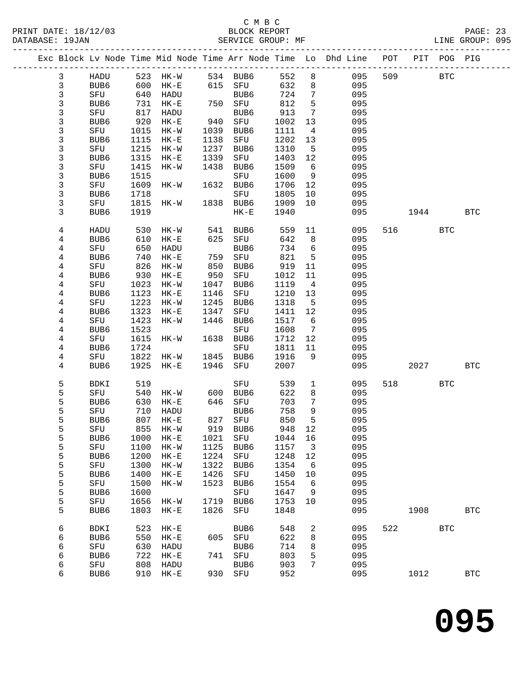## C M B C<br>BLOCK REPORT PRINT DATE: 18/12/03 BLOCK REPORT BATABASE: 19JAN BLOCK REPORT

PAGE: 23<br>LINE GROUP: 095

|  |              |                     |              | Exc Block Lv Node Time Mid Node Time Arr Node Time Lo Dhd Line |              |             |              |                         |            | POT |      | PIT POG PIG |              |
|--|--------------|---------------------|--------------|----------------------------------------------------------------|--------------|-------------|--------------|-------------------------|------------|-----|------|-------------|--------------|
|  | $\mathbf{3}$ | HADU                |              | 523 HK-W                                                       |              | 534 BUB6    | 552          | 8                       | 095        | 509 |      | <b>BTC</b>  |              |
|  | $\mathsf{3}$ | BUB <sub>6</sub>    | 600          | $HK-E$                                                         |              | 615 SFU     | 632          | 8                       | 095        |     |      |             |              |
|  | 3            | SFU                 | 640          | HADU                                                           |              | BUB6        | 724          | 7                       | 095        |     |      |             |              |
|  | 3            | BUB6                | 731          | $HK-E$                                                         |              | 750 SFU     | 812          | $5\phantom{.0}$         | 095        |     |      |             |              |
|  | 3            | SFU                 | 817          | HADU                                                           |              | BUB6        | 913          | 7                       | 095        |     |      |             |              |
|  | 3            | BUB6                | 920          | $HK-E$                                                         | 940          | SFU         | 1002         | 13                      | 095        |     |      |             |              |
|  | 3            | SFU                 | 1015         | $HK-W$                                                         | 1039         | BUB6        | 1111         | $\overline{4}$          | 095        |     |      |             |              |
|  | 3            | BUB6                | 1115         | $HK-E$                                                         | 1138         | SFU         | 1202         | 13                      | 095        |     |      |             |              |
|  | 3            | SFU                 | 1215         | $HK-W$                                                         | 1237         | BUB6        | 1310         | 5                       | 095        |     |      |             |              |
|  | 3            | BUB6                | 1315         | $HK-E$                                                         | 1339         | SFU         | 1403         | 12                      | 095        |     |      |             |              |
|  | 3            | SFU                 | 1415         | HK-W                                                           | 1438         | BUB6        | 1509         | 6                       | 095        |     |      |             |              |
|  | 3<br>3       | BUB6<br>SFU         | 1515         |                                                                | 1632         | SFU<br>BUB6 | 1600<br>1706 | 9                       | 095<br>095 |     |      |             |              |
|  | 3            | BUB6                | 1609<br>1718 | HK-W                                                           |              | SFU         | 1805         | 12<br>10                | 095        |     |      |             |              |
|  | 3            | SFU                 | 1815         | HK-W                                                           |              | 1838 BUB6   | 1909         | 10                      | 095        |     |      |             |              |
|  | 3            | BUB6                | 1919         |                                                                |              | $HK-E$      | 1940         |                         | 095        |     | 1944 |             | <b>BTC</b>   |
|  |              |                     |              |                                                                |              |             |              |                         |            |     |      |             |              |
|  | 4            | <b>HADU</b>         | 530          | HK-W                                                           | 541          | BUB6        | 559          | 11                      | 095        | 516 |      | <b>BTC</b>  |              |
|  | 4            | BUB6                | 610          | $HK-E$                                                         | 625          | SFU         | 642          | 8                       | 095        |     |      |             |              |
|  | 4            | SFU                 | 650          | HADU                                                           |              | BUB6        | 734          | 6                       | 095        |     |      |             |              |
|  | 4            | BUB6                | 740          | $HK-E$                                                         | 759          | SFU         | 821          | 5                       | 095        |     |      |             |              |
|  | 4            | SFU                 | 826          | $HK-W$                                                         | 850          | BUB6        | 919          | 11                      | 095        |     |      |             |              |
|  | 4            | BUB6                | 930          | $\rm{HK}\!-\!\rm{E}$                                           | 950          | SFU         | 1012         | 11                      | 095        |     |      |             |              |
|  | 4            | SFU                 | 1023         | $HK-W$                                                         | 1047         | BUB6        | 1119         | $\overline{4}$          | 095        |     |      |             |              |
|  | 4            | BUB6                | 1123         | $HK-E$                                                         | 1146         | SFU         | 1210         | 13                      | 095        |     |      |             |              |
|  | 4            | SFU                 | 1223         | $HK-W$                                                         | 1245         | BUB6        | 1318         | 5                       | 095        |     |      |             |              |
|  | 4            | BUB6                | 1323         | $HK-E$                                                         | 1347         | SFU         | 1411         | 12                      | 095        |     |      |             |              |
|  | 4            | SFU                 | 1423<br>1523 | $HK-W$                                                         | 1446         | BUB6        | 1517<br>1608 | 6<br>7                  | 095<br>095 |     |      |             |              |
|  | 4<br>4       | BUB6<br>SFU         | 1615         | HK-W                                                           | 1638         | SFU<br>BUB6 | 1712         | 12                      | 095        |     |      |             |              |
|  | 4            | BUB6                | 1724         |                                                                |              | SFU         | 1811         | 11                      | 095        |     |      |             |              |
|  | 4            | SFU                 | 1822         | HK-W                                                           | 1845         | BUB6        | 1916         | 9                       | 095        |     |      |             |              |
|  | 4            | BUB6                | 1925         | $HK-E$                                                         | 1946         | SFU         | 2007         |                         | 095        |     | 2027 |             | <b>BTC</b>   |
|  |              |                     |              |                                                                |              |             |              |                         |            |     |      |             |              |
|  | 5            | BDKI                | 519          |                                                                |              | SFU         | 539          | $\mathbf{1}$            | 095        | 518 |      | BTC         |              |
|  | 5            | SFU                 | 540          | HK-W                                                           | 600          | BUB6        | 622          | 8                       | 095        |     |      |             |              |
|  | 5            | BUB6                | 630          | $HK-E$                                                         | 646          | SFU         | 703          | 7                       | 095        |     |      |             |              |
|  | 5            | SFU                 | 710          | HADU                                                           |              | BUB6        | 758          | 9                       | 095        |     |      |             |              |
|  | 5            | BUB6                | 807          | $HK-E$                                                         |              | 827 SFU     | 850          | 5                       | 095        |     |      |             |              |
|  | 5            | SFU                 |              | 855 HK-W                                                       |              | 919 BUB6    | 948 12       |                         | 095        |     |      |             |              |
|  | 5            | BUB6                | 1000         | $HK-E$                                                         | 1021         | SFU         | 1044         | 16                      | 095        |     |      |             |              |
|  | 5<br>5       | SFU                 | 1100<br>1200 | $HK-W$                                                         | 1125<br>1224 | BUB6        | 1157         | $\overline{\mathbf{3}}$ | 095<br>095 |     |      |             |              |
|  | 5            | BUB6<br>${\rm SFU}$ | 1300         | $HK-E$<br>$HK-W$                                               | 1322         | SFU<br>BUB6 | 1248<br>1354 | 12<br>6                 | 095        |     |      |             |              |
|  | 5            | BUB6                | 1400         | $HK-E$                                                         | 1426         | SFU         | 1450         | 10                      | 095        |     |      |             |              |
|  | 5            | SFU                 | 1500         | $HK-W$                                                         | 1523         | BUB6        | 1554         | 6                       | 095        |     |      |             |              |
|  | 5            | BUB6                | 1600         |                                                                |              | SFU         | 1647         | 9                       | 095        |     |      |             |              |
|  | 5            | SFU                 | 1656         | $HK-W$                                                         | 1719         | BUB6        | 1753         | 10                      | 095        |     |      |             |              |
|  | 5            | BUB6                | 1803         | $HK-E$                                                         | 1826         | SFU         | 1848         |                         | 095        |     | 1908 |             | <b>BTC</b>   |
|  |              |                     |              |                                                                |              |             |              |                         |            |     |      |             |              |
|  | 6            | <b>BDKI</b>         | 523          | $HK-E$                                                         |              | BUB6        | 548          | 2                       | 095        | 522 |      | <b>BTC</b>  |              |
|  | 6            | BUB6                | 550          | $HK-E$                                                         | 605          | SFU         | 622          | 8                       | 095        |     |      |             |              |
|  | 6            | SFU                 | 630          | HADU                                                           |              | BUB6        | 714          | 8                       | 095        |     |      |             |              |
|  | 6            | BUB6                | 722<br>808   | $HK-E$                                                         | 741          | SFU<br>BUB6 | 803<br>903   | 5<br>7                  | 095<br>095 |     |      |             |              |
|  | 6<br>6       | SFU<br>BUB6         | 910          | HADU<br>$HK-E$                                                 | 930          | SFU         | 952          |                         | 095        |     | 1012 |             | $_{\rm BTC}$ |
|  |              |                     |              |                                                                |              |             |              |                         |            |     |      |             |              |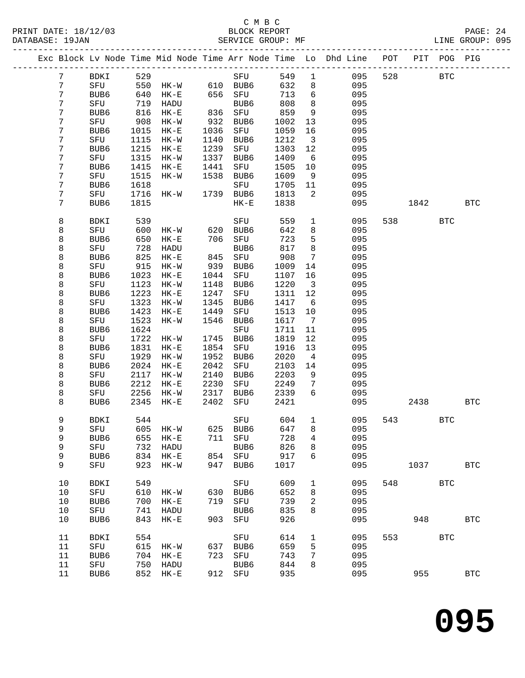## C M B C<br>BLOCK REPORT PRINT DATE: 18/12/03 BLOCK REPORT PAGE: 24 SERVICE GROUP: MF

|                 |                  |      |                         |      |           |      |                         | Exc Block Lv Node Time Mid Node Time Arr Node Time Lo Dhd Line POT PIT POG PIG |     |                          |            |              |
|-----------------|------------------|------|-------------------------|------|-----------|------|-------------------------|--------------------------------------------------------------------------------|-----|--------------------------|------------|--------------|
| 7               | BDKI             | 529  |                         |      | SFU       | 549  | $\overline{1}$          | 095                                                                            | 528 | <b>BTC</b>               |            |              |
| $7\phantom{.0}$ | SFU              | 550  | $HK-W$ 610 BUB6         |      |           | 632  | 8                       | 095                                                                            |     |                          |            |              |
| 7               | BUB6             | 640  | $HK-E$                  |      | 656 SFU   | 713  | $6\overline{6}$         | 095                                                                            |     |                          |            |              |
| 7               | SFU              | 719  | HADU                    |      | BUB6      | 808  | 8                       | 095                                                                            |     |                          |            |              |
| 7               | BUB6             | 816  | HK-E                    |      | 836 SFU   | 859  | 9                       | 095                                                                            |     |                          |            |              |
| 7               | SFU              | 908  | $HK-W$                  | 932  | BUB6      | 1002 | 13                      | 095                                                                            |     |                          |            |              |
| 7               | BUB6             | 1015 | $HK-E$                  | 1036 | SFU       | 1059 | 16                      | 095                                                                            |     |                          |            |              |
| 7               | SFU              | 1115 | HK-W                    | 1140 | BUB6      | 1212 | $\overline{\mathbf{3}}$ | 095                                                                            |     |                          |            |              |
| 7               | BUB <sub>6</sub> | 1215 | $HK-E$                  | 1239 | SFU       | 1303 | 12                      | 095                                                                            |     |                          |            |              |
| 7               | SFU              | 1315 | $HK - W$                | 1337 | BUB6      | 1409 | 6                       | 095                                                                            |     |                          |            |              |
| 7               | BUB6             | 1415 | $HK-E$                  | 1441 | SFU       | 1505 | 10                      | 095                                                                            |     |                          |            |              |
| 7               | SFU              | 1515 | $HK-W$                  | 1538 | BUB6      | 1609 | 9                       | 095                                                                            |     |                          |            |              |
| 7               | BUB <sub>6</sub> | 1618 |                         |      | SFU       | 1705 | 11                      | 095                                                                            |     |                          |            |              |
| 7               | SFU              | 1716 | HK-W                    |      | 1739 BUB6 | 1813 | $\overline{2}$          | 095                                                                            |     |                          |            |              |
| 7               | BUB6             | 1815 |                         |      | $HK-E$    | 1838 |                         | 095                                                                            |     | 1842                     |            | <b>BTC</b>   |
|                 |                  |      |                         |      |           |      |                         |                                                                                |     |                          |            |              |
| 8               | BDKI             | 539  |                         |      | SFU       | 559  | $\mathbf{1}$            | 095                                                                            |     | 538 and $\sim$           | <b>BTC</b> |              |
| 8               | SFU              | 600  | HK-W                    |      | 620 BUB6  | 642  | 8                       | 095                                                                            |     |                          |            |              |
| 8               | BUB6             | 650  | $HK-E$                  | 706  | SFU       | 723  | 5                       | 095                                                                            |     |                          |            |              |
| 8               | SFU              | 728  | HADU                    |      | BUB6      | 817  | 8                       | 095                                                                            |     |                          |            |              |
| 8               | BUB <sub>6</sub> | 825  | $HK-E$                  | 845  | SFU       | 908  | 7                       | 095                                                                            |     |                          |            |              |
| 8               | SFU              | 915  | $HK-W$                  | 939  | BUB6      | 1009 | 14                      | 095                                                                            |     |                          |            |              |
| 8               | BUB6             | 1023 | $HK-E$                  | 1044 | SFU       | 1107 | 16                      | 095                                                                            |     |                          |            |              |
| 8               | SFU              | 1123 | HK-W                    | 1148 | BUB6      | 1220 | $\overline{\mathbf{3}}$ | 095                                                                            |     |                          |            |              |
| 8               | BUB6             | 1223 | $HK-E$                  | 1247 | SFU       | 1311 | 12                      | 095                                                                            |     |                          |            |              |
| 8               | SFU              | 1323 | HK-W                    | 1345 | BUB6      | 1417 | 6                       | 095                                                                            |     |                          |            |              |
| 8               | BUB6             | 1423 | $HK-E$                  | 1449 | SFU       | 1513 | 10                      | 095                                                                            |     |                          |            |              |
| 8               | SFU              | 1523 | HK-W                    | 1546 | BUB6      | 1617 | $\overline{7}$          | 095                                                                            |     |                          |            |              |
| 8               | BUB <sub>6</sub> | 1624 |                         |      | SFU       | 1711 | 11                      | 095                                                                            |     |                          |            |              |
| 8               | SFU              | 1722 | HK-W                    | 1745 | BUB6      | 1819 | 12                      | 095                                                                            |     |                          |            |              |
| 8               | BUB6             | 1831 | $HK-E$                  | 1854 | SFU       | 1916 | 13                      | 095                                                                            |     |                          |            |              |
| 8               | SFU              | 1929 | HK-W                    | 1952 | BUB6      | 2020 | $\overline{4}$          | 095                                                                            |     |                          |            |              |
| 8               | BUB6             | 2024 | $HK-E$                  | 2042 | SFU       | 2103 | 14                      | 095                                                                            |     |                          |            |              |
| 8               | SFU              | 2117 | $HK-W$                  | 2140 | BUB6      | 2203 | 9                       | 095                                                                            |     |                          |            |              |
| 8               | BUB6             | 2212 | $HK-E$                  | 2230 | SFU       | 2249 | 7                       | 095                                                                            |     |                          |            |              |
| 8               | SFU              | 2256 | HK-W                    | 2317 | BUB6      | 2339 | 6                       | 095                                                                            |     |                          |            |              |
| 8               | BUB6             | 2345 | $HK-E$                  | 2402 | SFU       | 2421 |                         | 095                                                                            |     | 2438                     |            | <b>BTC</b>   |
| 9               | BDKI             | 544  |                         |      | SFU       | 604  | $\mathbf{1}$            | 095                                                                            | 543 |                          | <b>BTC</b> |              |
| 9               | SFU              |      | 605 HK-W 625 BUB6 647 8 |      |           |      |                         | 095                                                                            |     |                          |            |              |
| 9               | BUB6             | 655  | $HK-E$                  | 711  | SFU       | 728  | 4                       | 095                                                                            |     |                          |            |              |
| 9               | SFU              | 732  | HADU                    |      | BUB6      | 826  | 8                       | 095                                                                            |     |                          |            |              |
| 9               | BUB6             | 834  | $HK-E$                  |      | 854 SFU   | 917  | 6                       | 095                                                                            |     |                          |            |              |
| 9               | SFU              | 923  | $HK-W$                  | 947  | BUB6      | 1017 |                         | 095                                                                            |     | 1037                     |            | $_{\rm BTC}$ |
| 10              | <b>BDKI</b>      | 549  |                         |      | SFU       | 609  | 1                       | 095                                                                            | 548 |                          | <b>BTC</b> |              |
| 10              | SFU              | 610  | HK-W                    |      | 630 BUB6  | 652  | 8                       | 095                                                                            |     |                          |            |              |
| 10              | BUB6             | 700  | $HK-E$                  | 719  | SFU       | 739  | 2                       | 095                                                                            |     |                          |            |              |
| 10              | SFU              | 741  | HADU                    |      | BUB6      | 835  | 8                       | 095                                                                            |     |                          |            |              |
| 10              | BUB6             | 843  | $HK-E$                  |      | 903 SFU   | 926  |                         | 095                                                                            |     | 948                      |            | <b>BTC</b>   |
| 11              | <b>BDKI</b>      | 554  |                         |      | SFU       | 614  | $\mathbf{1}$            | 095                                                                            |     | 553 and $\overline{553}$ | <b>BTC</b> |              |
| 11              | SFU              | 615  | HK-W                    | 637  | BUB6      | 659  | 5                       | 095                                                                            |     |                          |            |              |
| 11              | BUB <sub>6</sub> | 704  | $HK-E$                  | 723  | SFU       | 743  | 7                       | 095                                                                            |     |                          |            |              |
| 11              | SFU              | 750  | HADU                    |      | BUB6      | 844  | 8                       | 095                                                                            |     |                          |            |              |
| 11              | BUB6             |      | 852 HK-E                |      | 912 SFU   | 935  |                         | 095                                                                            |     | 955                      |            | <b>BTC</b>   |
|                 |                  |      |                         |      |           |      |                         |                                                                                |     |                          |            |              |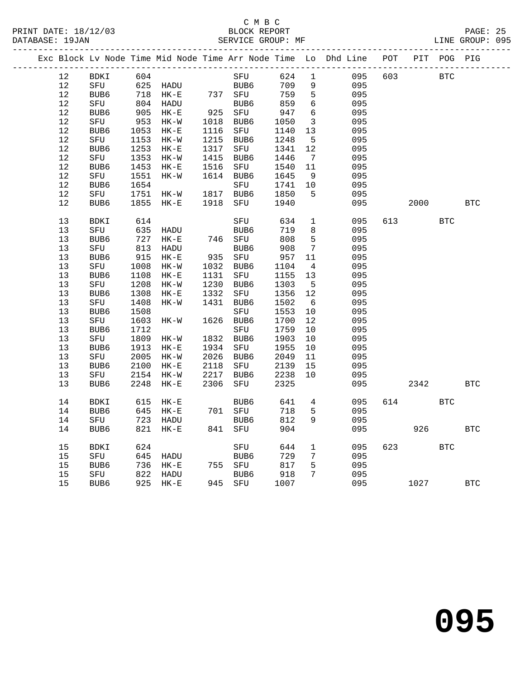## C M B C<br>BLOCK REPORT PRINT DATE: 18/12/03 BLOCK REPORT BATABASE: 19JAN BLOCK REPORT

PAGE: 25<br>LINE GROUP: 095

|  |    |             |      | Exc Block Lv Node Time Mid Node Time Arr Node Time Lo Dhd Line POT |      |                    |      |                         |     |     | PIT  | POG PIG    |              |
|--|----|-------------|------|--------------------------------------------------------------------|------|--------------------|------|-------------------------|-----|-----|------|------------|--------------|
|  | 12 | BDKI        | 604  |                                                                    |      | SFU                | 624  | $\mathbf 1$             | 095 | 603 |      | <b>BTC</b> |              |
|  | 12 | SFU         | 625  | HADU                                                               |      | $\frac{2}{2}$ BUB6 | 709  | 9                       | 095 |     |      |            |              |
|  | 12 | BUB6        | 718  | $HK-E$                                                             |      | 737 SFU            | 759  | 5                       | 095 |     |      |            |              |
|  | 12 | SFU         | 804  | HADU                                                               |      | BUB6               | 859  | 6                       | 095 |     |      |            |              |
|  | 12 | BUB6        | 905  | $HK-E$                                                             | 925  | SFU                | 947  | $\epsilon$              | 095 |     |      |            |              |
|  | 12 | SFU         | 953  | $HK-W$                                                             | 1018 | BUB6               | 1050 | $\overline{\mathbf{3}}$ | 095 |     |      |            |              |
|  | 12 | BUB6        | 1053 | $HK-E$                                                             | 1116 | SFU                | 1140 | 13                      | 095 |     |      |            |              |
|  | 12 | SFU         | 1153 | $HK-W$                                                             | 1215 | BUB6               | 1248 | $5^{\circ}$             | 095 |     |      |            |              |
|  | 12 | BUB6        | 1253 | $HK-E$                                                             | 1317 | SFU                | 1341 | 12                      | 095 |     |      |            |              |
|  | 12 | SFU         | 1353 | HK-W                                                               | 1415 | BUB6               | 1446 | $\overline{7}$          | 095 |     |      |            |              |
|  | 12 | BUB6        | 1453 | $HK-E$                                                             | 1516 | SFU                | 1540 | 11                      | 095 |     |      |            |              |
|  | 12 | SFU         | 1551 | HK-W                                                               | 1614 | BUB6               | 1645 | 9                       | 095 |     |      |            |              |
|  | 12 | BUB6        | 1654 |                                                                    |      | SFU                | 1741 | 10                      | 095 |     |      |            |              |
|  | 12 | SFU         | 1751 | $HK-W$                                                             |      | 1817 BUB6          | 1850 | 5                       | 095 |     |      |            |              |
|  | 12 | BUB6        | 1855 | $HK-E$                                                             | 1918 | SFU                | 1940 |                         | 095 |     | 2000 |            | <b>BTC</b>   |
|  | 13 | <b>BDKI</b> | 614  |                                                                    |      | SFU                | 634  | $\mathbf{1}$            | 095 |     | 613  | <b>BTC</b> |              |
|  | 13 | SFU         | 635  | HADU                                                               |      | BUB6               | 719  | 8                       | 095 |     |      |            |              |
|  | 13 | BUB6        | 727  | $HK-E$                                                             |      | 746 SFU            | 808  | 5                       | 095 |     |      |            |              |
|  | 13 | SFU         | 813  | HADU                                                               |      | BUB6               | 908  | 7                       | 095 |     |      |            |              |
|  | 13 | BUB6        | 915  | $HK-E$                                                             |      | 935 SFU            | 957  | 11                      | 095 |     |      |            |              |
|  | 13 | SFU         | 1008 | $HK-W$                                                             | 1032 | BUB6               | 1104 | $\overline{4}$          | 095 |     |      |            |              |
|  | 13 | BUB6        | 1108 | $HK-E$                                                             | 1131 | SFU                | 1155 | 13                      | 095 |     |      |            |              |
|  | 13 | SFU         | 1208 | $HK-W$                                                             | 1230 | BUB6               | 1303 | $5^{\circ}$             | 095 |     |      |            |              |
|  | 13 | BUB6        | 1308 | $HK-E$                                                             | 1332 | SFU                | 1356 | 12                      | 095 |     |      |            |              |
|  | 13 | SFU         | 1408 | $HK-W$                                                             | 1431 | BUB6               | 1502 | $6\overline{6}$         | 095 |     |      |            |              |
|  | 13 | BUB6        | 1508 |                                                                    |      | SFU                | 1553 | 10                      | 095 |     |      |            |              |
|  | 13 | SFU         | 1603 | HK-W                                                               | 1626 | BUB6               | 1700 | 12                      | 095 |     |      |            |              |
|  | 13 | BUB6        | 1712 |                                                                    |      | SFU                | 1759 | 10                      | 095 |     |      |            |              |
|  | 13 | SFU         | 1809 | $HK-W$                                                             | 1832 | BUB6               | 1903 | 10                      | 095 |     |      |            |              |
|  | 13 | BUB6        | 1913 | $HK-E$                                                             | 1934 | SFU                | 1955 | 10                      | 095 |     |      |            |              |
|  | 13 | SFU         | 2005 | $HK-W$                                                             | 2026 | BUB6               | 2049 | 11                      | 095 |     |      |            |              |
|  | 13 | BUB6        | 2100 | $HK-E$                                                             | 2118 | SFU                | 2139 | 15                      | 095 |     |      |            |              |
|  | 13 | SFU         | 2154 | $HK-W$                                                             | 2217 | BUB6               | 2238 | 10                      | 095 |     |      |            |              |
|  | 13 | BUB6        | 2248 | $HK-E$                                                             | 2306 | SFU                | 2325 |                         | 095 |     | 2342 |            | <b>BTC</b>   |
|  | 14 | BDKI        | 615  | $HK-E$                                                             |      | BUB6               | 641  | $\overline{4}$          | 095 |     | 614  | <b>BTC</b> |              |
|  | 14 | BUB6        | 645  | HK-E                                                               |      | 701 SFU            | 718  | 5                       | 095 |     |      |            |              |
|  | 14 | SFU         |      | 723 HADU                                                           |      | BUB6               | 812  | 9                       | 095 |     |      |            |              |
|  | 14 | BUB6        |      | 821 HK-E                                                           |      | 841 SFU            | 904  |                         | 095 |     | 926  |            | <b>BTC</b>   |
|  | 15 | BDKI        | 624  |                                                                    |      | SFU                | 644  | 1                       | 095 | 623 |      | <b>BTC</b> |              |
|  | 15 | SFU         | 645  | HADU                                                               |      | BUB6               | 729  | 7                       | 095 |     |      |            |              |
|  | 15 | BUB6        | 736  | $HK-E$                                                             |      | 755 SFU            | 817  | 5                       | 095 |     |      |            |              |
|  | 15 | SFU         | 822  | HADU                                                               |      | BUB6               | 918  | 7                       | 095 |     |      |            |              |
|  | 15 | BUB6        | 925  | HK-E                                                               |      | 945 SFU            | 1007 |                         | 095 |     | 1027 |            | $_{\rm BTC}$ |
|  |    |             |      |                                                                    |      |                    |      |                         |     |     |      |            |              |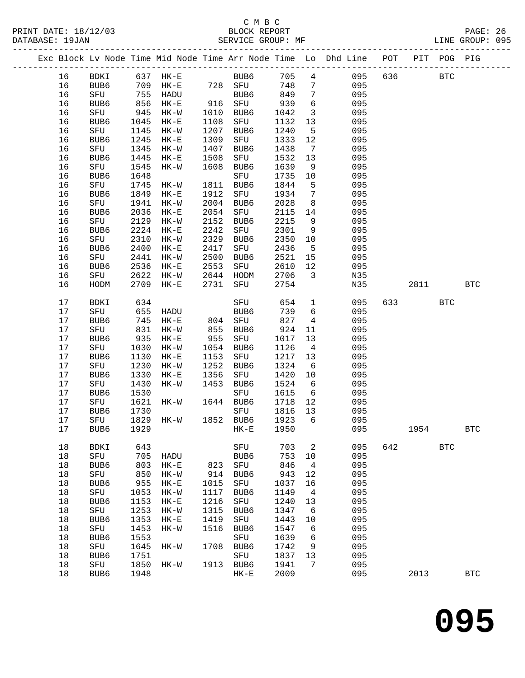## C M B C<br>BLOCK REPORT PRINT DATE: 18/12/03 BLOCK REPORT PAGE: 26 SERVICE GROUP: MF

|  |          |             |              |                     |              |             |              |                         | Exc Block Lv Node Time Mid Node Time Arr Node Time Lo Dhd Line POT |     |      | PIT POG PIG |                      |
|--|----------|-------------|--------------|---------------------|--------------|-------------|--------------|-------------------------|--------------------------------------------------------------------|-----|------|-------------|----------------------|
|  | 16       | BDKI        |              | 637 HK-E            |              | BUB6        | 705          | $4\overline{ }$         | 095                                                                | 636 |      | <b>BTC</b>  |                      |
|  | 16       | BUB6        |              | 709 HK-E            |              | 728 SFU     | 748          | $7\overline{ }$         | 095                                                                |     |      |             |                      |
|  | 16       | SFU         |              | HADU                |              | BUB6        | 849          | $7\overline{ }$         | 095                                                                |     |      |             |                      |
|  | 16       | BUB6        | 755<br>856   | $HK-E$              |              | 916 SFU     | 939          | $6\overline{6}$         | 095                                                                |     |      |             |                      |
|  | 16       | SFU         | 945          | HK-W                | 1010         | BUB6        | 1042         | $\overline{\mathbf{3}}$ | 095                                                                |     |      |             |                      |
|  | 16       | BUB6        | 1045         | $HK-E$              | 1108         | SFU         | 1132         | 13                      | 095                                                                |     |      |             |                      |
|  | 16       | SFU         | 1145         | $HK-W$              | 1207         | BUB6        | 1240         | $5^{\circ}$             | 095                                                                |     |      |             |                      |
|  | 16       | BUB6        | 1245         | $HK-E$              | 1309         | SFU         | 1333         | 12                      | 095                                                                |     |      |             |                      |
|  | 16       | SFU         | 1345         | $HK-W$              | 1407         | BUB6        | 1438         | $\overline{7}$          | 095                                                                |     |      |             |                      |
|  | 16       | BUB6        | 1445         | $HK-E$              | 1508         | SFU         | 1532         | 13                      | 095                                                                |     |      |             |                      |
|  | 16       | SFU         | 1545         | HK-W                | 1608         | BUB6        | 1639         | 9                       | 095                                                                |     |      |             |                      |
|  | 16       | BUB6        | 1648         |                     |              | SFU         | 1735         | 10                      | 095                                                                |     |      |             |                      |
|  | 16       | SFU         | 1745         | HK-W                | 1811         | BUB6        | 1844         | $5^{\circ}$             | 095                                                                |     |      |             |                      |
|  | 16       | BUB6        | 1849         | $HK-E$              | 1912         | SFU         | 1934         | $\overline{7}$          | 095                                                                |     |      |             |                      |
|  | 16       | SFU         | 1941         | $HK-W$              | 2004         | BUB6        | 2028         | 8 <sup>8</sup>          | 095                                                                |     |      |             |                      |
|  | 16       | BUB6        | 2036         | $HK-E$              | 2054         | SFU         | 2115         | 14                      | 095                                                                |     |      |             |                      |
|  | 16       | SFU         | 2129         | $HK-W$              | 2152         | BUB6        | 2215         | 9                       | 095                                                                |     |      |             |                      |
|  | 16       | BUB6        | 2224         | $HK-E$              | 2242         | SFU         | 2301         | 9                       | 095                                                                |     |      |             |                      |
|  | 16       | SFU         | 2310         | $HK-W$              | 2329         | BUB6        | 2350         | 10                      | 095                                                                |     |      |             |                      |
|  | 16       | BUB6        | 2400         | $HK-E$              | 2417         | SFU         | 2436         | $5^{\circ}$             | 095                                                                |     |      |             |                      |
|  | 16       | SFU         | 2441         | $HK-W$              | 2500         | BUB6        | 2521         | 15                      | 095                                                                |     |      |             |                      |
|  | 16       | BUB6        | 2536         | $HK-E$              | 2553         | SFU         | 2610         | 12                      | 095                                                                |     |      |             |                      |
|  | 16<br>16 | SFU<br>HODM | 2622<br>2709 | $HK-W$<br>$HK-E$    | 2644<br>2731 | HODM<br>SFU | 2706<br>2754 | $\overline{3}$          | N35<br>N35                                                         |     | 2811 |             | <b>BTC</b>           |
|  |          |             |              |                     |              |             |              |                         |                                                                    |     |      |             |                      |
|  | $17$     | BDKI        | 634          |                     |              | SFU         | 654          | $\mathbf{1}$            | 095                                                                | 633 |      | <b>BTC</b>  |                      |
|  | 17       | SFU         | 655          | HADU                |              | BUB6        | 739          | 6                       | 095                                                                |     |      |             |                      |
|  | 17       | BUB6        | 745          | $HK-E$              |              | 804 SFU     | 827          | $\overline{4}$          | 095                                                                |     |      |             |                      |
|  | 17       | SFU         | 831          | HK-W                | 855          | BUB6        | 924          | 11                      | 095                                                                |     |      |             |                      |
|  | 17       | BUB6        | 935          | $HK-E$              | 955          | SFU         | 1017         | 13                      | 095                                                                |     |      |             |                      |
|  | 17       | SFU         | 1030         | HK-W                | 1054         | BUB6        | 1126         | $\overline{4}$          | 095                                                                |     |      |             |                      |
|  | 17       | BUB6        | 1130         | $HK-E$              | 1153         | SFU         | 1217         | 13                      | 095                                                                |     |      |             |                      |
|  | 17       | SFU         | 1230         | $HK-W$              | 1252         | BUB6        | 1324         | 6                       | 095                                                                |     |      |             |                      |
|  | 17<br>17 | BUB6<br>SFU | 1330<br>1430 | $HK-E$<br>$HK-W$    | 1356<br>1453 | SFU<br>BUB6 | 1420<br>1524 | $10 \,$<br>6            | 095<br>095                                                         |     |      |             |                      |
|  | 17       | BUB6        | 1530         |                     |              | SFU         | 1615         | $6\overline{6}$         | 095                                                                |     |      |             |                      |
|  | 17       | SFU         | 1621         | HK-W                |              | 1644 BUB6   | 1718         | 12                      | 095                                                                |     |      |             |                      |
|  | 17       | BUB6        | 1730         |                     |              | SFU         | 1816         | 13                      | 095                                                                |     |      |             |                      |
|  | 17       | SFU         |              | 1829 HK-W 1852 BUB6 |              |             | 1923         | 6                       | 095                                                                |     |      |             |                      |
|  | 17       | BUB6        | 1929         |                     |              | HK-E 1950   |              |                         | 095                                                                |     | 1954 |             | $\operatorname{BTC}$ |
|  | $18\,$   | <b>BDKI</b> | 643          |                     |              | ${\rm SFU}$ | 703          | 2                       | 095                                                                | 642 |      | <b>BTC</b>  |                      |
|  | 18       | SFU         | 705          | HADU                |              | BUB6        | 753          | 10                      | 095                                                                |     |      |             |                      |
|  | 18       | BUB6        | 803          | $HK-E$              | 823          | ${\tt SFU}$ | 846          | 4                       | 095                                                                |     |      |             |                      |
|  | 18       | ${\rm SFU}$ | 850          | $HK-W$              | 914          | BUB6        | 943          | 12                      | 095                                                                |     |      |             |                      |
|  | 18       | BUB6        | 955          | $HK-E$              | 1015         | ${\tt SFU}$ | 1037         | 16                      | 095                                                                |     |      |             |                      |
|  | 18       | SFU         | 1053         | $HK-W$              | 1117         | BUB6        | 1149         | 4                       | 095                                                                |     |      |             |                      |
|  | 18       | BUB6        | 1153         | $HK-E$              | 1216         | ${\rm SFU}$ | 1240         | 13                      | 095                                                                |     |      |             |                      |
|  | 18       | ${\tt SFU}$ | 1253         | $HK-W$              | 1315         | BUB6        | 1347         | 6                       | 095                                                                |     |      |             |                      |
|  | 18       | BUB6        | 1353         | $HK-E$              | 1419         | SFU         | 1443         | 10                      | 095                                                                |     |      |             |                      |
|  | 18       | SFU         | 1453         | $HK-W$              | 1516         | BUB6        | 1547         | 6                       | 095                                                                |     |      |             |                      |
|  | $18\,$   | BUB6        | 1553         |                     |              | ${\tt SFU}$ | 1639         | 6                       | 095                                                                |     |      |             |                      |
|  | 18       | ${\tt SFU}$ | 1645         | $HK-W$              | 1708         | BUB6        | 1742         | 9                       | 095                                                                |     |      |             |                      |
|  | 18       | BUB6        | 1751         |                     |              | ${\tt SFU}$ | 1837         | 13                      | 095                                                                |     |      |             |                      |
|  | 18       | ${\tt SFU}$ | 1850         | $HK-W$              | 1913         | BUB6        | 1941         | 7                       | 095                                                                |     |      |             |                      |
|  | 18       | BUB6        | 1948         |                     |              | $HK-E$      | 2009         |                         | 095                                                                |     | 2013 |             | $_{\rm BTC}$         |
|  |          |             |              |                     |              |             |              |                         |                                                                    |     |      |             |                      |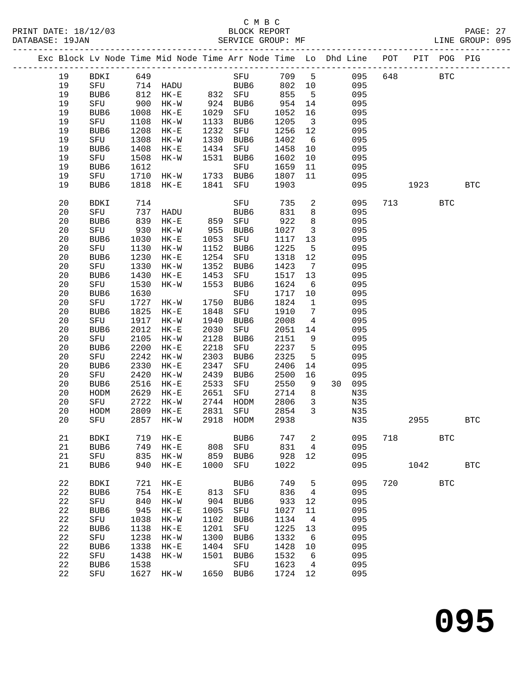|  |          |             |              | Exc Block Lv Node Time Mid Node Time Arr Node Time Lo Dhd Line POT PIT POG PIG |              |                     |              |                         |            |     |      |            |            |
|--|----------|-------------|--------------|--------------------------------------------------------------------------------|--------------|---------------------|--------------|-------------------------|------------|-----|------|------------|------------|
|  | 19       | BDKI        | 649          |                                                                                |              | SFU                 | 709          | 5 <sup>5</sup>          | 095        | 648 |      | <b>BTC</b> |            |
|  | 19       | SFU         |              |                                                                                |              | BUB6                | 802          | 10                      | 095        |     |      |            |            |
|  | 19       | BUB6        |              | 714 HADU<br>812 HK-E                                                           |              | BUB6<br>832 SFU     | 855          | $5^{\circ}$             | 095        |     |      |            |            |
|  | 19       | SFU         | 900          | $HK-W$                                                                         |              | 924 BUB6            | 954          | 14                      | 095        |     |      |            |            |
|  | 19       | BUB6        | 1008         | $HK-E$                                                                         | 1029         | SFU                 | 1052         | 16                      | 095        |     |      |            |            |
|  | 19       | SFU         | 1108         | $HK-W$                                                                         | 1133         | BUB6                | 1205         | $\overline{\mathbf{3}}$ | 095        |     |      |            |            |
|  | 19       | BUB6        | 1208         | $HK-E$                                                                         | 1232         | SFU                 | 1256         | 12                      | 095        |     |      |            |            |
|  | 19       | SFU         | 1308         | $HK-W$                                                                         | 1330         | BUB6                | 1402         | $6\overline{6}$         | 095        |     |      |            |            |
|  | 19       | BUB6        | 1408         | $HK-E$                                                                         | 1434         | SFU                 | 1458         | 10                      | 095        |     |      |            |            |
|  | 19       | SFU         | 1508         | $HK-W$                                                                         | 1531         | BUB6                | 1602         | 10                      | 095        |     |      |            |            |
|  | 19       | BUB6        | 1612         |                                                                                |              | SFU                 | 1659         | 11                      | 095        |     |      |            |            |
|  | 19       | SFU         | 1710         | $HK-W$                                                                         | 1733         | BUB6                | 1807         | 11                      | 095        |     |      |            |            |
|  | 19       | BUB6        | 1818         | $HK-E$                                                                         | 1841         | SFU                 | 1903         |                         | 095        |     | 1923 |            | <b>BTC</b> |
|  | 20       | BDKI        | 714          |                                                                                |              | SFU                 | 735          | $\overline{a}$          | 095        | 713 |      | <b>BTC</b> |            |
|  | 20       | SFU         | 737          | HADU                                                                           |              | BUB6                | 831          | 8                       | 095        |     |      |            |            |
|  | 20       | BUB6        | 839          | $HK-E$                                                                         | 859          | SFU                 | 922          | 8                       | 095        |     |      |            |            |
|  | 20       | SFU         | 930          | $HK-W$                                                                         | 955          | BUB6                | 1027         | $\mathbf{3}$            | 095        |     |      |            |            |
|  | 20       | BUB6        | 1030         | $HK-E$                                                                         | 1053         | SFU                 | 1117         | 13                      | 095        |     |      |            |            |
|  | 20       | SFU         | 1130         | $HK-W$                                                                         | 1152         | BUB6                | 1225         | 5                       | 095        |     |      |            |            |
|  | 20       | BUB6        | 1230         | $HK-E$                                                                         | 1254         | SFU                 | 1318         | 12                      | 095        |     |      |            |            |
|  | 20       | SFU         | 1330         | $HK-W$                                                                         | 1352         | BUB6                | 1423         | 7                       | 095        |     |      |            |            |
|  | 20       | BUB6        | 1430         | $HK-E$                                                                         | 1453         | SFU                 | 1517         | 13                      | 095        |     |      |            |            |
|  | 20       | SFU         | 1530         | $HK-W$                                                                         | 1553         | BUB6                | 1624         | 6                       | 095        |     |      |            |            |
|  | 20<br>20 | BUB6<br>SFU | 1630<br>1727 | HK-W                                                                           | 1750         | SFU<br>BUB6         | 1717<br>1824 | 10<br>$\mathbf{1}$      | 095<br>095 |     |      |            |            |
|  | 20       | BUB6        | 1825         | $HK-E$                                                                         | 1848         | SFU                 | 1910         | $7\phantom{.0}$         | 095        |     |      |            |            |
|  | 20       | SFU         | 1917         | $HK-W$                                                                         | 1940         | BUB6                | 2008         | $\overline{4}$          | 095        |     |      |            |            |
|  | 20       | BUB6        | 2012         | $HK-E$                                                                         | 2030         | SFU                 | 2051         | 14                      | 095        |     |      |            |            |
|  | 20       | SFU         | 2105         | $HK-W$                                                                         | 2128         | BUB6                | 2151         | 9                       | 095        |     |      |            |            |
|  | 20       | BUB6        | 2200         | $HK-E$                                                                         | 2218         | SFU                 | 2237         | 5                       | 095        |     |      |            |            |
|  | 20       | SFU         | 2242         | $HK-W$                                                                         | 2303         | BUB6                | 2325         | 5                       | 095        |     |      |            |            |
|  | 20       | BUB6        | 2330         | $HK-E$                                                                         | 2347         | SFU                 | 2406         | 14                      | 095        |     |      |            |            |
|  | 20       | SFU         | 2420         | $HK-W$                                                                         | 2439         | BUB6                | 2500         | 16                      | 095        |     |      |            |            |
|  | 20       | BUB6        | 2516         | $HK-E$                                                                         | 2533         | SFU                 | 2550         | 9                       | 30 095     |     |      |            |            |
|  | 20       | HODM        | 2629         | $HK-E$                                                                         | 2651         | SFU                 | 2714         | 8                       | N35        |     |      |            |            |
|  | 20       | SFU         | 2722         | $HK-W$                                                                         | 2744         | HODM                | 2806         | $\overline{3}$          | N35        |     |      |            |            |
|  | 20       | HODM        | 2809         | $HK-E$                                                                         | 2831         | SFU                 | 2854         | 3                       | N35        |     |      |            |            |
|  | 20       | SFU         | 2857         | $HK-W$                                                                         | 2918         | HODM                | 2938         |                         | N35        |     | 2955 |            | <b>BTC</b> |
|  | 21       | <b>BDKI</b> | 719          | $HK-E$                                                                         |              | BUB6                | 747          | 2                       | 095        | 718 |      | <b>BTC</b> |            |
|  | 21       | BUB6        | 749          | $HK-E$                                                                         | 808          | SFU                 | 831          | 4                       | 095        |     |      |            |            |
|  | 21       | SFU         | 835          | $HK-W$                                                                         | 859          | BUB6                | 928          | 12                      | 095        |     |      |            |            |
|  | 21       | BUB6        | 940          | $HK-E$                                                                         | 1000         | SFU                 | 1022         |                         | 095        |     | 1042 |            | <b>BTC</b> |
|  | 22       | <b>BDKI</b> | 721          | $HK-E$                                                                         |              | BUB6                | 749          | 5                       | 095        | 720 |      | <b>BTC</b> |            |
|  | 22       | BUB6        | 754          | $HK-E$                                                                         | 813          | SFU                 | 836          | $\overline{4}$          | 095        |     |      |            |            |
|  | 22       | SFU         | 840          | $HK-W$                                                                         | 904          | BUB6                | 933          | 12                      | 095        |     |      |            |            |
|  | 22       | BUB6        | 945          | $HK-E$                                                                         | 1005         | SFU                 | 1027         | 11                      | 095        |     |      |            |            |
|  | 22       | SFU         | 1038         | $HK-W$                                                                         | 1102         | BUB6                | 1134         | 4                       | 095        |     |      |            |            |
|  | 22<br>22 | BUB6        | 1138<br>1238 | $HK-E$                                                                         | 1201<br>1300 | SFU                 | 1225<br>1332 | 13<br>$\sqrt{6}$        | 095<br>095 |     |      |            |            |
|  | 22       | SFU<br>BUB6 | 1338         | $HK-W$<br>$HK-E$                                                               | 1404         | BUB6<br>${\tt SFU}$ | 1428         | 10                      | 095        |     |      |            |            |
|  | 22       | ${\rm SFU}$ | 1438         | $HK-W$                                                                         | 1501         | BUB6                | 1532         | 6                       | 095        |     |      |            |            |
|  | 22       | BUB6        | 1538         |                                                                                |              | ${\tt SFU}$         | 1623         | 4                       | 095        |     |      |            |            |
|  | 22       | SFU         | 1627         | $HK-W$                                                                         | 1650         | BUB6                | 1724         | 12                      | 095        |     |      |            |            |
|  |          |             |              |                                                                                |              |                     |              |                         |            |     |      |            |            |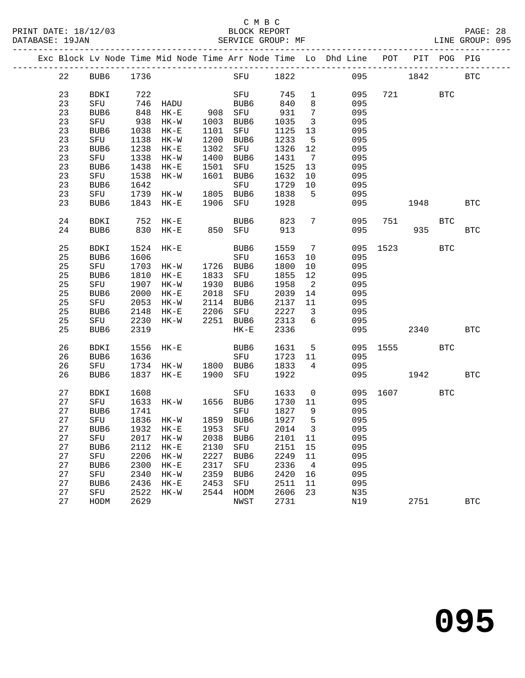PRINT DATE: 18/12/03 BLOCK REPORT BATABASE: 19JAN BLOCK REPORT

# C M B C<br>BLOCK REPORT

|  |    |           |      |                                   |      |                 |         |                            | Exc Block Lv Node Time Mid Node Time Arr Node Time Lo Dhd Line POT PIT POG PIG |          |          |     |            |
|--|----|-----------|------|-----------------------------------|------|-----------------|---------|----------------------------|--------------------------------------------------------------------------------|----------|----------|-----|------------|
|  | 22 | BUB6 1736 |      |                                   |      | SFU 1822        |         |                            |                                                                                | 095 1842 |          |     | <b>BTC</b> |
|  | 23 | BDKI      | 722  |                                   |      | SFU 745         |         | $\mathbf{1}$               | 095                                                                            |          | 721 BTC  |     |            |
|  | 23 | SFU       |      |                                   |      | BUB6            | 840     | 8                          | 095                                                                            |          |          |     |            |
|  | 23 | BUB6      |      | 746 HADU<br>848 HK-E              |      | BUB6<br>908 SFU | 931     | $7\overline{ }$            | 095                                                                            |          |          |     |            |
|  | 23 | SFU       |      | 938 HK-W                          |      | 1003 BUB6       | 1035    | $\overline{3}$             | 095                                                                            |          |          |     |            |
|  | 23 |           |      | 1038 HK-E                         |      | 1101 SFU        | 1125    | 13                         | 095                                                                            |          |          |     |            |
|  |    | BUB6      |      |                                   |      |                 | 1233    |                            |                                                                                |          |          |     |            |
|  | 23 | SFU       |      | 1138 HK-W                         |      | 1200 BUB6       |         | $5^{\circ}$                | 095                                                                            |          |          |     |            |
|  | 23 | BUB6      |      | 1238 HK-E                         |      | 1302 SFU        | 1326    | 12                         | 095                                                                            |          |          |     |            |
|  | 23 | SFU       |      | 1338 HK-W                         | 1400 | BUB6            | 1431    | $\overline{7}$             | 095                                                                            |          |          |     |            |
|  | 23 | BUB6      |      | 1438 HK-E                         |      | 1501 SFU        | 1525    | 13                         | 095                                                                            |          |          |     |            |
|  | 23 | SFU       | 1538 | HK-W                              |      | 1601 BUB6       | 1632    | 10                         | 095                                                                            |          |          |     |            |
|  | 23 | BUB6      | 1642 |                                   |      | SFU             | 1729    | 10                         | 095                                                                            |          |          |     |            |
|  | 23 | SFU       |      | 1739 HK-W                         |      | 1805 BUB6       | 1838    | $-5$                       | 095                                                                            |          |          |     |            |
|  | 23 | BUB6      |      | 1843 HK-E                         |      | 1906 SFU        | 1928    |                            | 095                                                                            |          | 1948     |     | <b>BTC</b> |
|  | 24 | BDKI      |      | 752 HK-E                          |      | BUB6            | 823     | $7\phantom{.0}$            | 095                                                                            |          |          | BTC |            |
|  | 24 | BUB6      |      | 830 HK-E                          |      | BUB6<br>850 SFU | 913     |                            | 095                                                                            |          | 935      |     | <b>BTC</b> |
|  |    |           |      |                                   |      |                 |         |                            |                                                                                |          |          |     |            |
|  | 25 | BDKI      | 1524 | $HK-E$                            |      | BUB6            | 1559    | $\overline{7}$             |                                                                                | 095 1523 |          | BTC |            |
|  | 25 | BUB6      | 1606 |                                   |      | SFU             | 1653    | 10                         | 095                                                                            |          |          |     |            |
|  | 25 | SFU       |      | 1703 HK-W                         |      | 1726 BUB6       | 1800    | 10                         | 095                                                                            |          |          |     |            |
|  | 25 | BUB6      |      | 1810 HK-E                         |      | 1833 SFU        | 1855    | 12                         | 095                                                                            |          |          |     |            |
|  | 25 | SFU       |      | 1907 HK-W                         |      | 1930 BUB6       | 1958    | $\overline{\phantom{a}}^2$ | 095                                                                            |          |          |     |            |
|  | 25 | BUB6      |      | 2000 HK-E                         |      | 2018 SFU        | 2039    | 14                         | 095                                                                            |          |          |     |            |
|  | 25 | SFU       |      | 2053 HK-W 2114 BUB6               |      |                 | 2137    | 11                         | 095                                                                            |          |          |     |            |
|  | 25 | BUB6      |      | 2148 HK-E                         |      | 2206 SFU        | 2227    | $\overline{\mathbf{3}}$    | 095                                                                            |          |          |     |            |
|  | 25 | SFU       |      | 2230 HK-W                         | 2251 | BUB6            | 2313    | 6                          | 095                                                                            |          |          |     |            |
|  | 25 | BUB6      | 2319 |                                   |      | $HK-E$          | 2336    |                            | 095                                                                            |          | 2340     |     | <b>BTC</b> |
|  |    |           |      |                                   |      |                 |         |                            |                                                                                |          |          |     |            |
|  | 26 | BDKI      |      | 1556 HK-E                         |      | BUB6            | 1631    | $5^{\circ}$                |                                                                                |          | 095 1555 | BTC |            |
|  | 26 | BUB6      | 1636 |                                   |      | SFU             | 1723    | 11                         | 095                                                                            |          |          |     |            |
|  | 26 | SFU       |      | 1734 HK-W 1800 BUB6               |      |                 | 1833    | $4\overline{ }$            | 095                                                                            |          |          |     |            |
|  | 26 | BUB6      |      | 1837 HK-E                         |      | 1900 SFU        | 1922    |                            | 095                                                                            |          | 1942     |     | <b>BTC</b> |
|  | 27 | BDKI      | 1608 |                                   |      | SFU             | 1633    | $\overline{0}$             |                                                                                |          | 095 1607 | BTC |            |
|  | 27 | SFU       |      | 1633 HK-W                         |      | 1656 BUB6       | 1730    | 11                         | 095                                                                            |          |          |     |            |
|  | 27 | BUB6      | 1741 |                                   |      | SFU             | 1827    | 9                          | 095                                                                            |          |          |     |            |
|  | 27 | SFU       |      | 1836 HK-W 1859 BUB6               |      |                 | 1927    | $5^{\circ}$                | 095                                                                            |          |          |     |            |
|  |    |           |      | 27 BUB6 1932 HK-E 1953 SFU 2014 3 |      |                 |         |                            | 095                                                                            |          |          |     |            |
|  | 27 | SFU       | 2017 | HK-W                              | 2038 | BUB6            | 2101 11 |                            | 095                                                                            |          |          |     |            |
|  | 27 | BUB6      | 2112 | $HK-E$                            | 2130 | SFU             | 2151    | 15                         | 095                                                                            |          |          |     |            |
|  | 27 | SFU       | 2206 | $HK-W$                            | 2227 | BUB6            | 2249    | 11                         | 095                                                                            |          |          |     |            |
|  | 27 | BUB6      | 2300 | $HK-E$                            | 2317 | SFU             | 2336    | $\overline{4}$             | 095                                                                            |          |          |     |            |
|  | 27 | SFU       | 2340 | $HK-W$                            | 2359 | BUB6            | 2420    | 16                         | 095                                                                            |          |          |     |            |
|  | 27 | BUB6      | 2436 | $HK-E$                            | 2453 | SFU             | 2511    | 11                         | 095                                                                            |          |          |     |            |
|  | 27 | SFU       | 2522 | $HK-W$                            | 2544 | HODM            | 2606    | 23                         | N35                                                                            |          |          |     |            |
|  | 27 | HODM      | 2629 |                                   |      | NWST            | 2731    |                            | N19                                                                            |          | 2751     |     | <b>BTC</b> |
|  |    |           |      |                                   |      |                 |         |                            |                                                                                |          |          |     |            |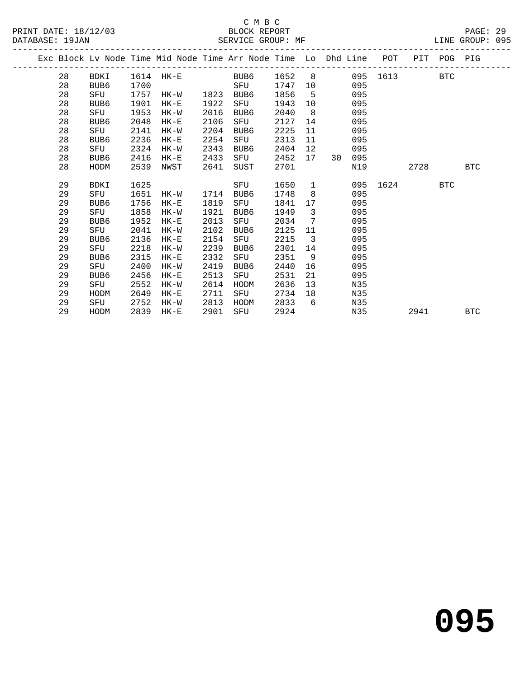|  |    |             |      | Exc Block Lv Node Time Mid Node Time Arr Node Time Lo Dhd Line POT |      |      |         |                         |      |     |                     |      | PIT POG PIG |            |  |
|--|----|-------------|------|--------------------------------------------------------------------|------|------|---------|-------------------------|------|-----|---------------------|------|-------------|------------|--|
|  | 28 | BDKI        |      | 1614 HK-E BUB6                                                     |      |      |         |                         |      |     | 1652 8 095 1613 BTC |      |             |            |  |
|  | 28 | BUB6        | 1700 |                                                                    |      | SFU  | 1747 10 |                         |      | 095 |                     |      |             |            |  |
|  | 28 | SFU         | 1757 | HK-W 1823                                                          |      | BUB6 | 1856    | 5 <sup>5</sup>          |      | 095 |                     |      |             |            |  |
|  | 28 | BUB6        | 1901 | $HK-E$                                                             | 1922 | SFU  | 1943    | 10                      |      | 095 |                     |      |             |            |  |
|  | 28 | SFU         | 1953 | HK-W                                                               | 2016 | BUB6 | 2040    | 8 <sup>8</sup>          |      | 095 |                     |      |             |            |  |
|  | 28 | BUB6        | 2048 | $HK-E$                                                             | 2106 | SFU  | 2127    | 14                      |      | 095 |                     |      |             |            |  |
|  | 28 | SFU         | 2141 | HK-W                                                               | 2204 | BUB6 | 2225    | 11                      |      | 095 |                     |      |             |            |  |
|  | 28 | BUB6        | 2236 | $HK-E$                                                             | 2254 | SFU  | 2313    | 11                      |      | 095 |                     |      |             |            |  |
|  | 28 | SFU         | 2324 | HK-W                                                               | 2343 | BUB6 | 2404    | 12 <sup>°</sup>         |      | 095 |                     |      |             |            |  |
|  | 28 | BUB6        | 2416 | $HK-E$                                                             | 2433 | SFU  | 2452    | 17                      | 30 I | 095 |                     |      |             |            |  |
|  | 28 | HODM        | 2539 | NWST                                                               | 2641 | SUST | 2701    |                         |      | N19 |                     | 2728 |             | <b>BTC</b> |  |
|  |    |             |      |                                                                    |      |      |         |                         |      |     |                     |      |             |            |  |
|  | 29 | <b>BDKI</b> | 1625 |                                                                    |      | SFU  | 1650    | $\mathbf{1}$            |      |     | 095 1624            |      | BTC         |            |  |
|  | 29 | SFU         | 1651 | HK-W                                                               | 1714 | BUB6 | 1748    | 8                       |      | 095 |                     |      |             |            |  |
|  | 29 | BUB6        | 1756 | $HK-E$                                                             | 1819 | SFU  | 1841    | 17                      |      | 095 |                     |      |             |            |  |
|  | 29 | SFU         | 1858 | HK-W                                                               | 1921 | BUB6 | 1949    | $\overline{3}$          |      | 095 |                     |      |             |            |  |
|  | 29 | BUB6        | 1952 | $HK-E$                                                             | 2013 | SFU  | 2034    | $7\overline{ }$         |      | 095 |                     |      |             |            |  |
|  | 29 | SFU         | 2041 | HK-W                                                               | 2102 | BUB6 | 2125    | 11                      |      | 095 |                     |      |             |            |  |
|  | 29 | BUB6        | 2136 | $HK-E$                                                             | 2154 | SFU  | 2215    | $\overline{\mathbf{3}}$ |      | 095 |                     |      |             |            |  |
|  | 29 | SFU         | 2218 | HK-W                                                               | 2239 | BUB6 | 2301    | 14                      |      | 095 |                     |      |             |            |  |
|  | 29 | BUB6        | 2315 | $HK-E$                                                             | 2332 | SFU  | 2351    | 9                       |      | 095 |                     |      |             |            |  |
|  | 29 | SFU         | 2400 | HK-W                                                               | 2419 | BUB6 | 2440    | 16                      |      | 095 |                     |      |             |            |  |
|  | 29 | BUB6        | 2456 | HK-E                                                               | 2513 | SFU  | 2531    | 21                      |      | 095 |                     |      |             |            |  |
|  | 29 | SFU         | 2552 | HK-W                                                               | 2614 | HODM | 2636    | 13                      |      | N35 |                     |      |             |            |  |
|  | 29 | HODM        | 2649 | $HK-E$                                                             | 2711 | SFU  | 2734    | 18                      |      | N35 |                     |      |             |            |  |
|  | 29 | SFU         | 2752 | HK-W                                                               | 2813 | HODM | 2833    | 6                       |      | N35 |                     |      |             |            |  |
|  | 29 | HODM        | 2839 | $HK-E$                                                             | 2901 | SFU  | 2924    |                         |      | N35 |                     | 2941 |             | <b>BTC</b> |  |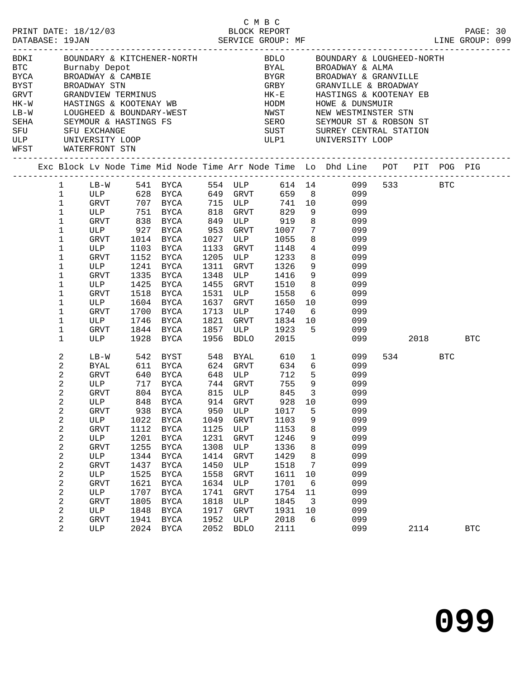|        |                              |                     |      |                                                                                      |      |                     |              |                              | BORI BOUNDARY & KITCHENER-NORTH<br>BELO BOUNDARY & LOUGHEED-NORTH<br>BTC Burnaby Depot BYAL BROADWAY & ALMA<br>BYCA BROADWAY & CAMBIE BYGR BROADWAY & GRANVILLE<br>BYGR BROADWAY STN GREY GRANVILLE & BROADWAY<br>GREY GRANVILLE & BROAD |      |     |            |  |
|--------|------------------------------|---------------------|------|--------------------------------------------------------------------------------------|------|---------------------|--------------|------------------------------|------------------------------------------------------------------------------------------------------------------------------------------------------------------------------------------------------------------------------------------|------|-----|------------|--|
|        |                              |                     |      |                                                                                      |      |                     |              |                              |                                                                                                                                                                                                                                          |      |     |            |  |
|        |                              |                     |      |                                                                                      |      |                     |              |                              |                                                                                                                                                                                                                                          |      |     |            |  |
|        |                              |                     |      |                                                                                      |      |                     |              |                              |                                                                                                                                                                                                                                          |      |     |            |  |
|        |                              |                     |      |                                                                                      |      |                     |              |                              |                                                                                                                                                                                                                                          |      |     |            |  |
| $LB-W$ |                              |                     |      |                                                                                      |      |                     | NWST         |                              | NEW WESTMINSTER STN                                                                                                                                                                                                                      |      |     |            |  |
| SEHA   |                              |                     |      |                                                                                      |      |                     |              |                              |                                                                                                                                                                                                                                          |      |     |            |  |
| SFU    |                              |                     |      |                                                                                      |      |                     |              |                              |                                                                                                                                                                                                                                          |      |     |            |  |
| ULP    |                              |                     |      | LOUGHEED & BOUNDARY-WEST<br>SEYMOUR & HASTINGS FS<br>SEV EXCHANGE<br>UNIVERSITY LOOP |      |                     |              |                              | SERO SEYMOUR ST & ROBSON ST<br>SUST SURREY CENTRAL STATION<br>ULP1 UNIVERSITY LOOP                                                                                                                                                       |      |     |            |  |
|        |                              | WFST WATERFRONT STN |      |                                                                                      |      |                     |              |                              |                                                                                                                                                                                                                                          |      |     |            |  |
|        |                              |                     |      |                                                                                      |      |                     |              |                              | Exc Block Lv Node Time Mid Node Time Arr Node Time Lo Dhd Line POT PIT POG PIG                                                                                                                                                           |      |     |            |  |
|        |                              |                     |      |                                                                                      |      |                     |              |                              | 1 LB-W 541 BYCA 554 ULP 614 14 099 533 BTC                                                                                                                                                                                               |      |     |            |  |
|        | $\mathbf 1$                  |                     |      |                                                                                      |      |                     |              |                              | ULP 628 BYCA 649 GRVT 659 8 099                                                                                                                                                                                                          |      |     |            |  |
|        | $\mathbf{1}$                 |                     |      |                                                                                      |      |                     |              |                              |                                                                                                                                                                                                                                          |      |     |            |  |
|        | $\mathbf{1}$                 |                     |      |                                                                                      |      |                     |              |                              |                                                                                                                                                                                                                                          |      |     |            |  |
|        | $\mathbf{1}$<br>$\mathbf{1}$ | ULP 927             |      | BYCA                                                                                 | 953  | GRVT                | 1007         | $7\overline{ }$              | 099                                                                                                                                                                                                                                      |      |     |            |  |
|        | $\mathbf{1}$                 | GRVT                | 1014 | BYCA                                                                                 |      | 1027 ULP            | 1055         |                              | 8 <sup>1</sup><br>099                                                                                                                                                                                                                    |      |     |            |  |
|        | $\mathbf{1}$                 | ULP                 | 1103 | BYCA                                                                                 | 1133 | GRVT                | 1148         | $4\overline{4}$              | 099                                                                                                                                                                                                                                      |      |     |            |  |
|        | 1                            | GRVT                | 1152 | BYCA                                                                                 |      | 1205 ULP            | 1233         |                              | $8\overline{)}$<br>099                                                                                                                                                                                                                   |      |     |            |  |
|        | $\mathbf{1}$                 | ULP                 | 1241 | BYCA                                                                                 | 1311 | GRVT                | 1326         | 9                            | 099                                                                                                                                                                                                                                      |      |     |            |  |
|        | 1                            | <b>GRVT</b>         | 1335 | BYCA                                                                                 | 1348 | ULP                 | 1416         | 9                            | 099                                                                                                                                                                                                                                      |      |     |            |  |
|        | 1                            | ULP                 | 1425 | BYCA                                                                                 | 1455 | GRVT                | 1510         | 8 <sup>8</sup>               | 099                                                                                                                                                                                                                                      |      |     |            |  |
|        | 1                            | GRVT                | 1518 | BYCA                                                                                 | 1531 | ULP                 | 1558         | 6                            | 099                                                                                                                                                                                                                                      |      |     |            |  |
|        | 1                            | ULP                 |      | 1604 BYCA                                                                            | 1637 | GRVT                | 1650         |                              | 10 0<br>099                                                                                                                                                                                                                              |      |     |            |  |
|        | 1                            | GRVT                | 1700 | BYCA                                                                                 | 1713 | ULP                 | 1740         | 6                            | 099                                                                                                                                                                                                                                      |      |     |            |  |
|        | $\mathbf 1$                  | ULP                 | 1746 | BYCA                                                                                 | 1821 | GRVT                | 1834         | 10                           | 099                                                                                                                                                                                                                                      |      |     |            |  |
|        | 1                            | GRVT                |      | 1844 BYCA                                                                            | 1857 | ULP                 | 1923         | 5 <sup>5</sup>               | 099                                                                                                                                                                                                                                      |      |     |            |  |
|        | 1                            | ULP                 |      | 1928 BYCA                                                                            | 1956 | BDLO                | 2015         |                              | 099                                                                                                                                                                                                                                      | 2018 |     | <b>BTC</b> |  |
|        | 2                            | LB-W                | 542  | BYST                                                                                 | 548  | BYAL                | 610          |                              | $1 \quad \blacksquare$<br>099                                                                                                                                                                                                            | 534  | BTC |            |  |
|        | 2                            | BYAL                |      | 611 BYCA                                                                             |      | 624 GRVT            | 634          |                              | $6\overline{6}$<br>099                                                                                                                                                                                                                   |      |     |            |  |
|        | 2                            | GRVT                | 640  | BYCA                                                                                 | 648  | <b>ULP</b>          | 712          | $5^{\circ}$                  | 099                                                                                                                                                                                                                                      |      |     |            |  |
|        | 2                            | ULP<br>GRVT         | 717  | BYCA<br>804 BYCA                                                                     |      | 744 GRVT            | 755<br>845   | 9<br>$\overline{\mathbf{3}}$ | 099                                                                                                                                                                                                                                      |      |     |            |  |
|        | 2<br>2                       | ULP                 |      | 848 BYCA                                                                             |      | 815 ULP<br>914 GRVT | 928          | 10                           | 099<br>099                                                                                                                                                                                                                               |      |     |            |  |
|        | $\overline{c}$               | GRVT                |      | 938 BYCA                                                                             |      |                     | 950 ULP 1017 |                              | 5 099                                                                                                                                                                                                                                    |      |     |            |  |
|        | 2                            | ULP                 | 1022 | BYCA                                                                                 | 1049 | GRVT                | 1103         | 9                            | 099                                                                                                                                                                                                                                      |      |     |            |  |
|        | 2                            | GRVT                | 1112 | BYCA                                                                                 | 1125 | ULP                 | 1153         | 8                            | 099                                                                                                                                                                                                                                      |      |     |            |  |
|        | 2                            | ULP                 | 1201 | BYCA                                                                                 | 1231 | <b>GRVT</b>         | 1246         | 9                            | 099                                                                                                                                                                                                                                      |      |     |            |  |
|        | 2                            | GRVT                | 1255 | <b>BYCA</b>                                                                          | 1308 | ULP                 | 1336         | 8                            | 099                                                                                                                                                                                                                                      |      |     |            |  |
|        | 2                            | ULP                 | 1344 | BYCA                                                                                 | 1414 | GRVT                | 1429         | 8                            | 099                                                                                                                                                                                                                                      |      |     |            |  |
|        | 2                            | GRVT                | 1437 | <b>BYCA</b>                                                                          | 1450 | ULP                 | 1518         | 7                            | 099                                                                                                                                                                                                                                      |      |     |            |  |
|        | $\sqrt{2}$                   | ULP                 | 1525 | BYCA                                                                                 | 1558 | GRVT                | 1611         | 10                           | 099                                                                                                                                                                                                                                      |      |     |            |  |
|        | 2                            | <b>GRVT</b>         | 1621 | <b>BYCA</b>                                                                          | 1634 | ULP                 | 1701         | 6                            | 099                                                                                                                                                                                                                                      |      |     |            |  |
|        | 2                            | ULP                 | 1707 | BYCA                                                                                 | 1741 | <b>GRVT</b>         | 1754         | 11                           | 099                                                                                                                                                                                                                                      |      |     |            |  |
|        | 2                            | <b>GRVT</b>         | 1805 | <b>BYCA</b>                                                                          | 1818 | ULP                 | 1845         | $\overline{3}$               | 099                                                                                                                                                                                                                                      |      |     |            |  |
|        | $\sqrt{2}$                   | ULP                 | 1848 | BYCA                                                                                 | 1917 | GRVT                | 1931         | 10                           | 099                                                                                                                                                                                                                                      |      |     |            |  |
|        | 2                            | <b>GRVT</b>         | 1941 | BYCA                                                                                 | 1952 | ULP                 | 2018         | 6                            | 099                                                                                                                                                                                                                                      |      |     |            |  |
|        | $\overline{a}$               | ULP                 | 2024 | BYCA                                                                                 | 2052 | <b>BDLO</b>         | 2111         |                              | 099                                                                                                                                                                                                                                      | 2114 |     | <b>BTC</b> |  |

C M B C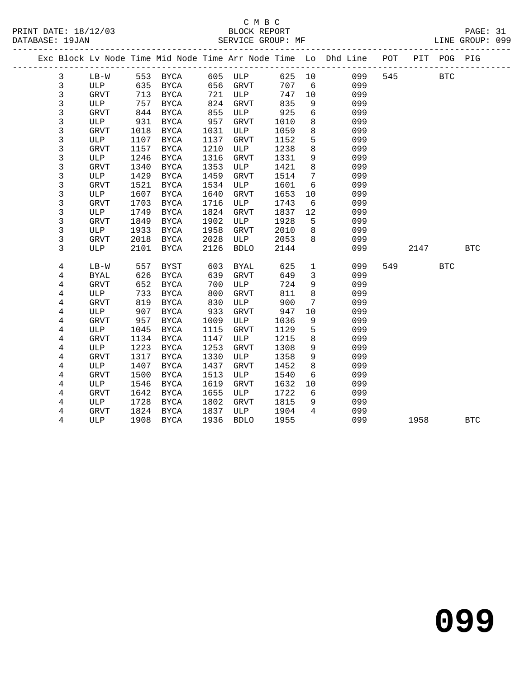|                |             |      |             |      |             |        |                 | Exc Block Lv Node Time Mid Node Time Arr Node Time Lo Dhd Line POT |     |      | PIT POG PIG |            |  |
|----------------|-------------|------|-------------|------|-------------|--------|-----------------|--------------------------------------------------------------------|-----|------|-------------|------------|--|
| $\mathbf{3}$   | LB-W        |      |             |      |             | 625 10 |                 | 099                                                                | 545 |      | <b>BTC</b>  |            |  |
| 3              | ULP         |      |             |      |             | 707    | 6               | 099                                                                |     |      |             |            |  |
| 3              | GRVT        | 713  | BYCA        | 721  | ULP         | 747    | 10              | 099                                                                |     |      |             |            |  |
| 3              | ULP         | 757  | BYCA        | 824  | GRVT        | 835    | 9               | 099                                                                |     |      |             |            |  |
| 3              | GRVT        | 844  | <b>BYCA</b> | 855  | ULP         | 925    | 6               | 099                                                                |     |      |             |            |  |
| $\mathfrak{Z}$ | ULP         | 931  | BYCA        | 957  | GRVT        | 1010   | 8               | 099                                                                |     |      |             |            |  |
| 3              | GRVT        | 1018 | BYCA        | 1031 | ULP         | 1059   | 8               | 099                                                                |     |      |             |            |  |
| 3              | ULP         | 1107 | BYCA        | 1137 | GRVT        | 1152   | 5               | 099                                                                |     |      |             |            |  |
| 3              | GRVT        | 1157 | BYCA        | 1210 | ULP         | 1238   | 8               | 099                                                                |     |      |             |            |  |
| $\mathfrak{Z}$ | ULP         | 1246 | BYCA        | 1316 | GRVT        | 1331   | 9               | 099                                                                |     |      |             |            |  |
| $\mathfrak{Z}$ | <b>GRVT</b> | 1340 | BYCA        | 1353 | ULP         | 1421   | 8               | 099                                                                |     |      |             |            |  |
| 3              | ULP         | 1429 | BYCA        | 1459 | <b>GRVT</b> | 1514   | $7\phantom{.0}$ | 099                                                                |     |      |             |            |  |
| 3              | GRVT        | 1521 | BYCA        | 1534 | ULP         | 1601   | 6               | 099                                                                |     |      |             |            |  |
| 3              | ULP         | 1607 | BYCA        | 1640 | GRVT        | 1653   | 10              | 099                                                                |     |      |             |            |  |
| 3              | <b>GRVT</b> | 1703 | BYCA        | 1716 | ULP         | 1743   | 6               | 099                                                                |     |      |             |            |  |
| $\mathfrak{Z}$ | ULP         | 1749 | <b>BYCA</b> | 1824 | GRVT        | 1837   | 12              | 099                                                                |     |      |             |            |  |
| 3              | GRVT        | 1849 | BYCA        | 1902 | ULP         | 1928   | 5               | 099                                                                |     |      |             |            |  |
| $\mathfrak{Z}$ | ULP         | 1933 | BYCA        | 1958 | <b>GRVT</b> | 2010   | 8               | 099                                                                |     |      |             |            |  |
| 3              | <b>GRVT</b> | 2018 | BYCA        | 2028 | ULP         | 2053   | 8               | 099                                                                |     |      |             |            |  |
| 3              | ULP         | 2101 | BYCA        | 2126 | <b>BDLO</b> | 2144   |                 | 099                                                                |     | 2147 |             | <b>BTC</b> |  |
| 4              | $LB-W$      | 557  | BYST        | 603  | <b>BYAL</b> | 625    | $\mathbf{1}$    | 099                                                                | 549 |      | <b>BTC</b>  |            |  |
| 4              | <b>BYAL</b> | 626  | BYCA        | 639  | <b>GRVT</b> | 649    | $\mathbf{3}$    | 099                                                                |     |      |             |            |  |
| 4              | <b>GRVT</b> | 652  | BYCA        | 700  | ULP         | 724    | 9               | 099                                                                |     |      |             |            |  |
| $\overline{4}$ | ULP         | 733  | BYCA        | 800  | <b>GRVT</b> | 811    | 8               | 099                                                                |     |      |             |            |  |
| 4              | <b>GRVT</b> | 819  | BYCA        | 830  | ULP         | 900    | $7\phantom{.0}$ | 099                                                                |     |      |             |            |  |
| 4              | ULP         | 907  | BYCA        | 933  | <b>GRVT</b> | 947    | 10              | 099                                                                |     |      |             |            |  |
| 4              | GRVT        | 957  | BYCA        | 1009 | ULP         | 1036   | 9               | 099                                                                |     |      |             |            |  |
| 4              | ULP         | 1045 | <b>BYCA</b> | 1115 | <b>GRVT</b> | 1129   | 5               | 099                                                                |     |      |             |            |  |
| 4              | <b>GRVT</b> | 1134 | BYCA        | 1147 | ULP         | 1215   | 8               | 099                                                                |     |      |             |            |  |
| 4              | ULP         | 1223 | BYCA        | 1253 | GRVT        | 1308   | 9               | 099                                                                |     |      |             |            |  |
| 4              | <b>GRVT</b> | 1317 | BYCA        | 1330 | ULP         | 1358   | 9               | 099                                                                |     |      |             |            |  |
| 4              | ULP         | 1407 | <b>BYCA</b> | 1437 | <b>GRVT</b> | 1452   | 8               | 099                                                                |     |      |             |            |  |
| $\overline{4}$ | <b>GRVT</b> | 1500 | BYCA        | 1513 | ULP         | 1540   | $6\overline{6}$ | 099                                                                |     |      |             |            |  |
| 4              | ULP         | 1546 | BYCA        | 1619 | <b>GRVT</b> | 1632   | 10              | 099                                                                |     |      |             |            |  |
| 4              | GRVT        | 1642 | BYCA        | 1655 | ULP         | 1722   | $6\overline{6}$ | 099                                                                |     |      |             |            |  |
| 4              | ULP         | 1728 | BYCA        | 1802 | <b>GRVT</b> | 1815   | 9               | 099                                                                |     |      |             |            |  |
| 4              | <b>GRVT</b> | 1824 | BYCA        | 1837 | ULP         | 1904   | $\overline{4}$  | 099                                                                |     |      |             |            |  |
| $\overline{4}$ | ULP         | 1908 | BYCA        | 1936 | <b>BDLO</b> | 1955   |                 | 099                                                                |     | 1958 |             | <b>BTC</b> |  |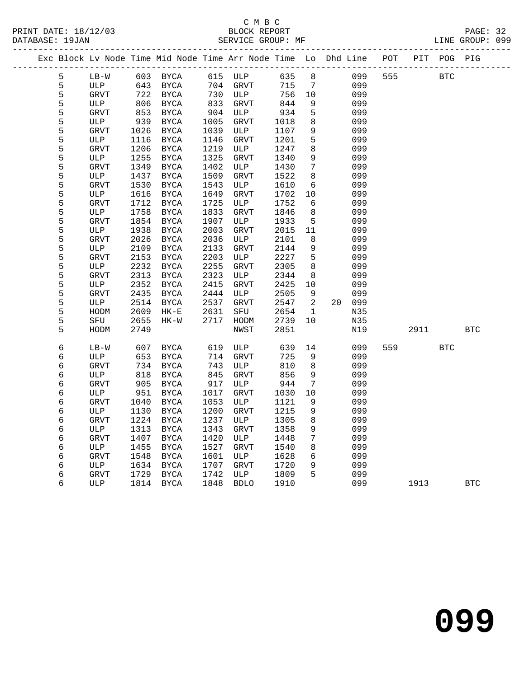| Exc Block Lv Node Time Mid Node Time Arr Node Time Lo Dhd Line POT |                    |              |              |              |             |              |              |    |            |     |      | PIT POG PIG | ----------- |
|--------------------------------------------------------------------|--------------------|--------------|--------------|--------------|-------------|--------------|--------------|----|------------|-----|------|-------------|-------------|
| 5                                                                  | $LB-W$             |              | 603 BYCA     |              | 615 ULP     | 635          | 8            |    | 099        | 555 |      | <b>BTC</b>  |             |
| 5                                                                  | ULP                | 643          | BYCA         | 704          | GRVT        | 715          | 7            |    | 099        |     |      |             |             |
| 5                                                                  | GRVT               | 722          | BYCA         | 730          | ULP         | 756          | 10           |    | 099        |     |      |             |             |
| 5                                                                  | ULP                | 806          | BYCA         | 833          | GRVT        | 844          | 9            |    | 099        |     |      |             |             |
| 5                                                                  | <b>GRVT</b>        | 853          | BYCA         | 904          | ULP         | 934          | 5            |    | 099        |     |      |             |             |
| 5                                                                  | ULP                | 939          | BYCA         | 1005         | <b>GRVT</b> | 1018         | 8            |    | 099        |     |      |             |             |
| 5                                                                  | <b>GRVT</b>        | 1026         | BYCA         | 1039         | ULP         | 1107         | 9            |    | 099        |     |      |             |             |
| 5                                                                  | ULP                | 1116         | BYCA         | 1146         | GRVT        | 1201         | 5            |    | 099        |     |      |             |             |
| 5                                                                  | <b>GRVT</b>        | 1206         | BYCA         | 1219         | ULP         | 1247         | 8            |    | 099        |     |      |             |             |
| 5                                                                  | ULP                | 1255         | BYCA         | 1325         | GRVT        | 1340         | 9            |    | 099        |     |      |             |             |
| 5                                                                  | GRVT               | 1349         | BYCA         | 1402         | ULP         | 1430         | 7            |    | 099        |     |      |             |             |
| 5                                                                  | ULP                | 1437         | BYCA         | 1509         | GRVT        | 1522         | 8            |    | 099        |     |      |             |             |
| 5                                                                  | <b>GRVT</b>        | 1530         | BYCA         | 1543         | ULP         | 1610         | 6            |    | 099        |     |      |             |             |
| 5                                                                  | ULP                | 1616         | BYCA         | 1649         | GRVT        | 1702         | 10           |    | 099        |     |      |             |             |
| 5<br>5                                                             | <b>GRVT</b>        | 1712         | BYCA         | 1725         | ULP         | 1752         | 6            |    | 099        |     |      |             |             |
| 5                                                                  | ULP                | 1758         | BYCA         | 1833<br>1907 | <b>GRVT</b> | 1846         | 8<br>5       |    | 099        |     |      |             |             |
| 5                                                                  | <b>GRVT</b><br>ULP | 1854<br>1938 | BYCA<br>BYCA | 2003         | ULP<br>GRVT | 1933<br>2015 | 11           |    | 099<br>099 |     |      |             |             |
| 5                                                                  | <b>GRVT</b>        | 2026         | BYCA         | 2036         | ULP         | 2101         | 8            |    | 099        |     |      |             |             |
| 5                                                                  | ULP                | 2109         | BYCA         | 2133         | GRVT        | 2144         | $\mathsf 9$  |    | 099        |     |      |             |             |
| 5                                                                  | <b>GRVT</b>        | 2153         | BYCA         | 2203         | ULP         | 2227         | 5            |    | 099        |     |      |             |             |
| 5                                                                  | ULP                | 2232         | BYCA         | 2255         | <b>GRVT</b> | 2305         | 8            |    | 099        |     |      |             |             |
| 5                                                                  | <b>GRVT</b>        | 2313         | BYCA         | 2323         | ULP         | 2344         | 8            |    | 099        |     |      |             |             |
| 5                                                                  | ULP                | 2352         | <b>BYCA</b>  | 2415         | GRVT        | 2425         | 10           |    | 099        |     |      |             |             |
| 5                                                                  | <b>GRVT</b>        | 2435         | BYCA         | 2444         | ULP         | 2505         | 9            |    | 099        |     |      |             |             |
| 5                                                                  | ULP                | 2514         | BYCA         | 2537         | GRVT        | 2547         | 2            | 20 | 099        |     |      |             |             |
| 5                                                                  | HODM               | 2609         | $HK-E$       | 2631         | SFU         | 2654         | $\mathbf{1}$ |    | N35        |     |      |             |             |
| 5                                                                  | SFU                | 2655         | HK-W         | 2717         | HODM        | 2739         | 10           |    | N35        |     |      |             |             |
| 5                                                                  | HODM               | 2749         |              |              | NWST        | 2851         |              |    | N19        |     | 2911 |             | <b>BTC</b>  |
|                                                                    |                    |              |              |              |             |              |              |    |            |     |      |             |             |
| 6                                                                  | $LB-W$             | 607          | BYCA         | 619          | ULP         | 639          | 14           |    | 099        | 559 |      | <b>BTC</b>  |             |
| 6                                                                  | ULP                | 653          | BYCA         | 714          | <b>GRVT</b> | 725          | 9            |    | 099        |     |      |             |             |
| 6                                                                  | <b>GRVT</b>        | 734          | BYCA         | 743          | ULP         | 810          | 8            |    | 099        |     |      |             |             |
| 6                                                                  | ULP                | 818          | BYCA         | 845          | <b>GRVT</b> | 856          | 9            |    | 099        |     |      |             |             |
| 6                                                                  | GRVT               | 905          | BYCA         | 917          | ULP         | 944          | 7            |    | 099        |     |      |             |             |
| 6                                                                  | ULP                | 951          | BYCA         | 1017         | GRVT        | 1030         | 10           |    | 099        |     |      |             |             |
| 6                                                                  | GRVT               | 1040         | BYCA         | 1053         | ULP         | 1121         | 9            |    | 099        |     |      |             |             |
| 6                                                                  | ULP                | 1130         | BYCA         | 1200         | GRVT        | 1215         | 9            |    | 099        |     |      |             |             |
| 6                                                                  | <b>GRVT</b>        | 1224         | BYCA         | 1237         | ULP         | 1305         | 8            |    | 099        |     |      |             |             |
| 6                                                                  | ULP                | 1313         | BYCA         | 1343         | GRVT        | 1358         | 9            |    | 099        |     |      |             |             |
| 6                                                                  | <b>GRVT</b>        | 1407         | BYCA         | 1420         | ULP         | 1448         | 7            |    | 099        |     |      |             |             |
| 6                                                                  | ULP                | 1455         | BYCA         | 1527         | GRVT        | 1540         | 8            |    | 099        |     |      |             |             |
| 6                                                                  | <b>GRVT</b>        | 1548         | <b>BYCA</b>  | 1601         | ULP         | 1628         | 6            |    | 099        |     |      |             |             |
| 6                                                                  | ULP                | 1634         | BYCA         | 1707         | GRVT        | 1720         | 9            |    | 099        |     |      |             |             |
| 6                                                                  | <b>GRVT</b>        | 1729         | BYCA         | 1742         | ULP         | 1809         | $5^{\circ}$  |    | 099        |     |      |             |             |
| 6                                                                  | <b>ULP</b>         | 1814         | BYCA         | 1848         | <b>BDLO</b> | 1910         |              |    | 099        |     | 1913 |             | <b>BTC</b>  |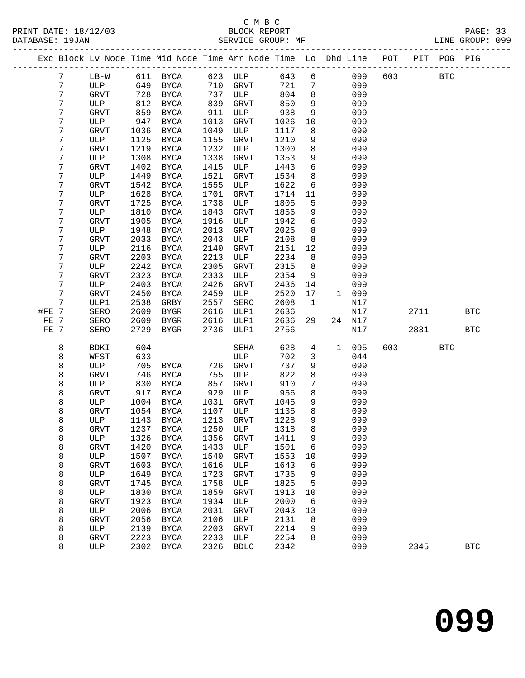| Exc Block Lv Node Time Mid Node Time Arr Node Time Lo Dhd Line POT<br>623<br>643<br>6<br>099<br>603<br>7<br>$LB-W$<br>611<br><b>BYCA</b><br>ULP<br>649<br>710<br>721<br>099<br>7<br>ULP<br>BYCA<br><b>GRVT</b><br>7<br>7<br>728<br>737<br>804<br>8<br>099<br>GRVT<br>BYCA<br>ULP<br>7<br>812<br>850<br>9<br>099<br>ULP<br>BYCA<br>839<br><b>GRVT</b><br>7<br>859<br>938<br>9<br>GRVT<br>BYCA<br>911<br>ULP<br>099<br>7<br>947<br>ULP<br>BYCA<br>1013<br>GRVT<br>1026<br>10<br>099<br>7<br>8<br>099<br>GRVT<br>1036<br>BYCA<br>1049<br>ULP<br>1117<br>7<br>1125<br>9<br>099<br>ULP<br><b>BYCA</b><br>1155<br>GRVT<br>1210<br>7<br>1219<br>1232<br>8<br>099<br>BYCA<br>1300<br>GRVT<br>ULP<br>7<br>9<br>1308<br>BYCA<br>1338<br>GRVT<br>1353<br>099<br>ULP<br>7<br>$6\overline{6}$<br>1402<br>1415<br>099<br><b>GRVT</b><br>BYCA<br>ULP<br>1443<br>7<br>1449<br>1521<br>8<br>BYCA<br>1534<br>099<br>ULP<br>GRVT<br>7<br>1542<br>BYCA<br>1555<br>1622<br>6<br>099<br>GRVT<br>ULP<br>7<br>1628<br><b>BYCA</b><br>1701<br>GRVT<br>11<br>099<br>ULP<br>1714<br>7<br>1725<br>1805<br>5<br>099<br>BYCA<br>1738<br>ULP<br>GRVT<br>7<br>1810<br>1843<br>099<br>BYCA<br><b>GRVT</b><br>1856<br>9<br>ULP<br>7<br>1916<br>6<br>099<br>1905<br>BYCA<br>ULP<br>1942<br>GRVT<br>7<br>8<br>1948<br>BYCA<br>2013<br>GRVT<br>2025<br>099<br>ULP<br>7<br>8<br>2033<br><b>BYCA</b><br>2043<br>ULP<br>2108<br>099<br>GRVT<br>7<br>2116<br>2140<br>2151<br>12<br>099<br>ULP<br>BYCA<br><b>GRVT</b><br>7<br><b>GRVT</b><br>2203<br>BYCA<br>2213<br>ULP<br>2234<br>8<br>099<br>7<br>2242<br>BYCA<br>2305<br>GRVT<br>2315<br>8<br>099<br>ULP<br>7<br>2323<br>2333<br>9<br>BYCA<br>ULP<br>2354<br>099<br><b>GRVT</b><br>7<br>2403<br>2426<br>ULP<br>BYCA<br>GRVT<br>2436<br>14<br>099<br>7<br>2459<br>2450<br>BYCA<br>ULP<br>2520<br>099<br>GRVT<br>17<br>$\mathbf{1}$<br>7<br>2538<br>GRBY<br>2557<br>SERO<br>2608<br>N17<br>ULP1<br>1<br>#FE 7<br>2616<br>SERO<br>2609<br>BYGR<br>2636<br>N17<br>ULP1<br>2609<br>2616<br>FE 7<br>SERO<br>BYGR<br>ULP1<br>2636<br>29<br>24<br>N17<br>2729<br>FE 7<br>SERO<br>BYGR<br>2736<br>ULP1<br>2756<br>N17<br>8<br>604<br>628<br>095<br>603<br><b>BDKI</b><br>SEHA<br>4<br>1<br>8<br>633<br>702<br>044<br>WFST<br>ULP<br>3<br>8<br>737<br>9<br>099<br>ULP<br>705<br>BYCA<br>726<br>GRVT<br>8<br>746<br>822<br>8<br>099<br><b>GRVT</b><br>BYCA<br>755<br>ULP<br>8<br>910<br>7<br>830<br>BYCA<br>857<br>GRVT<br>099<br>ULP<br>8<br>956<br>8<br>917<br>BYCA<br>929<br>ULP<br>099<br>GRVT<br>8<br>9<br>1004<br>BYCA<br>1031<br><b>GRVT</b><br>1045<br>099<br>ULP<br>8<br>1054<br>8<br>BYCA<br>1107<br>ULP<br>1135<br>099<br>GRVT<br>8<br>1213<br>1228<br>9<br>1143<br>BYCA<br>GRVT<br>099<br>ULP<br>1318 8<br>GRVT<br>1237 BYCA<br>1250 ULP<br>099<br>8<br>8<br>1326<br>1356<br>9<br>099<br>ULP<br>BYCA<br>GRVT<br>1411<br>099<br>8<br>1433<br>1501<br><b>GRVT</b><br>1420<br><b>BYCA</b><br>ULP<br>6<br>8<br>099<br>ULP<br>1507<br>1540<br>GRVT<br>1553<br>BYCA<br>10<br>8<br>099<br>1603<br>1616<br>1643<br>6<br><b>BYCA</b><br>ULP<br><b>GRVT</b><br>099<br>8<br>1649<br>1723<br>ULP<br>$_{\rm BYCA}$<br>GRVT<br>1736<br>9<br>099<br>8<br>1758<br>1825<br>GRVT<br>1745<br><b>BYCA</b><br>ULP<br>5<br>8<br>1859<br>099<br>ULP<br>1830<br><b>BYCA</b><br>GRVT<br>1913<br>10<br>8<br>1934<br>099<br>GRVT<br>1923<br><b>BYCA</b><br>ULP<br>2000<br>6<br>8<br>2006<br>099<br>ULP<br><b>BYCA</b><br>2031<br>GRVT<br>2043<br>13 |                      |  |
|-------------------------------------------------------------------------------------------------------------------------------------------------------------------------------------------------------------------------------------------------------------------------------------------------------------------------------------------------------------------------------------------------------------------------------------------------------------------------------------------------------------------------------------------------------------------------------------------------------------------------------------------------------------------------------------------------------------------------------------------------------------------------------------------------------------------------------------------------------------------------------------------------------------------------------------------------------------------------------------------------------------------------------------------------------------------------------------------------------------------------------------------------------------------------------------------------------------------------------------------------------------------------------------------------------------------------------------------------------------------------------------------------------------------------------------------------------------------------------------------------------------------------------------------------------------------------------------------------------------------------------------------------------------------------------------------------------------------------------------------------------------------------------------------------------------------------------------------------------------------------------------------------------------------------------------------------------------------------------------------------------------------------------------------------------------------------------------------------------------------------------------------------------------------------------------------------------------------------------------------------------------------------------------------------------------------------------------------------------------------------------------------------------------------------------------------------------------------------------------------------------------------------------------------------------------------------------------------------------------------------------------------------------------------------------------------------------------------------------------------------------------------------------------------------------------------------------------------------------------------------------------------------------------------------------------------------------------------------------------------------------------------------------------------------------------------------------------------------------------------------------------------------------------------------------------------------------------------------------------------------------------------------------------------------------------------------------------------------------------------------------------------------------------------------------------|----------------------|--|
|                                                                                                                                                                                                                                                                                                                                                                                                                                                                                                                                                                                                                                                                                                                                                                                                                                                                                                                                                                                                                                                                                                                                                                                                                                                                                                                                                                                                                                                                                                                                                                                                                                                                                                                                                                                                                                                                                                                                                                                                                                                                                                                                                                                                                                                                                                                                                                                                                                                                                                                                                                                                                                                                                                                                                                                                                                                                                                                                                                                                                                                                                                                                                                                                                                                                                                                                                                                                                                     | PIT POG PIG          |  |
|                                                                                                                                                                                                                                                                                                                                                                                                                                                                                                                                                                                                                                                                                                                                                                                                                                                                                                                                                                                                                                                                                                                                                                                                                                                                                                                                                                                                                                                                                                                                                                                                                                                                                                                                                                                                                                                                                                                                                                                                                                                                                                                                                                                                                                                                                                                                                                                                                                                                                                                                                                                                                                                                                                                                                                                                                                                                                                                                                                                                                                                                                                                                                                                                                                                                                                                                                                                                                                     | <b>BTC</b>           |  |
|                                                                                                                                                                                                                                                                                                                                                                                                                                                                                                                                                                                                                                                                                                                                                                                                                                                                                                                                                                                                                                                                                                                                                                                                                                                                                                                                                                                                                                                                                                                                                                                                                                                                                                                                                                                                                                                                                                                                                                                                                                                                                                                                                                                                                                                                                                                                                                                                                                                                                                                                                                                                                                                                                                                                                                                                                                                                                                                                                                                                                                                                                                                                                                                                                                                                                                                                                                                                                                     |                      |  |
|                                                                                                                                                                                                                                                                                                                                                                                                                                                                                                                                                                                                                                                                                                                                                                                                                                                                                                                                                                                                                                                                                                                                                                                                                                                                                                                                                                                                                                                                                                                                                                                                                                                                                                                                                                                                                                                                                                                                                                                                                                                                                                                                                                                                                                                                                                                                                                                                                                                                                                                                                                                                                                                                                                                                                                                                                                                                                                                                                                                                                                                                                                                                                                                                                                                                                                                                                                                                                                     |                      |  |
|                                                                                                                                                                                                                                                                                                                                                                                                                                                                                                                                                                                                                                                                                                                                                                                                                                                                                                                                                                                                                                                                                                                                                                                                                                                                                                                                                                                                                                                                                                                                                                                                                                                                                                                                                                                                                                                                                                                                                                                                                                                                                                                                                                                                                                                                                                                                                                                                                                                                                                                                                                                                                                                                                                                                                                                                                                                                                                                                                                                                                                                                                                                                                                                                                                                                                                                                                                                                                                     |                      |  |
|                                                                                                                                                                                                                                                                                                                                                                                                                                                                                                                                                                                                                                                                                                                                                                                                                                                                                                                                                                                                                                                                                                                                                                                                                                                                                                                                                                                                                                                                                                                                                                                                                                                                                                                                                                                                                                                                                                                                                                                                                                                                                                                                                                                                                                                                                                                                                                                                                                                                                                                                                                                                                                                                                                                                                                                                                                                                                                                                                                                                                                                                                                                                                                                                                                                                                                                                                                                                                                     |                      |  |
|                                                                                                                                                                                                                                                                                                                                                                                                                                                                                                                                                                                                                                                                                                                                                                                                                                                                                                                                                                                                                                                                                                                                                                                                                                                                                                                                                                                                                                                                                                                                                                                                                                                                                                                                                                                                                                                                                                                                                                                                                                                                                                                                                                                                                                                                                                                                                                                                                                                                                                                                                                                                                                                                                                                                                                                                                                                                                                                                                                                                                                                                                                                                                                                                                                                                                                                                                                                                                                     |                      |  |
|                                                                                                                                                                                                                                                                                                                                                                                                                                                                                                                                                                                                                                                                                                                                                                                                                                                                                                                                                                                                                                                                                                                                                                                                                                                                                                                                                                                                                                                                                                                                                                                                                                                                                                                                                                                                                                                                                                                                                                                                                                                                                                                                                                                                                                                                                                                                                                                                                                                                                                                                                                                                                                                                                                                                                                                                                                                                                                                                                                                                                                                                                                                                                                                                                                                                                                                                                                                                                                     |                      |  |
|                                                                                                                                                                                                                                                                                                                                                                                                                                                                                                                                                                                                                                                                                                                                                                                                                                                                                                                                                                                                                                                                                                                                                                                                                                                                                                                                                                                                                                                                                                                                                                                                                                                                                                                                                                                                                                                                                                                                                                                                                                                                                                                                                                                                                                                                                                                                                                                                                                                                                                                                                                                                                                                                                                                                                                                                                                                                                                                                                                                                                                                                                                                                                                                                                                                                                                                                                                                                                                     |                      |  |
|                                                                                                                                                                                                                                                                                                                                                                                                                                                                                                                                                                                                                                                                                                                                                                                                                                                                                                                                                                                                                                                                                                                                                                                                                                                                                                                                                                                                                                                                                                                                                                                                                                                                                                                                                                                                                                                                                                                                                                                                                                                                                                                                                                                                                                                                                                                                                                                                                                                                                                                                                                                                                                                                                                                                                                                                                                                                                                                                                                                                                                                                                                                                                                                                                                                                                                                                                                                                                                     |                      |  |
|                                                                                                                                                                                                                                                                                                                                                                                                                                                                                                                                                                                                                                                                                                                                                                                                                                                                                                                                                                                                                                                                                                                                                                                                                                                                                                                                                                                                                                                                                                                                                                                                                                                                                                                                                                                                                                                                                                                                                                                                                                                                                                                                                                                                                                                                                                                                                                                                                                                                                                                                                                                                                                                                                                                                                                                                                                                                                                                                                                                                                                                                                                                                                                                                                                                                                                                                                                                                                                     |                      |  |
|                                                                                                                                                                                                                                                                                                                                                                                                                                                                                                                                                                                                                                                                                                                                                                                                                                                                                                                                                                                                                                                                                                                                                                                                                                                                                                                                                                                                                                                                                                                                                                                                                                                                                                                                                                                                                                                                                                                                                                                                                                                                                                                                                                                                                                                                                                                                                                                                                                                                                                                                                                                                                                                                                                                                                                                                                                                                                                                                                                                                                                                                                                                                                                                                                                                                                                                                                                                                                                     |                      |  |
|                                                                                                                                                                                                                                                                                                                                                                                                                                                                                                                                                                                                                                                                                                                                                                                                                                                                                                                                                                                                                                                                                                                                                                                                                                                                                                                                                                                                                                                                                                                                                                                                                                                                                                                                                                                                                                                                                                                                                                                                                                                                                                                                                                                                                                                                                                                                                                                                                                                                                                                                                                                                                                                                                                                                                                                                                                                                                                                                                                                                                                                                                                                                                                                                                                                                                                                                                                                                                                     |                      |  |
|                                                                                                                                                                                                                                                                                                                                                                                                                                                                                                                                                                                                                                                                                                                                                                                                                                                                                                                                                                                                                                                                                                                                                                                                                                                                                                                                                                                                                                                                                                                                                                                                                                                                                                                                                                                                                                                                                                                                                                                                                                                                                                                                                                                                                                                                                                                                                                                                                                                                                                                                                                                                                                                                                                                                                                                                                                                                                                                                                                                                                                                                                                                                                                                                                                                                                                                                                                                                                                     |                      |  |
|                                                                                                                                                                                                                                                                                                                                                                                                                                                                                                                                                                                                                                                                                                                                                                                                                                                                                                                                                                                                                                                                                                                                                                                                                                                                                                                                                                                                                                                                                                                                                                                                                                                                                                                                                                                                                                                                                                                                                                                                                                                                                                                                                                                                                                                                                                                                                                                                                                                                                                                                                                                                                                                                                                                                                                                                                                                                                                                                                                                                                                                                                                                                                                                                                                                                                                                                                                                                                                     |                      |  |
|                                                                                                                                                                                                                                                                                                                                                                                                                                                                                                                                                                                                                                                                                                                                                                                                                                                                                                                                                                                                                                                                                                                                                                                                                                                                                                                                                                                                                                                                                                                                                                                                                                                                                                                                                                                                                                                                                                                                                                                                                                                                                                                                                                                                                                                                                                                                                                                                                                                                                                                                                                                                                                                                                                                                                                                                                                                                                                                                                                                                                                                                                                                                                                                                                                                                                                                                                                                                                                     |                      |  |
|                                                                                                                                                                                                                                                                                                                                                                                                                                                                                                                                                                                                                                                                                                                                                                                                                                                                                                                                                                                                                                                                                                                                                                                                                                                                                                                                                                                                                                                                                                                                                                                                                                                                                                                                                                                                                                                                                                                                                                                                                                                                                                                                                                                                                                                                                                                                                                                                                                                                                                                                                                                                                                                                                                                                                                                                                                                                                                                                                                                                                                                                                                                                                                                                                                                                                                                                                                                                                                     |                      |  |
|                                                                                                                                                                                                                                                                                                                                                                                                                                                                                                                                                                                                                                                                                                                                                                                                                                                                                                                                                                                                                                                                                                                                                                                                                                                                                                                                                                                                                                                                                                                                                                                                                                                                                                                                                                                                                                                                                                                                                                                                                                                                                                                                                                                                                                                                                                                                                                                                                                                                                                                                                                                                                                                                                                                                                                                                                                                                                                                                                                                                                                                                                                                                                                                                                                                                                                                                                                                                                                     |                      |  |
|                                                                                                                                                                                                                                                                                                                                                                                                                                                                                                                                                                                                                                                                                                                                                                                                                                                                                                                                                                                                                                                                                                                                                                                                                                                                                                                                                                                                                                                                                                                                                                                                                                                                                                                                                                                                                                                                                                                                                                                                                                                                                                                                                                                                                                                                                                                                                                                                                                                                                                                                                                                                                                                                                                                                                                                                                                                                                                                                                                                                                                                                                                                                                                                                                                                                                                                                                                                                                                     |                      |  |
|                                                                                                                                                                                                                                                                                                                                                                                                                                                                                                                                                                                                                                                                                                                                                                                                                                                                                                                                                                                                                                                                                                                                                                                                                                                                                                                                                                                                                                                                                                                                                                                                                                                                                                                                                                                                                                                                                                                                                                                                                                                                                                                                                                                                                                                                                                                                                                                                                                                                                                                                                                                                                                                                                                                                                                                                                                                                                                                                                                                                                                                                                                                                                                                                                                                                                                                                                                                                                                     |                      |  |
|                                                                                                                                                                                                                                                                                                                                                                                                                                                                                                                                                                                                                                                                                                                                                                                                                                                                                                                                                                                                                                                                                                                                                                                                                                                                                                                                                                                                                                                                                                                                                                                                                                                                                                                                                                                                                                                                                                                                                                                                                                                                                                                                                                                                                                                                                                                                                                                                                                                                                                                                                                                                                                                                                                                                                                                                                                                                                                                                                                                                                                                                                                                                                                                                                                                                                                                                                                                                                                     |                      |  |
|                                                                                                                                                                                                                                                                                                                                                                                                                                                                                                                                                                                                                                                                                                                                                                                                                                                                                                                                                                                                                                                                                                                                                                                                                                                                                                                                                                                                                                                                                                                                                                                                                                                                                                                                                                                                                                                                                                                                                                                                                                                                                                                                                                                                                                                                                                                                                                                                                                                                                                                                                                                                                                                                                                                                                                                                                                                                                                                                                                                                                                                                                                                                                                                                                                                                                                                                                                                                                                     |                      |  |
|                                                                                                                                                                                                                                                                                                                                                                                                                                                                                                                                                                                                                                                                                                                                                                                                                                                                                                                                                                                                                                                                                                                                                                                                                                                                                                                                                                                                                                                                                                                                                                                                                                                                                                                                                                                                                                                                                                                                                                                                                                                                                                                                                                                                                                                                                                                                                                                                                                                                                                                                                                                                                                                                                                                                                                                                                                                                                                                                                                                                                                                                                                                                                                                                                                                                                                                                                                                                                                     |                      |  |
|                                                                                                                                                                                                                                                                                                                                                                                                                                                                                                                                                                                                                                                                                                                                                                                                                                                                                                                                                                                                                                                                                                                                                                                                                                                                                                                                                                                                                                                                                                                                                                                                                                                                                                                                                                                                                                                                                                                                                                                                                                                                                                                                                                                                                                                                                                                                                                                                                                                                                                                                                                                                                                                                                                                                                                                                                                                                                                                                                                                                                                                                                                                                                                                                                                                                                                                                                                                                                                     |                      |  |
|                                                                                                                                                                                                                                                                                                                                                                                                                                                                                                                                                                                                                                                                                                                                                                                                                                                                                                                                                                                                                                                                                                                                                                                                                                                                                                                                                                                                                                                                                                                                                                                                                                                                                                                                                                                                                                                                                                                                                                                                                                                                                                                                                                                                                                                                                                                                                                                                                                                                                                                                                                                                                                                                                                                                                                                                                                                                                                                                                                                                                                                                                                                                                                                                                                                                                                                                                                                                                                     |                      |  |
|                                                                                                                                                                                                                                                                                                                                                                                                                                                                                                                                                                                                                                                                                                                                                                                                                                                                                                                                                                                                                                                                                                                                                                                                                                                                                                                                                                                                                                                                                                                                                                                                                                                                                                                                                                                                                                                                                                                                                                                                                                                                                                                                                                                                                                                                                                                                                                                                                                                                                                                                                                                                                                                                                                                                                                                                                                                                                                                                                                                                                                                                                                                                                                                                                                                                                                                                                                                                                                     |                      |  |
|                                                                                                                                                                                                                                                                                                                                                                                                                                                                                                                                                                                                                                                                                                                                                                                                                                                                                                                                                                                                                                                                                                                                                                                                                                                                                                                                                                                                                                                                                                                                                                                                                                                                                                                                                                                                                                                                                                                                                                                                                                                                                                                                                                                                                                                                                                                                                                                                                                                                                                                                                                                                                                                                                                                                                                                                                                                                                                                                                                                                                                                                                                                                                                                                                                                                                                                                                                                                                                     | 2711<br><b>BTC</b>   |  |
|                                                                                                                                                                                                                                                                                                                                                                                                                                                                                                                                                                                                                                                                                                                                                                                                                                                                                                                                                                                                                                                                                                                                                                                                                                                                                                                                                                                                                                                                                                                                                                                                                                                                                                                                                                                                                                                                                                                                                                                                                                                                                                                                                                                                                                                                                                                                                                                                                                                                                                                                                                                                                                                                                                                                                                                                                                                                                                                                                                                                                                                                                                                                                                                                                                                                                                                                                                                                                                     |                      |  |
|                                                                                                                                                                                                                                                                                                                                                                                                                                                                                                                                                                                                                                                                                                                                                                                                                                                                                                                                                                                                                                                                                                                                                                                                                                                                                                                                                                                                                                                                                                                                                                                                                                                                                                                                                                                                                                                                                                                                                                                                                                                                                                                                                                                                                                                                                                                                                                                                                                                                                                                                                                                                                                                                                                                                                                                                                                                                                                                                                                                                                                                                                                                                                                                                                                                                                                                                                                                                                                     | 2831<br>$_{\rm BTC}$ |  |
|                                                                                                                                                                                                                                                                                                                                                                                                                                                                                                                                                                                                                                                                                                                                                                                                                                                                                                                                                                                                                                                                                                                                                                                                                                                                                                                                                                                                                                                                                                                                                                                                                                                                                                                                                                                                                                                                                                                                                                                                                                                                                                                                                                                                                                                                                                                                                                                                                                                                                                                                                                                                                                                                                                                                                                                                                                                                                                                                                                                                                                                                                                                                                                                                                                                                                                                                                                                                                                     | <b>BTC</b>           |  |
|                                                                                                                                                                                                                                                                                                                                                                                                                                                                                                                                                                                                                                                                                                                                                                                                                                                                                                                                                                                                                                                                                                                                                                                                                                                                                                                                                                                                                                                                                                                                                                                                                                                                                                                                                                                                                                                                                                                                                                                                                                                                                                                                                                                                                                                                                                                                                                                                                                                                                                                                                                                                                                                                                                                                                                                                                                                                                                                                                                                                                                                                                                                                                                                                                                                                                                                                                                                                                                     |                      |  |
|                                                                                                                                                                                                                                                                                                                                                                                                                                                                                                                                                                                                                                                                                                                                                                                                                                                                                                                                                                                                                                                                                                                                                                                                                                                                                                                                                                                                                                                                                                                                                                                                                                                                                                                                                                                                                                                                                                                                                                                                                                                                                                                                                                                                                                                                                                                                                                                                                                                                                                                                                                                                                                                                                                                                                                                                                                                                                                                                                                                                                                                                                                                                                                                                                                                                                                                                                                                                                                     |                      |  |
|                                                                                                                                                                                                                                                                                                                                                                                                                                                                                                                                                                                                                                                                                                                                                                                                                                                                                                                                                                                                                                                                                                                                                                                                                                                                                                                                                                                                                                                                                                                                                                                                                                                                                                                                                                                                                                                                                                                                                                                                                                                                                                                                                                                                                                                                                                                                                                                                                                                                                                                                                                                                                                                                                                                                                                                                                                                                                                                                                                                                                                                                                                                                                                                                                                                                                                                                                                                                                                     |                      |  |
|                                                                                                                                                                                                                                                                                                                                                                                                                                                                                                                                                                                                                                                                                                                                                                                                                                                                                                                                                                                                                                                                                                                                                                                                                                                                                                                                                                                                                                                                                                                                                                                                                                                                                                                                                                                                                                                                                                                                                                                                                                                                                                                                                                                                                                                                                                                                                                                                                                                                                                                                                                                                                                                                                                                                                                                                                                                                                                                                                                                                                                                                                                                                                                                                                                                                                                                                                                                                                                     |                      |  |
|                                                                                                                                                                                                                                                                                                                                                                                                                                                                                                                                                                                                                                                                                                                                                                                                                                                                                                                                                                                                                                                                                                                                                                                                                                                                                                                                                                                                                                                                                                                                                                                                                                                                                                                                                                                                                                                                                                                                                                                                                                                                                                                                                                                                                                                                                                                                                                                                                                                                                                                                                                                                                                                                                                                                                                                                                                                                                                                                                                                                                                                                                                                                                                                                                                                                                                                                                                                                                                     |                      |  |
|                                                                                                                                                                                                                                                                                                                                                                                                                                                                                                                                                                                                                                                                                                                                                                                                                                                                                                                                                                                                                                                                                                                                                                                                                                                                                                                                                                                                                                                                                                                                                                                                                                                                                                                                                                                                                                                                                                                                                                                                                                                                                                                                                                                                                                                                                                                                                                                                                                                                                                                                                                                                                                                                                                                                                                                                                                                                                                                                                                                                                                                                                                                                                                                                                                                                                                                                                                                                                                     |                      |  |
|                                                                                                                                                                                                                                                                                                                                                                                                                                                                                                                                                                                                                                                                                                                                                                                                                                                                                                                                                                                                                                                                                                                                                                                                                                                                                                                                                                                                                                                                                                                                                                                                                                                                                                                                                                                                                                                                                                                                                                                                                                                                                                                                                                                                                                                                                                                                                                                                                                                                                                                                                                                                                                                                                                                                                                                                                                                                                                                                                                                                                                                                                                                                                                                                                                                                                                                                                                                                                                     |                      |  |
|                                                                                                                                                                                                                                                                                                                                                                                                                                                                                                                                                                                                                                                                                                                                                                                                                                                                                                                                                                                                                                                                                                                                                                                                                                                                                                                                                                                                                                                                                                                                                                                                                                                                                                                                                                                                                                                                                                                                                                                                                                                                                                                                                                                                                                                                                                                                                                                                                                                                                                                                                                                                                                                                                                                                                                                                                                                                                                                                                                                                                                                                                                                                                                                                                                                                                                                                                                                                                                     |                      |  |
|                                                                                                                                                                                                                                                                                                                                                                                                                                                                                                                                                                                                                                                                                                                                                                                                                                                                                                                                                                                                                                                                                                                                                                                                                                                                                                                                                                                                                                                                                                                                                                                                                                                                                                                                                                                                                                                                                                                                                                                                                                                                                                                                                                                                                                                                                                                                                                                                                                                                                                                                                                                                                                                                                                                                                                                                                                                                                                                                                                                                                                                                                                                                                                                                                                                                                                                                                                                                                                     |                      |  |
|                                                                                                                                                                                                                                                                                                                                                                                                                                                                                                                                                                                                                                                                                                                                                                                                                                                                                                                                                                                                                                                                                                                                                                                                                                                                                                                                                                                                                                                                                                                                                                                                                                                                                                                                                                                                                                                                                                                                                                                                                                                                                                                                                                                                                                                                                                                                                                                                                                                                                                                                                                                                                                                                                                                                                                                                                                                                                                                                                                                                                                                                                                                                                                                                                                                                                                                                                                                                                                     |                      |  |
|                                                                                                                                                                                                                                                                                                                                                                                                                                                                                                                                                                                                                                                                                                                                                                                                                                                                                                                                                                                                                                                                                                                                                                                                                                                                                                                                                                                                                                                                                                                                                                                                                                                                                                                                                                                                                                                                                                                                                                                                                                                                                                                                                                                                                                                                                                                                                                                                                                                                                                                                                                                                                                                                                                                                                                                                                                                                                                                                                                                                                                                                                                                                                                                                                                                                                                                                                                                                                                     |                      |  |
|                                                                                                                                                                                                                                                                                                                                                                                                                                                                                                                                                                                                                                                                                                                                                                                                                                                                                                                                                                                                                                                                                                                                                                                                                                                                                                                                                                                                                                                                                                                                                                                                                                                                                                                                                                                                                                                                                                                                                                                                                                                                                                                                                                                                                                                                                                                                                                                                                                                                                                                                                                                                                                                                                                                                                                                                                                                                                                                                                                                                                                                                                                                                                                                                                                                                                                                                                                                                                                     |                      |  |
|                                                                                                                                                                                                                                                                                                                                                                                                                                                                                                                                                                                                                                                                                                                                                                                                                                                                                                                                                                                                                                                                                                                                                                                                                                                                                                                                                                                                                                                                                                                                                                                                                                                                                                                                                                                                                                                                                                                                                                                                                                                                                                                                                                                                                                                                                                                                                                                                                                                                                                                                                                                                                                                                                                                                                                                                                                                                                                                                                                                                                                                                                                                                                                                                                                                                                                                                                                                                                                     |                      |  |
|                                                                                                                                                                                                                                                                                                                                                                                                                                                                                                                                                                                                                                                                                                                                                                                                                                                                                                                                                                                                                                                                                                                                                                                                                                                                                                                                                                                                                                                                                                                                                                                                                                                                                                                                                                                                                                                                                                                                                                                                                                                                                                                                                                                                                                                                                                                                                                                                                                                                                                                                                                                                                                                                                                                                                                                                                                                                                                                                                                                                                                                                                                                                                                                                                                                                                                                                                                                                                                     |                      |  |
|                                                                                                                                                                                                                                                                                                                                                                                                                                                                                                                                                                                                                                                                                                                                                                                                                                                                                                                                                                                                                                                                                                                                                                                                                                                                                                                                                                                                                                                                                                                                                                                                                                                                                                                                                                                                                                                                                                                                                                                                                                                                                                                                                                                                                                                                                                                                                                                                                                                                                                                                                                                                                                                                                                                                                                                                                                                                                                                                                                                                                                                                                                                                                                                                                                                                                                                                                                                                                                     |                      |  |
|                                                                                                                                                                                                                                                                                                                                                                                                                                                                                                                                                                                                                                                                                                                                                                                                                                                                                                                                                                                                                                                                                                                                                                                                                                                                                                                                                                                                                                                                                                                                                                                                                                                                                                                                                                                                                                                                                                                                                                                                                                                                                                                                                                                                                                                                                                                                                                                                                                                                                                                                                                                                                                                                                                                                                                                                                                                                                                                                                                                                                                                                                                                                                                                                                                                                                                                                                                                                                                     |                      |  |
|                                                                                                                                                                                                                                                                                                                                                                                                                                                                                                                                                                                                                                                                                                                                                                                                                                                                                                                                                                                                                                                                                                                                                                                                                                                                                                                                                                                                                                                                                                                                                                                                                                                                                                                                                                                                                                                                                                                                                                                                                                                                                                                                                                                                                                                                                                                                                                                                                                                                                                                                                                                                                                                                                                                                                                                                                                                                                                                                                                                                                                                                                                                                                                                                                                                                                                                                                                                                                                     |                      |  |
| 8<br>099<br>GRVT<br>2056<br><b>BYCA</b><br>2106<br>ULP<br>2131<br>8                                                                                                                                                                                                                                                                                                                                                                                                                                                                                                                                                                                                                                                                                                                                                                                                                                                                                                                                                                                                                                                                                                                                                                                                                                                                                                                                                                                                                                                                                                                                                                                                                                                                                                                                                                                                                                                                                                                                                                                                                                                                                                                                                                                                                                                                                                                                                                                                                                                                                                                                                                                                                                                                                                                                                                                                                                                                                                                                                                                                                                                                                                                                                                                                                                                                                                                                                                 |                      |  |
| 8<br>099<br>2139<br><b>BYCA</b><br>2203<br>GRVT<br>2214<br>9<br>ULP                                                                                                                                                                                                                                                                                                                                                                                                                                                                                                                                                                                                                                                                                                                                                                                                                                                                                                                                                                                                                                                                                                                                                                                                                                                                                                                                                                                                                                                                                                                                                                                                                                                                                                                                                                                                                                                                                                                                                                                                                                                                                                                                                                                                                                                                                                                                                                                                                                                                                                                                                                                                                                                                                                                                                                                                                                                                                                                                                                                                                                                                                                                                                                                                                                                                                                                                                                 |                      |  |
| 8<br>2223<br>2233<br>2254<br>099<br><b>GRVT</b><br>$_{\rm BYCA}$<br>ULP<br>8                                                                                                                                                                                                                                                                                                                                                                                                                                                                                                                                                                                                                                                                                                                                                                                                                                                                                                                                                                                                                                                                                                                                                                                                                                                                                                                                                                                                                                                                                                                                                                                                                                                                                                                                                                                                                                                                                                                                                                                                                                                                                                                                                                                                                                                                                                                                                                                                                                                                                                                                                                                                                                                                                                                                                                                                                                                                                                                                                                                                                                                                                                                                                                                                                                                                                                                                                        |                      |  |
| 8<br>2302<br>2326<br><b>BDLO</b><br>2342<br>099<br>ULP<br>BYCA                                                                                                                                                                                                                                                                                                                                                                                                                                                                                                                                                                                                                                                                                                                                                                                                                                                                                                                                                                                                                                                                                                                                                                                                                                                                                                                                                                                                                                                                                                                                                                                                                                                                                                                                                                                                                                                                                                                                                                                                                                                                                                                                                                                                                                                                                                                                                                                                                                                                                                                                                                                                                                                                                                                                                                                                                                                                                                                                                                                                                                                                                                                                                                                                                                                                                                                                                                      | 2345<br><b>BTC</b>   |  |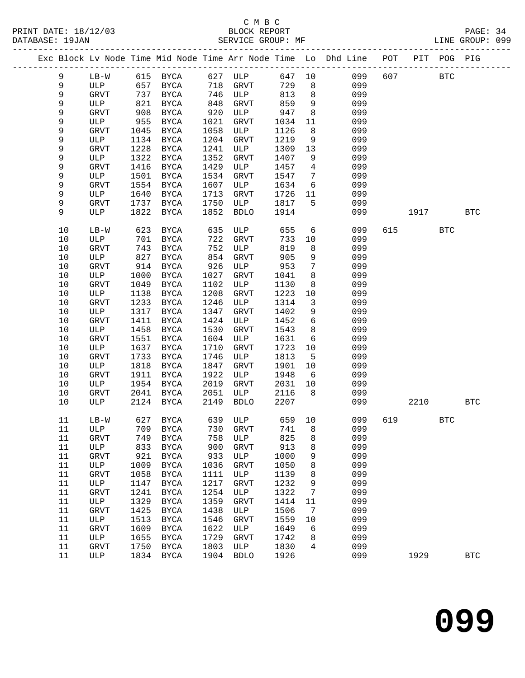# C M B C

| DATABASE: 19JAN |         |      | SERVICE GROUP: MF |            |               |      |                         | LINE GROUP: 099                                                                |     |            |              |            |  |
|-----------------|---------|------|-------------------|------------|---------------|------|-------------------------|--------------------------------------------------------------------------------|-----|------------|--------------|------------|--|
|                 |         |      |                   |            |               |      |                         | Exc Block Lv Node Time Mid Node Time Arr Node Time Lo Dhd Line POT PIT POG PIG |     |            |              |            |  |
| 9               |         |      |                   |            |               |      |                         | LB-W 615 BYCA 627 ULP 647 10 099                                               | 607 | <b>BTC</b> |              |            |  |
| 9               | ULP 657 |      |                   |            | BYCA 718 GRVT | 729  | 8 <sup>8</sup>          | 099                                                                            |     |            |              |            |  |
| 9               | GRVT    | 737  | BYCA              |            | 746 ULP       | 813  | 8 <sup>8</sup>          | 099                                                                            |     |            |              |            |  |
| 9               | ULP     | 821  | BYCA              |            | GRVT          | 859  | 9                       | 099                                                                            |     |            |              |            |  |
| 9               | GRVT    | 908  | BYCA              | 848<br>920 | ULP           | 947  | 8                       | 099                                                                            |     |            |              |            |  |
| 9               | ULP     | 955  | BYCA              | 1021       | GRVT          | 1034 | 11                      | 099                                                                            |     |            |              |            |  |
| 9               | GRVT    | 1045 | BYCA              | 1058       | ULP           | 1126 | 8                       | 099                                                                            |     |            |              |            |  |
| 9               | ULP     | 1134 | BYCA              | 1204       | GRVT          | 1219 | 9                       | 099                                                                            |     |            |              |            |  |
| 9               | GRVT    | 1228 | BYCA              | 1241       | ULP           | 1309 | 13                      | 099                                                                            |     |            |              |            |  |
| 9               | ULP     | 1322 | BYCA              | 1352       | <b>GRVT</b>   | 1407 | 9                       | 099                                                                            |     |            |              |            |  |
| 9               | GRVT    | 1416 | BYCA              | 1429       | ULP           | 1457 | $\overline{4}$          | 099                                                                            |     |            |              |            |  |
| 9               | ULP     | 1501 | BYCA              | 1534       | GRVT          | 1547 | $\overline{7}$          | 099                                                                            |     |            |              |            |  |
| 9               | GRVT    | 1554 | BYCA              | 1607       | ULP           | 1634 | 6                       | 099                                                                            |     |            |              |            |  |
| 9               | ULP     | 1640 | BYCA              | 1713       | GRVT          | 1726 | 11                      | 099                                                                            |     |            |              |            |  |
| 9               | GRVT    | 1737 | BYCA              | 1750       | ULP           | 1817 | 5                       | 099                                                                            |     |            |              |            |  |
| 9               | ULP     | 1822 | BYCA              | 1852       | BDLO          | 1914 |                         | 099                                                                            |     |            | 1917         | <b>BTC</b> |  |
| 10              | $LB-W$  |      | 623 BYCA          | 635        | ULP           | 655  | 6                       | 099                                                                            |     | 615 — 10   | <b>BTC</b>   |            |  |
| 10              | ULP     | 701  | BYCA              | 722        | GRVT          | 733  | 10                      | 099                                                                            |     |            |              |            |  |
| 10              | GRVT    | 743  | BYCA              | 752        | ULP           | 819  | 8                       | 099                                                                            |     |            |              |            |  |
| 10              | ULP     | 827  | BYCA              | 854        | GRVT          | 905  | 9                       | 099                                                                            |     |            |              |            |  |
| 10              | GRVT    | 914  | BYCA              | 926        | ULP           | 953  | $7\phantom{.0}$         | 099                                                                            |     |            |              |            |  |
| 10              | ULP     | 1000 | BYCA              | 1027       | GRVT          | 1041 | 8                       | 099                                                                            |     |            |              |            |  |
| 10              | GRVT    | 1049 | BYCA              | 1102       | ULP           | 1130 | 8                       | 099                                                                            |     |            |              |            |  |
| 10              | ULP     | 1138 | BYCA              | 1208       | GRVT          | 1223 | 10                      | 099                                                                            |     |            |              |            |  |
| 10              | GRVT    | 1233 | BYCA              | 1246       | ULP           | 1314 | $\overline{\mathbf{3}}$ | 099                                                                            |     |            |              |            |  |
| 10              | ULP     | 1317 | BYCA              | 1347       | GRVT          | 1402 | 9                       | 099                                                                            |     |            |              |            |  |
| 10              | GRVT    | 1411 | BYCA              | 1424       | ULP           | 1452 | $6\overline{6}$         | 099                                                                            |     |            |              |            |  |
| 10              | ULP     | 1458 | BYCA              | 1530       | GRVT          | 1543 | 8                       | 099                                                                            |     |            |              |            |  |
| 10              | GRVT    | 1551 | BYCA              | 1604       | ULP           | 1631 | 6                       | 099                                                                            |     |            |              |            |  |
| $10$            | ULP     | 1637 | BYCA              | 1710       | GRVT          | 1723 | 10                      | 099                                                                            |     |            |              |            |  |
| 10              | GRVT    | 1733 | BYCA              | 1746       | ULP           | 1813 | 5                       | 099                                                                            |     |            |              |            |  |
| 10              | ULP     | 1818 | BYCA              | 1847       | GRVT          | 1901 | 10                      | 099                                                                            |     |            |              |            |  |
| 10              | GRVT    | 1911 | BYCA              | 1922       | ULP           | 1948 | 6                       | 099                                                                            |     |            |              |            |  |
| 10              | ULP     | 1954 | BYCA              | 2019       | GRVT          | 2031 | 10                      | 099                                                                            |     |            |              |            |  |
| 10              | GRVT    | 2041 | BYCA              | 2051       | ULP           | 2116 | 8 <sup>8</sup>          | 099                                                                            |     |            |              |            |  |
| 10              | ULP     |      | 2124 BYCA         | 2149       | BDLO          | 2207 |                         | 099                                                                            |     | 2210       |              | <b>BTC</b> |  |
|                 |         |      |                   |            |               |      |                         | 11 LB-W 627 BYCA 639 ULP 659 10 099 619                                        |     |            | $_{\rm BTC}$ |            |  |
| 11              | ULP     | 709  | <b>BYCA</b>       | 730        | <b>GRVT</b>   | 741  | 8                       | 099                                                                            |     |            |              |            |  |
| 11              | GRVT    | 749  | BYCA              | 758        | ULP           | 825  | 8                       | 099                                                                            |     |            |              |            |  |
| 11              | ULP     | 833  | BYCA              | 900        | GRVT          | 913  | 8                       | 099                                                                            |     |            |              |            |  |
| 11              | GRVT    | 921  | <b>BYCA</b>       | 933        | ULP           | 1000 | 9                       | 099                                                                            |     |            |              |            |  |
| 11              | ULP     | 1009 | BYCA              | 1036       | GRVT          | 1050 | 8                       | 099                                                                            |     |            |              |            |  |
| 11              | GRVT    | 1058 | <b>BYCA</b>       | 1111       | ULP           | 1139 | 8                       | 099                                                                            |     |            |              |            |  |
| 11              | ULP     | 1147 | BYCA              | 1217       | <b>GRVT</b>   | 1232 | 9                       | 099                                                                            |     |            |              |            |  |
| 11              | GRVT    | 1241 | BYCA              | 1254       | ULP           | 1322 | 7                       | 099                                                                            |     |            |              |            |  |
| 11              | ULP     | 1329 | BYCA              | 1359       | GRVT          | 1414 | 11                      | 099                                                                            |     |            |              |            |  |
| 11              | GRVT    | 1425 | <b>BYCA</b>       | 1438       | ULP           | 1506 | 7                       | 099                                                                            |     |            |              |            |  |
| 11              | ULP     | 1513 | BYCA              | 1546       | GRVT          | 1559 | 10                      | 099                                                                            |     |            |              |            |  |
| 11              | GRVT    | 1609 | BYCA              | 1622       | ULP           | 1649 | 6                       | 099                                                                            |     |            |              |            |  |
| 11              | ULP     | 1655 | BYCA              | 1729       | <b>GRVT</b>   | 1742 | 8                       | 099                                                                            |     |            |              |            |  |
| 11              | GRVT    | 1750 | BYCA              | 1803       | ULP           | 1830 | 4                       | 099                                                                            |     |            |              |            |  |
| 11              | ULP     |      | 1834 BYCA         | 1904       | <b>BDLO</b>   | 1926 |                         | 099                                                                            |     | 1929       |              | <b>BTC</b> |  |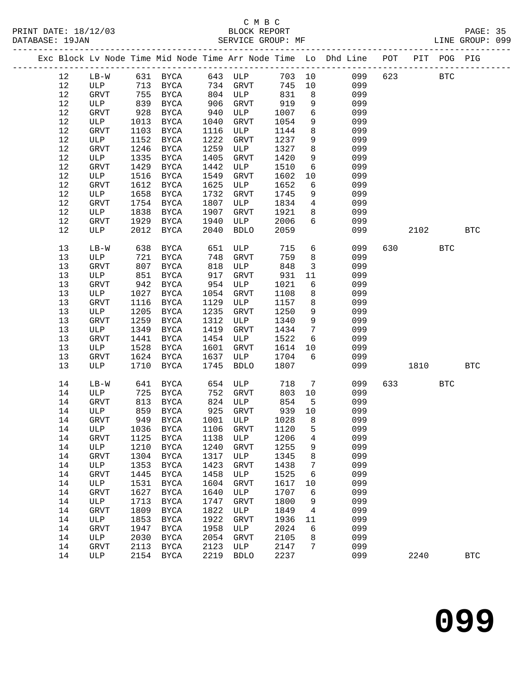|      |                            |                    |                   |      |             |      |                         | Exc Block Lv Node Time Mid Node Time Arr Node Time Lo Dhd Line POT PIT POG PIG |     |                        |            |            |
|------|----------------------------|--------------------|-------------------|------|-------------|------|-------------------------|--------------------------------------------------------------------------------|-----|------------------------|------------|------------|
| 12   | $LB-W$                     |                    | 631 BYCA 643 ULP  |      |             |      |                         | 703 10 099                                                                     | 623 | <b>BTC</b>             |            |            |
| 12   | ULP                        |                    | 713 BYCA 734 GRVT |      |             | 745  | 10                      | 099                                                                            |     |                        |            |            |
| 12   | GRVT                       |                    | 755 BYCA          |      | 804 ULP     | 831  | 8 <sup>8</sup>          | 099                                                                            |     |                        |            |            |
| 12   | ULP                        | 839                | <b>BYCA</b>       | 906  | GRVT        | 919  | 9                       | 099                                                                            |     |                        |            |            |
| $12$ | GRVT                       | 928                | BYCA              | 940  | ULP         | 1007 | $6\overline{6}$         | 099                                                                            |     |                        |            |            |
| $12$ | ULP                        | 1013               | BYCA              | 1040 | GRVT        | 1054 | 9                       | 099                                                                            |     |                        |            |            |
| $12$ | GRVT                       | 1103               | BYCA              | 1116 | ULP         | 1144 | $8\phantom{1}$          | 099                                                                            |     |                        |            |            |
| $12$ | ULP                        | 1152               | BYCA              | 1222 | GRVT        | 1237 | 9                       | 099                                                                            |     |                        |            |            |
| 12   | GRVT                       | 1246               |                   | 1259 |             | 1327 | 8                       | 099                                                                            |     |                        |            |            |
|      |                            |                    | BYCA              |      | ULP         |      |                         |                                                                                |     |                        |            |            |
| 12   | ULP                        |                    | 1335 BYCA         | 1405 | GRVT        | 1420 | 9                       | 099                                                                            |     |                        |            |            |
| 12   | GRVT                       | 1429               | BYCA              | 1442 | ULP         | 1510 | 6                       | 099                                                                            |     |                        |            |            |
| 12   | ULP                        | 1516               | BYCA              | 1549 | GRVT        | 1602 | 10                      | 099                                                                            |     |                        |            |            |
| 12   | GRVT                       | 1612               | BYCA              | 1625 | ULP         | 1652 | 6                       | 099                                                                            |     |                        |            |            |
| 12   | ULP                        | 1658               | BYCA              | 1732 | GRVT        | 1745 | 9                       | 099                                                                            |     |                        |            |            |
| $12$ | GRVT                       | 1754               | BYCA              | 1807 | ULP         | 1834 | $\overline{4}$          | 099                                                                            |     |                        |            |            |
| 12   | ULP                        | 1838               | BYCA              | 1907 | GRVT        | 1921 | 8                       | 099                                                                            |     |                        |            |            |
| $12$ | GRVT                       |                    | 1929 BYCA         | 1940 | ULP         | 2006 | $6\overline{6}$         | 099                                                                            |     |                        |            |            |
| 12   | ULP                        |                    | 2012 BYCA         | 2040 | <b>BDLO</b> | 2059 |                         | 099                                                                            |     | 2102                   |            | <b>BTC</b> |
|      |                            |                    |                   |      |             |      |                         |                                                                                |     |                        |            |            |
| 13   | $LB-W$                     | 638                | BYCA              | 651  | ULP         | 715  | 6                       | 099                                                                            | 630 |                        | <b>BTC</b> |            |
| 13   | ULP                        | $038$<br>721<br>00 | <b>BYCA</b>       | 748  | GRVT        | 759  | 8                       | 099                                                                            |     |                        |            |            |
| 13   | GRVT                       |                    | 807 BYCA          | 818  | ULP         | 848  | $\overline{\mathbf{3}}$ | 099                                                                            |     |                        |            |            |
| 13   | ULP                        |                    | 851 BYCA          | 917  | GRVT        | 931  | 11                      | 099                                                                            |     |                        |            |            |
| 13   | GRVT                       |                    | 942 BYCA          | 954  | ULP         | 1021 | 6                       | 099                                                                            |     |                        |            |            |
| $13$ | ULP                        |                    | 1027 BYCA         | 1054 | GRVT        | 1108 | 8                       | 099                                                                            |     |                        |            |            |
| 13   | GRVT                       | 1116               | BYCA              | 1129 | ULP         | 1157 | 8 <sup>8</sup>          | 099                                                                            |     |                        |            |            |
| 13   | ULP                        | 1205               | BYCA              | 1235 | GRVT        | 1250 | 9                       | 099                                                                            |     |                        |            |            |
| 13   | GRVT                       | 1259               | BYCA              | 1312 | ULP         | 1340 | $\overline{9}$          | 099                                                                            |     |                        |            |            |
| 13   | ULP                        | 1349               | BYCA              | 1419 | GRVT        | 1434 | $\overline{7}$          | 099                                                                            |     |                        |            |            |
| 13   | GRVT                       | 1441               | BYCA              | 1454 | ULP         | 1522 | 6                       | 099                                                                            |     |                        |            |            |
| 13   | ULP                        | 1528               | BYCA              | 1601 | GRVT        | 1614 | 10                      | 099                                                                            |     |                        |            |            |
| 13   | GRVT                       |                    | 1624 BYCA         | 1637 | ULP         | 1704 | 6                       | 099                                                                            |     |                        |            |            |
| 13   | ULP                        | 1710               | BYCA              | 1745 | <b>BDLO</b> | 1807 |                         | 099                                                                            |     | 1810                   |            | <b>BTC</b> |
|      |                            |                    |                   |      |             |      |                         |                                                                                |     |                        |            |            |
| 14   | $LB-W$                     |                    | 641 BYCA          | 654  | ULP         | 718  | $\overline{7}$          | 099                                                                            |     | 633 and $\overline{a}$ | BTC        |            |
| 14   | ULP                        |                    | 725 BYCA          | 752  | GRVT        | 803  | 10                      | 099                                                                            |     |                        |            |            |
| 14   | GRVT                       | 813                | BYCA              |      | 824 ULP     | 854  | $-5$                    | 099                                                                            |     |                        |            |            |
| 14   | ULP                        | 859                | BYCA              |      | 925 GRVT    | 939  | 10                      | 099                                                                            |     |                        |            |            |
| 14   | GRVT                       |                    | 949 BYCA          |      | 1001 ULP    | 1028 | 8 <sup>8</sup>          | 099                                                                            |     |                        |            |            |
|      | 14 ULP 1036 BYCA 1106 GRVT |                    |                   |      |             | 1120 | 5                       | 099                                                                            |     |                        |            |            |
| 14   | <b>GRVT</b>                | 1125               | <b>BYCA</b>       | 1138 | ULP         | 1206 | 4                       | 099                                                                            |     |                        |            |            |
| 14   | ULP                        | 1210               | BYCA              | 1240 | GRVT        | 1255 | 9                       | 099                                                                            |     |                        |            |            |
| 14   | GRVT                       | 1304               | BYCA              | 1317 | ULP         | 1345 | 8                       | 099                                                                            |     |                        |            |            |
| 14   |                            |                    |                   | 1423 |             |      | 7                       | 099                                                                            |     |                        |            |            |
|      | ULP                        | 1353               | <b>BYCA</b>       |      | GRVT        | 1438 |                         |                                                                                |     |                        |            |            |
| 14   | GRVT                       | 1445               | <b>BYCA</b>       | 1458 | ULP         | 1525 | 6                       | 099                                                                            |     |                        |            |            |
| 14   | ULP                        | 1531               | BYCA              | 1604 | GRVT        | 1617 | 10                      | 099                                                                            |     |                        |            |            |
| 14   | GRVT                       | 1627               | BYCA              | 1640 | ULP         | 1707 | 6                       | 099                                                                            |     |                        |            |            |
| 14   | ULP                        | 1713               | <b>BYCA</b>       | 1747 | GRVT        | 1800 | 9                       | 099                                                                            |     |                        |            |            |
| 14   | GRVT                       | 1809               | BYCA              | 1822 | ULP         | 1849 | 4                       | 099                                                                            |     |                        |            |            |
| 14   | ULP                        | 1853               | <b>BYCA</b>       | 1922 | GRVT        | 1936 | 11                      | 099                                                                            |     |                        |            |            |
| 14   | <b>GRVT</b>                | 1947               | BYCA              | 1958 | ULP         | 2024 | 6                       | 099                                                                            |     |                        |            |            |
| 14   | ULP                        | 2030               | BYCA              | 2054 | GRVT        | 2105 | 8                       | 099                                                                            |     |                        |            |            |
| 14   | <b>GRVT</b>                | 2113               | BYCA              | 2123 | ULP         | 2147 | 7                       | 099                                                                            |     |                        |            |            |
| 14   | ULP                        | 2154               | BYCA              | 2219 | <b>BDLO</b> | 2237 |                         | 099                                                                            |     | 2240                   |            | <b>BTC</b> |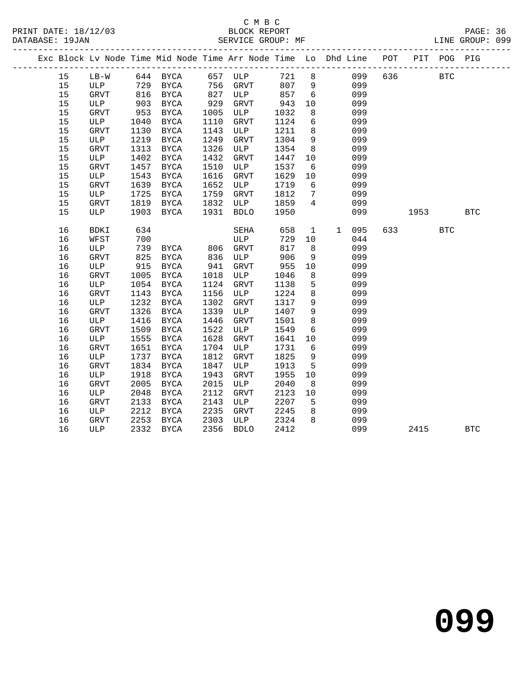|  |      |              |      |                      |      |                     |      |                 | Exc Block Lv Node Time Mid Node Time Arr Node Time Lo Dhd Line POT PIT POG PIG |     |                                |            |              |
|--|------|--------------|------|----------------------|------|---------------------|------|-----------------|--------------------------------------------------------------------------------|-----|--------------------------------|------------|--------------|
|  | 15   | $LB-W$       |      | 644 BYCA             |      | 657 ULP             |      |                 | 721 8<br>099                                                                   | 636 |                                | <b>BTC</b> |              |
|  | 15   | ULP          |      | 729 BYCA<br>816 BYCA | 756  | GRVT                | 807  | 9               | 099                                                                            |     |                                |            |              |
|  | 15   | GRVT         |      |                      | 827  | ULP                 | 857  | 6               | 099                                                                            |     |                                |            |              |
|  | 15   | ULP          | 903  | BYCA                 | 929  | GRVT                | 943  | 10              | 099                                                                            |     |                                |            |              |
|  | 15   | GRVT         | 953  | BYCA                 | 1005 | ULP                 | 1032 | 8               | 099                                                                            |     |                                |            |              |
|  | 15   | ULP          | 1040 | BYCA                 | 1110 | GRVT                | 1124 | $6\overline{6}$ | 099                                                                            |     |                                |            |              |
|  | 15   | <b>GRVT</b>  | 1130 | BYCA                 | 1143 | ULP                 | 1211 | 8               | 099                                                                            |     |                                |            |              |
|  | $15$ | ULP          | 1219 | $_{\rm BYCA}$        | 1249 | ${\tt GRVT}$        | 1304 | 9               | 099                                                                            |     |                                |            |              |
|  | 15   | <b>GRVT</b>  | 1313 | BYCA                 | 1326 | ULP                 | 1354 | 8 <sup>8</sup>  | 099                                                                            |     |                                |            |              |
|  | 15   | ULP          | 1402 | $_{\rm BYCA}$        | 1432 | ${\tt GRVT}$        | 1447 | 10              | 099                                                                            |     |                                |            |              |
|  | 15   | GRVT         | 1457 | BYCA                 | 1510 | ULP                 | 1537 | 6               | 099                                                                            |     |                                |            |              |
|  | 15   | ULP          | 1543 | $_{\rm BYCA}$        | 1616 | ${\tt GRVT}$        | 1629 | 10              | 099                                                                            |     |                                |            |              |
|  | 15   | <b>GRVT</b>  | 1639 | BYCA                 | 1652 | ULP                 | 1719 | 6               | 099                                                                            |     |                                |            |              |
|  | 15   | ULP          | 1725 | <b>BYCA</b>          | 1759 | ${\tt GRVT}$        | 1812 | $7\phantom{.0}$ | 099                                                                            |     |                                |            |              |
|  | 15   | GRVT         | 1819 | BYCA                 | 1832 | ULP                 | 1859 | $\overline{4}$  | 099                                                                            |     |                                |            |              |
|  | 15   | ULP          | 1903 | <b>BYCA</b>          | 1931 | <b>BDLO</b>         | 1950 |                 | 099                                                                            |     | 1953                           |            | $_{\rm BTC}$ |
|  | 16   | <b>BDKI</b>  | 634  |                      |      | SEHA                | 658  | $\mathbf{1}$    | 095<br>$\mathbf{1}$                                                            |     | 633 634 634 634 635 636 637 64 | <b>BTC</b> |              |
|  | 16   | WFST         | 700  |                      |      | ULP                 | 729  | 10              | 044                                                                            |     |                                |            |              |
|  | 16   | ULP          | 739  | BYCA                 |      | 806 GRVT<br>836 ULP | 817  | 8               | 099                                                                            |     |                                |            |              |
|  | 16   | <b>GRVT</b>  | 825  | BYCA                 |      |                     | 906  | 9               | 099                                                                            |     |                                |            |              |
|  | 16   | ULP          | 915  | BYCA                 | 941  | GRVT                | 955  | 10              | 099                                                                            |     |                                |            |              |
|  | 16   | <b>GRVT</b>  | 1005 | BYCA                 | 1018 | ULP                 | 1046 | 8               | 099                                                                            |     |                                |            |              |
|  | 16   | ULP          | 1054 | BYCA                 | 1124 | ${\tt GRVT}$        | 1138 | 5               | 099                                                                            |     |                                |            |              |
|  | 16   | <b>GRVT</b>  | 1143 | BYCA                 | 1156 | ULP                 | 1224 | 8               | 099                                                                            |     |                                |            |              |
|  | 16   | ULP          | 1232 | <b>BYCA</b>          | 1302 | GRVT                | 1317 | 9               | 099                                                                            |     |                                |            |              |
|  | 16   | <b>GRVT</b>  | 1326 | <b>BYCA</b>          | 1339 | ULP                 | 1407 | 9               | 099                                                                            |     |                                |            |              |
|  | 16   | ULP          | 1416 | <b>BYCA</b>          | 1446 | GRVT                | 1501 | 8               | 099                                                                            |     |                                |            |              |
|  | 16   | GRVT         | 1509 | <b>BYCA</b>          | 1522 | ULP                 | 1549 | 6               | 099                                                                            |     |                                |            |              |
|  | 16   | ULP          | 1555 | $_{\rm BYCA}$        | 1628 | GRVT                | 1641 | 10              | 099                                                                            |     |                                |            |              |
|  | 16   | <b>GRVT</b>  | 1651 | BYCA                 | 1704 | ULP                 | 1731 | 6               | 099                                                                            |     |                                |            |              |
|  | 16   | ULP          | 1737 | BYCA                 | 1812 | <b>GRVT</b>         | 1825 | 9               | 099                                                                            |     |                                |            |              |
|  | 16   | <b>GRVT</b>  | 1834 | BYCA                 | 1847 | ULP                 | 1913 | 5               | 099                                                                            |     |                                |            |              |
|  | 16   | ULP          | 1918 | $_{\rm BYCA}$        | 1943 | <b>GRVT</b>         | 1955 | 10              | 099                                                                            |     |                                |            |              |
|  | 16   | <b>GRVT</b>  | 2005 | BYCA                 | 2015 | ULP                 | 2040 | 8               | 099                                                                            |     |                                |            |              |
|  | 16   | ULP          | 2048 | BYCA                 | 2112 | <b>GRVT</b>         | 2123 | 10              | 099                                                                            |     |                                |            |              |
|  | 16   | <b>GRVT</b>  | 2133 | BYCA                 | 2143 | ULP                 | 2207 | 5               | 099                                                                            |     |                                |            |              |
|  | 16   | ULP          | 2212 | <b>BYCA</b>          | 2235 | GRVT                | 2245 | 8               | 099                                                                            |     |                                |            |              |
|  | 16   | ${\tt GRVT}$ | 2253 | BYCA                 | 2303 | ULP                 | 2324 | 8               | 099                                                                            |     |                                |            |              |
|  | 16   | ULP          |      | 2332 BYCA            | 2356 | <b>BDLO</b>         | 2412 |                 | 099                                                                            |     | 2415                           |            | <b>BTC</b>   |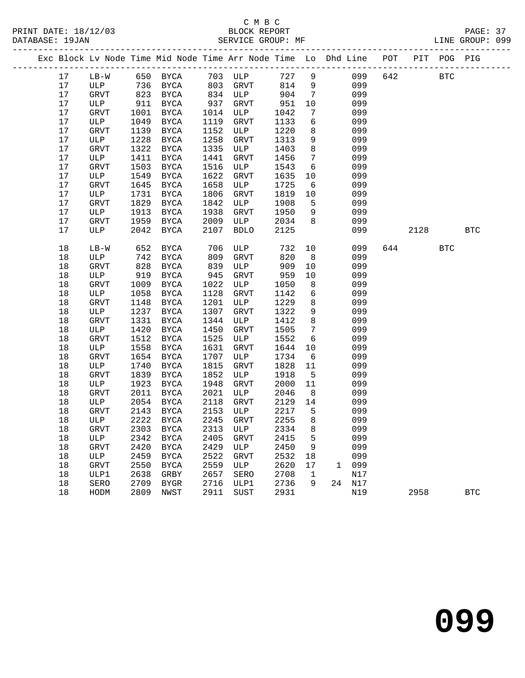## C M B C<br>
PRINT DATE: 18/12/03 BLOCK REPOR

|  | DATABASE: 19JAN |        |      | SERVICE GROUP: MF                                                              |      |             |        |                 |              |        |     |            |            | LINE GROUP: 099 |  |
|--|-----------------|--------|------|--------------------------------------------------------------------------------|------|-------------|--------|-----------------|--------------|--------|-----|------------|------------|-----------------|--|
|  |                 |        |      | Exc Block Lv Node Time Mid Node Time Arr Node Time Lo Dhd Line POT PIT POG PIG |      |             |        |                 |              |        |     |            |            |                 |  |
|  | 17              |        |      | LB-W 650 BYCA 703 ULP 727 9                                                    |      |             |        |                 |              | 099    | 642 | <b>BTC</b> |            |                 |  |
|  | 17              |        |      | ULP 736 BYCA 803 GRVT                                                          |      |             | 814 9  |                 |              | 099    |     |            |            |                 |  |
|  | 17              | GRVT   | 823  | BYCA                                                                           |      | 834 ULP     | 904    | $\overline{7}$  |              | 099    |     |            |            |                 |  |
|  | 17              | ULP    | 911  | BYCA                                                                           | 937  | GRVT        | 951    | 10              |              | 099    |     |            |            |                 |  |
|  | 17              | GRVT   | 1001 | BYCA                                                                           | 1014 | ULP         | 1042   | $7\phantom{.0}$ |              | 099    |     |            |            |                 |  |
|  | 17              | ULP    | 1049 | BYCA                                                                           | 1119 | GRVT        | 1133   | 6               |              | 099    |     |            |            |                 |  |
|  | 17              | GRVT   | 1139 | BYCA                                                                           | 1152 | ULP         | 1220   | 8               |              | 099    |     |            |            |                 |  |
|  | 17              | ULP    | 1228 | BYCA                                                                           | 1258 | GRVT        | 1313   | 9               |              | 099    |     |            |            |                 |  |
|  | 17              | GRVT   | 1322 | BYCA                                                                           | 1335 | ULP         | 1403   | 8               |              | 099    |     |            |            |                 |  |
|  | 17              | ULP    | 1411 | BYCA                                                                           | 1441 | GRVT        | 1456   | $7\overline{ }$ |              | 099    |     |            |            |                 |  |
|  | 17              | GRVT   | 1503 | BYCA                                                                           | 1516 | ULP         | 1543   | 6               |              | 099    |     |            |            |                 |  |
|  | 17              | ULP    | 1549 | BYCA                                                                           | 1622 | GRVT        | 1635   | 10              |              | 099    |     |            |            |                 |  |
|  | 17              | GRVT   | 1645 | BYCA                                                                           | 1658 | ULP         | 1725   | 6               |              | 099    |     |            |            |                 |  |
|  | 17              | ULP    | 1731 | BYCA                                                                           | 1806 | GRVT        | 1819   | 10              |              | 099    |     |            |            |                 |  |
|  | 17              | GRVT   | 1829 | BYCA                                                                           | 1842 | ULP         | 1908   | 5               |              | 099    |     |            |            |                 |  |
|  | 17              | ULP    | 1913 | BYCA                                                                           | 1938 | GRVT        | 1950   | 9               |              | 099    |     |            |            |                 |  |
|  | 17              | GRVT   | 1959 | BYCA                                                                           | 2009 | ULP         | 2034   | 8 <sup>8</sup>  |              | 099    |     |            |            |                 |  |
|  | 17              | ULP    | 2042 | BYCA                                                                           | 2107 | <b>BDLO</b> | 2125   |                 |              | 099    |     | 2128       |            | <b>BTC</b>      |  |
|  | 18              | $LB-W$ | 652  | BYCA                                                                           | 706  | ULP         | 732    | 10              |              | 099    |     | 644        | <b>BTC</b> |                 |  |
|  | 18              | ULP    | 742  | BYCA                                                                           | 809  | GRVT        | 820    | 8 <sup>8</sup>  |              | 099    |     |            |            |                 |  |
|  | 18              | GRVT   | 828  | BYCA                                                                           | 839  | ULP         | 909    | 10              |              | 099    |     |            |            |                 |  |
|  | 18              | ULP    | 919  | BYCA                                                                           | 945  | GRVT        | 959    | 10              |              | 099    |     |            |            |                 |  |
|  | 18              | GRVT   | 1009 | BYCA                                                                           | 1022 | ULP         | 1050   | 8               |              | 099    |     |            |            |                 |  |
|  | 18              | ULP    | 1058 | BYCA                                                                           | 1128 | GRVT        | 1142   | 6               |              | 099    |     |            |            |                 |  |
|  | 18              | GRVT   | 1148 | BYCA                                                                           | 1201 | ULP         | 1229   | 8               |              | 099    |     |            |            |                 |  |
|  | 18              | ULP    | 1237 | BYCA                                                                           | 1307 | GRVT        | 1322   | 9               |              | 099    |     |            |            |                 |  |
|  | 18              | GRVT   | 1331 | BYCA                                                                           | 1344 | ULP         | 1412   | 8               |              | 099    |     |            |            |                 |  |
|  | 18              | ULP    | 1420 | BYCA                                                                           | 1450 | GRVT        | 1505   | $7\phantom{.0}$ |              | 099    |     |            |            |                 |  |
|  | 18              | GRVT   | 1512 | BYCA                                                                           | 1525 | ULP         | 1552   | 6               |              | 099    |     |            |            |                 |  |
|  | 18              | ULP    | 1558 | BYCA                                                                           | 1631 | GRVT        | 1644   | 10              |              | 099    |     |            |            |                 |  |
|  | 18              | GRVT   | 1654 | BYCA                                                                           | 1707 | ULP         | 1734   | 6               |              | 099    |     |            |            |                 |  |
|  | 18              | ULP    | 1740 | BYCA                                                                           | 1815 | GRVT        | 1828   | 11              |              | 099    |     |            |            |                 |  |
|  | 18              | GRVT   | 1839 | BYCA                                                                           | 1852 | ULP         | 1918   | $5^{\circ}$     |              | 099    |     |            |            |                 |  |
|  | 18              | ULP    | 1923 | BYCA                                                                           | 1948 | GRVT        | 2000   | 11              |              | 099    |     |            |            |                 |  |
|  | 18              | GRVT   | 2011 | BYCA                                                                           | 2021 | ULP         | 2046   | 8 <sup>8</sup>  |              | 099    |     |            |            |                 |  |
|  | 18              | ULP    | 2054 | BYCA                                                                           | 2118 | GRVT        | 2129   | 14              |              | 099    |     |            |            |                 |  |
|  | 18              | GRVT   |      | 2143 BYCA                                                                      |      | 2153 ULP    | 2217   | $5^{\circ}$     |              | 099    |     |            |            |                 |  |
|  | 18              |        |      | ULP 2222 BYCA 2245 GRVT                                                        |      |             | 2255 8 |                 |              | 099    |     |            |            |                 |  |
|  | 18              | GRVT   | 2303 | BYCA                                                                           | 2313 | ULP         | 2334   | 8               |              | 099    |     |            |            |                 |  |
|  | 18              | ULP    | 2342 | BYCA                                                                           | 2405 | GRVT        | 2415   | 5               |              | 099    |     |            |            |                 |  |
|  | 18              | GRVT   | 2420 | BYCA                                                                           | 2429 | ULP         | 2450   | 9               |              | 099    |     |            |            |                 |  |
|  | 18              | ULP    | 2459 | <b>BYCA</b>                                                                    | 2522 | GRVT        | 2532   | 18              |              | 099    |     |            |            |                 |  |
|  | 18              | GRVT   | 2550 | BYCA                                                                           | 2559 | ULP         | 2620   | 17              | $\mathbf{1}$ | 099    |     |            |            |                 |  |
|  | 18              | ULP1   | 2638 | GRBY                                                                           | 2657 | SERO        | 2708   | 1               |              | N17    |     |            |            |                 |  |
|  | 18              | SERO   | 2709 | BYGR                                                                           | 2716 | ULP1        | 2736   | 9               |              | 24 N17 |     |            |            |                 |  |
|  | 18              | HODM   | 2809 | NWST                                                                           | 2911 | SUST        | 2931   |                 |              | N19    |     | 2958       |            | <b>BTC</b>      |  |
|  |                 |        |      |                                                                                |      |             |        |                 |              |        |     |            |            |                 |  |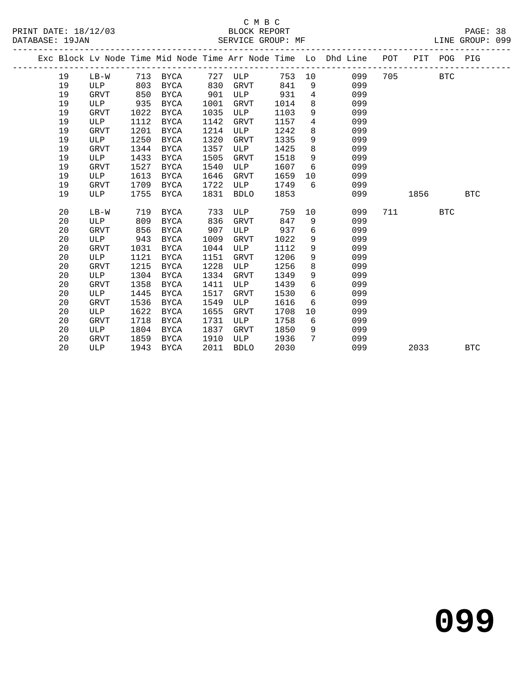|  |    |             |      |             |      |             |      |                | Exc Block Lv Node Time Mid Node Time Arr Node Time Lo Dhd Line | POT |      | PIT POG PIG |            |
|--|----|-------------|------|-------------|------|-------------|------|----------------|----------------------------------------------------------------|-----|------|-------------|------------|
|  | 19 | $LB-W$      | 713  | BYCA        | 727  | ULP         | 753  | 10             | 099                                                            | 705 |      | <b>BTC</b>  |            |
|  | 19 | ULP         | 803  | BYCA        | 830  | <b>GRVT</b> | 841  | 9              | 099                                                            |     |      |             |            |
|  | 19 | <b>GRVT</b> | 850  | BYCA        | 901  | ULP         | 931  | $\overline{4}$ | 099                                                            |     |      |             |            |
|  | 19 | ULP         | 935  | <b>BYCA</b> | 1001 | GRVT        | 1014 | 8              | 099                                                            |     |      |             |            |
|  | 19 | <b>GRVT</b> | 1022 | <b>BYCA</b> | 1035 | ULP         | 1103 | 9              | 099                                                            |     |      |             |            |
|  | 19 | ULP         | 1112 | <b>BYCA</b> | 1142 | GRVT        | 1157 | 4              | 099                                                            |     |      |             |            |
|  | 19 | <b>GRVT</b> | 1201 | <b>BYCA</b> | 1214 | ULP         | 1242 | 8              | 099                                                            |     |      |             |            |
|  | 19 | ULP         | 1250 | <b>BYCA</b> | 1320 | <b>GRVT</b> | 1335 | 9              | 099                                                            |     |      |             |            |
|  | 19 | <b>GRVT</b> | 1344 | <b>BYCA</b> | 1357 | ULP         | 1425 | $\,8\,$        | 099                                                            |     |      |             |            |
|  | 19 | ULP         | 1433 | <b>BYCA</b> | 1505 | <b>GRVT</b> | 1518 | 9              | 099                                                            |     |      |             |            |
|  | 19 | <b>GRVT</b> | 1527 | <b>BYCA</b> | 1540 | ULP         | 1607 | 6              | 099                                                            |     |      |             |            |
|  | 19 | ULP         | 1613 | <b>BYCA</b> | 1646 | <b>GRVT</b> | 1659 | $10 \,$        | 099                                                            |     |      |             |            |
|  | 19 | <b>GRVT</b> | 1709 | <b>BYCA</b> | 1722 | ULP         | 1749 | 6              | 099                                                            |     |      |             |            |
|  | 19 | ULP         | 1755 | <b>BYCA</b> | 1831 | <b>BDLO</b> | 1853 |                | 099                                                            |     | 1856 |             | <b>BTC</b> |
|  |    |             |      |             |      |             |      |                |                                                                |     |      |             |            |
|  | 20 | $LB-W$      | 719  | <b>BYCA</b> | 733  | ULP         | 759  | 10             | 099                                                            | 711 |      | <b>BTC</b>  |            |
|  | 20 | ULP         | 809  | <b>BYCA</b> | 836  | <b>GRVT</b> | 847  | 9              | 099                                                            |     |      |             |            |
|  | 20 | <b>GRVT</b> | 856  | <b>BYCA</b> | 907  | ULP         | 937  | 6              | 099                                                            |     |      |             |            |
|  | 20 | ULP         | 943  | <b>BYCA</b> | 1009 | <b>GRVT</b> | 1022 | 9              | 099                                                            |     |      |             |            |
|  | 20 | <b>GRVT</b> | 1031 | <b>BYCA</b> | 1044 | ULP         | 1112 | 9              | 099                                                            |     |      |             |            |
|  | 20 | ULP         | 1121 | <b>BYCA</b> | 1151 | <b>GRVT</b> | 1206 | 9              | 099                                                            |     |      |             |            |
|  | 20 | <b>GRVT</b> | 1215 | <b>BYCA</b> | 1228 | ULP         | 1256 | 8              | 099                                                            |     |      |             |            |
|  | 20 | ULP         | 1304 | <b>BYCA</b> | 1334 | GRVT        | 1349 | 9              | 099                                                            |     |      |             |            |
|  | 20 | <b>GRVT</b> | 1358 | <b>BYCA</b> | 1411 | ULP         | 1439 | 6              | 099                                                            |     |      |             |            |
|  | 20 | ULP         | 1445 | <b>BYCA</b> | 1517 | GRVT        | 1530 | 6              | 099                                                            |     |      |             |            |
|  | 20 | <b>GRVT</b> | 1536 | <b>BYCA</b> | 1549 | ULP         | 1616 | 6              | 099                                                            |     |      |             |            |
|  | 20 | ULP         | 1622 | <b>BYCA</b> | 1655 | <b>GRVT</b> | 1708 | 10             | 099                                                            |     |      |             |            |
|  | 20 | <b>GRVT</b> | 1718 | <b>BYCA</b> | 1731 | ULP         | 1758 | 6              | 099                                                            |     |      |             |            |
|  | 20 | ULP         | 1804 | <b>BYCA</b> | 1837 | GRVT        | 1850 | 9              | 099                                                            |     |      |             |            |
|  | 20 | <b>GRVT</b> | 1859 | <b>BYCA</b> | 1910 | ULP         | 1936 | $7\phantom{.}$ | 099                                                            |     |      |             |            |
|  | 20 | ULP         | 1943 | <b>BYCA</b> | 2011 | <b>BDLO</b> | 2030 |                | 099                                                            |     | 2033 |             | <b>BTC</b> |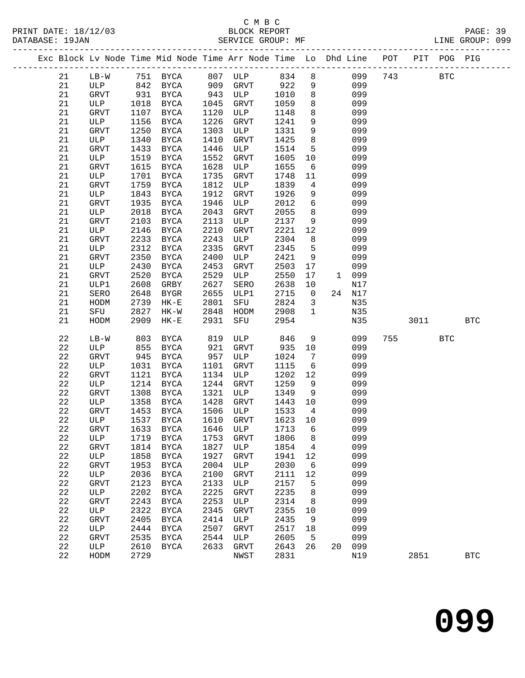|  |    |      |      |             |      |      |      |    | Exc Block Lv Node Time Mid Node Time Arr Node Time Lo Dhd Line | POT | PIT | POG PIG |  |
|--|----|------|------|-------------|------|------|------|----|----------------------------------------------------------------|-----|-----|---------|--|
|  | 21 | LB-W | 751  | BYCA        | 807  | ULP  | 834  | 8  | 099                                                            | 743 |     | BTC     |  |
|  | 21 | ULP  | 842  | BYCA        | 909  | GRVT | 922  | 9  | 099                                                            |     |     |         |  |
|  | 21 | GRVT | 931  | BYCA        | 943  | ULP  | 1010 | 8  | 099                                                            |     |     |         |  |
|  | 21 | ULP  | 1018 | BYCA        | 1045 | GRVT | 1059 | 8  | 099                                                            |     |     |         |  |
|  | 21 | GRVT | 1107 | <b>BYCA</b> | 1120 | ULP  | 1148 | 8  | 099                                                            |     |     |         |  |
|  | 21 | ULP  | 1156 | BYCA        | 1226 | GRVT | 1241 | 9  | 099                                                            |     |     |         |  |
|  | 21 | GRVT | 1250 | BYCA        | 1303 | ULP  | 1331 | 9  | 099                                                            |     |     |         |  |
|  | 21 | ULP  | 1340 | <b>BYCA</b> | 1410 | GRVT | 1425 | 8  | 099                                                            |     |     |         |  |
|  | 21 | GRVT | 1433 | BYCA        | 1446 | ULP  | 1514 | 5  | 099                                                            |     |     |         |  |
|  | 21 | ULP  | 1519 | BYCA        | 1552 | GRVT | 1605 | 10 | 099                                                            |     |     |         |  |
|  | 21 | GRVT | 1615 | <b>BYCA</b> | 1628 | ULP  | 1655 | 6  | 099                                                            |     |     |         |  |
|  | 21 | ULP  | 1701 | BYCA        | 1735 | GRVT | 1748 | 11 | 099                                                            |     |     |         |  |
|  | 21 | GRVT | 1759 | BYCA        | 1812 | ULP  | 1839 | 4  | 099                                                            |     |     |         |  |
|  | 21 | ULP  | 1843 | BYCA        | 1912 | GRVT | 1926 | 9  | 099                                                            |     |     |         |  |

| 21          | <b>GRVT</b> | 1935 | <b>BYCA</b>   | 1946 | ULP          | 2012 | 6               |              | 099 |     |      |            |              |
|-------------|-------------|------|---------------|------|--------------|------|-----------------|--------------|-----|-----|------|------------|--------------|
| 21          | ULP         | 2018 | <b>BYCA</b>   | 2043 | GRVT         | 2055 | 8               |              | 099 |     |      |            |              |
| 21          | <b>GRVT</b> | 2103 | <b>BYCA</b>   | 2113 | ULP          | 2137 | 9               |              | 099 |     |      |            |              |
| 21          | ULP         | 2146 | ${\tt BYCA}$  | 2210 | GRVT         | 2221 | $12$            |              | 099 |     |      |            |              |
| 21          | GRVT        | 2233 | $_{\rm BYCA}$ | 2243 | ULP          | 2304 | $\,8\,$         |              | 099 |     |      |            |              |
| 21          | ULP         | 2312 | <b>BYCA</b>   | 2335 | <b>GRVT</b>  | 2345 | 5               |              | 099 |     |      |            |              |
| 21          | <b>GRVT</b> | 2350 | <b>BYCA</b>   | 2400 | ULP          | 2421 | 9               |              | 099 |     |      |            |              |
| 21          | ULP         | 2430 | $_{\rm BYCA}$ | 2453 | <b>GRVT</b>  | 2503 | 17              |              | 099 |     |      |            |              |
| 21          | GRVT        | 2520 | <b>BYCA</b>   | 2529 | ULP          | 2550 | 17              | $\mathbf{1}$ | 099 |     |      |            |              |
| 21          | ULP1        | 2608 | GRBY          | 2627 | SERO         | 2638 | 10              |              | N17 |     |      |            |              |
| 21          | SERO        | 2648 | <b>BYGR</b>   | 2655 | ULP1         | 2715 | $\mathsf{O}$    | 24           | N17 |     |      |            |              |
| 21          | HODM        | 2739 | $HK-E$        | 2801 | SFU          | 2824 | 3               |              | N35 |     |      |            |              |
| 21          | SFU         | 2827 | $HK-W$        | 2848 | HODM         | 2908 | $\mathbf{1}$    |              | N35 |     |      |            |              |
| 21          | HODM        | 2909 | $HK-E$        | 2931 | SFU          | 2954 |                 |              | N35 |     | 3011 |            | <b>BTC</b>   |
|             |             |      |               |      |              |      |                 |              |     |     |      |            |              |
| 22          | $LB-W$      | 803  | <b>BYCA</b>   | 819  | ULP          | 846  | 9               |              | 099 | 755 |      | <b>BTC</b> |              |
| 22          | ULP         | 855  | <b>BYCA</b>   | 921  | GRVT         | 935  | 10              |              | 099 |     |      |            |              |
| 22          | GRVT        | 945  | BYCA          | 957  | ULP          | 1024 | $7\phantom{.0}$ |              | 099 |     |      |            |              |
| 22          | ULP         | 1031 | BYCA          | 1101 | GRVT         | 1115 | 6               |              | 099 |     |      |            |              |
| $2\sqrt{2}$ | <b>GRVT</b> | 1121 | BYCA          | 1134 | ULP          | 1202 | $12$            |              | 099 |     |      |            |              |
| 22          | ULP         | 1214 | ${\tt BYCA}$  | 1244 | GRVT         | 1259 | 9               |              | 099 |     |      |            |              |
| 22          | <b>GRVT</b> | 1308 | BYCA          | 1321 | ULP          | 1349 | $\,9$           |              | 099 |     |      |            |              |
| 22          | ULP         | 1358 | <b>BYCA</b>   | 1428 | GRVT         | 1443 | 10              |              | 099 |     |      |            |              |
| 22          | <b>GRVT</b> | 1453 | BYCA          | 1506 | ULP          | 1533 | $\overline{4}$  |              | 099 |     |      |            |              |
| 22          | ULP         | 1537 | BYCA          | 1610 | GRVT         | 1623 | 10              |              | 099 |     |      |            |              |
| 22          | GRVT        | 1633 | BYCA          | 1646 | ULP          | 1713 | 6               |              | 099 |     |      |            |              |
| 22          | ULP         | 1719 | $_{\rm BYCA}$ | 1753 | <b>GRVT</b>  | 1806 | 8               |              | 099 |     |      |            |              |
| 22          | GRVT        | 1814 | <b>BYCA</b>   | 1827 | ULP          | 1854 | $\overline{4}$  |              | 099 |     |      |            |              |
| 22          | ULP         | 1858 | <b>BYCA</b>   | 1927 | GRVT         | 1941 | 12              |              | 099 |     |      |            |              |
| 22          | <b>GRVT</b> | 1953 | ${\tt BYCA}$  | 2004 | $_{\rm ULP}$ | 2030 | 6               |              | 099 |     |      |            |              |
| 22          | ULP         | 2036 | $_{\rm BYCA}$ | 2100 | GRVT         | 2111 | 12              |              | 099 |     |      |            |              |
| 22          | <b>GRVT</b> | 2123 | <b>BYCA</b>   | 2133 | ULP          | 2157 | 5               |              | 099 |     |      |            |              |
| 22          | ULP         | 2202 | <b>BYCA</b>   | 2225 | GRVT         | 2235 | 8               |              | 099 |     |      |            |              |
| 22          | GRVT        | 2243 | $_{\rm BYCA}$ | 2253 | ULP          | 2314 | 8               |              | 099 |     |      |            |              |
| 22          | ULP         | 2322 | <b>BYCA</b>   | 2345 | GRVT         | 2355 | $10$            |              | 099 |     |      |            |              |
| 22          | GRVT        | 2405 | <b>BYCA</b>   | 2414 | ULP          | 2435 | 9               |              | 099 |     |      |            |              |
| 22          | ULP         | 2444 | BYCA          | 2507 | <b>GRVT</b>  | 2517 | 18              |              | 099 |     |      |            |              |
| 22          | <b>GRVT</b> | 2535 | BYCA          | 2544 | ULP          | 2605 | 5               |              | 099 |     |      |            |              |
| 22          | ULP         | 2610 | BYCA          | 2633 | GRVT         | 2643 | 26              | 20           | 099 |     |      |            |              |
| 22          | HODM        | 2729 |               |      | NWST         | 2831 |                 |              | N19 |     | 2851 |            | $_{\rm BTC}$ |
|             |             |      |               |      |              |      |                 |              |     |     |      |            |              |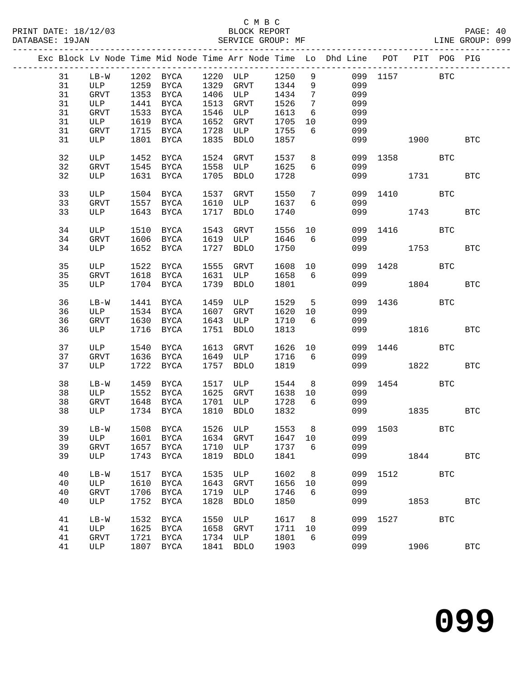|  |    |             |      |           |      |                                                                  |         |                 | Exc Block Lv Node Time Mid Node Time Arr Node Time Lo Dhd Line POT PIT POG PIG |              |      |              |              |
|--|----|-------------|------|-----------|------|------------------------------------------------------------------|---------|-----------------|--------------------------------------------------------------------------------|--------------|------|--------------|--------------|
|  | 31 |             |      |           |      |                                                                  |         |                 |                                                                                | 099 1157 BTC |      |              |              |
|  | 31 |             |      |           |      | LB-W 1202 BYCA 1220 ULP 1250 9<br>ULP 1259 BYCA 1329 GRVT 1344 9 |         |                 | 099                                                                            |              |      |              |              |
|  | 31 | GRVT        |      | 1353 BYCA |      | 1406 ULP                                                         | 1434    | $\overline{7}$  | 099                                                                            |              |      |              |              |
|  | 31 | ULP         | 1441 | BYCA      |      | 1513 GRVT                                                        | 1526    | $\overline{7}$  | 099                                                                            |              |      |              |              |
|  | 31 | GRVT        | 1533 | BYCA      |      | 1546 ULP                                                         | 1613    | 6               | 099                                                                            |              |      |              |              |
|  | 31 | ULP         | 1619 | BYCA      | 1652 | GRVT                                                             | 1705    | 10              | 099                                                                            |              |      |              |              |
|  | 31 | GRVT        |      | 1715 BYCA | 1728 | <b>ULP</b>                                                       | 1755    | 6               | 099                                                                            |              |      |              |              |
|  | 31 | ULP         |      | 1801 BYCA |      | 1835 BDLO                                                        | 1857    |                 | 099                                                                            |              | 1900 |              | <b>BTC</b>   |
|  |    |             |      |           |      |                                                                  |         |                 |                                                                                |              |      |              |              |
|  | 32 | ULP         |      | 1452 BYCA |      | 1524 GRVT                                                        | 1537    | 8               |                                                                                | 099 1358     |      | BTC          |              |
|  | 32 | <b>GRVT</b> |      | 1545 BYCA | 1558 | ULP                                                              | 1625    | 6               | 099                                                                            |              |      |              |              |
|  | 32 | ULP         |      | 1631 BYCA |      | 1705 BDLO                                                        | 1728    |                 |                                                                                | 099 1731     |      |              | $_{\rm BTC}$ |
|  |    |             |      |           |      |                                                                  |         |                 |                                                                                |              |      |              |              |
|  | 33 | ULP         |      | 1504 BYCA |      | 1537 GRVT                                                        | 1550    | $7\phantom{.0}$ |                                                                                | 099 1410     |      | $_{\rm BTC}$ |              |
|  | 33 | GRVT        |      | 1557 BYCA | 1610 | ULP                                                              | 1637    | 6               | 099                                                                            |              |      |              |              |
|  | 33 | ULP         |      | 1643 BYCA | 1717 | BDLO                                                             | 1740    |                 |                                                                                | 099 — 100    | 1743 |              | <b>BTC</b>   |
|  | 34 | ULP         |      | 1510 BYCA | 1543 | GRVT                                                             | 1556 10 |                 |                                                                                | 099 1416     |      | BTC          |              |
|  | 34 | GRVT        |      | 1606 BYCA |      | 1619 ULP                                                         | 1646    | 6               | 099                                                                            |              |      |              |              |
|  | 34 | ULP         |      | 1652 BYCA | 1727 | BDLO                                                             | 1750    |                 |                                                                                | 099 1753     |      |              | $_{\rm BTC}$ |
|  | 35 | ULP         |      | 1522 BYCA |      | 1555 GRVT                                                        | 1608    | 10              |                                                                                | 099 1428     |      | BTC          |              |
|  | 35 | GRVT        |      | 1618 BYCA |      | 1631 ULP                                                         | 1658    | 6               | 099                                                                            |              |      |              |              |
|  | 35 | ULP         |      | 1704 BYCA |      | 1739 BDLO                                                        | 1801    |                 |                                                                                | 099 1804     |      |              | <b>BTC</b>   |
|  |    |             |      |           |      |                                                                  |         |                 |                                                                                |              |      |              |              |
|  | 36 | LB-W        |      | 1441 BYCA |      | 1459 ULP                                                         | 1529    | $5^{\circ}$     |                                                                                | 099 1436     |      | BTC          |              |
|  | 36 | ULP         |      | 1534 BYCA | 1607 | GRVT                                                             | 1620 10 |                 | 099                                                                            |              |      |              |              |
|  | 36 | GRVT        |      | 1630 BYCA | 1643 | ULP                                                              | 1710    | $6\overline{6}$ | 099                                                                            |              |      |              |              |
|  | 36 | ULP         |      | 1716 BYCA | 1751 | BDLO                                                             | 1813    |                 |                                                                                | 099 1816     |      |              | <b>BTC</b>   |
|  |    |             |      |           |      |                                                                  |         |                 |                                                                                |              |      |              |              |
|  | 37 | ULP         | 1540 | BYCA      |      | 1613 GRVT                                                        | 1626    | 10              |                                                                                | 099 1446     |      | BTC          |              |
|  | 37 | GRVT        |      | 1636 BYCA |      | 1649 ULP                                                         | 1716    | 6               | 099                                                                            |              |      |              |              |
|  | 37 | ULP         |      | 1722 BYCA | 1757 | BDLO                                                             | 1819    |                 |                                                                                | 099 12       | 1822 |              | <b>BTC</b>   |
|  |    |             |      |           |      |                                                                  |         |                 |                                                                                | 099 1454     |      |              |              |
|  | 38 | $LB-W$      |      | 1459 BYCA |      | 1517 ULP                                                         | 1544    | 8 <sup>8</sup>  |                                                                                |              |      | BTC          |              |
|  | 38 | ULP         |      | 1552 BYCA |      | 1625 GRVT                                                        | 1638 10 |                 | 099                                                                            |              |      |              |              |
|  | 38 | GRVT        |      | 1648 BYCA |      | 1701 ULP                                                         | 1728    | $6\overline{6}$ | 099                                                                            |              |      |              |              |
|  | 38 | ULP         |      | 1734 BYCA | 1810 | <b>BDLO</b>                                                      | 1832    |                 |                                                                                | 099 1835     |      |              | <b>BTC</b>   |
|  |    |             |      |           |      |                                                                  |         |                 | 39 LB-W 1508 BYCA 1526 ULP 1553 8 099 1503 BTC                                 |              |      |              |              |
|  | 39 | ULP         | 1601 | BYCA      | 1634 | GRVT                                                             | 1647 10 |                 | 099                                                                            |              |      |              |              |
|  | 39 | GRVT        | 1657 | BYCA      | 1710 | ULP                                                              | 1737    | 6               | 099                                                                            |              |      |              |              |
|  | 39 | ULP         | 1743 | BYCA      | 1819 | <b>BDLO</b>                                                      | 1841    |                 | 099                                                                            |              | 1844 |              | <b>BTC</b>   |
|  |    |             |      |           |      |                                                                  |         |                 |                                                                                |              |      |              |              |
|  | 40 | $LB-W$      | 1517 | BYCA      | 1535 | ULP                                                              | 1602    | 8               | 099                                                                            | 1512         |      | <b>BTC</b>   |              |
|  | 40 | ULP         | 1610 | BYCA      | 1643 | <b>GRVT</b>                                                      | 1656    | 10              | 099                                                                            |              |      |              |              |
|  | 40 | <b>GRVT</b> | 1706 | BYCA      | 1719 | ULP                                                              | 1746    | 6               | 099                                                                            |              |      |              |              |
|  | 40 | ULP         | 1752 | BYCA      | 1828 | <b>BDLO</b>                                                      | 1850    |                 | 099                                                                            |              | 1853 |              | <b>BTC</b>   |
|  |    |             |      |           |      |                                                                  |         |                 |                                                                                |              |      |              |              |
|  | 41 | $LB-W$      | 1532 | BYCA      | 1550 | ULP                                                              | 1617    | 8 <sup>8</sup>  | 099                                                                            | 1527         |      | <b>BTC</b>   |              |
|  | 41 | ULP         | 1625 | BYCA      | 1658 | GRVT                                                             | 1711    | 10              | 099                                                                            |              |      |              |              |
|  | 41 | GRVT        | 1721 | BYCA      |      | 1734 ULP                                                         | 1801    | 6               | 099                                                                            |              |      |              |              |
|  | 41 | ULP         |      | 1807 BYCA | 1841 | <b>BDLO</b>                                                      | 1903    |                 | 099                                                                            |              | 1906 |              | <b>BTC</b>   |
|  |    |             |      |           |      |                                                                  |         |                 |                                                                                |              |      |              |              |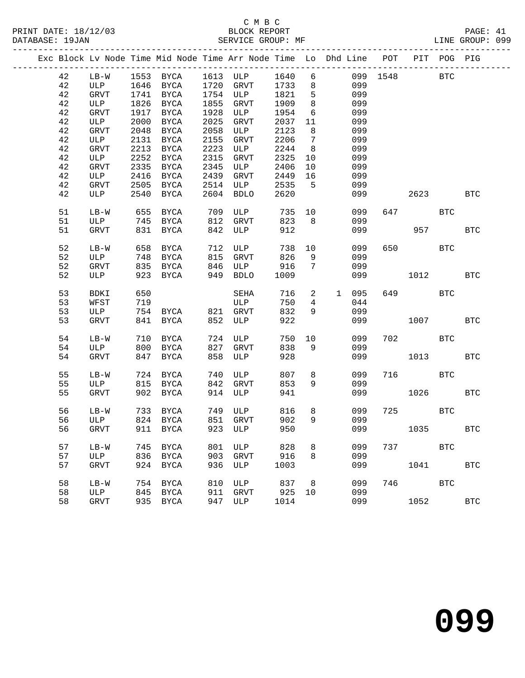|  |        |             |      | Exc Block Lv Node Time Mid Node Time Arr Node Time Lo Dhd Line POT |      |             |      |                 |    |       |          | PIT POG PIG |            |
|--|--------|-------------|------|--------------------------------------------------------------------|------|-------------|------|-----------------|----|-------|----------|-------------|------------|
|  | 42     | $LB-W$      |      | 1553 BYCA 1613 ULP                                                 |      |             | 1640 | 6               |    |       | 099 1548 | <b>BTC</b>  |            |
|  | 42     | ULP         |      | 1646 BYCA                                                          |      | 1720 GRVT   | 1733 | 8               |    | 099   |          |             |            |
|  | 42     | GRVT        |      | 1741 BYCA                                                          |      | 1754 ULP    | 1821 | 5               |    | 099   |          |             |            |
|  | 42     | ULP         |      | 1826 BYCA                                                          | 1855 | GRVT        | 1909 | 8               |    | 099   |          |             |            |
|  | 42     | GRVT        | 1917 | BYCA                                                               | 1928 | ULP         | 1954 | 6               |    | 099   |          |             |            |
|  | 42     | ULP         | 2000 | BYCA                                                               | 2025 | GRVT        | 2037 | 11              |    | 099   |          |             |            |
|  | 42     | GRVT        | 2048 | BYCA                                                               | 2058 | ULP         | 2123 | 8               |    | 099   |          |             |            |
|  | 42     | ULP         |      | 2131 BYCA                                                          | 2155 | GRVT        | 2206 | $7\phantom{.0}$ |    | 099   |          |             |            |
|  | 42     | <b>GRVT</b> | 2213 | BYCA                                                               | 2223 | ULP         | 2244 | 8               |    | 099   |          |             |            |
|  | 42     | ULP         | 2252 | BYCA                                                               | 2315 | GRVT        | 2325 | 10              |    | 099   |          |             |            |
|  | 42     | GRVT        | 2335 | BYCA                                                               | 2345 | ULP         | 2406 | 10              |    | 099   |          |             |            |
|  | 42     | ULP         |      | 2416 BYCA                                                          | 2439 | GRVT        | 2449 | 16              |    | 099   |          |             |            |
|  | $4\,2$ | <b>GRVT</b> | 2505 | BYCA                                                               | 2514 | ULP         | 2535 | 5               |    | 099   |          |             |            |
|  | 42     | ULP         | 2540 | BYCA                                                               | 2604 | BDLO        | 2620 |                 |    | 099   | 2623     |             | <b>BTC</b> |
|  |        |             |      |                                                                    |      |             |      |                 |    |       |          |             |            |
|  | 51     | $LB-W$      | 655  | BYCA                                                               | 709  | ULP         | 735  |                 | 10 | 099   | 647      | <b>BTC</b>  |            |
|  | 51     | ULP         |      | 745 BYCA                                                           | 812  | GRVT        | 823  | 8               |    | 099   |          |             |            |
|  | 51     | <b>GRVT</b> |      | 831 BYCA                                                           | 842  | ULP         | 912  |                 |    | 099   | 957 000  |             | <b>BTC</b> |
|  |        |             |      |                                                                    |      |             |      |                 |    |       |          |             |            |
|  | 52     | $LB-W$      |      | 658 BYCA                                                           | 712  | ULP         | 738  | 10              |    | 099   | 650 000  | <b>BTC</b>  |            |
|  | 52     | ULP         |      | 748 BYCA                                                           | 815  | GRVT        | 826  | 9               |    | 099   |          |             |            |
|  | 52     | <b>GRVT</b> |      | 835 BYCA                                                           | 846  | ULP         | 916  | $7\overline{ }$ |    | 099   |          |             |            |
|  | 52     | ULP         |      | 923 BYCA                                                           | 949  | BDLO        | 1009 |                 |    | 099   | 1012     |             | <b>BTC</b> |
|  |        |             |      |                                                                    |      |             |      |                 |    |       |          |             |            |
|  | 53     | BDKI        | 650  |                                                                    |      | SEHA        | 716  | $\overline{2}$  |    | 1 095 | 649      | <b>BTC</b>  |            |
|  | 53     | WFST        | 719  |                                                                    |      | ULP         | 750  | $\overline{4}$  |    | 044   |          |             |            |
|  | 53     | ULP         |      | 754 BYCA 821 GRVT                                                  |      |             | 832  | 9               |    | 099   |          |             |            |
|  | 53     | <b>GRVT</b> |      | 841 BYCA                                                           | 852  | ULP         | 922  |                 |    | 099   | 1007     |             | <b>BTC</b> |
|  |        |             |      |                                                                    |      |             |      |                 |    |       |          |             |            |
|  | 54     | $LB-W$      | 710  | BYCA                                                               | 724  | ULP         | 750  | 10              |    | 099   | 702 BTC  |             |            |
|  | 54     | ULP         | 800  | BYCA                                                               | 827  | GRVT        | 838  | 9               |    | 099   |          |             |            |
|  | 54     | <b>GRVT</b> |      | 847 BYCA                                                           | 858  | ULP         | 928  |                 |    | 099   | 1013     |             | <b>BTC</b> |
|  |        |             |      |                                                                    |      |             |      |                 |    |       |          |             |            |
|  | 55     | $LB-W$      | 724  | BYCA                                                               | 740  | ULP         | 807  | 8               |    | 099   | 716 BTC  |             |            |
|  | 55     | ULP         |      | 815 BYCA                                                           | 842  | GRVT        | 853  | 9               |    | 099   |          |             |            |
|  | 55     | <b>GRVT</b> |      | 902 BYCA                                                           | 914  | ULP         | 941  |                 |    | 099   | 1026     |             | <b>BTC</b> |
|  |        |             |      |                                                                    |      |             |      |                 |    |       |          |             |            |
|  | 56     | $LB-W$      |      | 733 BYCA                                                           |      | 749 ULP     | 816  | 8               |    | 099   | 725 BTC  |             |            |
|  | 56     | ULP         |      | 824 BYCA                                                           |      | 851 GRVT    | 902  | 9               |    | 099   |          |             |            |
|  |        |             |      | 56 GRVT 911 BYCA 923 ULP 950 099 1035 BTC                          |      |             |      |                 |    |       |          |             |            |
|  |        |             |      |                                                                    |      |             |      |                 |    |       |          |             |            |
|  | 57     | $LB-W$      |      | 745 BYCA                                                           | 801  | ULP         | 828  | 8               |    | 099   | 737 — 17 | <b>BTC</b>  |            |
|  | 57     | ULP         |      | 836 BYCA                                                           | 903  | GRVT        | 916  | 8               |    | 099   |          |             |            |
|  | 57     | <b>GRVT</b> |      | 924 BYCA                                                           | 936  | ULP         | 1003 |                 |    | 099   | 1041     |             | <b>BTC</b> |
|  | 58     | $LB-W$      | 754  | <b>BYCA</b>                                                        | 810  | ULP         | 837  | 8               |    | 099   | 746      | <b>BTC</b>  |            |
|  | 58     | ULP         | 845  | <b>BYCA</b>                                                        | 911  | <b>GRVT</b> | 925  | 10              |    | 099   |          |             |            |
|  | 58     | <b>GRVT</b> |      | 935 BYCA                                                           | 947  | ULP         | 1014 |                 |    | 099   | 1052     |             | <b>BTC</b> |
|  |        |             |      |                                                                    |      |             |      |                 |    |       |          |             |            |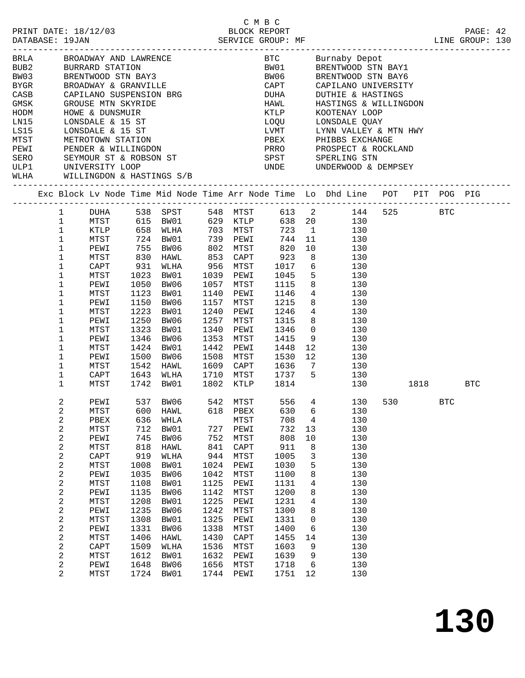|                                                                                 | 2/03<br>BLOCK REPORT<br>SERVICE GROUP: MF<br>PRINT DATE: 18/12/03<br>DATABASE: 19JAN                                                     |                                                                                                                                                              |                                                                                                                                                |                                                                                                                                                      |  |                                                                                                                                         |                                                                                                                                                              | C M B C                                                                                                                                         |                                                                                                   | LINE GROUP: 130                                                                                                                                                                                                                                                                                                                                                                            |  | PAGE: 42 |  |
|---------------------------------------------------------------------------------|------------------------------------------------------------------------------------------------------------------------------------------|--------------------------------------------------------------------------------------------------------------------------------------------------------------|------------------------------------------------------------------------------------------------------------------------------------------------|------------------------------------------------------------------------------------------------------------------------------------------------------|--|-----------------------------------------------------------------------------------------------------------------------------------------|--------------------------------------------------------------------------------------------------------------------------------------------------------------|-------------------------------------------------------------------------------------------------------------------------------------------------|---------------------------------------------------------------------------------------------------|--------------------------------------------------------------------------------------------------------------------------------------------------------------------------------------------------------------------------------------------------------------------------------------------------------------------------------------------------------------------------------------------|--|----------|--|
| CASB CAPILANO SUSPENSION BRG<br>GMSK GROUSE MTN SKYRIDE<br>HODM HOWE & DUNSMUIR |                                                                                                                                          |                                                                                                                                                              |                                                                                                                                                |                                                                                                                                                      |  |                                                                                                                                         |                                                                                                                                                              |                                                                                                                                                 |                                                                                                   | BRIA BROADWAY AND LAWRENCE BUB2<br>BUB2 BURRARD STATION<br>BW03 BRENTWOOD STN BAY3<br>BYGR BROADWAY & GRANVILLE BYGR BROADWAY & GRANVILLE<br>BYGR BROADWAY & GRANVILLE CAPT CAPILANO UNIVERSITY<br>CAPT CAPILANO UNIVERSITY<br>DUHA DUTHIE & HASTINGS<br>HAWL HASTINGS & WILLINGDON<br>KTLP KOOTENAY LOOP                                                                                  |  |          |  |
|                                                                                 |                                                                                                                                          |                                                                                                                                                              |                                                                                                                                                |                                                                                                                                                      |  |                                                                                                                                         |                                                                                                                                                              |                                                                                                                                                 |                                                                                                   | LOQU LONSDALE QUAY                                                                                                                                                                                                                                                                                                                                                                         |  |          |  |
| ULP1 UNIVERSITY LOOP<br>WLHA WILLINGDON & HASTINGS S/B                          |                                                                                                                                          | ------------------------                                                                                                                                     |                                                                                                                                                |                                                                                                                                                      |  |                                                                                                                                         |                                                                                                                                                              |                                                                                                                                                 |                                                                                                   | LVMT UYNN VALLEY & MTN HWY<br>PBEX PHIBBS EXCHANGE<br>PRRO PROSPECT & ROCKLAND<br>UNDE UNDERWOOD & DEMPSEY                                                                                                                                                                                                                                                                                 |  |          |  |
|                                                                                 |                                                                                                                                          |                                                                                                                                                              |                                                                                                                                                |                                                                                                                                                      |  |                                                                                                                                         |                                                                                                                                                              |                                                                                                                                                 |                                                                                                   | Exc Block Lv Node Time Mid Node Time Arr Node Time Lo Dhd Line POT PIT POG PIG                                                                                                                                                                                                                                                                                                             |  |          |  |
|                                                                                 | $1 \quad \blacksquare$<br>$\mathbf{1}$<br>$\mathbf{1}$<br>$\mathbf{1}$<br>$\mathbf{1}$<br>$\mathbf 1$<br>1<br>1<br>1<br>$\mathbf 1$<br>1 | MTST<br>PEWI<br>MTST<br>CAPT<br>MTST<br>PEWI<br>MTST<br>PEWI                                                                                                 | 931<br>1023<br>1050<br>1123<br>1150                                                                                                            | BW01<br>BW06<br>BW01<br>BW06                                                                                                                         |  | 1157                                                                                                                                    |                                                                                                                                                              | 1039 PEWI 1045                                                                                                                                  |                                                                                                   | 00HA 538 SPST 548 MTST 613 2 144 525 BTC<br>MTST 615 BW01 629 KTLP 638 20 130<br>KTLP 658 WLHA 703 MTST 723 1 130<br>124 BW01 129 PEWI 144 11 130<br>130 755 BW06 1802 MTST 120 10 130<br>130 830 HAWL 1853 CAPT 1923 8 130<br>BW06 802 MTST 820 10 130<br>HAWL 853 CAPT 923 8 130<br>WLHA 956 MTST 1017 6 130<br>5 130<br>1057 MTST 1115 8 130<br>1140 PEWI 1146 4 130<br>MTST 1215 8 130 |  |          |  |
|                                                                                 | 1<br>1<br>1<br>1<br>1<br>1<br>1<br>1<br>$\mathbf{1}$                                                                                     | MTST<br>PEWI<br>MTST<br>PEWI<br>MTST<br>PEWI<br>MTST<br>CAPT<br>MTST                                                                                         | 1223<br>1250<br>1323<br>1346 BW06<br>1424 BW01                                                                                                 | BW01<br>BW06<br>BW01                                                                                                                                 |  | 1257<br>1353                                                                                                                            | MTST<br>1340 PEWI<br>1442 PEWI                                                                                                                               | 1315<br>1346<br>MTST 1415                                                                                                                       |                                                                                                   | 1240 PEWI 1246 4 130<br>$\begin{array}{ccc} 8 & & 130 \\ 0 & & 130 \\ 9 & & 130 \end{array}$<br>1448 12 130<br>1500 BW06 1508 MTST 1530 12 130<br>1542 HAWL 1609 CAPT 1636 7 130<br>1643 WLHA 1710 MTST 1737 5 130<br>1742 BW01 1802 KTLP 1814 130 1818 BTC                                                                                                                                |  |          |  |
|                                                                                 | $\overline{a}$<br>2<br>2<br>2<br>2<br>2<br>2<br>2<br>2<br>2<br>2<br>2<br>2<br>2<br>2<br>2<br>2<br>2<br>2<br>2                            | MTST<br>PBEX<br>MTST<br>PEWI<br>MTST<br>CAPT<br>MTST<br>PEWI<br>MTST<br>PEWI<br>MTST<br>PEWI<br>MTST<br>PEWI<br>MTST<br>${\tt CAPT}$<br>MTST<br>PEWI<br>MTST | 600<br>636<br>712<br>745<br>818<br>919<br>1008<br>1035<br>1108<br>1135<br>1208<br>1235<br>1308<br>1331<br>1406<br>1509<br>1612<br>1648<br>1724 | HAWL<br>WHLA<br>BW01<br>BW06<br>HAWL<br>WLHA<br>BW01<br>BW06<br>BW01<br>BW06<br>BW01<br>BW06<br>BW01<br>BW06<br>HAWL<br>WLHA<br>BW01<br>BW06<br>BW01 |  | 618<br>727<br>752<br>841<br>944<br>1024<br>1042<br>1125<br>1142<br>1225<br>1242<br>1325<br>1338<br>1430<br>1536<br>1632<br>1656<br>1744 | PBEX<br>MTST<br>PEWI<br>MTST<br>${\tt CAPT}$<br>MTST<br>PEWI<br>MTST<br>PEWI<br>MTST<br>PEWI<br>MTST<br>PEWI<br>MTST<br>CAPT<br>MTST<br>PEWI<br>MTST<br>PEWI | 630<br>708<br>732<br>808<br>911<br>1005<br>1030<br>1100<br>1131<br>1200<br>1231<br>1300<br>1331<br>1400<br>1455<br>1603<br>1639<br>1718<br>1751 | 6<br>4<br>13<br>$10$<br>8<br>3<br>5<br>8<br>4<br>8<br>4<br>8<br>0<br>6<br>14<br>9<br>9<br>6<br>12 | PEWI 537 BW06 542 MTST 556 4 130 530 BTC<br>130<br>130<br>130<br>130<br>130<br>130<br>130<br>130<br>130<br>130<br>130<br>130<br>130<br>130<br>130<br>130<br>130<br>130<br>130                                                                                                                                                                                                              |  |          |  |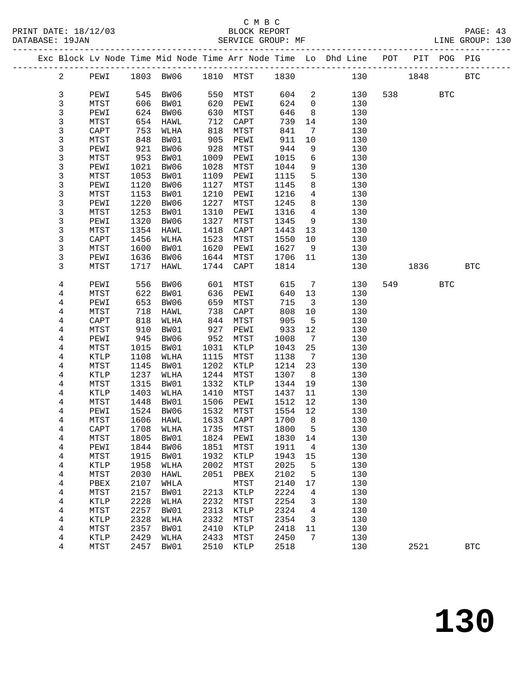|  |                         |                      |      |                             |      |                   |              |                 | Exc Block Lv Node Time Mid Node Time Arr Node Time Lo Dhd Line POT PIT POG PIG |     |       |            |              |
|--|-------------------------|----------------------|------|-----------------------------|------|-------------------|--------------|-----------------|--------------------------------------------------------------------------------|-----|-------|------------|--------------|
|  | $\overline{a}$          | PEWI                 |      | 1803 BW06 1810 MTST         |      |                   | 1830         |                 |                                                                                | 130 | 1848  |            | <b>BTC</b>   |
|  | 3                       | PEWI                 |      | 545 BW06                    | 550  | MTST              | 604          | $\overline{a}$  | 130                                                                            |     | 538 7 | <b>BTC</b> |              |
|  | 3                       | MTST                 | 606  | BW01                        | 620  | PEWI              | 624          | $\overline{0}$  | 130                                                                            |     |       |            |              |
|  | 3                       | PEWI                 | 624  | BW06                        | 630  | MTST              | 646          | 8               | 130                                                                            |     |       |            |              |
|  | 3                       | MTST                 | 654  | HAWL                        | 712  | CAPT              | 739          | 14              | 130                                                                            |     |       |            |              |
|  | 3                       | CAPT                 | 753  | WLHA                        | 818  | MTST              | 841          | 7               | 130                                                                            |     |       |            |              |
|  | 3                       | MTST                 | 848  | BW01                        | 905  | PEWI              | 911          | 10              | 130                                                                            |     |       |            |              |
|  | 3                       | PEWI                 | 921  | BW06                        | 928  | MTST              | 944          | 9               | 130                                                                            |     |       |            |              |
|  | 3                       | MTST                 | 953  | BW01                        | 1009 | PEWI              | 1015         | 6               | 130                                                                            |     |       |            |              |
|  | 3                       | PEWI                 | 1021 | BW06                        | 1028 | MTST              | 1044         | 9               | 130                                                                            |     |       |            |              |
|  | 3                       | MTST                 | 1053 | BW01                        | 1109 | PEWI              | 1115         | 5               | 130                                                                            |     |       |            |              |
|  | 3                       | PEWI                 | 1120 | BW06                        | 1127 | MTST              | 1145         | 8               | 130                                                                            |     |       |            |              |
|  | 3                       | MTST                 | 1153 | BW01                        | 1210 | PEWI              | 1216         | 4               | 130                                                                            |     |       |            |              |
|  | 3                       | PEWI                 | 1220 | BW06                        | 1227 | MTST              | 1245         | 8               | 130                                                                            |     |       |            |              |
|  | 3                       | MTST                 | 1253 | BW01                        | 1310 | PEWI              | 1316         | $\overline{4}$  | 130                                                                            |     |       |            |              |
|  | 3                       | PEWI                 | 1320 | BW06                        | 1327 | MTST              | 1345         | 9               | 130                                                                            |     |       |            |              |
|  | 3                       | MTST                 | 1354 | HAWL                        | 1418 | $\texttt{CAPT}$   | 1443         | 13              | 130                                                                            |     |       |            |              |
|  | 3                       | CAPT                 | 1456 | WLHA                        | 1523 | MTST              | 1550         | 10              | 130                                                                            |     |       |            |              |
|  | 3                       | MTST                 | 1600 | BW01                        | 1620 | PEWI              | 1627         | 9               | 130                                                                            |     |       |            |              |
|  | 3                       | PEWI                 | 1636 | BW06                        | 1644 | MTST              | 1706         | 11              | 130                                                                            |     |       |            |              |
|  | 3                       | MTST                 | 1717 | HAWL                        | 1744 | CAPT              | 1814         |                 | 130                                                                            |     | 1836  |            | <b>BTC</b>   |
|  | 4                       | PEWI                 | 556  | BW06                        | 601  | MTST              | 615          | $7\phantom{.0}$ | 130                                                                            | 549 |       | <b>BTC</b> |              |
|  | 4                       | MTST                 | 622  | BW01                        | 636  | PEWI              | 640          | 13              | 130                                                                            |     |       |            |              |
|  | 4                       | PEWI                 | 653  | BW06                        | 659  | MTST              | 715          | 3               | 130                                                                            |     |       |            |              |
|  | 4                       | MTST                 | 718  | HAWL                        | 738  | CAPT              | 808          | 10              | 130                                                                            |     |       |            |              |
|  | 4                       | CAPT                 | 818  | WLHA                        | 844  | MTST              | 905          | $5\overline{5}$ | 130                                                                            |     |       |            |              |
|  | 4                       | MTST                 | 910  | BW01                        | 927  | PEWI              | 933          | 12              | 130                                                                            |     |       |            |              |
|  | 4                       | PEWI                 | 945  | BW06                        | 952  | MTST              | 1008         | $7\phantom{.0}$ | 130                                                                            |     |       |            |              |
|  | 4                       | MTST                 | 1015 | BW01                        | 1031 | KTLP              | 1043         | 25              | 130                                                                            |     |       |            |              |
|  | 4                       | KTLP                 | 1108 | WLHA                        | 1115 | MTST              | 1138         | $\overline{7}$  | 130                                                                            |     |       |            |              |
|  | 4                       | MTST                 | 1145 | BW01                        | 1202 | KTLP              | 1214         | 23              | 130                                                                            |     |       |            |              |
|  | 4                       | <b>KTLP</b>          | 1237 | WLHA                        | 1244 | MTST              | 1307         | 8               | 130                                                                            |     |       |            |              |
|  | 4                       | MTST                 | 1315 | BW01                        | 1332 | KTLP              | 1344         | 19              | 130                                                                            |     |       |            |              |
|  | 4                       | KTLP                 | 1403 | WLHA                        | 1410 | MTST              | 1437         | 11              | 130                                                                            |     |       |            |              |
|  | 4                       | MTST                 | 1448 | BW01                        | 1506 | PEWI              | 1512         | 12              | 130                                                                            |     |       |            |              |
|  | 4                       | PEWI                 | 1524 | BW06                        | 1532 | MTST<br>1633 CAPT | 1554<br>1700 | 12<br>8         | 130                                                                            |     |       |            |              |
|  | 4                       | MTST<br>${\tt CAPT}$ | 1606 | HAWL<br>1708 WLHA 1735 MTST |      |                   | 1800 5       |                 | 130<br>130                                                                     |     |       |            |              |
|  | 4                       | MTST                 | 1805 | BW01                        | 1824 | PEWI              | 1830         | 14              | 130                                                                            |     |       |            |              |
|  | 4<br>4                  | PEWI                 | 1844 | BW06                        | 1851 | MTST              | 1911         | 4               | 130                                                                            |     |       |            |              |
|  | 4                       | MTST                 | 1915 | BW01                        | 1932 | KTLP              | 1943         | 15              | 130                                                                            |     |       |            |              |
|  | $\overline{\mathbf{4}}$ | KTLP                 | 1958 | WLHA                        | 2002 | MTST              | 2025         | 5               | 130                                                                            |     |       |            |              |
|  | 4                       | MTST                 | 2030 | HAWL                        | 2051 | PBEX              | 2102         | 5               | 130                                                                            |     |       |            |              |
|  | 4                       | PBEX                 | 2107 | WHLA                        |      | MTST              | 2140         | 17              | 130                                                                            |     |       |            |              |
|  | 4                       | MTST                 | 2157 | BW01                        | 2213 | KTLP              | 2224         | 4               | 130                                                                            |     |       |            |              |
|  | 4                       | KTLP                 | 2228 | WLHA                        | 2232 | MTST              | 2254         | 3               | 130                                                                            |     |       |            |              |
|  | 4                       | MTST                 | 2257 | BW01                        | 2313 | $\texttt{KTLP}$   | 2324         | 4               | 130                                                                            |     |       |            |              |
|  | 4                       | <b>KTLP</b>          | 2328 | WLHA                        | 2332 | MTST              | 2354         | 3               | 130                                                                            |     |       |            |              |
|  | 4                       | MTST                 | 2357 | BW01                        | 2410 | KTLP              | 2418         | 11              | 130                                                                            |     |       |            |              |
|  | $\overline{\mathbf{4}}$ | KTLP                 | 2429 | WLHA                        | 2433 | MTST              | 2450         | 7               | 130                                                                            |     |       |            |              |
|  | 4                       | MTST                 | 2457 | BW01                        | 2510 | KTLP              | 2518         |                 | 130                                                                            |     | 2521  |            | $_{\rm BTC}$ |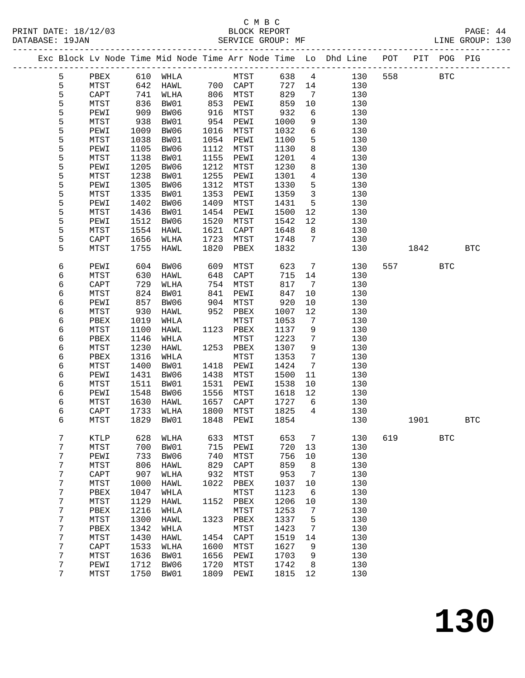|  |        |                         |              |              |      |                 |              |                   | Exc Block Lv Node Time Mid Node Time Arr Node Time Lo Dhd Line POT |     | PIT       | POG PIG    |            |  |
|--|--------|-------------------------|--------------|--------------|------|-----------------|--------------|-------------------|--------------------------------------------------------------------|-----|-----------|------------|------------|--|
|  | 5      | PBEX                    |              | 610 WHLA     |      | MTST            | 638          | $4\overline{4}$   | 130                                                                | 558 |           | <b>BTC</b> |            |  |
|  | 5      | MTST                    | 642          | HAWL         |      | 700 CAPT        | 727          | 14                | 130                                                                |     |           |            |            |  |
|  | 5      | CAPT                    | 741          | WLHA         | 806  | MTST            | 829          | 7                 | 130                                                                |     |           |            |            |  |
|  | 5      | MTST                    | 836          | BW01         | 853  | PEWI            | 859          | 10                | 130                                                                |     |           |            |            |  |
|  | 5      | PEWI                    | 909          | BW06         | 916  | MTST            | 932          | 6                 | 130                                                                |     |           |            |            |  |
|  | 5      | MTST                    | 938          | BW01         | 954  | PEWI            | 1000         | 9                 | 130                                                                |     |           |            |            |  |
|  | 5      | PEWI                    | 1009         | BW06         | 1016 | MTST            | 1032         | 6                 | 130                                                                |     |           |            |            |  |
|  | 5      | MTST                    | 1038         | BW01         | 1054 | PEWI            | 1100         | 5                 | 130                                                                |     |           |            |            |  |
|  | 5      | PEWI                    | 1105         | BW06         | 1112 | MTST            | 1130         | 8                 | 130                                                                |     |           |            |            |  |
|  | 5      | MTST                    | 1138         | BW01         | 1155 | PEWI            | 1201         | $\overline{4}$    | 130                                                                |     |           |            |            |  |
|  | 5      | PEWI                    | 1205         | BW06         | 1212 | MTST            | 1230         | 8                 | 130                                                                |     |           |            |            |  |
|  | 5      | MTST                    | 1238         | BW01         | 1255 | PEWI            | 1301         | 4                 | 130                                                                |     |           |            |            |  |
|  | 5      | PEWI                    | 1305         | BW06         | 1312 | MTST            | 1330         | 5                 | 130                                                                |     |           |            |            |  |
|  | 5      | MTST                    | 1335         | BW01         | 1353 | PEWI            | 1359         | $\mathbf{3}$      | 130                                                                |     |           |            |            |  |
|  | 5      | PEWI                    | 1402         | BW06         | 1409 | MTST            | 1431         | 5                 | 130                                                                |     |           |            |            |  |
|  | 5      | MTST                    | 1436         | BW01         | 1454 | PEWI            | 1500         | 12                | 130                                                                |     |           |            |            |  |
|  | 5      | PEWI                    | 1512         | BW06         | 1520 | MTST            | 1542         | 12                | 130                                                                |     |           |            |            |  |
|  | 5      | MTST                    | 1554         | HAWL         | 1621 | CAPT            | 1648         | 8                 | 130                                                                |     |           |            |            |  |
|  | 5      | CAPT                    | 1656         | WLHA         | 1723 | MTST            | 1748         | $7\phantom{.0}$   | 130                                                                |     |           |            |            |  |
|  | 5      | MTST                    | 1755         | HAWL         | 1820 | PBEX            | 1832         |                   | 130                                                                |     | 1842      |            | <b>BTC</b> |  |
|  | 6      | PEWI                    | 604          | BW06         | 609  | MTST            | 623          | $7\overline{ }$   | 130                                                                |     | 557 — 100 | <b>BTC</b> |            |  |
|  | 6      | MTST                    | 630          | HAWL         | 648  | $\texttt{CAPT}$ | 715          | 14                | 130                                                                |     |           |            |            |  |
|  | 6      | CAPT                    | 729          | WLHA         | 754  | MTST            | 817          | $7\phantom{.0}$   | 130                                                                |     |           |            |            |  |
|  | 6      | MTST                    | 824          | BW01         | 841  | PEWI            | 847          | 10                | 130                                                                |     |           |            |            |  |
|  | 6      | PEWI                    | 857          | BW06         | 904  | MTST            | 920          | 10                | 130                                                                |     |           |            |            |  |
|  | 6      | MTST                    | 930          | HAWL         | 952  | PBEX            | 1007         | 12                | 130                                                                |     |           |            |            |  |
|  | 6      | PBEX                    | 1019         | WHLA         |      | MTST            | 1053         | $7\phantom{.0}\,$ | 130                                                                |     |           |            |            |  |
|  | 6      | MTST                    | 1100         | HAWL         | 1123 | PBEX            | 1137         | 9                 | 130                                                                |     |           |            |            |  |
|  | 6      | PBEX                    | 1146         | WHLA         |      | MTST            | 1223         | 7                 | 130                                                                |     |           |            |            |  |
|  | 6      | MTST                    | 1230         | HAWL         |      | 1253 PBEX       | 1307         | 9                 | 130                                                                |     |           |            |            |  |
|  | 6      | PBEX                    | 1316         | WHLA         |      | MTST            | 1353         | $7\phantom{.0}$   | 130                                                                |     |           |            |            |  |
|  | 6      | MTST                    | 1400         | BW01         | 1418 | PEWI            | 1424         | 7                 | 130                                                                |     |           |            |            |  |
|  | 6      | PEWI                    | 1431         | BW06         | 1438 | MTST            | 1500         | 11                | 130                                                                |     |           |            |            |  |
|  | 6      | MTST                    | 1511         | BW01         | 1531 | PEWI            | 1538         | 10                | 130                                                                |     |           |            |            |  |
|  | 6      | PEWI                    | 1548         | BW06         | 1556 | MTST            | 1618         | 12                | 130                                                                |     |           |            |            |  |
|  | 6      | MTST                    | 1630         | HAWL         | 1657 | CAPT            | 1727         | 6                 | 130                                                                |     |           |            |            |  |
|  | 6      | CAPT                    | 1733         | WLHA         | 1800 | MTST            | 1825         | 4                 | 130                                                                |     |           |            |            |  |
|  | 6      | MTST                    | 1829         | BW01         | 1848 | PEWI            | 1854         |                   | 130                                                                |     | 1901      |            | <b>BTC</b> |  |
|  | 7      | KTLP                    | 628          | WLHA         | 633  | MTST            | 653          | 7                 | 130                                                                | 619 |           | <b>BTC</b> |            |  |
|  | 7      | MTST                    | 700          | BW01         | 715  | PEWI            | 720          | 13                | 130                                                                |     |           |            |            |  |
|  | 7      | PEWI                    | 733          | BW06         | 740  | MTST            | 756          | 10                | 130                                                                |     |           |            |            |  |
|  | 7      | MTST                    | 806          | HAWL         | 829  | CAPT            | 859          | 8                 | 130                                                                |     |           |            |            |  |
|  | 7      | $\texttt{CAPT}$         | 907          | WLHA         | 932  | ${\tt MTST}$    | 953          | 7                 | 130                                                                |     |           |            |            |  |
|  | 7      | MTST                    | 1000         | HAWL         | 1022 | PBEX            | 1037         | 10                | 130                                                                |     |           |            |            |  |
|  | 7      | ${\tt PBEX}$            | 1047         | WHLA         |      | ${\tt MTST}$    | 1123         | 6                 | 130                                                                |     |           |            |            |  |
|  | 7      | MTST                    | 1129         | HAWL         | 1152 | PBEX            | 1206         | 10                | 130                                                                |     |           |            |            |  |
|  | 7      | PBEX                    | 1216         | WHLA         |      | ${\tt MTST}$    | 1253         | 7                 | 130                                                                |     |           |            |            |  |
|  | 7      | MTST                    | 1300         | HAWL         | 1323 | PBEX            | 1337<br>1423 | 5                 | 130<br>130                                                         |     |           |            |            |  |
|  | 7<br>7 | PBEX                    | 1342<br>1430 | WHLA         | 1454 | MTST            | 1519         | 7                 | 130                                                                |     |           |            |            |  |
|  | 7      | MTST<br>$\texttt{CAPT}$ | 1533         | HAWL<br>WLHA | 1600 | CAPT<br>MTST    | 1627         | 14                | 130                                                                |     |           |            |            |  |
|  | 7      | MTST                    | 1636         | BW01         | 1656 | PEWI            | 1703         | 9<br>9            | 130                                                                |     |           |            |            |  |
|  | 7      | PEWI                    | 1712         | BW06         | 1720 | ${\tt MTST}$    | 1742         | 8                 | 130                                                                |     |           |            |            |  |
|  | 7      | MTST                    | 1750         | BW01         | 1809 | PEWI            | 1815         | 12                | 130                                                                |     |           |            |            |  |
|  |        |                         |              |              |      |                 |              |                   |                                                                    |     |           |            |            |  |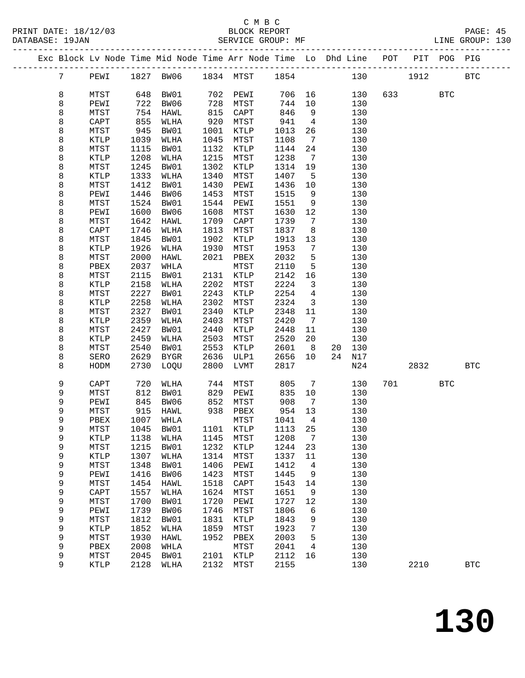### C M B C<br>BLOCK REPORT

PRINT DATE: 18/12/03 BLOCK REPORT PAGE: 45 LINE GROUP: 130 ------------------------------------------------------------------------------------------------- Exc Block Lv Node Time Mid Node Time Arr Node Time Lo Dhd Line POT PIT POG PIG

| $7\phantom{.}$ | PEWI         | 1827         | BW06                |              | 1834 MTST    | 1854         |                              | 130        |     | 1912 |            | <b>BTC</b>   |
|----------------|--------------|--------------|---------------------|--------------|--------------|--------------|------------------------------|------------|-----|------|------------|--------------|
| 8              | MTST         | 648          | BW01                | 702          | PEWI         | 706          | 16                           | 130        |     | 633  | <b>BTC</b> |              |
| 8              | PEWI         | 722          | BW06                | 728          | MTST         | 744          | 10                           | 130        |     |      |            |              |
| 8              | MTST         | 754          | HAWL                | 815          | CAPT         | 846          | 9                            | 130        |     |      |            |              |
| 8              | CAPT         | 855          | WLHA                | 920          | MTST         | 941          | $\overline{4}$               | 130        |     |      |            |              |
| 8              | MTST         | 945          | BW01                | 1001         | KTLP         | 1013         | 26                           | 130        |     |      |            |              |
| 8              | KTLP         | 1039         | WLHA                | 1045         | MTST         | 1108         | 7                            | 130        |     |      |            |              |
| 8              | MTST         | 1115         | BW01                | 1132         | KTLP         | 1144         | 24                           | 130        |     |      |            |              |
| 8              | <b>KTLP</b>  | 1208         | WLHA                | 1215         | MTST         | 1238         | $7\overline{ }$              | 130        |     |      |            |              |
| 8              | MTST         | 1245         | BW01                | 1302         | KTLP         | 1314         | 19                           | 130        |     |      |            |              |
| 8              | KTLP         | 1333         | WLHA                | 1340         | MTST         | 1407         | 5                            | 130        |     |      |            |              |
| 8              | MTST         | 1412         | BW01                | 1430         | PEWI         | 1436         | 10                           | 130        |     |      |            |              |
| 8              | PEWI         | 1446         | BW06                | 1453         | MTST         | 1515         | 9                            | 130        |     |      |            |              |
| 8              | MTST         | 1524         | BW01                | 1544         | PEWI         | 1551         | 9                            | 130        |     |      |            |              |
| 8              | PEWI         | 1600         | BW06                | 1608         | MTST         | 1630         | 12                           | 130        |     |      |            |              |
| 8              | MTST         | 1642         | HAWL                | 1709         | CAPT         | 1739         | 7                            | 130        |     |      |            |              |
| 8              | CAPT         | 1746         | WLHA                | 1813         | MTST         | 1837         | 8                            | 130        |     |      |            |              |
| 8              | MTST         | 1845         | BW01                | 1902         | KTLP         | 1913         | 13                           | 130        |     |      |            |              |
| 8              | KTLP         | 1926         | WLHA                | 1930         | MTST         | 1953         | 7                            | 130        |     |      |            |              |
| 8              | MTST         | 2000         | HAWL                | 2021         | PBEX         | 2032         | 5                            | 130        |     |      |            |              |
| 8              | PBEX         | 2037         | WHLA                |              | MTST         | 2110         | 5                            | 130        |     |      |            |              |
| 8              | MTST         | 2115         | BW01                | 2131         | KTLP         | 2142         | 16                           | 130        |     |      |            |              |
| 8              | KTLP         | 2158         | WLHA                | 2202         | MTST         | 2224         | $\mathbf{3}$                 | 130        |     |      |            |              |
| 8              | MTST         | 2227         | BW01                | 2243         | KTLP         | 2254         | 4                            | 130        |     |      |            |              |
| 8              | KTLP         | 2258         | WLHA                | 2302         | MTST         | 2324         | $\overline{3}$               | 130        |     |      |            |              |
| 8              | MTST         | 2327         | BW01                | 2340         | KTLP         | 2348         | 11                           | 130        |     |      |            |              |
| 8              | KTLP         | 2359         | WLHA                | 2403         | MTST         | 2420         | 7                            | 130        |     |      |            |              |
| 8              | MTST         | 2427         | BW01                | 2440         | KTLP         | 2448         | 11                           | 130        |     |      |            |              |
| 8              | KTLP         | 2459         | WLHA                | 2503         | MTST         | 2520         | 20                           | 130        |     |      |            |              |
| 8              | MTST         | 2540         | BW01                | 2553         | KTLP         | 2601         | 8 <sup>8</sup>               | 20<br>130  |     |      |            |              |
| 8              | SERO         | 2629         | BYGR                | 2636         | ULP1         | 2656         | 10                           | 24<br>N17  |     |      |            |              |
| 8              | HODM         | 2730         | LOQU                | 2800         | LVMT         | 2817         |                              | N24        |     | 2832 |            | $_{\rm BTC}$ |
| 9              | CAPT         | 720          | WLHA                | 744          | MTST         | 805          | $7\phantom{.0}$              | 130        | 701 |      | <b>BTC</b> |              |
| 9              | MTST         | 812          | BW01                | 829          | PEWI         | 835          | 10                           | 130        |     |      |            |              |
| 9              | PEWI         | 845          | BW06                | 852          | MTST         | 908          | 7                            | 130        |     |      |            |              |
| 9              | MTST         | 915          | HAWL                | 938          | PBEX         | 954          | 13                           | 130        |     |      |            |              |
| 9              | PBEX         | 1007         | WHLA                |              | MTST         | 1041         | $\overline{4}$               | 130        |     |      |            |              |
| 9              | MTST         | 1045         | BW01                | 1101         | KTLP         | 1113         | 25                           | 130        |     |      |            |              |
| 9              | <b>KTLP</b>  | 1138         | WLHA                | 1145         | MTST         | 1208         | $7\phantom{.0}\phantom{.0}7$ | 130        |     |      |            |              |
| 9              | ${\tt MTST}$ |              | 1215 BW01 1232 KTLP |              |              | 1244 23      |                              | 130        |     |      |            |              |
| 9              | KTLP         | 1307         | WLHA                | 1314         | MTST         | 1337         | 11                           | 130        |     |      |            |              |
| 9              | MTST         | 1348         | BW01                | 1406         | PEWI         | 1412         | 4                            | 130        |     |      |            |              |
| 9              | PEWI         | 1416         | BW06                | 1423         | MTST         | 1445         | 9                            | 130        |     |      |            |              |
| 9              | MTST         | 1454         | HAWL                | 1518         | CAPT         | 1543         | 14                           | 130        |     |      |            |              |
| 9              | CAPT         | 1557         | WLHA                | 1624         | MTST         | 1651         | 9                            | 130        |     |      |            |              |
| 9              | MTST         | 1700         | BW01                | 1720         | PEWI         | 1727         | 12                           | 130        |     |      |            |              |
| 9              | PEWI         | 1739         | BW06                | 1746         | MTST         | 1806         | 6                            | 130        |     |      |            |              |
| 9              | MTST         | 1812         | BW01                | 1831         | KTLP         | 1843         | 9                            | 130        |     |      |            |              |
| 9              | KTLP         | 1852         | WLHA                | 1859         | ${\tt MTST}$ | 1923         | 7                            | 130        |     |      |            |              |
| 9              | MTST         | 1930         | HAWL                | 1952         | PBEX         | 2003         | 5                            | 130        |     |      |            |              |
| 9<br>9         | PBEX         | 2008<br>2045 | WHLA                |              | MTST         | 2041         | 4<br>16                      | 130<br>130 |     |      |            |              |
| 9              | MTST<br>KTLP | 2128         | BW01<br>WLHA        | 2101<br>2132 | KTLP<br>MTST | 2112<br>2155 |                              | 130        |     | 2210 |            | <b>BTC</b>   |
|                |              |              |                     |              |              |              |                              |            |     |      |            |              |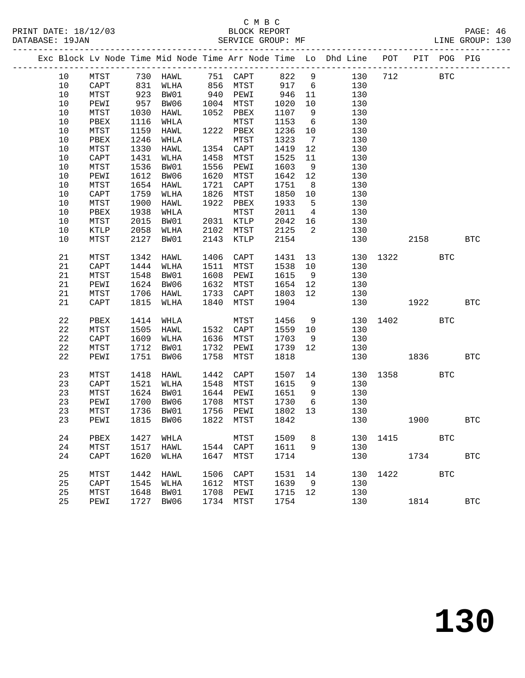|      |      |      |                                                                                                            |      |                        |                  |                         | Exc Block Lv Node Time Mid Node Time Arr Node Time Lo Dhd Line POT PIT POG PIG |          |            |            |            |
|------|------|------|------------------------------------------------------------------------------------------------------------|------|------------------------|------------------|-------------------------|--------------------------------------------------------------------------------|----------|------------|------------|------------|
| 10   |      |      |                                                                                                            |      |                        |                  |                         | 130                                                                            | 712      | <b>BTC</b> |            |            |
| 10   |      |      | MTST       730  HAWL       751  CAPT       822    9<br>CAPT      831   WLHA      856   MTST       917    6 |      |                        | 917 6            |                         | 130                                                                            |          |            |            |            |
| 10   | MTST | 923  | BW01                                                                                                       |      | 940 PEWI               | 946              | 11                      | 130                                                                            |          |            |            |            |
| 10   | PEWI | 957  | BW06                                                                                                       |      | 1004 MTST              | 1020             | 10                      | 130                                                                            |          |            |            |            |
| 10   | MTST | 1030 | HAWL                                                                                                       |      | 1052 PBEX              | 1107             | 9                       | 130                                                                            |          |            |            |            |
| $10$ | PBEX | 1116 | WHLA                                                                                                       |      | MTST                   | 1153             | $6\overline{6}$         | 130                                                                            |          |            |            |            |
| 10   | MTST | 1159 | HAWL                                                                                                       |      | 1222 PBEX              | 1236             | 10                      | 130                                                                            |          |            |            |            |
| 10   | PBEX | 1246 | WHLA                                                                                                       |      | MTST                   | 1323             | $\overline{7}$          | 130                                                                            |          |            |            |            |
| 10   | MTST | 1330 | HAWL                                                                                                       |      | 1354 CAPT              | 1419             | 12                      | 130                                                                            |          |            |            |            |
| 10   | CAPT | 1431 | WLHA                                                                                                       |      | 1458 MTST              | 1525             | 11                      | 130                                                                            |          |            |            |            |
| 10   | MTST | 1536 | BW01                                                                                                       |      | 1556 PEWI              | 1603             | 9                       | 130                                                                            |          |            |            |            |
| 10   | PEWI | 1612 | BW06                                                                                                       | 1620 | MTST                   | 1642             | 12                      | 130                                                                            |          |            |            |            |
| 10   | MTST | 1654 | HAWL                                                                                                       |      | 1721 CAPT              | 1751             | 8 <sup>8</sup>          | 130                                                                            |          |            |            |            |
| $10$ | CAPT | 1759 | WLHA                                                                                                       |      | 1826 MTST              | 1850             | 10                      | 130                                                                            |          |            |            |            |
| 10   | MTST | 1900 | HAWL                                                                                                       |      | 1922 PBEX              | 1933             | $5^{\circ}$             | 130                                                                            |          |            |            |            |
| 10   | PBEX | 1938 | WHLA                                                                                                       |      | MTST                   | 2011             | $\overline{4}$          | 130                                                                            |          |            |            |            |
| 10   | MTST | 2015 | BW01                                                                                                       |      | 2031 KTLP<br>2102 MTST | 2042             | 16                      | 130                                                                            |          |            |            |            |
| 10   | KTLP | 2058 | WLHA                                                                                                       |      |                        | $2042$<br>$2125$ | $\overline{\mathbf{2}}$ | 130                                                                            |          |            |            |            |
| 10   | MTST |      | 2127 BW01                                                                                                  |      | 2143 KTLP              | 2154             |                         | 130                                                                            |          | 2158       |            | <b>BTC</b> |
|      |      |      |                                                                                                            |      |                        |                  |                         |                                                                                |          |            |            |            |
| 21   | MTST | 1342 | HAWL                                                                                                       |      | 1406 CAPT              | 1431             | 13                      |                                                                                | 130 1322 |            | <b>BTC</b> |            |
| 21   | CAPT | 1444 | WLHA                                                                                                       |      | 1511 MTST              | 1538 10          |                         | 130                                                                            |          |            |            |            |
| 21   | MTST | 1548 | BW01                                                                                                       | 1608 | PEWI                   | 1615             | 9                       | 130                                                                            |          |            |            |            |
| 21   | PEWI | 1624 | BW06                                                                                                       |      | 1632 MTST              | 1654             | 12                      | 130                                                                            |          |            |            |            |
| 21   | MTST | 1706 | HAWL                                                                                                       |      | 1733 CAPT              | 1803             | 12                      | 130                                                                            |          |            |            |            |
| 21   | CAPT | 1815 | WLHA                                                                                                       | 1840 | MTST                   | 1904             |                         | 130                                                                            |          | 1922       |            | <b>BTC</b> |
|      |      |      |                                                                                                            |      |                        |                  |                         |                                                                                |          |            |            |            |
| 22   | PBEX | 1414 | WHLA                                                                                                       |      | MTST                   | 1456 9           |                         |                                                                                | 130 1402 |            | <b>BTC</b> |            |
| 22   | MTST | 1505 | HAWL                                                                                                       |      | 1532 CAPT              | 1559 10          |                         | 130                                                                            |          |            |            |            |
| 22   | CAPT | 1609 | WLHA                                                                                                       |      | 1636 MTST              | 1703             | 9                       | 130                                                                            |          |            |            |            |
| 22   | MTST | 1712 | BW01                                                                                                       |      | 1732 PEWI              | 1739             | 12                      | 130                                                                            |          |            |            |            |
| 22   | PEWI | 1751 | BW06                                                                                                       | 1758 | MTST                   | 1818             |                         | 130                                                                            |          | 1836       |            | <b>BTC</b> |
|      |      |      |                                                                                                            |      |                        |                  |                         |                                                                                |          |            |            |            |
| 23   | MTST | 1418 | HAWL                                                                                                       |      | 1442 CAPT              | 1507 14          |                         |                                                                                | 130 1358 |            | BTC        |            |
| 23   | CAPT |      | 1521 WLHA                                                                                                  |      | 1548 MTST              | 1615             | 9                       | 130                                                                            |          |            |            |            |
| 23   | MTST |      | 1624 BW01                                                                                                  |      | 1644 PEWI              | 1651             | 9                       | 130                                                                            |          |            |            |            |
| 23   | PEWI | 1700 | BW06                                                                                                       | 1708 | MTST                   | 1730             | $6\overline{6}$         | 130                                                                            |          |            |            |            |
| 23   | MTST | 1736 | BW01                                                                                                       | 1756 | PEWI                   | 1802             | 13                      | 130                                                                            |          |            |            |            |
| 23   | PEWI |      | 1815 BW06                                                                                                  |      | 1822 MTST              | 1842             |                         | 130                                                                            |          | 1900       |            | <b>BTC</b> |
|      |      |      |                                                                                                            |      |                        |                  |                         |                                                                                |          |            |            |            |
| 24   | PBEX | 1427 | WHLA                                                                                                       |      | MTST                   | 1509             | 8                       | 130                                                                            | 1415     |            | <b>BTC</b> |            |
| 24   | MTST | 1517 | HAWL                                                                                                       |      | 1544 CAPT              | 1611             | 9                       | 130                                                                            |          |            |            |            |
| 24   | CAPT | 1620 | WLHA                                                                                                       | 1647 | MTST                   | 1714             |                         | 130                                                                            |          | 1734       |            | <b>BTC</b> |
|      |      |      |                                                                                                            |      |                        |                  |                         |                                                                                |          |            |            |            |
| 25   | MTST | 1442 | HAWL                                                                                                       | 1506 | CAPT                   | 1531             | 14                      | 130                                                                            | 1422     |            | <b>BTC</b> |            |
| 25   | CAPT | 1545 | WLHA                                                                                                       | 1612 | MTST                   | 1639             | 9                       | 130                                                                            |          |            |            |            |
| 25   | MTST | 1648 | BW01                                                                                                       | 1708 | PEWI                   | 1715             | 12                      | 130                                                                            |          |            |            |            |
| 25   | PEWI | 1727 | BW06                                                                                                       | 1734 | MTST                   | 1754             |                         | 130                                                                            |          | 1814       |            | <b>BTC</b> |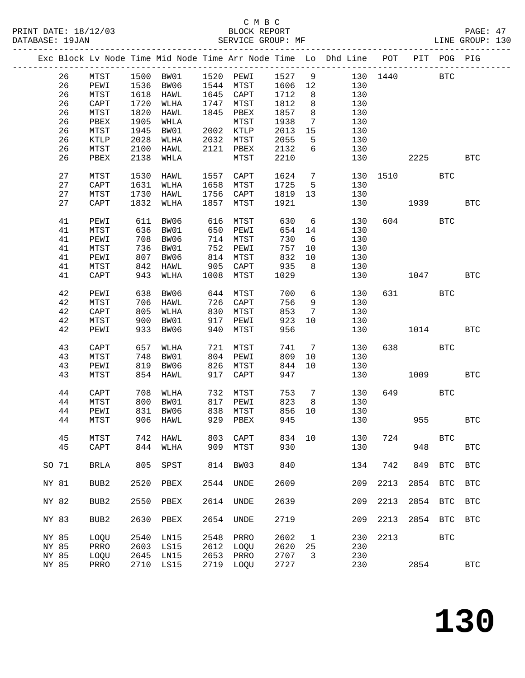|       |    |                  |      |                     |      |                 |      |                 | Exc Block Lv Node Time Mid Node Time Arr Node Time Lo Dhd Line POT |          |        | PIT POG PIG |            |
|-------|----|------------------|------|---------------------|------|-----------------|------|-----------------|--------------------------------------------------------------------|----------|--------|-------------|------------|
|       | 26 | MTST             |      | 1500 BW01 1520 PEWI |      |                 | 1527 | 9               |                                                                    | 130 1440 |        | <b>BTC</b>  |            |
|       | 26 |                  |      | BW06                |      |                 |      |                 |                                                                    |          |        |             |            |
|       |    | PEWI             | 1536 |                     |      | 1544 MTST       | 1606 | 12              | 130                                                                |          |        |             |            |
|       | 26 | MTST             | 1618 | HAWL                |      | 1645 CAPT       | 1712 | 8               | 130                                                                |          |        |             |            |
|       | 26 | CAPT             | 1720 | WLHA                | 1747 | MTST            | 1812 | 8               | 130                                                                |          |        |             |            |
|       | 26 | MTST             | 1820 | HAWL                | 1845 | PBEX            | 1857 | 8               | 130                                                                |          |        |             |            |
|       | 26 | PBEX             | 1905 | WHLA                |      | MTST            | 1938 | $\overline{7}$  | 130                                                                |          |        |             |            |
|       | 26 | MTST             | 1945 | BW01                |      | 2002 KTLP       | 2013 | 15              | 130                                                                |          |        |             |            |
|       | 26 | $\texttt{KTLP}$  | 2028 | WLHA                | 2032 | MTST            | 2055 | 5               | 130                                                                |          |        |             |            |
|       |    |                  |      |                     |      |                 |      |                 |                                                                    |          |        |             |            |
|       | 26 | MTST             | 2100 | HAWL                | 2121 | PBEX            | 2132 | 6               | 130                                                                |          |        |             |            |
|       | 26 | PBEX             | 2138 | WHLA                |      | MTST            | 2210 |                 | 130                                                                |          | 2225   |             | <b>BTC</b> |
|       | 27 | MTST             | 1530 | HAWL                | 1557 | CAPT            | 1624 | $\overline{7}$  |                                                                    | 130 1510 |        | <b>BTC</b>  |            |
|       | 27 | CAPT             | 1631 | WLHA                | 1658 | MTST            | 1725 | 5               | 130                                                                |          |        |             |            |
|       | 27 |                  | 1730 |                     | 1756 |                 |      | 13              |                                                                    |          |        |             |            |
|       |    | MTST             |      | HAWL                |      | CAPT            | 1819 |                 | 130                                                                |          |        |             |            |
|       | 27 | CAPT             | 1832 | WLHA                | 1857 | MTST            | 1921 |                 | 130                                                                |          | 1939   |             | <b>BTC</b> |
|       | 41 | PEWI             | 611  | BW06                | 616  | MTST            | 630  | 6               | 130                                                                |          | 604    | <b>BTC</b>  |            |
|       | 41 | MTST             | 636  | BW01                | 650  | PEWI            | 654  | 14              | 130                                                                |          |        |             |            |
|       | 41 | PEWI             | 708  | BW06                | 714  | MTST            | 730  | $6\overline{6}$ | 130                                                                |          |        |             |            |
|       |    |                  |      |                     |      |                 |      |                 |                                                                    |          |        |             |            |
|       | 41 | ${\tt MTST}$     | 736  | BW01                | 752  | PEWI            | 757  | 10              | 130                                                                |          |        |             |            |
|       | 41 | PEWI             | 807  | BW06                | 814  | MTST            | 832  | 10              | 130                                                                |          |        |             |            |
|       | 41 | MTST             | 842  | HAWL                | 905  | CAPT            | 935  | 8               | 130                                                                |          |        |             |            |
|       | 41 | CAPT             | 943  | WLHA                | 1008 | MTST            | 1029 |                 | 130                                                                |          | 1047   |             | BTC        |
|       | 42 | PEWI             | 638  | BW06                | 644  | MTST            | 700  | 6               | 130                                                                |          | 631 63 | <b>BTC</b>  |            |
|       |    |                  |      |                     |      |                 |      |                 |                                                                    |          |        |             |            |
|       | 42 | MTST             | 706  | HAWL                | 726  | CAPT            | 756  | 9               | 130                                                                |          |        |             |            |
|       | 42 | CAPT             | 805  | WLHA                | 830  | MTST            | 853  | $7\phantom{.0}$ | 130                                                                |          |        |             |            |
|       | 42 | MTST             | 900  | BW01                | 917  | PEWI            | 923  | 10              | 130                                                                |          |        |             |            |
|       | 42 | PEWI             | 933  | BW06                | 940  | MTST            | 956  |                 | 130                                                                |          | 1014   |             | <b>BTC</b> |
|       | 43 | CAPT             | 657  | WLHA                | 721  | MTST            | 741  | $\overline{7}$  | 130                                                                |          | 638 8  | <b>BTC</b>  |            |
|       |    |                  |      |                     |      |                 |      |                 |                                                                    |          |        |             |            |
|       | 43 | MTST             | 748  | BW01                | 804  | PEWI            | 809  | 10              | 130                                                                |          |        |             |            |
|       | 43 | PEWI             | 819  | BW06                | 826  | MTST            | 844  | 10              | 130                                                                |          |        |             |            |
|       | 43 | MTST             | 854  | HAWL                | 917  | $\texttt{CAPT}$ | 947  |                 | 130                                                                |          | 1009   |             | <b>BTC</b> |
|       | 44 | CAPT             | 708  | WLHA                | 732  | MTST            | 753  | $\overline{7}$  | 130                                                                |          | 649    | <b>BTC</b>  |            |
|       |    |                  |      |                     |      |                 |      |                 |                                                                    |          |        |             |            |
|       | 44 | MTST             | 800  | BW01                | 817  | PEWI            | 823  | 8               | 130                                                                |          |        |             |            |
|       | 44 | PEWI             | 831  | BW06                | 838  | MTST            | 856  | 10              | 130                                                                |          |        |             |            |
|       | 44 | MTST             |      | 906 HAWL            |      | 929 PBEX        | 945  |                 | 130                                                                |          | 955    |             | <b>BTC</b> |
|       | 45 | MTST             | 742  | HAWL                | 803  | CAPT            | 834  | 10              | 130                                                                | 724      |        | <b>BTC</b>  |            |
|       |    |                  |      |                     |      |                 |      |                 |                                                                    |          |        |             |            |
|       | 45 | CAPT             | 844  | WLHA                | 909  | MTST            | 930  |                 | 130                                                                |          | 948    |             | <b>BTC</b> |
| SO 71 |    | BRLA             | 805  | SPST                | 814  | BW03            | 840  |                 | 134                                                                | 742      | 849    | <b>BTC</b>  | <b>BTC</b> |
|       |    |                  |      |                     |      |                 |      |                 |                                                                    |          |        |             |            |
| NY 81 |    | BUB <sub>2</sub> | 2520 | PBEX                | 2544 | <b>UNDE</b>     | 2609 |                 | 209                                                                | 2213     | 2854   | <b>BTC</b>  | <b>BTC</b> |
|       |    |                  |      |                     |      |                 |      |                 |                                                                    |          |        |             |            |
| NY 82 |    | BUB <sub>2</sub> | 2550 | PBEX                | 2614 | UNDE            | 2639 |                 | 209                                                                | 2213     | 2854   | <b>BTC</b>  | <b>BTC</b> |
| NY 83 |    | BUB <sub>2</sub> | 2630 | PBEX                | 2654 | <b>UNDE</b>     | 2719 |                 | 209                                                                | 2213     | 2854   | <b>BTC</b>  | <b>BTC</b> |
|       |    |                  |      |                     |      |                 |      |                 |                                                                    |          |        |             |            |
| NY 85 |    | LOQU             | 2540 | LN15                | 2548 | PRRO            | 2602 | $\mathbf 1$     | 230                                                                | 2213     |        | <b>BTC</b>  |            |
| NY 85 |    | PRRO             | 2603 | LS15                | 2612 | LOQU            | 2620 | 25              | 230                                                                |          |        |             |            |
| NY 85 |    | LOQU             | 2645 | LN15                | 2653 | PRRO            | 2707 | 3               | 230                                                                |          |        |             |            |
| NY 85 |    | PRRO             | 2710 | LS15                | 2719 | LOQU            | 2727 |                 | 230                                                                |          | 2854   |             | <b>BTC</b> |
|       |    |                  |      |                     |      |                 |      |                 |                                                                    |          |        |             |            |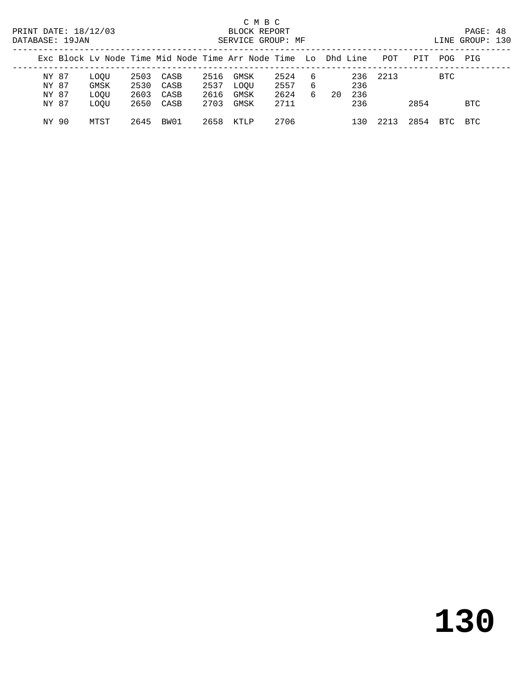| ----------- |                         |                      |                      |                      |                      |                                                                |                      |                 |    |            |          |      |            |     |  |
|-------------|-------------------------|----------------------|----------------------|----------------------|----------------------|----------------------------------------------------------------|----------------------|-----------------|----|------------|----------|------|------------|-----|--|
|             |                         |                      |                      |                      |                      | Exc Block Ly Node Time Mid Node Time Arr Node Time Lo Dhd Line |                      |                 |    |            | POT      | PIT  | POG PIG    |     |  |
|             | NY 87<br>NY 87<br>NY 87 | LOOU<br>GMSK<br>LOOU | 2503<br>2530<br>2603 | CASB<br>CASB<br>CASB | 2516<br>2537<br>2616 | GMSK<br>LOOU<br>GMSK                                           | 2524<br>2557<br>2624 | - 6<br>- 6<br>6 | 20 | 236<br>236 | 236 2213 |      | <b>BTC</b> |     |  |
|             | NY 87                   | LOOU                 |                      | 2650 CASB            | 2703                 | GMSK                                                           | 2711                 |                 |    | 236        |          | 2854 |            | BTC |  |
|             | NY 90                   | MTST                 | 2645                 | BW01                 | 2658                 | KTLP                                                           | 2706                 |                 |    | 130        | 2213     | 2854 | BTC.       | BTC |  |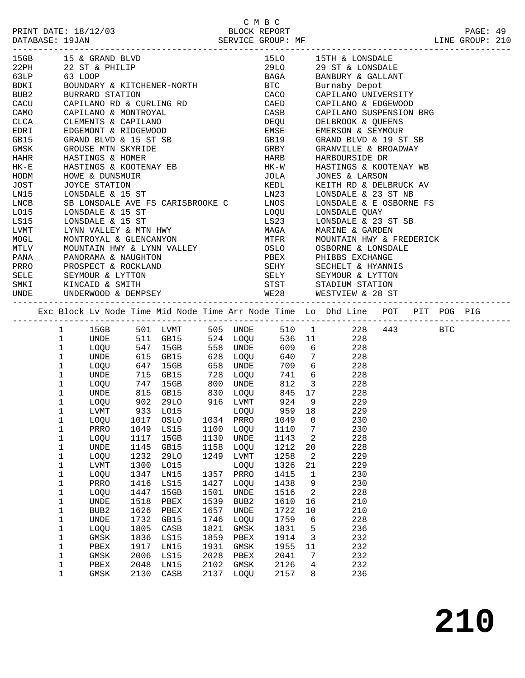|                                               | 15GB 15 & GRAND BLVD                                                      |               |              |              |                  |                            |        | 15LO 15TH & LONSDALE                                                                                                                                                                                                                                                                                                                                                                                                     |  |  |
|-----------------------------------------------|---------------------------------------------------------------------------|---------------|--------------|--------------|------------------|----------------------------|--------|--------------------------------------------------------------------------------------------------------------------------------------------------------------------------------------------------------------------------------------------------------------------------------------------------------------------------------------------------------------------------------------------------------------------------|--|--|
|                                               | 22PH 22 ST & PHILIP                                                       |               |              |              |                  |                            |        | 29LO 29 ST & LONSDALE                                                                                                                                                                                                                                                                                                                                                                                                    |  |  |
| 63LP 63 LOOP<br>BDKI BOUNDARY<br>BUB2 BURRARD |                                                                           |               |              |              |                  |                            |        | 63 LOOP<br>BOUNDARY & KITCHENER-NORTH BTC Burnaby Depot<br>BURRARD STATION CACO CAPILANO UNIVERSITY                                                                                                                                                                                                                                                                                                                      |  |  |
|                                               |                                                                           |               |              |              |                  |                            |        |                                                                                                                                                                                                                                                                                                                                                                                                                          |  |  |
|                                               |                                                                           |               |              |              |                  |                            |        |                                                                                                                                                                                                                                                                                                                                                                                                                          |  |  |
| CACU                                          | CAPILANO RD & CURLING RD                                                  |               |              |              |                  |                            |        | CAED CAPILANO & EDGEWOOD                                                                                                                                                                                                                                                                                                                                                                                                 |  |  |
| CAMO                                          |                                                                           |               |              |              |                  |                            |        |                                                                                                                                                                                                                                                                                                                                                                                                                          |  |  |
| CLCA                                          |                                                                           |               |              |              |                  |                            |        |                                                                                                                                                                                                                                                                                                                                                                                                                          |  |  |
| EDRI                                          | CAFILANO & MONTROYAL<br>CLEMENTS & CAPILANO<br>EDGEMONT & RIDGEWOOD       |               |              |              |                  |                            |        | CASB CAPILANO SUSPENSION BRG<br>DEQU DELBROOK & QUEENS<br>EMSE EMERSON & SEYMOUR                                                                                                                                                                                                                                                                                                                                         |  |  |
|                                               | GB15 GRAND BLVD & 15 ST SB                                                |               |              |              |                  |                            |        | GB19 GRAND BLVD & 19 ST SB                                                                                                                                                                                                                                                                                                                                                                                               |  |  |
| GMSK<br>HAHR<br>HK-E                          | GROUSE MTN SKYRIDE                                                        |               |              |              |                  |                            |        |                                                                                                                                                                                                                                                                                                                                                                                                                          |  |  |
|                                               | HASTINGS & HOMER                                                          |               |              |              |                  |                            |        |                                                                                                                                                                                                                                                                                                                                                                                                                          |  |  |
| $HK-E$                                        | HASTINGS & KOOTENAY EB                                                    |               |              |              |                  |                            |        |                                                                                                                                                                                                                                                                                                                                                                                                                          |  |  |
| HODM                                          | HOWE & DUNSMUIR                                                           |               |              |              |                  |                            |        | JOLA JONES & LARSON                                                                                                                                                                                                                                                                                                                                                                                                      |  |  |
|                                               | UUICE STATION<br>LONSDALE & 15 ST                                         |               |              |              |                  |                            |        |                                                                                                                                                                                                                                                                                                                                                                                                                          |  |  |
|                                               |                                                                           |               |              |              |                  |                            |        |                                                                                                                                                                                                                                                                                                                                                                                                                          |  |  |
| JOST<br>LN15<br>LNCB<br>LNCB                  |                                                                           |               |              |              |                  |                            |        | JOYCE STATION<br>$\begin{array}{lllllllll} \textsc{JoyCE} & \textsc{STATION} & & \textsc{KELDL} & & \textsc{KEITH} & \textsc{RD} & \textsc{DELBRUCK} & \textsc{AV} \\ \textsc{LONSDALE} & \& 15 & \textsc{ST} & & & \textsc{LN23} & & \textsc{LONSDALE} & \& 23 & \textsc{ST} & \text{NB} \\ \textsc{SB LONSDALE} & \& \textsc{DCE} & \textsc{SVE} & \textsc{TS} & & \textsc{LNOS} & & \textsc{LONSDALE} & \& \textsc{E$ |  |  |
| L015                                          | LONSDALE & 15 ST                                                          |               |              |              |                  |                            |        | LOQU LONSDALE QUAY                                                                                                                                                                                                                                                                                                                                                                                                       |  |  |
| LS15                                          | LONSDALE & 15 ST                                                          |               |              |              |                  | LS23                       |        | LONSDALE & 23 ST SB                                                                                                                                                                                                                                                                                                                                                                                                      |  |  |
| LVMT                                          |                                                                           |               |              |              |                  |                            |        | LYNN VALLEY & MTN HWY                            MAGA        MARINE & GARDEN<br>MONTROYAL & GLENCANYON                                MTFR       MOUNTAIN HWY & FREDERICK<br>MOUNTAIN HWY & LYNN VALLEY                      OSLO                                                                                                                                                                                        |  |  |
| MOGL                                          |                                                                           |               |              |              |                  |                            |        |                                                                                                                                                                                                                                                                                                                                                                                                                          |  |  |
| <b>MTLV</b>                                   |                                                                           |               |              |              |                  |                            |        |                                                                                                                                                                                                                                                                                                                                                                                                                          |  |  |
|                                               | PANA PANORAMA & NAUGHTON                                                  |               |              |              |                  |                            |        | PBEX<br>SEHY SECHELT & HYANNIS<br>SELY SECHELT & LYTTON<br>STST STADIUM STATION                                                                                                                                                                                                                                                                                                                                          |  |  |
|                                               |                                                                           |               |              |              |                  |                            |        |                                                                                                                                                                                                                                                                                                                                                                                                                          |  |  |
|                                               |                                                                           |               |              |              |                  |                            |        |                                                                                                                                                                                                                                                                                                                                                                                                                          |  |  |
|                                               | PRRO PROSPECT & ROCKLAND<br>SELE SEYMOUR & LYTTON<br>SMKI KINCAID & SMITH |               |              |              |                  |                            |        |                                                                                                                                                                                                                                                                                                                                                                                                                          |  |  |
|                                               |                                                                           |               |              |              |                  |                            |        | UNDE UNDERWOOD & DEMPSEY WE28 WESTVIEW & 28 ST                                                                                                                                                                                                                                                                                                                                                                           |  |  |
|                                               |                                                                           |               |              |              |                  |                            |        |                                                                                                                                                                                                                                                                                                                                                                                                                          |  |  |
|                                               |                                                                           |               |              |              |                  |                            |        | Exc Block Lv Node Time Mid Node Time Arr Node Time Lo Dhd Line POT PIT POG PIG                                                                                                                                                                                                                                                                                                                                           |  |  |
|                                               |                                                                           |               |              |              |                  |                            |        |                                                                                                                                                                                                                                                                                                                                                                                                                          |  |  |
|                                               | $1 \quad$                                                                 |               |              |              |                  |                            |        | 15GB 501 LVMT 505 UNDE 510 1 228 443 BTC                                                                                                                                                                                                                                                                                                                                                                                 |  |  |
|                                               | $\mathbf{1}$                                                              |               |              |              |                  |                            |        | UNDE 511 GB15 524 LOQU 536 11 228<br>LOQU 547 15GB 558 UNDE 609 6 228<br>UNDE 615 GB15 628 LOQU 640 7 228                                                                                                                                                                                                                                                                                                                |  |  |
|                                               | $\mathbf 1$                                                               |               |              |              |                  |                            |        |                                                                                                                                                                                                                                                                                                                                                                                                                          |  |  |
|                                               | $\mathbf{1}$                                                              | LOQU 647 15GB |              |              |                  |                            |        |                                                                                                                                                                                                                                                                                                                                                                                                                          |  |  |
|                                               | $\mathbf{1}$                                                              |               |              |              | 658 UNDE         |                            |        | 709 6 228                                                                                                                                                                                                                                                                                                                                                                                                                |  |  |
|                                               | $\mathbf{1}$<br>UNDE                                                      |               |              |              |                  |                            |        | 741 6 228                                                                                                                                                                                                                                                                                                                                                                                                                |  |  |
|                                               | $\mathbf{1}$<br>LOQU                                                      |               |              |              |                  |                            |        |                                                                                                                                                                                                                                                                                                                                                                                                                          |  |  |
|                                               | $\mathbf{1}$<br>UNDE                                                      |               |              |              |                  |                            |        |                                                                                                                                                                                                                                                                                                                                                                                                                          |  |  |
|                                               | $\mathbf{1}$                                                              |               |              |              |                  | LOQU 902 29LO 916 LVMT 924 |        | 9 229                                                                                                                                                                                                                                                                                                                                                                                                                    |  |  |
|                                               | $\mathbf{1}$<br>LVMT                                                      |               |              |              | LOQU             |                            |        | 959 18 229                                                                                                                                                                                                                                                                                                                                                                                                               |  |  |
|                                               | 1<br>LOOU                                                                 |               |              |              |                  | 1049 0                     |        | 230                                                                                                                                                                                                                                                                                                                                                                                                                      |  |  |
|                                               | 1                                                                         |               |              |              |                  |                            |        | PRRO 1049 LS15 1100 LOQU 1110 7 230                                                                                                                                                                                                                                                                                                                                                                                      |  |  |
|                                               | 1<br>LOQU                                                                 | 1117          | 15GB         | 1130         | UNDE             | 1143                       | 2      | 228                                                                                                                                                                                                                                                                                                                                                                                                                      |  |  |
|                                               | 1<br>UNDE                                                                 | 1145          | GB15         | 1158         | LOQU             | 1212                       | 20     | 228                                                                                                                                                                                                                                                                                                                                                                                                                      |  |  |
|                                               | 1<br>LOQU                                                                 | 1232          | <b>29LO</b>  | 1249         | LVMT             | 1258                       | 2      | 229                                                                                                                                                                                                                                                                                                                                                                                                                      |  |  |
|                                               | 1<br>LVMT                                                                 | 1300          | L015         |              | LOQU             | 1326                       | 21     | 229                                                                                                                                                                                                                                                                                                                                                                                                                      |  |  |
|                                               | 1<br>LOQU                                                                 | 1347          | LN15         | 1357         | PRRO             | 1415                       | 1      | 230                                                                                                                                                                                                                                                                                                                                                                                                                      |  |  |
|                                               | 1<br>PRRO                                                                 | 1416          | LS15         | 1427         | LOQU             | 1438                       | 9      | 230                                                                                                                                                                                                                                                                                                                                                                                                                      |  |  |
|                                               | 1<br>LOQU                                                                 | 1447          | 15GB         | 1501         | UNDE             | 1516                       | 2      | 228                                                                                                                                                                                                                                                                                                                                                                                                                      |  |  |
|                                               |                                                                           |               |              |              | BUB <sub>2</sub> | 1610                       | 16     | 210                                                                                                                                                                                                                                                                                                                                                                                                                      |  |  |
|                                               | 1<br><b>UNDE</b>                                                          | 1518          | ${\tt PBEX}$ | 1539         |                  |                            |        |                                                                                                                                                                                                                                                                                                                                                                                                                          |  |  |
|                                               | 1<br>BUB <sub>2</sub>                                                     | 1626          | PBEX         | 1657         | UNDE             | 1722                       | 10     | 210                                                                                                                                                                                                                                                                                                                                                                                                                      |  |  |
|                                               | 1<br><b>UNDE</b>                                                          | 1732          | GB15         | 1746         | LOQU             | 1759                       | 6      | 228                                                                                                                                                                                                                                                                                                                                                                                                                      |  |  |
|                                               | 1<br>LOQU                                                                 | 1805          | CASB         | 1821         | $\rm{GMSK}$      | 1831                       | 5      | 236                                                                                                                                                                                                                                                                                                                                                                                                                      |  |  |
|                                               |                                                                           |               |              |              |                  |                            |        |                                                                                                                                                                                                                                                                                                                                                                                                                          |  |  |
|                                               | 1<br>GMSK                                                                 | 1836          | LS15         | 1859         | PBEX             | 1914                       | 3      | 232                                                                                                                                                                                                                                                                                                                                                                                                                      |  |  |
|                                               | 1<br>${\tt PBEX}$                                                         | 1917          | LN15         | 1931         | GMSK             | 1955                       | 11     | 232                                                                                                                                                                                                                                                                                                                                                                                                                      |  |  |
|                                               | 1<br>GMSK                                                                 | 2006          | LS15         | 2028         | PBEX             | 2041                       | 7<br>4 | 232                                                                                                                                                                                                                                                                                                                                                                                                                      |  |  |
|                                               | 1<br>${\tt PBEX}$<br>1<br>GMSK                                            | 2048<br>2130  | LN15<br>CASB | 2102<br>2137 | GMSK<br>LOQU     | 2126<br>2157               | 8      | 232<br>236                                                                                                                                                                                                                                                                                                                                                                                                               |  |  |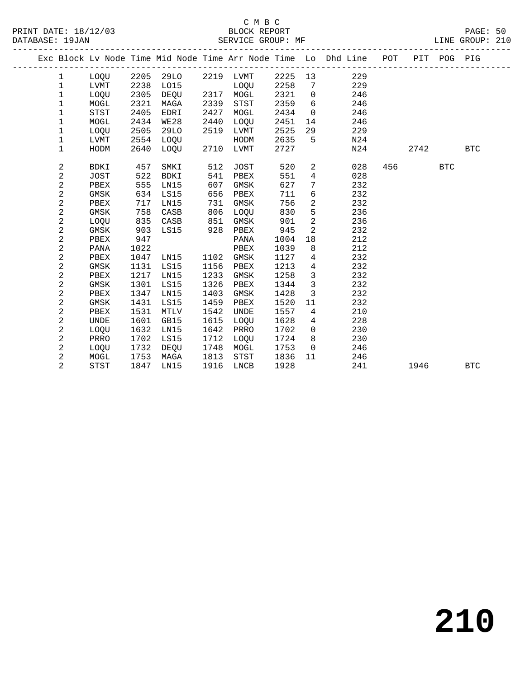|  |                |             |      |             |      |             |      |                | Exc Block Lv Node Time Mid Node Time Arr Node Time Lo Dhd Line POT PIT POG PIG<br>__________________________ |     |      |            |            |
|--|----------------|-------------|------|-------------|------|-------------|------|----------------|--------------------------------------------------------------------------------------------------------------|-----|------|------------|------------|
|  | $\mathbf{1}$   | LOQU        | 2205 | 29LO        |      | 2219 LVMT   | 2225 | 13             | 229                                                                                                          |     |      |            |            |
|  | $\mathbf 1$    | LVMT        | 2238 | L015        |      | <b>LOOU</b> | 2258 | 7              | 229                                                                                                          |     |      |            |            |
|  | 1              | LOQU        | 2305 | <b>DEQU</b> | 2317 | MOGL        | 2321 | $\mathbf 0$    | 246                                                                                                          |     |      |            |            |
|  | 1              | MOGL        | 2321 | MAGA        | 2339 | <b>STST</b> | 2359 | 6              | 246                                                                                                          |     |      |            |            |
|  | 1              | <b>STST</b> | 2405 | EDRI        | 2427 | MOGL        | 2434 | $\mathbf 0$    | 246                                                                                                          |     |      |            |            |
|  | $\mathbf 1$    | MOGL        | 2434 | <b>WE28</b> | 2440 | LOQU        | 2451 | 14             | 246                                                                                                          |     |      |            |            |
|  | 1              | LOQU        | 2505 | <b>29LO</b> | 2519 | LVMT        | 2525 | 29             | 229                                                                                                          |     |      |            |            |
|  | 1              | LVMT        | 2554 | LOQU        |      | HODM        | 2635 | 5              | N24                                                                                                          |     |      |            |            |
|  | $\mathbf 1$    | HODM        | 2640 | LOQU        | 2710 | LVMT        | 2727 |                | N24                                                                                                          |     | 2742 |            | <b>BTC</b> |
|  | 2              | BDKI        | 457  | SMKI        | 512  | <b>JOST</b> | 520  | $\overline{a}$ | 028                                                                                                          | 456 |      | <b>BTC</b> |            |
|  | $\mathbf{2}$   | JOST        | 522  | <b>BDKI</b> | 541  | PBEX        | 551  | $\overline{4}$ | 028                                                                                                          |     |      |            |            |
|  | 2              | PBEX        | 555  | LN15        | 607  | GMSK        | 627  | 7              | 232                                                                                                          |     |      |            |            |
|  | 2              | GMSK        | 634  | LS15        | 656  | PBEX        | 711  | 6              | 232                                                                                                          |     |      |            |            |
|  | $\overline{2}$ | PBEX        | 717  | LN15        | 731  | GMSK        | 756  | $\overline{a}$ | 232                                                                                                          |     |      |            |            |
|  | 2              | <b>GMSK</b> | 758  | CASB        | 806  | LOQU        | 830  | 5              | 236                                                                                                          |     |      |            |            |
|  | 2              | LOQU        | 835  | CASB        | 851  | GMSK        | 901  | 2              | 236                                                                                                          |     |      |            |            |
|  | 2              | GMSK        | 903  | LS15        | 928  | PBEX        | 945  | 2              | 232                                                                                                          |     |      |            |            |
|  | 2              | PBEX        | 947  |             |      | PANA        | 1004 | 18             | 212                                                                                                          |     |      |            |            |
|  | 2              | PANA        | 1022 |             |      | PBEX        | 1039 | 8              | 212                                                                                                          |     |      |            |            |
|  | 2              | PBEX        | 1047 | LN15        | 1102 | GMSK        | 1127 | 4              | 232                                                                                                          |     |      |            |            |
|  | 2              | GMSK        | 1131 | LS15        | 1156 | PBEX        | 1213 | 4              | 232                                                                                                          |     |      |            |            |
|  | 2              | PBEX        | 1217 | LN15        | 1233 | GMSK        | 1258 | 3              | 232                                                                                                          |     |      |            |            |
|  | $\overline{c}$ | GMSK        | 1301 | <b>LS15</b> | 1326 | PBEX        | 1344 | $\mathbf{3}$   | 232                                                                                                          |     |      |            |            |
|  | 2              | PBEX        | 1347 | LN15        | 1403 | GMSK        | 1428 | 3              | 232                                                                                                          |     |      |            |            |
|  | 2              | GMSK        | 1431 | LS15        | 1459 | PBEX        | 1520 | 11             | 232                                                                                                          |     |      |            |            |
|  | 2              | PBEX        | 1531 | <b>MTLV</b> | 1542 | <b>UNDE</b> | 1557 | $\overline{4}$ | 210                                                                                                          |     |      |            |            |
|  | 2              | <b>UNDE</b> | 1601 | GB15        | 1615 | <b>LOOU</b> | 1628 | 4              | 228                                                                                                          |     |      |            |            |
|  | 2              | LOQU        | 1632 | LN15        | 1642 | PRRO        | 1702 | $\mathbf 0$    | 230                                                                                                          |     |      |            |            |
|  | 2              | PRRO        | 1702 | LS15        | 1712 | LOQU        | 1724 | 8              | 230                                                                                                          |     |      |            |            |
|  | 2              | LOQU        | 1732 | DEQU        | 1748 | MOGL        | 1753 | $\overline{0}$ | 246                                                                                                          |     |      |            |            |
|  | 2              | MOGL        | 1753 | MAGA        | 1813 | STST        | 1836 | 11             | 246                                                                                                          |     |      |            |            |
|  | 2              | <b>STST</b> | 1847 | LN15        | 1916 | LNCB        | 1928 |                | 241                                                                                                          |     | 1946 |            | <b>BTC</b> |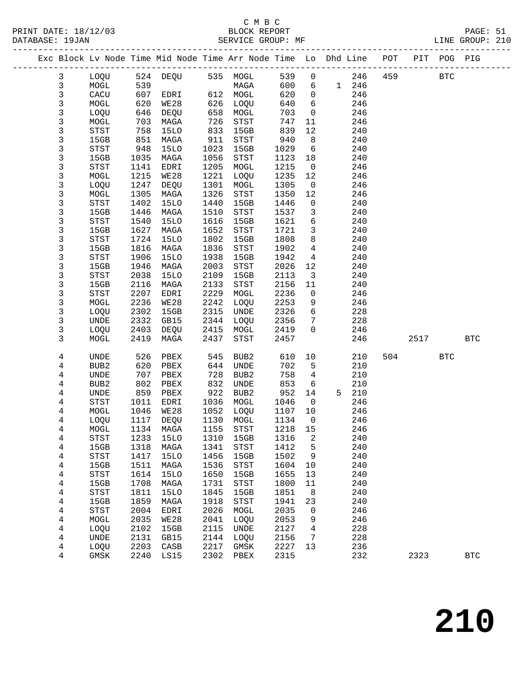### C M B C<br>BLOCK REPORT

-------------------------------------------------------------------------------------------------

LINE GROUP: 210

| Exc Block Lv Node Time Mid Node Time Arr Node Time Lo Dhd Line |                                               |              |              |              |                                       |              |                 |       |            | POT | PIT  | POG PIG      |            |
|----------------------------------------------------------------|-----------------------------------------------|--------------|--------------|--------------|---------------------------------------|--------------|-----------------|-------|------------|-----|------|--------------|------------|
| 3                                                              | LOQU                                          | 524          | DEQU         |              | 535 MOGL                              | 539          | 0               |       | 246        | 459 |      | $_{\rm BTC}$ |            |
| 3                                                              | MOGL                                          | 539          |              |              | MAGA                                  | 600          | 6               | 1 246 |            |     |      |              |            |
| 3                                                              | CACU                                          | 607          | EDRI         | 612          | MOGL                                  | 620          | 0               |       | 246        |     |      |              |            |
| 3                                                              | MOGL                                          | 620          | WE28         | 626          | LOQU                                  | 640          | 6               |       | 246        |     |      |              |            |
| 3                                                              | LOQU                                          | 646          | DEQU         | 658          | MOGL                                  | 703          | 0               |       | 246        |     |      |              |            |
| 3                                                              | MOGL                                          | 703          | MAGA         | 726          | STST                                  | 747          | 11              |       | 246        |     |      |              |            |
| 3                                                              | $_{\footnotesize{\textnormal{STST}}}$         | 758          | <b>15LO</b>  | 833          | 15GB                                  | 839          | 12              |       | 240        |     |      |              |            |
| 3                                                              | 15GB                                          | 851          | MAGA         | 911          | $_{\footnotesize{\textnormal{STST}}}$ | 940          | 8               |       | 240        |     |      |              |            |
| 3                                                              | STST                                          | 948          | 15LO         | 1023         | 15GB                                  | 1029         | 6               |       | 240        |     |      |              |            |
| 3                                                              | 15GB                                          | 1035         | MAGA         | 1056         | STST                                  | 1123         | 18              |       | 240        |     |      |              |            |
| 3                                                              | STST                                          | 1141         | EDRI         | 1205         | MOGL                                  | 1215         | 0               |       | 246        |     |      |              |            |
| 3                                                              | MOGL                                          | 1215         | <b>WE28</b>  | 1221         | LOQU                                  | 1235         | 12              |       | 246        |     |      |              |            |
| 3                                                              | LOQU                                          | 1247         | DEQU         | 1301         | MOGL                                  | 1305         | 0               |       | 246        |     |      |              |            |
| 3                                                              | MOGL                                          | 1305         | MAGA         | 1326         | $_{\footnotesize\rm STST}$            | 1350         | 12              |       | 246        |     |      |              |            |
| 3                                                              | STST                                          | 1402         | <b>15LO</b>  | 1440         | 15GB                                  | 1446         | 0               |       | 240        |     |      |              |            |
| 3                                                              | 15GB                                          | 1446         | MAGA         | 1510         | STST                                  | 1537         | 3               |       | 240        |     |      |              |            |
| 3                                                              | <b>STST</b>                                   | 1540         | 15LO         | 1616         | 15GB                                  | 1621         | 6               |       | 240        |     |      |              |            |
| 3<br>3                                                         | 15GB<br>$_{\footnotesize{\textnormal{STST}}}$ | 1627<br>1724 | MAGA<br>15LO | 1652<br>1802 | $_{\footnotesize\rm STST}$<br>15GB    | 1721<br>1808 | 3<br>8          |       | 240<br>240 |     |      |              |            |
| 3                                                              | 15GB                                          | 1816         | MAGA         | 1836         | $_{\footnotesize{\textnormal{STST}}}$ | 1902         | 4               |       | 240        |     |      |              |            |
| 3                                                              | STST                                          | 1906         | <b>15LO</b>  | 1938         | 15GB                                  | 1942         | 4               |       | 240        |     |      |              |            |
| 3                                                              | 15GB                                          | 1946         | MAGA         | 2003         | $_{\footnotesize\rm STST}$            | 2026         | 12              |       | 240        |     |      |              |            |
| 3                                                              | STST                                          | 2038         | 15LO         | 2109         | 15GB                                  | 2113         | $\mathbf{3}$    |       | 240        |     |      |              |            |
| 3                                                              | 15GB                                          | 2116         | MAGA         | 2133         | STST                                  | 2156         | 11              |       | 240        |     |      |              |            |
| 3                                                              | STST                                          | 2207         | EDRI         | 2229         | MOGL                                  | 2236         | 0               |       | 246        |     |      |              |            |
| 3                                                              | MOGL                                          | 2236         | WE28         | 2242         | LOQU                                  | 2253         | 9               |       | 246        |     |      |              |            |
| 3                                                              | LOQU                                          | 2302         | 15GB         | 2315         | UNDE                                  | 2326         | 6               |       | 228        |     |      |              |            |
| 3                                                              | UNDE                                          | 2332         | GB15         | 2344         | LOQU                                  | 2356         | 7               |       | 228        |     |      |              |            |
| 3                                                              | LOQU                                          | 2403         | DEQU         | 2415         | MOGL                                  | 2419         | 0               |       | 246        |     |      |              |            |
| 3                                                              | MOGL                                          | 2419         | MAGA         | 2437         | $_{\footnotesize\rm STST}$            | 2457         |                 |       | 246        |     | 2517 |              | <b>BTC</b> |
| 4                                                              | UNDE                                          | 526          | ${\tt PBEX}$ | 545          | BUB2                                  | 610          | 10              |       | 210        | 504 |      | $_{\rm BTC}$ |            |
| 4                                                              | BUB <sub>2</sub>                              | 620          | PBEX         | 644          | UNDE                                  | 702          | 5               |       | 210        |     |      |              |            |
| 4                                                              | UNDE                                          | 707          | PBEX         | 728          | BUB2                                  | 758          | 4               |       | 210        |     |      |              |            |
| 4                                                              | BUB <sub>2</sub>                              | 802          | PBEX         | 832          | UNDE                                  | 853          | 6               |       | 210        |     |      |              |            |
| 4                                                              | UNDE                                          | 859          | PBEX         | 922          | BUB2                                  | 952          | 14              | 5     | 210        |     |      |              |            |
| 4                                                              | STST                                          | 1011         | EDRI         | 1036         | MOGL                                  | 1046         | $\mathbf 0$     |       | 246        |     |      |              |            |
| 4                                                              | MOGL                                          | 1046         | WE28         | 1052         | LOQU                                  | 1107         | 10              |       | 246        |     |      |              |            |
| 4                                                              | LOQU                                          | 1117         | DEQU         | 1130         | MOGL                                  | 1134         | 0               |       | 246        |     |      |              |            |
| 4                                                              | MOGL                                          | 1134         | MAGA         | 1155         | STST                                  | 1218         | 15              |       | 246        |     |      |              |            |
| 4                                                              | STST                                          |              | 1233 15LO    |              | 1310 15GB                             | 1316 2       |                 |       | 240        |     |      |              |            |
| 4                                                              | 15GB                                          | 1318         | MAGA         | 1341         | STST                                  | 1412         | 5               |       | 240        |     |      |              |            |
| 4<br>4                                                         | ${\tt STST}$<br>15GB                          | 1417<br>1511 | 15LO<br>MAGA | 1456<br>1536 | 15GB<br><b>STST</b>                   | 1502<br>1604 | 9<br>10         |       | 240<br>240 |     |      |              |            |
| 4                                                              | ${\tt STST}$                                  | 1614         | <b>15LO</b>  | 1650         | 15GB                                  | 1655         | 13              |       | 240        |     |      |              |            |
| 4                                                              | 15GB                                          | 1708         | MAGA         | 1731         | STST                                  | 1800         | 11              |       | 240        |     |      |              |            |
| 4                                                              | ${\tt STST}$                                  | 1811         | 15LO         | 1845         | 15GB                                  | 1851         | 8               |       | 240        |     |      |              |            |
| 4                                                              | 15GB                                          | 1859         | MAGA         | 1918         | STST                                  | 1941         | 23              |       | 240        |     |      |              |            |
| 4                                                              | STST                                          | 2004         | EDRI         | 2026         | MOGL                                  | 2035         | $\mathbf 0$     |       | 246        |     |      |              |            |
| 4                                                              | MOGL                                          | 2035         | WE28         | 2041         | LOQU                                  | 2053         | 9               |       | 246        |     |      |              |            |
| 4                                                              | LOQU                                          | 2102         | 15GB         | 2115         | UNDE                                  | 2127         | 4               |       | 228        |     |      |              |            |
| $\overline{4}$                                                 | UNDE                                          | 2131         | GB15         | 2144         | LOQU                                  | 2156         | $7\phantom{.0}$ |       | 228        |     |      |              |            |
| 4                                                              | LOQU                                          | 2203         | CASB         | 2217         | GMSK                                  | 2227         | 13              |       | 236        |     |      |              |            |
| $\overline{4}$                                                 | GMSK                                          | 2240         | LS15         | 2302         | PBEX                                  | 2315         |                 |       | 232        |     | 2323 |              | <b>BTC</b> |
|                                                                |                                               |              |              |              |                                       |              |                 |       |            |     |      |              |            |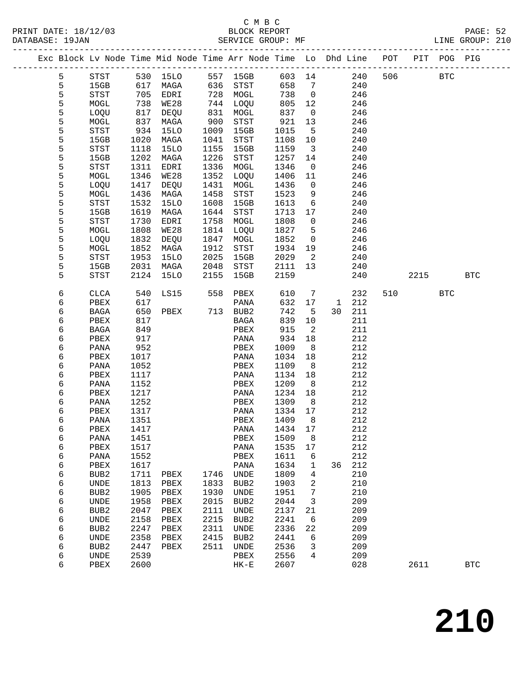| PRINT DATE: 18/12/03 | BLOCK REPORT      | PAGE: 52        |
|----------------------|-------------------|-----------------|
| DATABASE: 19JAN      | SERVICE GROUP: MF | LINE GROUP: 210 |

|  |        |                  |              | Exc Block Lv Node Time Mid Node Time Arr Node Time Lo Dhd Line POT PIT POG PIG |      |                  |              |                            |    |            |     |            |            |            |
|--|--------|------------------|--------------|--------------------------------------------------------------------------------|------|------------------|--------------|----------------------------|----|------------|-----|------------|------------|------------|
|  | 5      | STST             |              | 530 15LO 557 15GB 603 14 240                                                   |      |                  |              |                            |    |            | 506 | <b>BTC</b> |            |            |
|  | 5      | 15GB             |              | 617 MAGA 636 STST                                                              |      |                  | 658          | $\overline{7}$             |    | 240        |     |            |            |            |
|  | 5      | STST             |              | 705 EDRI                                                                       |      | 728 MOGL         | 738          | $\overline{0}$             |    | 246        |     |            |            |            |
|  | 5      | MOGL             | 738          | WE28                                                                           |      | 744 LOQU         | 805          | 12                         |    | 246        |     |            |            |            |
|  | 5      | LOQU             | 817          | DEQU                                                                           | 831  | MOGL             | 837          | $\overline{0}$             |    | 246        |     |            |            |            |
|  | 5      | MOGL             | 837          | MAGA                                                                           | 900  | STST             | 921          | 13                         |    | 246        |     |            |            |            |
|  | 5      | STST             | 934          | 15LO                                                                           | 1009 | 15GB             | 1015         | $-5$                       |    | 240        |     |            |            |            |
|  | 5      | 15GB             | 1020         | MAGA                                                                           | 1041 | STST             | 1108         | 10                         |    | 240        |     |            |            |            |
|  | 5      | STST             | 1118         | 15LO                                                                           | 1155 | 15GB             | 1159         | $\overline{\mathbf{3}}$    |    | 240        |     |            |            |            |
|  | 5      | 15GB             | 1202         | MAGA                                                                           | 1226 | STST             | 1257         | 14                         |    | 240        |     |            |            |            |
|  | 5      | STST             | 1311         | EDRI                                                                           | 1336 | MOGL             | 1346         | $\overline{\mathbf{0}}$    |    | 246        |     |            |            |            |
|  | 5      | MOGL             | 1346         | WE28                                                                           | 1352 | LOQU             | 1406         | 11                         |    | 246        |     |            |            |            |
|  | 5      | LOQU             | 1417         | DEQU                                                                           | 1431 | MOGL             | 1436         | $\overline{0}$             |    | 246        |     |            |            |            |
|  | 5      | MOGL             | 1436         | MAGA                                                                           | 1458 | STST             | 1523         | 9                          |    | 246        |     |            |            |            |
|  | 5      | STST             | 1532         | 15LO                                                                           | 1608 | 15GB             | 1613         | $6\overline{6}$            |    | 240        |     |            |            |            |
|  | 5      | 15GB             | 1619         | MAGA                                                                           | 1644 | STST             | 1713         | 17                         |    | 240        |     |            |            |            |
|  | 5      | STST             | 1730         | EDRI                                                                           | 1758 | MOGL             | 1808         | $\overline{0}$             |    | 246        |     |            |            |            |
|  | 5      | MOGL             | 1808         | WE28                                                                           | 1814 | LOQU             | 1827         | $5^{\circ}$                |    | 246        |     |            |            |            |
|  | 5      | LOQU             | 1832         | DEQU                                                                           | 1847 | MOGL             | 1852         | $\overline{0}$             |    | 246        |     |            |            |            |
|  | 5      | MOGL             | 1852         | MAGA                                                                           | 1912 | STST             | 1934         | 19                         |    | 246        |     |            |            |            |
|  | 5      | STST             | 1953         | 15LO                                                                           | 2025 | 15GB             | 2029         | $\overline{\phantom{a}}^2$ |    | 240        |     |            |            |            |
|  | 5      | 15GB             | 2031         | MAGA                                                                           | 2048 | STST             | 2111         | 13                         |    | 240        |     |            |            |            |
|  | 5      | STST             |              | 2124 15LO                                                                      | 2155 | 15GB             | 2159         |                            |    | 240        |     | 2215       |            | <b>BTC</b> |
|  | 6      | CLCA             | 540          | LS15                                                                           |      | 558 PBEX         | 610          | $\overline{7}$             |    | 232        |     | 510 72     | <b>BTC</b> |            |
|  | 6      | PBEX             | 617          |                                                                                |      | PANA             | 632          | 17                         |    | 1 212      |     |            |            |            |
|  | 6      | BAGA             | 650          | PBEX                                                                           |      | 713 BUB2         | 742          | $-5$                       |    | 30 211     |     |            |            |            |
|  | 6      | PBEX             | 817          |                                                                                |      | BAGA             | 839          | 10                         |    | 211        |     |            |            |            |
|  | 6      | BAGA             | 849          |                                                                                |      | PBEX             | 915          | $\overline{a}$             |    | 211        |     |            |            |            |
|  | 6      | PBEX             | 917          |                                                                                |      | PANA             | 934          | 18                         |    | 212        |     |            |            |            |
|  | 6      | PANA             | 952          |                                                                                |      | PBEX             | 1009         | 8 <sup>8</sup>             |    | 212        |     |            |            |            |
|  | 6      | PBEX             | 1017         |                                                                                |      | PANA             | 1034         | 18                         |    | 212        |     |            |            |            |
|  | 6      | PANA             | 1052         |                                                                                |      | PBEX             | 1109         | 8                          |    | 212        |     |            |            |            |
|  | 6      | PBEX             | 1117         |                                                                                |      | PANA             | 1134         | 18                         |    | 212        |     |            |            |            |
|  | 6      | PANA             | 1152         |                                                                                |      | PBEX             | 1209         | 8                          |    | 212        |     |            |            |            |
|  | 6      | PBEX             | 1217         |                                                                                |      | PANA             | 1234         | 18                         |    | 212        |     |            |            |            |
|  | 6      | PANA             | 1252         |                                                                                |      | PBEX             | 1309<br>1334 | 8 <sup>8</sup><br>17       |    | 212<br>212 |     |            |            |            |
|  | 6<br>6 | PBEX<br>PANA     | 1317<br>1351 |                                                                                |      | PANA<br>PBEX     | 1409         | 8                          |    | 212        |     |            |            |            |
|  | 6      | PBEX             | 1417         |                                                                                |      | PANA 1434 17     |              |                            |    | 212        |     |            |            |            |
|  | 6      | PANA             | 1451         |                                                                                |      | PBEX             | 1509         | 8                          |    | 212        |     |            |            |            |
|  | 6      | PBEX             | 1517         |                                                                                |      | PANA             | 1535         | 17                         |    | 212        |     |            |            |            |
|  | 6      | PANA             | 1552         |                                                                                |      | PBEX             | 1611         | 6                          |    | 212        |     |            |            |            |
|  | 6      | PBEX             | 1617         |                                                                                |      | PANA             | 1634         | 1                          | 36 | 212        |     |            |            |            |
|  | 6      | BUB <sub>2</sub> | 1711         | PBEX                                                                           | 1746 | UNDE             | 1809         | 4                          |    | 210        |     |            |            |            |
|  | 6      | UNDE             | 1813         | PBEX                                                                           | 1833 | BUB <sub>2</sub> | 1903         | 2                          |    | 210        |     |            |            |            |
|  | 6      | BUB <sub>2</sub> | 1905         | PBEX                                                                           | 1930 | UNDE             | 1951         | 7                          |    | 210        |     |            |            |            |
|  | 6      | UNDE             | 1958         | PBEX                                                                           | 2015 | BUB <sub>2</sub> | 2044         | 3                          |    | 209        |     |            |            |            |
|  | 6      | BUB <sub>2</sub> | 2047         | PBEX                                                                           | 2111 | UNDE             | 2137         | 21                         |    | 209        |     |            |            |            |
|  | 6      | UNDE             | 2158         | PBEX                                                                           | 2215 | BUB <sub>2</sub> | 2241         | 6                          |    | 209        |     |            |            |            |
|  | 6      | BUB <sub>2</sub> | 2247         | PBEX                                                                           | 2311 | UNDE             | 2336         | 22                         |    | 209        |     |            |            |            |
|  | 6      | UNDE             | 2358         | PBEX                                                                           | 2415 | BUB <sub>2</sub> | 2441         | 6                          |    | 209        |     |            |            |            |
|  | 6      | BUB <sub>2</sub> | 2447         | PBEX                                                                           | 2511 | UNDE             | 2536         | 3                          |    | 209        |     |            |            |            |
|  | 6      | UNDE             | 2539         |                                                                                |      | PBEX             | 2556         | 4                          |    | 209        |     |            |            |            |
|  | 6      | PBEX             | 2600         |                                                                                |      | $HK-E$           | 2607         |                            |    | 028        |     | 2611       |            | <b>BTC</b> |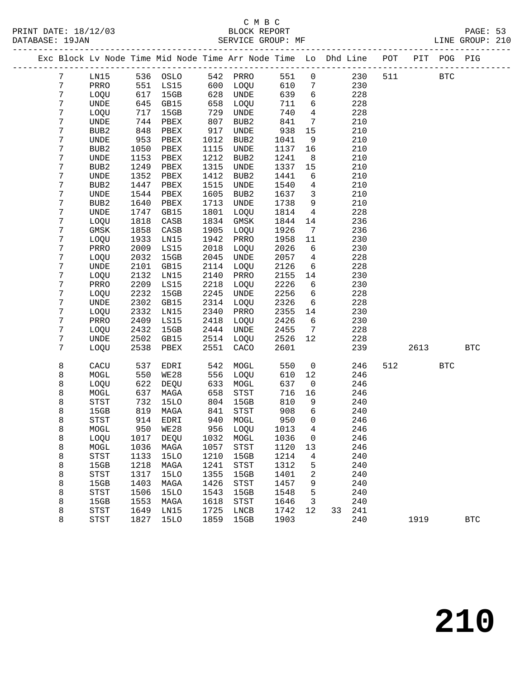| Exc Block Lv Node Time Mid Node Time Arr Node Time Lo Dhd Line POT PIT POG PIG |                                       |      |             |      |                                       |        |                 |    |     |     |      |            |              |
|--------------------------------------------------------------------------------|---------------------------------------|------|-------------|------|---------------------------------------|--------|-----------------|----|-----|-----|------|------------|--------------|
| 7                                                                              | LN15                                  |      | 536 OSLO    |      | 542 PRRO                              | 551    | $\mathbf 0$     |    | 230 | 511 |      | <b>BTC</b> |              |
| 7                                                                              | PRRO                                  | 551  | LS15        | 600  | LOQU                                  | 610    | 7               |    | 230 |     |      |            |              |
| 7                                                                              | LOQU                                  | 617  | 15GB        | 628  | UNDE                                  | 639    | 6               |    | 228 |     |      |            |              |
| 7                                                                              | UNDE                                  | 645  | GB15        | 658  | LOQU                                  | 711    | 6               |    | 228 |     |      |            |              |
| 7                                                                              | LOQU                                  | 717  | 15GB        | 729  | UNDE                                  | 740    | $\overline{4}$  |    | 228 |     |      |            |              |
| 7                                                                              | UNDE                                  | 744  | PBEX        | 807  | BUB <sub>2</sub>                      | 841    | $7\phantom{.0}$ |    | 210 |     |      |            |              |
| 7                                                                              | BUB <sub>2</sub>                      | 848  | PBEX        | 917  | UNDE                                  | 938    | 15              |    | 210 |     |      |            |              |
| 7                                                                              | $\ensuremath{\mathsf{UNDE}}$          | 953  | PBEX        | 1012 | BUB2                                  | 1041   | 9               |    | 210 |     |      |            |              |
| 7                                                                              | BUB <sub>2</sub>                      | 1050 | PBEX        | 1115 | UNDE                                  | 1137   | 16              |    | 210 |     |      |            |              |
| 7                                                                              | UNDE                                  | 1153 | PBEX        | 1212 | BUB2                                  | 1241   | 8               |    | 210 |     |      |            |              |
| 7                                                                              | BUB <sub>2</sub>                      | 1249 | PBEX        | 1315 | UNDE                                  | 1337   | 15              |    | 210 |     |      |            |              |
| 7                                                                              | UNDE                                  | 1352 | PBEX        | 1412 | BUB2                                  | 1441   | 6               |    | 210 |     |      |            |              |
| 7                                                                              | BUB2                                  | 1447 | PBEX        | 1515 | UNDE                                  | 1540   | 4               |    | 210 |     |      |            |              |
| 7                                                                              | UNDE                                  | 1544 | PBEX        | 1605 | BUB2                                  | 1637   | 3               |    | 210 |     |      |            |              |
| 7                                                                              | BUB <sub>2</sub>                      | 1640 | PBEX        | 1713 | UNDE                                  | 1738   | 9               |    | 210 |     |      |            |              |
| 7                                                                              | UNDE                                  | 1747 | GB15        | 1801 | LOQU                                  | 1814   | $\overline{4}$  |    | 228 |     |      |            |              |
| 7                                                                              | LOQU                                  | 1818 | CASB        | 1834 | GMSK                                  | 1844   | 14              |    | 236 |     |      |            |              |
| 7                                                                              | GMSK                                  | 1858 | CASB        | 1905 | LOQU                                  | 1926   | 7               |    | 236 |     |      |            |              |
| 7                                                                              | LOQU                                  | 1933 | LN15        | 1942 | PRRO                                  | 1958   | 11              |    | 230 |     |      |            |              |
| 7                                                                              | PRRO                                  | 2009 | LS15        | 2018 | LOQU                                  | 2026   | 6               |    | 230 |     |      |            |              |
| 7                                                                              | LOQU                                  | 2032 | 15GB        | 2045 | UNDE                                  | 2057   | 4               |    | 228 |     |      |            |              |
| 7                                                                              | UNDE                                  | 2101 | GB15        | 2114 | LOQU                                  | 2126   | 6               |    | 228 |     |      |            |              |
| 7                                                                              | LOQU                                  | 2132 | LN15        | 2140 | PRRO                                  | 2155   | 14              |    | 230 |     |      |            |              |
| 7                                                                              | PRRO                                  | 2209 | LS15        | 2218 | LOQU                                  | 2226   | 6               |    | 230 |     |      |            |              |
| 7                                                                              | LOQU                                  | 2232 | 15GB        | 2245 | UNDE                                  | 2256   | 6               |    | 228 |     |      |            |              |
| 7                                                                              | UNDE                                  | 2302 | GB15        | 2314 | LOQU                                  | 2326   | 6               |    | 228 |     |      |            |              |
| 7                                                                              | LOQU                                  | 2332 | LN15        | 2340 | PRRO                                  | 2355   | 14              |    | 230 |     |      |            |              |
| 7                                                                              | PRRO                                  | 2409 | LS15        | 2418 | LOQU                                  | 2426   | 6               |    | 230 |     |      |            |              |
| 7                                                                              | LOQU                                  | 2432 | 15GB        | 2444 | UNDE                                  | 2455   | $7\phantom{.0}$ |    | 228 |     |      |            |              |
| 7                                                                              | UNDE                                  | 2502 | GB15        | 2514 | LOQU                                  | 2526   | 12              |    | 228 |     |      |            |              |
| 7                                                                              | LOQU                                  | 2538 | PBEX        | 2551 | CACO                                  | 2601   |                 |    | 239 |     | 2613 |            | <b>BTC</b>   |
| 8                                                                              | CACU                                  | 537  | EDRI        | 542  | MOGL                                  | 550    | $\mathsf{O}$    |    | 246 | 512 |      | <b>BTC</b> |              |
| 8                                                                              | MOGL                                  | 550  | <b>WE28</b> | 556  | LOQU                                  | 610    | 12              |    | 246 |     |      |            |              |
| 8                                                                              | LOQU                                  | 622  | DEQU        | 633  | MOGL                                  | 637    | $\overline{0}$  |    | 246 |     |      |            |              |
| 8                                                                              | MOGL                                  | 637  | MAGA        | 658  | $_{\footnotesize{\textnormal{STST}}}$ | 716    | 16              |    | 246 |     |      |            |              |
| 8                                                                              | $_{\footnotesize{\textnormal{STST}}}$ | 732  | 15LO        | 804  | 15GB                                  | 810    | 9               |    | 240 |     |      |            |              |
| 8                                                                              | 15GB                                  | 819  | MAGA        | 841  | STST                                  | 908    | 6               |    | 240 |     |      |            |              |
| 8                                                                              | <b>STST</b>                           |      | 914 EDRI    | 940  | MOGL                                  | 950    | $\Omega$        |    | 246 |     |      |            |              |
| 8                                                                              | MOGL                                  |      | 950 WE28    |      | 956 LOQU                              | 1013 4 |                 |    | 246 |     |      |            |              |
| 8                                                                              | LOQU                                  | 1017 | <b>DEQU</b> | 1032 | MOGL                                  | 1036   | 0               |    | 246 |     |      |            |              |
| 8                                                                              | MOGL                                  | 1036 | MAGA        | 1057 | STST                                  | 1120   | 13              |    | 246 |     |      |            |              |
| 8                                                                              | <b>STST</b>                           | 1133 | <b>15LO</b> | 1210 | 15GB                                  | 1214   | 4               |    | 240 |     |      |            |              |
| 8                                                                              | 15GB                                  | 1218 | MAGA        | 1241 | STST                                  | 1312   | 5               |    | 240 |     |      |            |              |
| 8                                                                              | <b>STST</b>                           | 1317 | <b>15LO</b> | 1355 | 15GB                                  | 1401   | 2               |    | 240 |     |      |            |              |
| 8                                                                              | 15GB                                  | 1403 | MAGA        | 1426 | <b>STST</b>                           | 1457   | 9               |    | 240 |     |      |            |              |
| 8                                                                              | <b>STST</b>                           | 1506 | <b>15LO</b> | 1543 | 15GB                                  | 1548   | 5               |    | 240 |     |      |            |              |
| 8                                                                              | 15GB                                  | 1553 | MAGA        | 1618 | STST                                  | 1646   | 3               |    | 240 |     |      |            |              |
| 8                                                                              | <b>STST</b>                           | 1649 | LN15        | 1725 | LNCB                                  | 1742   | 12              | 33 | 241 |     |      |            |              |
| 8                                                                              | STST                                  | 1827 | <b>15LO</b> | 1859 | 15GB                                  | 1903   |                 |    | 240 |     | 1919 |            | $_{\rm BTC}$ |
|                                                                                |                                       |      |             |      |                                       |        |                 |    |     |     |      |            |              |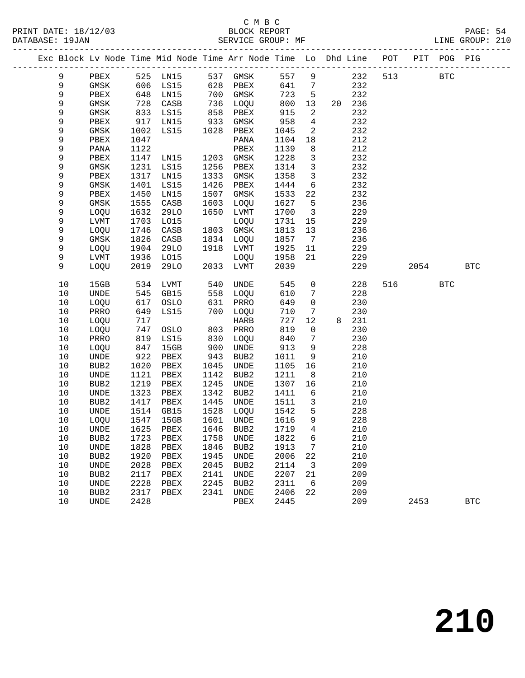|             |                          |              | Exc Block Lv Node Time Mid Node Time Arr Node Time Lo Dhd Line POT |              |                     |              |                              |   |            |     |      | PIT POG PIG |            |  |
|-------------|--------------------------|--------------|--------------------------------------------------------------------|--------------|---------------------|--------------|------------------------------|---|------------|-----|------|-------------|------------|--|
| 9           | PBEX                     |              | 525 LN15                                                           | 537          | GMSK                | 557          | $\overline{9}$               |   | 232        | 513 |      | <b>BTC</b>  |            |  |
| 9           | GMSK                     | 606          | LS15                                                               | 628          | PBEX                | 641          | 7                            |   | 232        |     |      |             |            |  |
| $\mathsf 9$ | PBEX                     | 648          | LN15                                                               | 700          | GMSK                | 723          | 5                            |   | 232        |     |      |             |            |  |
| $\mathsf 9$ | GMSK                     | 728          | CASB                                                               | 736          | LOQU                | 800          | 13                           |   | 20 236     |     |      |             |            |  |
| 9           | GMSK                     | 833          | LS15                                                               | 858          | PBEX                | 915          | 2                            |   | 232        |     |      |             |            |  |
| 9           | PBEX                     | 917          | LN15                                                               | 933          | GMSK                | 958          | 4                            |   | 232        |     |      |             |            |  |
| 9           | GMSK                     | 1002         | LS15                                                               | 1028         | PBEX                | 1045         | 2                            |   | 232        |     |      |             |            |  |
| 9           | PBEX                     | 1047         |                                                                    |              | PANA                | 1104         | 18                           |   | 212        |     |      |             |            |  |
| 9           | PANA                     | 1122         |                                                                    |              | PBEX                | 1139         | 8                            |   | 212        |     |      |             |            |  |
| 9           | PBEX                     | 1147         | LN15                                                               | 1203         | GMSK                | 1228         | 3                            |   | 232        |     |      |             |            |  |
| 9           | GMSK                     | 1231         | LS15                                                               | 1256         | PBEX                | 1314         | $\mathbf{3}$                 |   | 232        |     |      |             |            |  |
| 9           | PBEX                     | 1317         | LN15                                                               | 1333         | GMSK                | 1358         | $\mathbf{3}$                 |   | 232        |     |      |             |            |  |
| 9           | GMSK                     | 1401         | LS15                                                               | 1426         | PBEX                | 1444         | 6                            |   | 232        |     |      |             |            |  |
| 9           | PBEX                     | 1450         | LN15                                                               | 1507         | GMSK                | 1533         | 22                           |   | 232        |     |      |             |            |  |
| 9           | GMSK                     | 1555         | CASB                                                               | 1603         | LOQU                | 1627         | 5                            |   | 236        |     |      |             |            |  |
| 9           | LOQU                     | 1632         | <b>29LO</b>                                                        | 1650         | LVMT                | 1700         | $\overline{3}$               |   | 229        |     |      |             |            |  |
| 9           | LVMT                     | 1703         | L015                                                               |              | LOQU                | 1731         | 15                           |   | 229        |     |      |             |            |  |
| 9           | LOQU                     | 1746         | CASB                                                               | 1803         | GMSK                | 1813         | 13                           |   | 236        |     |      |             |            |  |
| 9           | GMSK                     | 1826         | CASB                                                               | 1834         | LOQU                | 1857         | $7\phantom{.0}\phantom{.0}7$ |   | 236        |     |      |             |            |  |
| 9           | LOQU                     | 1904         | 29LO                                                               | 1918         | LVMT                | 1925         | 11                           |   | 229        |     |      |             |            |  |
| 9           | LVMT                     | 1936         | L015                                                               |              | LOQU                | 1958         | 21                           |   | 229        |     |      |             |            |  |
| 9           | LOQU                     | 2019         | 29LO                                                               | 2033         | LVMT                | 2039         |                              |   | 229        |     | 2054 |             | <b>BTC</b> |  |
| 10          | 15GB                     | 534          | LVMT                                                               | 540          | UNDE                | 545          | $\mathsf{O}$                 |   | 228        | 516 |      | <b>BTC</b>  |            |  |
| 10          | UNDE                     | 545          | GB15                                                               | 558          | LOQU                | 610          | 7                            |   | 228        |     |      |             |            |  |
| 10          | LOQU                     | 617          | OSLO                                                               | 631          | PRRO                | 649          | $\mathbf 0$                  |   | 230        |     |      |             |            |  |
| 10          | PRRO                     | 649          | LS15                                                               | 700          | LOQU                | 710          | 7                            |   | 230        |     |      |             |            |  |
| 10          | LOQU                     | 717          |                                                                    |              | HARB                | 727          | 12                           | 8 | 231        |     |      |             |            |  |
| 10          | LOQU                     | 747          | OSLO                                                               | 803          | PRRO                | 819          | $\mathbf 0$                  |   | 230        |     |      |             |            |  |
| 10          | PRRO                     | 819          | LS15                                                               | 830          | LOQU                | 840          | 7                            |   | 230        |     |      |             |            |  |
| 10          | LOQU                     | 847          | 15GB                                                               | 900          | UNDE                | 913          | 9                            |   | 228        |     |      |             |            |  |
| 10          | UNDE                     | 922          | PBEX                                                               | 943          | BUB2                | 1011         | 9                            |   | 210        |     |      |             |            |  |
| 10          | BUB <sub>2</sub>         | 1020         | PBEX                                                               | 1045         | UNDE                | 1105         | 16                           |   | 210        |     |      |             |            |  |
| $10$        | UNDE                     | 1121         | PBEX                                                               | 1142         | BUB2                | 1211         | 8                            |   | 210        |     |      |             |            |  |
| 10          | BUB <sub>2</sub>         | 1219         | PBEX                                                               | 1245         | UNDE                | 1307         | 16                           |   | 210        |     |      |             |            |  |
| 10          | UNDE                     | 1323         | PBEX                                                               | 1342         | BUB2                | 1411         | 6                            |   | 210        |     |      |             |            |  |
| 10<br>10    | BUB <sub>2</sub><br>UNDE | 1417<br>1514 | PBEX                                                               | 1445         | UNDE                | 1511<br>1542 | $\mathbf{3}$<br>5            |   | 210        |     |      |             |            |  |
| 10          | LOQU                     | 1547         | GB15<br>15GB                                                       | 1528<br>1601 | LOQU<br><b>UNDE</b> | 1616         | 9                            |   | 228<br>228 |     |      |             |            |  |
| 10          |                          | 1625         |                                                                    |              | 1646 BUB2 1719 4    |              |                              |   | 210        |     |      |             |            |  |
| 10          | UNDE<br>BUB <sub>2</sub> | 1723         | PBEX<br>PBEX                                                       | 1758         | <b>UNDE</b>         | 1822         | 6                            |   | 210        |     |      |             |            |  |
| $10$        | UNDE                     | 1828         | PBEX                                                               | 1846         | BUB <sub>2</sub>    | 1913         | 7                            |   | 210        |     |      |             |            |  |
| 10          | BUB <sub>2</sub>         | 1920         | PBEX                                                               | 1945         | <b>UNDE</b>         | 2006         | 22                           |   | 210        |     |      |             |            |  |
| $10$        | UNDE                     | 2028         | PBEX                                                               | 2045         | BUB <sub>2</sub>    | 2114         | 3                            |   | 209        |     |      |             |            |  |
| $10$        | BUB2                     | 2117         | PBEX                                                               | 2141         | <b>UNDE</b>         | 2207         | $2\sqrt{1}$                  |   | 209        |     |      |             |            |  |
| 10          | UNDE                     | 2228         | ${\tt PBEX}$                                                       | 2245         | BUB2                | 2311         | 6                            |   | 209        |     |      |             |            |  |
| $10$        | BUB <sub>2</sub>         | 2317         | PBEX                                                               | 2341         | <b>UNDE</b>         | 2406         | 22                           |   | 209        |     |      |             |            |  |
| 10          | <b>UNDE</b>              | 2428         |                                                                    |              | PBEX                | 2445         |                              |   | 209        |     | 2453 |             | <b>BTC</b> |  |
|             |                          |              |                                                                    |              |                     |              |                              |   |            |     |      |             |            |  |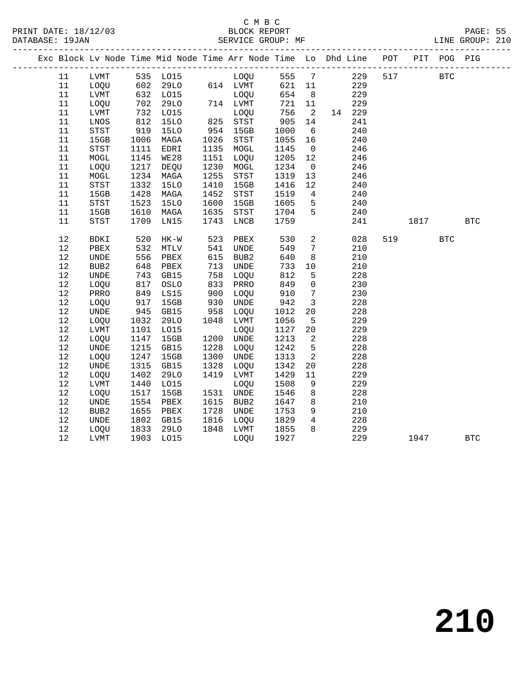| Exc Block Lv Node Time Mid Node Time Arr Node Time Lo Dhd Line POT |                     |               |              |              |                   |              |                      |            |     |      | PIT POG PIG |            |  |
|--------------------------------------------------------------------|---------------------|---------------|--------------|--------------|-------------------|--------------|----------------------|------------|-----|------|-------------|------------|--|
| 11                                                                 | LVMT                |               | 535 LO15     |              | LOQU 555          |              | $7\phantom{0}$       | 229        | 517 |      | <b>BTC</b>  |            |  |
| 11                                                                 | LOQU                | 602           |              |              | 29LO 614 LVMT     | 621 11       |                      | 229        |     |      |             |            |  |
| 11                                                                 | LVMT                | 632<br>702    | L015         |              | LOQU              | 654          | 8 <sup>8</sup>       | 229        |     |      |             |            |  |
| 11                                                                 | LOQU                | 702           | 29LO         |              | 714 LVMT          | 721          | 11                   | 229        |     |      |             |            |  |
| 11                                                                 | LVMT                | 732           | L015         |              | LOQU              | 756          | $\overline{2}$       | 14 229     |     |      |             |            |  |
| 11                                                                 | LNOS                | 812           | <b>15LO</b>  |              | $825$ $STST$      | 905          | 14                   | 241        |     |      |             |            |  |
| 11                                                                 | STST                | 919           | <b>15LO</b>  | 954          | 15GB              | 1000         | 6                    | 240        |     |      |             |            |  |
| 11                                                                 | 15GB                | 1006          | MAGA         | 1026         | STST              | 1055         | 16                   | 240        |     |      |             |            |  |
| 11                                                                 | <b>STST</b>         | 1111          | EDRI         | 1135         | MOGL              | 1145         | $\overline{0}$       | 246        |     |      |             |            |  |
| 11                                                                 | MOGL                | 1145          | <b>WE28</b>  | 1151         | LOQU              | 1205         | 12                   | 246        |     |      |             |            |  |
| 11                                                                 | LOQU                | 1217          | DEQU         | 1230         | MOGL              | 1234         | $\overline{0}$       | 246        |     |      |             |            |  |
| 11                                                                 | MOGL                | 1234          | MAGA         | 1255         | STST              | 1319         | 13                   | 246        |     |      |             |            |  |
| 11                                                                 | STST                | 1332          | <b>15LO</b>  | 1410         | 15GB              | 1416         | 12                   | 240        |     |      |             |            |  |
| 11                                                                 | 15GB                | 1428          | MAGA         | 1452         | STST              | 1519         | $\overline{4}$       | 240        |     |      |             |            |  |
| 11                                                                 | <b>STST</b>         | 1523          | 15LO         | 1600         | 15GB              | 1605         | 5                    | 240        |     |      |             |            |  |
| 11                                                                 | 15GB                | 1610          | MAGA         | 1635         | STST              | 1704         | 5                    | 240        |     |      |             |            |  |
| 11                                                                 | <b>STST</b>         | 1709          | LN15         | 1743         | LNCB              | 1759         |                      | 241        |     | 1817 |             | <b>BTC</b> |  |
|                                                                    |                     |               |              |              |                   |              |                      |            |     |      |             |            |  |
| 12                                                                 | BDKI                | 520           | $HK-W$       | 523          | PBEX              | 530          | $\overline{a}$       | 028        | 519 |      | <b>BTC</b>  |            |  |
| 12                                                                 | PBEX                | 532           | MTLV         | 541          | UNDE              | 549          | $7\phantom{.0}$      | 210        |     |      |             |            |  |
| $12$                                                               | <b>UNDE</b>         | 556           | PBEX         | 615          | BUB2              | 640          | 8                    | 210        |     |      |             |            |  |
| 12                                                                 | BUB <sub>2</sub>    | 648           | PBEX         | 713          | UNDE              | 733          | 10                   | 210        |     |      |             |            |  |
| 12                                                                 | <b>UNDE</b>         | 743           | GB15         | 758          | LOQU              | 812          | 5                    | 228        |     |      |             |            |  |
| 12                                                                 | LOQU                | 817           | OSLO         | 833          | PRRO              | 849          | $\mathbf 0$          | 230        |     |      |             |            |  |
| $12$                                                               | PRRO                | 849           | LS15         | 900          | LOQU              | 910          | $7\phantom{.0}$      | 230        |     |      |             |            |  |
| 12                                                                 | LOQU                | 917<br>$-945$ | 15GB         | 930<br>958   | UNDE              | 942          | $\overline{3}$       | 228        |     |      |             |            |  |
| 12                                                                 | <b>UNDE</b>         |               | GB15         |              | LOQU              | 1012         | 20                   | 228        |     |      |             |            |  |
| 12<br>12                                                           | LOQU                | 1032          | <b>29LO</b>  | 1048         | LVMT              | 1056         | 5                    | 229<br>229 |     |      |             |            |  |
| 12                                                                 | LVMT                | 1101          | L015<br>15GB |              | LOQU<br>1200 UNDE | 1127<br>1213 | 20<br>$\overline{2}$ | 228        |     |      |             |            |  |
| 12                                                                 | LOQU<br><b>UNDE</b> | 1147<br>1215  | GB15         | 1228         | LOOU              | 1242         | 5                    | 228        |     |      |             |            |  |
| 12                                                                 |                     | 1247          | 15GB         | 1300         | UNDE              | 1313         | 2                    | 228        |     |      |             |            |  |
| 12                                                                 | LOQU<br><b>UNDE</b> | 1315          | GB15         | 1328         |                   | 1342         | 20                   | 228        |     |      |             |            |  |
|                                                                    |                     |               |              |              | LOQU              |              |                      |            |     |      |             |            |  |
| 12                                                                 | LOQU                | 1402          | 29LO         | 1419         | LVMT              | 1429         | 11                   | 229        |     |      |             |            |  |
| 12<br>12                                                           | LVMT                | 1440          | L015         |              | LOQU              | 1508         | 9                    | 229<br>228 |     |      |             |            |  |
|                                                                    | LOQU                | 1517          | 15GB         |              | 1531 UNDE         | 1546         | 8                    |            |     |      |             |            |  |
| $12$                                                               | UNDE                | 1554          | PBEX         | 1615<br>1728 | BUB2              | 1647         | 8                    | 210        |     |      |             |            |  |
| 12                                                                 | BUB2                | 1655          | PBEX         |              | UNDE              | 1753         | 9                    | 210        |     |      |             |            |  |
| 12                                                                 | UNDE                | 1802          | GB15         | 1816         | LOQU              | 1829         | $4\overline{ }$      | 228        |     |      |             |            |  |
| 12                                                                 | LOQU                | 1833          | 29LO         | 1848         | LVMT              | 1855         | 8                    | 229        |     |      |             |            |  |
| 12                                                                 | LVMT                | 1903          | LO15         |              | LOQU              | 1927         |                      | 229        |     | 1947 |             | <b>BTC</b> |  |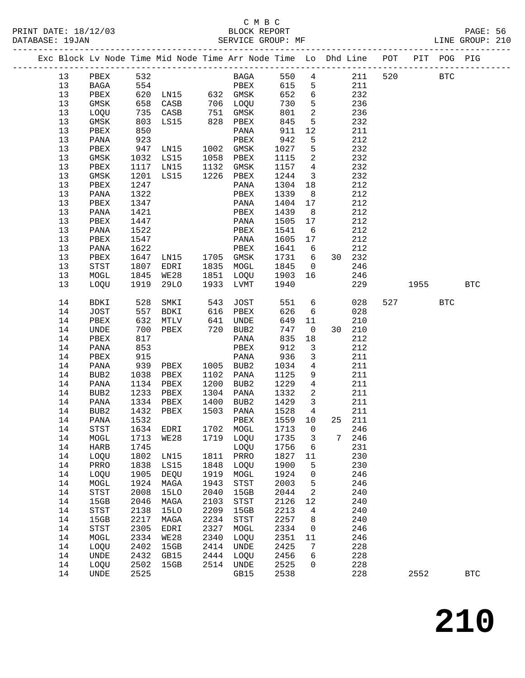#### C M B C<br>BLOCK REPORT PRINT DATE: 18/12/03 BLOCK REPORT<br>DATABASE: 19JAN BATABASE: 19JAN

PAGE: 56<br>LINE GROUP: 210

| Exc Block Lv Node Time Mid Node Time Arr Node Time Lo Dhd Line POT |              |              |                |      |                            |              |                          |   |            |     |                          | PIT POG PIG |            |
|--------------------------------------------------------------------|--------------|--------------|----------------|------|----------------------------|--------------|--------------------------|---|------------|-----|--------------------------|-------------|------------|
| 13                                                                 | PBEX         | 532          |                |      | BAGA                       | 550          | $\overline{4}$           |   | 211        | 520 |                          | <b>BTC</b>  |            |
| 13                                                                 | BAGA         | 554          |                |      | PBEX                       | 615          | $5\overline{)}$          |   | 211        |     |                          |             |            |
| 13                                                                 | PBEX         |              |                |      |                            | 652          | $6\overline{6}$          |   | 232        |     |                          |             |            |
| 13                                                                 | GMSK         |              |                |      |                            | 730          | $5^{\circ}$              |   | 236        |     |                          |             |            |
| 13                                                                 | LOQU         |              | 735 CASB       |      | 751 GMSK                   | 801          | $\overline{\phantom{a}}$ |   | 236        |     |                          |             |            |
| 13                                                                 | GMSK         | 803          | LS15           |      | 828 PBEX                   | 845          | 5                        |   | 232        |     |                          |             |            |
| 13                                                                 | PBEX         | 850          |                |      | PANA                       | 911          | 12                       |   | 211        |     |                          |             |            |
| 13                                                                 | PANA         | 923          |                |      | PBEX                       | 942          | 5                        |   | 212        |     |                          |             |            |
| 13                                                                 | PBEX         | 947          | LNI5           |      | 1002 GMSK                  | 1027         | 5                        |   | 232        |     |                          |             |            |
| 13                                                                 | GMSK         | 1032         | LS15           |      | 1058 PBEX                  | 1115         | $\overline{a}$           |   | 232        |     |                          |             |            |
| 13                                                                 | PBEX         | 1117         | LN15           |      | 1132 GMSK<br>1226 PBEX     | 1157         | $\overline{4}$           |   | 232        |     |                          |             |            |
| 13                                                                 | GMSK         | 1201         | LS15           |      |                            | 1244         | $\overline{\mathbf{3}}$  |   | 232        |     |                          |             |            |
| 13                                                                 | PBEX         | 1247         |                |      | PANA                       | 1304         | 18                       |   | 212        |     |                          |             |            |
| 13                                                                 | PANA         | 1322         |                |      | PBEX                       | 1339         | 8 <sup>8</sup>           |   | 212        |     |                          |             |            |
| 13                                                                 | PBEX         | 1347         |                |      | PANA                       | 1404         | 17                       |   | 212        |     |                          |             |            |
| 13                                                                 | PANA         | 1421         |                |      | PBEX                       | 1439         | 8 <sup>8</sup>           |   | 212        |     |                          |             |            |
| 13                                                                 | PBEX         | 1447         |                |      | PANA                       | 1505         | 17                       |   | 212        |     |                          |             |            |
| 13                                                                 | PANA         | 1522         |                |      | PBEX                       | 1541         | - 6                      |   | 212        |     |                          |             |            |
| 13                                                                 | PBEX         | 1547         |                |      | PANA                       | 1605         | 17                       |   | 212        |     |                          |             |            |
| 13                                                                 | PANA         | 1622         |                |      | PBEX                       | 1641         | 6                        |   | 212        |     |                          |             |            |
| 13                                                                 | PBEX         | 1647         | LN15 1705 GMSK |      |                            | 1731         | $6\overline{6}$          |   | 30 232     |     |                          |             |            |
| 13                                                                 | STST         | 1807         | EDRI           |      | 1835 MOGL                  | 1845         | $\overline{0}$           |   | 246        |     |                          |             |            |
| 13                                                                 | MOGL         | 1845         | WE28           | 1851 | LOQU                       | 1903         | 16                       |   | 246        |     |                          |             |            |
| 13                                                                 | LOQU         | 1919         | 29LO           |      | 1933 LVMT                  | 1940         |                          |   | 229        |     | 1955                     |             | <b>BTC</b> |
| 14                                                                 | BDKI         | 528          | SMKI           | 543  | JOST                       | 551          | $6\overline{6}$          |   | 028        |     | 527 and $\overline{527}$ | <b>BTC</b>  |            |
| 14                                                                 | JOST         | 557          | BDKI           |      | 616 PBEX                   | 626          | 6                        |   | 028        |     |                          |             |            |
| 14                                                                 | PBEX         | 632          | MTLV           |      | 641 UNDE                   | 649          | 11                       |   | 210        |     |                          |             |            |
| 14                                                                 | UNDE         | 700          | PBEX           |      | $720$ BUB2                 | 747          | $\overline{0}$           |   | 30 210     |     |                          |             |            |
| 14                                                                 | PBEX         | 817          |                |      | PANA                       | 835          | 18                       |   | 212        |     |                          |             |            |
| 14                                                                 | PANA         | 853          |                |      | PBEX                       | 912          | 3                        |   | 212        |     |                          |             |            |
| 14                                                                 | PBEX         | 915<br>939   |                |      | PANA                       | 936          | $\mathbf{3}$             |   | 211        |     |                          |             |            |
| 14                                                                 | PANA         |              | PBEX           |      | 1005 BUB2                  | 1034         | $\overline{4}$           |   | 211        |     |                          |             |            |
| 14                                                                 | BUB2         | 1038         | PBEX           | 1200 | 1102 PANA                  | 1125         | 9<br>$\overline{4}$      |   | 211        |     |                          |             |            |
| 14<br>14                                                           | PANA<br>BUB2 | 1134<br>1233 | PBEX<br>PBEX   | 1304 | BUB2<br>PANA               | 1229<br>1332 | 2                        |   | 211<br>211 |     |                          |             |            |
| 14                                                                 | PANA         | 1334         | PBEX           |      | 1400 BUB2                  | 1429         | $\overline{\mathbf{3}}$  |   | 211        |     |                          |             |            |
| 14                                                                 | BUB2         | 1432         | PBEX           |      | 1503 PANA                  | 1528         | $\overline{4}$           |   | 211        |     |                          |             |            |
| 14                                                                 | PANA         | 1532         |                |      | PBEX                       | 1559 10      |                          |   | 25 211     |     |                          |             |            |
| 14                                                                 | STST         |              | 1634 EDRI      |      | 1702 MOGL 1713 0           |              |                          |   | 246        |     |                          |             |            |
| 14                                                                 | MOGL         | 1713         | WE28           | 1719 | LOQU                       | 1735         | 3                        | 7 | 246        |     |                          |             |            |
| 14                                                                 | HARB         | 1745         |                |      | LOQU                       | 1756         | 6                        |   | 231        |     |                          |             |            |
| 14                                                                 | LOQU         | 1802         | LN15           | 1811 | PRRO                       | 1827         | 11                       |   | 230        |     |                          |             |            |
| 14                                                                 | PRRO         | 1838         | LS15           | 1848 | LOQU                       | 1900         | 5                        |   | 230        |     |                          |             |            |
| 14                                                                 | LOQU         | 1905         | DEQU           | 1919 | MOGL                       | 1924         | 0                        |   | 246        |     |                          |             |            |
| 14                                                                 | MOGL         | 1924         | MAGA           | 1943 | STST                       | 2003         | 5                        |   | 246        |     |                          |             |            |
| 14                                                                 | <b>STST</b>  | 2008         | <b>15LO</b>    | 2040 | 15GB                       | 2044         | 2                        |   | 240        |     |                          |             |            |
| 14                                                                 | 15GB         | 2046         | MAGA           | 2103 | $_{\footnotesize\rm STST}$ | 2126         | 12                       |   | 240        |     |                          |             |            |
| 14                                                                 | STST         | 2138         | <b>15LO</b>    | 2209 | 15GB                       | 2213         | 4                        |   | 240        |     |                          |             |            |
| 14                                                                 | 15GB         | 2217         | MAGA           | 2234 | $_{\footnotesize\rm STST}$ | 2257         | 8                        |   | 240        |     |                          |             |            |
| 14                                                                 | <b>STST</b>  | 2305         | EDRI           | 2327 | MOGL                       | 2334         | 0                        |   | 246        |     |                          |             |            |
| 14                                                                 | MOGL         | 2334         | <b>WE28</b>    | 2340 | LOQU                       | 2351         | 11                       |   | 246        |     |                          |             |            |
| 14                                                                 | LOQU         | 2402         | 15GB           | 2414 | <b>UNDE</b>                | 2425         | 7                        |   | 228        |     |                          |             |            |
| 14                                                                 | UNDE         | 2432         | GB15           | 2444 | LOQU                       | 2456         | 6                        |   | 228        |     |                          |             |            |
| 14<br>14                                                           | LOQU         | 2502         | 15GB           | 2514 | UNDE                       | 2525         | 0                        |   | 228<br>228 |     | 2552                     |             | <b>BTC</b> |
|                                                                    | UNDE         | 2525         |                |      | GB15                       | 2538         |                          |   |            |     |                          |             |            |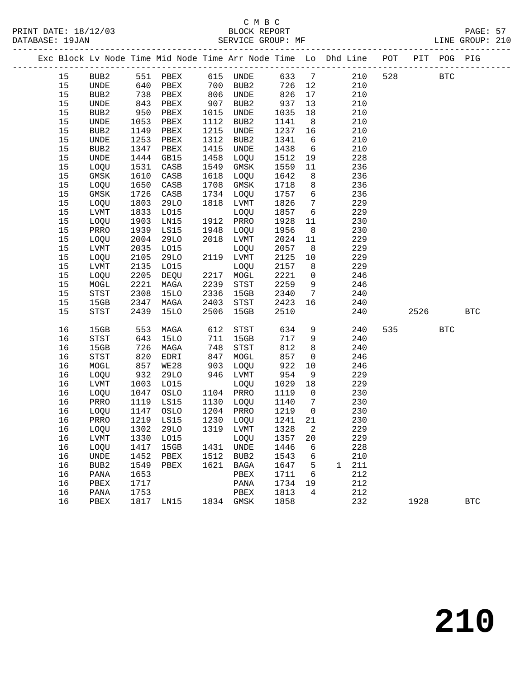|      |                 |      |                          |      |             |         |                 | Exc Block Lv Node Time Mid Node Time Arr Node Time Lo Dhd Line POT |     |      | PIT POG PIG |            |
|------|-----------------|------|--------------------------|------|-------------|---------|-----------------|--------------------------------------------------------------------|-----|------|-------------|------------|
| 15   | BUB2            |      |                          |      |             | 633 7   |                 | 210                                                                | 528 |      | <b>BTC</b>  |            |
| 15   | UNDE            |      |                          |      |             | 726 12  |                 | 210                                                                |     |      |             |            |
| 15   | BUB2            | 738  | PBEX                     |      | 806 UNDE    | 826     | 17              | 210                                                                |     |      |             |            |
| 15   | UNDE            | 843  | PBEX                     | 907  | BUB2        | 937     | 13              | 210                                                                |     |      |             |            |
| 15   | BUB2            | 950  | PBEX                     | 1015 | UNDE        | 1035    | 18              | 210                                                                |     |      |             |            |
| 15   | UNDE            | 1053 | PBEX                     | 1112 | BUB2        | 1141    | 8 <sup>8</sup>  | 210                                                                |     |      |             |            |
| 15   | BUB2            | 1149 | PBEX                     | 1215 | UNDE        | 1237    | 16              | 210                                                                |     |      |             |            |
| $15$ | UNDE            | 1253 | PBEX                     | 1312 | BUB2        | 1341    | 6               | 210                                                                |     |      |             |            |
| 15   | BUB2            | 1347 | PBEX                     | 1415 | UNDE        | 1438    | 6               | 210                                                                |     |      |             |            |
| 15   | UNDE            | 1444 | GB15                     | 1458 | LOQU        | 1512    | 19              | 228                                                                |     |      |             |            |
| 15   | LOQU            | 1531 | CASB                     | 1549 | GMSK        | 1559    | 11              | 236                                                                |     |      |             |            |
| 15   | GMSK            | 1610 | CASB                     | 1618 | LOQU        | 1642    | 8 <sup>8</sup>  | 236                                                                |     |      |             |            |
| 15   | LOQU            | 1650 | CASB                     | 1708 | GMSK        | 1718    | 8               | 236                                                                |     |      |             |            |
| 15   | GMSK            | 1726 | CASB                     | 1734 | LOQU        | 1757    | $6\overline{6}$ | 236                                                                |     |      |             |            |
| 15   | LOQU            | 1803 | 29LO                     | 1818 | LVMT        | 1826    | $7\overline{ }$ | 229                                                                |     |      |             |            |
| 15   | LVMT            | 1833 | L015                     |      | LOQU        | 1857    | $6\overline{6}$ | 229                                                                |     |      |             |            |
| 15   | LOQU            | 1903 | LN15                     | 1912 | PRRO        | 1928    | 11              | 230                                                                |     |      |             |            |
| 15   | PRRO            | 1939 | LS15                     | 1948 | LOQU        | 1956    | 8               | 230                                                                |     |      |             |            |
| 15   | LOQU            | 2004 | 29LO                     |      | 2018 LVMT   | 2024    | 11              | 229                                                                |     |      |             |            |
| 15   | LVMT            | 2035 | L015                     |      | LOQU        | 2057    | 8 <sup>8</sup>  | 229                                                                |     |      |             |            |
| 15   | LOQU            | 2105 | 29LO                     |      | 2119 LVMT   | 2125    | 10              | 229                                                                |     |      |             |            |
| 15   | LVMT            | 2135 | L015                     |      | LOQU        | 2157    | 8 <sup>8</sup>  | 229                                                                |     |      |             |            |
| 15   | LOQU            | 2205 | DEQU                     |      | 2217 MOGL   | 2221    | $\overline{0}$  | 246                                                                |     |      |             |            |
| 15   | MOGL            | 2221 | MAGA                     | 2239 | STST        | 2259    | 9               | 246                                                                |     |      |             |            |
| 15   | STST            | 2308 | <b>15LO</b>              | 2336 | 15GB        | 2340    | $\overline{7}$  | 240                                                                |     |      |             |            |
| 15   | 15GB            | 2347 | MAGA                     | 2403 | STST        | 2423    | 16              | 240                                                                |     |      |             |            |
| 15   | STST            | 2439 | <b>15LO</b>              | 2506 | 15GB        | 2510    |                 | 240                                                                |     | 2526 |             | <b>BTC</b> |
| 16   | 15GB            | 553  | MAGA                     | 612  | STST        | 634     | 9               | 240                                                                |     | 535  | <b>BTC</b>  |            |
| 16   | STST            | 643  | 15LO                     | 711  | 15GB        | 717     | 9               | 240                                                                |     |      |             |            |
| 16   | 15GB            | 726  | MAGA                     | 748  | STST        | 812     | 8               | 240                                                                |     |      |             |            |
| 16   | STST            | 820  | EDRI                     | 847  | MOGL        | 857     | $\overline{0}$  | 246                                                                |     |      |             |            |
| 16   | MOGL            | 857  | WE28                     | 903  | LOQU        | 922     | 10              | 246                                                                |     |      |             |            |
| 16   | LOQU            | 932  | 29LO                     |      | 946 LVMT    | 954     | 9               | 229                                                                |     |      |             |            |
| 16   | LVMT            | 1003 | L015                     |      | LOQU        | 1029    | 18              | 229                                                                |     |      |             |            |
| 16   | LOQU            | 1047 | OSLO                     |      | 1104 PRRO   | 1119    | $\overline{0}$  | 230                                                                |     |      |             |            |
| 16   | PRRO            | 1119 | LS15                     |      | 1130 LOQU   | 1140    | $\overline{7}$  | 230                                                                |     |      |             |            |
| 16   | LOQU            | 1147 | OSLO                     |      | 1204 PRRO   | 1219    | $\overline{0}$  | 230                                                                |     |      |             |            |
| 16   | PRRO            | 1219 | LS15                     |      | 1230 LOQU   | 1241 21 |                 | 230                                                                |     |      |             |            |
| 16   |                 |      | LOQU 1302 29LO 1319 LVMT |      |             | 1328 2  |                 | 229                                                                |     |      |             |            |
| 16   | LVMT            | 1330 | L015                     |      | LOQU        | 1357    | 20              | 229                                                                |     |      |             |            |
| 16   | LOQU            | 1417 | 15GB                     |      | 1431 UNDE   | 1446    | 6               | 228                                                                |     |      |             |            |
| 16   | UNDE            | 1452 | PBEX                     | 1512 | BUB2        | 1543    | 6               | 210                                                                |     |      |             |            |
| 16   | BUB2            | 1549 | PBEX                     | 1621 | <b>BAGA</b> | 1647    | 5               | 211<br>$\mathbf{1}$                                                |     |      |             |            |
| 16   | $\mathtt{PANA}$ | 1653 |                          |      | PBEX        | 1711    | 6               | 212                                                                |     |      |             |            |
| 16   | PBEX            | 1717 |                          |      | PANA        | 1734    | 19              | 212                                                                |     |      |             |            |
| 16   | PANA            | 1753 |                          |      | PBEX        | 1813    | 4               | 212                                                                |     |      |             |            |
| 16   | PBEX            | 1817 | LN15                     |      | 1834 GMSK   | 1858    |                 | 232                                                                |     | 1928 |             | <b>BTC</b> |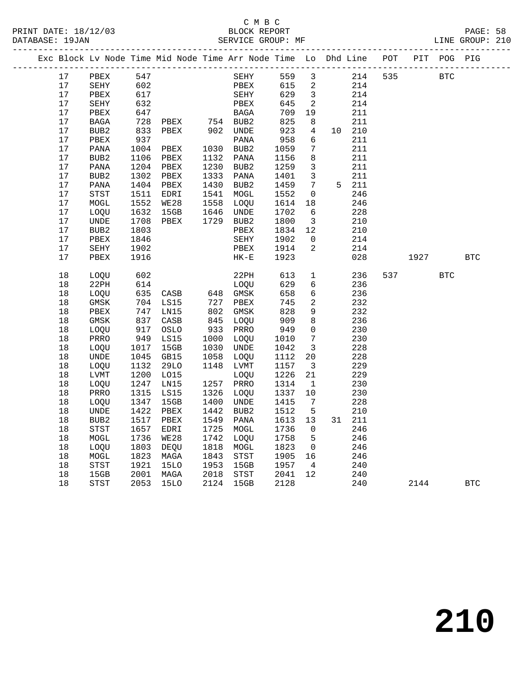|  |          |                                       |              | Exc Block Lv Node Time Mid Node Time Arr Node Time Lo Dhd Line POT |              |              |              |                               |            |     |      | PIT POG PIG |            |
|--|----------|---------------------------------------|--------------|--------------------------------------------------------------------|--------------|--------------|--------------|-------------------------------|------------|-----|------|-------------|------------|
|  | 17       | PBEX                                  | 547          |                                                                    |              | SEHY         | 559          | 3                             | 214        | 535 |      | <b>BTC</b>  |            |
|  | 17       | SEHY                                  | 602          |                                                                    |              | PBEX         | 615          | 2                             | 214        |     |      |             |            |
|  | 17       | PBEX                                  | 617          |                                                                    |              | SEHY         | 629          | $\overline{\mathbf{3}}$       | 214        |     |      |             |            |
|  | 17       | SEHY                                  | 632          |                                                                    |              | PBEX         | 645          | $\overline{2}$                | 214        |     |      |             |            |
|  | 17       | PBEX                                  | 647          |                                                                    |              | BAGA         | 709          | 19                            | 211        |     |      |             |            |
|  | 17       | BAGA                                  | 728          | PBEX 754 BUB2<br>PBEX 902 UNDE                                     |              |              | 825          | 8                             | 211        |     |      |             |            |
|  | 17       | BUB <sub>2</sub>                      | 833          |                                                                    |              |              | 923          | 4                             | 10 210     |     |      |             |            |
|  | 17       | PBEX                                  | 937          |                                                                    |              | PANA         | 958          | 6                             | 211        |     |      |             |            |
|  | 17       | PANA                                  | 1004         | PBEX                                                               |              | 1030 BUB2    | 1059         | 7                             | 211        |     |      |             |            |
|  | 17       | BUB2                                  | 1106         | PBEX                                                               | 1132         | PANA         | 1156         | 8                             | 211        |     |      |             |            |
|  | 17       | PANA                                  | 1204         | PBEX                                                               | 1230         | BUB2         | 1259         | 3                             | 211        |     |      |             |            |
|  | 17       | BUB <sub>2</sub>                      | 1302         | PBEX                                                               | 1333         | PANA         | 1401         | 3                             | 211        |     |      |             |            |
|  | 17       | PANA                                  | 1404         | PBEX                                                               | 1430         | BUB2         | 1459         | $7\phantom{.0}$               | 5 211      |     |      |             |            |
|  | 17       | STST                                  | 1511         | EDRI                                                               | 1541         | MOGL         | 1552         | 0                             | 246        |     |      |             |            |
|  | $17$     | MOGL                                  | 1552         | WE28                                                               | 1558         | LOQU         | 1614         | 18                            | 246        |     |      |             |            |
|  | 17       | LOQU                                  | 1632         | 15GB                                                               | 1646         | UNDE         | 1702         | 6                             | 228        |     |      |             |            |
|  | 17<br>17 | UNDE                                  | 1708         | PBEX                                                               |              | 1729 BUB2    | 1800         | $\overline{\mathbf{3}}$       | 210<br>210 |     |      |             |            |
|  | 17       | BUB <sub>2</sub><br>PBEX              | 1803<br>1846 |                                                                    |              | PBEX<br>SEHY | 1834<br>1902 | 12<br>$\overline{0}$          | 214        |     |      |             |            |
|  | $17$     | SEHY                                  | 1902         |                                                                    |              | PBEX         | 1914         | $\overline{2}$                | 214        |     |      |             |            |
|  | 17       | PBEX                                  | 1916         |                                                                    |              | $HK-E$       | 1923         |                               | 028        |     | 1927 |             | <b>BTC</b> |
|  |          |                                       |              |                                                                    |              |              |              |                               |            |     |      |             |            |
|  | 18       | LOQU                                  | 602          |                                                                    |              | 22PH         | 613          | $\mathbf{1}$                  | 236        | 537 |      | <b>BTC</b>  |            |
|  | 18       | 22PH                                  | 614          |                                                                    |              | LOQU         | 629          | 6                             | 236        |     |      |             |            |
|  | 18       | LOQU                                  | 635          | $CASB$ 648 GMSK                                                    |              |              | 658          | 6                             | 236        |     |      |             |            |
|  | 18       | GMSK                                  | 704          | LS15                                                               | 727          | PBEX         | 745          | 2                             | 232        |     |      |             |            |
|  | 18       | PBEX                                  | 747          | LN15                                                               | 802          | GMSK         | 828          | 9                             | 232        |     |      |             |            |
|  | 18       | GMSK                                  | 837          | CASB                                                               | 845          | LOQU         | 909          | 8                             | 236        |     |      |             |            |
|  | 18       | LOQU                                  | 917          | OSLO                                                               | 933          | PRRO         | 949          | $\mathbf 0$                   | 230        |     |      |             |            |
|  | 18       | PRRO                                  | 949          | LS15                                                               | 1000         | LOQU         | 1010         | 7                             | 230        |     |      |             |            |
|  | 18       | LOQU                                  | 1017         | 15GB                                                               | 1030         | UNDE         | 1042         | $\overline{3}$                | 228        |     |      |             |            |
|  | 18<br>18 | $\ensuremath{\mathsf{UNDE}}$<br>LOQU  | 1045<br>1132 | GB15<br>29LO                                                       | 1058<br>1148 | LOQU<br>LVMT | 1112<br>1157 | 20<br>$\overline{\mathbf{3}}$ | 228<br>229 |     |      |             |            |
|  | 18       | LVMT                                  | 1200         | L015                                                               |              | LOQU         | 1226         | 21                            | 229        |     |      |             |            |
|  | 18       | LOQU                                  | 1247         | LN15                                                               | 1257         | PRRO         | 1314         | $\mathbf{1}$                  | 230        |     |      |             |            |
|  | 18       | PRRO                                  | 1315         | LS15                                                               | 1326         | LOQU         | 1337         | 10                            | 230        |     |      |             |            |
|  | 18       | LOQU                                  | 1347         | 15GB                                                               | 1400         | UNDE         | 1415         | 7                             | 228        |     |      |             |            |
|  | 18       | UNDE                                  | 1422         | PBEX                                                               | 1442         | BUB2         | 1512         | 5                             | 210        |     |      |             |            |
|  | 18       | BUB <sub>2</sub>                      | 1517         | PBEX                                                               | 1549         | PANA         | 1613         | 13                            | 31 211     |     |      |             |            |
|  | 18       | <b>STST</b>                           | 1657         | EDRI                                                               | 1725         | MOGL         | 1736         | $\mathbf 0$                   | 246        |     |      |             |            |
|  | 18       | MOGL                                  | 1736         | WE28                                                               | 1742         | LOQU         | 1758         | 5                             | 246        |     |      |             |            |
|  | 18       | LOQU                                  | 1803         | DEQU                                                               | 1818         | MOGL         | 1823         | $\mathsf{O}$                  | 246        |     |      |             |            |
|  | 18       | MOGL                                  | 1823         | MAGA                                                               | 1843         | <b>STST</b>  | 1905         | 16                            | 246        |     |      |             |            |
|  | 18       | STST                                  | 1921         | 15LO                                                               | 1953         | 15GB         | 1957         | $\overline{4}$                | 240        |     |      |             |            |
|  | 18       | 15GB                                  | 2001         | MAGA                                                               | 2018         | STST         | 2041         | 12                            | 240        |     |      |             |            |
|  | 18       | $_{\footnotesize{\textnormal{STST}}}$ | 2053         | 15LO                                                               | 2124         | 15GB         | 2128         |                               | 240        |     | 2144 |             | <b>BTC</b> |
|  |          |                                       |              |                                                                    |              |              |              |                               |            |     |      |             |            |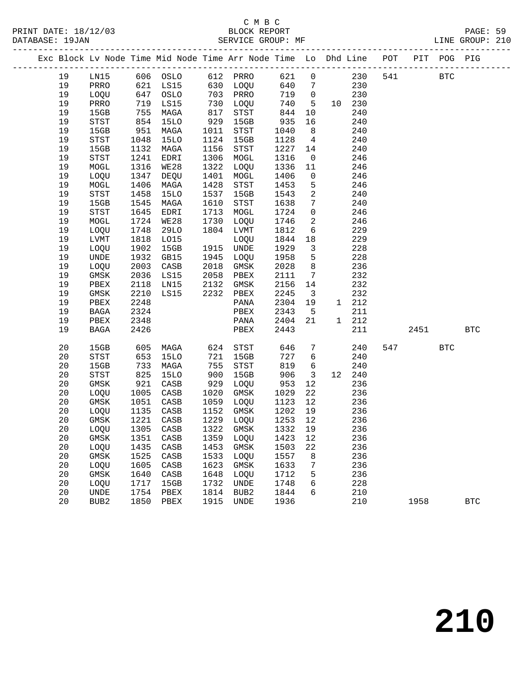|  |    |                              |            | Exc Block Lv Node Time Mid Node Time Arr Node Time Lo Dhd Line POT PIT POG PIG |      |                   |         |                              |        |     |      |            |            |
|--|----|------------------------------|------------|--------------------------------------------------------------------------------|------|-------------------|---------|------------------------------|--------|-----|------|------------|------------|
|  | 19 | LNI5                         |            | 606 OSLO                                                                       |      | 612 PRRO          | 621     | $\mathbf 0$                  | 230    | 541 |      | <b>BTC</b> |            |
|  | 19 | PRRO                         | 621        | LS15                                                                           |      | 630 LOQU          | 640     | $7\phantom{.0}$              | 230    |     |      |            |            |
|  | 19 | LOQU                         |            | OSLO                                                                           |      | 703 PRRO          | 719     | $\overline{0}$               | 230    |     |      |            |            |
|  | 19 | PRRO                         | 647<br>719 | LS15                                                                           | 730  | LOQU              | 740     | 5 <sup>5</sup>               | 10 230 |     |      |            |            |
|  | 19 | 15GB                         | 755        | MAGA                                                                           | 817  | STST              | 844     | 10                           | 240    |     |      |            |            |
|  | 19 | STST                         | 854        | <b>15LO</b>                                                                    | 929  | 15GB              | 935     | 16                           | 240    |     |      |            |            |
|  | 19 | 15GB                         | 951        | MAGA                                                                           | 1011 | STST              | 1040    | 8 <sup>8</sup>               | 240    |     |      |            |            |
|  | 19 | $_{\footnotesize\rm STST}$   | 1048       | <b>15LO</b>                                                                    | 1124 | 15GB              | 1128    | $\overline{4}$               | 240    |     |      |            |            |
|  | 19 | 15GB                         | 1132       | MAGA                                                                           | 1156 | STST              | 1227    | 14                           | 240    |     |      |            |            |
|  | 19 | STST                         | 1241       | EDRI                                                                           | 1306 | MOGL              | 1316    | $\overline{\phantom{0}}$     | 246    |     |      |            |            |
|  | 19 | MOGL                         | 1316       | WE28                                                                           | 1322 | LOQU              | 1336    | 11                           | 246    |     |      |            |            |
|  | 19 | LOQU                         | 1347       | DEQU                                                                           | 1401 | MOGL              | 1406    | $\overline{0}$               | 246    |     |      |            |            |
|  | 19 | MOGL                         | 1406       | MAGA                                                                           | 1428 | STST              | 1453    | 5                            | 246    |     |      |            |            |
|  | 19 | STST                         | 1458       | 15LO                                                                           | 1537 | 15GB              | 1543    | $\overline{a}$               | 240    |     |      |            |            |
|  | 19 | 15GB                         | 1545       | MAGA                                                                           | 1610 | STST              | 1638    | $7\phantom{.0}$              | 240    |     |      |            |            |
|  | 19 | STST                         | 1645       | EDRI                                                                           | 1713 | MOGL              | 1724    | $\mathbf 0$                  | 246    |     |      |            |            |
|  | 19 | MOGL                         | 1724       | WE28                                                                           | 1730 | LOQU              | 1746    | $\overline{a}$               | 246    |     |      |            |            |
|  | 19 | LOQU                         | 1748       | 29LO                                                                           | 1804 | LVMT              | 1812    | 6                            | 229    |     |      |            |            |
|  | 19 | LVMT                         | 1818       | L015                                                                           |      | LOQU              | 1844    | 18                           | 229    |     |      |            |            |
|  | 19 | LOQU                         | 1902       | 15GB                                                                           |      | 1915 UNDE         | 1929    | $\overline{\mathbf{3}}$      | 228    |     |      |            |            |
|  | 19 | UNDE                         | 1932       | GB15                                                                           | 1945 | LOQU              | 1958    | 5                            | 228    |     |      |            |            |
|  | 19 | LOQU                         | 2003       | CASB                                                                           | 2018 | GMSK              | 2028    | 8                            | 236    |     |      |            |            |
|  | 19 | $\rm{GMSK}$                  | 2036       | LS15                                                                           | 2058 | PBEX              | 2111    | $7\phantom{.0}\phantom{.0}7$ | 232    |     |      |            |            |
|  | 19 | PBEX                         | 2118       | LN15                                                                           | 2132 | GMSK              | 2156    | 14                           | 232    |     |      |            |            |
|  | 19 | GMSK                         | 2210       | LS15                                                                           | 2232 | PBEX              | 2245    | $\overline{\mathbf{3}}$      | 232    |     |      |            |            |
|  | 19 | PBEX                         | 2248       |                                                                                |      | PANA              | 2304    | 19                           | 1 212  |     |      |            |            |
|  | 19 | BAGA                         | 2324       |                                                                                |      | PBEX              | 2343    | $5^{\circ}$                  | 211    |     |      |            |            |
|  | 19 | PBEX                         | 2348       |                                                                                |      | PANA              | 2404    | 21                           | 1 212  |     |      |            |            |
|  | 19 | BAGA                         | 2426       |                                                                                |      | PBEX              | 2443    |                              | 211    |     | 2451 |            | <b>BTC</b> |
|  | 20 | 15GB                         | 605        | MAGA                                                                           |      | 624 STST          | 646     | 7                            | 240    |     | 547  | <b>BTC</b> |            |
|  | 20 | STST                         | 653        | <b>15LO</b>                                                                    | 721  | 15GB              | 727     | 6                            | 240    |     |      |            |            |
|  | 20 | 15GB                         | 733        | MAGA                                                                           | 755  | STST              | 819     | 6                            | 240    |     |      |            |            |
|  | 20 | STST                         | 825        | 15LO                                                                           | 900  | 15GB              | 906     | $\overline{\mathbf{3}}$      | 12 240 |     |      |            |            |
|  | 20 | GMSK                         | 921        | CASB                                                                           | 929  | LOQU              | 953     | 12                           | 236    |     |      |            |            |
|  | 20 | LOQU                         | 1005       | CASB                                                                           | 1020 | GMSK              | 1029    | 22                           | 236    |     |      |            |            |
|  | 20 | GMSK                         | 1051       | CASB                                                                           | 1059 | LOQU              | 1123    | 12                           | 236    |     |      |            |            |
|  | 20 | LOQU                         | 1135       | CASB                                                                           |      | 1152 GMSK         | 1202    | 19                           | 236    |     |      |            |            |
|  | 20 | GMSK                         | 1221       | CASB                                                                           |      | 1229 LOQU         | 1253 12 |                              | 236    |     |      |            |            |
|  | 20 | LOQU 1305 CASB               |            |                                                                                |      | 1322 GMSK 1332 19 |         |                              | 236    |     |      |            |            |
|  | 20 | GMSK                         | 1351       | $\mathtt{CASB}$                                                                | 1359 | LOQU              | 1423    | 12                           | 236    |     |      |            |            |
|  | 20 | LOQU                         | 1435       | $\mathtt{CASB}$                                                                | 1453 | GMSK              | 1503    | 22                           | 236    |     |      |            |            |
|  | 20 | GMSK                         | 1525       | CASB                                                                           | 1533 | LOQU              | 1557    | 8                            | 236    |     |      |            |            |
|  | 20 | LOQU                         | 1605       | CASB                                                                           | 1623 | GMSK              | 1633    | 7                            | 236    |     |      |            |            |
|  | 20 | GMSK                         | 1640       | CASB                                                                           | 1648 | LOQU              | 1712    | 5                            | 236    |     |      |            |            |
|  | 20 | LOQU                         | 1717       | 15GB                                                                           | 1732 | <b>UNDE</b>       | 1748    | 6                            | 228    |     |      |            |            |
|  | 20 | $\ensuremath{\mathsf{UNDE}}$ | 1754       | PBEX                                                                           | 1814 | BUB2              | 1844    | 6                            | 210    |     |      |            |            |
|  | 20 | BUB <sub>2</sub>             | 1850       | PBEX                                                                           | 1915 | <b>UNDE</b>       | 1936    |                              | 210    |     | 1958 |            | <b>BTC</b> |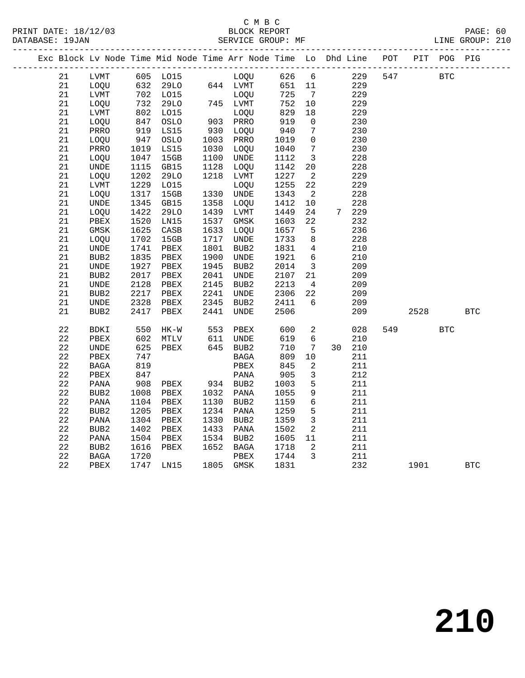|  |             |                              |      | Exc Block Lv Node Time Mid Node Time Arr Node Time Lo Dhd Line |      |                  |        |                 |    |       | POT |      | PIT POG PIG |            |
|--|-------------|------------------------------|------|----------------------------------------------------------------|------|------------------|--------|-----------------|----|-------|-----|------|-------------|------------|
|  | 21          | LVMT                         |      | 605 LO15                                                       |      | LOQU             | 626    | 6               |    | 229   | 547 |      | <b>BTC</b>  |            |
|  | 21          | LOQU                         | 632  | 29LO                                                           |      | 644 LVMT         | 651 11 |                 |    | 229   |     |      |             |            |
|  | 21          | LVMT                         | 702  | L015                                                           |      | LOOU             | 725    | $\overline{7}$  |    | 229   |     |      |             |            |
|  | 21          | LOQU                         | 732  | 29LO                                                           |      | 745 LVMT         | 752    | 10              |    | 229   |     |      |             |            |
|  | 21          | LVMT                         | 802  | L015                                                           |      | LOQU             | 829    | 18              |    | 229   |     |      |             |            |
|  | 21          | LOQU                         | 847  | OSLO                                                           |      | 903 PRRO         | 919    | 0               |    | 230   |     |      |             |            |
|  | 21          | PRRO                         | 919  | LS15                                                           | 930  | LOQU             | 940    | $7\phantom{.0}$ |    | 230   |     |      |             |            |
|  | 21          | LOQU                         | 947  | OSLO                                                           | 1003 | PRRO             | 1019   | $\mathsf{O}$    |    | 230   |     |      |             |            |
|  | 21          | PRRO                         | 1019 | LS15                                                           | 1030 | LOQU             | 1040   | $7\phantom{.0}$ |    | 230   |     |      |             |            |
|  | 21          | LOQU                         | 1047 | 15GB                                                           | 1100 | UNDE             | 1112   | $\overline{3}$  |    | 228   |     |      |             |            |
|  | 21          | UNDE                         | 1115 | GB15                                                           | 1128 | LOQU             | 1142   | 20              |    | 228   |     |      |             |            |
|  | 21          | LOQU                         | 1202 | 29LO                                                           | 1218 | LVMT             | 1227   | 2               |    | 229   |     |      |             |            |
|  | 21          | LVMT                         | 1229 | L015                                                           |      | LOQU             | 1255   | 22              |    | 229   |     |      |             |            |
|  | 21          | LOQU                         | 1317 | 15GB                                                           | 1330 | UNDE             | 1343   | 2               |    | 228   |     |      |             |            |
|  | 21          | UNDE                         | 1345 | GB15                                                           | 1358 | <b>LOOU</b>      | 1412   | 10              |    | 228   |     |      |             |            |
|  | 21          | LOQU                         | 1422 | <b>29LO</b>                                                    | 1439 | LVMT             | 1449   | 24              |    | 7 229 |     |      |             |            |
|  | 21          | PBEX                         | 1520 | LN15                                                           | 1537 | GMSK             | 1603   | 22              |    | 232   |     |      |             |            |
|  | 21          | GMSK                         | 1625 | CASB                                                           | 1633 | LOQU             | 1657   | 5               |    | 236   |     |      |             |            |
|  | 21          | LOQU                         | 1702 | 15GB                                                           | 1717 | UNDE             | 1733   | 8               |    | 228   |     |      |             |            |
|  | 21          | UNDE                         | 1741 | PBEX                                                           | 1801 | BUB <sub>2</sub> | 1831   | 4               |    | 210   |     |      |             |            |
|  | 21          | BUB2                         | 1835 | PBEX                                                           | 1900 | UNDE             | 1921   | 6               |    | 210   |     |      |             |            |
|  | 21          | UNDE                         | 1927 | PBEX                                                           | 1945 | BUB2             | 2014   | $\overline{3}$  |    | 209   |     |      |             |            |
|  | 21          | BUB <sub>2</sub>             | 2017 | PBEX                                                           | 2041 | UNDE             | 2107   | 21              |    | 209   |     |      |             |            |
|  | 21          | $\ensuremath{\mathsf{UNDE}}$ | 2128 | PBEX                                                           | 2145 | BUB2             | 2213   | 4               |    | 209   |     |      |             |            |
|  | 21          | BUB <sub>2</sub>             | 2217 | PBEX                                                           | 2241 | UNDE             | 2306   | 22              |    | 209   |     |      |             |            |
|  | 21          | UNDE                         | 2328 | PBEX                                                           | 2345 | BUB2             | 2411   | 6               |    | 209   |     |      |             |            |
|  | 21          | BUB <sub>2</sub>             | 2417 | PBEX                                                           | 2441 | UNDE             | 2506   |                 |    | 209   |     | 2528 |             | <b>BTC</b> |
|  | $2\sqrt{2}$ | BDKI                         | 550  | $HK-W$                                                         | 553  | PBEX             | 600    | 2               |    | 028   | 549 |      | <b>BTC</b>  |            |
|  | 22          | PBEX                         | 602  | MTLV                                                           | 611  | UNDE             | 619    | 6               |    | 210   |     |      |             |            |
|  | 22          | <b>UNDE</b>                  | 625  | PBEX                                                           | 645  | BUB2             | 710    | $7\phantom{.0}$ | 30 | 210   |     |      |             |            |
|  | 22          | PBEX                         | 747  |                                                                |      | <b>BAGA</b>      | 809    | 10              |    | 211   |     |      |             |            |
|  | $2\sqrt{2}$ | BAGA                         | 819  |                                                                |      | PBEX             | 845    | 2               |    | 211   |     |      |             |            |
|  | $2\sqrt{2}$ | PBEX                         | 847  |                                                                |      | PANA             | 905    | 3               |    | 212   |     |      |             |            |
|  | $2\sqrt{2}$ | PANA                         | 908  | PBEX                                                           | 934  | BUB2             | 1003   | $5\phantom{.0}$ |    | 211   |     |      |             |            |
|  | 22          | BUB2                         | 1008 | PBEX                                                           | 1032 | PANA             | 1055   | $\mathsf 9$     |    | 211   |     |      |             |            |
|  | $2\sqrt{2}$ | PANA                         | 1104 | PBEX                                                           | 1130 | BUB2             | 1159   | 6               |    | 211   |     |      |             |            |
|  | 22          | BUB <sub>2</sub>             | 1205 | PBEX                                                           | 1234 | PANA             | 1259   | 5               |    | 211   |     |      |             |            |
|  | 22          | PANA                         | 1304 | PBEX                                                           | 1330 | BUB2             | 1359   | $\overline{3}$  |    | 211   |     |      |             |            |
|  | $2\sqrt{2}$ | BUB <sub>2</sub>             | 1402 | PBEX                                                           | 1433 | PANA             | 1502   | 2               |    | 211   |     |      |             |            |
|  | $2\sqrt{2}$ | PANA                         | 1504 | PBEX                                                           | 1534 | BUB2             | 1605   | 11              |    | 211   |     |      |             |            |
|  | 22          | BUB2                         | 1616 | PBEX                                                           | 1652 | BAGA             | 1718   | 2               |    | 211   |     |      |             |            |
|  | 22          | BAGA                         | 1720 |                                                                |      | PBEX             | 1744   | 3               |    | 211   |     |      |             |            |
|  | 22          | PBEX                         | 1747 | LN15                                                           |      | 1805 GMSK        | 1831   |                 |    | 232   |     | 1901 |             | <b>BTC</b> |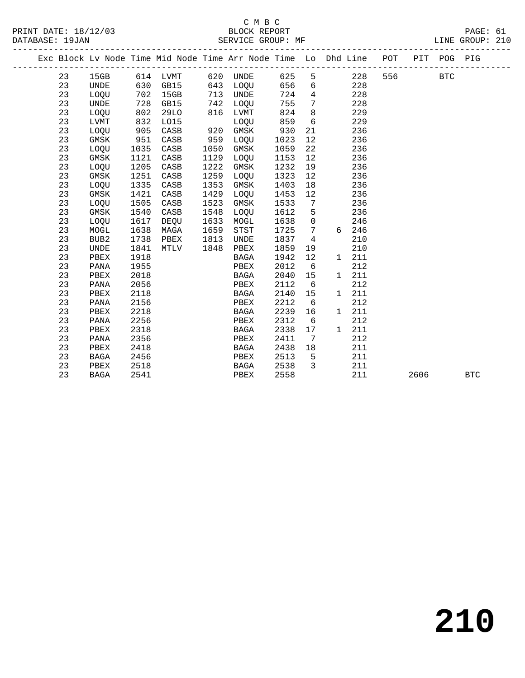|  |    |                  |      |          |      | Exc Block Lv Node Time Mid Node Time Arr Node Time Lo Dhd Line POT |       |                 |       |         |      | PIT POG PIG |            |
|--|----|------------------|------|----------|------|--------------------------------------------------------------------|-------|-----------------|-------|---------|------|-------------|------------|
|  | 23 |                  |      |          |      | 15GB 614 LVMT 620 UNDE                                             | 625 5 |                 |       | 228 556 |      | <b>BTC</b>  |            |
|  | 23 | UNDE             |      | 630 GB15 |      | 643 LOQU                                                           | 656   | 6               | 228   |         |      |             |            |
|  | 23 | LOQU             |      | 702 15GB |      | 713 UNDE                                                           | 724   | $\overline{4}$  | 228   |         |      |             |            |
|  | 23 | UNDE             | 728  | GB15     | 742  | LOOU                                                               | 755   | $7\overline{ }$ | 228   |         |      |             |            |
|  | 23 | LOQU             | 802  | 29LO     |      | 816 LVMT                                                           | 824   | 8 <sup>8</sup>  | 229   |         |      |             |            |
|  | 23 | LVMT             | 832  | LO15     |      | LOQU                                                               | 859   | $6\overline{6}$ | 229   |         |      |             |            |
|  | 23 | LOQU             | 905  | CASB     |      | 920 GMSK                                                           | 930   | 21              | 236   |         |      |             |            |
|  | 23 | GMSK             | 951  | CASB     | 959  | LOQU                                                               | 1023  | 12              | 236   |         |      |             |            |
|  | 23 | LOQU             | 1035 | CASB     | 1050 | GMSK                                                               | 1059  | 22              | 236   |         |      |             |            |
|  | 23 | GMSK             | 1121 | CASB     | 1129 | LOQU                                                               | 1153  | 12              | 236   |         |      |             |            |
|  | 23 | LOQU             | 1205 | CASB     | 1222 | GMSK                                                               | 1232  | 19              | 236   |         |      |             |            |
|  | 23 | GMSK             | 1251 | CASB     | 1259 | LOQU                                                               | 1323  | 12              | 236   |         |      |             |            |
|  | 23 | LOQU             | 1335 | CASB     | 1353 | GMSK                                                               | 1403  | 18              | 236   |         |      |             |            |
|  | 23 | GMSK             | 1421 | CASB     | 1429 | LOQU                                                               | 1453  | 12              | 236   |         |      |             |            |
|  | 23 | LOQU             | 1505 | CASB     | 1523 | GMSK                                                               | 1533  | $\overline{7}$  | 236   |         |      |             |            |
|  | 23 | GMSK             | 1540 | CASB     | 1548 | LOOU                                                               | 1612  | 5               | 236   |         |      |             |            |
|  | 23 | LOOU             | 1617 | DEQU     | 1633 | MOGL                                                               | 1638  | $\overline{0}$  | 246   |         |      |             |            |
|  | 23 | MOGL             | 1638 | MAGA     | 1659 | <b>STST</b>                                                        | 1725  | 7               | 6 246 |         |      |             |            |
|  | 23 | BUB <sub>2</sub> | 1738 | PBEX     | 1813 | UNDE                                                               | 1837  | $\overline{4}$  | 210   |         |      |             |            |
|  | 23 | <b>UNDE</b>      | 1841 | MTLV     | 1848 | PBEX                                                               | 1859  | 19              | 210   |         |      |             |            |
|  | 23 | PBEX             | 1918 |          |      | BAGA                                                               | 1942  | 12              | 1 211 |         |      |             |            |
|  | 23 | PANA             | 1955 |          |      | PBEX                                                               | 2012  | 6               | 212   |         |      |             |            |
|  | 23 | PBEX             | 2018 |          |      | BAGA                                                               | 2040  | 15              | 1 211 |         |      |             |            |
|  | 23 | PANA             | 2056 |          |      | PBEX                                                               | 2112  | 6               | 212   |         |      |             |            |
|  | 23 | PBEX             | 2118 |          |      | BAGA                                                               | 2140  | 15              | 1 211 |         |      |             |            |
|  | 23 | PANA             | 2156 |          |      | PBEX                                                               | 2212  | 6               | 212   |         |      |             |            |
|  | 23 | PBEX             | 2218 |          |      | <b>BAGA</b>                                                        | 2239  | 16              | 1 211 |         |      |             |            |
|  | 23 | PANA             | 2256 |          |      | PBEX                                                               | 2312  | 6               | 212   |         |      |             |            |
|  | 23 | PBEX             | 2318 |          |      | <b>BAGA</b>                                                        | 2338  | 17              | 1 211 |         |      |             |            |
|  | 23 | PANA             | 2356 |          |      | PBEX                                                               | 2411  | 7               | 212   |         |      |             |            |
|  | 23 | PBEX             | 2418 |          |      | BAGA                                                               | 2438  | 18              | 211   |         |      |             |            |
|  | 23 | <b>BAGA</b>      | 2456 |          |      | PBEX                                                               | 2513  | 5               | 211   |         |      |             |            |
|  | 23 | PBEX             | 2518 |          |      | BAGA                                                               | 2538  | 3               | 211   |         |      |             |            |
|  | 23 | BAGA             | 2541 |          |      | PBEX                                                               | 2558  |                 | 211   |         | 2606 |             | <b>BTC</b> |
|  |    |                  |      |          |      |                                                                    |       |                 |       |         |      |             |            |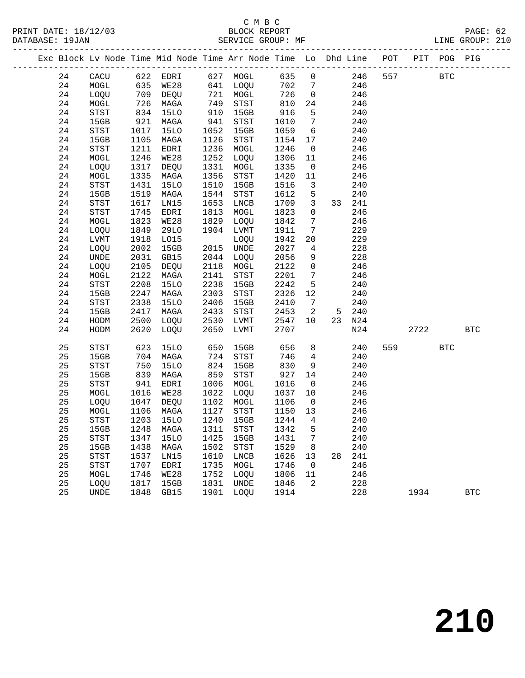# $\begin{array}{ccccc}\n\text{C} & \text{M} & \text{B} & \text{C} \\
\text{C} & \text{M} & \text{B} & \text{C}\n\end{array}$

------------------------------------------------------------------------------------------------- Exc Block Lv Node Time Mid Node Time Arr Node Time Lo Dhd Line POT PIT POG PIG -------------------------------------------------------------------------------------------------

24 CACU 622 EDRI 627 MOGL 635 0 246 557 BTC

24 MOGL 635 WE28 641 LOQU 702 7 246

|                 | PRINT DATE: 18/12/03 |                   | BLOCK REPORT |  | PAGE: 62        |  |
|-----------------|----------------------|-------------------|--------------|--|-----------------|--|
| DATABASE: 19JAN |                      | SERVICE GROUP: MF |              |  | LINE GROUP: 210 |  |

| 24 | LOQU                       | 709  | DEQU        | 721  | MOGL         | 726  | $\mathsf{O}\xspace$ |    | 246 |     |      |            |            |
|----|----------------------------|------|-------------|------|--------------|------|---------------------|----|-----|-----|------|------------|------------|
| 24 | $\tt MOGL$                 | 726  | MAGA        | 749  | <b>STST</b>  | 810  | 24                  |    | 246 |     |      |            |            |
| 24 | <b>STST</b>                | 834  | <b>15LO</b> | 910  | 15GB         | 916  | 5                   |    | 240 |     |      |            |            |
| 24 | 15GB                       | 921  | MAGA        | 941  | STST         | 1010 | 7                   |    | 240 |     |      |            |            |
| 24 | $_{\footnotesize\rm STST}$ | 1017 | <b>15LO</b> | 1052 | 15GB         | 1059 | б                   |    | 240 |     |      |            |            |
| 24 | 15GB                       | 1105 | MAGA        | 1126 | STST         | 1154 | 17                  |    | 240 |     |      |            |            |
| 24 | STST                       | 1211 | EDRI        | 1236 | $\tt MOGL$   | 1246 | $\mathsf 0$         |    | 246 |     |      |            |            |
| 24 | $\tt MOGL$                 | 1246 | WE28        | 1252 | LOQU         | 1306 | 11                  |    | 246 |     |      |            |            |
| 24 | LOQU                       | 1317 | DEQU        | 1331 | MOGL         | 1335 | $\mathbf 0$         |    | 246 |     |      |            |            |
| 24 | MOGL                       | 1335 | MAGA        | 1356 | STST         | 1420 | $11$                |    | 246 |     |      |            |            |
| 24 | STST                       | 1431 | <b>15LO</b> | 1510 | 15GB         | 1516 | 3                   |    | 240 |     |      |            |            |
| 24 | 15GB                       | 1519 | MAGA        | 1544 | STST         | 1612 | 5                   |    | 240 |     |      |            |            |
| 24 | STST                       | 1617 | LN15        | 1653 | ${\rm LNCB}$ | 1709 | 3                   | 33 | 241 |     |      |            |            |
| 24 | <b>STST</b>                | 1745 | EDRI        | 1813 | $\tt MOGL$   | 1823 | 0                   |    | 246 |     |      |            |            |
| 24 | $\tt MOGL$                 | 1823 | WE28        | 1829 | LOQU         | 1842 | 7                   |    | 246 |     |      |            |            |
| 24 | LOQU                       | 1849 | 29LO        | 1904 | LVMT         | 1911 | 7                   |    | 229 |     |      |            |            |
| 24 | ${\rm LVMT}$               | 1918 | L015        |      | LOQU         | 1942 | 20                  |    | 229 |     |      |            |            |
| 24 | LOQU                       | 2002 | 15GB        | 2015 | UNDE         | 2027 | $\overline{4}$      |    | 228 |     |      |            |            |
| 24 | UNDE                       | 2031 | GB15        | 2044 | LOQU         | 2056 | 9                   |    | 228 |     |      |            |            |
| 24 | LOQU                       | 2105 | DEQU        | 2118 | MOGL         | 2122 | 0                   |    | 246 |     |      |            |            |
| 24 | $\tt MOGL$                 | 2122 | MAGA        | 2141 | STST         | 2201 | 7                   |    | 246 |     |      |            |            |
| 24 | <b>STST</b>                | 2208 | <b>15LO</b> | 2238 | 15GB         | 2242 | 5                   |    | 240 |     |      |            |            |
| 24 | 15GB                       | 2247 | MAGA        | 2303 | STST         | 2326 | $12$                |    | 240 |     |      |            |            |
| 24 | STST                       | 2338 | <b>15LO</b> | 2406 | 15GB         | 2410 | $\sqrt{ }$          |    | 240 |     |      |            |            |
| 24 | 15GB                       | 2417 | MAGA        | 2433 | STST         | 2453 | 2                   | 5  | 240 |     |      |            |            |
| 24 | HODM                       | 2500 | LOQU        | 2530 | LVMT         | 2547 | 10                  | 23 | N24 |     |      |            |            |
| 24 | HODM                       | 2620 | LOQU        | 2650 | LVMT         | 2707 |                     |    | N24 |     | 2722 |            | <b>BTC</b> |
| 25 | STST                       | 623  | <b>15LO</b> | 650  | 15GB         | 656  | 8                   |    | 240 | 559 |      | <b>BTC</b> |            |
| 25 | 15GB                       | 704  | MAGA        | 724  | STST         | 746  | $\overline{4}$      |    | 240 |     |      |            |            |
| 25 | STST                       | 750  | <b>15LO</b> | 824  | 15GB         | 830  | 9                   |    | 240 |     |      |            |            |
| 25 | 15GB                       | 839  | MAGA        | 859  | <b>STST</b>  | 927  | 14                  |    | 240 |     |      |            |            |
| 25 | STST                       | 941  | EDRI        | 1006 | MOGL         | 1016 | $\mathsf{O}$        |    | 246 |     |      |            |            |
| 25 | MOGL                       | 1016 | WE28        | 1022 | LOQU         | 1037 | 10                  |    | 246 |     |      |            |            |
| 25 | LOQU                       | 1047 | DEQU        | 1102 | $\tt MOGL$   | 1106 | $\mathsf{O}$        |    | 246 |     |      |            |            |
| 25 | $\tt MOGL$                 | 1106 | MAGA        | 1127 | <b>STST</b>  | 1150 | 13                  |    | 246 |     |      |            |            |
| 25 | STST                       | 1203 | <b>15LO</b> | 1240 | 15GB         | 1244 | $\overline{4}$      |    | 240 |     |      |            |            |
| 25 | 15GB                       | 1248 | MAGA        | 1311 | <b>STST</b>  | 1342 | 5                   |    | 240 |     |      |            |            |
| 25 | STST                       | 1347 | 15LO        | 1425 | 15GB         | 1431 | 7                   |    | 240 |     |      |            |            |
| 25 | 15GB                       | 1438 | MAGA        | 1502 | <b>STST</b>  | 1529 | 8                   |    | 240 |     |      |            |            |
| 25 | <b>STST</b>                | 1537 | LN15        | 1610 | LNCB         | 1626 | 13                  | 28 | 241 |     |      |            |            |
|    |                            |      |             |      |              |      |                     |    |     |     |      |            |            |

 25 STST 1707 EDRI 1735 MOGL 1746 0 246 25 MOGL 1746 WE28 1752 LOQU 1806 11 246 25 LOQU 1817 15GB 1831 UNDE 1846 2 228

25 UNDE 1848 GB15 1901 LOQU 1914 228 1934 BTC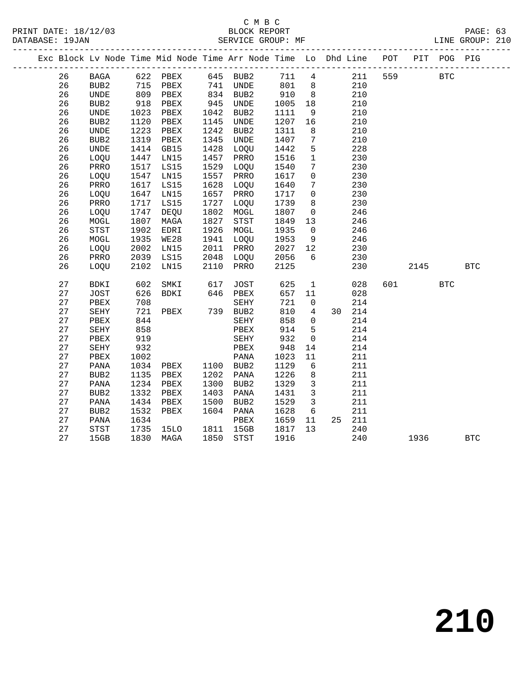#### C M B C<br>BLOCK REPORT SERVICE GROUP: MF

| Exc Block Ly Node Time Mid Node Time Arr Node Time Lo Dhd Line |                  |      |      |      |             |      |    |     | POT | PIT | POG. | PIG |
|----------------------------------------------------------------|------------------|------|------|------|-------------|------|----|-----|-----|-----|------|-----|
| 26                                                             | <b>BAGA</b>      | 622  | PBEX | 645  | BUB2        | 711  | 4  | 211 | 559 |     | BTC  |     |
| 26                                                             | BUB <sub>2</sub> | 715  | PBEX | 741  | UNDE        | 801  | 8  | 210 |     |     |      |     |
| 26                                                             | UNDE             | 809  | PBEX | 834  | BUB2        | 910  | 8  | 210 |     |     |      |     |
| 26                                                             | BUB <sub>2</sub> | 918  | PBEX | 945  | UNDE        | 1005 | 18 | 210 |     |     |      |     |
| 26                                                             | UNDE             | 1023 | PBEX | 1042 | BUB2        | 1111 | 9  | 210 |     |     |      |     |
| 26                                                             | BUB <sub>2</sub> | 1120 | PBEX | 1145 | UNDE        | 1207 | 16 | 210 |     |     |      |     |
| 26                                                             | UNDE             | 1223 | PBEX | 1242 | BUB2        | 1311 | 8  | 210 |     |     |      |     |
| 26                                                             | BUB <sub>2</sub> | 1319 | PBEX | 1345 | UNDE        | 1407 | 7  | 210 |     |     |      |     |
| 26                                                             | UNDE             | 1414 | GB15 | 1428 | <b>LOOU</b> | 1442 | 5  | 228 |     |     |      |     |

| 26 | BUB <sub>2</sub> | 1120 | PBEX        | 1145 | <b>UNDE</b>      | 1207 | 16                  |    | 210 |     |      |              |            |  |
|----|------------------|------|-------------|------|------------------|------|---------------------|----|-----|-----|------|--------------|------------|--|
| 26 | <b>UNDE</b>      | 1223 | PBEX        | 1242 | BUB <sub>2</sub> | 1311 | 8                   |    | 210 |     |      |              |            |  |
| 26 | BUB <sub>2</sub> | 1319 | PBEX        | 1345 | UNDE             | 1407 | 7                   |    | 210 |     |      |              |            |  |
| 26 | <b>UNDE</b>      | 1414 | GB15        | 1428 | LOQU             | 1442 | 5                   |    | 228 |     |      |              |            |  |
| 26 | LOQU             | 1447 | LN15        | 1457 | PRRO             | 1516 | $\mathbf 1$         |    | 230 |     |      |              |            |  |
| 26 | PRRO             | 1517 | LS15        | 1529 | LOQU             | 1540 | 7                   |    | 230 |     |      |              |            |  |
| 26 | LOQU             | 1547 | LN15        | 1557 | PRRO             | 1617 | 0                   |    | 230 |     |      |              |            |  |
| 26 | PRRO             | 1617 | LS15        | 1628 | LOQU             | 1640 | 7                   |    | 230 |     |      |              |            |  |
| 26 | LOQU             | 1647 | LN15        | 1657 | PRRO             | 1717 | 0                   |    | 230 |     |      |              |            |  |
| 26 | PRRO             | 1717 | LS15        | 1727 | <b>LOOU</b>      | 1739 | 8                   |    | 230 |     |      |              |            |  |
| 26 | LOQU             | 1747 | DEQU        | 1802 | MOGL             | 1807 | $\mathbf 0$         |    | 246 |     |      |              |            |  |
| 26 | MOGL             | 1807 | MAGA        | 1827 | <b>STST</b>      | 1849 | 13                  |    | 246 |     |      |              |            |  |
| 26 | <b>STST</b>      | 1902 | EDRI        | 1926 | MOGL             | 1935 | 0                   |    | 246 |     |      |              |            |  |
| 26 | MOGL             | 1935 | <b>WE28</b> | 1941 | LOQU             | 1953 | 9                   |    | 246 |     |      |              |            |  |
| 26 | LOQU             | 2002 | LN15        | 2011 | PRRO             | 2027 | 12                  |    | 230 |     |      |              |            |  |
| 26 | PRRO             | 2039 | LS15        | 2048 | LOQU             | 2056 | б                   |    | 230 |     |      |              |            |  |
| 26 | LOQU             | 2102 | LN15        | 2110 | PRRO             | 2125 |                     |    | 230 |     | 2145 |              | <b>BTC</b> |  |
|    |                  |      |             |      |                  |      |                     |    |     |     |      |              |            |  |
| 27 | BDKI             | 602  | SMKI        | 617  | JOST             | 625  | $\mathbf 1$         |    | 028 | 601 |      | $_{\rm BTC}$ |            |  |
| 27 | <b>JOST</b>      | 626  | BDKI        | 646  | PBEX             | 657  | 11                  |    | 028 |     |      |              |            |  |
| 27 | PBEX             | 708  |             |      | SEHY             | 721  | $\mathsf 0$         |    | 214 |     |      |              |            |  |
| 27 | SEHY             | 721  | PBEX        | 739  | BUB2             | 810  | 4                   | 30 | 214 |     |      |              |            |  |
| 27 | PBEX             | 844  |             |      | SEHY             | 858  | $\mathsf 0$         |    | 214 |     |      |              |            |  |
| 27 | SEHY             | 858  |             |      | PBEX             | 914  | 5                   |    | 214 |     |      |              |            |  |
| 27 | PBEX             | 919  |             |      | SEHY             | 932  | $\mathsf{O}\xspace$ |    | 214 |     |      |              |            |  |
| 27 | SEHY             | 932  |             |      | PBEX             | 948  | 14                  |    | 214 |     |      |              |            |  |
| 27 | PBEX             | 1002 |             |      | PANA             | 1023 | $11\,$              |    | 211 |     |      |              |            |  |
| 27 | PANA             | 1034 | PBEX        | 1100 | BUB2             | 1129 | 6                   |    | 211 |     |      |              |            |  |
| 27 | BUB <sub>2</sub> | 1135 | PBEX        | 1202 | PANA             | 1226 | 8                   |    | 211 |     |      |              |            |  |
| 27 | PANA             | 1234 | PBEX        | 1300 | BUB <sub>2</sub> | 1329 | 3                   |    | 211 |     |      |              |            |  |
| 27 | BUB <sub>2</sub> | 1332 | PBEX        | 1403 | PANA             | 1431 | 3                   |    | 211 |     |      |              |            |  |
| 27 | PANA             | 1434 | PBEX        | 1500 | BUB2             | 1529 | 3                   |    | 211 |     |      |              |            |  |
| 27 | BUB2             | 1532 | PBEX        | 1604 | PANA             | 1628 | 6                   |    | 211 |     |      |              |            |  |
| 27 | PANA             | 1634 |             |      | PBEX             | 1659 | 11                  | 25 | 211 |     |      |              |            |  |
| 27 | STST             | 1735 | 15LO        | 1811 | 15GB             | 1817 | 13                  |    | 240 |     |      |              |            |  |
| 27 | 15GB             | 1830 | MAGA        | 1850 | STST             | 1916 |                     |    | 240 |     | 1936 |              | <b>BTC</b> |  |
|    |                  |      |             |      |                  |      |                     |    |     |     |      |              |            |  |

**210**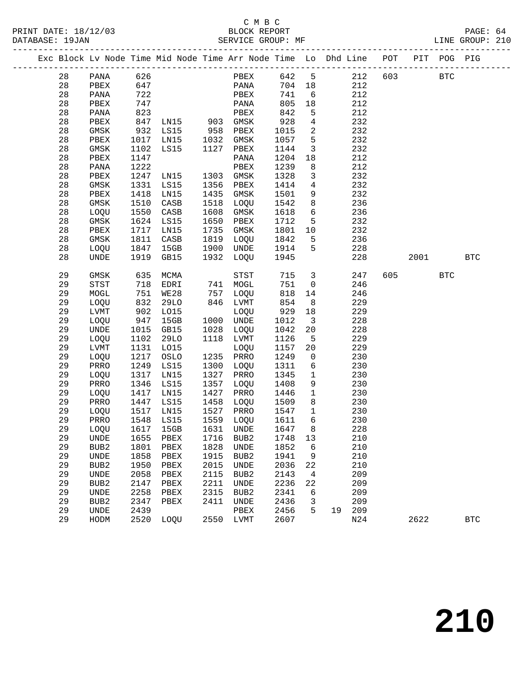#### C M B C<br>BLOCK REPORT SERVICE GROUP: MF

|  |          |                              |              |               |              |                  |              |                 | Exc Block Lv Node Time Mid Node Time Arr Node Time Lo Dhd Line POT |     |      | PIT POG PIG |            |
|--|----------|------------------------------|--------------|---------------|--------------|------------------|--------------|-----------------|--------------------------------------------------------------------|-----|------|-------------|------------|
|  | 28       | PANA                         | 626          |               |              | PBEX             | 642          | $5^{\circ}$     | 212                                                                | 603 |      | <b>BTC</b>  |            |
|  | 28       | PBEX                         | 647          |               |              | PANA             | 704          | 18              | 212                                                                |     |      |             |            |
|  | 28       | PANA                         | 722          |               |              | PBEX             | 741          | 6               | 212                                                                |     |      |             |            |
|  | 28       | PBEX                         | 747          |               |              | PANA             | 805          | 18              | 212                                                                |     |      |             |            |
|  | 28       | PANA                         | 823          |               |              | PBEX             | 842          | 5               | 212                                                                |     |      |             |            |
|  | 28       | PBEX                         | 847          | LN15 903 GMSK |              |                  | 928          | 4               | 232                                                                |     |      |             |            |
|  | 28       | GMSK                         | 932          | LS15          | 958          | PBEX             | 1015         | 2               | 232                                                                |     |      |             |            |
|  | 28       | PBEX                         | 1017         | LN15          | 1032         | GMSK             | 1057         | 5               | 232                                                                |     |      |             |            |
|  | 28       | GMSK                         | 1102         | LS15          | 1127         | PBEX             | 1144         | $\mathbf{3}$    | 232                                                                |     |      |             |            |
|  | 28       | PBEX                         | 1147         |               |              | PANA             | 1204         | 18              | 212                                                                |     |      |             |            |
|  | 28       | PANA                         | 1222         |               |              | PBEX             | 1239         | 8               | 212                                                                |     |      |             |            |
|  | 28       | PBEX                         | 1247         | LN15          | 1303         | GMSK             | 1328         | 3               | 232                                                                |     |      |             |            |
|  | 28       | GMSK                         | 1331         | LS15          | 1356         | PBEX             | 1414         | 4               | 232                                                                |     |      |             |            |
|  | 28       | PBEX                         | 1418         | LN15          | 1435         | GMSK             | 1501         | 9               | 232                                                                |     |      |             |            |
|  | 28       | GMSK                         | 1510         | CASB          | 1518         | LOQU             | 1542         | 8               | 236                                                                |     |      |             |            |
|  | 28       | LOQU                         | 1550         | CASB          | 1608         | GMSK             | 1618         | $6\overline{6}$ | 236                                                                |     |      |             |            |
|  | 28       | GMSK                         | 1624         | LS15          | 1650         | PBEX             | 1712         | 5               | 232                                                                |     |      |             |            |
|  | 28       | PBEX                         | 1717         | LN15          | 1735         | GMSK             | 1801         | 10              | 232                                                                |     |      |             |            |
|  | 28       | GMSK                         | 1811         | CASB          | 1819         | LOQU             | 1842         | 5               | 236                                                                |     |      |             |            |
|  | 28       | LOQU                         | 1847         | 15GB          | 1900         | UNDE             | 1914         | 5               | 228                                                                |     |      |             |            |
|  | 28       | <b>UNDE</b>                  | 1919         | GB15          | 1932         | LOQU             | 1945         |                 | 228                                                                |     | 2001 |             | <b>BTC</b> |
|  |          |                              |              |               |              |                  |              |                 |                                                                    |     |      |             |            |
|  | 29       | GMSK                         | 635          | MCMA          |              | STST             | 715          | 3               | 247                                                                | 605 |      | <b>BTC</b>  |            |
|  | 29       | STST                         | 718          | EDRI          | 741          | MOGL             | 751          | $\mathsf{O}$    | 246                                                                |     |      |             |            |
|  | 29       | MOGL                         | 751          | WE28          | 757          | LOQU             | 818          | 14              | 246                                                                |     |      |             |            |
|  | 29       | LOQU                         | 832          | 29LO          | 846          | LVMT             | 854          | 8               | 229                                                                |     |      |             |            |
|  | 29       | <b>LVMT</b>                  | 902          | L015          |              | LOQU             | 929          | 18              | 229                                                                |     |      |             |            |
|  | 29       | LOQU                         | 947          | 15GB          | 1000         | UNDE             | 1012         | $\overline{3}$  | 228                                                                |     |      |             |            |
|  | 29       | $\ensuremath{\mathsf{UNDE}}$ | 1015         | GB15          | 1028         | LOQU             | 1042         | 20              | 228                                                                |     |      |             |            |
|  | 29       | LOQU                         | 1102         | 29LO          | 1118         | LVMT             | 1126         | 5               | 229                                                                |     |      |             |            |
|  | 29       | <b>LVMT</b>                  | 1131         | L015          |              | LOQU             | 1157         | 20              | 229                                                                |     |      |             |            |
|  | 29<br>29 | LOQU<br>PRRO                 | 1217<br>1249 | OSLO<br>LS15  | 1235<br>1300 | PRRO             | 1249<br>1311 | 0<br>6          | 230<br>230                                                         |     |      |             |            |
|  | 29       |                              | 1317         | LN15          | 1327         | LOQU<br>PRRO     | 1345         | $\mathbf{1}$    | 230                                                                |     |      |             |            |
|  | 29       | LOQU<br>PRRO                 | 1346         | LS15          | 1357         | LOQU             | 1408         | 9               | 230                                                                |     |      |             |            |
|  | 29       | LOQU                         | 1417         | LN15          | 1427         | PRRO             | 1446         | $\mathbf{1}$    | 230                                                                |     |      |             |            |
|  | 29       | PRRO                         | 1447         | LS15          | 1458         | LOQU             | 1509         | 8               | 230                                                                |     |      |             |            |
|  | 29       | LOQU                         | 1517         | LN15          | 1527         | PRRO             | 1547         | $\mathbf{1}$    | 230                                                                |     |      |             |            |
|  | 29       | PRRO                         | 1548         | LS15          | 1559         | LOQU             | 1611         | 6               | 230                                                                |     |      |             |            |
|  | 29       | LOQU                         | 1617         | 15GB          | 1631         | UNDE             | 1647         | 8               | 228                                                                |     |      |             |            |
|  | 29       | UNDE                         | 1655         | PBEX          | 1716         | BUB <sub>2</sub> | 1748         | 13              | 210                                                                |     |      |             |            |
|  | 29       | BUB <sub>2</sub>             | 1801         | PBEX          | 1828         | <b>UNDE</b>      | 1852         | 6               | 210                                                                |     |      |             |            |
|  | 29       | UNDE                         | 1858         | PBEX          | 1915         | BUB <sub>2</sub> | 1941         | 9               | 210                                                                |     |      |             |            |
|  | 29       | BUB <sub>2</sub>             | 1950         | PBEX          | 2015         | <b>UNDE</b>      | 2036         | 22              | 210                                                                |     |      |             |            |
|  | 29       | UNDE                         | 2058         | ${\tt PBEX}$  | 2115         | BUB <sub>2</sub> | 2143         | 4               | 209                                                                |     |      |             |            |
|  | 29       | BUB2                         | 2147         | PBEX          | 2211         | <b>UNDE</b>      | 2236         | 22              | 209                                                                |     |      |             |            |
|  | 29       | UNDE                         | 2258         | PBEX          | 2315         | BUB2             | 2341         | 6               | 209                                                                |     |      |             |            |
|  | 29       | BUB <sub>2</sub>             | 2347         | ${\tt PBEX}$  | 2411         | <b>UNDE</b>      | 2436         | 3               | 209                                                                |     |      |             |            |
|  |          |                              |              |               |              |                  |              |                 |                                                                    |     |      |             |            |

29 UNDE 2439 PBEX 2456 5 19 209

29 HODM 2520 LOQU 2550 LVMT 2607 N24 2622 BTC

**210**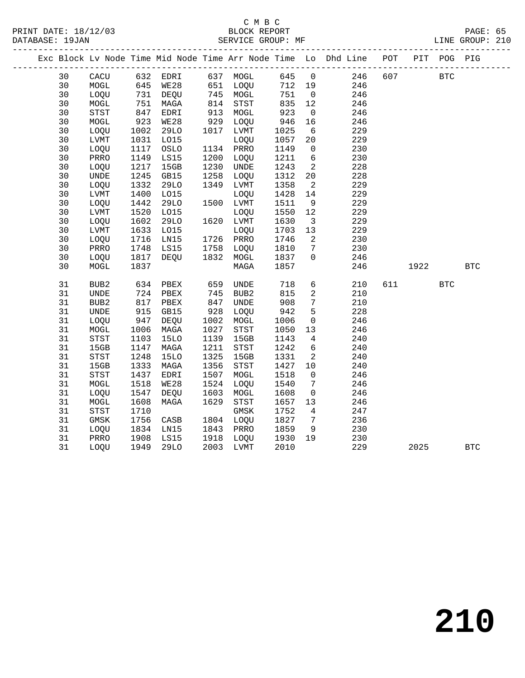|    |                  |      |             |      |                                       |      |                         | Exc Block Lv Node Time Mid Node Time Arr Node Time Lo Dhd Line POT |     |      | PIT POG PIG |            |
|----|------------------|------|-------------|------|---------------------------------------|------|-------------------------|--------------------------------------------------------------------|-----|------|-------------|------------|
| 30 | CACU             |      | 632 EDRI    |      | 637 MOGL                              | 645  | $\overline{0}$          | 246                                                                | 607 |      | <b>BTC</b>  |            |
| 30 | MOGL             | 645  | WE28        |      | 651 LOQU                              | 712  | 19                      | 246                                                                |     |      |             |            |
| 30 | LOQU             | 731  | DEQU        |      | 745 MOGL                              | 751  | $\overline{0}$          | 246                                                                |     |      |             |            |
| 30 | MOGL             | 751  | MAGA        | 814  | STST                                  | 835  | 12                      | 246                                                                |     |      |             |            |
| 30 | STST             | 847  | EDRI        | 913  | MOGL                                  | 923  | $\overline{0}$          | 246                                                                |     |      |             |            |
| 30 | MOGL             | 923  | WE28        | 929  | LOQU                                  | 946  | 16                      | 246                                                                |     |      |             |            |
| 30 | LOQU             | 1002 | 29LO        | 1017 | LVMT                                  | 1025 | 6                       | 229                                                                |     |      |             |            |
| 30 | LVMT             | 1031 | L015        |      | LOQU                                  | 1057 | 20                      | 229                                                                |     |      |             |            |
| 30 | LOQU             | 1117 | OSLO        |      | 1134 PRRO                             | 1149 | $\mathbf 0$             | 230                                                                |     |      |             |            |
| 30 | PRRO             | 1149 | LS15        | 1200 | LOQU                                  | 1211 | $6\overline{6}$         | 230                                                                |     |      |             |            |
| 30 | LOQU             | 1217 | 15GB        | 1230 | UNDE                                  | 1243 | 2                       | 228                                                                |     |      |             |            |
| 30 | <b>UNDE</b>      | 1245 | GB15        | 1258 | LOQU                                  | 1312 | 20                      | 228                                                                |     |      |             |            |
| 30 | LOQU             | 1332 | 29LO        | 1349 | LVMT                                  | 1358 | $\overline{2}$          | 229                                                                |     |      |             |            |
| 30 | LVMT             | 1400 | L015        |      | LOQU                                  | 1428 | 14                      | 229                                                                |     |      |             |            |
| 30 | LOQU             | 1442 | <b>29LO</b> |      | 1500 LVMT                             | 1511 | 9                       | 229                                                                |     |      |             |            |
| 30 | LVMT             | 1520 | L015        |      | LOQU                                  | 1550 | 12                      | 229                                                                |     |      |             |            |
| 30 | LOQU             | 1602 | 29LO        |      | 1620 LVMT                             | 1630 | $\overline{\mathbf{3}}$ | 229                                                                |     |      |             |            |
| 30 | LVMT             | 1633 | L015        |      | LOQU                                  | 1703 | 13                      | 229                                                                |     |      |             |            |
| 30 | LOQU             | 1716 | LN15        |      | 1726 PRRO                             | 1746 | 2                       | 230                                                                |     |      |             |            |
| 30 | PRRO             | 1748 | LS15        | 1758 | LOQU                                  | 1810 | 7                       | 230                                                                |     |      |             |            |
| 30 | LOQU             | 1817 | DEQU        | 1832 | MOGL                                  | 1837 | $\mathsf{O}$            | 246                                                                |     |      |             |            |
| 30 | MOGL             | 1837 |             |      | MAGA                                  | 1857 |                         | 246                                                                |     | 1922 |             | <b>BTC</b> |
| 31 | BUB <sub>2</sub> | 634  | PBEX        | 659  | UNDE                                  | 718  | 6                       | 210                                                                | 611 |      | <b>BTC</b>  |            |
| 31 | <b>UNDE</b>      | 724  | PBEX        | 745  | BUB <sub>2</sub>                      | 815  | 2                       | 210                                                                |     |      |             |            |
| 31 | BUB <sub>2</sub> | 817  | PBEX        | 847  | <b>UNDE</b>                           | 908  | $7\phantom{.0}$         | 210                                                                |     |      |             |            |
| 31 | <b>UNDE</b>      | 915  | GB15        | 928  | LOQU                                  | 942  | 5                       | 228                                                                |     |      |             |            |
| 31 | LOQU             | 947  | DEQU        | 1002 | MOGL                                  | 1006 | $\mathbf 0$             | 246                                                                |     |      |             |            |
| 31 | MOGL             | 1006 | MAGA        | 1027 | STST                                  | 1050 | 13                      | 246                                                                |     |      |             |            |
| 31 | STST             | 1103 | <b>15LO</b> | 1139 | 15GB                                  | 1143 | $\overline{4}$          | 240                                                                |     |      |             |            |
| 31 | 15GB             | 1147 | MAGA        | 1211 | STST                                  | 1242 | 6                       | 240                                                                |     |      |             |            |
| 31 | <b>STST</b>      | 1248 | <b>15LO</b> | 1325 | 15GB                                  | 1331 | 2                       | 240                                                                |     |      |             |            |
| 31 | 15GB             | 1333 | MAGA        | 1356 | STST                                  | 1427 | 10                      | 240                                                                |     |      |             |            |
| 31 | <b>STST</b>      | 1437 | EDRI        | 1507 | MOGL                                  | 1518 | $\mathbf 0$             | 246                                                                |     |      |             |            |
| 31 | MOGL             | 1518 | WE28        | 1524 | LOQU                                  | 1540 | 7                       | 246                                                                |     |      |             |            |
| 31 | LOQU             | 1547 | DEQU        | 1603 | MOGL                                  | 1608 | $\mathbf 0$             | 246                                                                |     |      |             |            |
| 31 | MOGL             | 1608 | MAGA        | 1629 | $_{\footnotesize{\textnormal{STST}}}$ | 1657 | 13                      | 246                                                                |     |      |             |            |
| 31 | <b>STST</b>      | 1710 |             |      | GMSK                                  | 1752 | 4                       | 247                                                                |     |      |             |            |
| 31 | GMSK             | 1756 | CASB        |      | 1804 LOQU                             | 1827 | $7\phantom{.0}$         | 236                                                                |     |      |             |            |
| 31 | LOQU             | 1834 | LN15        | 1843 | PRRO                                  | 1859 | 9                       | 230                                                                |     |      |             |            |
| 31 | PRRO             | 1908 | LS15        | 1918 | LOQU                                  | 1930 | 19                      | 230                                                                |     |      |             |            |
| 31 | LOQU             | 1949 | <b>29LO</b> |      | 2003 LVMT                             | 2010 |                         | 229                                                                |     | 2025 |             | <b>BTC</b> |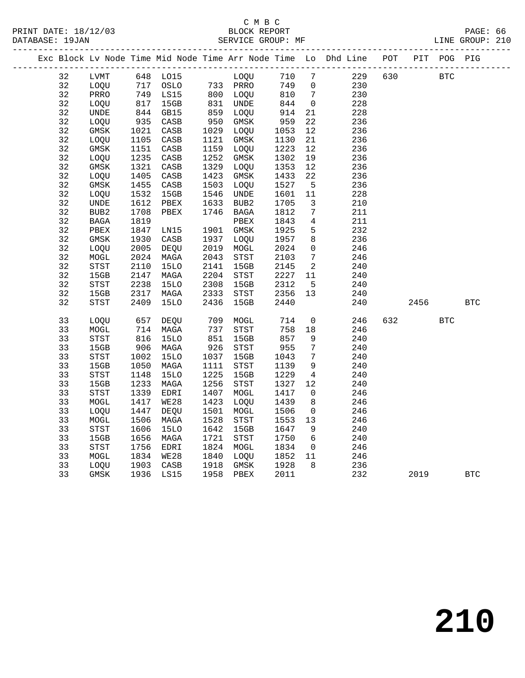## C M B C<br>BLOCK REPORT

| PRINT DATE: 18/12/03 |  | BLOCK REPORT      |  | PAGE:           | -66 |
|----------------------|--|-------------------|--|-----------------|-----|
| DATABASE: 19JAN      |  | SERVICE GROUP: MF |  | LINE GROUP: 210 |     |
|                      |  |                   |  |                 |     |

|  |    |                                       |      |                 |      |             |      |                     | Exc Block Lv Node Time Mid Node Time Arr Node Time Lo Dhd Line | $_{\rm POT}$ | $\verb PIT $ | POG        | PIG        |
|--|----|---------------------------------------|------|-----------------|------|-------------|------|---------------------|----------------------------------------------------------------|--------------|--------------|------------|------------|
|  | 32 | LVMT                                  |      | 648 LO15        |      | LOQU        | 710  | 7                   | 229                                                            | 630          |              | <b>BTC</b> |            |
|  | 32 | LOQU                                  | 717  | OSLO            |      | 733 PRRO    | 749  | 0                   | 230                                                            |              |              |            |            |
|  | 32 | PRRO                                  | 749  | LS15            | 800  | LOQU        | 810  | $7\phantom{.0}$     | 230                                                            |              |              |            |            |
|  | 32 | LOQU                                  | 817  | 15GB            | 831  | <b>UNDE</b> | 844  | 0                   | 228                                                            |              |              |            |            |
|  | 32 | $\ensuremath{\mathsf{UNDE}}$          | 844  | GB15            | 859  | LOQU        | 914  | 21                  | 228                                                            |              |              |            |            |
|  | 32 | LOQU                                  | 935  | CASB            | 950  | GMSK        | 959  | 22                  | 236                                                            |              |              |            |            |
|  | 32 | $\rm{GMSK}$                           | 1021 | CASB            | 1029 | LOQU        | 1053 | 12                  | 236                                                            |              |              |            |            |
|  | 32 | LOQU                                  | 1105 | $\mathtt{CASB}$ | 1121 | $\rm{GMSK}$ | 1130 | 21                  | 236                                                            |              |              |            |            |
|  | 32 | GMSK                                  | 1151 | CASB            | 1159 | <b>LOOU</b> | 1223 | 12                  | 236                                                            |              |              |            |            |
|  | 32 | LOQU                                  | 1235 | CASB            | 1252 | $\rm{GMSK}$ | 1302 | 19                  | 236                                                            |              |              |            |            |
|  | 32 | GMSK                                  | 1321 | $\mathtt{CASB}$ | 1329 | LOQU        | 1353 | 12                  | 236                                                            |              |              |            |            |
|  | 32 | LOQU                                  | 1405 | CASB            | 1423 | GMSK        | 1433 | 22                  | 236                                                            |              |              |            |            |
|  | 32 | $\rm{GMSK}$                           | 1455 | $\mathtt{CASB}$ | 1503 | LOQU        | 1527 | 5                   | 236                                                            |              |              |            |            |
|  | 32 | LOQU                                  | 1532 | 15GB            | 1546 | UNDE        | 1601 | 11                  | 228                                                            |              |              |            |            |
|  | 32 | <b>UNDE</b>                           | 1612 | PBEX            | 1633 | BUB2        | 1705 | 3                   | 210                                                            |              |              |            |            |
|  | 32 | BUB2                                  | 1708 | PBEX            | 1746 | BAGA        | 1812 | $7\phantom{.}$      | 211                                                            |              |              |            |            |
|  | 32 | BAGA                                  | 1819 |                 |      | PBEX        | 1843 | 4                   | 211                                                            |              |              |            |            |
|  | 32 | ${\tt PBEX}$                          | 1847 | LN15            | 1901 | GMSK        | 1925 | 5                   | 232                                                            |              |              |            |            |
|  | 32 | $\rm{GMSK}$                           | 1930 | CASB            | 1937 | LOQU        | 1957 | 8                   | 236                                                            |              |              |            |            |
|  | 32 | LOQU                                  | 2005 | DEQU            | 2019 | MOGL        | 2024 | $\mathsf{O}\xspace$ | 246                                                            |              |              |            |            |
|  | 32 | MOGL                                  | 2024 | MAGA            | 2043 | STST        | 2103 | 7                   | 246                                                            |              |              |            |            |
|  | 32 | STST                                  | 2110 | <b>15LO</b>     | 2141 | 15GB        | 2145 | $\mathbf{2}$        | 240                                                            |              |              |            |            |
|  | 32 | 15GB                                  | 2147 | MAGA            | 2204 | STST        | 2227 | 11                  | 240                                                            |              |              |            |            |
|  | 32 | $_{\footnotesize{\textnormal{STST}}}$ | 2238 | <b>15LO</b>     | 2308 | 15GB        | 2312 | 5                   | 240                                                            |              |              |            |            |
|  | 32 | 15GB                                  | 2317 | MAGA            | 2333 | STST        | 2356 | 13                  | 240                                                            |              |              |            |            |
|  | 32 | STST                                  | 2409 | <b>15LO</b>     | 2436 | 15GB        | 2440 |                     | 240                                                            |              | 2456         |            | <b>BTC</b> |
|  | 33 | LOQU                                  | 657  | DEQU            | 709  | MOGL        | 714  | $\mathsf{O}\xspace$ | 246                                                            | 632          |              | <b>BTC</b> |            |
|  | 33 | $\tt MOGL$                            | 714  | MAGA            | 737  | <b>STST</b> | 758  | $18\,$              | 246                                                            |              |              |            |            |
|  | 33 | $_{\footnotesize\rm STST}$            | 816  | <b>15LO</b>     | 851  | 15GB        | 857  | 9                   | 240                                                            |              |              |            |            |
|  | 33 | 15GB                                  | 906  | MAGA            | 926  | <b>STST</b> | 955  | $7\phantom{.}$      | 240                                                            |              |              |            |            |
|  | 33 | $_{\footnotesize\rm STST}$            | 1002 | <b>15LO</b>     | 1037 | 15GB        | 1043 | $7\phantom{.0}$     | 240                                                            |              |              |            |            |
|  | 33 | 15GB                                  | 1050 | MAGA            | 1111 | STST        | 1139 | 9                   | 240                                                            |              |              |            |            |
|  | 33 | <b>STST</b>                           | 1148 | <b>15LO</b>     | 1225 | 15GB        | 1229 | $\overline{4}$      | 240                                                            |              |              |            |            |
|  | 33 | 15GB                                  | 1233 | MAGA            | 1256 | STST        | 1327 | 12                  | 240                                                            |              |              |            |            |
|  | 33 | STST                                  | 1339 | EDRI            | 1407 | MOGL        | 1417 | 0                   | 246                                                            |              |              |            |            |
|  | 33 | MOGL                                  | 1417 | <b>WE28</b>     | 1423 | LOQU        | 1439 | 8                   | 246                                                            |              |              |            |            |
|  | 33 | LOQU                                  | 1447 | DEQU            | 1501 | MOGL        | 1506 | 0                   | 246                                                            |              |              |            |            |
|  | 33 | MOGL                                  | 1506 | MAGA            | 1528 | <b>STST</b> | 1553 | 13                  | 246                                                            |              |              |            |            |
|  | 33 | STST                                  | 1606 | <b>15LO</b>     | 1642 | 15GB        | 1647 | 9                   | 240                                                            |              |              |            |            |
|  | 33 | 15GB                                  | 1656 | MAGA            | 1721 | <b>STST</b> | 1750 | 6                   | 240                                                            |              |              |            |            |
|  | 33 | $_{\footnotesize\rm STST}$            | 1756 | EDRI            | 1824 | MOGL        | 1834 | 0                   | 246                                                            |              |              |            |            |
|  | 33 | $\tt MOGL$                            | 1834 | <b>WE28</b>     | 1840 | LOQU        | 1852 | 11                  | 246                                                            |              |              |            |            |
|  | 33 | LOQU                                  | 1903 | CASB            | 1918 | $\rm{GMSK}$ | 1928 | 8                   | 236                                                            |              |              |            |            |
|  | 33 | $\rm{GMSK}$                           | 1936 | LS15            | 1958 | PBEX        | 2011 |                     | 232                                                            |              | 2019         |            | <b>BTC</b> |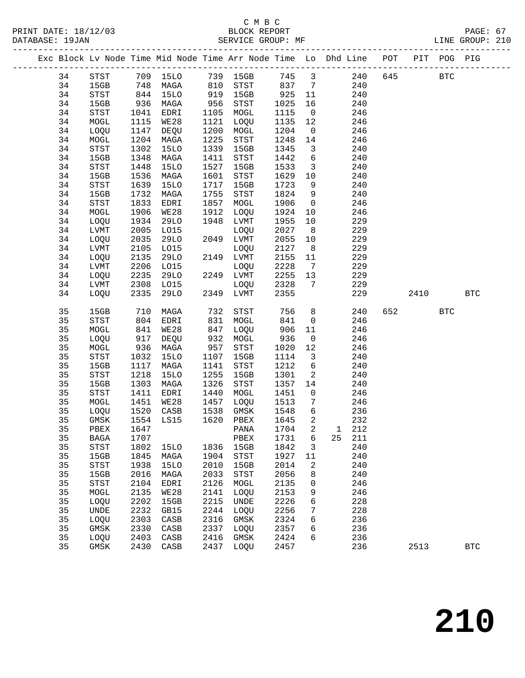# C M B C<br>BLOCK REPORT

| 34 | STST                                  | 709  | 15LO        |      | 739 15GB                              | 745                        | $\overline{\mathbf{3}}$                    | 240    | 645 |      | <b>BTC</b>   |
|----|---------------------------------------|------|-------------|------|---------------------------------------|----------------------------|--------------------------------------------|--------|-----|------|--------------|
| 34 | 15GB                                  | 748  | MAGA        | 810  | STST                                  | 837                        | $7\overline{ }$                            | 240    |     |      |              |
| 34 | STST                                  | 844  | <b>15LO</b> | 919  | 15GB                                  | 925                        | 11                                         | 240    |     |      |              |
| 34 | 15GB                                  | 936  | MAGA        | 956  | STST                                  | 1025                       | 16                                         | 240    |     |      |              |
| 34 | STST                                  | 1041 | EDRI        | 1105 | MOGL                                  | 1115                       | $\overline{0}$                             | 246    |     |      |              |
| 34 | MOGL                                  | 1115 | WE28        | 1121 | LOQU                                  | 1135                       | 12                                         | 246    |     |      |              |
| 34 | LOQU                                  | 1147 | DEQU        | 1200 | MOGL                                  | 1204                       | $\overline{0}$                             | 246    |     |      |              |
| 34 | MOGL                                  | 1204 | MAGA        | 1225 | $_{\footnotesize{\textnormal{STST}}}$ | 1248                       | 14                                         | 246    |     |      |              |
| 34 | STST                                  | 1302 | <b>15LO</b> | 1339 | 15GB                                  | 1345                       | $\overline{\mathbf{3}}$                    | 240    |     |      |              |
| 34 | 15GB                                  | 1348 | MAGA        | 1411 | $_{\footnotesize{\textnormal{STST}}}$ | 1442                       | 6                                          | 240    |     |      |              |
| 34 | STST                                  | 1448 | <b>15LO</b> | 1527 | 15GB                                  | 1533                       | $\overline{\mathbf{3}}$                    | 240    |     |      |              |
| 34 | 15GB                                  | 1536 | MAGA        | 1601 | $_{\footnotesize{\textnormal{STST}}}$ | 1629                       | 10                                         | 240    |     |      |              |
| 34 | STST                                  | 1639 | <b>15LO</b> | 1717 | 15GB                                  | 1723                       | 9                                          | 240    |     |      |              |
| 34 | 15GB                                  | 1732 | MAGA        | 1755 | STST                                  | 1824                       | 9                                          | 240    |     |      |              |
| 34 | STST                                  | 1833 | EDRI        | 1857 | $\tt MOGL$                            | 1906                       | $\overline{0}$                             | 246    |     |      |              |
| 34 | MOGL                                  | 1906 | WE28        | 1912 | LOQU                                  | 1924                       | 10                                         | 246    |     |      |              |
| 34 | LOQU                                  | 1934 | 29LO        | 1948 |                                       | 1955                       |                                            | 229    |     |      |              |
|    |                                       |      |             |      | LVMT                                  |                            | 10                                         |        |     |      |              |
| 34 | ${\rm LVMT}$                          | 2005 | L015        |      | LOQU                                  | 2027                       | 8 <sup>8</sup>                             | 229    |     |      |              |
| 34 | LOQU                                  | 2035 | 29LO        |      | 2049 LVMT                             | 2055                       | 10                                         | 229    |     |      |              |
| 34 | ${\rm LVMT}$                          | 2105 | L015        |      | LOQU                                  | 2127                       | 8 <sup>8</sup>                             | 229    |     |      |              |
| 34 | LOQU                                  | 2135 | 29LO        |      | 2149 LVMT                             | 2155                       | 11                                         | 229    |     |      |              |
| 34 | ${\rm LVMT}$                          | 2206 | L015        |      | LOQU                                  | 2228                       | $\overline{7}$                             | 229    |     |      |              |
| 34 | LOQU                                  | 2235 | <b>29LO</b> |      | 2249 LVMT                             | 2255                       | 13                                         | 229    |     |      |              |
| 34 | ${\rm LVMT}$                          | 2308 | L015        |      | LOQU                                  | 2328                       | $7\phantom{.0}$                            | 229    |     |      |              |
| 34 | LOQU                                  | 2335 | 29LO        |      | 2349 LVMT                             | 2355                       |                                            | 229    |     | 2410 | $_{\rm BTC}$ |
| 35 | 15GB                                  | 710  | MAGA        | 732  | STST                                  | 756                        | 8                                          | 240    |     | 652  | <b>BTC</b>   |
| 35 | STST                                  | 804  | EDRI        | 831  | MOGL                                  | 841                        | $\overline{0}$                             | 246    |     |      |              |
| 35 | MOGL                                  | 841  | WE28        | 847  | LOQU                                  | 906                        | 11                                         | 246    |     |      |              |
| 35 | LOQU                                  | 917  | DEQU        | 932  |                                       | 936                        |                                            | 246    |     |      |              |
| 35 |                                       |      |             | 957  | MOGL                                  | 1020                       | $\overline{0}$<br>12                       | 246    |     |      |              |
| 35 | MOGL                                  | 936  | MAGA        |      | $_{\footnotesize{\textnormal{STST}}}$ |                            |                                            |        |     |      |              |
| 35 | STST                                  | 1032 | <b>15LO</b> | 1107 | 15GB                                  | 1114                       | $\overline{\mathbf{3}}$<br>$6\overline{6}$ | 240    |     |      |              |
|    | 15GB                                  | 1117 | MAGA        | 1141 | STST                                  | 1212                       |                                            | 240    |     |      |              |
| 35 | STST                                  | 1218 | <b>15LO</b> | 1255 | 15GB                                  | 1301                       | $\overline{a}$                             | 240    |     |      |              |
| 35 | 15GB                                  | 1303 | MAGA        | 1326 | $_{\footnotesize{\textnormal{STST}}}$ | 1357                       | 14                                         | 240    |     |      |              |
| 35 | STST                                  | 1411 | EDRI        | 1440 | MOGL                                  | 1451                       | $\overline{0}$                             | 246    |     |      |              |
| 35 | MOGL                                  | 1451 | WE28        | 1457 | LOQU                                  | 1513                       | $7\phantom{.0}$                            | 246    |     |      |              |
| 35 | LOQU                                  | 1520 | CASB        | 1538 | GMSK                                  | 1548                       | 6                                          | 236    |     |      |              |
| 35 | GMSK                                  | 1554 | LS15        | 1620 | PBEX                                  | 1645                       | $\overline{a}$                             | 232    |     |      |              |
| 35 | PBEX                                  | 1647 |             |      | PANA                                  | 1704                       | 2                                          | 1 212  |     |      |              |
| 35 | <b>BAGA</b>                           | 1707 |             |      | PBEX                                  | 1731                       | $6\overline{6}$                            | 25 211 |     |      |              |
| 35 | STST                                  |      |             |      |                                       | 1802 15LO 1836 15GB 1842 3 |                                            | 240    |     |      |              |
| 35 | 15GB                                  | 1845 | MAGA        | 1904 | STST                                  | 1927                       | 11                                         | 240    |     |      |              |
| 35 | $_{\footnotesize{\textnormal{STST}}}$ | 1938 | 15LO        | 2010 | 15GB                                  | 2014                       | 2                                          | 240    |     |      |              |
| 35 | 15GB                                  | 2016 | MAGA        | 2033 | ${\tt STST}$                          | 2056                       | 8                                          | 240    |     |      |              |
| 35 | STST                                  | 2104 | EDRI        | 2126 | MOGL                                  | 2135                       | 0                                          | 246    |     |      |              |
| 35 | MOGL                                  | 2135 | <b>WE28</b> | 2141 | LOQU                                  | 2153                       | 9                                          | 246    |     |      |              |
| 35 | LOQU                                  | 2202 | 15GB        | 2215 | UNDE                                  | 2226                       | 6                                          | 228    |     |      |              |
| 35 | UNDE                                  | 2232 | GB15        | 2244 | LOQU                                  | 2256                       | 7                                          | 228    |     |      |              |
| 35 | LOQU                                  | 2303 | CASB        | 2316 | GMSK                                  | 2324                       | 6                                          | 236    |     |      |              |
| 35 | GMSK                                  | 2330 | CASB        | 2337 | LOQU                                  | 2357                       | 6                                          | 236    |     |      |              |
| 35 | LOQU                                  | 2403 | CASB        | 2416 | GMSK                                  | 2424                       | 6                                          | 236    |     |      |              |
| 35 | GMSK                                  | 2430 | CASB        | 2437 | LOQU                                  | 2457                       |                                            | 236    |     | 2513 | $_{\rm BTC}$ |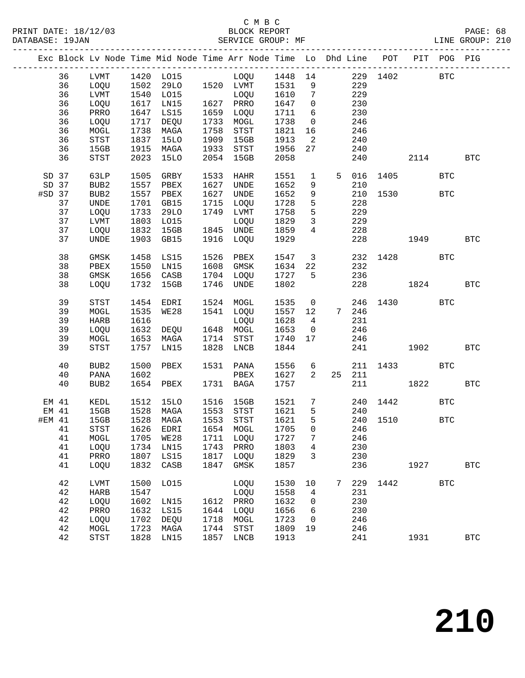|          |       |                                       |      | Exc Block Lv Node Time Mid Node Time Arr Node Time Lo Dhd Line POT PIT POG PIG |                                                                                                                                                                                                                                                                                                                                                                                                                                   |             |              |                            |                   |        |          |              |              |              |
|----------|-------|---------------------------------------|------|--------------------------------------------------------------------------------|-----------------------------------------------------------------------------------------------------------------------------------------------------------------------------------------------------------------------------------------------------------------------------------------------------------------------------------------------------------------------------------------------------------------------------------|-------------|--------------|----------------------------|-------------------|--------|----------|--------------|--------------|--------------|
|          | 36    | LVMT                                  |      |                                                                                |                                                                                                                                                                                                                                                                                                                                                                                                                                   |             |              |                            |                   |        |          |              |              |              |
|          | 36    | LOQU                                  |      |                                                                                |                                                                                                                                                                                                                                                                                                                                                                                                                                   |             |              |                            | 229               |        |          |              |              |              |
|          | 36    | LVMT                                  |      | 1540 LO15                                                                      |                                                                                                                                                                                                                                                                                                                                                                                                                                   | LOQU 1610   |              | $7\overline{ }$            |                   | 229    |          |              |              |              |
|          | 36    | LOQU                                  | 1617 | LNI5                                                                           |                                                                                                                                                                                                                                                                                                                                                                                                                                   | 1627 PRRO   | 1647         | $\overline{0}$             |                   | 230    |          |              |              |              |
|          | 36    | PRRO                                  | 1647 | LS15                                                                           |                                                                                                                                                                                                                                                                                                                                                                                                                                   | 1659 LOQU   | 1711         | 6                          |                   | 230    |          |              |              |              |
|          | 36    | LOQU                                  | 1717 | DEQU                                                                           |                                                                                                                                                                                                                                                                                                                                                                                                                                   | 1733 MOGL   | 1738         | $\overline{0}$             |                   | 246    |          |              |              |              |
|          | 36    | MOGL                                  | 1738 | MAGA                                                                           | 1758                                                                                                                                                                                                                                                                                                                                                                                                                              | STST        | 1821         | 16                         |                   | 246    |          |              |              |              |
|          | 36    | $_{\footnotesize{\textnormal{STST}}}$ | 1837 | 15LO                                                                           |                                                                                                                                                                                                                                                                                                                                                                                                                                   | 1909 15GB   | 1913         | $\overline{\phantom{a}}^2$ |                   | 240    |          |              |              |              |
|          | 36    | 15GB                                  | 1915 | MAGA                                                                           |                                                                                                                                                                                                                                                                                                                                                                                                                                   | 1933 STST   | 1956         | 27                         |                   | 240    |          |              |              |              |
|          | 36    | STST                                  | 2023 | 15LO                                                                           |                                                                                                                                                                                                                                                                                                                                                                                                                                   | 2054 15GB   | 2058         |                            |                   | 240    |          | 2114 BTC     |              |              |
|          |       |                                       |      |                                                                                |                                                                                                                                                                                                                                                                                                                                                                                                                                   |             |              |                            |                   |        |          |              |              |              |
| SD 37    |       | 63LP                                  | 1505 | GRBY                                                                           | 1533                                                                                                                                                                                                                                                                                                                                                                                                                              | HAHR        | 1551         | $\mathbf{1}$               | 5 <sub>5</sub>    | 016    |          | 1405         | $_{\rm BTC}$ |              |
|          | SD 37 | BUB2                                  | 1557 | PBEX                                                                           |                                                                                                                                                                                                                                                                                                                                                                                                                                   | 1627 UNDE   | 1652         | 9                          |                   | 210    |          |              |              |              |
| $#SD$ 37 |       | BUB2                                  | 1557 | PBEX                                                                           |                                                                                                                                                                                                                                                                                                                                                                                                                                   | 1627 UNDE   | 1652         | 9                          |                   |        |          | 210 1530 BTC |              |              |
|          | 37    | UNDE                                  | 1701 | GB15                                                                           | 1715                                                                                                                                                                                                                                                                                                                                                                                                                              | LOQU        | 1728         | 5                          |                   | 228    |          |              |              |              |
|          | 37    | LOQU                                  | 1733 | 29LO                                                                           |                                                                                                                                                                                                                                                                                                                                                                                                                                   | 1749 LVMT   | 1758         | 5                          |                   | 229    |          |              |              |              |
|          | 37    | LVMT                                  | 1803 | LO15                                                                           |                                                                                                                                                                                                                                                                                                                                                                                                                                   | LOQU        | 1829         | $\overline{\mathbf{3}}$    |                   | 229    |          |              |              |              |
|          | 37    | LOQU                                  |      | 1832 15GB                                                                      | $\begin{array}{c}\n\frac{1}{2} \\ \frac{1}{2} \\ \frac{1}{2} \\ \frac{1}{2} \\ \frac{1}{2} \\ \frac{1}{2} \\ \frac{1}{2} \\ \frac{1}{2} \\ \frac{1}{2} \\ \frac{1}{2} \\ \frac{1}{2} \\ \frac{1}{2} \\ \frac{1}{2} \\ \frac{1}{2} \\ \frac{1}{2} \\ \frac{1}{2} \\ \frac{1}{2} \\ \frac{1}{2} \\ \frac{1}{2} \\ \frac{1}{2} \\ \frac{1}{2} \\ \frac{1}{2} \\ \frac{1}{2} \\ \frac{1}{2} \\ \frac{1}{2} \\ \frac{1}{2} \\ \frac{1$ | 1845 UNDE   | 1825<br>1859 | $\overline{4}$             |                   | 228    |          |              |              |              |
|          | 37    | <b>UNDE</b>                           |      | 1903 GB15                                                                      |                                                                                                                                                                                                                                                                                                                                                                                                                                   | 1916 LOQU   | 1929         |                            |                   | 228    |          | 1949         |              | $_{\rm BTC}$ |
|          | 38    | GMSK                                  | 1458 | LS15                                                                           | 1526                                                                                                                                                                                                                                                                                                                                                                                                                              | PBEX        | 1547         | $\overline{\mathbf{3}}$    |                   |        |          | 232 1428 BTC |              |              |
|          | 38    | PBEX                                  | 1550 | LNI5                                                                           |                                                                                                                                                                                                                                                                                                                                                                                                                                   | 1608 GMSK   | 1634 22      |                            |                   | 232    |          |              |              |              |
|          | 38    | GMSK                                  | 1656 | CASB                                                                           |                                                                                                                                                                                                                                                                                                                                                                                                                                   | 1704 LOQU   | 1727         | $5^{\circ}$                |                   | 236    |          |              |              |              |
|          | 38    | LOQU                                  | 1732 | 15GB                                                                           | 1746                                                                                                                                                                                                                                                                                                                                                                                                                              | UNDE        | 1802         |                            |                   |        |          | 228 1824     |              | $_{\rm BTC}$ |
|          |       |                                       |      |                                                                                |                                                                                                                                                                                                                                                                                                                                                                                                                                   |             |              |                            |                   |        |          |              |              |              |
|          | 39    | STST                                  | 1454 | EDRI                                                                           |                                                                                                                                                                                                                                                                                                                                                                                                                                   | 1524 MOGL   | 1535         | $\overline{\mathbf{0}}$    |                   |        |          | 246 1430     | <b>BTC</b>   |              |
|          | 39    | MOGL                                  | 1535 | WE28                                                                           |                                                                                                                                                                                                                                                                                                                                                                                                                                   | 1541 LOQU   | 1557 12      |                            | 7 246             |        |          |              |              |              |
|          | 39    | HARB                                  | 1616 |                                                                                |                                                                                                                                                                                                                                                                                                                                                                                                                                   | LOQU        | 1628         | $\overline{4}$             |                   | 231    |          |              |              |              |
|          | 39    | LOQU                                  | 1632 | DEQU                                                                           |                                                                                                                                                                                                                                                                                                                                                                                                                                   | 1648 MOGL   | 1653         | $\overline{\mathbf{0}}$    |                   | 246    |          |              |              |              |
|          | 39    | MOGL                                  | 1653 | MAGA                                                                           |                                                                                                                                                                                                                                                                                                                                                                                                                                   | 1714 STST   | 1740         | 17                         |                   | 246    |          |              |              |              |
|          | 39    | STST                                  |      | 1757 LN15                                                                      |                                                                                                                                                                                                                                                                                                                                                                                                                                   | 1828 LNCB   | 1844         |                            |                   | 241    |          | 1902         |              | $_{\rm BTC}$ |
|          | 40    | BUB2                                  | 1500 | PBEX                                                                           |                                                                                                                                                                                                                                                                                                                                                                                                                                   | 1531 PANA   | 1556         | 6                          |                   |        |          | 211 1433     | BTC          |              |
|          | 40    | PANA                                  | 1602 |                                                                                |                                                                                                                                                                                                                                                                                                                                                                                                                                   | PBEX        | 1627         | $\overline{2}$             |                   | 25 211 |          |              |              |              |
|          | 40    | BUB2                                  |      | 1654 PBEX                                                                      |                                                                                                                                                                                                                                                                                                                                                                                                                                   | 1731 BAGA   | 1757         |                            |                   |        | 211      | 1822         |              | BTC          |
|          |       |                                       |      |                                                                                |                                                                                                                                                                                                                                                                                                                                                                                                                                   |             |              |                            |                   |        |          |              |              |              |
| EM 41    |       | KEDL                                  | 1512 | 15LO                                                                           |                                                                                                                                                                                                                                                                                                                                                                                                                                   | 1516 15GB   | 1521         | $7\phantom{.0}$            |                   | 240    | 1442     |              | $_{\rm BTC}$ |              |
|          | EM 41 | 15GB                                  | 1528 | MAGA                                                                           |                                                                                                                                                                                                                                                                                                                                                                                                                                   | 1553 STST   | 1621         | $5^{\circ}$                |                   | 240    |          |              |              |              |
| #EM 41   |       | 15GB                                  |      | 1528 MAGA                                                                      |                                                                                                                                                                                                                                                                                                                                                                                                                                   | 1553 STST   | 1621         | 5                          |                   |        | 240 1510 |              | <b>BTC</b>   |              |
|          |       |                                       |      | 41 STST 1626 EDRI 1654 MOGL 1705                                               |                                                                                                                                                                                                                                                                                                                                                                                                                                   |             |              |                            | $0 \qquad \qquad$ | 246    |          |              |              |              |
|          | 41    | MOGL                                  | 1705 | WE28                                                                           |                                                                                                                                                                                                                                                                                                                                                                                                                                   | 1711 LOQU   | 1727         | 7                          |                   | 246    |          |              |              |              |
|          | 41    | LOQU                                  | 1734 | LN15                                                                           |                                                                                                                                                                                                                                                                                                                                                                                                                                   | 1743 PRRO   | 1803         | 4                          |                   | 230    |          |              |              |              |
|          | 41    | PRRO                                  | 1807 | LS15                                                                           | 1817                                                                                                                                                                                                                                                                                                                                                                                                                              | LOQU        | 1829         | 3                          |                   | 230    |          |              |              |              |
|          | 41    | LOQU                                  | 1832 | CASB                                                                           | 1847                                                                                                                                                                                                                                                                                                                                                                                                                              | GMSK        | 1857         |                            |                   | 236    |          | 1927         |              | <b>BTC</b>   |
|          | 42    | ${\rm LVMT}$                          | 1500 | L015                                                                           |                                                                                                                                                                                                                                                                                                                                                                                                                                   | LOQU        | 1530         | 10                         | 7                 | 229    | 1442     |              | <b>BTC</b>   |              |
|          | 42    | HARB                                  | 1547 |                                                                                |                                                                                                                                                                                                                                                                                                                                                                                                                                   | LOQU        | 1558         | 4                          |                   | 231    |          |              |              |              |
|          | 42    | LOQU                                  | 1602 | LN15                                                                           |                                                                                                                                                                                                                                                                                                                                                                                                                                   | 1612 PRRO   | 1632         | 0                          |                   | 230    |          |              |              |              |
|          | 42    | PRRO                                  | 1632 | LS15                                                                           | 1644                                                                                                                                                                                                                                                                                                                                                                                                                              | LOQU        | 1656         | 6                          |                   | 230    |          |              |              |              |
|          | 42    | LOQU                                  | 1702 | DEQU                                                                           | 1718                                                                                                                                                                                                                                                                                                                                                                                                                              | MOGL        | 1723         | 0                          |                   | 246    |          |              |              |              |
|          | 42    | MOGL                                  | 1723 | MAGA                                                                           | 1744                                                                                                                                                                                                                                                                                                                                                                                                                              | <b>STST</b> | 1809         | 19                         |                   | 246    |          |              |              |              |
|          | 42    | STST                                  | 1828 | LN15                                                                           | 1857                                                                                                                                                                                                                                                                                                                                                                                                                              | LNCB        | 1913         |                            |                   | 241    |          | 1931         |              | $_{\rm BTC}$ |
|          |       |                                       |      |                                                                                |                                                                                                                                                                                                                                                                                                                                                                                                                                   |             |              |                            |                   |        |          |              |              |              |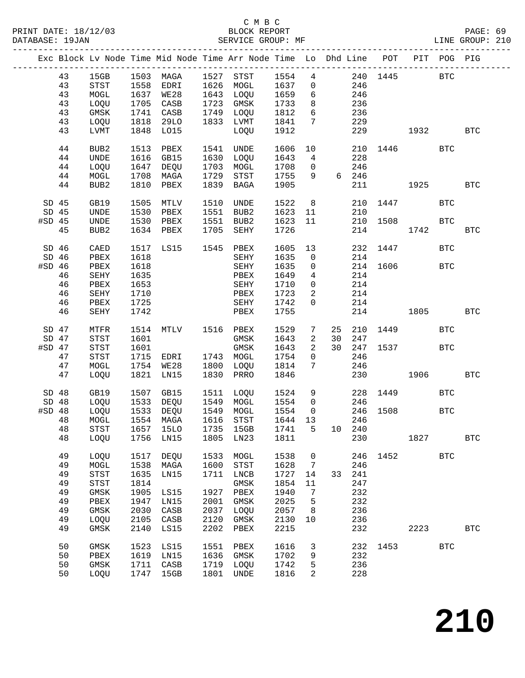|          |    |                                       |      |                     |      | Exc Block Lv Node Time Mid Node Time Arr Node Time Lo Dhd Line POT |         |                 |                                |       |          |                                               | PIT POG PIG  |              |
|----------|----|---------------------------------------|------|---------------------|------|--------------------------------------------------------------------|---------|-----------------|--------------------------------|-------|----------|-----------------------------------------------|--------------|--------------|
|          | 43 | 15GB                                  |      | 1503 MAGA 1527 STST |      |                                                                    | 1554    |                 |                                |       |          | 4 240 1445 BTC                                |              |              |
|          | 43 | $_{\footnotesize{\textnormal{STST}}}$ | 1558 | EDRI                |      | 1626 MOGL                                                          | 1637    | $\overline{0}$  |                                | 246   |          |                                               |              |              |
|          | 43 | MOGL                                  |      | 1637 WE28           |      | 1643 LOQU                                                          | 1659    | 6               |                                | 246   |          |                                               |              |              |
|          |    |                                       |      |                     |      | 1723 GMSK                                                          |         |                 |                                |       |          |                                               |              |              |
|          | 43 | LOQU                                  | 1705 | CASB                |      |                                                                    | 1733    | 8               |                                | 236   |          |                                               |              |              |
|          | 43 | GMSK                                  | 1741 | CASB                |      | 1749 LOQU                                                          | 1812    | 6               |                                | 236   |          |                                               |              |              |
|          | 43 | LOQU                                  | 1818 | 29LO                |      | 1833 LVMT                                                          | 1841    | $7\phantom{.0}$ |                                | 229   |          |                                               |              |              |
|          | 43 | LVMT                                  |      | 1848 LO15           |      | LOQU                                                               | 1912    |                 |                                | 229   |          | 1932                                          |              | <b>BTC</b>   |
|          | 44 | BUB2                                  | 1513 | PBEX                | 1541 | UNDE                                                               | 1606    | 10              |                                |       |          | 210 1446                                      | <b>BTC</b>   |              |
|          | 44 | UNDE                                  | 1616 | GB15                |      | 1630 LOQU                                                          | 1643    | $\overline{4}$  |                                | 228   |          |                                               |              |              |
|          | 44 | LOQU                                  |      | 1647 DEQU           | 1703 | MOGL                                                               | 1708    | $\overline{0}$  |                                | 246   |          |                                               |              |              |
|          | 44 | MOGL                                  | 1708 | MAGA                | 1729 | STST                                                               | 1755    | 9               |                                | 6 246 |          |                                               |              |              |
|          | 44 | BUB <sub>2</sub>                      | 1810 | PBEX                | 1839 | BAGA                                                               | 1905    |                 |                                | 211   |          | 1925                                          |              | <b>BTC</b>   |
| $SD$ 45  |    | GB19                                  | 1505 | MTLV                |      | 1510 UNDE                                                          | 1522    | 8 <sup>8</sup>  |                                |       |          | 210 1447                                      | <b>BTC</b>   |              |
| SD 45    |    | UNDE                                  | 1530 | PBEX                | 1551 | BUB2                                                               | 1623    | 11              |                                | 210   |          |                                               |              |              |
| $#SD$ 45 |    | UNDE                                  | 1530 | PBEX                |      | 1551 BUB2                                                          | 1623    | 11              |                                | 210   |          | 1508                                          | <b>BTC</b>   |              |
|          | 45 | BUB2                                  | 1634 | PBEX                | 1705 | SEHY                                                               | 1726    |                 |                                | 214   |          | 1742                                          |              | <b>BTC</b>   |
| $SD$ 46  |    | CAED                                  |      | 1517 LS15 1545 PBEX |      |                                                                    | 1605    | 13              |                                |       | 232 1447 |                                               | <b>BTC</b>   |              |
| $SD$ 46  |    | PBEX                                  | 1618 |                     |      | SEHY                                                               | 1635    | $\overline{0}$  |                                | 214   |          |                                               |              |              |
| $#SD$ 46 |    | PBEX                                  | 1618 |                     |      | SEHY                                                               | 1635    | $\overline{0}$  |                                |       | 214 1606 | <b>BTC</b>                                    |              |              |
|          | 46 | SEHY                                  | 1635 |                     |      | PBEX                                                               | 1649    | $4\overline{ }$ |                                | 214   |          |                                               |              |              |
|          | 46 | PBEX                                  | 1653 |                     |      | SEHY                                                               | 1710    | $\overline{0}$  |                                | 214   |          |                                               |              |              |
|          | 46 | SEHY                                  | 1710 |                     |      | PBEX                                                               | 1723    | $\overline{a}$  |                                | 214   |          |                                               |              |              |
|          | 46 | PBEX                                  | 1725 |                     |      | SEHY                                                               | 1742    | $\overline{0}$  |                                | 214   |          |                                               |              |              |
|          | 46 | SEHY                                  | 1742 |                     |      | PBEX                                                               | 1755    |                 |                                |       | 214      | 1805 - 1805 - 1806 - 1806 - 1806 - 1806 - 181 |              | <b>BTC</b>   |
|          |    |                                       |      |                     |      |                                                                    |         |                 |                                |       |          |                                               |              |              |
| $SD$ 47  |    | MTFR                                  | 1514 | MTLV 1516 PBEX      |      |                                                                    | 1529    | $7\degree$      | 25                             |       |          | 210 1449                                      | <b>BTC</b>   |              |
| SD 47    |    | STST                                  | 1601 |                     |      | GMSK                                                               | 1643    | $\overline{2}$  | 30                             | 247   |          |                                               |              |              |
| $#SD$ 47 |    | STST                                  | 1601 |                     |      | GMSK                                                               | 1643    | $\overline{2}$  |                                |       |          | 30 247 1537 BTC                               |              |              |
|          | 47 | $_{\footnotesize{\textnormal{STST}}}$ | 1715 | EDRI                |      | 1743 MOGL                                                          | 1754    | $\overline{0}$  |                                | 246   |          |                                               |              |              |
|          | 47 | MOGL                                  | 1754 | WE28                |      | 1800 LOQU                                                          | 1814    | 7               |                                | 246   |          |                                               |              |              |
|          | 47 | LOQU                                  | 1821 | LN15                | 1830 | PRRO                                                               | 1846    |                 |                                | 230   |          | 1906 - 190                                    |              | <b>BTC</b>   |
| SD 48    |    | GB19                                  | 1507 | GB15                |      | 1511 LOQU                                                          | 1524    |                 | $9 \left( \frac{1}{2} \right)$ |       |          | 228 1449                                      | <b>BTC</b>   |              |
| SD 48    |    | LOQU                                  |      | 1533 DEQU 1549 MOGL |      |                                                                    | 1554    | $\overline{0}$  |                                | 246   |          |                                               |              |              |
| $#SD$ 48 |    | LOQU                                  | 1533 | DEQU                |      | 1549 MOGL                                                          | 1554    | $\overline{0}$  |                                |       | 246 1508 |                                               | <b>BTC</b>   |              |
|          | 48 | MOGL                                  |      | 1554 MAGA           |      | 1616 STST                                                          | 1644 13 |                 |                                | 246   |          |                                               |              |              |
|          | 48 |                                       |      |                     |      | STST 1657 15LO 1735 15GB 1741 5 10 240                             |         |                 |                                |       |          |                                               |              |              |
|          | 48 | LOQU                                  | 1756 | LN15                | 1805 | LN23                                                               | 1811    |                 |                                | 230   |          | 1827                                          |              | $_{\rm BTC}$ |
|          |    |                                       |      |                     |      |                                                                    |         |                 |                                |       |          |                                               |              |              |
|          | 49 | LOQU                                  | 1517 | DEQU                | 1533 | MOGL                                                               | 1538    | 0               |                                | 246   | 1452     |                                               | <b>BTC</b>   |              |
|          | 49 | MOGL                                  | 1538 | MAGA                | 1600 | STST                                                               | 1628    | 7               |                                | 246   |          |                                               |              |              |
|          | 49 | STST                                  | 1635 | LN15                | 1711 | ${\rm LNCB}$                                                       | 1727    | 14              | 33                             | 241   |          |                                               |              |              |
|          | 49 | STST                                  | 1814 |                     |      | GMSK                                                               | 1854    | 11              |                                | 247   |          |                                               |              |              |
|          | 49 | $\rm{GMSK}$                           | 1905 | LS15                | 1927 | PBEX                                                               | 1940    | 7               |                                | 232   |          |                                               |              |              |
|          | 49 | PBEX                                  | 1947 | LN15                | 2001 | GMSK                                                               | 2025    | 5               |                                | 232   |          |                                               |              |              |
|          | 49 | GMSK                                  | 2030 | CASB                | 2037 | LOQU                                                               | 2057    | 8               |                                | 236   |          |                                               |              |              |
|          | 49 | LOQU                                  | 2105 | CASB                | 2120 | GMSK                                                               | 2130    | 10              |                                | 236   |          |                                               |              |              |
|          | 49 | GMSK                                  | 2140 | LS15                | 2202 | ${\tt PBEX}$                                                       | 2215    |                 |                                | 232   |          | 2223                                          |              | $_{\rm BTC}$ |
|          | 50 | GMSK                                  | 1523 | LS15                | 1551 | PBEX                                                               | 1616    | 3               |                                | 232   | 1453     |                                               | $_{\rm BTC}$ |              |
|          | 50 | PBEX                                  | 1619 | LN15                | 1636 | GMSK                                                               | 1702    | 9               |                                | 232   |          |                                               |              |              |
|          | 50 | GMSK                                  | 1711 | CASB                | 1719 | LOQU                                                               | 1742    | 5               |                                | 236   |          |                                               |              |              |
|          | 50 | LOQU                                  | 1747 | 15GB                | 1801 | $\ensuremath{\mathsf{UNDE}}$                                       | 1816    | 2               |                                | 228   |          |                                               |              |              |
|          |    |                                       |      |                     |      |                                                                    |         |                 |                                |       |          |                                               |              |              |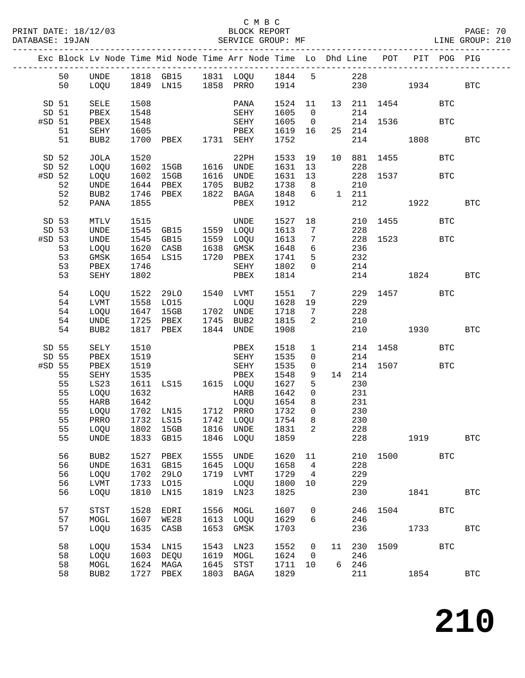|                 |          |              |              |                                          |              | Exc Block Lv Node Time Mid Node Time Arr Node Time Lo Dhd Line POT PIT POG PIG |              |                               |                |                                                |          |                     |              |              |
|-----------------|----------|--------------|--------------|------------------------------------------|--------------|--------------------------------------------------------------------------------|--------------|-------------------------------|----------------|------------------------------------------------|----------|---------------------|--------------|--------------|
|                 | 50       |              |              |                                          |              |                                                                                |              |                               |                |                                                |          |                     |              |              |
|                 | 50       |              |              |                                          |              |                                                                                |              |                               |                |                                                |          | 230 1934            |              | $_{\rm BTC}$ |
| SD 51           |          | SELE         | 1508         |                                          |              | PANA                                                                           |              |                               |                |                                                |          | 1524 11 13 211 1454 | <b>BTC</b>   |              |
| SD 51           |          | PBEX         | 1548         |                                          |              | SEHY                                                                           | 1605 0       |                               |                | 214                                            |          |                     |              |              |
| #SD 51          | 51       | PBEX<br>SEHY | 1548<br>1605 |                                          |              | SEHY 1605<br>PBEX                                                              | 1619 16      | $\overline{0}$                |                | 25 214                                         |          | 214 1536            | <b>BTC</b>   |              |
|                 | 51       | BUB2         |              | 1700 PBEX 1731 SEHY                      |              |                                                                                | 1752         |                               |                |                                                |          | 214 1808            |              | <b>BTC</b>   |
| SD 52           |          | JOLA         | 1520         |                                          |              | 22PH                                                                           | 1533 19      |                               |                |                                                |          | 10 881 1455         | <b>BTC</b>   |              |
|                 | SD 52    | LOQU         |              | 1602 15GB 1616 UNDE                      |              |                                                                                | 1631 13      |                               |                | 228                                            |          |                     |              |              |
| $#SD$ 52        |          | LOQU         | 1602         |                                          |              |                                                                                | 1631 13      |                               |                |                                                |          | 228 1537 BTC        |              |              |
|                 | 52<br>52 | UNDE<br>BUB2 | 1644<br>1746 | PBEX 1705 BUB2<br>PBEX 1822 BAGA<br>PBEX |              |                                                                                | 1738<br>1848 | 8 <sup>8</sup><br>6           |                | 210<br>$\begin{bmatrix} 1 & 211 \end{bmatrix}$ |          |                     |              |              |
|                 | 52       | PANA         | 1855         |                                          |              | PBEX                                                                           | 1912         |                               |                |                                                |          | 212 1922            |              | <b>BTC</b>   |
|                 |          |              |              |                                          |              |                                                                                |              |                               |                |                                                |          |                     |              |              |
| SD 53<br>SD 53  |          | MTLV<br>UNDE |              |                                          |              | 1515<br>1545 GB15 1559 LOQU 1613                                               | 1527 18      | $7\overline{ }$               |                | 228                                            | 210 1455 |                     | <b>BTC</b>   |              |
| #SD 53          |          | UNDE         |              |                                          |              | 1545 GB15 1559 LOQU 1613                                                       |              | $\overline{7}$                |                |                                                |          | 228 1523            | <b>BTC</b>   |              |
|                 | 53       | LOQU         | 1620         | CASB 1638 GMSK                           |              |                                                                                | 1648         | $6\overline{6}$               |                | 236                                            |          |                     |              |              |
|                 | 53<br>53 | GMSK<br>PBEX | 1746         | 1654 LS15 1720 PBEX                      |              | SEHY                                                                           | 1741<br>1802 | $5^{\circ}$<br>$\overline{0}$ |                | 232<br>214                                     |          |                     |              |              |
|                 | 53       | SEHY         | 1802         |                                          |              | PBEX                                                                           | 1814         |                               |                |                                                |          | 214 1824            |              | <b>BTC</b>   |
|                 | 54       | LOQU         |              |                                          |              |                                                                                |              |                               |                |                                                |          | 229 1457            | BTC          |              |
|                 | 54       | LVMT         |              | 1522 29LO 1540 LVMT<br>1558 LO15         |              | LVMT 1551 7<br>LOQU 1628 19                                                    |              | $7\overline{ }$               |                | 229                                            |          |                     |              |              |
|                 | 54       | LOQU         |              | $1647$ 15GB 1702 UNDE                    |              |                                                                                | 1718         | $7\overline{ }$               |                | 228                                            |          |                     |              |              |
|                 | 54       | UNDE         | 1725         | PBEX 1745 BUB2                           |              |                                                                                | 1815         | 2                             |                | 210                                            |          |                     |              |              |
|                 | 54       | BUB2         |              | 1817 PBEX                                |              | 1844 UNDE                                                                      | 1908         |                               |                |                                                |          | 210 1930            |              | <b>BTC</b>   |
| SD 55           |          | SELY         | 1510         |                                          |              | PBEX                                                                           | 1518         | $\mathbf{1}$                  |                |                                                |          | 214 1458            | <b>BTC</b>   |              |
| SD 55<br>#SD 55 |          | PBEX<br>PBEX | 1519<br>1519 |                                          |              | SEHY<br>SEHY                                                                   | 1535<br>1535 | $\overline{0}$                | $\overline{0}$ | 214                                            |          | 214 1507            | <b>BTC</b>   |              |
|                 | 55       | SEHY         | 1535         |                                          |              | PBEX                                                                           | 1548         | 9                             |                | 14 214                                         |          |                     |              |              |
|                 | 55       | LS23         |              |                                          |              |                                                                                | 1627         | 5                             |                | 230                                            |          |                     |              |              |
|                 | 55<br>55 | LOQU         | 1632         |                                          |              | HARB                                                                           | 1642<br>1654 | $\overline{0}$<br>8           |                | 231<br>231                                     |          |                     |              |              |
|                 | 55       | HARB<br>LOQU |              |                                          |              | LOQU                                                                           |              | $\overline{0}$                |                |                                                |          |                     |              |              |
|                 | 55       | PRRO         |              |                                          |              |                                                                                | 1732<br>1754 | 8 <sup>8</sup>                |                | 230<br>230                                     |          |                     |              |              |
|                 |          |              |              |                                          |              | 55 LOQU 1802 15GB 1816 UNDE 1831 2<br>1846 LOQU                                |              |                               |                | 228                                            |          | 1919                |              | $_{\rm BTC}$ |
|                 | 55       | UNDE         | 1833         | GB15                                     |              |                                                                                | 1859         |                               |                | 228                                            |          |                     |              |              |
|                 | 56       | BUB2         | 1527         | PBEX                                     | 1555         | UNDE                                                                           | 1620         | 11                            |                |                                                | 210 1500 |                     | <b>BTC</b>   |              |
|                 | 56<br>56 | UNDE<br>LOQU | 1631<br>1702 | GB15<br>29LO                             | 1645<br>1719 | LOQU<br>LVMT                                                                   | 1658<br>1729 | $\overline{4}$<br>4           |                | 228<br>229                                     |          |                     |              |              |
|                 | 56       | LVMT         | 1733         | L015                                     |              | LOQU                                                                           | 1800         | 10                            |                | 229                                            |          |                     |              |              |
|                 | 56       | LOQU         | 1810         | LN15                                     | 1819         | LN23                                                                           | 1825         |                               |                | 230                                            |          | 1841                |              | $_{\rm BTC}$ |
|                 | 57       | <b>STST</b>  | 1528         | EDRI                                     | 1556         | MOGL                                                                           | 1607         | $\mathbf 0$                   |                | 246                                            | 1504     |                     | $_{\rm BTC}$ |              |
|                 | 57       | $\tt MOGL$   | 1607         | WE28                                     | 1613         | LOQU                                                                           | 1629         | 6                             |                | 246                                            |          |                     |              |              |
|                 | 57       | LOQU         | 1635         | CASB                                     | 1653         | GMSK                                                                           | 1703         |                               |                | 236                                            |          | 1733                |              | $_{\rm BTC}$ |
|                 | 58       | LOQU         | 1534         | LN15                                     | 1543         | LN23                                                                           | 1552         | $\mathsf{O}$                  | 11             | 230                                            | 1509     |                     | $_{\rm BTC}$ |              |
|                 | 58       | LOQU         | 1603         | DEQU                                     | 1619         | MOGL                                                                           | 1624         | $\mathbf 0$                   |                | 246                                            |          |                     |              |              |
|                 | 58<br>58 | MOGL<br>BUB2 | 1624         | MAGA<br>1727 PBEX                        | 1645<br>1803 | STST<br>BAGA                                                                   | 1711<br>1829 | 10                            |                | 6 246<br>211                                   |          | 1854                |              | $_{\rm BTC}$ |
|                 |          |              |              |                                          |              |                                                                                |              |                               |                |                                                |          |                     |              |              |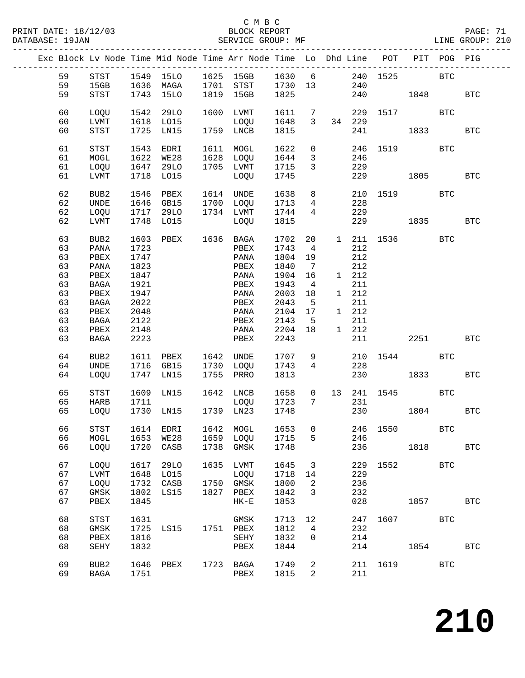|  |          |                  |      |                     |      | Exc Block Lv Node Time Mid Node Time Arr Node Time Lo Dhd Line POT PIT POG PIG |        |                 |                 |        |          |               |            |            |
|--|----------|------------------|------|---------------------|------|--------------------------------------------------------------------------------|--------|-----------------|-----------------|--------|----------|---------------|------------|------------|
|  | 59       | STST             |      |                     |      | 1549 15LO 1625 15GB 1630 6 240 1525 BTC                                        |        |                 |                 |        |          |               |            |            |
|  | 59       | 15GB             |      |                     |      | 1636 MAGA 1701 STST 1730 13                                                    |        |                 |                 | 240    |          |               |            |            |
|  | 59       | STST             |      | 1743 15LO           |      | 1819 15GB                                                                      | 1825   |                 |                 |        |          | 240 1848      |            | <b>BTC</b> |
|  |          |                  |      |                     |      |                                                                                |        |                 |                 |        |          |               |            |            |
|  | 60       | LOQU             | 1542 | 29LO                |      | 1600 LVMT                                                                      | 1611 7 |                 |                 |        |          | 229 1517      | BTC        |            |
|  | 60       | LVMT             |      | 1618 LO15           |      | LOQU                                                                           | 1648   | $\overline{3}$  |                 | 34 229 |          |               |            |            |
|  | 60       | STST             |      | 1725 LN15           |      | 1759 LNCB                                                                      | 1815   |                 |                 |        | 241      | 1833          |            | <b>BTC</b> |
|  |          |                  |      |                     |      |                                                                                |        |                 |                 |        |          |               |            |            |
|  | 61       | STST             |      | 1543 EDRI           |      | 1611 MOGL                                                                      | 1622   | $\overline{0}$  |                 |        |          | 246 1519      | BTC        |            |
|  | 61       | MOGL             |      | 1622 WE28           |      | 1628 LOQU                                                                      | 1644   | $\overline{3}$  |                 | 246    |          |               |            |            |
|  | 61       | LOQU             |      | 1647 29LO           |      | 1705 LVMT                                                                      | 1715   | $\mathbf{3}$    |                 | 229    |          |               |            |            |
|  | 61       | LVMT             |      | 1718 LO15           |      | LOQU                                                                           | 1745   |                 |                 |        |          | 229 1805      |            | BTC        |
|  |          |                  |      |                     |      |                                                                                |        |                 |                 |        |          |               |            |            |
|  | 62       | BUB2             | 1546 | PBEX                |      | 1614 UNDE                                                                      | 1638   |                 | 8               |        |          | 210 1519 BTC  |            |            |
|  | 62       | UNDE             |      | 1646 GB15           |      | 1700 LOQU                                                                      | 1713   |                 | $4\overline{ }$ | 228    |          |               |            |            |
|  | 62       | LOQU             |      | 1717 29LO           |      | 1734 LVMT                                                                      | 1744   | $4\overline{4}$ |                 | 229    |          |               |            |            |
|  | 62       | LVMT             |      | 1748 LO15           |      | LOQU                                                                           | 1815   |                 |                 |        |          | 229 1835      |            | <b>BTC</b> |
|  | 63       | BUB2             |      | 1603 PBEX 1636 BAGA |      |                                                                                | 1702   | 20              |                 |        |          | 1 211 1536    | <b>BTC</b> |            |
|  | 63       | PANA             | 1723 |                     |      | PBEX                                                                           | 1743   | 4               |                 | 212    |          |               |            |            |
|  | 63       | PBEX             | 1747 |                     |      | PANA                                                                           | 1804   | 19              |                 | 212    |          |               |            |            |
|  | 63       | PANA             | 1823 |                     |      | PBEX                                                                           | 1840   | $\overline{7}$  |                 | 212    |          |               |            |            |
|  | 63       | PBEX             | 1847 |                     |      | PANA                                                                           | 1904   | 16              |                 | 1 212  |          |               |            |            |
|  | 63       | BAGA             | 1921 |                     |      | PBEX                                                                           | 1943   | $\overline{4}$  |                 | 211    |          |               |            |            |
|  | 63       | PBEX             | 1947 |                     |      | PANA                                                                           | 2003   | 18              |                 | 1 212  |          |               |            |            |
|  | 63       | BAGA             | 2022 |                     |      | PBEX                                                                           | 2043   | $5^{\circ}$     |                 | 211    |          |               |            |            |
|  | 63       | PBEX             | 2048 |                     |      | PANA                                                                           | 2104   | 17              |                 | 1 212  |          |               |            |            |
|  | 63       | BAGA             | 2122 |                     |      | PBEX                                                                           | 2143   | $5^{\circ}$     |                 | 211    |          |               |            |            |
|  | 63       | PBEX             | 2148 |                     |      | PANA                                                                           | 2204   | 18              |                 | 1 212  |          |               |            |            |
|  | 63       | BAGA             | 2223 |                     |      | PBEX                                                                           | 2243   |                 |                 |        | 211 7    | 2251 2020     |            | <b>BTC</b> |
|  |          |                  |      |                     |      |                                                                                |        |                 |                 |        |          |               |            |            |
|  | 64       | BUB <sub>2</sub> | 1611 | PBEX 1642 UNDE      |      |                                                                                | 1707   | 9               |                 |        |          | 210 1544 BTC  |            |            |
|  | 64       | UNDE             |      | 1716 GB15           |      | 1730 LOQU                                                                      | 1743   | $4\overline{ }$ |                 | 228    |          |               |            |            |
|  | 64       | LOQU             |      | 1747 LN15           |      | 1755 PRRO                                                                      | 1813   |                 |                 |        | 230      |               |            | <b>BTC</b> |
|  |          |                  |      |                     |      |                                                                                |        |                 |                 |        |          |               |            |            |
|  | 65       | STST             |      | 1609 LN15           |      | 1642 LNCB                                                                      | 1658   |                 |                 |        |          | 0 13 241 1545 | BTC        |            |
|  | 65<br>65 | HARB<br>LOQU     | 1711 | 1730 LN15           |      | LOQU 1723<br>1739 LN23                                                         | 1748   |                 | $7\overline{ }$ | 231    |          | 230 1804      |            | <b>BTC</b> |
|  |          |                  |      |                     |      |                                                                                |        |                 |                 |        |          |               |            |            |
|  | 66       | STST             |      |                     |      | 1614 EDRI 1642 MOGL 1653 0 246 1550                                            |        |                 |                 |        |          |               | <b>BTC</b> |            |
|  | 66       | MOGL             | 1653 | WE28                |      | 1659 LOQU                                                                      | 1715   | 5               |                 | 246    |          |               |            |            |
|  | 66       | LOQU             | 1720 | CASB                |      | 1738 GMSK                                                                      | 1748   |                 |                 | 236    |          | 1818          |            | <b>BTC</b> |
|  |          |                  |      |                     |      |                                                                                |        |                 |                 |        |          |               |            |            |
|  | 67       | LOQU             | 1617 | 29LO                | 1635 | LVMT                                                                           | 1645   | 3               |                 | 229    |          | 1552 and 1552 | <b>BTC</b> |            |
|  | 67       | LVMT             | 1648 | LO15                |      | LOQU                                                                           | 1718   | 14              |                 | 229    |          |               |            |            |
|  | 67       | LOQU             | 1732 | CASB                |      | 1750 GMSK                                                                      | 1800   | 2               |                 | 236    |          |               |            |            |
|  | 67       | $\rm{GMSK}$      | 1802 | LS15                |      | 1827 PBEX                                                                      | 1842   | 3               |                 | 232    |          |               |            |            |
|  | 67       | PBEX             | 1845 |                     |      | $HK-E$                                                                         | 1853   |                 |                 | 028    |          | 1857          |            | <b>BTC</b> |
|  |          |                  |      |                     |      |                                                                                |        |                 |                 |        |          |               |            |            |
|  | 68       | STST             | 1631 |                     |      | GMSK                                                                           | 1713   | 12              |                 | 247    |          | 1607          | <b>BTC</b> |            |
|  | 68       | $\rm{GMSK}$      | 1725 | LS15                |      | 1751 PBEX                                                                      | 1812   | $\overline{4}$  |                 | 232    |          |               |            |            |
|  | 68       | PBEX             | 1816 |                     |      | SEHY                                                                           | 1832   | 0               |                 | 214    |          |               |            |            |
|  | 68       | SEHY             | 1832 |                     |      | PBEX                                                                           | 1844   |                 |                 | 214    |          | 1854          |            | <b>BTC</b> |
|  |          |                  |      |                     |      |                                                                                |        |                 |                 |        |          |               |            |            |
|  | 69       | BUB2             | 1646 | PBEX                |      | 1723 BAGA                                                                      | 1749   | 2               |                 |        | 211 1619 |               | <b>BTC</b> |            |
|  | 69       | BAGA             | 1751 |                     |      | PBEX                                                                           | 1815   | 2               |                 | 211    |          |               |            |            |
|  |          |                  |      |                     |      |                                                                                |        |                 |                 |        |          |               |            |            |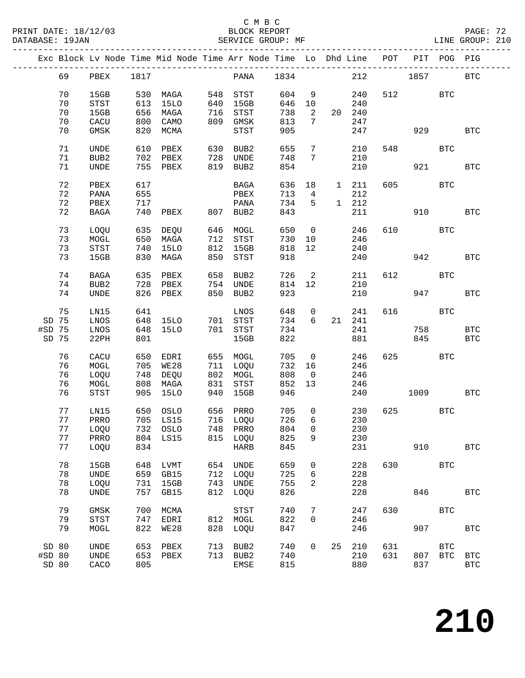|        |    |              |      | Exc Block Lv Node Time Mid Node Time Arr Node Time Lo Dhd Line POT PIT POG PIG |     |                           |       |                         |    |        |      |           |              |              |
|--------|----|--------------|------|--------------------------------------------------------------------------------|-----|---------------------------|-------|-------------------------|----|--------|------|-----------|--------------|--------------|
|        | 69 | PBEX         | 1817 |                                                                                |     | PANA                      | 1834  |                         |    | 212    | 1857 |           |              | <b>BTC</b>   |
|        | 70 | 15GB         |      | 530 MAGA                                                                       |     | 548 STST                  | 604   | - 9                     |    | 240    |      | 512       | $_{\rm BTC}$ |              |
|        | 70 | STST         | 613  | 15LO                                                                           | 640 | 15GB                      | 646   | 10                      |    | 240    |      |           |              |              |
|        | 70 | 15GB         | 656  | MAGA                                                                           |     | שטכב<br>716 STST<br>אוטרב | 738   | $\overline{\mathbf{2}}$ |    | 20 240 |      |           |              |              |
|        | 70 | ${\rm CACU}$ | 800  | CAMO                                                                           |     | 809 GMSK                  | 813   | $7\phantom{.0}$         |    | 247    |      |           |              |              |
|        | 70 | GMSK         | 820  | MCMA                                                                           |     | STST                      | 905   |                         |    | 247    |      | 929       |              | <b>BTC</b>   |
|        | 71 | UNDE         | 610  | PBEX                                                                           |     | BUB2                      | 655   | $7\phantom{.0}$         |    | 210    | 548  |           | <b>BTC</b>   |              |
|        | 71 | BUB2         |      | 702 PBEX                                                                       |     | UNDE                      | 748   | 7                       |    | 210    |      |           |              |              |
|        | 71 | <b>UNDE</b>  |      | 755 PBEX                                                                       | 819 | BUB2                      | 854   |                         |    | 210    |      |           | 921 000      | <b>BTC</b>   |
|        | 72 | PBEX         | 617  |                                                                                |     | BAGA                      | 636   | 18                      |    | 1 211  |      | 605 — 100 | <b>BTC</b>   |              |
|        | 72 | PANA         | 655  |                                                                                |     | PBEX                      | 713   | $\overline{4}$          |    | 212    |      |           |              |              |
|        | 72 | PBEX         | 717  |                                                                                |     | PANA                      | 734   | 5                       |    | 1 212  |      |           |              |              |
|        | 72 | BAGA         | 740  | ${\tt PBEX}$                                                                   |     | 807 BUB2                  | 843   |                         |    | 211    |      | 910       |              | <b>BTC</b>   |
|        | 73 | LOQU         |      | 635 DEQU                                                                       | 646 | MOGL                      | 650   | $\overline{0}$          |    | 246    |      | 610 000   | BTC          |              |
|        | 73 | MOGL         | 650  | MAGA                                                                           |     | 712 STST                  | 730   | 10                      |    | 246    |      |           |              |              |
|        | 73 | <b>STST</b>  | 740  | 15LO                                                                           |     | 812 15GB                  | 818   | 12                      |    | 240    |      |           |              |              |
|        | 73 | 15GB         | 830  | MAGA                                                                           | 850 | STST                      | 918   |                         |    | 240    |      | 942       |              | <b>BTC</b>   |
|        | 74 | BAGA         | 635  | PBEX                                                                           | 658 | BUB2                      | 726   | $\overline{2}$          |    | 211    | 612  |           | <b>BTC</b>   |              |
|        | 74 | BUB2         | 728  | PBEX                                                                           |     | 754 UNDE                  | 814   | 12                      |    | 210    |      |           |              |              |
|        | 74 | UNDE         |      | 826 PBEX                                                                       | 850 | BUB2                      | 923   |                         |    | 210    |      | 947       |              | <b>BTC</b>   |
|        | 75 | LN15         | 641  |                                                                                |     | LNOS                      | 648   | $\overline{0}$          |    | 241    | 616  |           | <b>BTC</b>   |              |
| SD 75  |    | LNOS         |      | 648 15LO 701 STST                                                              |     |                           | 734   | 6                       |    | 21 241 |      |           |              |              |
| #SD 75 |    | LNOS         | 648  | 15LO                                                                           |     | 701 STST                  | 734   |                         |    | 241    |      | 758       |              | $_{\rm BTC}$ |
| SD 75  |    | 22PH         | 801  |                                                                                |     | 15GB                      | 822   |                         |    | 881    |      | 845       |              | <b>BTC</b>   |
|        | 76 | CACU         | 650  | EDRI                                                                           |     | 655 MOGL                  | 705   | $\overline{\mathbf{0}}$ |    | 246    |      | 625 62    | <b>BTC</b>   |              |
|        | 76 | MOGL         |      | 705 WE28                                                                       |     | 711 LOQU                  | 732   | 16                      |    | 246    |      |           |              |              |
|        | 76 | LOQU         | 748  | DEQU                                                                           |     | 802 MOGL                  | 808   | $\overline{0}$          |    | 246    |      |           |              |              |
|        | 76 | MOGL         |      | 808 MAGA                                                                       |     | 831 STST                  | 852   | 13                      |    | 246    |      |           |              |              |
|        | 76 | STST         |      | 905 15LO                                                                       | 940 | 15GB                      | 946   |                         |    | 240    |      | 1009      |              | <b>BTC</b>   |
|        | 77 | LN15         |      | 650 OSLO                                                                       |     | 656 PRRO                  | 705   | $\overline{0}$          |    | 230    |      | 625 000   | <b>BTC</b>   |              |
|        | 77 | PRRO         |      | 705 LS15                                                                       |     | 716 LOQU                  | 726   | 6                       |    | 230    |      |           |              |              |
|        |    | 77 LOQU      |      | 732 OSLO                                                                       |     | 748 PRRO                  | 804 0 |                         |    | 230    |      |           |              |              |
|        | 77 | PRRO         | 804  | LS15                                                                           |     | 815 LOQU                  | 825   | 9                       |    | 230    |      |           |              |              |
|        | 77 | LOQU         | 834  |                                                                                |     | HARB                      | 845   |                         |    | 231    |      | 910       |              | $_{\rm BTC}$ |
|        | 78 | 15GB         | 648  | LVMT                                                                           | 654 | UNDE                      | 659   | 0                       |    | 228    | 630  |           | <b>BTC</b>   |              |
|        | 78 | UNDE         | 659  | GB15                                                                           | 712 | LOQU                      | 725   | 6                       |    | 228    |      |           |              |              |
|        | 78 | LOQU         | 731  | 15GB                                                                           |     | 743 UNDE                  | 755   | 2                       |    | 228    |      |           |              |              |
|        | 78 | UNDE         | 757  | GB15                                                                           | 812 | LOQU                      | 826   |                         |    | 228    |      | 846       |              | $_{\rm BTC}$ |
|        | 79 | GMSK         | 700  | MCMA                                                                           |     | STST                      | 740   | 7                       |    | 247    | 630  |           | <b>BTC</b>   |              |
|        | 79 | STST         | 747  | EDRI                                                                           | 812 | MOGL                      | 822   | 0                       |    | 246    |      |           |              |              |
|        | 79 | MOGL         | 822  | <b>WE28</b>                                                                    | 828 | LOQU                      | 847   |                         |    | 246    |      | 907       |              | <b>BTC</b>   |
| SD 80  |    | UNDE         | 653  | PBEX                                                                           | 713 | BUB2                      | 740   | $\overline{0}$          | 25 | 210    | 631  |           | <b>BTC</b>   |              |
| #SD 80 |    | UNDE         | 653  | PBEX                                                                           |     | 713 BUB2                  | 740   |                         |    | 210    | 631  | 807       | $_{\rm BTC}$ | <b>BTC</b>   |
| SD 80  |    | CACO         | 805  |                                                                                |     | EMSE                      | 815   |                         |    | 880    |      | 837       |              | <b>BTC</b>   |
|        |    |              |      |                                                                                |     |                           |       |                         |    |        |      |           |              |              |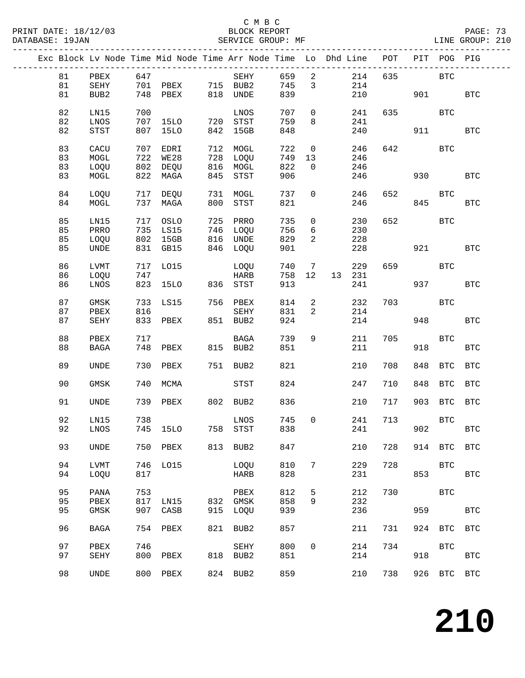PRINT DATE: 18/12/03 BLOCK REPORT BATABASE: 19JAN BLOCK REPORT

### C M B C<br>BLOCK REPORT

PAGE: 73<br>LINE GROUP: 210

|    |             |     |                   |     | Exc Block Lv Node Time Mid Node Time Arr Node Time Lo Dhd Line |     |                              |        | POT        |     | PIT POG PIG  |                      |
|----|-------------|-----|-------------------|-----|----------------------------------------------------------------|-----|------------------------------|--------|------------|-----|--------------|----------------------|
| 81 | PBEX        | 647 |                   |     | SEHY                                                           | 659 | $\overline{\phantom{a}}$     |        | 214<br>635 |     | BTC          |                      |
| 81 | SEHY        |     | 701 PBEX 715 BUB2 |     |                                                                | 745 | $\mathbf{3}$                 |        | 214        |     |              |                      |
|    |             |     |                   |     |                                                                |     |                              |        |            |     |              |                      |
| 81 | BUB2        |     | 748 PBEX          |     | 818 UNDE                                                       | 839 |                              |        | 210        |     | 901 70       | $_{\rm BTC}$         |
|    |             |     |                   |     |                                                                |     |                              |        |            |     |              |                      |
| 82 | LN15        | 700 |                   |     | LNOS                                                           | 707 | $\overline{0}$               |        | 635<br>241 |     | BTC          |                      |
| 82 | LNOS        |     | 707 15LO          |     | 720 STST                                                       | 759 | 8                            |        | 241        |     |              |                      |
| 82 | STST        | 807 | 15LO              |     | 842 15GB                                                       | 848 |                              |        | 240        | 911 |              | <b>BTC</b>           |
|    |             |     |                   |     |                                                                |     |                              |        |            |     |              |                      |
| 83 | CACU        |     | 707 EDRI          |     | 712 MOGL                                                       | 722 | $\overline{\phantom{0}}$     |        | 246<br>642 |     | BTC          |                      |
| 83 | MOGL        |     | 722 WE28          | 728 | LOQU                                                           | 749 | 13                           |        | 246        |     |              |                      |
| 83 | LOQU        |     | 802 DEQU          |     | 816 MOGL                                                       | 822 | $\overline{0}$               |        | 246        |     |              |                      |
|    |             |     |                   |     |                                                                |     |                              |        |            |     |              |                      |
| 83 | MOGL        |     | 822 MAGA          | 845 | STST                                                           | 906 |                              |        | 246        | 930 |              | <b>BTC</b>           |
|    |             |     |                   |     |                                                                |     |                              |        |            |     |              |                      |
| 84 | LOQU        |     | 717 DEQU          | 731 | MOGL                                                           | 737 | $\overline{0}$               |        | 652<br>246 |     | <b>BTC</b>   |                      |
| 84 | MOGL        |     | 737 MAGA          | 800 | STST                                                           | 821 |                              |        | 246        | 845 |              | <b>BTC</b>           |
|    |             |     |                   |     |                                                                |     |                              |        |            |     |              |                      |
| 85 | LN15        |     | 717 OSLO          | 725 | PRRO                                                           | 735 | $\overline{0}$               |        | 652<br>230 |     | BTC          |                      |
| 85 | PRRO        |     | 735 LS15          |     | 746 LOQU                                                       | 756 | 6                            |        | 230        |     |              |                      |
| 85 | LOQU        |     | 802 15GB          |     | 816 UNDE                                                       | 829 | $\overline{2}$               |        | 228        |     |              |                      |
| 85 | <b>UNDE</b> |     | 831 GB15          | 846 | LOQU                                                           | 901 |                              |        | 228        | 921 |              | <b>BTC</b>           |
|    |             |     |                   |     |                                                                |     |                              |        |            |     |              |                      |
|    |             |     |                   |     |                                                                |     |                              |        |            |     |              |                      |
| 86 | LVMT        |     | 717 LO15          |     | LOQU                                                           | 740 | $7\phantom{.0}\phantom{.0}7$ |        | 229<br>659 |     | BTC          |                      |
| 86 | LOQU        | 747 |                   |     | HARB                                                           | 758 | 12                           | 13 231 |            |     |              |                      |
| 86 | LNOS        |     | 823 15LO          | 836 | STST                                                           | 913 |                              |        | 241        | 937 |              | <b>BTC</b>           |
|    |             |     |                   |     |                                                                |     |                              |        |            |     |              |                      |
| 87 | GMSK        | 733 | LS15              |     | 756 PBEX                                                       | 814 | $\overline{a}$               |        | 232<br>703 |     | BTC          |                      |
| 87 | PBEX        | 816 |                   |     | SEHY                                                           | 831 | 2                            |        | 214        |     |              |                      |
| 87 | <b>SEHY</b> |     | 833 PBEX          |     | 851 BUB2                                                       | 924 |                              |        | 214        | 948 |              | <b>BTC</b>           |
|    |             |     |                   |     |                                                                |     |                              |        |            |     |              |                      |
| 88 |             | 717 |                   |     | BAGA                                                           | 739 | 9                            |        | 705        |     | <b>BTC</b>   |                      |
|    | PBEX        |     |                   |     |                                                                |     |                              |        | 211        |     |              |                      |
| 88 | BAGA        | 748 | PBEX              |     | 815 BUB2                                                       | 851 |                              |        | 211        | 918 |              | $_{\rm BTC}$         |
|    |             |     |                   |     |                                                                |     |                              |        |            |     |              |                      |
| 89 | <b>UNDE</b> | 730 | PBEX              |     | 751 BUB2                                                       | 821 |                              |        | 210<br>708 |     | 848 BTC      | <b>BTC</b>           |
|    |             |     |                   |     |                                                                |     |                              |        |            |     |              |                      |
| 90 | <b>GMSK</b> | 740 | MCMA              |     | STST                                                           | 824 |                              |        | 247<br>710 | 848 | BTC          | <b>BTC</b>           |
|    |             |     |                   |     |                                                                |     |                              |        |            |     |              |                      |
| 91 | <b>UNDE</b> |     | 739 PBEX          |     | 802 BUB2                                                       | 836 |                              |        | 210<br>717 |     | 903 BTC BTC  |                      |
|    |             |     |                   |     |                                                                |     |                              |        |            |     |              |                      |
| 92 | LN15        | 738 |                   |     | LNOS                                                           | 745 | $\overline{0}$               |        | 713<br>241 |     | $_{\rm BTC}$ |                      |
|    |             |     |                   |     |                                                                |     |                              |        |            |     |              |                      |
| 92 | LNOS        |     | 745 15LO          |     | 758 STST                                                       |     | 838 8                        |        | 241        |     | 902          | $\operatorname{BTC}$ |
|    |             |     |                   |     |                                                                |     |                              |        |            |     |              |                      |
| 93 | UNDE        |     | 750 PBEX          |     | 813 BUB2                                                       | 847 |                              |        | 728<br>210 |     | 914 BTC      | <b>BTC</b>           |
|    |             |     |                   |     |                                                                |     |                              |        |            |     |              |                      |
| 94 | <b>LVMT</b> | 746 | L015              |     | LOQU                                                           | 810 | 7                            |        | 229<br>728 |     | <b>BTC</b>   |                      |
| 94 | LOQU        | 817 |                   |     | HARB                                                           | 828 |                              |        | 231        | 853 |              | $_{\rm BTC}$         |
|    |             |     |                   |     |                                                                |     |                              |        |            |     |              |                      |
| 95 | PANA        | 753 |                   |     | PBEX                                                           | 812 | 5                            |        | 212<br>730 |     | BTC          |                      |
| 95 | PBEX        | 817 | LN15              | 832 | GMSK                                                           | 858 | 9                            |        | 232        |     |              |                      |
| 95 |             | 907 |                   | 915 |                                                                | 939 |                              |        | 236        | 959 |              | <b>BTC</b>           |
|    | GMSK        |     | CASB              |     | LOQU                                                           |     |                              |        |            |     |              |                      |
|    |             |     |                   |     |                                                                |     |                              |        |            |     |              |                      |
| 96 | <b>BAGA</b> | 754 | PBEX              | 821 | BUB2                                                           | 857 |                              |        | 211<br>731 |     | 924 BTC      | BTC                  |
|    |             |     |                   |     |                                                                |     |                              |        |            |     |              |                      |
| 97 | PBEX        | 746 |                   |     | SEHY                                                           | 800 | 0                            |        | 214<br>734 |     | <b>BTC</b>   |                      |
| 97 | SEHY        | 800 | PBEX              | 818 | BUB2                                                           | 851 |                              |        | 214        | 918 |              | $_{\rm BTC}$         |
|    |             |     |                   |     |                                                                |     |                              |        |            |     |              |                      |
| 98 | UNDE        |     | 800 PBEX          |     | 824 BUB2                                                       | 859 |                              |        | 210<br>738 |     | 926 BTC BTC  |                      |
|    |             |     |                   |     |                                                                |     |                              |        |            |     |              |                      |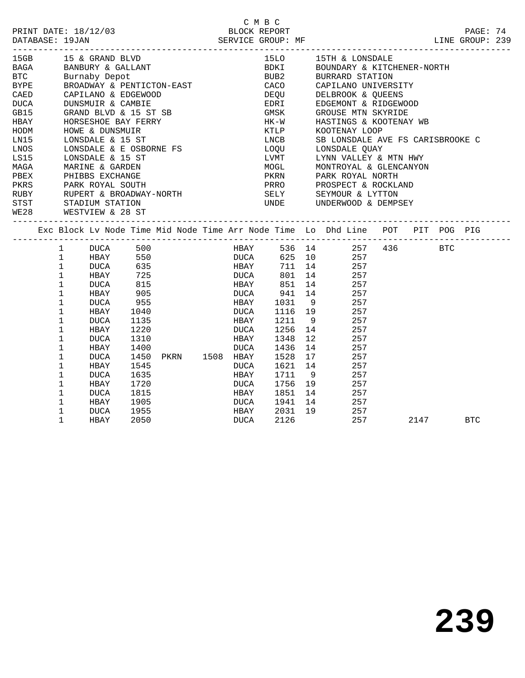|                 |                             |                                                                                                                           |              |                |              | C M B C          |        |                                                                                |      |            |  |
|-----------------|-----------------------------|---------------------------------------------------------------------------------------------------------------------------|--------------|----------------|--------------|------------------|--------|--------------------------------------------------------------------------------|------|------------|--|
|                 |                             | PRINT DATE: 18/12/03                                                                                                      |              |                |              | BLOCK REPORT     |        |                                                                                |      | PAGE: 74   |  |
| DATABASE: 19JAN |                             |                                                                                                                           |              |                |              |                  |        |                                                                                |      |            |  |
| 15GB            |                             | 15 & GRAND BLVD                                                                                                           |              |                |              |                  |        | 15LO 15TH & LONSDALE                                                           |      |            |  |
|                 |                             |                                                                                                                           |              |                |              |                  |        |                                                                                |      |            |  |
|                 |                             |                                                                                                                           |              |                |              |                  |        | BDKI BOUNDARY & KITCHENER-NORTH<br>BUB2 BURRARD STATION                        |      |            |  |
|                 |                             | BAGA      BANBURY & GALLANT<br>BTC      Burnaby Depot<br>BYPE      BROADWAY & PENTICTON-EAST<br>BROADWAY & PENTICTON-EAST |              |                |              |                  |        | CACO CAPILANO UNIVERSITY                                                       |      |            |  |
| CAED            |                             |                                                                                                                           |              |                |              | DEQU             |        | DELBROOK & QUEENS                                                              |      |            |  |
| DUCA            |                             | CAPILANO & EDGEWOOD<br>DUNSMUIR & CAMBIE                                                                                  |              |                |              | EDRI             |        | EDGEMONT & RIDGEWOOD                                                           |      |            |  |
| GB15            |                             | GRAND BLVD & 15 ST SB                                                                                                     |              |                |              | GMSK             |        | GROUSE MTN SKYRIDE                                                             |      |            |  |
| HBAY            |                             | HORSESHOE BAY FERRY                                                                                                       |              |                |              | HK-W             |        | HASTINGS & KOOTENAY WB                                                         |      |            |  |
| HODM            |                             | HOWE & DUNSMUIR                                                                                                           |              |                |              | KTLP             |        | KOOTENAY LOOP                                                                  |      |            |  |
| LN15            |                             | LONSDALE & 15 ST                                                                                                          |              |                |              | LNCB             |        | SB LONSDALE AVE FS CARISBROOKE C                                               |      |            |  |
| LNOS            |                             | LONSDALE & E OSBORNE FS                                                                                                   |              |                |              | LOQU             |        | LONSDALE QUAY                                                                  |      |            |  |
| LS15            |                             | LONSDALE & 15 ST                                                                                                          |              |                |              | LVMT             |        | LYNN VALLEY & MTN HWY                                                          |      |            |  |
| MAGA            |                             | MARINE & GARDEN                                                                                                           |              |                |              |                  |        | MOGL MONTROYAL & GLENCANYON                                                    |      |            |  |
| PBEX            |                             |                                                                                                                           |              |                |              |                  |        |                                                                                |      |            |  |
| PKRS            |                             | PHIBBS EXCHANGE<br>PARK ROYAL SOUTH                                                                                       |              |                |              |                  |        | PKRN PARK ROYAL NORTH<br>PRRO PROSPECT & ROCKLAND                              |      |            |  |
|                 |                             | RUBY RUPERT & BROADWAY-NORTH                                                                                              |              |                |              |                  |        | SELY SEYMOUR & LYTTON                                                          |      |            |  |
| STST            |                             | STADIUM STATION                                                                                                           |              |                |              |                  |        | UNDE UNDERWOOD & DEMPSEY                                                       |      |            |  |
| <b>WE28</b>     |                             | WESTVIEW & 28 ST                                                                                                          |              |                |              |                  |        |                                                                                |      |            |  |
|                 |                             | ----------------------------------                                                                                        |              |                |              |                  |        | Exc Block Lv Node Time Mid Node Time Arr Node Time Lo Dhd Line POT PIT POG PIG |      |            |  |
|                 |                             |                                                                                                                           |              |                |              |                  |        |                                                                                |      |            |  |
|                 |                             | 1 DUCA 500                                                                                                                |              |                | HBAY         |                  |        | 536 14 257 436 BTC                                                             |      |            |  |
|                 | $\mathbf{1}$                | HBAY                                                                                                                      | 550<br>635   |                | <b>DUCA</b>  |                  |        | 625 10 257                                                                     |      |            |  |
|                 | $\mathbf 1$                 | DUCA                                                                                                                      |              |                | HBAY         |                  | 711 14 | 257                                                                            |      |            |  |
|                 | $\mathbf 1$                 | HBAY                                                                                                                      | 725          |                | <b>DUCA</b>  |                  |        | 801 14 257                                                                     |      |            |  |
|                 | $\mathbf{1}$                | DUCA                                                                                                                      | 815<br>905   |                | HBAY         |                  |        | 851 14 257<br>941 14 257                                                       |      |            |  |
|                 | $\mathbf{1}$<br>$\mathbf 1$ | HBAY                                                                                                                      |              |                | DUCA         | 941<br>HBAY 1031 |        | 9 257                                                                          |      |            |  |
|                 | $\mathbf{1}$                | DUCA                                                                                                                      | 955          |                |              |                  |        |                                                                                |      |            |  |
|                 | $\mathbf 1$                 | HBAY                                                                                                                      | 1040         |                | DUCA         |                  | 1211 9 | $1116$ 19 257<br>257                                                           |      |            |  |
|                 | $\mathbf 1$                 | DUCA<br>HBAY                                                                                                              | 1135<br>1220 |                | HBAY<br>DUCA |                  |        | 1256 14 257                                                                    |      |            |  |
|                 | 1                           | DUCA                                                                                                                      | 1310         |                | HBAY         | 1348             | 12     | 257                                                                            |      |            |  |
|                 | $\mathbf{1}$                | HBAY                                                                                                                      | 1400         |                | DUCA         | 1436             |        | 14<br>- 257                                                                    |      |            |  |
|                 | $\mathbf 1$                 | DUCA                                                                                                                      | 1450         | PKRN 1508 HBAY |              | 1528             |        | 17 257                                                                         |      |            |  |
|                 | 1                           | HBAY                                                                                                                      | 1545         |                | DUCA         | 1621             | 14     | 257                                                                            |      |            |  |
|                 | $\mathbf{1}$                | DUCA                                                                                                                      | 1635         |                | HBAY         | 1711             | 9      | 257                                                                            |      |            |  |
|                 | 1                           | HBAY                                                                                                                      | 1720         |                | DUCA         |                  |        | 1756 19 257                                                                    |      |            |  |
|                 | $\mathbf{1}$                | <b>DUCA</b>                                                                                                               | 1815         |                | HBAY         | 1851             |        | 14<br>257                                                                      |      |            |  |
|                 | $\mathbf{1}$                | HBAY                                                                                                                      | 1905         |                | DUCA         | 1941             |        | $\frac{2}{257}$<br>14                                                          |      |            |  |
|                 | 1                           | DUCA                                                                                                                      | 1955         |                | HBAY         | 2031             |        | 19 257                                                                         |      |            |  |
|                 | $\mathbf{1}$                | HBAY                                                                                                                      | 2050         |                | DUCA         | 2126             |        | 257                                                                            | 2147 | <b>BTC</b> |  |
|                 |                             |                                                                                                                           |              |                |              |                  |        |                                                                                |      |            |  |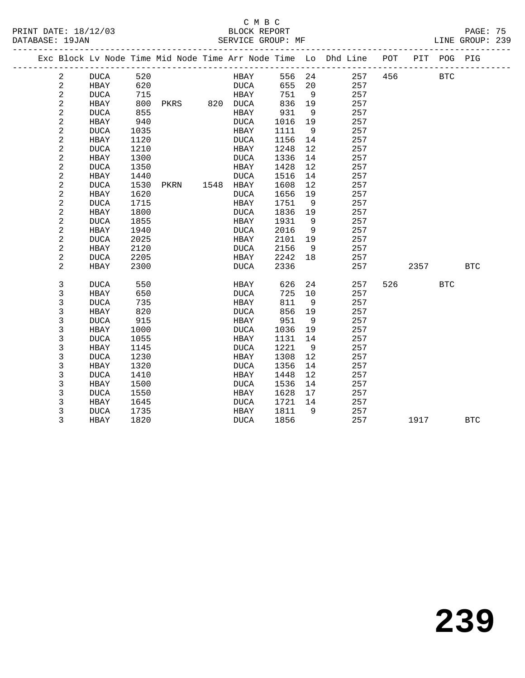#### C M B C<br>BLOCK REPORT PRINT DATE: 18/12/03 BLOCK REPORT PAGE: 75

LINE GROUP: 239

|  |                |             |      |      |      |             |      |    | Exc Block Lv Node Time Mid Node Time Arr Node Time Lo Dhd Line POT |     |      | PIT POG PIG  |            |
|--|----------------|-------------|------|------|------|-------------|------|----|--------------------------------------------------------------------|-----|------|--------------|------------|
|  | $\overline{a}$ | <b>DUCA</b> | 520  |      |      | HBAY        | 556  | 24 | 257                                                                | 456 |      | $_{\rm BTC}$ |            |
|  | 2              | <b>HBAY</b> | 620  |      |      | <b>DUCA</b> | 655  | 20 | 257                                                                |     |      |              |            |
|  | $\sqrt{2}$     | <b>DUCA</b> | 715  |      |      | HBAY        | 751  | 9  | 257                                                                |     |      |              |            |
|  | $\sqrt{2}$     | HBAY        | 800  | PKRS |      | 820 DUCA    | 836  | 19 | 257                                                                |     |      |              |            |
|  | $\sqrt{2}$     | <b>DUCA</b> | 855  |      |      | HBAY        | 931  | 9  | 257                                                                |     |      |              |            |
|  | 2              | HBAY        | 940  |      |      | DUCA        | 1016 | 19 | 257                                                                |     |      |              |            |
|  | $\sqrt{2}$     | <b>DUCA</b> | 1035 |      |      | HBAY        | 1111 | 9  | 257                                                                |     |      |              |            |
|  | $\sqrt{2}$     | HBAY        | 1120 |      |      | <b>DUCA</b> | 1156 | 14 | 257                                                                |     |      |              |            |
|  | $\sqrt{2}$     | <b>DUCA</b> | 1210 |      |      | HBAY        | 1248 | 12 | 257                                                                |     |      |              |            |
|  | $\sqrt{2}$     | HBAY        | 1300 |      |      | <b>DUCA</b> | 1336 | 14 | 257                                                                |     |      |              |            |
|  | 2              | <b>DUCA</b> | 1350 |      |      | HBAY        | 1428 | 12 | 257                                                                |     |      |              |            |
|  | $\sqrt{2}$     | HBAY        | 1440 |      |      | <b>DUCA</b> | 1516 | 14 | 257                                                                |     |      |              |            |
|  | 2              | <b>DUCA</b> | 1530 | PKRN | 1548 | HBAY        | 1608 | 12 | 257                                                                |     |      |              |            |
|  | $\sqrt{2}$     | HBAY        | 1620 |      |      | <b>DUCA</b> | 1656 | 19 | 257                                                                |     |      |              |            |
|  | $\sqrt{2}$     | <b>DUCA</b> | 1715 |      |      | HBAY        | 1751 | 9  | 257                                                                |     |      |              |            |
|  | $\sqrt{2}$     | <b>HBAY</b> | 1800 |      |      | <b>DUCA</b> | 1836 | 19 | 257                                                                |     |      |              |            |
|  | $\sqrt{2}$     | <b>DUCA</b> | 1855 |      |      | HBAY        | 1931 | 9  | 257                                                                |     |      |              |            |
|  | 2              | HBAY        | 1940 |      |      | <b>DUCA</b> | 2016 | 9  | 257                                                                |     |      |              |            |
|  | $\sqrt{2}$     | <b>DUCA</b> | 2025 |      |      | HBAY        | 2101 | 19 | 257                                                                |     |      |              |            |
|  | $\sqrt{2}$     | HBAY        | 2120 |      |      | <b>DUCA</b> | 2156 | 9  | 257                                                                |     |      |              |            |
|  | $\sqrt{2}$     | <b>DUCA</b> | 2205 |      |      | HBAY        | 2242 | 18 | 257                                                                |     |      |              |            |
|  | 2              | HBAY        | 2300 |      |      | <b>DUCA</b> | 2336 |    | 257                                                                |     | 2357 |              | <b>BTC</b> |
|  | 3              | <b>DUCA</b> | 550  |      |      | HBAY        | 626  | 24 | 257                                                                | 526 |      | <b>BTC</b>   |            |
|  | 3              | <b>HBAY</b> | 650  |      |      | <b>DUCA</b> | 725  | 10 | 257                                                                |     |      |              |            |
|  | 3              | <b>DUCA</b> | 735  |      |      | HBAY        | 811  | 9  | 257                                                                |     |      |              |            |
|  | 3              | HBAY        | 820  |      |      | <b>DUCA</b> | 856  | 19 | 257                                                                |     |      |              |            |
|  | 3              | <b>DUCA</b> | 915  |      |      | HBAY        | 951  | 9  | 257                                                                |     |      |              |            |
|  | 3              | HBAY        | 1000 |      |      | <b>DUCA</b> | 1036 | 19 | 257                                                                |     |      |              |            |
|  | $\mathsf 3$    | <b>DUCA</b> | 1055 |      |      | HBAY        | 1131 | 14 | 257                                                                |     |      |              |            |
|  | 3              | HBAY        | 1145 |      |      | <b>DUCA</b> | 1221 | 9  | 257                                                                |     |      |              |            |
|  | 3              | <b>DUCA</b> | 1230 |      |      | HBAY        | 1308 | 12 | 257                                                                |     |      |              |            |
|  | 3              | <b>HBAY</b> | 1320 |      |      | <b>DUCA</b> | 1356 | 14 | 257                                                                |     |      |              |            |
|  | 3              | <b>DUCA</b> | 1410 |      |      | HBAY        | 1448 | 12 | 257                                                                |     |      |              |            |
|  | 3              | HBAY        | 1500 |      |      | <b>DUCA</b> | 1536 | 14 | 257                                                                |     |      |              |            |
|  | 3              | <b>DUCA</b> | 1550 |      |      | HBAY        | 1628 | 17 | 257                                                                |     |      |              |            |
|  | 3              | HBAY        | 1645 |      |      | <b>DUCA</b> | 1721 | 14 | 257                                                                |     |      |              |            |
|  | $\mathsf 3$    | <b>DUCA</b> | 1735 |      |      | HBAY        | 1811 | 9  | 257                                                                |     |      |              |            |
|  | 3              | HBAY        | 1820 |      |      | <b>DUCA</b> | 1856 |    | 257                                                                |     | 1917 |              | <b>BTC</b> |
|  |                |             |      |      |      |             |      |    |                                                                    |     |      |              |            |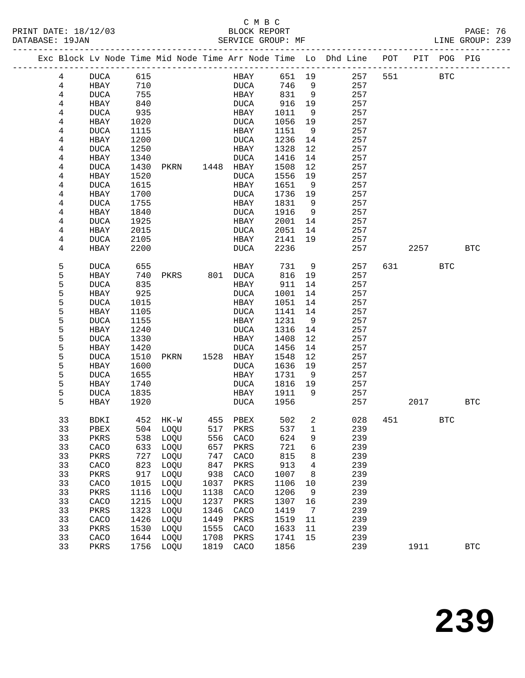#### C M B C<br>BLOCK REPORT PRINT DATE: 18/12/03 BLOCK REPORT PAGE: 76 SERVICE GROUP: MF

|  |          | Exc Block Lv Node Time Mid Node Time Arr Node Time Lo Dhd Line POT<br>_________________________ |              |              |              |                |              |         |            |     |      | PIT POG PIG |              |
|--|----------|-------------------------------------------------------------------------------------------------|--------------|--------------|--------------|----------------|--------------|---------|------------|-----|------|-------------|--------------|
|  | 4        | DUCA                                                                                            | 615          |              |              | HBAY           | 651 19       |         | 257        | 551 |      | <b>BTC</b>  |              |
|  | 4        | HBAY                                                                                            | 710          |              |              | DUCA           | 746          | 9       | 257        |     |      |             |              |
|  | 4        | <b>DUCA</b>                                                                                     | 755          |              |              | HBAY           | 831          | 9       | 257        |     |      |             |              |
|  | 4        | HBAY                                                                                            | 840          |              |              | DUCA           | 916          | 19      | 257        |     |      |             |              |
|  | 4        | <b>DUCA</b>                                                                                     | 935          |              |              | HBAY           | 1011         | 9       | 257        |     |      |             |              |
|  | 4        | HBAY                                                                                            | 1020         |              |              | DUCA           | 1056         | 19      | 257        |     |      |             |              |
|  | 4        | <b>DUCA</b>                                                                                     | 1115         |              |              | HBAY           | 1151         | 9       | 257        |     |      |             |              |
|  | 4        | HBAY                                                                                            | 1200         |              |              | DUCA           | 1236         | 14      | 257        |     |      |             |              |
|  | 4        | <b>DUCA</b>                                                                                     | 1250         |              |              | HBAY           | 1328         | 12      | 257        |     |      |             |              |
|  | 4        | HBAY                                                                                            | 1340         |              |              | DUCA           | 1416         | 14      | 257        |     |      |             |              |
|  | 4        | <b>DUCA</b>                                                                                     | 1430         | PKRN         |              | 1448 HBAY      | 1508         | 12      | 257        |     |      |             |              |
|  | 4        | HBAY                                                                                            | 1520         |              |              | DUCA           | 1556         | 19      | 257        |     |      |             |              |
|  | 4        | <b>DUCA</b>                                                                                     | 1615         |              |              | HBAY           | 1651         | - 9     | 257        |     |      |             |              |
|  | 4        | HBAY                                                                                            | 1700         |              |              | <b>DUCA</b>    | 1736         | 19      | 257        |     |      |             |              |
|  | 4        | <b>DUCA</b>                                                                                     | 1755         |              |              | HBAY           | 1831         | 9       | 257        |     |      |             |              |
|  | 4        | HBAY                                                                                            | 1840         |              |              | DUCA           | 1916         | 9       | 257        |     |      |             |              |
|  | 4        | <b>DUCA</b>                                                                                     | 1925         |              |              | HBAY           | 2001         | 14      | 257        |     |      |             |              |
|  | 4        | HBAY                                                                                            | 2015         |              |              | DUCA           | 2051         | 14      | 257        |     |      |             |              |
|  | 4        | DUCA                                                                                            | 2105         |              |              | HBAY           | 2141         | 19      | 257        |     |      |             |              |
|  | 4        | HBAY                                                                                            | 2200         |              |              | DUCA           | 2236         |         | 257        |     | 2257 |             | <b>BTC</b>   |
|  | 5        | <b>DUCA</b>                                                                                     | 655          |              |              | HBAY           | 731          | 9       | 257        | 631 |      | BTC         |              |
|  | 5        | HBAY                                                                                            | 740          | PKRS         |              | 801 DUCA       | 816          | 19      | 257        |     |      |             |              |
|  | 5        | <b>DUCA</b>                                                                                     | 835          |              |              | HBAY           | 911          | 14      | 257        |     |      |             |              |
|  | 5        | HBAY                                                                                            | 925          |              |              | DUCA           | 1001         | 14      | 257        |     |      |             |              |
|  | 5        | <b>DUCA</b>                                                                                     | 1015         |              |              | HBAY           | 1051         | 14      | 257        |     |      |             |              |
|  | 5        | HBAY                                                                                            | 1105         |              |              | <b>DUCA</b>    | 1141         | 14      | 257        |     |      |             |              |
|  | 5        | <b>DUCA</b>                                                                                     | 1155         |              |              | HBAY           | 1231         | 9       | 257        |     |      |             |              |
|  | 5        | HBAY                                                                                            | 1240         |              |              | DUCA           | 1316         | 14      | 257        |     |      |             |              |
|  | 5        | <b>DUCA</b>                                                                                     | 1330         |              |              | HBAY           | 1408         | 12      | 257        |     |      |             |              |
|  | 5        | HBAY                                                                                            | 1420         |              |              | <b>DUCA</b>    | 1456         | 14      | 257        |     |      |             |              |
|  | 5        | <b>DUCA</b>                                                                                     | 1510         | PKRN         |              | 1528 HBAY      | 1548         | 12      | 257        |     |      |             |              |
|  | 5        | HBAY                                                                                            | 1600         |              |              | DUCA           | 1636         | 19      | 257        |     |      |             |              |
|  | 5        | <b>DUCA</b>                                                                                     | 1655         |              |              | HBAY           | 1731         | - 9     | 257        |     |      |             |              |
|  | 5<br>5   | HBAY                                                                                            | 1740         |              |              | DUCA           | 1816         | 19<br>9 | 257        |     |      |             |              |
|  | 5        | DUCA<br>HBAY                                                                                    | 1835<br>1920 |              |              | HBAY<br>DUCA   | 1911<br>1956 |         | 257<br>257 |     | 2017 |             | <b>BTC</b>   |
|  |          |                                                                                                 |              |              |              |                |              |         |            |     |      |             |              |
|  | 33       | BDKI                                                                                            |              | 452 HK-W     |              | 455 PBEX       | 502          | 2       | 028        | 451 |      | BTC         |              |
|  | 33       | PBEX 504 LOQU                                                                                   |              |              |              | 517 PKRS 537 1 |              |         | 239        |     |      |             |              |
|  | 33       | PKRS                                                                                            | 538          | LOQU         | 556          | CACO           | 624          | 9       | 239        |     |      |             |              |
|  | 33       | CACO                                                                                            | 633          | LOQU         | 657          | PKRS           | 721          | 6       | 239        |     |      |             |              |
|  | 33       | PKRS                                                                                            | 727          | LOQU         | 747          | CACO           | 815          | 8       | 239        |     |      |             |              |
|  | 33       | CACO                                                                                            | 823          | LOQU         | 847          | PKRS           | 913          | 4       | 239        |     |      |             |              |
|  | 33       | PKRS                                                                                            | 917          | LOQU         | 938          | CACO           | 1007         | 8       | 239        |     |      |             |              |
|  | 33       | CACO                                                                                            | 1015         | LOQU         | 1037         | PKRS           | 1106         | 10      | 239        |     |      |             |              |
|  | 33<br>33 | PKRS<br>CACO                                                                                    | 1116<br>1215 | LOQU<br>LOQU | 1138<br>1237 | CACO<br>PKRS   | 1206<br>1307 | 9<br>16 | 239<br>239 |     |      |             |              |
|  | 33       | PKRS                                                                                            | 1323         | LOQU         | 1346         | CACO           | 1419         | 7       | 239        |     |      |             |              |
|  | 33       | CACO                                                                                            | 1426         | LOQU         | 1449         | PKRS           | 1519         | 11      | 239        |     |      |             |              |
|  | 33       | PKRS                                                                                            | 1530         | LOQU         | 1555         | CACO           | 1633         | 11      | 239        |     |      |             |              |
|  | 33       | CACO                                                                                            | 1644         | LOQU         | 1708         | PKRS           | 1741         | 15      | 239        |     |      |             |              |
|  | 33       | PKRS                                                                                            | 1756         | LOQU         | 1819         | CACO           | 1856         |         | 239        |     | 1911 |             | $_{\rm BTC}$ |
|  |          |                                                                                                 |              |              |              |                |              |         |            |     |      |             |              |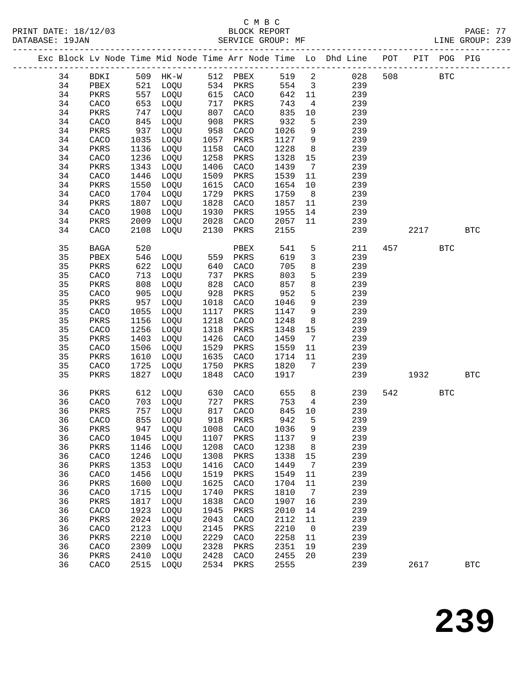|  |          |               |              |                                                             |              |              |              |                         | Exc Block Lv Node Time Mid Node Time Arr Node Time Lo Dhd Line POT |                        | PIT POG PIG |              |
|--|----------|---------------|--------------|-------------------------------------------------------------|--------------|--------------|--------------|-------------------------|--------------------------------------------------------------------|------------------------|-------------|--------------|
|  | 34       | BDKI          |              | 509 HK-W 512 PBEX                                           |              |              |              |                         | 519 2 028                                                          | 508                    | <b>BTC</b>  |              |
|  | 34       | PBEX          |              | 521 LOQU       534   PKRS<br>557   LOOU          615   CACO |              |              | 554          | $\overline{\mathbf{3}}$ | 239                                                                |                        |             |              |
|  | 34       | PKRS          | 557          | LOQU                                                        | 615          | CACO         | 642          | 11                      | 239                                                                |                        |             |              |
|  | 34       | CACO          | 653          | LOQU                                                        | 717          | PKRS         | 743          | $4\overline{4}$         | 239                                                                |                        |             |              |
|  | 34       | PKRS          | 747          | LOQU                                                        | 807          | CACO         | 835          | 10                      | 239                                                                |                        |             |              |
|  | 34       | CACO          | 845          | LOQU                                                        | 908          | PKRS         | 932          | 5                       | 239                                                                |                        |             |              |
|  | 34       | PKRS          | 937          | LOQU                                                        | 958          | CACO         | 1026         | 9                       | 239                                                                |                        |             |              |
|  | 34       | CACO          | 1035         | LOQU                                                        | 1057         | PKRS         | 1127         | 9                       | 239                                                                |                        |             |              |
|  | 34       | PKRS          | 1136         | LOQU                                                        | 1158         | CACO         | 1228         | 8                       | 239                                                                |                        |             |              |
|  | 34       | CACO          | 1236         | LOQU                                                        | 1258         | PKRS         | 1328         | 15                      | 239                                                                |                        |             |              |
|  | 34       | PKRS          | 1343         | LOQU                                                        | 1406         | CACO         | 1439         | $7\overline{ }$         | 239                                                                |                        |             |              |
|  | 34       | CACO          | 1446         | LOQU                                                        | 1509         | PKRS         | 1539         | 11                      | 239                                                                |                        |             |              |
|  | 34       | PKRS          | 1550         | LOQU                                                        | 1615         | CACO         | 1654         | 10                      | 239                                                                |                        |             |              |
|  | 34       | CACO          | 1704         | LOQU                                                        | 1729         | PKRS         | 1759         | 8 <sup>8</sup>          | 239                                                                |                        |             |              |
|  | 34       | PKRS          | 1807         | LOQU                                                        | 1828         | CACO         | 1857         | 11                      | 239                                                                |                        |             |              |
|  | 34       | CACO          | 1908         | LOQU                                                        | 1930         | PKRS         | 1955         | 14                      | 239                                                                |                        |             |              |
|  | 34       | PKRS          | 2009         | LOQU                                                        | 2028         | CACO         | 2057         | 11                      | 239                                                                |                        |             |              |
|  | 34       | CACO          | 2108         | LOQU                                                        | 2130         | PKRS         | 2155         |                         | 239                                                                | 2217                   |             | <b>BTC</b>   |
|  | 35       | $_{\rm BAGA}$ | 520          |                                                             |              | PBEX         | 541          | $5\overline{)}$         | 211                                                                | 457 and $\overline{a}$ | <b>BTC</b>  |              |
|  | 35       | PBEX          | 546          | LOQU 559                                                    |              | PKRS         | 619          | $\mathbf{3}$            | 239                                                                |                        |             |              |
|  | 35       | PKRS          | 622          | LOQU                                                        | 640          | CACO         | 705          | 8                       | 239                                                                |                        |             |              |
|  | 35       | CACO          | 713          | LOQU                                                        | 737          | PKRS         | 803          | $5\phantom{.0}$         | 239                                                                |                        |             |              |
|  | 35       | PKRS          | 808          | LOQU                                                        | 828          | CACO         | 857          | 8                       | 239                                                                |                        |             |              |
|  | 35       | CACO          | 905          | LOQU                                                        | 928          | PKRS         | 952          | 5                       | 239                                                                |                        |             |              |
|  | 35       | PKRS          | 957          | LOQU                                                        | 1018         | CACO         | 1046         | 9                       | 239                                                                |                        |             |              |
|  | 35       | CACO          | 1055         | LOQU                                                        | 1117         | PKRS         | 1147         | 9                       | 239                                                                |                        |             |              |
|  | 35       | PKRS          | 1156         | LOQU                                                        | 1218         | CACO         | 1248         | 8                       | 239                                                                |                        |             |              |
|  | 35       | CACO          | 1256         | LOQU                                                        | 1318         | PKRS         | 1348         | 15                      | 239                                                                |                        |             |              |
|  | 35       | PKRS          | 1403         | LOQU                                                        | 1426         | CACO         | 1459         | $\overline{7}$          | 239                                                                |                        |             |              |
|  | 35       | CACO          | 1506         | LOQU                                                        | 1529         | PKRS         | 1559         | 11                      | 239                                                                |                        |             |              |
|  | 35       | PKRS          | 1610         | LOQU                                                        | 1635         | CACO         | 1714         | 11                      | 239                                                                |                        |             |              |
|  | 35       | CACO          | 1725         | LOQU                                                        | 1750         | PKRS         | 1820         | $\overline{7}$          | 239                                                                |                        |             |              |
|  | 35       | PKRS          | 1827         | LOQU                                                        | 1848         | CACO         | 1917         |                         | 239                                                                | 1932                   |             | <b>BTC</b>   |
|  | 36       | PKRS          | 612          | LOQU                                                        | 630          | CACO         | 655          | 8 <sup>8</sup>          | 239                                                                | 542                    | <b>BTC</b>  |              |
|  | 36       | CACO          | 703          | LOQU                                                        | 727          | PKRS         | 753          | $\overline{4}$          | 239                                                                |                        |             |              |
|  | 36       | PKRS          | 757          | LOQU                                                        | 817          | CACO         | 845          | 10                      | 239                                                                |                        |             |              |
|  | 36       | CACO          | 855          | LOQU                                                        |              | 918 PKRS     | 942          | 5                       | 239                                                                |                        |             |              |
|  | 36       | PKRS          |              | 947 LOQU 1008 CACO 1036 9                                   |              |              |              |                         | 239                                                                |                        |             |              |
|  | 36       | CACO          | 1045         | LOQU                                                        | 1107         | PKRS         | 1137         | 9                       | 239                                                                |                        |             |              |
|  | 36       | PKRS          | 1146         | LOQU                                                        | 1208         | CACO         | 1238         | 8                       | 239                                                                |                        |             |              |
|  | 36       | CACO          | 1246         | LOQU                                                        | 1308         | PKRS         | 1338         | 15                      | 239                                                                |                        |             |              |
|  | 36       | PKRS          | 1353         | LOQU                                                        | 1416         | CACO         | 1449         | 7                       | 239                                                                |                        |             |              |
|  | 36       | CACO          | 1456         | LOQU                                                        | 1519         | PKRS         | 1549         | 11                      | 239                                                                |                        |             |              |
|  | 36       | PKRS          | 1600         | LOQU                                                        | 1625         | CACO         | 1704         | 11                      | 239                                                                |                        |             |              |
|  | 36       | CACO          | 1715         | LOQU                                                        | 1740         | PKRS         | 1810         | 7                       | 239                                                                |                        |             |              |
|  | 36       | PKRS          | 1817         | LOQU                                                        | 1838         | CACO         | 1907         | 16                      | 239                                                                |                        |             |              |
|  | 36       | CACO          | 1923         | LOQU                                                        | 1945         | PKRS         | 2010         | 14                      | 239                                                                |                        |             |              |
|  | 36       | PKRS          | 2024         | LOQU                                                        | 2043         | CACO         | 2112         | 11                      | 239                                                                |                        |             |              |
|  | 36       | CACO          | 2123         | LOQU                                                        | 2145         | PKRS         | 2210         | $\mathsf{O}$            | 239<br>239                                                         |                        |             |              |
|  | 36<br>36 | PKRS          | 2210<br>2309 | LOQU<br>LOQU                                                | 2229<br>2328 | CACO         | 2258<br>2351 | 11<br>19                | 239                                                                |                        |             |              |
|  | 36       | CACO<br>PKRS  | 2410         | LOQU                                                        | 2428         | PKRS<br>CACO | 2455         | 20                      | 239                                                                |                        |             |              |
|  | 36       | CACO          | 2515         | LOQU                                                        | 2534         | PKRS         | 2555         |                         | 239                                                                | 2617                   |             | $_{\rm BTC}$ |
|  |          |               |              |                                                             |              |              |              |                         |                                                                    |                        |             |              |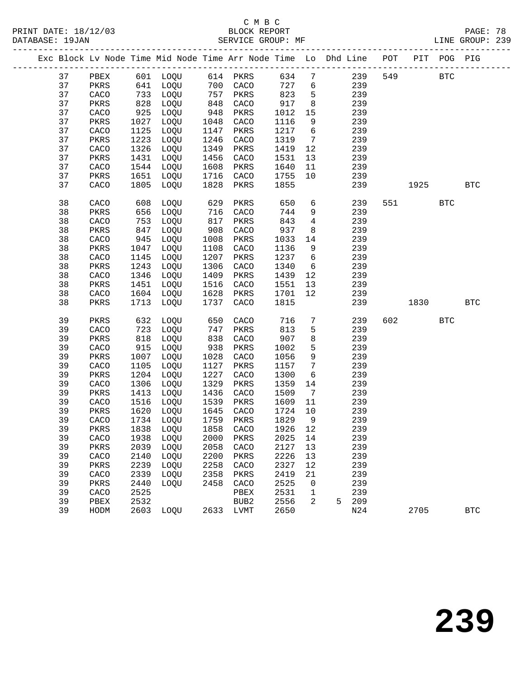|    |              |      | Exc Block Lv Node Time Mid Node Time Arr Node Time Lo Dhd Line POT PIT POG PIG |      |           |      |                              |   |     |     |         |            |              |
|----|--------------|------|--------------------------------------------------------------------------------|------|-----------|------|------------------------------|---|-----|-----|---------|------------|--------------|
| 37 | PBEX         |      | 601 LOQU 614 PKRS                                                              |      |           | 634  | $7\phantom{.0}$              |   | 239 | 549 |         | <b>BTC</b> |              |
| 37 | PKRS         |      | 641 LOQU                                                                       |      | 700 CACO  | 727  | 6                            |   | 239 |     |         |            |              |
| 37 | CACO         | 733  | LOQU                                                                           | 757  | PKRS      | 823  | 5                            |   | 239 |     |         |            |              |
| 37 | PKRS         | 828  | LOQU                                                                           | 848  | CACO      | 917  | 8                            |   | 239 |     |         |            |              |
| 37 | CACO         | 925  | LOQU                                                                           | 948  | PKRS      | 1012 | 15                           |   | 239 |     |         |            |              |
| 37 | PKRS         | 1027 | LOQU                                                                           | 1048 | CACO      | 1116 | 9                            |   | 239 |     |         |            |              |
| 37 | CACO         | 1125 | LOQU                                                                           | 1147 | PKRS      | 1217 | $6\overline{6}$              |   | 239 |     |         |            |              |
| 37 | PKRS         | 1223 | LOQU                                                                           | 1246 | CACO      | 1319 | $7\phantom{.0}\phantom{.0}7$ |   | 239 |     |         |            |              |
| 37 | CACO         | 1326 | LOQU                                                                           | 1349 | PKRS      | 1419 | 12                           |   | 239 |     |         |            |              |
| 37 | PKRS         | 1431 | LOQU                                                                           | 1456 | CACO      | 1531 | 13                           |   | 239 |     |         |            |              |
| 37 | CACO         | 1544 | LOQU                                                                           | 1608 | PKRS      | 1640 | 11                           |   | 239 |     |         |            |              |
| 37 | PKRS         | 1651 | LOQU                                                                           | 1716 | CACO      | 1755 | 10                           |   | 239 |     |         |            |              |
| 37 | CACO         | 1805 | LOQU                                                                           | 1828 | PKRS      | 1855 |                              |   | 239 |     | 1925    |            | <b>BTC</b>   |
| 38 | CACO         | 608  | LOQU                                                                           | 629  | PKRS      | 650  | 6                            |   | 239 |     | 551 72  | <b>BTC</b> |              |
| 38 | PKRS         | 656  | LOQU                                                                           | 716  | CACO      | 744  | 9                            |   | 239 |     |         |            |              |
| 38 | CACO         | 753  | LOQU                                                                           | 817  | PKRS      | 843  | $4\overline{ }$              |   | 239 |     |         |            |              |
| 38 | PKRS         | 847  | LOQU                                                                           | 908  | CACO      | 937  | 8                            |   | 239 |     |         |            |              |
| 38 | CACO         | 945  | LOQU                                                                           | 1008 | PKRS      | 1033 | 14                           |   | 239 |     |         |            |              |
| 38 | PKRS         | 1047 | LOQU                                                                           | 1108 | CACO      | 1136 | 9                            |   | 239 |     |         |            |              |
| 38 | CACO         | 1145 | LOQU                                                                           | 1207 | PKRS      | 1237 | $6\overline{6}$              |   | 239 |     |         |            |              |
| 38 | PKRS         | 1243 | LOQU                                                                           | 1306 | CACO      | 1340 | 6                            |   | 239 |     |         |            |              |
| 38 | CACO         | 1346 | LOQU                                                                           | 1409 | PKRS      | 1439 | 12                           |   | 239 |     |         |            |              |
| 38 | PKRS         | 1451 | LOQU                                                                           | 1516 | CACO      | 1551 | 13                           |   | 239 |     |         |            |              |
| 38 | CACO         | 1604 | LOQU                                                                           | 1628 | PKRS      | 1701 | 12                           |   | 239 |     |         |            |              |
| 38 | PKRS         | 1713 | LOQU                                                                           | 1737 | CACO      | 1815 |                              |   | 239 |     | 1830    |            | $_{\rm BTC}$ |
| 39 | PKRS         | 632  | LOQU                                                                           | 650  | CACO      | 716  | $7\phantom{.0}$              |   | 239 |     | 602 000 | <b>BTC</b> |              |
| 39 | CACO         | 723  | LOQU                                                                           | 747  | PKRS      | 813  | 5                            |   | 239 |     |         |            |              |
| 39 | PKRS         | 818  | LOQU                                                                           | 838  | CACO      | 907  | 8                            |   | 239 |     |         |            |              |
| 39 | CACO         | 915  | LOQU                                                                           | 938  | PKRS      | 1002 | 5                            |   | 239 |     |         |            |              |
| 39 | PKRS         | 1007 | LOQU                                                                           | 1028 | CACO      | 1056 | 9                            |   | 239 |     |         |            |              |
| 39 | CACO         | 1105 | LOQU                                                                           | 1127 | PKRS      | 1157 | $7\phantom{.0}$              |   | 239 |     |         |            |              |
| 39 | PKRS         | 1204 | LOQU                                                                           | 1227 | CACO      | 1300 | 6                            |   | 239 |     |         |            |              |
| 39 | CACO         | 1306 | LOQU                                                                           | 1329 | PKRS      | 1359 | 14                           |   | 239 |     |         |            |              |
| 39 | PKRS         | 1413 | LOQU                                                                           | 1436 | CACO      | 1509 | $\overline{7}$               |   | 239 |     |         |            |              |
| 39 | CACO         | 1516 | LOQU                                                                           | 1539 | PKRS      | 1609 | 11                           |   | 239 |     |         |            |              |
| 39 | PKRS         | 1620 | LOQU                                                                           | 1645 | CACO      | 1724 | 10                           |   | 239 |     |         |            |              |
| 39 | CACO         |      | 1734 LOQU                                                                      |      | 1759 PKRS | 1829 | 9                            |   | 239 |     |         |            |              |
| 39 | PKRS         |      | 1838 LOQU 1858 CACO 1926 12                                                    |      |           |      |                              |   | 239 |     |         |            |              |
| 39 | CACO         | 1938 | LOQU                                                                           | 2000 | PKRS      | 2025 | 14                           |   | 239 |     |         |            |              |
| 39 | PKRS         | 2039 | LOQU                                                                           | 2058 | CACO      | 2127 | 13                           |   | 239 |     |         |            |              |
| 39 | CACO         | 2140 | LOQU                                                                           | 2200 | PKRS      | 2226 | 13                           |   | 239 |     |         |            |              |
| 39 | PKRS         | 2239 | LOQU                                                                           | 2258 | CACO      | 2327 | 12                           |   | 239 |     |         |            |              |
| 39 | CACO         | 2339 | LOQU                                                                           | 2358 | PKRS      | 2419 | 21                           |   | 239 |     |         |            |              |
| 39 | PKRS         | 2440 | LOQU                                                                           | 2458 | CACO      | 2525 | 0                            |   | 239 |     |         |            |              |
| 39 | CACO         | 2525 |                                                                                |      | PBEX      | 2531 | 1                            |   | 239 |     |         |            |              |
| 39 | ${\tt PBEX}$ | 2532 |                                                                                |      | BUB2      | 2556 | 2                            | 5 | 209 |     |         |            |              |
| 39 | HODM         | 2603 | LOQU                                                                           | 2633 | LVMT      | 2650 |                              |   | N24 |     | 2705    |            | $_{\rm BTC}$ |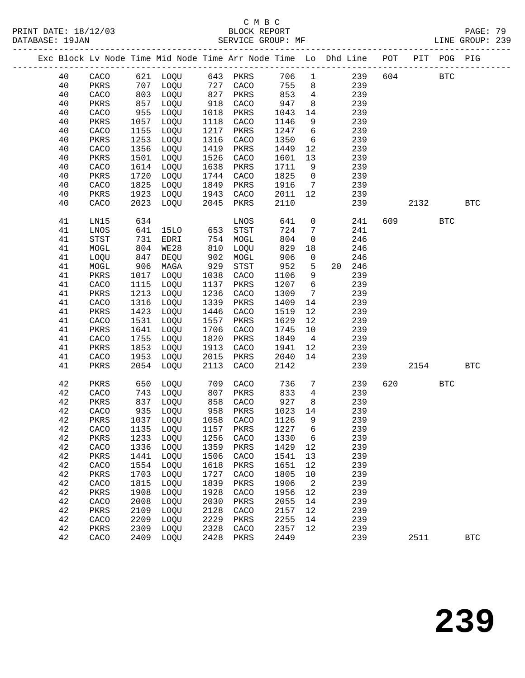PRINT DATE: 18/12/03 BLOCK REPORT BATABASE: 19JAN

# C M B C<br>BLOCK REPORT

PAGE: 79<br>LINE GROUP: 239

|  |          |              |              | Exc Block Lv Node Time Mid Node Time Arr Node Time Lo Dhd Line POT<br>_____________________________ |              |              |              |                 |    | _________________________________ |     |      | PIT POG PIG |            |
|--|----------|--------------|--------------|-----------------------------------------------------------------------------------------------------|--------------|--------------|--------------|-----------------|----|-----------------------------------|-----|------|-------------|------------|
|  | 40       | CACO         |              | 621 LOQU                                                                                            |              | 643 PKRS     | 706          | $\mathbf{1}$    |    | 239                               | 604 |      | <b>BTC</b>  |            |
|  | 40       | PKRS         | 707          | LOQU                                                                                                | 727          | CACO         | 755          | 8               |    | 239                               |     |      |             |            |
|  | 40       | CACO         | 803          | LOQU                                                                                                | 827          | PKRS         | 853          | $\overline{4}$  |    | 239                               |     |      |             |            |
|  | 40       | PKRS         | 857          | LOQU                                                                                                | 918          | CACO         | 947          | 8               |    | 239                               |     |      |             |            |
|  | 40       | CACO         | 955          | LOQU                                                                                                | 1018         | PKRS         | 1043         | 14              |    | 239                               |     |      |             |            |
|  | 40       | PKRS         | 1057         | LOQU                                                                                                | 1118         | CACO         | 1146         | 9               |    | 239                               |     |      |             |            |
|  | 40       | CACO         | 1155         | LOQU                                                                                                | 1217         | PKRS         | 1247         | 6               |    | 239                               |     |      |             |            |
|  | 40       | PKRS         | 1253         | LOQU                                                                                                | 1316         | CACO         | 1350         | 6               |    | 239                               |     |      |             |            |
|  | 40       | CACO         | 1356         | LOQU                                                                                                | 1419         | PKRS         | 1449         | 12              |    | 239                               |     |      |             |            |
|  | 40       | PKRS         | 1501         | LOQU                                                                                                | 1526         | CACO         | 1601         | 13              |    | 239                               |     |      |             |            |
|  | 40       | CACO         | 1614         | LOQU                                                                                                | 1638         | PKRS         | 1711         | 9               |    | 239                               |     |      |             |            |
|  | 40       | PKRS         | 1720         | LOQU                                                                                                | 1744         | CACO         | 1825         | $\mathbf 0$     |    | 239                               |     |      |             |            |
|  | 40       | CACO         | 1825         | LOQU                                                                                                | 1849         | PKRS         | 1916         | 7               |    | 239                               |     |      |             |            |
|  | 40       | PKRS         | 1923         | LOQU                                                                                                | 1943         | CACO         | 2011         | 12              |    | 239                               |     |      |             |            |
|  | 40       | CACO         | 2023         | LOQU                                                                                                | 2045         | PKRS         | 2110         |                 |    | 239                               |     | 2132 |             | <b>BTC</b> |
|  |          |              |              |                                                                                                     |              |              |              |                 |    |                                   |     |      |             |            |
|  | 41       | LN15         | 634          |                                                                                                     |              | LNOS         | 641          | $\mathbf 0$     |    | 241                               | 609 |      | <b>BTC</b>  |            |
|  | 41       | LNOS         | 641          | 15LO                                                                                                | 653          | STST         | 724          | 7               |    | 241                               |     |      |             |            |
|  | 41       | <b>STST</b>  | 731          | EDRI                                                                                                | 754          | MOGL         | 804          | $\mathsf{O}$    |    | 246                               |     |      |             |            |
|  | 41       | MOGL         | 804          | WE28                                                                                                | 810          | LOQU         | 829          | 18              |    | 246                               |     |      |             |            |
|  | 41       | LOQU         | 847          | DEQU                                                                                                | 902          | MOGL         | 906          | $\mathbf 0$     |    | 246                               |     |      |             |            |
|  | 41       | MOGL         | 906          | MAGA                                                                                                | 929          | STST         | 952          | 5               | 20 | 246                               |     |      |             |            |
|  | 41       | PKRS         | 1017         | LOQU                                                                                                | 1038         | CACO         | 1106         | 9               |    | 239                               |     |      |             |            |
|  | 41       | CACO         | 1115         | LOQU                                                                                                | 1137         | PKRS         | 1207         | $6\overline{6}$ |    | 239                               |     |      |             |            |
|  | 41       | PKRS         | 1213         | LOQU                                                                                                | 1236         | CACO         | 1309         | $7\phantom{.0}$ |    | 239                               |     |      |             |            |
|  | 41       | CACO         | 1316         | LOQU                                                                                                | 1339         | PKRS         | 1409         | 14              |    | 239                               |     |      |             |            |
|  | 41       |              | 1423         | LOQU                                                                                                | 1446         |              |              | 12              |    | 239                               |     |      |             |            |
|  | 41       | PKRS<br>CACO | 1531         | LOQU                                                                                                | 1557         | CACO<br>PKRS | 1519<br>1629 | 12              |    | 239                               |     |      |             |            |
|  | 41       | PKRS         | 1641         | LOQU                                                                                                | 1706         | CACO         | 1745         | 10              |    | 239                               |     |      |             |            |
|  | 41       | CACO         | 1755         | LOQU                                                                                                | 1820         | PKRS         | 1849         | $\overline{4}$  |    | 239                               |     |      |             |            |
|  | 41       | PKRS         | 1853         | LOQU                                                                                                | 1913         | CACO         | 1941         | 12              |    | 239                               |     |      |             |            |
|  | 41       | CACO         | 1953         | LOQU                                                                                                | 2015         | PKRS         | 2040         | 14              |    | 239                               |     |      |             |            |
|  | 41       | PKRS         | 2054         | LOQU                                                                                                | 2113         | CACO         | 2142         |                 |    | 239                               |     | 2154 |             | <b>BTC</b> |
|  |          |              |              |                                                                                                     |              |              |              |                 |    |                                   |     |      |             |            |
|  | 42       | PKRS         | 650          | LOQU                                                                                                | 709          | CACO         | 736          | 7               |    | 239                               | 620 |      | <b>BTC</b>  |            |
|  | 42       | CACO         | 743          | LOQU                                                                                                | 807          | PKRS         | 833          | $\overline{4}$  |    | 239                               |     |      |             |            |
|  | 42       | PKRS         | 837          | LOQU                                                                                                | 858          | CACO         | 927          | 8               |    | 239                               |     |      |             |            |
|  | 42       | CACO         | 935          | LOQU                                                                                                | 958          | PKRS         | 1023         | 14              |    | 239                               |     |      |             |            |
|  | 42       | PKRS         | 1037         | LOQU                                                                                                | 1058         | CACO         | 1126         | 9               |    | 239                               |     |      |             |            |
|  | 42       |              | 1135         |                                                                                                     | 1157         |              | 1227         | 6               |    | 239                               |     |      |             |            |
|  | 42       | CACO<br>PKRS | 1233         | LOQU<br>LOQU                                                                                        | 1256         | PKRS<br>CACO | 1330         | 6               |    | 239                               |     |      |             |            |
|  | 42       | CACO         | 1336         | LOQU                                                                                                | 1359         | PKRS         | 1429         | 12              |    | 239                               |     |      |             |            |
|  | 42       | PKRS         | 1441         | LOQU                                                                                                | 1506         | CACO         | 1541         | 13              |    | 239                               |     |      |             |            |
|  | 42       | CACO         | 1554         | LOQU                                                                                                | 1618         | PKRS         | 1651         | 12              |    | 239                               |     |      |             |            |
|  | 42       | PKRS         | 1703         | LOQU                                                                                                | 1727         | CACO         | 1805         | 10              |    | 239                               |     |      |             |            |
|  | 42       | CACO         | 1815         | LOQU                                                                                                | 1839         | PKRS         | 1906         | $\sqrt{2}$      |    | 239                               |     |      |             |            |
|  | 42       |              | 1908         |                                                                                                     | 1928         |              | 1956         | 12              |    | 239                               |     |      |             |            |
|  |          | PKRS         |              | LOQU                                                                                                |              | CACO         |              |                 |    |                                   |     |      |             |            |
|  | 42<br>42 | CACO         | 2008<br>2109 | LOQU                                                                                                | 2030<br>2128 | PKRS         | 2055<br>2157 | 14<br>12        |    | 239<br>239                        |     |      |             |            |
|  |          | PKRS         |              | LOQU                                                                                                |              | CACO         |              |                 |    |                                   |     |      |             |            |
|  | 42       | CACO         | 2209         | LOQU                                                                                                | 2229         | PKRS         | 2255         | 14              |    | 239                               |     |      |             |            |
|  | 42       | PKRS         | 2309         | LOQU                                                                                                | 2328         | CACO         | 2357         | 12              |    | 239                               |     |      |             |            |
|  | 42       | CACO         | 2409         | LOQU                                                                                                | 2428         | PKRS         | 2449         |                 |    | 239                               |     | 2511 |             | <b>BTC</b> |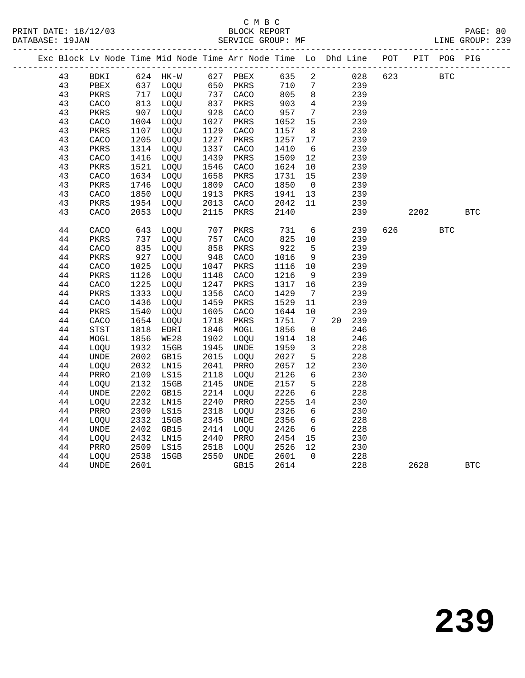|  |        |             |      | Exc Block Lv Node Time Mid Node Time Arr Node Time Lo Dhd Line POT |      |          |      |                              |        |     |     |      | PIT POG PIG |            |
|--|--------|-------------|------|--------------------------------------------------------------------|------|----------|------|------------------------------|--------|-----|-----|------|-------------|------------|
|  | 43     | BDKI        |      | 624 HK-W                                                           |      | 627 PBEX | 635  | $\overline{a}$               |        | 028 | 623 |      | <b>BTC</b>  |            |
|  | 43     | PBEX        | 637  | LOQU                                                               | 650  | PKRS     | 710  | 7                            |        | 239 |     |      |             |            |
|  | 43     | PKRS        |      | 717 LOQU                                                           |      | 737 CACO | 805  | 8                            |        | 239 |     |      |             |            |
|  | 43     | CACO        | 813  | LOQU                                                               | 837  | PKRS     | 903  | $\overline{4}$               |        | 239 |     |      |             |            |
|  | 43     | PKRS        | 907  | LOQU                                                               | 928  | CACO     | 957  | $7\phantom{.0}$              |        | 239 |     |      |             |            |
|  | 43     | CACO        | 1004 | LOQU                                                               | 1027 | PKRS     | 1052 | 15                           |        | 239 |     |      |             |            |
|  | 43     | PKRS        | 1107 | LOQU                                                               | 1129 | CACO     | 1157 | 8 <sup>8</sup>               |        | 239 |     |      |             |            |
|  | 43     | CACO        | 1205 | LOQU                                                               | 1227 | PKRS     | 1257 | 17                           |        | 239 |     |      |             |            |
|  | 43     | PKRS        | 1314 | LOQU                                                               | 1337 | CACO     | 1410 | 6                            |        | 239 |     |      |             |            |
|  | 43     | CACO        | 1416 | LOQU                                                               | 1439 | PKRS     | 1509 | 12                           |        | 239 |     |      |             |            |
|  | 43     | PKRS        | 1521 | LOQU                                                               | 1546 | CACO     | 1624 | 10                           |        | 239 |     |      |             |            |
|  | 43     | CACO        | 1634 | LOQU                                                               | 1658 | PKRS     | 1731 | 15                           |        | 239 |     |      |             |            |
|  | 43     | PKRS        | 1746 | LOQU                                                               | 1809 | CACO     | 1850 | $\overline{0}$               |        | 239 |     |      |             |            |
|  | 43     | CACO        | 1850 | LOQU                                                               | 1913 | PKRS     | 1941 | 13                           |        | 239 |     |      |             |            |
|  | 43     | PKRS        | 1954 | LOQU                                                               | 2013 | CACO     | 2042 | 11                           |        | 239 |     |      |             |            |
|  | 43     | CACO        | 2053 | LOQU                                                               | 2115 | PKRS     | 2140 |                              |        | 239 |     | 2202 |             | <b>BTC</b> |
|  | 44     | CACO        | 643  | LOQU                                                               | 707  | PKRS     | 731  | 6                            |        | 239 | 626 |      | <b>BTC</b>  |            |
|  | 44     | PKRS        | 737  | LOQU                                                               | 757  | CACO     | 825  | 10                           |        | 239 |     |      |             |            |
|  | 44     | CACO        | 835  | LOQU                                                               | 858  | PKRS     | 922  | 5                            |        | 239 |     |      |             |            |
|  | 44     | PKRS        | 927  | LOQU                                                               | 948  | CACO     | 1016 | 9                            |        | 239 |     |      |             |            |
|  | 44     | CACO        | 1025 | LOQU                                                               | 1047 | PKRS     | 1116 | 10                           |        | 239 |     |      |             |            |
|  | 44     | PKRS        | 1126 | LOQU                                                               | 1148 | CACO     | 1216 | 9                            |        | 239 |     |      |             |            |
|  | 44     | CACO        | 1225 | LOQU                                                               | 1247 | PKRS     | 1317 | 16                           |        | 239 |     |      |             |            |
|  | 44     | PKRS        | 1333 | LOQU                                                               | 1356 | CACO     | 1429 | $7\phantom{.0}\phantom{.0}7$ |        | 239 |     |      |             |            |
|  | 44     | CACO        | 1436 | LOQU                                                               | 1459 | PKRS     | 1529 | 11                           |        | 239 |     |      |             |            |
|  | 44     | PKRS        | 1540 | LOOU                                                               | 1605 | CACO     | 1644 | 10                           |        | 239 |     |      |             |            |
|  | 44     | CACO        | 1654 | LOQU                                                               | 1718 | PKRS     | 1751 | $\overline{7}$               | 20 239 |     |     |      |             |            |
|  | 44     | STST        | 1818 | EDRI                                                               | 1846 | MOGL     | 1856 | $\mathsf{O}$                 |        | 246 |     |      |             |            |
|  | 44     | MOGL        | 1856 | WE28                                                               | 1902 | LOQU     | 1914 | 18                           |        | 246 |     |      |             |            |
|  | 44     | LOQU        | 1932 | 15GB                                                               | 1945 | UNDE     | 1959 | $\overline{\mathbf{3}}$      |        | 228 |     |      |             |            |
|  | 44     | UNDE        | 2002 | GB15                                                               | 2015 | LOQU     | 2027 | $5^{\circ}$                  |        | 228 |     |      |             |            |
|  | 44     | LOQU        | 2032 | LN15                                                               | 2041 | PRRO     | 2057 | 12                           |        | 230 |     |      |             |            |
|  | 44     | PRRO        | 2109 | LS15                                                               | 2118 | LOQU     | 2126 | 6                            |        | 230 |     |      |             |            |
|  | 44     | LOQU        | 2132 | 15GB                                                               | 2145 | UNDE     | 2157 | 5                            |        | 228 |     |      |             |            |
|  | 44     | <b>UNDE</b> | 2202 | GB15                                                               | 2214 | LOQU     | 2226 | $6\overline{6}$              |        | 228 |     |      |             |            |
|  | 44     | LOQU        | 2232 | LN15                                                               | 2240 | PRRO     | 2255 | 14                           |        | 230 |     |      |             |            |
|  | 44     | PRRO        | 2309 | LS15                                                               | 2318 | LOQU     | 2326 | 6                            |        | 230 |     |      |             |            |
|  | 44     | LOQU        | 2332 | 15GB                                                               | 2345 | UNDE     | 2356 | 6                            |        | 228 |     |      |             |            |
|  | 44     | <b>UNDE</b> | 2402 | GB15                                                               | 2414 | LOQU     | 2426 | 6                            |        | 228 |     |      |             |            |
|  | 44     | LOQU        | 2432 | LN15                                                               | 2440 | PRRO     | 2454 | 15                           |        | 230 |     |      |             |            |
|  | 44     | PRRO        | 2509 | LS15                                                               | 2518 | LOQU     | 2526 | 12                           |        | 230 |     |      |             |            |
|  | $4\,4$ | LOQU        | 2538 | 15GB                                                               | 2550 | UNDE     | 2601 | $\overline{0}$               |        | 228 |     |      |             |            |
|  | 44     | <b>UNDE</b> | 2601 |                                                                    |      | GB15     | 2614 |                              |        | 228 |     | 2628 |             | <b>BTC</b> |
|  |        |             |      |                                                                    |      |          |      |                              |        |     |     |      |             |            |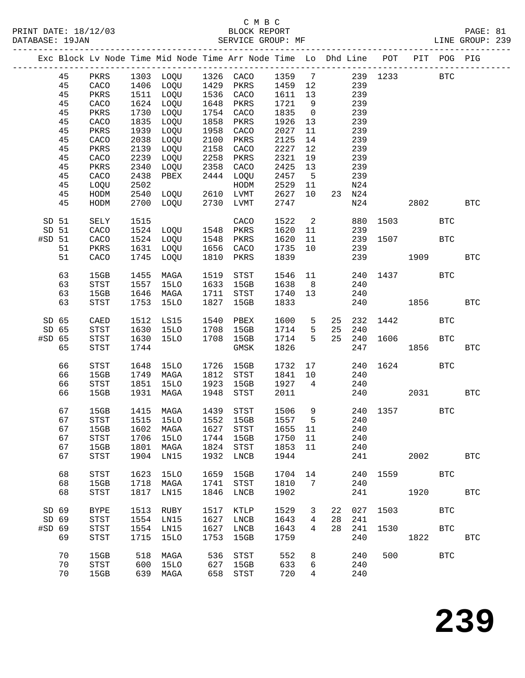## C M B C

| DATABASE: 19JAN |                   |    |             |      | SERVICE GROUP: MF                                                              |      |              |         |                         |                 |        |              |      |            | LINE GROUP: 239 |  |
|-----------------|-------------------|----|-------------|------|--------------------------------------------------------------------------------|------|--------------|---------|-------------------------|-----------------|--------|--------------|------|------------|-----------------|--|
|                 |                   |    |             |      | Exc Block Lv Node Time Mid Node Time Arr Node Time Lo Dhd Line POT PIT POG PIG |      |              |         |                         |                 |        |              |      |            |                 |  |
|                 |                   | 45 |             |      | PKRS 1303 LOQU 1326 CACO 1359 7                                                |      |              |         |                         |                 |        | 239 1233 BTC |      |            |                 |  |
|                 |                   | 45 | CACO        |      | 1406 LOQU 1429 PKRS 1459 12                                                    |      |              |         |                         |                 | 239    |              |      |            |                 |  |
|                 |                   | 45 | PKRS        |      | 1511 LOQU 1536 CACO                                                            |      |              | 1611    | 13                      |                 | 239    |              |      |            |                 |  |
|                 |                   | 45 | CACO        |      | 1624 LOQU                                                                      |      | 1648 PKRS    | 1721    | 9                       |                 | 239    |              |      |            |                 |  |
|                 |                   | 45 | PKRS        | 1730 | LOQU                                                                           |      | 1754 CACO    | 1835    | $\overline{0}$          |                 | 239    |              |      |            |                 |  |
|                 |                   | 45 | CACO        | 1835 | LOQU                                                                           | 1858 | PKRS         | 1926    | 13                      |                 | 239    |              |      |            |                 |  |
|                 |                   | 45 | PKRS        | 1939 | LOQU                                                                           | 1958 | CACO         | 2027    | 11                      |                 | 239    |              |      |            |                 |  |
|                 |                   |    |             |      |                                                                                | 2100 |              |         |                         |                 |        |              |      |            |                 |  |
|                 |                   | 45 | CACO        | 2038 | LOQU                                                                           |      | PKRS         | 2125    | 14                      |                 | 239    |              |      |            |                 |  |
|                 |                   | 45 | PKRS        | 2139 | LOQU                                                                           | 2158 | CACO         | 2227    | 12                      |                 | 239    |              |      |            |                 |  |
|                 |                   | 45 | CACO        | 2239 | LOQU                                                                           | 2258 | PKRS         | 2321    | 19                      |                 | 239    |              |      |            |                 |  |
|                 |                   | 45 | PKRS        | 2340 | LOQU                                                                           | 2358 | CACO         | 2425    | 13                      |                 | 239    |              |      |            |                 |  |
|                 |                   | 45 | CACO        | 2438 | PBEX                                                                           |      | 2444 LOQU    | 2457    | $5^{\circ}$             |                 | 239    |              |      |            |                 |  |
|                 |                   | 45 | LOQU        | 2502 |                                                                                |      | HODM         | 2529    | 11                      |                 | N24    |              |      |            |                 |  |
|                 |                   | 45 | HODM        | 2540 | LOQU                                                                           |      | 2610 LVMT    | 2627    | 10                      |                 | 23 N24 |              |      |            |                 |  |
|                 |                   | 45 | HODM        | 2700 | LOQU                                                                           | 2730 | LVMT         | 2747    |                         |                 | N24    |              |      | 2802       | <b>BTC</b>      |  |
|                 | SD 51             |    | SELY        |      | 1515 CACO<br>1524 LOQU 1548 PKRS                                               |      |              | 1522    | $\overline{\mathbf{c}}$ |                 |        | 880 1503     |      | <b>BTC</b> |                 |  |
|                 | SD 51             |    | CACO        |      |                                                                                |      |              | 1620    | 11                      |                 | 239    |              |      |            |                 |  |
|                 | #SD <sub>51</sub> |    | CACO        |      | 1524 LOQU                                                                      |      | 1548 PKRS    | 1620    | 11                      |                 |        | 239 1507     |      | <b>BTC</b> |                 |  |
|                 |                   | 51 | PKRS        | 1631 | LOQU                                                                           |      | 1656 CACO    | 1735    | 10                      |                 | 239    |              |      |            |                 |  |
|                 |                   | 51 | CACO        | 1745 | LOQU                                                                           | 1810 | PKRS         | 1839    |                         |                 | 239    | 1909         |      |            | <b>BTC</b>      |  |
|                 |                   | 63 | 15GB        | 1455 | MAGA                                                                           | 1519 | STST         | 1546    | 11                      |                 | 240    | 1437         |      | <b>BTC</b> |                 |  |
|                 |                   | 63 | STST        | 1557 | 15LO                                                                           |      | 1633 15GB    | 1638    | 8 <sup>8</sup>          |                 | 240    |              |      |            |                 |  |
|                 |                   | 63 | 15GB        | 1646 | MAGA                                                                           |      | 1711 STST    | 1740    | 13                      |                 | 240    |              |      |            |                 |  |
|                 |                   | 63 | STST        | 1753 | 15LO                                                                           | 1827 | 15GB         | 1833    |                         |                 | 240    | 1856         |      |            | <b>BTC</b>      |  |
|                 | SD 65             |    | CAED        | 1512 | LS15                                                                           | 1540 | PBEX         | 1600    | 5 <sup>5</sup>          | 25              | 232    |              | 1442 | <b>BTC</b> |                 |  |
|                 | SD 65             |    | STST        | 1630 | 15LO                                                                           | 1708 | 15GB         | 1714    | 5 <sup>5</sup>          | 25              | 240    |              |      |            |                 |  |
|                 | #SD 65            |    | STST        | 1630 | 15LO                                                                           | 1708 | 15GB         | 1714    | $5^{\circ}$             | 25              | 240    | 1606         |      | <b>BTC</b> |                 |  |
|                 |                   | 65 | STST        | 1744 |                                                                                |      | GMSK         | 1826    |                         |                 | 247    |              | 1856 |            | <b>BTC</b>      |  |
|                 |                   | 66 | STST        | 1648 | 15LO                                                                           | 1726 | 15GB         | 1732    |                         | $\frac{17}{12}$ |        | 240 1624     |      | BTC        |                 |  |
|                 |                   | 66 | 15GB        | 1749 | MAGA                                                                           |      | 1812 STST    | 1841    | 10                      |                 | 240    |              |      |            |                 |  |
|                 |                   | 66 | STST        | 1851 | 15LO                                                                           | 1923 | 15GB         | 1927    | $\overline{4}$          |                 | 240    |              |      |            |                 |  |
|                 |                   | 66 | 15GB        | 1931 | MAGA                                                                           | 1948 | STST         | 2011    |                         |                 |        | 240 2031     |      |            | <b>BTC</b>      |  |
|                 |                   |    |             |      |                                                                                |      |              |         |                         |                 |        |              |      |            |                 |  |
|                 |                   | 67 | 15GB        |      | 1415 MAGA                                                                      |      | 1439 STST    | 1506 9  |                         |                 |        | 240 1357     |      | <b>BTC</b> |                 |  |
|                 |                   | 67 |             |      | STST 1515 15LO 1552 15GB 1557                                                  |      |              |         |                         | $5^{\circ}$     | 240    |              |      |            |                 |  |
|                 |                   | 67 | 15GB        | 1602 | MAGA                                                                           | 1627 | <b>STST</b>  | 1655 11 |                         |                 | 240    |              |      |            |                 |  |
|                 |                   | 67 | STST        | 1706 | 15LO                                                                           | 1744 | 15GB         | 1750    | 11                      |                 | 240    |              |      |            |                 |  |
|                 |                   | 67 | 15GB        | 1801 | MAGA                                                                           | 1824 | STST         | 1853    | 11                      |                 | 240    |              |      |            |                 |  |
|                 |                   | 67 | <b>STST</b> | 1904 | LN15                                                                           | 1932 | LNCB         | 1944    |                         |                 | 241    |              | 2002 |            | <b>BTC</b>      |  |
|                 |                   | 68 | <b>STST</b> | 1623 | 15LO                                                                           | 1659 | 15GB         | 1704    | 14                      |                 | 240    | 1559         |      | BTC        |                 |  |
|                 |                   | 68 | 15GB        | 1718 | MAGA                                                                           | 1741 | <b>STST</b>  | 1810    | $7\overline{ }$         |                 | 240    |              |      |            |                 |  |
|                 |                   | 68 | STST        | 1817 | LN15                                                                           | 1846 | LNCB         | 1902    |                         |                 | 241    |              |      | 1920       | $_{\rm BTC}$    |  |
|                 |                   |    |             |      |                                                                                |      |              |         |                         |                 |        |              |      |            |                 |  |
|                 | SD 69             |    | <b>BYPE</b> | 1513 | RUBY                                                                           | 1517 | KTLP         | 1529    | 3                       | 22              | 027    | 1503         |      | <b>BTC</b> |                 |  |
|                 | SD 69             |    | <b>STST</b> | 1554 | LN15                                                                           | 1627 | ${\rm LNCB}$ | 1643    | 4                       | 28              | 241    |              |      |            |                 |  |
|                 | #SD 69            |    | STST        | 1554 | LN15                                                                           | 1627 | LNCB         | 1643    | 4                       | 28              | 241    | 1530         |      | <b>BTC</b> |                 |  |
|                 |                   | 69 | <b>STST</b> | 1715 | 15LO                                                                           | 1753 | 15GB         | 1759    |                         |                 | 240    |              |      | 1822       | $_{\rm BTC}$    |  |
|                 |                   | 70 | 15GB        | 518  | MAGA                                                                           | 536  | <b>STST</b>  | 552     | 8                       |                 | 240    | 500          |      | <b>BTC</b> |                 |  |
|                 |                   | 70 | STST        | 600  | 15LO                                                                           | 627  | 15GB         | 633     | 6                       |                 | 240    |              |      |            |                 |  |
|                 |                   | 70 | 15GB        |      | 639 MAGA                                                                       | 658  | STST         | 720     | 4                       |                 | 240    |              |      |            |                 |  |
|                 |                   |    |             |      |                                                                                |      |              |         |                         |                 |        |              |      |            |                 |  |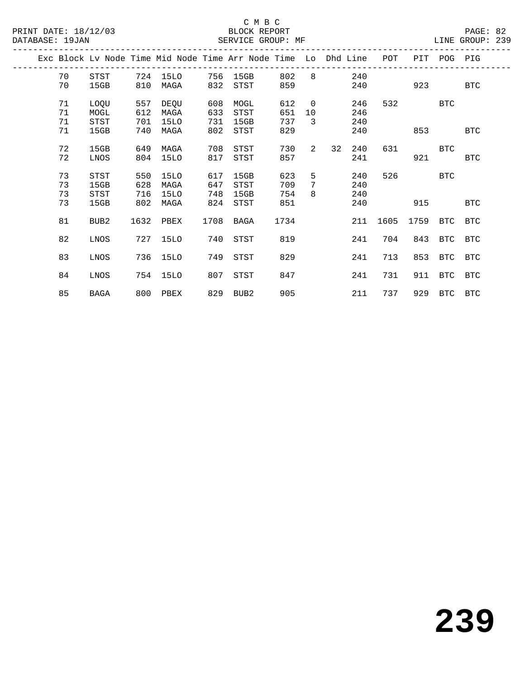|  |    |                  |      |          |      | Exc Block Ly Node Time Mid Node Time Arr Node Time Lo Dhd Line |      |                |    |     | POT  | PIT  | POG PIG     |            |
|--|----|------------------|------|----------|------|----------------------------------------------------------------|------|----------------|----|-----|------|------|-------------|------------|
|  | 70 | STST             | 724  | 15LO     | 756  | 15GB                                                           | 802  | 8              |    | 240 |      |      |             |            |
|  | 70 | 15GB             | 810  | MAGA     | 832  | STST                                                           | 859  |                |    | 240 |      | 923  |             | <b>BTC</b> |
|  | 71 | LOQU             | 557  | DEQU     | 608  | MOGL                                                           | 612  | $\overline{0}$ |    | 246 | 532  |      | BTC         |            |
|  | 71 | MOGL             | 612  | MAGA     | 633  | STST                                                           | 651  | 10             |    | 246 |      |      |             |            |
|  | 71 | STST             | 701  | 15LO     | 731  | 15GB                                                           | 737  | 3              |    | 240 |      |      |             |            |
|  | 71 | 15GB             | 740  | MAGA     | 802  | STST                                                           | 829  |                |    | 240 |      | 853  |             | <b>BTC</b> |
|  |    |                  |      |          |      |                                                                |      |                |    |     |      |      |             |            |
|  | 72 | 15GB             | 649  | MAGA     | 708  | STST                                                           | 730  | $\overline{a}$ | 32 | 240 | 631  |      | <b>BTC</b>  |            |
|  | 72 | LNOS             | 804  | 15LO     | 817  | STST                                                           | 857  |                |    | 241 |      | 921  |             | <b>BTC</b> |
|  | 73 | <b>STST</b>      | 550  | 15LO     | 617  | 15GB                                                           | 623  | 5              |    | 240 | 526  |      | <b>BTC</b>  |            |
|  | 73 | 15GB             | 628  | MAGA     | 647  | STST                                                           | 709  | 7              |    | 240 |      |      |             |            |
|  | 73 | <b>STST</b>      | 716  | 15LO     | 748  | 15GB                                                           | 754  | 8              |    | 240 |      |      |             |            |
|  | 73 | 15GB             | 802  | MAGA     | 824  | STST                                                           | 851  |                |    | 240 |      | 915  |             | <b>BTC</b> |
|  |    |                  |      |          |      |                                                                |      |                |    |     |      |      |             |            |
|  | 81 | BUB <sub>2</sub> | 1632 | PBEX     | 1708 | BAGA                                                           | 1734 |                |    | 211 | 1605 | 1759 | BTC         | <b>BTC</b> |
|  |    |                  |      |          |      |                                                                |      |                |    |     |      |      |             |            |
|  | 82 | LNOS             | 727  | 15LO     | 740  | STST                                                           | 819  |                |    | 241 | 704  | 843  | BTC         | BTC        |
|  |    |                  |      |          |      |                                                                |      |                |    |     |      |      |             |            |
|  | 83 | LNOS             | 736  | 15LO     | 749  | STST                                                           | 829  |                |    | 241 | 713  | 853  | BTC         | <b>BTC</b> |
|  |    |                  |      |          |      |                                                                |      |                |    |     |      |      |             |            |
|  | 84 | LNOS             | 754  | 15LO     | 807  | STST                                                           | 847  |                |    | 241 | 731  | 911  | BTC         | <b>BTC</b> |
|  | 85 | <b>BAGA</b>      |      | 800 PBEX |      | 829 BUB2                                                       | 905  |                |    | 211 | 737  |      | 929 BTC BTC |            |
|  |    |                  |      |          |      |                                                                |      |                |    |     |      |      |             |            |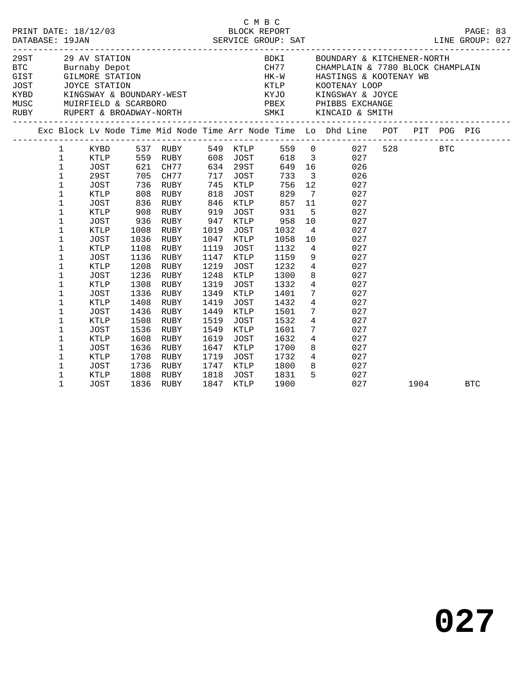|              |             |      |           |      |          |                                  |       |                         | PAGE: 83<br>LINE GROUP: 027                                                                                                                                                                                                                                                                                                                                                                                                                                                |         |            |  |
|--------------|-------------|------|-----------|------|----------|----------------------------------|-------|-------------------------|----------------------------------------------------------------------------------------------------------------------------------------------------------------------------------------------------------------------------------------------------------------------------------------------------------------------------------------------------------------------------------------------------------------------------------------------------------------------------|---------|------------|--|
|              |             |      |           |      |          |                                  |       |                         | $\begin{tabular}{lllllllllllllllllll} \hline \texttt{29 AV STATION} & \texttt{BDKT} & \texttt{BOUNDARY & \& KITCHENER-NORTH} \\ \hline \texttt{BCT} & \texttt{Burnaby Depot} & \texttt{CH77} & \texttt{CHAMPLAIN & \& 7780 \& BLock CHAMPLAIN \\ \texttt{GIST} & \texttt{GILMORE STATION} & \texttt{HK-W} & \texttt{HASTINGS & \& KOOTENAY WB} \\ \texttt{JOST} & \texttt{JOYCE STATION} & \texttt{KTLP} & \texttt{KOOTENAY LOOP} \\ \texttt{KYBD} & \texttt{KINSSWAY & \$ |         |            |  |
|              |             |      |           |      |          |                                  |       |                         |                                                                                                                                                                                                                                                                                                                                                                                                                                                                            |         |            |  |
|              |             |      |           |      |          |                                  |       |                         |                                                                                                                                                                                                                                                                                                                                                                                                                                                                            |         |            |  |
|              |             |      |           |      |          |                                  |       |                         |                                                                                                                                                                                                                                                                                                                                                                                                                                                                            |         |            |  |
|              |             |      |           |      |          |                                  |       |                         |                                                                                                                                                                                                                                                                                                                                                                                                                                                                            |         |            |  |
|              |             |      |           |      |          |                                  |       |                         | Exc Block Lv Node Time Mid Node Time Arr Node Time Lo Dhd Line POT PIT POG PIG                                                                                                                                                                                                                                                                                                                                                                                             |         |            |  |
| $\mathbf{1}$ | KYBD        |      | 537 RUBY  |      |          | 549 KTLP<br>608 JOST<br>634 29ST | 559 0 |                         | 027                                                                                                                                                                                                                                                                                                                                                                                                                                                                        | 528 BTC |            |  |
| $\mathbf{1}$ | KTLP        | 559  | RUBY      |      |          |                                  | 618   | $\overline{\mathbf{3}}$ | 027                                                                                                                                                                                                                                                                                                                                                                                                                                                                        |         |            |  |
| $\mathbf 1$  | JOST        |      | 621 CH77  |      | 634 29ST |                                  | 649   |                         | 16<br>026                                                                                                                                                                                                                                                                                                                                                                                                                                                                  |         |            |  |
| $\mathbf 1$  | 29ST        | 705  | CH77      | 717  | JOST     |                                  | 733   | $\overline{\mathbf{3}}$ | 026                                                                                                                                                                                                                                                                                                                                                                                                                                                                        |         |            |  |
| $\mathbf 1$  | JOST        | 736  | RUBY      | 745  | KTLP     |                                  | 756   | 12                      | 027                                                                                                                                                                                                                                                                                                                                                                                                                                                                        |         |            |  |
| $\mathbf 1$  | KTLP        | 808  | RUBY      | 818  | JOST     |                                  | 829   | $\overline{7}$          | 027                                                                                                                                                                                                                                                                                                                                                                                                                                                                        |         |            |  |
| $\mathbf 1$  | JOST        | 836  | RUBY      | 846  | KTLP     |                                  | 857   | 11                      | 027                                                                                                                                                                                                                                                                                                                                                                                                                                                                        |         |            |  |
| 1            | KTLP        | 908  | RUBY      | 919  | JOST     |                                  | 931   | 5                       | 027                                                                                                                                                                                                                                                                                                                                                                                                                                                                        |         |            |  |
| $\mathbf 1$  | <b>JOST</b> | 936  | RUBY      | 947  | KTLP     |                                  | 958   | 10                      | 027                                                                                                                                                                                                                                                                                                                                                                                                                                                                        |         |            |  |
| $\mathbf 1$  | KTLP        | 1008 | RUBY      | 1019 | JOST     |                                  | 1032  | $\overline{4}$          | 027                                                                                                                                                                                                                                                                                                                                                                                                                                                                        |         |            |  |
| $\mathbf 1$  | JOST        | 1036 | RUBY      | 1047 | KTLP     |                                  | 1058  | 10                      | 027                                                                                                                                                                                                                                                                                                                                                                                                                                                                        |         |            |  |
| 1            | KTLP        | 1108 | RUBY      | 1119 | JOST     |                                  | 1132  | $4\overline{4}$         | 027                                                                                                                                                                                                                                                                                                                                                                                                                                                                        |         |            |  |
| 1            | JOST        | 1136 | RUBY      | 1147 | KTLP     |                                  | 1159  | 9                       | 027                                                                                                                                                                                                                                                                                                                                                                                                                                                                        |         |            |  |
| $\mathbf 1$  | KTLP        | 1208 | RUBY      | 1219 | JOST     |                                  | 1232  | $4\overline{ }$         | 027                                                                                                                                                                                                                                                                                                                                                                                                                                                                        |         |            |  |
| $\mathbf 1$  | <b>JOST</b> | 1236 | RUBY      | 1248 | KTLP     |                                  | 1300  | 8                       | 027                                                                                                                                                                                                                                                                                                                                                                                                                                                                        |         |            |  |
| 1            | KTLP        | 1308 | RUBY      | 1319 | JOST     |                                  | 1332  | $\overline{4}$          | 027                                                                                                                                                                                                                                                                                                                                                                                                                                                                        |         |            |  |
| $\mathbf 1$  | <b>JOST</b> | 1336 | RUBY      | 1349 | KTLP     |                                  | 1401  | 7 <sup>7</sup>          | 027                                                                                                                                                                                                                                                                                                                                                                                                                                                                        |         |            |  |
| 1            | KTLP        | 1408 | RUBY      | 1419 | JOST     |                                  | 1432  | $\overline{4}$          | 027                                                                                                                                                                                                                                                                                                                                                                                                                                                                        |         |            |  |
| $\mathbf 1$  | <b>JOST</b> | 1436 | RUBY      | 1449 | KTLP     |                                  | 1501  | $7\phantom{.0}$         | 027                                                                                                                                                                                                                                                                                                                                                                                                                                                                        |         |            |  |
| 1            | KTLP        | 1508 | RUBY      | 1519 | JOST     |                                  | 1532  | $\overline{4}$          | 027                                                                                                                                                                                                                                                                                                                                                                                                                                                                        |         |            |  |
| $\mathbf 1$  | JOST        | 1536 | RUBY      | 1549 | KTLP     |                                  | 1601  | $7\phantom{.0}$         | 027                                                                                                                                                                                                                                                                                                                                                                                                                                                                        |         |            |  |
| $\mathbf 1$  | KTLP        | 1608 | RUBY      | 1619 | JOST     |                                  | 1632  | $\overline{4}$          | 027                                                                                                                                                                                                                                                                                                                                                                                                                                                                        |         |            |  |
| 1            | <b>JOST</b> | 1636 | RUBY      | 1647 | KTLP     |                                  | 1700  | 8                       | 027                                                                                                                                                                                                                                                                                                                                                                                                                                                                        |         |            |  |
| 1            | KTLP        | 1708 | RUBY      | 1719 | JOST     |                                  | 1732  |                         | $4\overline{ }$<br>027                                                                                                                                                                                                                                                                                                                                                                                                                                                     |         |            |  |
| 1            | JOST        | 1736 | RUBY      | 1747 | KTLP     |                                  | 1800  | 8                       | 027                                                                                                                                                                                                                                                                                                                                                                                                                                                                        |         |            |  |
| 1            | KTLP        | 1808 | RUBY      | 1818 | JOST     |                                  | 1831  | 5                       | 027                                                                                                                                                                                                                                                                                                                                                                                                                                                                        |         |            |  |
| 1            | <b>JOST</b> |      | 1836 RUBY | 1847 | KTLP     |                                  | 1900  |                         | 027                                                                                                                                                                                                                                                                                                                                                                                                                                                                        | 1904    | <b>BTC</b> |  |

C M B C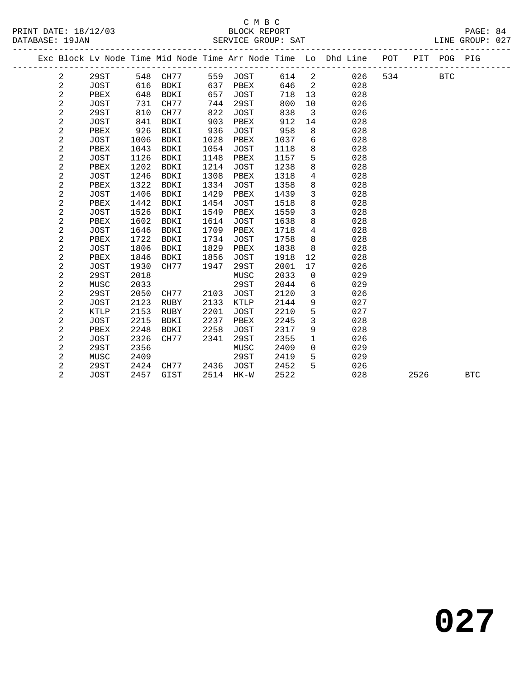|  |                  |             |      |             |      |             |      |                            | Exc Block Lv Node Time Mid Node Time Arr Node Time Lo Dhd Line POT |     | PIT  | POG        | PIG        |
|--|------------------|-------------|------|-------------|------|-------------|------|----------------------------|--------------------------------------------------------------------|-----|------|------------|------------|
|  | $\overline{a}$   | 29ST        | 548  | CH77        |      | 559 JOST    | 614  | $\overline{\phantom{a}}$   | 026                                                                | 534 |      | <b>BTC</b> |            |
|  | $\overline{c}$   | JOST        | 616  | BDKI        | 637  | PBEX        | 646  | $\overline{\phantom{0}}^2$ | 028                                                                |     |      |            |            |
|  | $\overline{c}$   | PBEX        | 648  | BDKI        | 657  | <b>JOST</b> | 718  | 13                         | 028                                                                |     |      |            |            |
|  | $\overline{a}$   | <b>JOST</b> | 731  | CH77        | 744  | 29ST        | 800  | 10                         | 026                                                                |     |      |            |            |
|  | 2                | 29ST        | 810  | CH77        | 822  | <b>JOST</b> | 838  | $\overline{\mathbf{3}}$    | 026                                                                |     |      |            |            |
|  | 2                | <b>JOST</b> | 841  | BDKI        | 903  | PBEX        | 912  | 14                         | 028                                                                |     |      |            |            |
|  | 2                | PBEX        | 926  | BDKI        | 936  | <b>JOST</b> | 958  | 8                          | 028                                                                |     |      |            |            |
|  | 2                | <b>JOST</b> | 1006 | BDKI        | 1028 | PBEX        | 1037 | 6                          | 028                                                                |     |      |            |            |
|  | $\overline{c}$   | PBEX        | 1043 | BDKI        | 1054 | <b>JOST</b> | 1118 | 8                          | 028                                                                |     |      |            |            |
|  | $\overline{c}$   | <b>JOST</b> | 1126 | <b>BDKI</b> | 1148 | PBEX        | 1157 | 5                          | 028                                                                |     |      |            |            |
|  | $\overline{a}$   | PBEX        | 1202 | <b>BDKI</b> | 1214 | <b>JOST</b> | 1238 | 8                          | 028                                                                |     |      |            |            |
|  | $\overline{c}$   | <b>JOST</b> | 1246 | <b>BDKI</b> | 1308 | PBEX        | 1318 | $\overline{4}$             | 028                                                                |     |      |            |            |
|  | $\overline{c}$   | PBEX        | 1322 | <b>BDKI</b> | 1334 | <b>JOST</b> | 1358 | 8                          | 028                                                                |     |      |            |            |
|  | $\overline{c}$   | <b>JOST</b> | 1406 | <b>BDKI</b> | 1429 | PBEX        | 1439 | 3                          | 028                                                                |     |      |            |            |
|  | $\mathbf 2$      | PBEX        | 1442 | <b>BDKI</b> | 1454 | JOST        | 1518 | 8                          | 028                                                                |     |      |            |            |
|  | $\overline{c}$   | <b>JOST</b> | 1526 | <b>BDKI</b> | 1549 | PBEX        | 1559 | 3                          | 028                                                                |     |      |            |            |
|  | $\overline{c}$   | PBEX        | 1602 | <b>BDKI</b> | 1614 | <b>JOST</b> | 1638 | 8                          | 028                                                                |     |      |            |            |
|  | $\overline{c}$   | <b>JOST</b> | 1646 | <b>BDKI</b> | 1709 | PBEX        | 1718 | $\overline{4}$             | 028                                                                |     |      |            |            |
|  | $\overline{a}$   | PBEX        | 1722 | <b>BDKI</b> | 1734 | <b>JOST</b> | 1758 | 8                          | 028                                                                |     |      |            |            |
|  | $\overline{c}$   | <b>JOST</b> | 1806 | <b>BDKI</b> | 1829 | PBEX        | 1838 | 8                          | 028                                                                |     |      |            |            |
|  | $\overline{c}$   | PBEX        | 1846 | <b>BDKI</b> | 1856 | <b>JOST</b> | 1918 | 12                         | 028                                                                |     |      |            |            |
|  | $\boldsymbol{2}$ | <b>JOST</b> | 1930 | CH77        | 1947 | 29ST        | 2001 | 17                         | 026                                                                |     |      |            |            |
|  | $\overline{c}$   | 29ST        | 2018 |             |      | MUSC        | 2033 | $\mathbf 0$                | 029                                                                |     |      |            |            |
|  | 2                | MUSC        | 2033 |             |      | 29ST        | 2044 | 6                          | 029                                                                |     |      |            |            |
|  | $\overline{c}$   | 29ST        | 2050 | CH77        | 2103 | <b>JOST</b> | 2120 | 3                          | 026                                                                |     |      |            |            |
|  | 2                | <b>JOST</b> | 2123 | <b>RUBY</b> | 2133 | KTLP        | 2144 | 9                          | 027                                                                |     |      |            |            |
|  | 2                | KTLP        | 2153 | RUBY        | 2201 | JOST        | 2210 | 5                          | 027                                                                |     |      |            |            |
|  | 2                | <b>JOST</b> | 2215 | BDKI        | 2237 | PBEX        | 2245 | 3                          | 028                                                                |     |      |            |            |
|  | 2                | PBEX        | 2248 | BDKI        | 2258 | JOST        | 2317 | 9                          | 028                                                                |     |      |            |            |
|  | 2                | <b>JOST</b> | 2326 | CH77        | 2341 | 29ST        | 2355 | $\mathbf 1$                | 026                                                                |     |      |            |            |
|  | 2                | 29ST        | 2356 |             |      | MUSC        | 2409 | $\mathbf 0$                | 029                                                                |     |      |            |            |
|  | 2                | MUSC        | 2409 |             |      | 29ST        | 2419 | 5                          | 029                                                                |     |      |            |            |
|  | 2                | 29ST        | 2424 | CH77        | 2436 | JOST        | 2452 | 5                          | 026                                                                |     |      |            |            |
|  | $\overline{2}$   | JOST        | 2457 | GIST        | 2514 | HK-W        | 2522 |                            | 028                                                                |     | 2526 |            | <b>BTC</b> |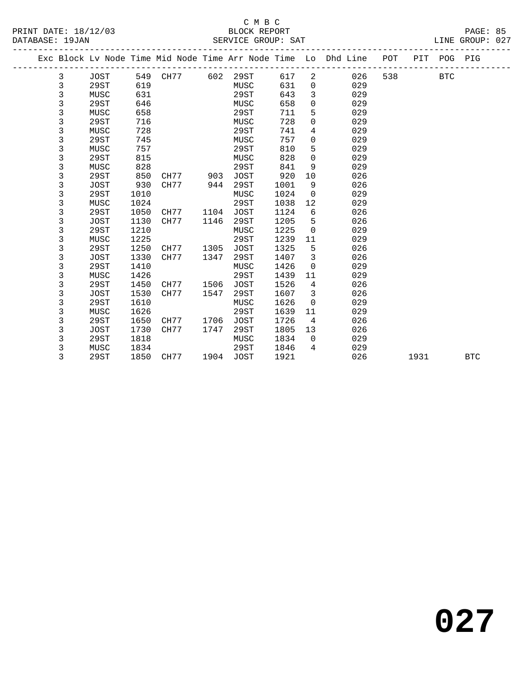### C M B C SERVICE GROUP: SAT

| PRINT DATE: 18/12/03 | BLOCK REPORT       | PAGE: 85        |
|----------------------|--------------------|-----------------|
| DATABASE: 19JAN      | SERVICE GROUP: SAT | LINE GROUP: 027 |

|  |   |             |      |          |      |      |      |                | Exc Block Lv Node Time Mid Node Time Arr Node Time Lo Dhd Line POT |     |      | PIT POG PIG |            |
|--|---|-------------|------|----------|------|------|------|----------------|--------------------------------------------------------------------|-----|------|-------------|------------|
|  | 3 | JOST        |      | 549 CH77 | 602  | 29ST | 617  | $\overline{a}$ | 026                                                                | 538 |      | <b>BTC</b>  |            |
|  | 3 | 29ST        | 619  |          |      | MUSC | 631  | $\mathbf 0$    | 029                                                                |     |      |             |            |
|  | 3 | MUSC        | 631  |          |      | 29ST | 643  | 3              | 029                                                                |     |      |             |            |
|  | 3 | 29ST        | 646  |          |      | MUSC | 658  | 0              | 029                                                                |     |      |             |            |
|  | 3 | MUSC        | 658  |          |      | 29ST | 711  | 5              | 029                                                                |     |      |             |            |
|  | 3 | 29ST        | 716  |          |      | MUSC | 728  | $\mathbf 0$    | 029                                                                |     |      |             |            |
|  | 3 | MUSC        | 728  |          |      | 29ST | 741  | 4              | 029                                                                |     |      |             |            |
|  | 3 | 29ST        | 745  |          |      | MUSC | 757  | $\mathbf 0$    | 029                                                                |     |      |             |            |
|  | 3 | MUSC        | 757  |          |      | 29ST | 810  | 5              | 029                                                                |     |      |             |            |
|  | 3 | 29ST        | 815  |          |      | MUSC | 828  | $\mathbf 0$    | 029                                                                |     |      |             |            |
|  | 3 | MUSC        | 828  |          |      | 29ST | 841  | 9              | 029                                                                |     |      |             |            |
|  | 3 | 29ST        | 850  | CH77     | 903  | JOST | 920  | 10             | 026                                                                |     |      |             |            |
|  | 3 | <b>JOST</b> | 930  | CH77     | 944  | 29ST | 1001 | 9              | 026                                                                |     |      |             |            |
|  | 3 | 29ST        | 1010 |          |      | MUSC | 1024 | $\overline{0}$ | 029                                                                |     |      |             |            |
|  | 3 | MUSC        | 1024 |          |      | 29ST | 1038 | 12             | 029                                                                |     |      |             |            |
|  | 3 | 29ST        | 1050 | CH77     | 1104 | JOST | 1124 | 6              | 026                                                                |     |      |             |            |
|  | 3 | <b>JOST</b> | 1130 | CH77     | 1146 | 29ST | 1205 | 5              | 026                                                                |     |      |             |            |
|  | 3 | 29ST        | 1210 |          |      | MUSC | 1225 | $\overline{0}$ | 029                                                                |     |      |             |            |
|  | 3 | MUSC        | 1225 |          |      | 29ST | 1239 | 11             | 029                                                                |     |      |             |            |
|  | 3 | 29ST        | 1250 | CH77     | 1305 | JOST | 1325 | 5              | 026                                                                |     |      |             |            |
|  | 3 | <b>JOST</b> | 1330 | CH77     | 1347 | 29ST | 1407 | $\overline{3}$ | 026                                                                |     |      |             |            |
|  | 3 | 29ST        | 1410 |          |      | MUSC | 1426 | $\overline{0}$ | 029                                                                |     |      |             |            |
|  | 3 | MUSC        | 1426 |          |      | 29ST | 1439 | 11             | 029                                                                |     |      |             |            |
|  | 3 | 29ST        | 1450 | CH77     | 1506 | JOST | 1526 | 4              | 026                                                                |     |      |             |            |
|  | 3 | <b>JOST</b> | 1530 | CH77     | 1547 | 29ST | 1607 | 3              | 026                                                                |     |      |             |            |
|  | 3 | 29ST        | 1610 |          |      | MUSC | 1626 | $\overline{0}$ | 029                                                                |     |      |             |            |
|  | 3 | MUSC        | 1626 |          |      | 29ST | 1639 | 11             | 029                                                                |     |      |             |            |
|  | 3 | 29ST        | 1650 | CH77     | 1706 | JOST | 1726 | $\overline{4}$ | 026                                                                |     |      |             |            |
|  | 3 | <b>JOST</b> | 1730 | CH77     | 1747 | 29ST | 1805 | 13             | 026                                                                |     |      |             |            |
|  | 3 | 29ST        | 1818 |          |      | MUSC | 1834 | $\overline{0}$ | 029                                                                |     |      |             |            |
|  | 3 | MUSC        | 1834 |          |      | 29ST | 1846 | $\overline{4}$ | 029                                                                |     |      |             |            |
|  | 3 | 29ST        | 1850 | CH77     | 1904 | JOST | 1921 |                | 026                                                                |     | 1931 |             | <b>BTC</b> |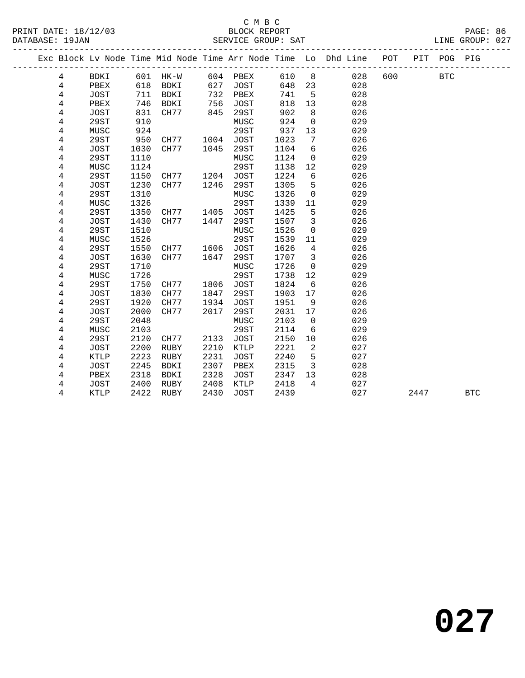#### C M B C<br>BLOCK REPORT PRINT DATE: 18/12/03 BLOCK REPORT PAGE: 86 SERVICE GROUP: SAT

|  |                     |                     |              |              |      |                     |              |                         | Exc Block Lv Node Time Mid Node Time Arr Node Time Lo Dhd Line | POT | PIT  | POG PIG    |            |
|--|---------------------|---------------------|--------------|--------------|------|---------------------|--------------|-------------------------|----------------------------------------------------------------|-----|------|------------|------------|
|  | 4                   | BDKI                |              | 601 HK-W     |      | 604 PBEX            | 610          | 8 <sup>8</sup>          | 028                                                            | 600 |      | <b>BTC</b> |            |
|  | 4                   | PBEX                | 618          | BDKI         | 627  | JOST                | 648          | 23                      | 028                                                            |     |      |            |            |
|  | 4                   | JOST                | 711          | BDKI         | 732  | PBEX                | 741          | 5                       | 028                                                            |     |      |            |            |
|  | 4                   | PBEX                | 746          | BDKI         | 756  | <b>JOST</b>         | 818          | 13                      | 028                                                            |     |      |            |            |
|  | 4                   | JOST                | 831          | CH77         | 845  | 29ST                | 902          | 8                       | 026                                                            |     |      |            |            |
|  | 4                   | <b>29ST</b>         | 910          |              |      | MUSC                | 924          | $\mathsf{O}$            | 029                                                            |     |      |            |            |
|  | 4                   | MUSC                | 924          |              |      | 29ST                | 937          | 13                      | 029                                                            |     |      |            |            |
|  | 4                   | 29ST                | 950          | CH77         | 1004 | JOST                | 1023         | 7                       | 026                                                            |     |      |            |            |
|  | 4                   | JOST                | 1030         | CH77         | 1045 | 29ST                | 1104         | 6                       | 026                                                            |     |      |            |            |
|  | 4                   | 29ST                | 1110         |              |      | MUSC                | 1124         | $\mathbf 0$             | 029                                                            |     |      |            |            |
|  | 4                   | MUSC                | 1124         |              |      | 29ST                | 1138         | 12                      | 029                                                            |     |      |            |            |
|  | 4                   | 29ST                | 1150         | CH77         | 1204 | JOST                | 1224         | 6                       | 026                                                            |     |      |            |            |
|  | 4                   | JOST                | 1230         | CH77         | 1246 | 29ST                | 1305         | 5                       | 026                                                            |     |      |            |            |
|  | 4                   | 29ST                | 1310         |              |      | MUSC                | 1326         | $\mathbf 0$             | 029                                                            |     |      |            |            |
|  | 4                   | MUSC                | 1326         |              |      | 29ST                | 1339         | 11                      | 029                                                            |     |      |            |            |
|  | 4                   | <b>29ST</b>         | 1350         | CH77         | 1405 | <b>JOST</b>         | 1425         | 5                       | 026                                                            |     |      |            |            |
|  | 4                   | <b>JOST</b>         | 1430         | CH77         | 1447 | 29ST                | 1507         | $\overline{3}$          | 026                                                            |     |      |            |            |
|  | $\,4$               | <b>29ST</b>         | 1510         |              |      | MUSC                | 1526         | $\mathbf 0$             | 029                                                            |     |      |            |            |
|  | 4                   | MUSC                | 1526         |              |      | 29ST                | 1539         | 11                      | 029                                                            |     |      |            |            |
|  | 4                   | 29ST                | 1550         | CH77         | 1606 | JOST                | 1626         | $\overline{4}$          | 026                                                            |     |      |            |            |
|  | 4                   | <b>JOST</b>         | 1630         | CH77         | 1647 | 29ST                | 1707         | $\overline{\mathbf{3}}$ | 026                                                            |     |      |            |            |
|  | 4                   | 29ST                | 1710         |              |      | MUSC                | 1726         | $\mathbf 0$             | 029                                                            |     |      |            |            |
|  | 4                   | MUSC                | 1726         |              |      | 29ST                | 1738         | 12                      | 029                                                            |     |      |            |            |
|  | 4                   | 29ST                | 1750         | CH77         | 1806 | JOST                | 1824         | 6                       | 026                                                            |     |      |            |            |
|  | 4                   | JOST                | 1830         | CH77         | 1847 | 29ST                | 1903         | 17                      | 026                                                            |     |      |            |            |
|  | 4                   | 29ST                | 1920         | CH77         | 1934 | JOST                | 1951         | 9                       | 026                                                            |     |      |            |            |
|  | 4                   | JOST                | 2000         | CH77         | 2017 | 29ST                | 2031         | 17                      | 026                                                            |     |      |            |            |
|  | 4                   | 29ST                | 2048         |              |      | MUSC                | 2103         | $\mathbf 0$             | 029                                                            |     |      |            |            |
|  | $\overline{4}$<br>4 | MUSC<br>29ST        | 2103<br>2120 | CH77         | 2133 | 29ST<br><b>JOST</b> | 2114<br>2150 | 6<br>10                 | 029<br>026                                                     |     |      |            |            |
|  | 4                   |                     | 2200         |              | 2210 |                     | 2221         | 2                       | 027                                                            |     |      |            |            |
|  | 4                   | JOST<br><b>KTLP</b> | 2223         | RUBY<br>RUBY | 2231 | KTLP<br><b>JOST</b> | 2240         | 5                       | 027                                                            |     |      |            |            |
|  | 4                   | JOST                | 2245         | BDKI         | 2307 | PBEX                | 2315         | $\overline{3}$          | 028                                                            |     |      |            |            |
|  | 4                   | PBEX                | 2318         | BDKI         | 2328 | JOST                | 2347         | 13                      | 028                                                            |     |      |            |            |
|  | 4                   | JOST                | 2400         | RUBY         | 2408 | KTLP                | 2418         | $\overline{4}$          | 027                                                            |     |      |            |            |
|  | 4                   | KTLP                | 2422         | RUBY         | 2430 | <b>JOST</b>         | 2439         |                         | 027                                                            |     | 2447 |            | <b>BTC</b> |
|  |                     |                     |              |              |      |                     |              |                         |                                                                |     |      |            |            |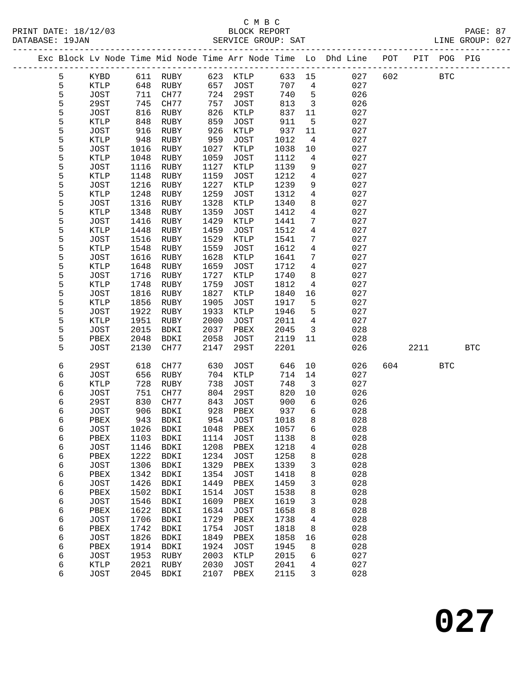|  |   |             |      |             |      |             |        |                 | Exc Block Lv Node Time Mid Node Time Arr Node Time Lo Dhd Line POT |     |      | PIT POG PIG  |            |
|--|---|-------------|------|-------------|------|-------------|--------|-----------------|--------------------------------------------------------------------|-----|------|--------------|------------|
|  | 5 | KYBD        | 611  | RUBY        | 623  | KTLP        | 633    | 15              | 027                                                                | 602 |      | $_{\rm BTC}$ |            |
|  | 5 | KTLP        | 648  | RUBY        | 657  | <b>JOST</b> | 707    | 4               | 027                                                                |     |      |              |            |
|  | 5 | <b>JOST</b> | 711  | CH77        | 724  | 29ST        | 740    | $5\phantom{.0}$ | 026                                                                |     |      |              |            |
|  | 5 | 29ST        | 745  | CH77        | 757  | <b>JOST</b> | 813    | $\mathbf{3}$    | 026                                                                |     |      |              |            |
|  | 5 | <b>JOST</b> | 816  | RUBY        | 826  | KTLP        | 837    | 11              | 027                                                                |     |      |              |            |
|  | 5 | KTLP        | 848  | RUBY        | 859  | <b>JOST</b> | 911    | 5               | 027                                                                |     |      |              |            |
|  | 5 | <b>JOST</b> | 916  | RUBY        | 926  | KTLP        | 937    | 11              | 027                                                                |     |      |              |            |
|  | 5 | KTLP        | 948  | RUBY        | 959  | <b>JOST</b> | 1012   | 4               | 027                                                                |     |      |              |            |
|  | 5 | <b>JOST</b> | 1016 | RUBY        | 1027 | KTLP        | 1038   | $10\,$          | 027                                                                |     |      |              |            |
|  | 5 | KTLP        | 1048 | RUBY        | 1059 | <b>JOST</b> | 1112   | 4               | 027                                                                |     |      |              |            |
|  | 5 | <b>JOST</b> | 1116 | RUBY        | 1127 | KTLP        | 1139   | 9               | 027                                                                |     |      |              |            |
|  | 5 | KTLP        | 1148 | RUBY        | 1159 | JOST        | 1212   | 4               | 027                                                                |     |      |              |            |
|  | 5 | JOST        | 1216 | RUBY        | 1227 | KTLP        | 1239   | 9               | 027                                                                |     |      |              |            |
|  | 5 | KTLP        | 1248 | RUBY        | 1259 | <b>JOST</b> | 1312   | 4               | 027                                                                |     |      |              |            |
|  | 5 | <b>JOST</b> | 1316 | RUBY        | 1328 | KTLP        | 1340   | 8               | 027                                                                |     |      |              |            |
|  | 5 | KTLP        | 1348 | RUBY        | 1359 | <b>JOST</b> | 1412   | $\overline{4}$  | 027                                                                |     |      |              |            |
|  | 5 | JOST        | 1416 | RUBY        | 1429 | KTLP        | 1441   | 7               | 027                                                                |     |      |              |            |
|  | 5 | KTLP        | 1448 | RUBY        | 1459 | <b>JOST</b> | 1512   | 4               | 027                                                                |     |      |              |            |
|  | 5 | JOST        | 1516 | RUBY        | 1529 | KTLP        | 1541   | 7               | 027                                                                |     |      |              |            |
|  | 5 | KTLP        | 1548 | RUBY        | 1559 | JOST        | 1612   | $\overline{4}$  | 027                                                                |     |      |              |            |
|  | 5 | <b>JOST</b> | 1616 | RUBY        | 1628 | KTLP        | 1641   | 7               | 027                                                                |     |      |              |            |
|  | 5 | KTLP        | 1648 | RUBY        | 1659 | <b>JOST</b> | 1712   | 4               | 027                                                                |     |      |              |            |
|  | 5 | <b>JOST</b> | 1716 | RUBY        | 1727 | KTLP        | 1740   | 8               | 027                                                                |     |      |              |            |
|  | 5 | KTLP        | 1748 | RUBY        | 1759 | <b>JOST</b> | 1812   | 4               | 027                                                                |     |      |              |            |
|  | 5 | <b>JOST</b> | 1816 | RUBY        | 1827 | KTLP        | 1840   | 16              | 027                                                                |     |      |              |            |
|  | 5 | KTLP        | 1856 | RUBY        | 1905 | <b>JOST</b> | 1917   | 5               | 027                                                                |     |      |              |            |
|  | 5 | <b>JOST</b> | 1922 | RUBY        | 1933 | KTLP        | 1946   | 5               | 027                                                                |     |      |              |            |
|  | 5 | KTLP        | 1951 | RUBY        | 2000 | <b>JOST</b> | 2011   | $\overline{4}$  | 027                                                                |     |      |              |            |
|  | 5 | <b>JOST</b> | 2015 | BDKI        | 2037 | PBEX        | 2045   | 3               | 028                                                                |     |      |              |            |
|  | 5 | PBEX        | 2048 | BDKI        | 2058 | <b>JOST</b> | 2119   | 11              | 028                                                                |     |      |              |            |
|  | 5 | <b>JOST</b> | 2130 | CH77        | 2147 | 29ST        | 2201   |                 | 026                                                                |     | 2211 |              | <b>BTC</b> |
|  | 6 | 29ST        | 618  | CH77        | 630  | JOST        | 646    | 10              | 026                                                                | 604 |      | <b>BTC</b>   |            |
|  | 6 | <b>JOST</b> | 656  | RUBY        | 704  | KTLP        | 714    | 14              | 027                                                                |     |      |              |            |
|  | 6 | KTLP        | 728  | RUBY        | 738  | JOST        | 748    | 3               | 027                                                                |     |      |              |            |
|  | 6 | <b>JOST</b> | 751  | CH77        | 804  | 29ST        | 820    | 10              | 026                                                                |     |      |              |            |
|  | 6 | <b>29ST</b> | 830  | CH77        | 843  | <b>JOST</b> | 900    | 6               | 026                                                                |     |      |              |            |
|  | 6 | JOST        | 906  | BDKI        | 928  | PBEX        | 937    | 6               | 028                                                                |     |      |              |            |
|  | 6 | PBEX        | 943  | <b>BDKI</b> | 954  | <b>JOST</b> | 1018   | 8               | 028                                                                |     |      |              |            |
|  | 6 | JOST        |      | 1026 BDKI   |      | 1048 PBEX   | 1057 6 |                 | 028                                                                |     |      |              |            |
|  | 6 | PBEX        | 1103 | <b>BDKI</b> | 1114 | JOST        | 1138   | 8               | 028                                                                |     |      |              |            |
|  | 6 | <b>JOST</b> | 1146 | <b>BDKI</b> | 1208 | PBEX        | 1218   | 4               | 028                                                                |     |      |              |            |
|  | 6 | PBEX        | 1222 | <b>BDKI</b> | 1234 | <b>JOST</b> | 1258   | 8               | 028                                                                |     |      |              |            |
|  | 6 | <b>JOST</b> | 1306 | BDKI        | 1329 | PBEX        | 1339   | 3               | 028                                                                |     |      |              |            |
|  | 6 | PBEX        | 1342 | BDKI        | 1354 | <b>JOST</b> | 1418   | 8               | 028                                                                |     |      |              |            |
|  | 6 | <b>JOST</b> | 1426 | <b>BDKI</b> | 1449 | PBEX        | 1459   | 3               | 028                                                                |     |      |              |            |
|  | 6 | PBEX        | 1502 | <b>BDKI</b> | 1514 | <b>JOST</b> | 1538   | 8               | 028                                                                |     |      |              |            |
|  | 6 | <b>JOST</b> | 1546 | BDKI        | 1609 | PBEX        | 1619   | 3               | 028                                                                |     |      |              |            |
|  | 6 | PBEX        | 1622 | BDKI        | 1634 | <b>JOST</b> | 1658   | 8               | 028                                                                |     |      |              |            |
|  | 6 | <b>JOST</b> | 1706 | <b>BDKI</b> | 1729 | PBEX        | 1738   | 4               | 028                                                                |     |      |              |            |
|  | 6 | PBEX        | 1742 | <b>BDKI</b> | 1754 | <b>JOST</b> | 1818   | 8               | 028                                                                |     |      |              |            |
|  | 6 | <b>JOST</b> | 1826 | BDKI        | 1849 | PBEX        | 1858   | 16              | 028                                                                |     |      |              |            |
|  | 6 | PBEX        | 1914 | BDKI        | 1924 | <b>JOST</b> | 1945   | 8               | 028                                                                |     |      |              |            |
|  | 6 | <b>JOST</b> | 1953 | RUBY        | 2003 | KTLP        | 2015   | 6               | 027                                                                |     |      |              |            |
|  | 6 | KTLP        | 2021 | RUBY        | 2030 | <b>JOST</b> | 2041   | 4               | 027                                                                |     |      |              |            |
|  | 6 | <b>JOST</b> | 2045 | <b>BDKI</b> | 2107 | PBEX        | 2115   | 3               | 028                                                                |     |      |              |            |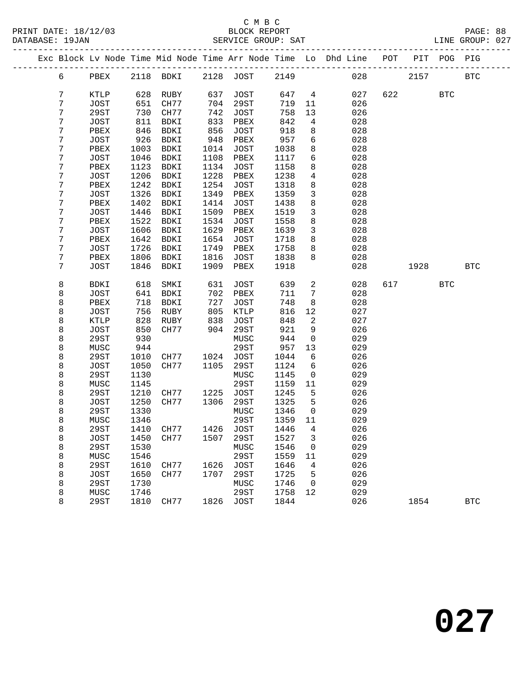#### C M B C<br>BLOCK REPORT SERVICE GROUP: SAT

|  |        |              |              |           |            |                  |              |                      | Exc Block Lv Node Time Mid Node Time Arr Node Time Lo Dhd Line POT PIT POG PIG |     |      |            |            |
|--|--------|--------------|--------------|-----------|------------|------------------|--------------|----------------------|--------------------------------------------------------------------------------|-----|------|------------|------------|
|  | 6      | PBEX         |              | 2118 BDKI |            | 2128 JOST        | 2149         |                      | 028                                                                            |     | 2157 |            | <b>BTC</b> |
|  | 7      |              |              | RUBY      |            |                  |              | $\overline{4}$       |                                                                                | 622 |      | <b>BTC</b> |            |
|  | 7      | KTLP         | 628          | CH77      | 637<br>704 | JOST             | 647<br>719   |                      | 027                                                                            |     |      |            |            |
|  | 7      | JOST<br>29ST | 651<br>730   | CH77      | 742        | 29ST             | 758          | 11                   | 026<br>026                                                                     |     |      |            |            |
|  | 7      | JOST         | 811          | BDKI      | 833        | JOST<br>PBEX     | 842          | 13<br>4              | 028                                                                            |     |      |            |            |
|  | 7      | PBEX         | 846          | BDKI      | 856        | JOST             | 918          | 8                    | 028                                                                            |     |      |            |            |
|  | 7      | JOST         | 926          | BDKI      | 948        | PBEX             | 957          | 6                    | 028                                                                            |     |      |            |            |
|  | 7      | PBEX         | 1003         | BDKI      | 1014       | JOST             | 1038         | 8                    | 028                                                                            |     |      |            |            |
|  | 7      | JOST         | 1046         | BDKI      | 1108       | PBEX             | 1117         | 6                    | 028                                                                            |     |      |            |            |
|  | 7      | PBEX         | 1123         | BDKI      | 1134       | JOST             | 1158         | 8                    | 028                                                                            |     |      |            |            |
|  | 7      | JOST         | 1206         | BDKI      | 1228       | PBEX             | 1238         | 4                    | 028                                                                            |     |      |            |            |
|  | 7      | PBEX         | 1242         | BDKI      | 1254       | JOST             | 1318         | 8                    | 028                                                                            |     |      |            |            |
|  | 7      | <b>JOST</b>  | 1326         | BDKI      | 1349       | PBEX             | 1359         | $\mathbf{3}$         | 028                                                                            |     |      |            |            |
|  | 7      | PBEX         | 1402         | BDKI      | 1414       | <b>JOST</b>      | 1438         | 8                    | 028                                                                            |     |      |            |            |
|  | 7      | JOST         | 1446         | BDKI      | 1509       | PBEX             | 1519         | $\mathbf{3}$         | 028                                                                            |     |      |            |            |
|  | 7      | PBEX         | 1522         | BDKI      | 1534       | JOST             | 1558         | 8                    | 028                                                                            |     |      |            |            |
|  | 7      | JOST         | 1606         | BDKI      | 1629       | PBEX             | 1639         | $\mathbf{3}$         | 028                                                                            |     |      |            |            |
|  | 7      | PBEX         | 1642         | BDKI      | 1654       | <b>JOST</b>      | 1718         | 8                    | 028                                                                            |     |      |            |            |
|  | 7      | JOST         | 1726         | BDKI      | 1749       | PBEX             | 1758         | 8                    | 028                                                                            |     |      |            |            |
|  | 7      | PBEX         | 1806         | BDKI      | 1816       | JOST             | 1838         | 8                    | 028                                                                            |     |      |            |            |
|  | 7      | JOST         | 1846         | BDKI      | 1909       | PBEX             | 1918         |                      | 028                                                                            |     | 1928 |            | <b>BTC</b> |
|  | 8      | BDKI         | 618          | SMKI      | 631        | JOST             | 639          | 2                    | 028                                                                            | 617 |      | BTC        |            |
|  | 8      | JOST         | 641          | BDKI      | 702        | PBEX             | 711          | 7                    | 028                                                                            |     |      |            |            |
|  | 8      | PBEX         | 718          | BDKI      | 727        | JOST             | 748          | 8                    | 028                                                                            |     |      |            |            |
|  | 8      | <b>JOST</b>  | 756          | RUBY      | 805        | KTLP             | 816          | 12                   | 027                                                                            |     |      |            |            |
|  | 8      | KTLP         | 828          | RUBY      | 838        | JOST             | 848          | 2                    | 027                                                                            |     |      |            |            |
|  | 8      | JOST         | 850          | CH77      | 904        | 29ST             | 921          | 9                    | 026                                                                            |     |      |            |            |
|  | 8      | 29ST         | 930          |           |            | MUSC             | 944          | $\mathsf{O}$         | 029                                                                            |     |      |            |            |
|  | 8      | MUSC         | 944          |           |            | 29ST             | 957          | 13                   | 029                                                                            |     |      |            |            |
|  | 8      | 29ST         | 1010         | CH77      | 1024       | JOST             | 1044         | 6                    | 026                                                                            |     |      |            |            |
|  | 8      | JOST         | 1050         | CH77      | 1105       | 29ST             | 1124         | 6                    | 026                                                                            |     |      |            |            |
|  | 8      | 29ST         | 1130         |           |            | MUSC             | 1145         | $\mathbf 0$          | 029                                                                            |     |      |            |            |
|  | 8      | MUSC         | 1145         |           |            | 29ST             | 1159         | 11                   | 029                                                                            |     |      |            |            |
|  | 8      | 29ST         | 1210         | CH77      | 1225       | JOST             | 1245         | 5                    | 026                                                                            |     |      |            |            |
|  | 8      | JOST         | 1250         | CH77      | 1306       | 29ST             | 1325         | 5                    | 026                                                                            |     |      |            |            |
|  | 8      | 29ST         | 1330<br>1346 |           |            | MUSC<br>29ST     | 1346<br>1359 | $\overline{0}$<br>11 | 029                                                                            |     |      |            |            |
|  | 8<br>8 | MUSC<br>29ST |              | 1410 CH77 |            | 1426 JOST 1446 4 |              |                      | 029<br>026                                                                     |     |      |            |            |
|  | 8      | JOST         | 1450         | CH77      | 1507       | 29ST             | 1527         | 3                    | 026                                                                            |     |      |            |            |
|  | 8      | 29ST         | 1530         |           |            | MUSC             | 1546         | 0                    | 029                                                                            |     |      |            |            |
|  | 8      | MUSC         | 1546         |           |            | 29ST             | 1559         | 11                   | 029                                                                            |     |      |            |            |
|  | 8      | 29ST         | 1610         | CH77      | 1626       | <b>JOST</b>      | 1646         | 4                    | 026                                                                            |     |      |            |            |
|  | 8      | <b>JOST</b>  | 1650         | CH77      | 1707       | 29ST             | 1725         | 5                    | 026                                                                            |     |      |            |            |
|  | 8      | 29ST         | 1730         |           |            | MUSC             | 1746         | 0                    | 029                                                                            |     |      |            |            |
|  | 8      | MUSC         | 1746         |           |            | 29ST             | 1758         | 12                   | 029                                                                            |     |      |            |            |
|  |        |              |              |           |            |                  |              |                      |                                                                                |     |      |            |            |

8 29ST 1810 CH77 1826 JOST 1844 026 1854 BTC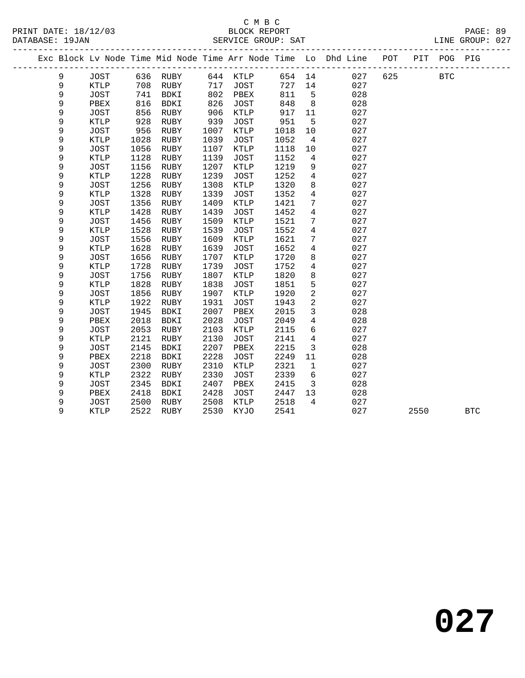### C M B C<br>BLOCK REPORT SERVICE GROUP: SAT

|  |   |             |      |             |      |             |        |                | Exc Block Lv Node Time Mid Node Time Arr Node Time Lo Dhd Line POT |     | PIT POG PIG |  |
|--|---|-------------|------|-------------|------|-------------|--------|----------------|--------------------------------------------------------------------|-----|-------------|--|
|  | 9 | JOST        | 636  | RUBY        | 644  | KTLP        | 654 14 |                | 027                                                                | 625 | <b>BTC</b>  |  |
|  | 9 | <b>KTLP</b> | 708  | RUBY        | 717  | <b>JOST</b> | 727    | 14             | 027                                                                |     |             |  |
|  | 9 | <b>JOST</b> | 741  | BDKI        | 802  | PBEX        | 811    | 5              | 028                                                                |     |             |  |
|  | 9 | PBEX        | 816  | <b>BDKI</b> | 826  | <b>JOST</b> | 848    | 8              | 028                                                                |     |             |  |
|  | 9 | <b>JOST</b> | 856  | RUBY        | 906  | KTLP        | 917    | 11             | 027                                                                |     |             |  |
|  | 9 | <b>KTLP</b> | 928  | RUBY        | 939  | <b>JOST</b> | 951    | 5              | 027                                                                |     |             |  |
|  | 9 | <b>JOST</b> | 956  | RUBY        | 1007 | KTLP        | 1018   | 10             | 027                                                                |     |             |  |
|  | 9 | <b>KTLP</b> | 1028 | RUBY        | 1039 | <b>JOST</b> | 1052   | 4              | 027                                                                |     |             |  |
|  | 9 | <b>JOST</b> | 1056 | RUBY        | 1107 | <b>KTLP</b> | 1118   | 10             | 027                                                                |     |             |  |
|  | 9 | <b>KTLP</b> | 1128 | RUBY        | 1139 | <b>JOST</b> | 1152   | 4              | 027                                                                |     |             |  |
|  | 9 | JOST        | 1156 | RUBY        | 1207 | KTLP        | 1219   | 9              | 027                                                                |     |             |  |
|  | 9 | <b>KTLP</b> | 1228 | RUBY        | 1239 | <b>JOST</b> | 1252   | $\overline{4}$ | 027                                                                |     |             |  |
|  | 9 | <b>JOST</b> | 1256 | RUBY        | 1308 | <b>KTLP</b> | 1320   | 8              | 027                                                                |     |             |  |
|  | 9 | <b>KTLP</b> | 1328 | RUBY        | 1339 | <b>JOST</b> | 1352   | $\overline{4}$ | 027                                                                |     |             |  |
|  | 9 | <b>JOST</b> | 1356 | RUBY        | 1409 | <b>KTLP</b> | 1421   | 7              | 027                                                                |     |             |  |
|  | 9 | <b>KTLP</b> | 1428 | RUBY        | 1439 | <b>JOST</b> | 1452   | $\overline{4}$ | 027                                                                |     |             |  |
|  | 9 | <b>JOST</b> | 1456 | RUBY        | 1509 | <b>KTLP</b> | 1521   | 7              | 027                                                                |     |             |  |
|  | 9 | <b>KTLP</b> | 1528 | RUBY        | 1539 | <b>JOST</b> | 1552   | 4              | 027                                                                |     |             |  |
|  | 9 | <b>JOST</b> | 1556 | RUBY        | 1609 | <b>KTLP</b> | 1621   | 7              | 027                                                                |     |             |  |
|  | 9 | KTLP        | 1628 | RUBY        | 1639 | <b>JOST</b> | 1652   | $\overline{4}$ | 027                                                                |     |             |  |
|  | 9 | JOST        | 1656 | RUBY        | 1707 | <b>KTLP</b> | 1720   | 8              | 027                                                                |     |             |  |
|  | 9 | <b>KTLP</b> | 1728 | RUBY        | 1739 | <b>JOST</b> | 1752   | $\overline{4}$ | 027                                                                |     |             |  |
|  | 9 | <b>JOST</b> | 1756 | RUBY        | 1807 | KTLP        | 1820   | 8              | 027                                                                |     |             |  |
|  | 9 | <b>KTLP</b> | 1828 | RUBY        | 1838 | <b>JOST</b> | 1851   | 5              | 027                                                                |     |             |  |
|  | 9 | JOST        | 1856 | RUBY        | 1907 | KTLP        | 1920   | 2              | 027                                                                |     |             |  |
|  | 9 | KTLP        | 1922 | RUBY        | 1931 | <b>JOST</b> | 1943   | 2              | 027                                                                |     |             |  |
|  | 9 | <b>JOST</b> | 1945 | <b>BDKI</b> | 2007 | PBEX        | 2015   | 3              | 028                                                                |     |             |  |
|  | 9 | PBEX        | 2018 | <b>BDKI</b> | 2028 | <b>JOST</b> | 2049   | $\overline{4}$ | 028                                                                |     |             |  |
|  | 9 | <b>JOST</b> | 2053 | RUBY        | 2103 | <b>KTLP</b> | 2115   | 6              | 027                                                                |     |             |  |
|  | 9 | <b>KTLP</b> | 2121 | RUBY        | 2130 | <b>JOST</b> | 2141   | $\overline{4}$ | 027                                                                |     |             |  |
|  | 9 | <b>JOST</b> | 2145 | BDKI        | 2207 | PBEX        | 2215   | 3              | 028                                                                |     |             |  |
|  | 9 | PBEX        | 2218 | BDKI        | 2228 | <b>JOST</b> | 2249   | 11             | 028                                                                |     |             |  |
|  | 9 | <b>JOST</b> | 2300 | RUBY        | 2310 | KTLP        | 2321   | $\mathbf{1}$   | 027                                                                |     |             |  |
|  | 9 | <b>KTLP</b> | 2322 | RUBY        | 2330 | <b>JOST</b> | 2339   | 6              | 027                                                                |     |             |  |
|  | 9 | <b>JOST</b> | 2345 | <b>BDKI</b> | 2407 | PBEX        | 2415   | 3              | 028                                                                |     |             |  |
|  | 9 | PBEX        | 2418 | <b>BDKI</b> | 2428 | <b>JOST</b> | 2447   | 13             | 028                                                                |     |             |  |
|  | 9 | <b>JOST</b> | 2500 | <b>RUBY</b> | 2508 | <b>KTLP</b> | 2518   | 4              | 027                                                                |     |             |  |

9 KTLP 2522 RUBY 2530 KYJO 2541 027 2550 BTC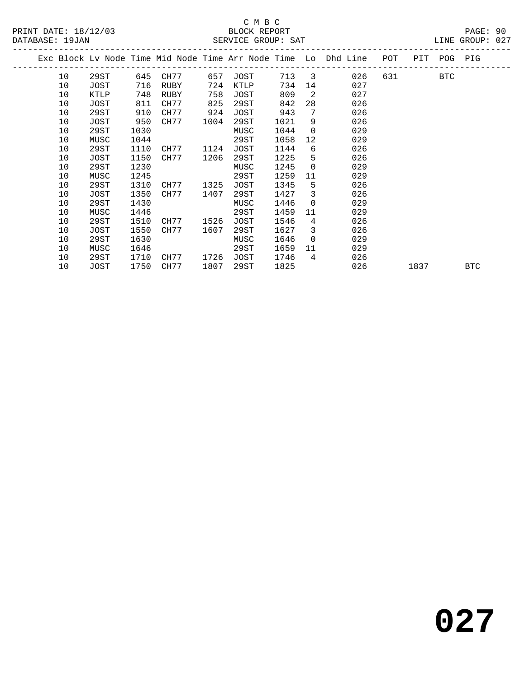| PRINT DATE: 18/12/03 | BLOCK REPORT       |                 | PAGE: 90 |  |
|----------------------|--------------------|-----------------|----------|--|
| DATABASE: 19JAN      | SERVICE GROUP: SAT | LINE GROUP: 027 |          |  |

|  |    |      |      |      |      |      |      |                | Exc Block Lv Node Time Mid Node Time Arr Node Time Lo Dhd Line | POT | PIT  | POG        | PIG        |
|--|----|------|------|------|------|------|------|----------------|----------------------------------------------------------------|-----|------|------------|------------|
|  | 10 | 29ST | 645  | CH77 | 657  | JOST | 713  | $\overline{3}$ | 026                                                            | 631 |      | <b>BTC</b> |            |
|  | 10 | JOST | 716  | RUBY | 724  | KTLP | 734  | 14             | 027                                                            |     |      |            |            |
|  | 10 | KTLP | 748  | RUBY | 758  | JOST | 809  | 2              | 027                                                            |     |      |            |            |
|  | 10 | JOST | 811  | CH77 | 825  | 29ST | 842  | 28             | 026                                                            |     |      |            |            |
|  | 10 | 29ST | 910  | CH77 | 924  | JOST | 943  | 7              | 026                                                            |     |      |            |            |
|  | 10 | JOST | 950  | CH77 | 1004 | 29ST | 1021 | 9              | 026                                                            |     |      |            |            |
|  | 10 | 29ST | 1030 |      |      | MUSC | 1044 | $\Omega$       | 029                                                            |     |      |            |            |
|  | 10 | MUSC | 1044 |      |      | 29ST | 1058 | 12             | 029                                                            |     |      |            |            |
|  | 10 | 29ST | 1110 | CH77 | 1124 | JOST | 1144 | 6              | 026                                                            |     |      |            |            |
|  | 10 | JOST | 1150 | CH77 | 1206 | 29ST | 1225 | 5              | 026                                                            |     |      |            |            |
|  | 10 | 29ST | 1230 |      |      | MUSC | 1245 | $\Omega$       | 029                                                            |     |      |            |            |
|  | 10 | MUSC | 1245 |      |      | 29ST | 1259 | 11             | 029                                                            |     |      |            |            |
|  | 10 | 29ST | 1310 | CH77 | 1325 | JOST | 1345 | 5              | 026                                                            |     |      |            |            |
|  | 10 | JOST | 1350 | CH77 | 1407 | 29ST | 1427 | 3              | 026                                                            |     |      |            |            |
|  | 10 | 29ST | 1430 |      |      | MUSC | 1446 | $\Omega$       | 029                                                            |     |      |            |            |
|  | 10 | MUSC | 1446 |      |      | 29ST | 1459 | 11             | 029                                                            |     |      |            |            |
|  | 10 | 29ST | 1510 | CH77 | 1526 | JOST | 1546 | $\overline{4}$ | 026                                                            |     |      |            |            |
|  | 10 | JOST | 1550 | CH77 | 1607 | 29ST | 1627 | 3              | 026                                                            |     |      |            |            |
|  | 10 | 29ST | 1630 |      |      | MUSC | 1646 | $\Omega$       | 029                                                            |     |      |            |            |
|  | 10 | MUSC | 1646 |      |      | 29ST | 1659 | 11             | 029                                                            |     |      |            |            |
|  | 10 | 29ST | 1710 | CH77 | 1726 | JOST | 1746 | $\overline{4}$ | 026                                                            |     |      |            |            |
|  | 10 | JOST | 1750 | CH77 | 1807 | 29ST | 1825 |                | 026                                                            |     | 1837 |            | <b>BTC</b> |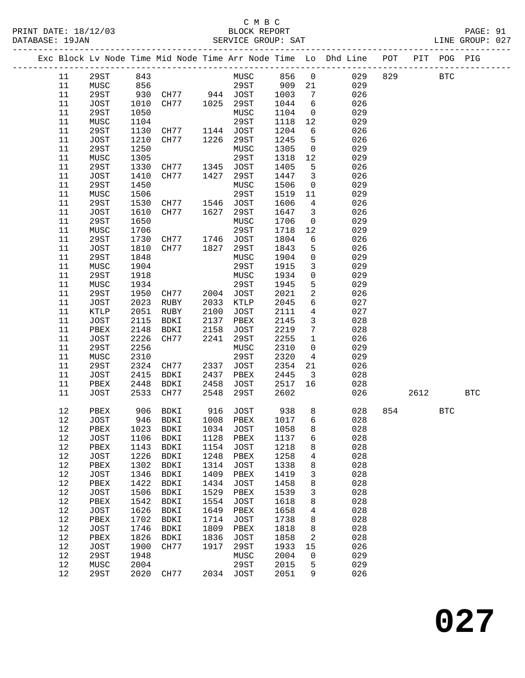#### C M B C<br>BLOCK REPORT SERVICE GROUP: SAT

|  |            |             |      |                          |      |             |      |                         | Exc Block Lv Node Time Mid Node Time Arr Node Time Lo Dhd Line POT |     |      | PIT POG PIG |            |
|--|------------|-------------|------|--------------------------|------|-------------|------|-------------------------|--------------------------------------------------------------------|-----|------|-------------|------------|
|  | 11         | 29ST        | 843  |                          |      | MUSC 856    |      | $\overline{0}$          | 029                                                                | 829 |      | <b>BTC</b>  |            |
|  | 11         | MUSC        | 856  |                          |      | 29ST        | 909  | 21                      | 029                                                                |     |      |             |            |
|  | 11         | 29ST        | 930  | CH77 944 JOST            |      |             | 1003 | $7\overline{ }$         | 026                                                                |     |      |             |            |
|  | 11         | JOST        | 1010 |                          |      | 29ST        | 1044 | 6                       | 026                                                                |     |      |             |            |
|  |            |             |      | CH77 1025                |      |             |      |                         |                                                                    |     |      |             |            |
|  | 11         | 29ST        | 1050 |                          |      | MUSC        | 1104 | $\overline{0}$          | 029                                                                |     |      |             |            |
|  | 11         | MUSC        | 1104 |                          |      | 29ST        | 1118 | 12                      | 029                                                                |     |      |             |            |
|  | 11         | 29ST        | 1130 | CH77 1144                |      | JOST        | 1204 | $6\overline{6}$         | 026                                                                |     |      |             |            |
|  | 11         | JOST        | 1210 | CH77                     | 1226 | 29ST        | 1245 | 5                       | 026                                                                |     |      |             |            |
|  | 11         | 29ST        | 1250 |                          |      | MUSC        | 1305 | $\overline{0}$          | 029                                                                |     |      |             |            |
|  | 11         | MUSC        | 1305 |                          |      | 29ST        | 1318 | 12                      | 029                                                                |     |      |             |            |
|  | 11         | 29ST        | 1330 | CH77 1345                |      | JOST        | 1405 | 5                       | 026                                                                |     |      |             |            |
|  | 11         | JOST        | 1410 | CH77                     | 1427 | 29ST        | 1447 | $\overline{3}$          | 026                                                                |     |      |             |            |
|  | 11         | 29ST        | 1450 |                          |      | MUSC        | 1506 | $\overline{0}$          | 029                                                                |     |      |             |            |
|  | 11         | MUSC        | 1506 |                          |      | 29ST        | 1519 | 11                      | 029                                                                |     |      |             |            |
|  | 11         | 29ST        | 1530 | CH77                     | 1546 | JOST        | 1606 | $\overline{4}$          | 026                                                                |     |      |             |            |
|  | 11         | JOST        | 1610 | CH77                     | 1627 | 29ST        | 1647 | $\overline{\mathbf{3}}$ | 026                                                                |     |      |             |            |
|  | 11         | 29ST        | 1650 |                          |      | MUSC        | 1706 | $\overline{0}$          | 029                                                                |     |      |             |            |
|  | 11         | MUSC        | 1706 |                          |      | 29ST        | 1718 | 12                      | 029                                                                |     |      |             |            |
|  | 11         | 29ST        | 1730 | CH77 1746 JOST           |      |             | 1804 | 6                       | 026                                                                |     |      |             |            |
|  | 11         | JOST        | 1810 | CH77                     | 1827 | 29ST        | 1843 | 5                       | 026                                                                |     |      |             |            |
|  | 11         | 29ST        | 1848 |                          |      | MUSC        | 1904 | $\mathbf 0$             | 029                                                                |     |      |             |            |
|  | 11         | MUSC        | 1904 |                          |      | 29ST        | 1915 | $\mathbf{3}$            | 029                                                                |     |      |             |            |
|  | 11         | 29ST        | 1918 |                          |      | MUSC        | 1934 | $\mathbf 0$             | 029                                                                |     |      |             |            |
|  | 11         | MUSC        | 1934 |                          |      | 29ST        | 1945 | 5                       | 029                                                                |     |      |             |            |
|  | 11         | 29ST        | 1950 | CH77                     | 2004 | JOST        | 2021 | $\overline{a}$          | 026                                                                |     |      |             |            |
|  | 11         | JOST        | 2023 | RUBY                     | 2033 | KTLP        | 2045 | 6                       | 027                                                                |     |      |             |            |
|  | 11         | KTLP        | 2051 | RUBY                     | 2100 | JOST        | 2111 | $\overline{4}$          | 027                                                                |     |      |             |            |
|  | 11         | JOST        | 2115 | BDKI                     | 2137 | PBEX        | 2145 | $\mathbf{3}$            | 028                                                                |     |      |             |            |
|  | 11         | PBEX        | 2148 | BDKI                     | 2158 | JOST        | 2219 | $7\phantom{.0}$         | 028                                                                |     |      |             |            |
|  | 11         | JOST        | 2226 | CH77                     | 2241 | 29ST        | 2255 | $\mathbf{1}$            | 026                                                                |     |      |             |            |
|  | 11         | 29ST        | 2256 |                          |      | MUSC        | 2310 | $\overline{0}$          | 029                                                                |     |      |             |            |
|  | 11         |             | 2310 |                          |      | 29ST        | 2320 | $\overline{4}$          | 029                                                                |     |      |             |            |
|  |            | MUSC        |      |                          |      |             |      |                         |                                                                    |     |      |             |            |
|  | 11         | 29ST        | 2324 | CH77                     | 2337 | JOST        | 2354 | 21                      | 026                                                                |     |      |             |            |
|  | 11         | JOST        | 2415 | BDKI                     | 2437 | PBEX        | 2445 | $\overline{\mathbf{3}}$ | 028                                                                |     |      |             |            |
|  | 11         | PBEX        | 2448 | BDKI                     | 2458 | JOST        | 2517 | 16                      | 028                                                                |     |      |             |            |
|  | 11         | JOST        | 2533 | CH77                     | 2548 | 29ST        | 2602 |                         | 026                                                                |     | 2612 |             | <b>BTC</b> |
|  | 12         | PBEX        | 906  | BDKI                     |      | 916 JOST    | 938  | 8                       | 028                                                                | 854 |      | <b>BTC</b>  |            |
|  | 12         | JOST        |      | 946 BDKI                 |      | 1008 PBEX   | 1017 | 6                       | 028                                                                |     |      |             |            |
|  | 12         |             |      | PBEX 1023 BDKI 1034 JOST |      |             | 1058 | 8                       | 028                                                                |     |      |             |            |
|  | 12         | <b>JOST</b> | 1106 | BDKI                     | 1128 | PBEX        | 1137 | 6                       | 028                                                                |     |      |             |            |
|  | 12         | PBEX        | 1143 | BDKI                     | 1154 | JOST        | 1218 | 8                       | 028                                                                |     |      |             |            |
|  | 12         | JOST        | 1226 | BDKI                     | 1248 | PBEX        | 1258 | 4                       | 028                                                                |     |      |             |            |
|  | $12$       | PBEX        | 1302 | BDKI                     | 1314 | JOST        | 1338 | 8                       | 028                                                                |     |      |             |            |
|  | $12$       | JOST        | 1346 | BDKI                     | 1409 | PBEX        | 1419 | 3                       | 028                                                                |     |      |             |            |
|  | 12         | PBEX        | 1422 | BDKI                     | 1434 | JOST        | 1458 | 8                       | 028                                                                |     |      |             |            |
|  | 12         | JOST        | 1506 | BDKI                     | 1529 | PBEX        | 1539 | 3                       | 028                                                                |     |      |             |            |
|  | 12         | PBEX        | 1542 | BDKI                     | 1554 | <b>JOST</b> | 1618 | 8                       | 028                                                                |     |      |             |            |
|  |            |             |      |                          |      |             |      |                         |                                                                    |     |      |             |            |
|  | $12$<br>12 | <b>JOST</b> | 1626 | BDKI                     | 1649 | PBEX        | 1658 | 4                       | 028<br>028                                                         |     |      |             |            |
|  |            | PBEX        | 1702 | BDKI                     | 1714 | JOST        | 1738 | 8                       |                                                                    |     |      |             |            |
|  | 12         | JOST        | 1746 | BDKI                     | 1809 | PBEX        | 1818 | 8                       | 028                                                                |     |      |             |            |
|  | 12         | PBEX        | 1826 | BDKI                     | 1836 | JOST        | 1858 | 2                       | 028                                                                |     |      |             |            |
|  | 12         | <b>JOST</b> | 1900 | CH77                     | 1917 | 29ST        | 1933 | 15                      | 026                                                                |     |      |             |            |
|  | 12         | <b>29ST</b> | 1948 |                          |      | MUSC        | 2004 | 0                       | 029                                                                |     |      |             |            |
|  | 12         | MUSC        | 2004 |                          |      | 29ST        | 2015 | 5                       | 029                                                                |     |      |             |            |
|  | 12         | 29ST        | 2020 | CH77                     |      | 2034 JOST   | 2051 | 9                       | 026                                                                |     |      |             |            |
|  |            |             |      |                          |      |             |      |                         |                                                                    |     |      |             |            |

**027**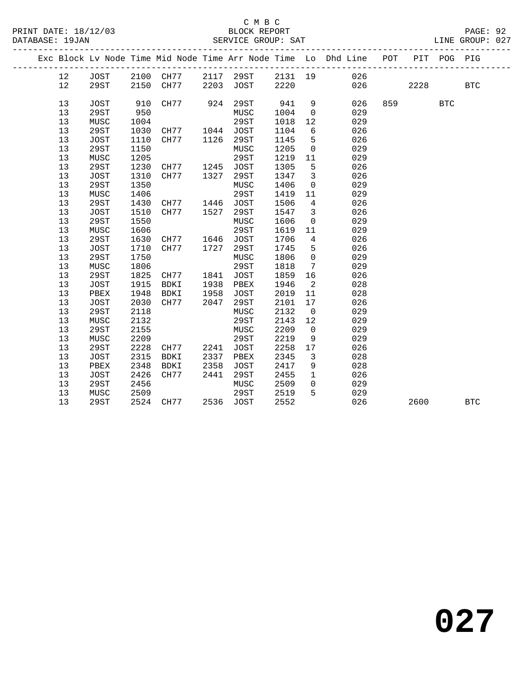#### C M B C<br>BLOCK REPORT SERVICE GROUP: SAT

PRINT DATE: 18/12/03 BLOCK REPORT PAGE: 92

|    | Exc Block Lv Node Time Mid Node Time Arr Node Time Lo Dhd Line POT |      |                     |      |           |      |                         |             |        |                             | PIT POG PIG |            |
|----|--------------------------------------------------------------------|------|---------------------|------|-----------|------|-------------------------|-------------|--------|-----------------------------|-------------|------------|
| 12 | JOST                                                               |      | 2100 CH77 2117 29ST |      |           |      |                         | 2131 19 026 |        |                             |             |            |
| 12 | 29ST                                                               | 2150 | CH77                |      | 2203 JOST | 2220 |                         |             | 026 02 | 2228                        |             | <b>BTC</b> |
| 13 | JOST                                                               | 910  | CH77                | 924  | 29ST      | 941  | 9                       |             | 026    | 859 and the state of $\sim$ | <b>BTC</b>  |            |
| 13 | 29ST                                                               | 950  |                     |      | MUSC      | 1004 | $\overline{0}$          |             | 029    |                             |             |            |
| 13 | MUSC                                                               | 1004 |                     |      | 29ST      | 1018 | 12                      |             | 029    |                             |             |            |
| 13 | 29ST                                                               | 1030 | CH77 1044 JOST      |      |           | 1104 | 6                       |             | 026    |                             |             |            |
| 13 | JOST                                                               | 1110 | CH77 1126           |      | 29ST      | 1145 | 5                       |             | 026    |                             |             |            |
| 13 | 29ST                                                               | 1150 |                     |      | MUSC      | 1205 | $\overline{0}$          |             | 029    |                             |             |            |
| 13 | MUSC                                                               | 1205 |                     |      | 29ST      | 1219 | 11                      |             | 029    |                             |             |            |
| 13 | 29ST                                                               | 1230 | CH77                |      | 1245 JOST | 1305 | $5^{\circ}$             |             | 026    |                             |             |            |
| 13 | JOST                                                               | 1310 | CH77                | 1327 | 29ST      | 1347 | $\overline{\mathbf{3}}$ |             | 026    |                             |             |            |
| 13 | 29ST                                                               | 1350 |                     |      | MUSC      | 1406 | $\overline{0}$          |             | 029    |                             |             |            |
| 13 | MUSC                                                               | 1406 |                     |      | 29ST      | 1419 | 11                      |             | 029    |                             |             |            |
| 13 | 29ST                                                               | 1430 | CH77 1446           |      | JOST      | 1506 | $\overline{4}$          |             | 026    |                             |             |            |
| 13 | JOST                                                               | 1510 | CH77                | 1527 | 29ST      | 1547 | $\overline{\mathbf{3}}$ |             | 026    |                             |             |            |
| 13 | <b>29ST</b>                                                        | 1550 |                     |      | MUSC      | 1606 | $\overline{0}$          |             | 029    |                             |             |            |
| 13 | MUSC                                                               | 1606 |                     |      | 29ST      | 1619 | 11                      |             | 029    |                             |             |            |
| 13 | 29ST                                                               | 1630 | CH77 1646 JOST      |      |           | 1706 | $\overline{4}$          |             | 026    |                             |             |            |
| 13 | JOST                                                               | 1710 | CH77 1727           |      | 29ST      | 1745 | 5                       |             | 026    |                             |             |            |
| 13 | 29ST                                                               | 1750 |                     |      | MUSC      | 1806 | $\mathbf 0$             |             | 029    |                             |             |            |
| 13 | MUSC                                                               | 1806 |                     |      | 29ST      | 1818 | $7\phantom{.0}$         |             | 029    |                             |             |            |
| 13 | 29ST                                                               | 1825 | CH77 1841 JOST      |      |           | 1859 | 16                      |             | 026    |                             |             |            |
| 13 | JOST                                                               | 1915 | BDKI                | 1938 | PBEX      | 1946 | $\overline{2}$          |             | 028    |                             |             |            |
| 13 | PBEX                                                               | 1948 | BDKI                | 1958 | JOST      | 2019 | 11                      |             | 028    |                             |             |            |
| 13 | JOST                                                               | 2030 | CH77                | 2047 | 29ST      | 2101 | 17                      |             | 026    |                             |             |            |
| 13 | 29ST                                                               | 2118 |                     |      | MUSC      | 2132 | $\overline{0}$          |             | 029    |                             |             |            |
| 13 | MUSC                                                               | 2132 |                     |      | 29ST      | 2143 | 12                      |             | 029    |                             |             |            |
| 13 | <b>29ST</b>                                                        | 2155 |                     |      | MUSC      | 2209 | $\overline{0}$          |             | 029    |                             |             |            |
| 13 | MUSC                                                               | 2209 |                     |      | 29ST      | 2219 | 9                       |             | 029    |                             |             |            |
| 13 | 29ST                                                               | 2228 | CH77                | 2241 | JOST      | 2258 | 17                      |             | 026    |                             |             |            |
| 13 | JOST                                                               | 2315 | BDKI                | 2337 | PBEX      | 2345 | $\overline{\mathbf{3}}$ |             | 028    |                             |             |            |
| 13 | PBEX                                                               | 2348 | BDKI                | 2358 | JOST      | 2417 | 9                       |             | 028    |                             |             |            |
| 13 | JOST                                                               | 2426 | CH77                | 2441 | 29ST      | 2455 | $\mathbf{1}$            |             | 026    |                             |             |            |
| 13 | 29ST                                                               | 2456 |                     |      | MUSC      | 2509 | $\overline{0}$          |             | 029    |                             |             |            |
| 13 | MUSC                                                               | 2509 |                     |      | 29ST      | 2519 | 5                       |             | 029    |                             |             |            |
| 13 | 29ST                                                               |      | 2524 CH77 2536 JOST |      |           | 2552 |                         |             | 026    | 2600                        |             | <b>BTC</b> |
|    |                                                                    |      |                     |      |           |      |                         |             |        |                             |             |            |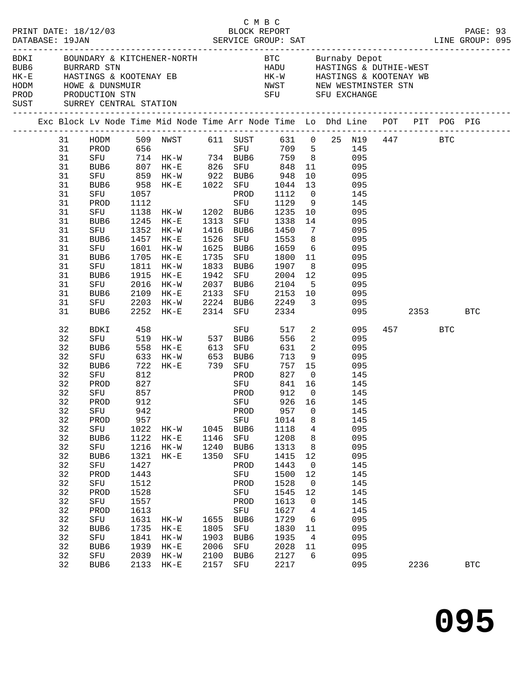| PRINT DATE: 18/12/03<br>DATABASE: 19JAN                                    |                                                                                                                                                          |                                                                                                                                                                                   |                                                                                                                                                                 | $2/03$ BLOCK REPORT PAGE: 93<br>SERVICE GROUP: SAT LINE GROUP: 095                                                                                                                                                                                                                                                                                                                                                                                                                                                                                                                              |                                                                              |                                                                                                                                                                    | C M B C                                                                                                                                                                                     |                                                                                                                                             |                                                                     |                                                                                                                                                                      |          |                 |              |  |
|----------------------------------------------------------------------------|----------------------------------------------------------------------------------------------------------------------------------------------------------|-----------------------------------------------------------------------------------------------------------------------------------------------------------------------------------|-----------------------------------------------------------------------------------------------------------------------------------------------------------------|-------------------------------------------------------------------------------------------------------------------------------------------------------------------------------------------------------------------------------------------------------------------------------------------------------------------------------------------------------------------------------------------------------------------------------------------------------------------------------------------------------------------------------------------------------------------------------------------------|------------------------------------------------------------------------------|--------------------------------------------------------------------------------------------------------------------------------------------------------------------|---------------------------------------------------------------------------------------------------------------------------------------------------------------------------------------------|---------------------------------------------------------------------------------------------------------------------------------------------|---------------------------------------------------------------------|----------------------------------------------------------------------------------------------------------------------------------------------------------------------|----------|-----------------|--------------|--|
| HODM HOWE & DUNSMUIR<br>PROD PRODUCTION STN<br>SUST SURREY CENTRAL STATION |                                                                                                                                                          |                                                                                                                                                                                   |                                                                                                                                                                 | BDKI BOUNDARY & KITCHENER-NORTH BTC Burnaby Depot<br>BUB6 BURRARD STN HADU HASTINGS & DUTHIE-WEST<br>HK-E HASTINGS & KOOTENAY EB HK-W HASTINGS & KOOTENAY WB<br>MWST MEW WESTMINSTER STN SET OF THE CONTROL STN SET OF THE CONTROL STN SET OF THE CONTROL STN SET OF THE CONTROL STN SET OF THE CONTROL STN SET OF THE CONTROL STN SET OF THE CONTROL ST SET OF THE CONTROL STATE STRESS OF TH                                                                                                                                                                                                  |                                                                              |                                                                                                                                                                    |                                                                                                                                                                                             |                                                                                                                                             |                                                                     |                                                                                                                                                                      |          |                 |              |  |
|                                                                            |                                                                                                                                                          |                                                                                                                                                                                   |                                                                                                                                                                 | Exc Block Lv Node Time Mid Node Time Arr Node Time Lo Dhd Line POT PIT POG PIG                                                                                                                                                                                                                                                                                                                                                                                                                                                                                                                  |                                                                              |                                                                                                                                                                    |                                                                                                                                                                                             |                                                                                                                                             |                                                                     |                                                                                                                                                                      |          |                 |              |  |
|                                                                            | 31<br>31<br>31<br>31<br>31<br>31<br>31<br>31<br>31<br>31<br>31<br>31<br>31<br>31<br>31<br>31<br>31<br>31<br>31<br>31                                     | SFU<br>PROD<br>SFU<br>BUB6<br>SFU<br>BUB6<br>SFU<br>BUB6<br>SFU<br>BUB6<br>SFU<br>BUB6<br>SFU<br>BUB6                                                                             | 1457                                                                                                                                                            | HODM 509 NWST 611 SUST 631 0 25 N19 447 BTC<br>PROD 656 SFU 709 5 145<br>PROD 656 SFU 709 5 145<br>SFU 714 HK-W 734 BUB6 759 8 095<br>BUB6 807 HK-E 826 SFU 848 11 095<br>SFU 859 HK-W 922 BUB6 948 10 095<br>BUB6 958 HK-E 1022 SFU 1044 13 095<br>1057 PROD 1112 0 145<br>1112 SFU 1129 9 145<br>1138 HK-W 1202 BUB6 1235 10 095<br>1245 HK-E 1313 SFU 1338 14 095<br>1352 HK-W 1416 BUB6 1450<br>$HK-E$<br>1601 HK-W<br>1705 HK-E<br>1811 HK-W<br>1915 HK-E<br>2016 HK-W 2037 BUB6 2104 5 095<br>2109 HK-E 2133 SFU 2153 10 095<br>2203 HK-W 2224 BUB6 2249 3 095<br>2252 HK-E 2314 SFU 2334 | 1526<br>1942                                                                 |                                                                                                                                                                    | SFU 1553 8 095<br>1625 BUB6 1659 6 095<br>1735 SFU 1800 11 095<br>1833 BUB6 1907<br>SFU 2004 12                                                                                             |                                                                                                                                             | $7\overline{ }$<br>8 095<br>095                                     | 095<br>095                                                                                                                                                           | 095 2353 |                 | <b>BTC</b>   |  |
|                                                                            | 32<br>32<br>32<br>32<br>32<br>32<br>32<br>32<br>32<br>32<br>32<br>32<br>32<br>32<br>32<br>32<br>32<br>32<br>32<br>32<br>32<br>32<br>32<br>32<br>32<br>32 | BDKI<br>PROD<br>SFU<br>32 PROD 912<br>SFU<br>PROD<br>SFU<br>BUB6<br>SFU<br>BUB6<br>SFU<br>PROD<br>SFU<br>PROD<br>SFU<br>PROD<br>SFU<br>BUB6<br>${\tt SFU}$<br>BUB6<br>SFU<br>BUB6 | 458<br>827<br>857<br>942<br>957<br>1022<br>1122<br>1216<br>1321<br>1427<br>1443<br>1512<br>1528<br>1557<br>1613<br>1631<br>1735<br>1841<br>1939<br>2039<br>2133 | SFU 519 HK-W 537 BUB6<br>BUB6 558 HK-E 613 SFU<br>SFU 633 HK-W 653 BUB6<br>BUB6 722 HK-E 739 SFU<br>SFU 812 PROD<br><b>SFU</b><br>HK-W<br>$HK-E$<br>$HK-W$<br>$HK-E$<br>$HK-W$<br>$HK-E$<br>$HK-W$<br>$HK-E$<br>$HK-W$<br>$HK-E$                                                                                                                                                                                                                                                                                                                                                                | 1045<br>1146<br>1240<br>1350<br>1655<br>1805<br>1903<br>2006<br>2100<br>2157 | SFU<br>PROD<br>PROD<br>PROD<br>SFU<br>BUB6<br>SFU<br>BUB6<br>SFU<br>PROD<br>SFU<br>PROD<br>SFU<br>PROD<br>${\rm SFU}$<br>BUB6<br>SFU<br>BUB6<br>SFU<br>BUB6<br>SFU | 556<br>757 15<br>841 16<br>912<br>SFU 926 16<br>957<br>1014<br>1118<br>1208<br>1313<br>1415<br>1443<br>1500<br>1528<br>1545<br>1613<br>1627<br>1729<br>1830<br>1935<br>2028<br>2127<br>2217 | $\overline{0}$<br>0<br>8<br>4<br>8<br>8<br>12<br>$\mathsf{O}$<br>12<br>$\overline{0}$<br>12<br>$\mathsf{O}$<br>4<br>6<br>11<br>4<br>11<br>6 | 517 2<br>$\overline{2}$<br>631 2<br>$713$ 9 095<br>827 0 145<br>145 | 095<br>095<br>095<br>095<br>145<br>145<br>145<br>145<br>095<br>095<br>095<br>095<br>145<br>145<br>145<br>145<br>145<br>145<br>095<br>095<br>095<br>095<br>095<br>095 |          | 457 BTC<br>2236 | $_{\rm BTC}$ |  |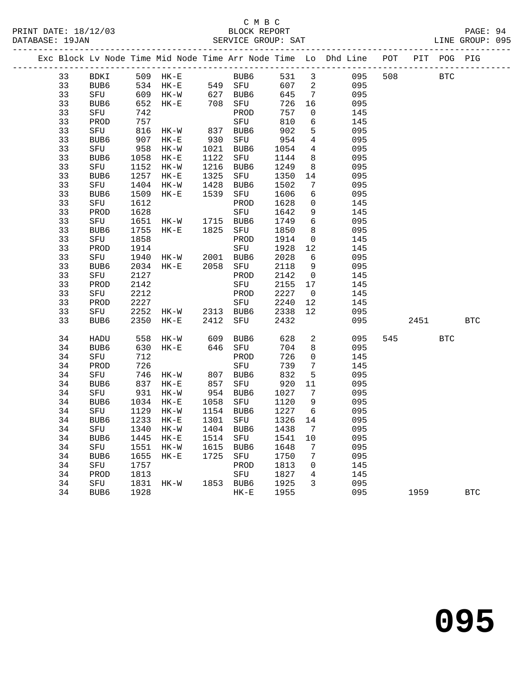#### C M B C<br>BLOCK REPORT PRINT DATE: 18/12/03 BLOCK REPORT PAGE: 94 SERVICE GROUP: SAT

|  |    |      |                  |                                                                      |      |                       |         |                 | Exc Block Lv Node Time Mid Node Time Arr Node Time Lo Dhd Line POT |     |      | PIT POG PIG |            |
|--|----|------|------------------|----------------------------------------------------------------------|------|-----------------------|---------|-----------------|--------------------------------------------------------------------|-----|------|-------------|------------|
|  | 33 |      |                  | BDKI 509 HK-E BUB6<br>BUB6 534 HK-E 549 SFU<br>SFU 609 HK-W 627 BUB6 |      |                       |         |                 | 531 3 095                                                          | 508 |      | <b>BTC</b>  |            |
|  | 33 |      |                  |                                                                      |      |                       | 607 2   |                 | 095                                                                |     |      |             |            |
|  | 33 |      |                  |                                                                      |      |                       | 645     | $\overline{7}$  | 095                                                                |     |      |             |            |
|  | 33 | BUB6 | 652              | $HK-E$                                                               |      | 708 SFU               | 726     | 16              | 095                                                                |     |      |             |            |
|  | 33 | SFU  | 742              |                                                                      |      | PROD                  | 757     | $\overline{0}$  | 145                                                                |     |      |             |            |
|  | 33 | PROD | 757              |                                                                      |      | SFU                   | 810     | $6\overline{6}$ | 145                                                                |     |      |             |            |
|  | 33 | SFU  | 816              | $HK-W$                                                               |      | 837 BUB6              | 902     | 5               | 095                                                                |     |      |             |            |
|  | 33 | BUB6 | 907              | HK-E                                                                 |      | 930 SFU               | 954     | $\overline{4}$  | 095                                                                |     |      |             |            |
|  | 33 | SFU  | $\frac{54}{958}$ | $HK-W$                                                               |      | 1021 BUB6             | 1054    | $4\overline{ }$ | 095                                                                |     |      |             |            |
|  | 33 | BUB6 |                  | $HK-E$                                                               |      | 1122 SFU              | 1144    | 8 <sup>8</sup>  | 095                                                                |     |      |             |            |
|  | 33 | SFU  | 1152             | HK-W                                                                 | 1216 | BUB6                  | 1249    | 8 <sup>8</sup>  | 095                                                                |     |      |             |            |
|  | 33 | BUB6 | 1257             | $HK-E$                                                               | 1325 | SFU                   | 1350    | 14              | 095                                                                |     |      |             |            |
|  | 33 | SFU  | 1404             | $HK-W$                                                               | 1428 | BUB6                  | 1502    | 7               | 095                                                                |     |      |             |            |
|  | 33 | BUB6 | 1509             | $HK-E$                                                               | 1539 | SFU                   | 1606    | 6               | 095                                                                |     |      |             |            |
|  | 33 | SFU  | 1612             |                                                                      |      | PROD                  | 1628    | $\mathbf 0$     | 145                                                                |     |      |             |            |
|  | 33 | PROD | 1628             |                                                                      |      | SFU                   | 1642    | 9               | 145                                                                |     |      |             |            |
|  | 33 | SFU  | 1651             | HK-W 1715 BUB6                                                       |      |                       | 1749    | $6\overline{6}$ | 095                                                                |     |      |             |            |
|  | 33 | BUB6 | 1755             | HK-E 1825 SFU                                                        |      |                       | 1850    | 8 <sup>8</sup>  | 095                                                                |     |      |             |            |
|  | 33 | SFU  | 1858             |                                                                      |      | PROD                  | 1914    | $\overline{0}$  | 145                                                                |     |      |             |            |
|  | 33 | PROD | 1914             |                                                                      |      | SFU                   | 1928    | 12              | 145                                                                |     |      |             |            |
|  | 33 | SFU  | 1940             | HK-W 2001 BUB6                                                       |      |                       | 2028    | 6               | 095                                                                |     |      |             |            |
|  | 33 | BUB6 | 2034             | HK-E 2058 SFU                                                        |      |                       | 2118    | 9               | 095                                                                |     |      |             |            |
|  | 33 | SFU  | 2127             |                                                                      |      | PROD                  | 2142    | $\overline{0}$  | 145                                                                |     |      |             |            |
|  | 33 | PROD | 2142             |                                                                      |      | SFU                   | 2155    | 17              | 145                                                                |     |      |             |            |
|  | 33 | SFU  | 2212             |                                                                      |      | PROD                  | 2227    | $\overline{0}$  | 145                                                                |     |      |             |            |
|  | 33 | PROD | 2227             |                                                                      |      | SFU                   | 2240    | 12              | 145                                                                |     |      |             |            |
|  | 33 | SFU  |                  | $2252$ HK-W 2313 BUB6                                                |      |                       | 2338    | 12              | 095                                                                |     |      |             |            |
|  | 33 | BUB6 | 2350             | $HK-E$                                                               |      | 2412 SFU              | 2432    |                 | 095                                                                |     | 2451 |             | <b>BTC</b> |
|  | 34 | HADU | 558              | HK-W 609 BUB6<br>HK-E 646 SFU                                        |      |                       | 628     | $\overline{a}$  | 095                                                                |     | 545  | <b>BTC</b>  |            |
|  | 34 | BUB6 | 630              |                                                                      |      |                       | 704     | 8               | 095                                                                |     |      |             |            |
|  | 34 | SFU  | 712              |                                                                      |      | PROD                  | 726     | $\overline{0}$  | 145                                                                |     |      |             |            |
|  | 34 | PROD | 726              |                                                                      |      | SFU                   | 739     | $7\phantom{.0}$ | 145                                                                |     |      |             |            |
|  | 34 | SFU  | 746              | HK-W 807 BUB6 832<br>HK-E 857 SFU 920<br>$740$<br>837 HK-E           |      |                       | 832     | 5               | 095                                                                |     |      |             |            |
|  | 34 | BUB6 |                  |                                                                      |      |                       |         | 11              | 095                                                                |     |      |             |            |
|  | 34 | SFU  | 931              | $HK - W$                                                             |      | 954 BUB6              | 1027    | $\overline{7}$  | 095                                                                |     |      |             |            |
|  | 34 | BUB6 | 1034             | HK-E 1058 SFU                                                        |      |                       | 1120    | 9               | 095                                                                |     |      |             |            |
|  | 34 | SFU  | 1129             | HK-W                                                                 |      | 1154 BUB6<br>1301 SFU | 1227    | 6               | 095                                                                |     |      |             |            |
|  | 34 | BUB6 |                  | 1233 HK-E                                                            |      |                       | 1326 14 |                 | 095                                                                |     |      |             |            |
|  |    |      |                  | 34 SFU 1340 HK-W 1404 BUB6 1438 7                                    |      |                       |         |                 | 095                                                                |     |      |             |            |
|  | 34 | BUB6 |                  | 1445 HK-E                                                            |      | 1514 SFU              | 1541    | 10              | 095                                                                |     |      |             |            |
|  | 34 | SFU  | 1551             | HK-W                                                                 | 1615 | BUB6                  | 1648    | 7               | 095                                                                |     |      |             |            |
|  | 34 | BUB6 | 1655             | $HK-E$                                                               | 1725 | SFU                   | 1750    | 7               | 095                                                                |     |      |             |            |
|  | 34 | SFU  | 1757             |                                                                      |      | PROD                  | 1813    | $\mathsf{O}$    | 145                                                                |     |      |             |            |
|  | 34 | PROD | 1813             |                                                                      |      | SFU                   | 1827    | 4               | 145                                                                |     |      |             |            |
|  | 34 | SFU  | 1831             | HK-W                                                                 |      | 1853 BUB6             | 1925    | 3               | 095                                                                |     |      |             |            |
|  | 34 | BUB6 | 1928             |                                                                      |      | $HK-E$                | 1955    |                 | 095                                                                |     | 1959 |             | <b>BTC</b> |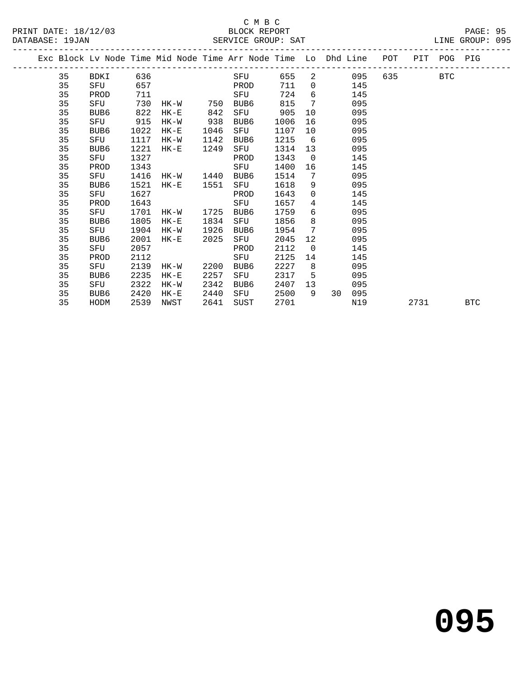PRINT DATE: 18/12/03 BLOCK REPORT PAGE: 95 DATABASE: 19JAN

## C M B C<br>BLOCK REPORT

|  | DAIADAOL · IJUAN |             |     |      |     |      | DERVICE GROUP. DAI |     |                                                                |     |     |            | UIND UNUUF. UJJ |  |
|--|------------------|-------------|-----|------|-----|------|--------------------|-----|----------------------------------------------------------------|-----|-----|------------|-----------------|--|
|  |                  |             |     |      |     |      |                    |     | Exc Block Ly Node Time Mid Node Time Arr Node Time Lo Dhd Line | POT | PIT |            | POG PIG         |  |
|  | 35               | <b>BDKI</b> | 636 |      |     | SFU  | 655                | - 2 | 095                                                            | 635 |     | <b>BTC</b> |                 |  |
|  | 35               | SFU         | 657 |      |     | PROD | 711                |     | 145                                                            |     |     |            |                 |  |
|  | 35               | PROD        | 711 |      |     | SFU  | 724                | 6   | 145                                                            |     |     |            |                 |  |
|  | 35               | SFU         | 730 | HK-W | 750 | BUB6 | 815                |     | 095                                                            |     |     |            |                 |  |
|  | 35               | BUB6        | 822 | HK-E | 842 | SFU  | 905                | 10  | 095                                                            |     |     |            |                 |  |
|  | 35               | SFU         | 915 | HK-W | 938 | BUB6 | 1006               | -16 | 095                                                            |     |     |            |                 |  |

| 35 | BUB6 | 1022 | $HK-E$ | 1046 | SFU  | 1107 | 10          |    | 095 |      |            |
|----|------|------|--------|------|------|------|-------------|----|-----|------|------------|
| 35 | SFU  | 1117 | $HK-W$ | 1142 | BUB6 | 1215 | 6           |    | 095 |      |            |
| 35 | BUB6 | 1221 | $HK-E$ | 1249 | SFU  | 1314 | 13          |    | 095 |      |            |
| 35 | SFU  | 1327 |        |      | PROD | 1343 | 0           |    | 145 |      |            |
| 35 | PROD | 1343 |        |      | SFU  | 1400 | 16          |    | 145 |      |            |
| 35 | SFU  | 1416 | HK-W   | 1440 | BUB6 | 1514 | 7           |    | 095 |      |            |
| 35 | BUB6 | 1521 | $HK-E$ | 1551 | SFU  | 1618 | 9           |    | 095 |      |            |
| 35 | SFU  | 1627 |        |      | PROD | 1643 | $\mathbf 0$ |    | 145 |      |            |
| 35 | PROD | 1643 |        |      | SFU  | 1657 | 4           |    | 145 |      |            |
| 35 | SFU  | 1701 | HK-W   | 1725 | BUB6 | 1759 | 6           |    | 095 |      |            |
| 35 | BUB6 | 1805 | $HK-E$ | 1834 | SFU  | 1856 | 8           |    | 095 |      |            |
| 35 | SFU  | 1904 | HK-W   | 1926 | BUB6 | 1954 | 7           |    | 095 |      |            |
| 35 | BUB6 | 2001 | $HK-E$ | 2025 | SFU  | 2045 | 12          |    | 095 |      |            |
| 35 | SFU  | 2057 |        |      | PROD | 2112 | 0           |    | 145 |      |            |
| 35 | PROD | 2112 |        |      | SFU  | 2125 | 14          |    | 145 |      |            |
| 35 | SFU  | 2139 | HK-W   | 2200 | BUB6 | 2227 | 8           |    | 095 |      |            |
| 35 | BUB6 | 2235 | $HK-E$ | 2257 | SFU  | 2317 | 5           |    | 095 |      |            |
| 35 | SFU  | 2322 | HK-W   | 2342 | BUB6 | 2407 | 13          |    | 095 |      |            |
| 35 | BUB6 | 2420 | $HK-E$ | 2440 | SFU  | 2500 | 9           | 30 | 095 |      |            |
| 35 | HODM | 2539 | NWST   | 2641 | SUST | 2701 |             |    | N19 | 2731 | <b>BTC</b> |
|    |      |      |        |      |      |      |             |    |     |      |            |

**095**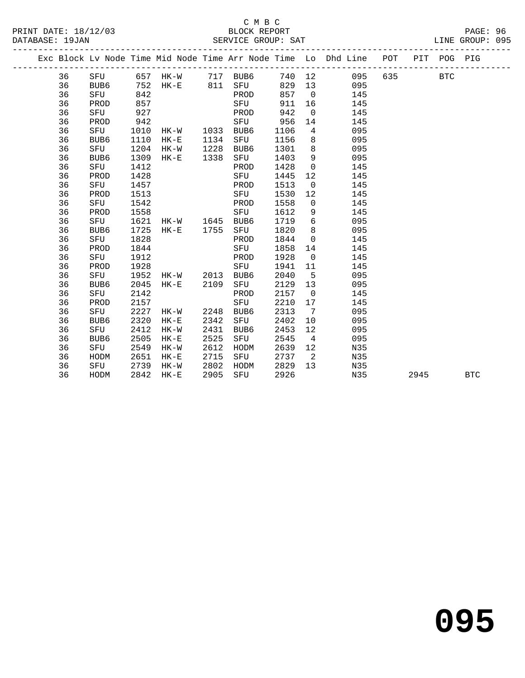#### C M B C DATABASE: 19JAN SERVICE GROUP: SAT LINE GROUP: 095

 36 SFU 1542 PROD 1558 0 145 36 PROD 1558 SFU 1612 9 145 36 SFU 1621 HK-W 1645 BUB6 1719 6 095 36 BUB6 1725 HK-E 1755 SFU 1820 8 095 36 SFU 1828 PROD 1844 0 145

36 SFU 1912 PROD 1928 0 145

 36 SFU 2142 PROD 2157 0 145 36 PROD 2157 SFU 2210 17

 36 BUB6 2320 HK-E 2342 SFU 2402 10 095 36 SFU 2412 HK-W 2431 BUB6 2453 12 095 36 BUB6 2505 HK-E 2525 SFU 2545 4 095 36 SFU 2549 HK-W 2612 HODM 2639 12 N35 36 HODM 2651 HK-E 2715 SFU 2737 2 N35 36 SFU 2739 HK-W 2802 HODM 2829 13 N35

36 SFU 1828 PROD 1844 0 145<br>36 PROD 1844 SFU 1858 14 145<br>36 SFU 1912 PROD 1928 0 145

 36 PROD 1928 SFU 1941 11 145 36 SFU 1952 HK-W 2013 BUB6 2040 5 095 36 BUB6 2045 HK-E 2109 SFU 2129 13 095

36 SFU 2227 HK-W 2248 BUB6 2313 7 095

|    |      |      |        |      |                  |      |                | Exc Block Ly Node Time Mid Node Time Arr Node Time Lo Dhd Line | POT | PIT | POG.       | PIG |
|----|------|------|--------|------|------------------|------|----------------|----------------------------------------------------------------|-----|-----|------------|-----|
| 36 | SFU  | 657  | HK-W   | 717  | BUB6             | 740  | 12             | 095                                                            | 635 |     | <b>BTC</b> |     |
| 36 | BUB6 | 752  | HK-E   | 811  | SFU              | 829  | 13             | 095                                                            |     |     |            |     |
| 36 | SFU  | 842  |        |      | PROD             | 857  | $\overline{0}$ | 145                                                            |     |     |            |     |
| 36 | PROD | 857  |        |      | SFU              | 911  | 16             | 145                                                            |     |     |            |     |
| 36 | SFU  | 927  |        |      | PROD             | 942  | $\Omega$       | 145                                                            |     |     |            |     |
| 36 | PROD | 942  |        |      | SFU              | 956  | 14             | 145                                                            |     |     |            |     |
| 36 | SFU  | 1010 | HK-W   | 1033 | BUB6             | 1106 | 4              | 095                                                            |     |     |            |     |
| 36 | BUB6 | 1110 | $HK-E$ | 1134 | SFU              | 1156 | 8              | 095                                                            |     |     |            |     |
| 36 | SFU  | 1204 | HK-W   | 1228 | BUB <sub>6</sub> | 1301 | 8              | 095                                                            |     |     |            |     |
| 36 | BUB6 | 1309 | HK-E   | 1338 | SFU              | 1403 | 9              | 095                                                            |     |     |            |     |
| 36 | SFU  | 1412 |        |      | PROD             | 1428 | $\Omega$       | 145                                                            |     |     |            |     |
| 36 | PROD | 1428 |        |      | SFU              | 1445 | 12             | 145                                                            |     |     |            |     |
| 36 | SFU  | 1457 |        |      | PROD             | 1513 | $\Omega$       | 145                                                            |     |     |            |     |
| 36 | PROD | 1513 |        |      | SFU              | 1530 | 12             | 145                                                            |     |     |            |     |

36 HODM 2842 HK-E 2905 SFU 2926 N35 2945 BTC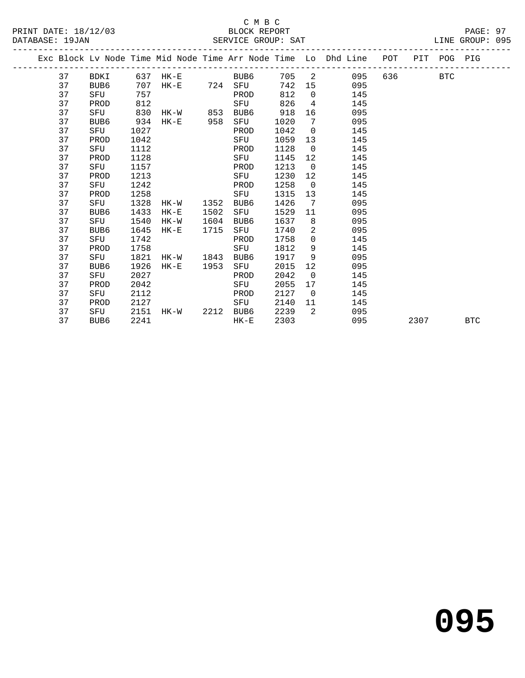|  |    |      |      |              |      |      |      |                   | Exc Block Lv Node Time Mid Node Time Arr Node Time Lo Dhd Line POT PIT POG PIG |     |      |     |            |
|--|----|------|------|--------------|------|------|------|-------------------|--------------------------------------------------------------------------------|-----|------|-----|------------|
|  | 37 | BDKI |      | 637 HK-E     |      | BUB6 | 705  | $\overline{2}$    | 095                                                                            | 636 |      | BTC |            |
|  | 37 | BUB6 | 707  | HK-E 724 SFU |      |      | 742  | 15                | 095                                                                            |     |      |     |            |
|  | 37 | SFU  | 757  |              |      | PROD | 812  |                   | $0 \qquad \qquad$<br>145                                                       |     |      |     |            |
|  | 37 | PROD | 812  |              |      | SFU  | 826  | $4\overline{ }$   | 145                                                                            |     |      |     |            |
|  | 37 | SFU  | 830  | HK-W 853     |      | BUB6 | 918  | 16                | 095                                                                            |     |      |     |            |
|  | 37 | BUB6 | 934  | $HK-E$       | 958  | SFU  | 1020 | 7                 | 095                                                                            |     |      |     |            |
|  | 37 | SFU  | 1027 |              |      | PROD | 1042 | $\overline{0}$    | 145                                                                            |     |      |     |            |
|  | 37 | PROD | 1042 |              |      | SFU  | 1059 | 13                | 145                                                                            |     |      |     |            |
|  | 37 | SFU  | 1112 |              |      | PROD | 1128 | $\overline{0}$    | 145                                                                            |     |      |     |            |
|  | 37 | PROD | 1128 |              |      | SFU  | 1145 | 12                | 145                                                                            |     |      |     |            |
|  | 37 | SFU  | 1157 |              |      | PROD | 1213 | $\overline{0}$    | 145                                                                            |     |      |     |            |
|  | 37 | PROD | 1213 |              |      | SFU  | 1230 | $12 \overline{ }$ | 145                                                                            |     |      |     |            |
|  | 37 | SFU  | 1242 |              |      | PROD | 1258 | $\overline{0}$    | 145                                                                            |     |      |     |            |
|  | 37 | PROD | 1258 |              |      | SFU  | 1315 | 13 <sup>°</sup>   | 145                                                                            |     |      |     |            |
|  | 37 | SFU  | 1328 | HK-W         | 1352 | BUB6 | 1426 | 7                 | 095                                                                            |     |      |     |            |
|  | 37 | BUB6 | 1433 | $HK-E$       | 1502 | SFU  | 1529 | 11                | 095                                                                            |     |      |     |            |
|  | 37 | SFU  | 1540 | HK-W         | 1604 | BUB6 | 1637 | 8                 | 095                                                                            |     |      |     |            |
|  | 37 | BUB6 | 1645 | $HK-E$       | 1715 | SFU  | 1740 | $\overline{2}$    | 095                                                                            |     |      |     |            |
|  | 37 | SFU  | 1742 |              |      | PROD | 1758 | $\overline{0}$    | 145                                                                            |     |      |     |            |
|  | 37 | PROD | 1758 |              |      | SFU  | 1812 | 9                 | 145                                                                            |     |      |     |            |
|  | 37 | SFU  | 1821 | HK-W         | 1843 | BUB6 | 1917 | 9                 | 095                                                                            |     |      |     |            |
|  | 37 | BUB6 | 1926 | $HK-E$       | 1953 | SFU  | 2015 | $12 \overline{ }$ | 095                                                                            |     |      |     |            |
|  | 37 | SFU  | 2027 |              |      | PROD | 2042 | $\overline{0}$    | 145                                                                            |     |      |     |            |
|  | 37 | PROD | 2042 |              |      | SFU  | 2055 | 17                | 145                                                                            |     |      |     |            |
|  | 37 | SFU  | 2112 |              |      | PROD | 2127 | $\overline{0}$    | 145                                                                            |     |      |     |            |
|  | 37 | PROD | 2127 |              |      | SFU  | 2140 | 11                | 145                                                                            |     |      |     |            |
|  | 37 | SFU  | 2151 | HK-W 2212    |      | BUB6 | 2239 | 2                 | 095                                                                            |     |      |     |            |
|  | 37 | BUB6 | 2241 |              |      | HK-E | 2303 |                   | 095                                                                            |     | 2307 |     | <b>BTC</b> |
|  |    |      |      |              |      |      |      |                   |                                                                                |     |      |     |            |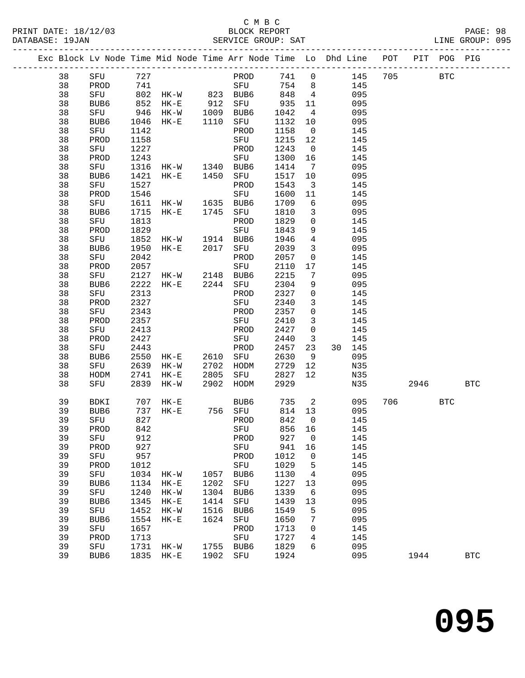## C M B C<br>BLOCK REPORT

|  |          |             |             |                     |      |                                                                                              |              |                         |               |         |     | LINE GROUP: 095 |  |
|--|----------|-------------|-------------|---------------------|------|----------------------------------------------------------------------------------------------|--------------|-------------------------|---------------|---------|-----|-----------------|--|
|  |          |             |             |                     |      | Exc Block Lv Node Time Mid Node Time Arr Node Time Lo Dhd Line POT PIT POG PIG               |              |                         |               |         |     |                 |  |
|  | 38       |             |             | SFU 727             |      | PROD 741 0 145 705 BTC                                                                       |              |                         |               |         |     |                 |  |
|  | 38       | PROD 741    |             |                     |      |                                                                                              |              |                         | SFU 754 8 145 |         |     |                 |  |
|  | 38       |             |             |                     |      | SFU 802 HK-W 823 BUB6 848 4<br>BUB6 852 HK-E 912 SFU 935 11<br>SFU 946 HK-W 1009 BUB6 1042 4 |              |                         | 095           |         |     |                 |  |
|  | 38       |             |             |                     |      |                                                                                              |              |                         | 095           |         |     |                 |  |
|  | 38       |             |             |                     |      |                                                                                              |              |                         | 095           |         |     |                 |  |
|  | 38       | BUB6        | 1046        | HK-E 1110 SFU       |      |                                                                                              | 1132 10      |                         | 095           |         |     |                 |  |
|  | 38       | SFU         | 1142        |                     |      | PROD                                                                                         | 1158         | $\overline{0}$          | 145           |         |     |                 |  |
|  | 38       | PROD        | 1158        |                     |      | SFU                                                                                          | 1215 12      |                         | 145           |         |     |                 |  |
|  | 38       | SFU         | 1227        |                     |      | PROD                                                                                         | 1243         | $\overline{\mathbf{0}}$ | 145           |         |     |                 |  |
|  | 38       | PROD        | 1243        |                     |      | SFU                                                                                          | 1300 16      |                         | 145           |         |     |                 |  |
|  | 38       | SFU         |             | 1316 HK-W 1340 BUB6 |      |                                                                                              | 1414         | $\overline{7}$          | 095           |         |     |                 |  |
|  | 38       | BUB6        | 1421        | HK-E 1450 SFU       |      |                                                                                              | 1517 10      |                         | 095           |         |     |                 |  |
|  | 38       | SFU         | 1527        |                     |      | PROD                                                                                         | 1543         | $\overline{\mathbf{3}}$ | 145           |         |     |                 |  |
|  | 38       | PROD        | 1546        |                     |      | SFU                                                                                          | 1600         | 11                      | 145           |         |     |                 |  |
|  | 38       | SFU         | 1611        | HK-W 1635 BUB6      |      |                                                                                              | 1709         | 6                       | 095           |         |     |                 |  |
|  | 38       | BUB6        | 1715        | HK-E 1745 SFU       |      |                                                                                              | 1810         | $\overline{\mathbf{3}}$ | 095           |         |     |                 |  |
|  | 38<br>38 | SFU         | 1813        |                     |      | PROD                                                                                         | 1829         | $\overline{0}$          | 145<br>145    |         |     |                 |  |
|  | 38       | PROD<br>SFU | 1829        | 1852 HK-W 1914 BUB6 |      | SFU                                                                                          | 1843<br>1946 | 9<br>$\overline{4}$     | 095           |         |     |                 |  |
|  | 38       | BUB6        | 1950        |                     |      |                                                                                              | 2039         | $\mathbf{3}$            | 095           |         |     |                 |  |
|  | 38       | SFU         | 2042        | HK-E 2017 SFU       |      | PROD                                                                                         | 2057         | $\overline{0}$          | 145           |         |     |                 |  |
|  | 38       | PROD        | 2057        |                     |      | SFU                                                                                          | 2110         | 17                      | 145           |         |     |                 |  |
|  | 38       | SFU         | 2127        | HK-W 2148 BUB6      |      |                                                                                              | 2215         | $\overline{7}$          | 095           |         |     |                 |  |
|  | 38       | BUB6        | 2222        | HK-E 2244 SFU       |      |                                                                                              | 2304         | 9                       | 095           |         |     |                 |  |
|  | 38       | SFU         | 2313        |                     |      | PROD                                                                                         | 2327         | $\overline{0}$          | 145           |         |     |                 |  |
|  | 38       | PROD        | 2327        |                     |      | SFU                                                                                          | 2340         | $\mathbf{3}$            | 145           |         |     |                 |  |
|  | 38       | SFU         | 2343        |                     |      | PROD                                                                                         | 2357         | $\overline{0}$          | 145           |         |     |                 |  |
|  | 38       | PROD        | 2357        |                     |      | SFU                                                                                          | 2410         | $\mathbf{3}$            | 145           |         |     |                 |  |
|  | 38       | SFU         | 2413        |                     |      | PROD                                                                                         | 2427         | $\overline{0}$          | 145           |         |     |                 |  |
|  | 38       | PROD        | 2427        |                     |      | SFU                                                                                          | 2440         | $\overline{\mathbf{3}}$ | 145           |         |     |                 |  |
|  | 38       | SFU         | 2443        |                     |      | PROD                                                                                         | 2457         | 23                      | 30 145        |         |     |                 |  |
|  | 38       | BUB6        | 2550        | HK-E 2610 SFU       |      |                                                                                              | 2630         | 9                       | 095           |         |     |                 |  |
|  | 38       | SFU         |             |                     |      | 2639 HK-W 2702 HODM<br>2741 HK-E 2805 SFU                                                    | 2729 12      |                         | N35           |         |     |                 |  |
|  | 38       | HODM        |             |                     |      |                                                                                              | 2827 12      |                         | N35           |         |     |                 |  |
|  | 38       | SFU         |             | 2839 HK-W           |      | 2902 HODM                                                                                    | 2929         |                         | N35           | 2946    |     | <b>BTC</b>      |  |
|  | 39       | BDKI        |             |                     |      |                                                                                              |              |                         | 095           | 706 700 | BTC |                 |  |
|  | 39       | BUB6        |             |                     |      |                                                                                              |              |                         | 095           |         |     |                 |  |
|  | 39       |             |             |                     |      | SFU 827 PROD 842 0 145                                                                       |              |                         |               |         |     |                 |  |
|  | 39       | PROD        | 842         |                     |      | SFU                                                                                          | 856          | 16                      | 145           |         |     |                 |  |
|  | 39       | SFU         | 912         |                     |      | PROD                                                                                         | 927          | $\overline{0}$          | 145           |         |     |                 |  |
|  | 39       | PROD        | 927         |                     |      | SFU                                                                                          | 941          | 16                      | 145           |         |     |                 |  |
|  | 39<br>39 | SFU<br>PROD | 957<br>1012 |                     |      | PROD<br>SFU                                                                                  | 1012<br>1029 | $\overline{0}$          | 145<br>145    |         |     |                 |  |
|  | 39       | SFU         | 1034        | HK-W                | 1057 | BUB6                                                                                         | 1130         | 5<br>4                  | 095           |         |     |                 |  |
|  | 39       | BUB6        | 1134        |                     | 1202 | SFU                                                                                          | 1227         | 13                      | 095           |         |     |                 |  |
|  | 39       | SFU         | 1240        | $HK-E$<br>$HK-W$    | 1304 | BUB6                                                                                         | 1339         | 6                       | 095           |         |     |                 |  |
|  | 39       | BUB6        | 1345        | HK-E                | 1414 | SFU                                                                                          | 1439         | 13                      | 095           |         |     |                 |  |
|  | 39       | SFU         | 1452        | HK-W                | 1516 | BUB <sub>6</sub>                                                                             | 1549         | 5                       | 095           |         |     |                 |  |
|  | 39       | BUB6        | 1554        | HK-E                | 1624 | SFU                                                                                          | 1650         | 7                       | 095           |         |     |                 |  |
|  | 39       | SFU         | 1657        |                     |      | PROD                                                                                         | 1713         | $\mathbf{0}$            | 145           |         |     |                 |  |
|  |          |             |             |                     |      |                                                                                              |              |                         |               |         |     |                 |  |

 39 SFU 1657 PROD 1713 0 145 39 PROD 1713 SFU 1727 4 145 39 SFU 1731 HK-W 1755 BUB6 1829 6 095

39 BUB6 1835 HK-E 1902 SFU 1924 095 1944 BTC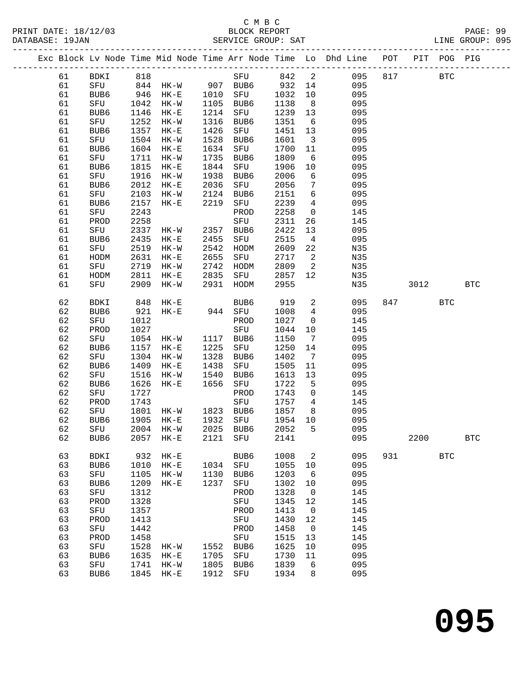|          |             |              |                                  |              |             |              |                          | Exc Block Lv Node Time Mid Node Time Arr Node Time Lo Dhd Line POT PIT POG PIG |     |            |            |              |
|----------|-------------|--------------|----------------------------------|--------------|-------------|--------------|--------------------------|--------------------------------------------------------------------------------|-----|------------|------------|--------------|
| 61       | BDKI 818    |              |                                  |              |             | SFU 842      |                          | $\overline{2}$<br>095                                                          | 817 | <b>BTC</b> |            |              |
| 61       |             |              | SFU 844 HK-W 907 BUB6            |              |             | 932          | 14                       | 095                                                                            |     |            |            |              |
| 61       | BUB6        |              | 946 HK-E 1010 SFU                |              |             | 1032         | 10                       | 095                                                                            |     |            |            |              |
| 61       | SFU         |              | 1042 HK-W                        | 1105         | BUB6        | 1138         | 8 <sup>8</sup>           | 095                                                                            |     |            |            |              |
| 61       | BUB6        | 1146         | $HK-E$                           | 1214         | SFU         | 1239         | 13                       | 095                                                                            |     |            |            |              |
| 61       | SFU         | 1252         | HK-W                             | 1316         | BUB6        | 1351         | $6\overline{6}$          | 095                                                                            |     |            |            |              |
| 61       | BUB6        |              | 1357 HK-E                        | 1426         | SFU         | 1451         | 13                       | 095                                                                            |     |            |            |              |
| 61       | SFU         | 1504         | HK-W                             | 1528         | BUB6        | 1601         | $\overline{\mathbf{3}}$  | 095                                                                            |     |            |            |              |
| 61       | BUB6        | 1604         | $HK-E$                           | 1634         | SFU         | 1700         | 11                       | 095                                                                            |     |            |            |              |
| 61       | SFU         |              | 1711 HK-W                        | 1735         | BUB6        | 1809         | 6                        | 095                                                                            |     |            |            |              |
| 61       | BUB6        | 1815         | $HK-E$                           | 1844         | SFU         | 1906         | 10                       | 095                                                                            |     |            |            |              |
| 61       | SFU         | 1916         | $HK-W$                           | 1938         | BUB6        | 2006         | 6                        | 095                                                                            |     |            |            |              |
| 61       | BUB6        | 2012         | $HK-E$                           | 2036         | SFU         | 2056         | $7\phantom{.0}$          | 095                                                                            |     |            |            |              |
| 61       | SFU         | 2103         | $HK-W$                           | 2124         | BUB6        | 2151         | 6                        | 095                                                                            |     |            |            |              |
| 61       | BUB6        | 2157         | $HK-E$                           | 2219         | SFU         | 2239         | $\overline{4}$           | 095                                                                            |     |            |            |              |
| 61       | SFU         | 2243         |                                  |              | PROD        | 2258         | $\overline{\mathbf{0}}$  | 145                                                                            |     |            |            |              |
| 61       | PROD        | 2258         |                                  |              | SFU         | 2311         | 26                       | 145                                                                            |     |            |            |              |
| 61       | SFU         |              | 2337 HK-W 2357 BUB6              |              |             | 2422         | 13                       | 095                                                                            |     |            |            |              |
| 61       | BUB6        | 2435         | $HK-E$                           | 2455         | SFU         | 2515         | $\overline{4}$           | 095                                                                            |     |            |            |              |
| 61       | SFU         | 2519         | $HK-W$                           | 2542         | HODM        | 2609         | 22                       | N35                                                                            |     |            |            |              |
| 61       | HODM        | 2631         | $HK-E$                           | 2655         | SFU         | 2717         | $\overline{\phantom{a}}$ | N35                                                                            |     |            |            |              |
| 61       | SFU         | 2719         | HK-W                             | 2742         | HODM        | 2809         | $\overline{\phantom{a}}$ | N35                                                                            |     |            |            |              |
| 61       | HODM        | 2811         | $HK-E$                           | 2835         | SFU         | 2857         | 12                       | N35                                                                            |     |            |            |              |
| 61       | SFU         |              | 2909 HK-W                        | 2931         | HODM        | 2955         |                          | N35                                                                            |     | 3012       |            | $_{\rm BTC}$ |
| 62       | BDKI        |              | 848 HK-E                         |              | BUB6        | 919          | $\overline{a}$           | 095                                                                            |     | 847 — 100  | <b>BTC</b> |              |
| 62       | BUB6        |              | --- ---- –<br>921 HK-E 944 SFU   |              |             | 1008         | $\overline{4}$           | 095                                                                            |     |            |            |              |
| 62       | SFU         | 1012         |                                  |              | PROD        | 1027         | $\overline{0}$           | 145                                                                            |     |            |            |              |
| 62       | PROD        | 1027         |                                  |              | SFU         | 1044         | 10                       | 145                                                                            |     |            |            |              |
| 62       | SFU         |              | 1054 HK-W                        |              | 1117 BUB6   | 1150         | $\overline{7}$           | 095                                                                            |     |            |            |              |
| 62       | BUB6        |              | 1157 HK-E                        | 1225         | SFU         | 1250         | 14                       | 095                                                                            |     |            |            |              |
| 62       | SFU         | 1304         | HK-W                             | 1328         | BUB6        | 1402         | $\overline{7}$           | 095                                                                            |     |            |            |              |
| 62       | BUB6        | 1409         | $HK-E$                           | 1438         | SFU         | 1505         | 11                       | 095                                                                            |     |            |            |              |
| 62       | SFU         | 1516         | HK-W                             | 1540         | BUB6        | 1613         | 13                       | 095                                                                            |     |            |            |              |
| 62       | BUB6        | 1626         | HK-E                             | 1656         | SFU         | 1722         | 5                        | 095                                                                            |     |            |            |              |
| 62       | SFU         | 1727         |                                  |              | PROD        | 1743         | $\overline{0}$           | 145                                                                            |     |            |            |              |
| 62       | PROD        | 1743         |                                  |              | SFU         | 1757         | $\overline{4}$           | 145                                                                            |     |            |            |              |
| 62       | SFU         | 1801         | HK-W 1823 BUB6                   |              |             | 1857         | 8 <sup>8</sup>           | 095                                                                            |     |            |            |              |
| 62       | BUB6        | 1905         | $HK-E$                           |              | 1932 SFU    | 1954         | 10                       | 095                                                                            |     |            |            |              |
| 62<br>62 | SFU<br>BUB6 |              | 2004 HK-W 2025 BUB6<br>2057 HK-E | 2121         | SFU         | 2052<br>2141 | 5                        | 095<br>095                                                                     |     | 2200       |            | $_{\rm BTC}$ |
|          |             |              |                                  |              |             |              |                          |                                                                                |     |            |            |              |
| 63       | <b>BDKI</b> |              | 932 HK-E                         |              | BUB6        | 1008         | 2                        | 095                                                                            |     | 931 931    | <b>BTC</b> |              |
| 63       | BUB6        |              | 1010 HK-E                        | 1034         | SFU         | 1055         | 10                       | 095                                                                            |     |            |            |              |
| 63       | SFU         | 1105         | HK-W                             | 1130         | BUB6        | 1203         | 6                        | 095                                                                            |     |            |            |              |
| 63       | BUB6        | 1209         | $HK-E$                           | 1237         | SFU         | 1302         | 10                       | 095                                                                            |     |            |            |              |
| 63       | SFU         | 1312         |                                  |              | PROD        | 1328         | $\overline{0}$           | 145                                                                            |     |            |            |              |
| 63       | PROD        | 1328         |                                  |              | SFU         | 1345         | 12                       | 145                                                                            |     |            |            |              |
| 63       | SFU         | 1357         |                                  |              | PROD        | 1413         | $\overline{0}$           | 145                                                                            |     |            |            |              |
| 63       | PROD        | 1413         |                                  |              | SFU         | 1430         | 12                       | 145                                                                            |     |            |            |              |
| 63       | SFU         | 1442         |                                  |              | PROD        | 1458         | $\overline{0}$           | 145                                                                            |     |            |            |              |
| 63       | PROD        | 1458         |                                  |              | SFU         | 1515         | 13                       | 145                                                                            |     |            |            |              |
| 63<br>63 | SFU         | 1528<br>1635 | HK-W                             | 1552<br>1705 | BUB6        | 1625         | 10                       | 095<br>095                                                                     |     |            |            |              |
| 63       | BUB6<br>SFU | 1741         | $HK-E$<br>HK-W                   | 1805         | SFU<br>BUB6 | 1730<br>1839 | 11<br>6                  | 095                                                                            |     |            |            |              |
| 63       | BUB6        |              | 1845 HK-E                        | 1912         | SFU         | 1934         | 8                        | 095                                                                            |     |            |            |              |
|          |             |              |                                  |              |             |              |                          |                                                                                |     |            |            |              |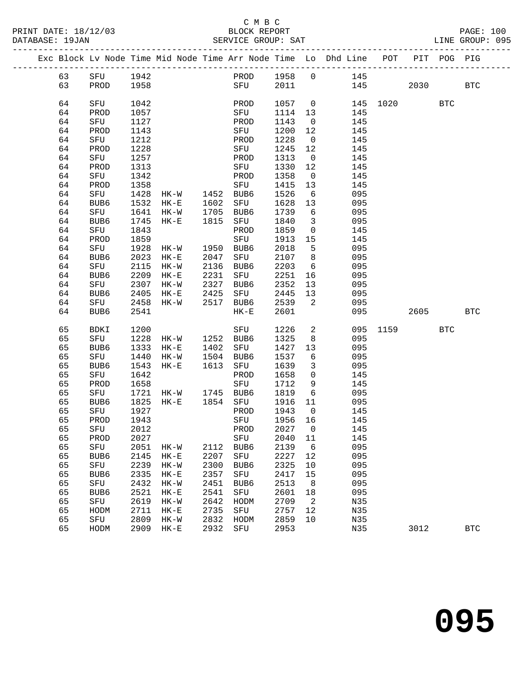#### C M B C<br>BLOCK REPORT DATABASE: 19JAN SERVICE GROUP: SAT LINE GROUP: 095

|  |    |                  |      | -------------------- |      |             |         |                | ----------------------<br>Exc Block Lv Node Time Mid Node Time Arr Node Time Lo Dhd Line POT |          |      | PIT POG PIG |            |
|--|----|------------------|------|----------------------|------|-------------|---------|----------------|----------------------------------------------------------------------------------------------|----------|------|-------------|------------|
|  | 63 | SFU              | 1942 |                      |      | PROD        | 1958    | $\overline{0}$ | 145                                                                                          |          |      |             |            |
|  | 63 | PROD             | 1958 |                      |      | SFU         | 2011    |                |                                                                                              | 145      | 2030 |             | <b>BTC</b> |
|  | 64 | SFU              | 1042 |                      |      | PROD        | 1057    | $\overline{0}$ |                                                                                              | 145 1020 |      | <b>BTC</b>  |            |
|  | 64 | PROD             | 1057 |                      |      | SFU         | 1114    | 13             | 145                                                                                          |          |      |             |            |
|  | 64 | SFU              | 1127 |                      |      | PROD        | 1143    | $\overline{0}$ | 145                                                                                          |          |      |             |            |
|  | 64 | PROD             | 1143 |                      |      | SFU         | 1200    | 12             | 145                                                                                          |          |      |             |            |
|  | 64 | SFU              | 1212 |                      |      | PROD        | 1228    | $\overline{0}$ | 145                                                                                          |          |      |             |            |
|  | 64 | PROD             | 1228 |                      |      | SFU         | 1245    | 12             | 145                                                                                          |          |      |             |            |
|  | 64 | SFU              | 1257 |                      |      | PROD        | 1313    | $\overline{0}$ | 145                                                                                          |          |      |             |            |
|  | 64 | PROD             | 1313 |                      |      | SFU         | 1330    | 12             | 145                                                                                          |          |      |             |            |
|  | 64 | SFU              | 1342 |                      |      | PROD        | 1358    | $\overline{0}$ | 145                                                                                          |          |      |             |            |
|  | 64 | PROD             | 1358 |                      |      | SFU         | 1415    | 13             | 145                                                                                          |          |      |             |            |
|  | 64 | SFU              | 1428 | HK-W                 | 1452 | BUB6        | 1526    | 6              | 095                                                                                          |          |      |             |            |
|  | 64 | BUB <sub>6</sub> | 1532 | $HK-E$               | 1602 | SFU         | 1628    | 13             | 095                                                                                          |          |      |             |            |
|  | 64 | SFU              | 1641 | HK-W                 | 1705 | BUB6        | 1739    | 6              | 095                                                                                          |          |      |             |            |
|  | 64 | BUB6             | 1745 | HK-E                 | 1815 | SFU         | 1840    | $\overline{3}$ | 095                                                                                          |          |      |             |            |
|  | 64 | SFU              | 1843 |                      |      | PROD        | 1859    | $\mathsf{O}$   | 145                                                                                          |          |      |             |            |
|  | 64 | PROD             | 1859 |                      |      | SFU         | 1913    | 15             | 145                                                                                          |          |      |             |            |
|  | 64 | SFU              | 1928 | HK-W                 | 1950 | BUB6        | 2018    | 5              | 095                                                                                          |          |      |             |            |
|  | 64 | BUB <sub>6</sub> | 2023 | $HK-E$               | 2047 | SFU         | 2107    | 8              | 095                                                                                          |          |      |             |            |
|  | 64 | SFU              | 2115 | HK-W                 | 2136 | BUB6        | 2203    | 6              | 095                                                                                          |          |      |             |            |
|  | 64 | BUB6             | 2209 | $HK-E$               | 2231 | SFU         | 2251    | 16             | 095                                                                                          |          |      |             |            |
|  | 64 | SFU              | 2307 | HK-W                 | 2327 | BUB6        | 2352    | 13             | 095                                                                                          |          |      |             |            |
|  | 64 | BUB <sub>6</sub> | 2405 | $HK-E$               | 2425 | SFU         | 2445    | 13             | 095                                                                                          |          |      |             |            |
|  | 64 | SFU              | 2458 | $HK-W$               | 2517 | BUB6        | 2539    | 2              | 095                                                                                          |          |      |             |            |
|  | 64 | BUB6             | 2541 |                      |      | $HK-E$      | 2601    |                | 095                                                                                          |          | 2605 |             | <b>BTC</b> |
|  |    |                  |      |                      |      |             |         |                |                                                                                              |          |      |             |            |
|  | 65 | BDKI             | 1200 |                      |      | SFU         | 1226    | 2              | 095                                                                                          | 1159     |      | <b>BTC</b>  |            |
|  | 65 | SFU              | 1228 | HK-W                 |      | 1252 BUB6   | 1325    | 8              | 095                                                                                          |          |      |             |            |
|  | 65 | BUB6             | 1333 | $HK-E$               | 1402 | SFU         | 1427    | 13             | 095                                                                                          |          |      |             |            |
|  | 65 | SFU              | 1440 | HK-W                 | 1504 | BUB6        | 1537    | 6              | 095                                                                                          |          |      |             |            |
|  | 65 | BUB6             | 1543 | $HK-E$               | 1613 | SFU         | 1639    | 3              | 095                                                                                          |          |      |             |            |
|  | 65 | SFU              | 1642 |                      |      | PROD        | 1658    | $\mathbf 0$    | 145                                                                                          |          |      |             |            |
|  | 65 | PROD             | 1658 |                      |      | SFU         | 1712    | 9              | 145                                                                                          |          |      |             |            |
|  | 65 | SFU              | 1721 | HK-W 1745            |      | BUB6        | 1819    | 6              | 095                                                                                          |          |      |             |            |
|  | 65 | BUB6             | 1825 | HK-E                 |      | 1854 SFU    | 1916    | 11             | 095                                                                                          |          |      |             |            |
|  | 65 | SFU              | 1927 |                      |      | PROD        | 1943    | $\overline{0}$ | 145                                                                                          |          |      |             |            |
|  | 65 | PROD             | 1943 |                      |      | SFU         | 1956 16 |                | 145                                                                                          |          |      |             |            |
|  | 65 | ${\tt SFU}$      | 2012 |                      |      | PROD        | 2027    | 0              | 145                                                                                          |          |      |             |            |
|  | 65 | PROD             | 2027 |                      |      | ${\tt SFU}$ | 2040    | 11             | 145                                                                                          |          |      |             |            |
|  | 65 | SFU              | 2051 | $HK-W$               | 2112 | BUB6        | 2139    | 6              | 095                                                                                          |          |      |             |            |
|  | 65 | BUB6             | 2145 | $HK-E$               | 2207 | ${\tt SFU}$ | 2227    | 12             | 095                                                                                          |          |      |             |            |
|  | 65 | SFU              | 2239 | $HK-W$               | 2300 | BUB6        | 2325    | 10             | 095                                                                                          |          |      |             |            |
|  | 65 | BUB6             | 2335 | $HK-E$               | 2357 | SFU         | 2417    | 15             | 095                                                                                          |          |      |             |            |
|  | 65 | ${\tt SFU}$      | 2432 | $HK-W$               | 2451 | BUB6        | 2513    | 8              | 095                                                                                          |          |      |             |            |
|  | 65 | BUB6             | 2521 | $HK-E$               | 2541 | ${\tt SFU}$ | 2601    | 18             | 095                                                                                          |          |      |             |            |
|  | 65 | SFU              | 2619 | $HK-W$               | 2642 | HODM        | 2709    | 2              | N35                                                                                          |          |      |             |            |
|  | 65 | HODM             | 2711 | $HK-E$               | 2735 | SFU         | 2757    | 12             | N35                                                                                          |          |      |             |            |
|  | 65 | SFU              | 2809 | $HK-W$               | 2832 | HODM        | 2859    | 10             | N35                                                                                          |          |      |             |            |

65 HODM 2909 HK-E 2932 SFU 2953 N35 3012 BTC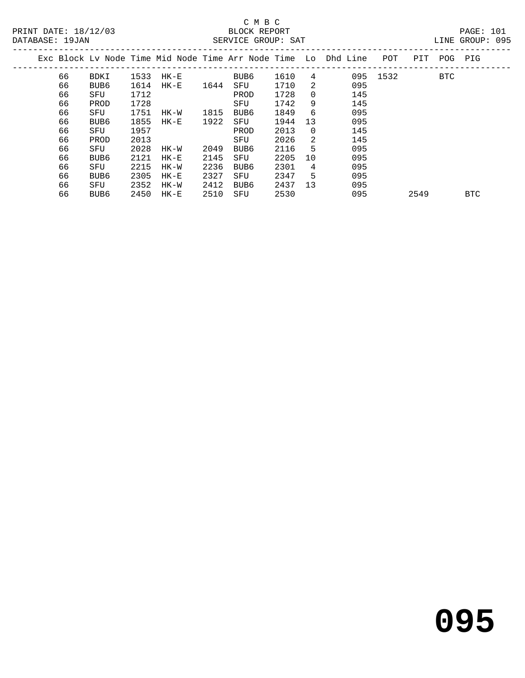#### C M B C<br>BLOCK REPORT SERVICE GROUP: SAT

|  | DAIADAOB . IJOAN |      |      |          |      |      | DERVICE CROOL · DAI |          |                                                                    |          |             | LINE OROOL . 023 |  |
|--|------------------|------|------|----------|------|------|---------------------|----------|--------------------------------------------------------------------|----------|-------------|------------------|--|
|  |                  |      |      |          |      |      |                     |          | Exc Block Ly Node Time Mid Node Time Arr Node Time Lo Dhd Line POT |          | PIT POG PIG |                  |  |
|  | 66               | BDKI | 1533 | $HK-E$   |      | BUB6 | 1610                | 4        |                                                                    | 095 1532 | BTC         |                  |  |
|  | 66               | BUB6 | 1614 | $HK - E$ | 1644 | SFU  | 1710                | 2        | 095                                                                |          |             |                  |  |
|  | 66               | SFU  | 1712 |          |      | PROD | 1728                | $\Omega$ | 145                                                                |          |             |                  |  |
|  | 66               | PROD | 1728 |          |      | SFU  | 1742                | 9        | 145                                                                |          |             |                  |  |
|  | 66               | SFU  | 1751 | HK-W     | 1815 | BUB6 | 1849                | 6        | 095                                                                |          |             |                  |  |
|  | 66               | BUB6 | 1855 | $HK - E$ | 1922 | SFU  | 1944                | 13       | 095                                                                |          |             |                  |  |
|  | 66               | SFU  | 1957 |          |      | PROD | 2013                | $\Omega$ | 145                                                                |          |             |                  |  |
|  | 66               | PROD | 2013 |          |      | SFU  | 2026                | 2        | 145                                                                |          |             |                  |  |
|  | 66               | SFU  | 2028 | HK-W     | 2049 | BUB6 | 2116                | 5.       | 095                                                                |          |             |                  |  |
|  | 66               | BUB6 | 2121 | HK-E     | 2145 | SFU  | 2205                | 10       | 095                                                                |          |             |                  |  |
|  | 66               | SFU  | 2215 | HK-W     | 2236 | BUB6 | 2301                | 4        | 095                                                                |          |             |                  |  |
|  | 66               | BUB6 | 2305 | HK-E     | 2327 | SFU  | 2347                | 5.       | 095                                                                |          |             |                  |  |
|  |                  |      |      |          |      |      |                     |          |                                                                    |          |             |                  |  |

66 BUB6 2450 HK-E 2510 SFU 2530 095 2549 BTC

66 SFU 2352 HK-W 2412 BUB6 2437 13 095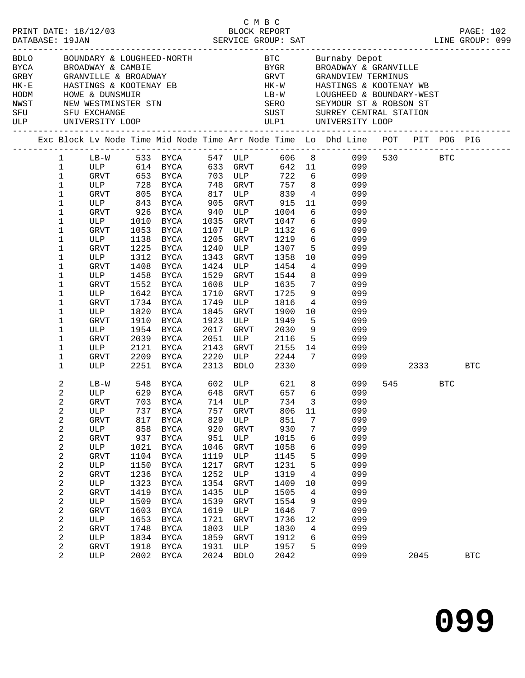|     |                         |               |      |                                                |               |                             |           |                 | BDLO BOUNDARY & LOUGHEED-NORTH BTC BUTNaby Depot<br>BYCA BROADWAY & CAMBIE<br>GRBY GRANVILLE & BROADWAY<br>HK-E HASTINGS & KOOTENAY EB<br>HODM HOWE & DUNSMUIR<br>HODM HOWE & DUNSMUIR<br>NEW WESTMINSTER STN SERO SEYMOUR ST & ROBSON ST |     |      |            |            |
|-----|-------------------------|---------------|------|------------------------------------------------|---------------|-----------------------------|-----------|-----------------|-------------------------------------------------------------------------------------------------------------------------------------------------------------------------------------------------------------------------------------------|-----|------|------------|------------|
|     |                         |               |      |                                                |               |                             |           |                 |                                                                                                                                                                                                                                           |     |      |            |            |
|     |                         |               |      |                                                |               |                             |           |                 |                                                                                                                                                                                                                                           |     |      |            |            |
|     |                         |               |      |                                                |               |                             |           |                 |                                                                                                                                                                                                                                           |     |      |            |            |
|     |                         |               |      |                                                |               |                             |           |                 |                                                                                                                                                                                                                                           |     |      |            |            |
|     |                         |               |      |                                                |               |                             |           |                 |                                                                                                                                                                                                                                           |     |      |            |            |
| SFU |                         | SFU EXCHANGE  |      |                                                |               |                             |           |                 | SUST SURREY CENTRAL STATION                                                                                                                                                                                                               |     |      |            |            |
|     |                         |               |      |                                                |               |                             |           |                 |                                                                                                                                                                                                                                           |     |      |            |            |
|     |                         |               |      |                                                |               |                             |           |                 | Exc Block Lv Node Time Mid Node Time Arr Node Time Lo Dhd Line POT PIT POG PIG                                                                                                                                                            |     |      |            |            |
|     | $\mathbf{1}$            |               |      | LB-W 533 BYCA 547 ULP<br>ULP 614 BYCA 633 GRVT |               |                             |           |                 | 606 8 099 530 BTC<br>642 11 099                                                                                                                                                                                                           |     |      |            |            |
|     | $\mathbf{1}$            |               |      |                                                |               |                             |           |                 |                                                                                                                                                                                                                                           |     |      |            |            |
|     | $\mathbf 1$             | GRVT 653 BYCA |      |                                                |               | 703 ULP                     |           |                 | 722 6 099                                                                                                                                                                                                                                 |     |      |            |            |
|     | $\mathbf 1$             | ULP 728 BYCA  |      |                                                |               | 748 GRVT                    |           |                 | 757 8 099                                                                                                                                                                                                                                 |     |      |            |            |
|     | $\mathbf 1$             | GRVT          |      | 805 BYCA<br>843 BYCA                           | $rac{c}{905}$ | 817 ULP 839<br>905 GRVT 915 |           |                 | $\begin{array}{cc} 4 & 099 \\ 11 & 099 \end{array}$                                                                                                                                                                                       |     |      |            |            |
|     | $1\,$                   | ULP           |      |                                                |               |                             |           |                 |                                                                                                                                                                                                                                           |     |      |            |            |
|     | $\mathbf 1$             | GRVT          |      | 926 BYCA                                       | 940           | ULP                         | 1004      |                 | $6\overline{6}$<br>099                                                                                                                                                                                                                    |     |      |            |            |
|     | $\mathbf 1$             | ULP           | 1010 | BYCA                                           | 1035          | GRVT                        | 1047      |                 | $6\overline{6}$<br>099                                                                                                                                                                                                                    |     |      |            |            |
|     | 1                       | GRVT          | 1053 | BYCA                                           | 1107          | ULP                         | 1132      |                 | 6 <sup>2</sup><br>099                                                                                                                                                                                                                     |     |      |            |            |
|     | $\mathbf 1$             | ULP           | 1138 | BYCA                                           | 1205          | GRVT                        | 1219      | $6\overline{6}$ | 099                                                                                                                                                                                                                                       |     |      |            |            |
|     | 1                       | GRVT          |      | 1225 BYCA                                      | 1240          | ULP                         | 1307      |                 | 5 <sup>1</sup><br>099                                                                                                                                                                                                                     |     |      |            |            |
|     | $\mathbf 1$             | ULP           | 1312 | BYCA                                           | 1343          | GRVT                        | 1358      | 10              | 099                                                                                                                                                                                                                                       |     |      |            |            |
|     | 1                       | GRVT          | 1408 | BYCA                                           | 1424          | ULP                         | 1454      | $4\overline{ }$ | 099                                                                                                                                                                                                                                       |     |      |            |            |
|     | 1                       | ULP           | 1458 | BYCA                                           | 1529          | GRVT                        | 1544      | 8               | 099                                                                                                                                                                                                                                       |     |      |            |            |
|     | $\mathbf 1$             | GRVT          |      | 1552 BYCA                                      | 1608          | ULP                         | 1635      | $7\overline{ }$ | 099                                                                                                                                                                                                                                       |     |      |            |            |
|     | 1                       | ULP           | 1642 | BYCA                                           | 1710          | GRVT                        | 1725      | 9               | 099                                                                                                                                                                                                                                       |     |      |            |            |
|     | 1                       | GRVT          | 1734 | BYCA                                           | 1749          | ULP                         | 1816      | $4\overline{ }$ | 099                                                                                                                                                                                                                                       |     |      |            |            |
|     | 1                       | ULP           | 1820 | BYCA                                           | 1845          | GRVT                        | 1900      | 10              | 099                                                                                                                                                                                                                                       |     |      |            |            |
|     | $\mathbf 1$             | GRVT          | 1910 | BYCA                                           | 1923          | ULP                         | 1949      | $5^{\circ}$     | 099                                                                                                                                                                                                                                       |     |      |            |            |
|     | 1                       | ULP           | 1954 | BYCA                                           | 2017          | GRVT                        | 2030      |                 | $9 \left( \frac{1}{2} \right)$<br>099                                                                                                                                                                                                     |     |      |            |            |
|     | $\mathbf 1$             | GRVT          | 2039 | BYCA                                           | 2051          | ULP                         | 2116      |                 | 5 <sub>1</sub><br>099                                                                                                                                                                                                                     |     |      |            |            |
|     | 1                       | ULP           | 2121 | BYCA                                           | 2143          | GRVT 2155 14<br>ULP 2244 7  |           | 14              | 099                                                                                                                                                                                                                                       |     |      |            |            |
|     | $\mathbf 1$             | GRVT          |      | 2209 BYCA                                      | 2220          |                             |           |                 | 099                                                                                                                                                                                                                                       |     |      |            |            |
|     | $\mathbf{1}$            | ULP           |      | 2251 BYCA                                      | 2313          |                             | BDLO 2330 |                 |                                                                                                                                                                                                                                           | 099 | 2333 |            | BTC        |
|     | 2                       | $LB-W$        |      |                                                |               |                             |           |                 | 099                                                                                                                                                                                                                                       |     | 545  | <b>BTC</b> |            |
|     | $\mathbf{2}$            | ULP           |      |                                                |               |                             |           |                 | 099                                                                                                                                                                                                                                       |     |      |            |            |
|     | 2                       | GRVT          |      | 703 BYCA 714 ULP                               |               |                             |           |                 | 734 3 099                                                                                                                                                                                                                                 |     |      |            |            |
|     | 2                       | ULP           | 737  | BYCA                                           | 757           | GRVT                        | 806       | 11              | 099                                                                                                                                                                                                                                       |     |      |            |            |
|     | 2                       | <b>GRVT</b>   | 817  | <b>BYCA</b>                                    | 829           | ULP                         | 851       | 7               | 099                                                                                                                                                                                                                                       |     |      |            |            |
|     | $\boldsymbol{2}$        | ULP           | 858  | BYCA                                           | 920           | GRVT                        | 930       | 7               | 099                                                                                                                                                                                                                                       |     |      |            |            |
|     | 2                       | GRVT          | 937  | <b>BYCA</b>                                    | 951           | ULP                         | 1015      | 6               | 099                                                                                                                                                                                                                                       |     |      |            |            |
|     | $\overline{\mathbf{c}}$ | ULP           | 1021 | BYCA                                           | 1046          | GRVT                        | 1058      | 6               | 099                                                                                                                                                                                                                                       |     |      |            |            |
|     | $\overline{\mathbf{c}}$ | GRVT          | 1104 | <b>BYCA</b>                                    | 1119          | ULP                         | 1145      | 5               | 099                                                                                                                                                                                                                                       |     |      |            |            |
|     | $\overline{\mathbf{c}}$ | ULP           | 1150 | <b>BYCA</b>                                    | 1217          | GRVT                        | 1231      | 5               | 099                                                                                                                                                                                                                                       |     |      |            |            |
|     | 2                       | GRVT          | 1236 | <b>BYCA</b>                                    | 1252          | ULP                         | 1319      | 4               | 099                                                                                                                                                                                                                                       |     |      |            |            |
|     | $\overline{\mathbf{c}}$ | ULP           | 1323 | <b>BYCA</b>                                    | 1354          | <b>GRVT</b>                 | 1409      | 10              | 099                                                                                                                                                                                                                                       |     |      |            |            |
|     | 2                       | <b>GRVT</b>   | 1419 | <b>BYCA</b>                                    | 1435          | ULP                         | 1505      | 4               | 099                                                                                                                                                                                                                                       |     |      |            |            |
|     | $\overline{\mathbf{c}}$ | ULP           | 1509 | BYCA                                           | 1539          | GRVT                        | 1554      | $\,9$           | 099                                                                                                                                                                                                                                       |     |      |            |            |
|     | 2                       | GRVT          | 1603 | <b>BYCA</b>                                    | 1619          | ULP                         | 1646      | 7               | 099                                                                                                                                                                                                                                       |     |      |            |            |
|     | $\overline{\mathbf{c}}$ | ULP           | 1653 | <b>BYCA</b>                                    | 1721          | GRVT                        | 1736      | 12              | 099                                                                                                                                                                                                                                       |     |      |            |            |
|     | $\overline{\mathbf{c}}$ | GRVT          | 1748 | <b>BYCA</b>                                    | 1803          | ULP                         | 1830      | 4               | 099                                                                                                                                                                                                                                       |     |      |            |            |
|     | $\boldsymbol{2}$        | ULP           | 1834 | BYCA                                           | 1859          | <b>GRVT</b>                 | 1912      | 6               | 099                                                                                                                                                                                                                                       |     |      |            |            |
|     | $\mathbf{2}$            | GRVT          | 1918 | <b>BYCA</b>                                    | 1931          | ULP                         | 1957      | 5               | 099                                                                                                                                                                                                                                       |     |      |            |            |
|     | $\overline{2}$          | ULP           |      | 2002 BYCA                                      | 2024          | <b>BDLO</b>                 | 2042      |                 | 099                                                                                                                                                                                                                                       |     | 2045 |            | <b>BTC</b> |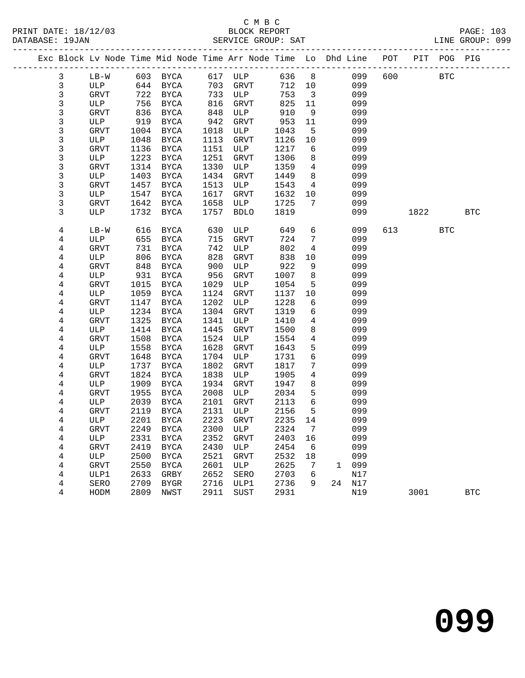# C M B C

|  | DATABASE: 19JAN |        |      |                     |      | SERVICE GROUP: SAT                                                             |         |                         |        |     |            |            | LINE GROUP: 099 |  |
|--|-----------------|--------|------|---------------------|------|--------------------------------------------------------------------------------|---------|-------------------------|--------|-----|------------|------------|-----------------|--|
|  |                 |        |      |                     |      | Exc Block Lv Node Time Mid Node Time Arr Node Time Lo Dhd Line POT PIT POG PIG |         |                         |        |     |            |            |                 |  |
|  | 3               |        |      |                     |      | LB-W 603 BYCA 617 ULP 636 8                                                    |         |                         | 099    | 600 | <b>BTC</b> |            |                 |  |
|  | 3               | ULP    |      | 644 BYCA            |      | 703 GRVT                                                                       | 712 10  |                         | 099    |     |            |            |                 |  |
|  | 3               | GRVT   | 722  | BYCA                |      | 733 ULP                                                                        | 753     | $\overline{\mathbf{3}}$ | 099    |     |            |            |                 |  |
|  | 3               | ULP    | 756  | BYCA                | 816  | GRVT                                                                           | 825     | 11                      | 099    |     |            |            |                 |  |
|  | 3               | GRVT   | 836  | BYCA                | 848  | ULP                                                                            | 910     | 9                       | 099    |     |            |            |                 |  |
|  | 3               | ULP    | 919  | BYCA                | 942  | GRVT                                                                           | 953     | 11                      | 099    |     |            |            |                 |  |
|  | 3               | GRVT   | 1004 | BYCA                | 1018 | ULP                                                                            | 1043    | 5                       | 099    |     |            |            |                 |  |
|  | 3               | ULP    | 1048 | BYCA                | 1113 | GRVT                                                                           | 1126    | 10                      | 099    |     |            |            |                 |  |
|  | 3               | GRVT   | 1136 | BYCA                | 1151 | ULP                                                                            | 1217    | 6                       | 099    |     |            |            |                 |  |
|  | 3               | ULP    | 1223 | BYCA                | 1251 | GRVT                                                                           | 1306    | 8                       | 099    |     |            |            |                 |  |
|  | 3               | GRVT   | 1314 | BYCA                | 1330 | ULP                                                                            | 1359    | $\overline{4}$          | 099    |     |            |            |                 |  |
|  | 3               | ULP    | 1403 | BYCA                | 1434 | GRVT                                                                           | 1449    | 8                       | 099    |     |            |            |                 |  |
|  | 3               | GRVT   | 1457 | BYCA                | 1513 | ULP                                                                            | 1543    | $4\overline{ }$         | 099    |     |            |            |                 |  |
|  | 3               | ULP    | 1547 | BYCA                | 1617 | GRVT                                                                           | 1632    | 10                      | 099    |     |            |            |                 |  |
|  | 3               | GRVT   | 1642 | BYCA                | 1658 | ULP                                                                            | 1725    | $7\overline{ }$         | 099    |     |            |            |                 |  |
|  | 3               | ULP    | 1732 | BYCA                | 1757 | <b>BDLO</b>                                                                    | 1819    |                         | 099    |     | 1822       |            | <b>BTC</b>      |  |
|  | 4               | $LB-W$ | 616  | BYCA                | 630  | ULP                                                                            | 649     | 6                       | 099    | 613 |            | <b>BTC</b> |                 |  |
|  | 4               | ULP    | 655  | BYCA                | 715  | GRVT                                                                           | 724     | $7\phantom{.0}$         | 099    |     |            |            |                 |  |
|  | 4               | GRVT   | 731  | BYCA                | 742  | ULP                                                                            | 802     | $4\overline{ }$         | 099    |     |            |            |                 |  |
|  | 4               | ULP    | 806  | BYCA                | 828  | GRVT                                                                           | 838     | 10                      | 099    |     |            |            |                 |  |
|  | 4               | GRVT   | 848  | BYCA                | 900  | ULP                                                                            | 922     | 9                       | 099    |     |            |            |                 |  |
|  | 4               | ULP    | 931  | BYCA                | 956  | GRVT                                                                           | 1007    | 8                       | 099    |     |            |            |                 |  |
|  | 4               | GRVT   | 1015 | BYCA                | 1029 | ULP                                                                            | 1054    | 5                       | 099    |     |            |            |                 |  |
|  | 4               | ULP    | 1059 | BYCA                | 1124 | GRVT                                                                           | 1137    | 10                      | 099    |     |            |            |                 |  |
|  | 4               | GRVT   | 1147 | BYCA                | 1202 | ULP                                                                            | 1228    | 6                       | 099    |     |            |            |                 |  |
|  | 4               | ULP    | 1234 | BYCA                | 1304 | GRVT                                                                           | 1319    | 6                       | 099    |     |            |            |                 |  |
|  | 4               | GRVT   | 1325 | BYCA                | 1341 | ULP                                                                            | 1410    | $\overline{4}$          | 099    |     |            |            |                 |  |
|  | 4               | ULP    | 1414 | BYCA                | 1445 | GRVT                                                                           | 1500    | 8                       | 099    |     |            |            |                 |  |
|  | 4               | GRVT   | 1508 | BYCA                | 1524 | ULP                                                                            | 1554    | $\overline{4}$          | 099    |     |            |            |                 |  |
|  | 4               | ULP    | 1558 | BYCA                | 1628 | GRVT                                                                           | 1643    | 5                       | 099    |     |            |            |                 |  |
|  | 4               | GRVT   | 1648 | BYCA                | 1704 | ULP                                                                            | 1731    | 6                       | 099    |     |            |            |                 |  |
|  | 4               | ULP    | 1737 | BYCA                | 1802 | GRVT                                                                           | 1817    | $7\phantom{.0}$         | 099    |     |            |            |                 |  |
|  | 4               | GRVT   | 1824 | BYCA                | 1838 | ULP                                                                            | 1905    | $4\overline{ }$         | 099    |     |            |            |                 |  |
|  | 4               | ULP    | 1909 | BYCA                | 1934 | GRVT                                                                           | 1947    | 8                       | 099    |     |            |            |                 |  |
|  | 4               | GRVT   | 1955 | BYCA                | 2008 | ULP                                                                            | 2034    | 5                       | 099    |     |            |            |                 |  |
|  | 4               | ULP    | 2039 | BYCA                | 2101 | GRVT                                                                           | 2113    | 6                       | 099    |     |            |            |                 |  |
|  | 4               | GRVT   |      | 2119 BYCA           | 2131 | ULP                                                                            | 2156    | 5                       | 099    |     |            |            |                 |  |
|  | 4               | ULP    |      | 2201 BYCA 2223 GRVT |      |                                                                                | 2235 14 |                         | 099    |     |            |            |                 |  |
|  | 4               | GRVT   | 2249 | BYCA                | 2300 | ULP                                                                            | 2324    | 7                       | 099    |     |            |            |                 |  |
|  | 4               | ULP    | 2331 | BYCA                | 2352 | GRVT                                                                           | 2403    | 16                      | 099    |     |            |            |                 |  |
|  | 4               | GRVT   | 2419 | BYCA                | 2430 | ULP                                                                            | 2454    | 6                       | 099    |     |            |            |                 |  |
|  | 4               | ULP    | 2500 | <b>BYCA</b>         | 2521 | GRVT                                                                           | 2532    | 18                      | 099    |     |            |            |                 |  |
|  | 4               | GRVT   | 2550 | BYCA                | 2601 | ULP                                                                            | 2625    | 7                       | 1 099  |     |            |            |                 |  |
|  | 4               | ULP1   | 2633 | GRBY                | 2652 | SERO                                                                           | 2703    | 6                       | N17    |     |            |            |                 |  |
|  | 4               | SERO   | 2709 | BYGR                | 2716 | ULP1                                                                           | 2736    | 9                       | 24 N17 |     |            |            |                 |  |
|  | 4               | HODM   | 2809 | NWST                | 2911 | SUST                                                                           | 2931    |                         | N19    |     | 3001       |            | <b>BTC</b>      |  |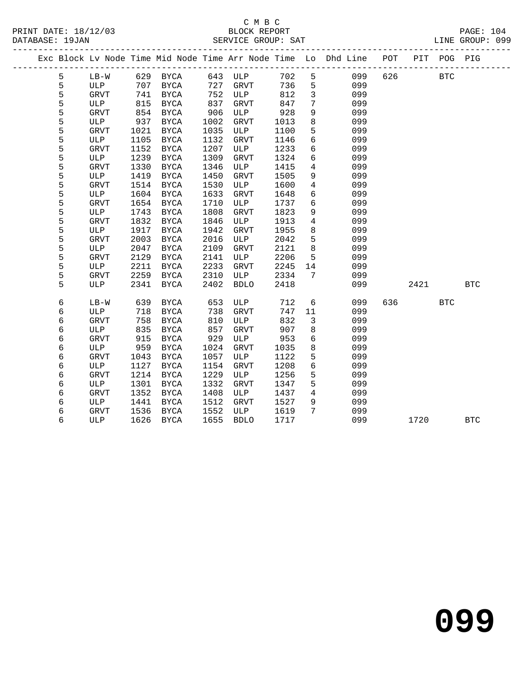# C M B C<br>BLOCK BEDORT

| PRINT DATE: 18/12/03<br>DATABASE: 19JAN |             |      |          |      | BLOCK REPORT<br>SERVICE GROUP: SAT |      |                 | PAGE: 104<br>LINE GROUP: 099                                                   |         |            |  |
|-----------------------------------------|-------------|------|----------|------|------------------------------------|------|-----------------|--------------------------------------------------------------------------------|---------|------------|--|
|                                         |             |      |          |      |                                    |      |                 | Exc Block Lv Node Time Mid Node Time Arr Node Time Lo Dhd Line POT PIT POG PIG |         |            |  |
| 5                                       | LB-W        |      | 629 BYCA | 643  | ULP                                | 702  |                 | $5^{\circ}$<br>099                                                             | 626 BTC |            |  |
| 5                                       | ULP         | 707  | BYCA     | 727  | GRVT                               | 736  |                 | $5^{\circ}$<br>099                                                             |         |            |  |
| 5                                       | GRVT        | 741  | BYCA     | 752  | ULP                                | 812  | $\overline{3}$  | 099                                                                            |         |            |  |
| 5                                       | ULP         | 815  | BYCA     | 837  | GRVT                               | 847  | 7               | 099                                                                            |         |            |  |
| 5                                       | GRVT        | 854  | BYCA     | 906  | ULP                                | 928  | 9               | 099                                                                            |         |            |  |
| 5                                       | ULP         | 937  | BYCA     | 1002 | GRVT                               | 1013 | 8               | 099                                                                            |         |            |  |
| 5                                       | GRVT        | 1021 | BYCA     | 1035 | ULP                                | 1100 | 5               | 099                                                                            |         |            |  |
| 5                                       | ULP         | 1105 | BYCA     | 1132 | GRVT                               | 1146 | 6               | 099                                                                            |         |            |  |
| 5                                       | <b>GRVT</b> | 1152 | BYCA     | 1207 | ULP                                | 1233 | 6               | 099                                                                            |         |            |  |
| 5                                       | ULP         | 1239 | BYCA     | 1309 | GRVT                               | 1324 | 6               | 099                                                                            |         |            |  |
| 5                                       | GRVT        | 1330 | BYCA     | 1346 | ULP                                | 1415 | $\overline{4}$  | 099                                                                            |         |            |  |
| 5                                       | ULP         | 1419 | BYCA     | 1450 | GRVT                               | 1505 | 9               | 099                                                                            |         |            |  |
| 5                                       | GRVT        | 1514 | BYCA     | 1530 | ULP                                | 1600 | $4\overline{ }$ | 099                                                                            |         |            |  |
| 5                                       | ULP         | 1604 | BYCA     | 1633 | GRVT                               | 1648 |                 | 6<br>099                                                                       |         |            |  |
| 5                                       | GRVT        | 1654 | BYCA     | 1710 | ULP                                | 1737 | 6               | 099                                                                            |         |            |  |
| 5                                       | ULP         | 1743 | BYCA     | 1808 | GRVT                               | 1823 | 9               | 099                                                                            |         |            |  |
| 5                                       | GRVT        | 1832 | BYCA     | 1846 | ULP                                | 1913 | $4\overline{ }$ | 099                                                                            |         |            |  |
| 5                                       | ULP         | 1917 | BYCA     | 1942 | GRVT                               | 1955 | 8               | 099                                                                            |         |            |  |
| 5                                       | GRVT        | 2003 | BYCA     | 2016 | ULP                                | 2042 | 5               | 099                                                                            |         |            |  |
| 5                                       | ULP         | 2047 | BYCA     | 2109 | GRVT                               | 2121 | 8               | 099                                                                            |         |            |  |
| 5                                       | GRVT        | 2129 | BYCA     | 2141 | ULP                                | 2206 | $5 -$           | 099                                                                            |         |            |  |
| 5                                       | ULP         | 2211 | BYCA     | 2233 | GRVT                               | 2245 |                 | 099                                                                            |         |            |  |
| 5                                       | GRVT        | 2259 | BYCA     | 2310 | ULP                                | 2334 | 7               | 099                                                                            |         |            |  |
| 5                                       | ULP         | 2341 | BYCA     | 2402 | BDLO                               | 2418 |                 | 099                                                                            | 2421    | <b>BTC</b> |  |
|                                         |             |      |          |      |                                    |      |                 |                                                                                |         |            |  |

6 LB-W 639 BYCA 653 ULP 712 6 099 636 BTC

6 ULP 1626 BYCA 1655 BDLO 1717 099 1720 BTC

 6 ULP 718 BYCA 738 GRVT 747 11 099 6 GRVT 758 BYCA 810 ULP 832 3 099 6 ULP 835 BYCA 857 GRVT 907 8 099 6 GRVT 915 BYCA 929 ULP 953 6 099 6 ULP 959 BYCA 1024 GRVT 1035 8 099 6 GRVT 1043 BYCA 1057 ULP 1122 5 099 6 ULP 1127 BYCA 1154 GRVT 1208 6 099 6 GRVT 1214 BYCA 1229 ULP 1256 5 099 6 ULP 1301 BYCA 1332 GRVT 1347 5 099 6 GRVT 1352 BYCA 1408 ULP 1437 4 099 6 ULP 1441 BYCA 1512 GRVT 1527 9 099 6 GRVT 1536 BYCA 1552 ULP 1619 7 099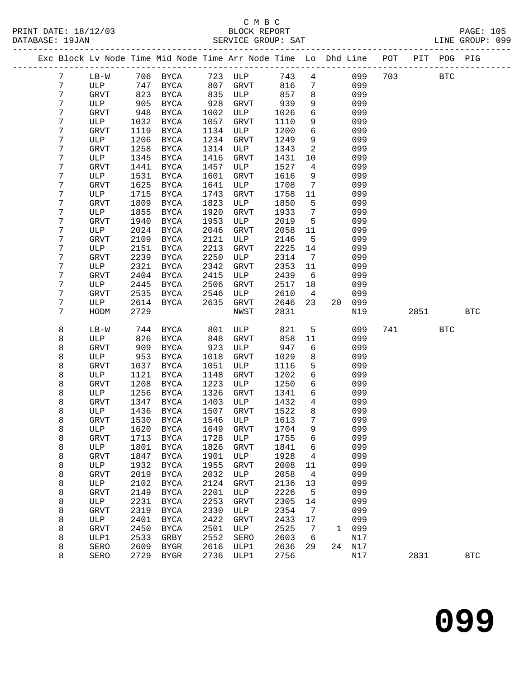|  |                 |             |      | Exc Block Lv Node Time Mid Node Time Arr Node Time Lo Dhd Line POT PIT POG PIG |      |             |        |                 |    |     |     |      |            |            |
|--|-----------------|-------------|------|--------------------------------------------------------------------------------|------|-------------|--------|-----------------|----|-----|-----|------|------------|------------|
|  | $7\phantom{.0}$ | $LB-W$      |      | 706 BYCA                                                                       |      | 723 ULP     | 743    | $\overline{4}$  |    | 099 | 703 |      | <b>BTC</b> |            |
|  | 7               | ULP         | 747  | BYCA                                                                           | 807  | GRVT        | 816    | $7\phantom{.0}$ |    | 099 |     |      |            |            |
|  | 7               | GRVT        | 823  | BYCA                                                                           | 835  | ULP         | 857    | 8               |    | 099 |     |      |            |            |
|  | 7               | ULP         | 905  | BYCA                                                                           | 928  | <b>GRVT</b> | 939    | 9               |    | 099 |     |      |            |            |
|  | 7               | GRVT        | 948  | BYCA                                                                           | 1002 | ULP         | 1026   | $6\overline{6}$ |    | 099 |     |      |            |            |
|  | 7               | ULP         | 1032 | BYCA                                                                           | 1057 | GRVT        | 1110   | 9               |    | 099 |     |      |            |            |
|  | 7               | GRVT        | 1119 | BYCA                                                                           | 1134 | ULP         | 1200   | $6\overline{6}$ |    | 099 |     |      |            |            |
|  | 7               | ULP         | 1206 | BYCA                                                                           | 1234 | GRVT        | 1249   | 9               |    | 099 |     |      |            |            |
|  | 7               | <b>GRVT</b> | 1258 | BYCA                                                                           | 1314 | ULP         | 1343   | 2               |    | 099 |     |      |            |            |
|  | 7               | ULP         | 1345 | BYCA                                                                           | 1416 | <b>GRVT</b> | 1431   | 10              |    | 099 |     |      |            |            |
|  | 7               | GRVT        | 1441 | BYCA                                                                           | 1457 | ULP         | 1527   | $\overline{4}$  |    | 099 |     |      |            |            |
|  | 7               | ULP         | 1531 | BYCA                                                                           | 1601 | <b>GRVT</b> | 1616   | 9               |    | 099 |     |      |            |            |
|  | 7               | GRVT        | 1625 | BYCA                                                                           | 1641 | ULP         | 1708   | 7               |    | 099 |     |      |            |            |
|  | 7               | ULP         | 1715 | BYCA                                                                           | 1743 | GRVT        | 1758   | 11              |    | 099 |     |      |            |            |
|  | 7               | <b>GRVT</b> | 1809 | BYCA                                                                           | 1823 | ULP         | 1850   | 5               |    | 099 |     |      |            |            |
|  | 7               | ULP         | 1855 | BYCA                                                                           | 1920 | <b>GRVT</b> | 1933   | $7\overline{ }$ |    | 099 |     |      |            |            |
|  | 7               | <b>GRVT</b> | 1940 | BYCA                                                                           | 1953 | ULP         | 2019   | 5               |    | 099 |     |      |            |            |
|  | 7               | ULP         | 2024 | BYCA                                                                           | 2046 | GRVT        | 2058   | 11              |    | 099 |     |      |            |            |
|  | 7               | <b>GRVT</b> | 2109 | BYCA                                                                           | 2121 | ULP         | 2146   | $5\overline{5}$ |    | 099 |     |      |            |            |
|  | 7               | ULP         | 2151 | <b>BYCA</b>                                                                    | 2213 | GRVT        | 2225   | 14              |    | 099 |     |      |            |            |
|  | 7               | GRVT        | 2239 | <b>BYCA</b>                                                                    | 2250 | ULP         | 2314   | $7\phantom{.0}$ |    | 099 |     |      |            |            |
|  | 7               | ULP         | 2321 | BYCA                                                                           | 2342 | <b>GRVT</b> | 2353   | 11              |    | 099 |     |      |            |            |
|  | 7               | GRVT        | 2404 | BYCA                                                                           | 2415 | ULP         | 2439   | 6               |    | 099 |     |      |            |            |
|  | 7               | ULP         | 2445 | BYCA                                                                           | 2506 | <b>GRVT</b> | 2517   | 18              |    | 099 |     |      |            |            |
|  | 7               | GRVT        | 2535 | BYCA                                                                           | 2546 | ULP         | 2610   | 4               |    | 099 |     |      |            |            |
|  | 7               | ULP         | 2614 | BYCA                                                                           | 2635 | GRVT        | 2646   | 23              | 20 | 099 |     |      |            |            |
|  | 7               | HODM        | 2729 |                                                                                |      | NWST        | 2831   |                 |    | N19 |     | 2851 |            | <b>BTC</b> |
|  | 8               | $LB-W$      | 744  | BYCA                                                                           | 801  | ULP         | 821    | 5               |    | 099 | 741 |      | <b>BTC</b> |            |
|  | 8               | ULP         | 826  | BYCA                                                                           | 848  | <b>GRVT</b> | 858    | 11              |    | 099 |     |      |            |            |
|  | 8               | GRVT        | 909  | BYCA                                                                           | 923  | ULP         | 947    | 6               |    | 099 |     |      |            |            |
|  | 8               | ULP         | 953  | BYCA                                                                           | 1018 | <b>GRVT</b> | 1029   | 8               |    | 099 |     |      |            |            |
|  | 8               | GRVT        | 1037 | BYCA                                                                           | 1051 | ULP         | 1116   | 5               |    | 099 |     |      |            |            |
|  | 8               | ULP         | 1121 | BYCA                                                                           | 1148 | <b>GRVT</b> | 1202   | 6               |    | 099 |     |      |            |            |
|  | 8               | GRVT        | 1208 | BYCA                                                                           | 1223 | ULP         | 1250   | 6               |    | 099 |     |      |            |            |
|  | 8               | ULP         | 1256 | <b>BYCA</b>                                                                    | 1326 | GRVT        | 1341   | 6               |    | 099 |     |      |            |            |
|  | 8               | GRVT        | 1347 | BYCA                                                                           | 1403 | ULP         | 1432   | 4               |    | 099 |     |      |            |            |
|  | 8               | ULP         | 1436 | BYCA                                                                           | 1507 | <b>GRVT</b> | 1522   | 8               |    | 099 |     |      |            |            |
|  | 8               | GRVT        | 1530 | BYCA                                                                           | 1546 | ULP         | 1613   | $7\phantom{.0}$ |    | 099 |     |      |            |            |
|  | 8               | ULP         |      | 1620 BYCA 1649 GRVT                                                            |      |             | 1704 9 |                 |    | 099 |     |      |            |            |
|  | 8               | <b>GRVT</b> | 1713 | BYCA                                                                           | 1728 | ULP         | 1755   | 6               |    | 099 |     |      |            |            |
|  | 8               | ULP         | 1801 | BYCA                                                                           | 1826 | GRVT        | 1841   | 6               |    | 099 |     |      |            |            |
|  | 8               | GRVT        | 1847 | <b>BYCA</b>                                                                    | 1901 | ULP         | 1928   | 4               |    | 099 |     |      |            |            |
|  | 8               | ULP         | 1932 | BYCA                                                                           | 1955 | GRVT        | 2008   | 11              |    | 099 |     |      |            |            |
|  | 8               | GRVT        | 2019 | <b>BYCA</b>                                                                    | 2032 | ULP         | 2058   | 4               |    | 099 |     |      |            |            |
|  | 8               | ULP         | 2102 | <b>BYCA</b>                                                                    | 2124 | GRVT        | 2136   | 13              |    | 099 |     |      |            |            |
|  | 8               | GRVT        | 2149 | <b>BYCA</b>                                                                    | 2201 | ULP         | 2226   | 5               |    | 099 |     |      |            |            |
|  | 8               | ULP         | 2231 | <b>BYCA</b>                                                                    | 2253 | GRVT        | 2305   | 14              |    | 099 |     |      |            |            |
|  | 8               | GRVT        | 2319 | <b>BYCA</b>                                                                    | 2330 | ULP         | 2354   | 7               |    | 099 |     |      |            |            |
|  | 8               | ULP         | 2401 | <b>BYCA</b>                                                                    | 2422 | GRVT        | 2433   | 17              |    | 099 |     |      |            |            |
|  | 8               | GRVT        | 2450 | <b>BYCA</b>                                                                    | 2501 | ULP         | 2525   | 7               | 1  | 099 |     |      |            |            |
|  | 8               | ULP1        | 2533 | GRBY                                                                           | 2552 | SERO        | 2603   | 6               |    | N17 |     |      |            |            |
|  | 8               | SERO        | 2609 | BYGR                                                                           | 2616 | ULP1        | 2636   | 29              | 24 | N17 |     |      |            |            |
|  | 8               | SERO        | 2729 | <b>BYGR</b>                                                                    | 2736 | ULP1        | 2756   |                 |    | N17 |     | 2831 |            | <b>BTC</b> |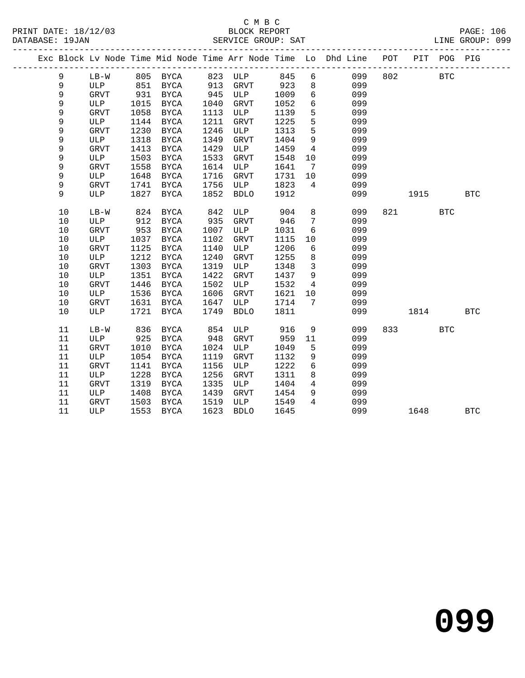#### C M B C<br>BLOCK REPORT DATABASE: 19JAN SERVICE GROUP: SAT LINE GROUP: 099

|  |    |             |      |             |      |             |      |                 | Exc Block Lv Node Time Mid Node Time Arr Node Time Lo Dhd Line POT PIT POG PIG |     |      |            |            |
|--|----|-------------|------|-------------|------|-------------|------|-----------------|--------------------------------------------------------------------------------|-----|------|------------|------------|
|  | 9  | $LB-W$      |      | 805 BYCA    |      | 823 ULP     | 845  | 6               | 099                                                                            | 802 |      | <b>BTC</b> |            |
|  | 9  | ULP         | 851  | BYCA        | 913  | GRVT        | 923  | 8               | 099                                                                            |     |      |            |            |
|  | 9  | GRVT        | 931  | BYCA        | 945  | ULP         | 1009 | $6\overline{6}$ | 099                                                                            |     |      |            |            |
|  | 9  | ULP         | 1015 | BYCA        | 1040 | <b>GRVT</b> | 1052 | $6\overline{6}$ | 099                                                                            |     |      |            |            |
|  | 9  | GRVT        | 1058 | BYCA        | 1113 | ULP         | 1139 | 5               | 099                                                                            |     |      |            |            |
|  | 9  | ULP         | 1144 | BYCA        | 1211 | GRVT        | 1225 | 5               | 099                                                                            |     |      |            |            |
|  | 9  | GRVT        | 1230 | BYCA        | 1246 | ULP         | 1313 | 5               | 099                                                                            |     |      |            |            |
|  | 9  | ULP         | 1318 | <b>BYCA</b> | 1349 | GRVT        | 1404 | $\overline{9}$  | 099                                                                            |     |      |            |            |
|  | 9  | <b>GRVT</b> | 1413 | BYCA        | 1429 | ULP         | 1459 | $4\overline{4}$ | 099                                                                            |     |      |            |            |
|  | 9  | ULP         | 1503 | BYCA        | 1533 | GRVT        | 1548 | 10              | 099                                                                            |     |      |            |            |
|  | 9  | GRVT        | 1558 | BYCA        | 1614 | ULP         | 1641 | $7\overline{ }$ | 099                                                                            |     |      |            |            |
|  | 9  | ULP         | 1648 | BYCA        | 1716 | GRVT        | 1731 | 10              | 099                                                                            |     |      |            |            |
|  | 9  | GRVT        | 1741 | BYCA        | 1756 | ULP         | 1823 | $4\overline{ }$ | 099                                                                            |     |      |            |            |
|  | 9  | ULP         | 1827 | BYCA        | 1852 | BDLO        | 1912 |                 | 099                                                                            |     | 1915 |            | <b>BTC</b> |
|  |    |             |      |             |      |             |      |                 |                                                                                |     |      |            |            |
|  | 10 | LB-W        | 824  | BYCA        | 842  | ULP         | 904  | 8               | 099                                                                            | 821 |      | <b>BTC</b> |            |
|  | 10 | ULP         | 912  | BYCA        | 935  | <b>GRVT</b> | 946  | $7\overline{ }$ | 099                                                                            |     |      |            |            |
|  | 10 | GRVT        | 953  | BYCA        | 1007 | ULP         | 1031 | 6               | 099                                                                            |     |      |            |            |
|  | 10 | ULP         | 1037 | BYCA        | 1102 | <b>GRVT</b> | 1115 | 10              | 099                                                                            |     |      |            |            |
|  | 10 | GRVT        | 1125 | BYCA        | 1140 | ULP         | 1206 | 6               | 099                                                                            |     |      |            |            |
|  | 10 | ULP         | 1212 | <b>BYCA</b> | 1240 | <b>GRVT</b> | 1255 | 8               | 099                                                                            |     |      |            |            |
|  | 10 | GRVT        | 1303 | BYCA        | 1319 | ULP         | 1348 | $\overline{3}$  | 099                                                                            |     |      |            |            |
|  | 10 | ULP         | 1351 | BYCA        | 1422 | GRVT        | 1437 | 9               | 099                                                                            |     |      |            |            |
|  | 10 | GRVT        | 1446 | BYCA        | 1502 | ULP         | 1532 | 4               | 099                                                                            |     |      |            |            |
|  | 10 | ULP         | 1536 | BYCA        | 1606 | <b>GRVT</b> | 1621 | 10              | 099                                                                            |     |      |            |            |
|  | 10 | GRVT        | 1631 | BYCA        | 1647 | ULP         | 1714 | 7               | 099                                                                            |     |      |            |            |
|  | 10 | ULP         | 1721 | BYCA        | 1749 | <b>BDLO</b> | 1811 |                 | 099                                                                            |     | 1814 |            | <b>BTC</b> |
|  |    |             |      |             |      |             |      |                 |                                                                                |     |      |            |            |
|  | 11 | $LB-W$      | 836  | BYCA        | 854  | ULP         | 916  | 9               | 099                                                                            | 833 |      | <b>BTC</b> |            |
|  | 11 | ULP         | 925  | BYCA        | 948  | GRVT        | 959  | 11              | 099                                                                            |     |      |            |            |
|  | 11 | GRVT        | 1010 | BYCA        | 1024 | ULP         | 1049 | 5               | 099                                                                            |     |      |            |            |
|  | 11 | ULP         | 1054 | <b>BYCA</b> | 1119 | <b>GRVT</b> | 1132 | 9               | 099                                                                            |     |      |            |            |
|  | 11 | GRVT        | 1141 | BYCA        | 1156 | ULP         | 1222 | 6               | 099                                                                            |     |      |            |            |
|  | 11 | ULP         | 1228 | BYCA        | 1256 | <b>GRVT</b> | 1311 | 8               | 099                                                                            |     |      |            |            |
|  | 11 | GRVT        | 1319 | BYCA        | 1335 | ULP         | 1404 | $\overline{4}$  | 099                                                                            |     |      |            |            |
|  | 11 | ULP         | 1408 | BYCA        | 1439 | GRVT        | 1454 | 9               | 099                                                                            |     |      |            |            |
|  | 11 | <b>GRVT</b> | 1503 | BYCA        | 1519 | ULP         | 1549 | $\overline{4}$  | 099                                                                            |     |      |            |            |

11 ULP 1553 BYCA 1623 BDLO 1645 099 1648 BTC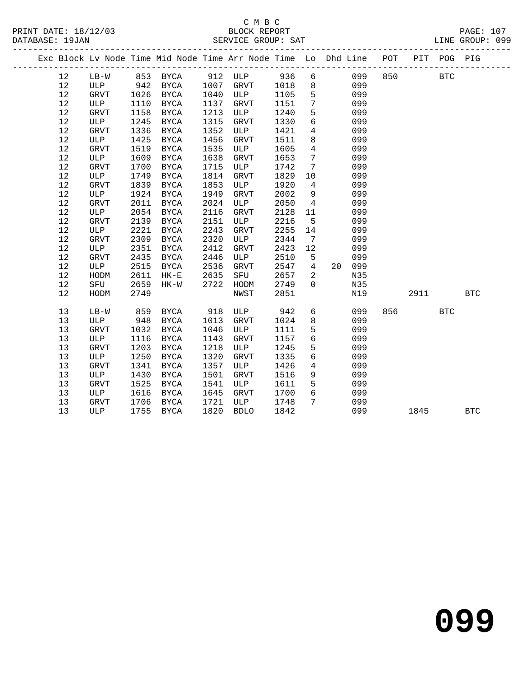### C M B C<br>
PRINT DATE: 18/12/03 BLOCK REPOR PRINT DATE: 18/12/03 BLOCK REPORT PAGE: 107

PAGE: 107<br>LINE GROUP: 099

|  | DAIABASL · 190AN |             |      | -------------------------- |      | PEKATCE GKOOL. PHI                                                 |      |                 |    |     |     |      |             | TIME GKOOL. 022 |  |
|--|------------------|-------------|------|----------------------------|------|--------------------------------------------------------------------|------|-----------------|----|-----|-----|------|-------------|-----------------|--|
|  |                  |             |      |                            |      | Exc Block Lv Node Time Mid Node Time Arr Node Time Lo Dhd Line POT |      |                 |    |     |     |      | PIT POG PIG |                 |  |
|  | 12               | $LB-W$      |      | 853 BYCA                   |      | 912 ULP                                                            | 936  | 6               |    | 099 | 850 |      | <b>BTC</b>  |                 |  |
|  | 12               | ULP         | 942  | BYCA                       | 1007 | GRVT                                                               | 1018 | $8\phantom{1}$  |    | 099 |     |      |             |                 |  |
|  | 12               | GRVT        | 1026 | BYCA                       | 1040 | ULP                                                                | 1105 | 5               |    | 099 |     |      |             |                 |  |
|  | 12               | ULP         | 1110 | BYCA                       | 1137 | GRVT                                                               | 1151 | $7\phantom{.0}$ |    | 099 |     |      |             |                 |  |
|  | 12               | GRVT        | 1158 | BYCA                       | 1213 | ULP                                                                | 1240 | 5               |    | 099 |     |      |             |                 |  |
|  | 12               | ULP         | 1245 | <b>BYCA</b>                | 1315 | ${\tt GRVT}$                                                       | 1330 | $6\overline{6}$ |    | 099 |     |      |             |                 |  |
|  | 12               | <b>GRVT</b> | 1336 | BYCA                       | 1352 | ULP                                                                | 1421 | $\overline{4}$  |    | 099 |     |      |             |                 |  |
|  | 12               | ULP         | 1425 | BYCA                       | 1456 | GRVT                                                               | 1511 | 8               |    | 099 |     |      |             |                 |  |
|  | $12$             | GRVT        | 1519 | BYCA                       | 1535 | ULP                                                                | 1605 | $\overline{4}$  |    | 099 |     |      |             |                 |  |
|  | 12               | ULP         | 1609 | <b>BYCA</b>                | 1638 | GRVT                                                               | 1653 | $7\phantom{.0}$ |    | 099 |     |      |             |                 |  |
|  | 12               | GRVT        | 1700 | BYCA                       | 1715 | ULP                                                                | 1742 | 7               |    | 099 |     |      |             |                 |  |
|  | 12               | ULP         | 1749 | <b>BYCA</b>                | 1814 | <b>GRVT</b>                                                        | 1829 | 10              |    | 099 |     |      |             |                 |  |
|  | 12               | GRVT        | 1839 | <b>BYCA</b>                | 1853 | ULP                                                                | 1920 | $4\overline{ }$ |    | 099 |     |      |             |                 |  |
|  | 12               | ULP         | 1924 | <b>BYCA</b>                | 1949 | <b>GRVT</b>                                                        | 2002 | 9               |    | 099 |     |      |             |                 |  |
|  | 12               | <b>GRVT</b> | 2011 | <b>BYCA</b>                | 2024 | ULP                                                                | 2050 | $\overline{4}$  |    | 099 |     |      |             |                 |  |
|  | 12               | ULP         | 2054 | BYCA                       | 2116 | GRVT                                                               | 2128 | 11              |    | 099 |     |      |             |                 |  |
|  | $12$             | GRVT        | 2139 | <b>BYCA</b>                | 2151 | ULP                                                                | 2216 | 5               |    | 099 |     |      |             |                 |  |
|  | 12               | ULP         | 2221 | BYCA                       | 2243 | <b>GRVT</b>                                                        | 2255 | 14              |    | 099 |     |      |             |                 |  |
|  | 12               | <b>GRVT</b> | 2309 | BYCA                       | 2320 | ULP                                                                | 2344 | 7               |    | 099 |     |      |             |                 |  |
|  | 12               | ULP         | 2351 | BYCA                       | 2412 | ${\tt GRVT}$                                                       | 2423 | 12              |    | 099 |     |      |             |                 |  |
|  | 12               | GRVT        | 2435 | <b>BYCA</b>                | 2446 | ULP                                                                | 2510 | 5               |    | 099 |     |      |             |                 |  |
|  | 12               | ULP         | 2515 | BYCA                       | 2536 | GRVT                                                               | 2547 | $\overline{4}$  | 20 | 099 |     |      |             |                 |  |
|  | 12               | HODM        | 2611 | $HK-E$                     | 2635 | SFU                                                                | 2657 | 2               |    | N35 |     |      |             |                 |  |
|  | 12               | SFU         | 2659 | $HK-W$                     | 2722 | HODM                                                               | 2749 | $\Omega$        |    | N35 |     |      |             |                 |  |
|  | 12               | HODM        | 2749 |                            |      | NWST                                                               | 2851 |                 |    | N19 |     | 2911 |             | <b>BTC</b>      |  |
|  | 13               | $LB-W$      | 859  | BYCA                       | 918  | ULP                                                                | 942  | 6               |    | 099 | 856 |      | <b>BTC</b>  |                 |  |
|  | 13               | ULP         | 948  | BYCA                       | 1013 | GRVT                                                               | 1024 | 8               |    | 099 |     |      |             |                 |  |
|  | 13               | GRVT        | 1032 | BYCA                       | 1046 | ULP                                                                | 1111 | 5               |    | 099 |     |      |             |                 |  |
|  | 13               | ULP         | 1116 | BYCA                       | 1143 | <b>GRVT</b>                                                        | 1157 | $6\overline{6}$ |    | 099 |     |      |             |                 |  |
|  | 13               | GRVT        | 1203 | <b>BYCA</b>                | 1218 | ULP                                                                | 1245 | 5               |    | 099 |     |      |             |                 |  |
|  | 13               | ULP         | 1250 | <b>BYCA</b>                | 1320 | GRVT                                                               | 1335 | $6\overline{6}$ |    | 099 |     |      |             |                 |  |
|  | 13               | GRVT        | 1341 | BYCA                       | 1357 | ULP                                                                | 1426 | $\overline{4}$  |    | 099 |     |      |             |                 |  |
|  | 13               | ULP         | 1430 | <b>BYCA</b>                | 1501 | GRVT                                                               | 1516 | 9               |    | 099 |     |      |             |                 |  |
|  | 13               | GRVT        | 1525 | <b>BYCA</b>                | 1541 | ULP                                                                | 1611 | 5               |    | 099 |     |      |             |                 |  |
|  | 13               | ULP         | 1616 | BYCA                       | 1645 | GRVT                                                               | 1700 | $6\overline{6}$ |    | 099 |     |      |             |                 |  |
|  | 13               | GRVT        | 1706 | BYCA                       | 1721 | ULP                                                                | 1748 | $7\phantom{.0}$ |    | 099 |     |      |             |                 |  |
|  | 13               | ULP         | 1755 | BYCA                       | 1820 | <b>BDLO</b>                                                        | 1842 |                 |    | 099 |     | 1845 |             | <b>BTC</b>      |  |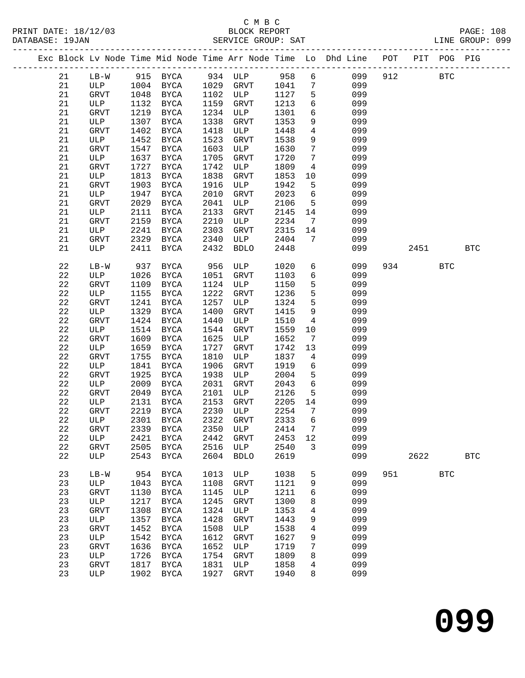|  |             |             |              |               |              |                    |              |                              | Exc Block Lv Node Time Mid Node Time Arr Node Time Lo Dhd Line POT PIT POG PIG |     |      |              |            |
|--|-------------|-------------|--------------|---------------|--------------|--------------------|--------------|------------------------------|--------------------------------------------------------------------------------|-----|------|--------------|------------|
|  | 21          | $LB-W$      |              | 915 BYCA      |              | 934 ULP 958        |              | 6                            | 099                                                                            | 912 |      | <b>BTC</b>   |            |
|  | 21          | ULP         | 1004         | <b>BYCA</b>   |              | 1029 GRVT          | 1041         | $7\phantom{.0}$              | 099                                                                            |     |      |              |            |
|  | 21          | GRVT        | 1048         | BYCA          | 1102         | ULP                | 1127         | 5                            | 099                                                                            |     |      |              |            |
|  | 21          | ULP         | 1132         | BYCA          | 1159         | GRVT               | 1213         | 6                            | 099                                                                            |     |      |              |            |
|  | 21          | GRVT        | 1219         | BYCA          | 1234         | ULP                | 1301         | 6                            | 099                                                                            |     |      |              |            |
|  | 21          | ULP         | 1307         | BYCA          | 1338         | GRVT               | 1353         | 9                            | 099                                                                            |     |      |              |            |
|  | 21          | GRVT        | 1402         | BYCA          | 1418         | ULP                | 1448         | $\overline{4}$               | 099                                                                            |     |      |              |            |
|  | 21          | ULP         | 1452         | <b>BYCA</b>   | 1523         | GRVT               | 1538         | 9                            | 099                                                                            |     |      |              |            |
|  | 21          | <b>GRVT</b> | 1547         | BYCA          | 1603         | ULP                | 1630         | $7\phantom{.0}$              | 099                                                                            |     |      |              |            |
|  | 21          | ULP         | 1637         | BYCA          | 1705         | GRVT               | 1720         | $7\phantom{.0}$              | 099                                                                            |     |      |              |            |
|  | 21          | GRVT        | 1727         | BYCA          | 1742         | ULP                | 1809         | $\overline{4}$               | 099                                                                            |     |      |              |            |
|  | 21          | ULP         | 1813         | BYCA          | 1838         | GRVT               | 1853         | 10                           | 099                                                                            |     |      |              |            |
|  | 21          | GRVT        | 1903         | BYCA          | 1916         | ULP                | 1942         | 5                            | 099                                                                            |     |      |              |            |
|  | 21          | ULP         | 1947         | BYCA          | 2010         | GRVT               | 2023         | 6                            | 099                                                                            |     |      |              |            |
|  | 21          |             | 2029         |               | 2041         |                    | 2106         | $5^{\circ}$                  | 099                                                                            |     |      |              |            |
|  | 21          | GRVT        | 2111         | BYCA          | 2133         | ULP                |              | 14                           | 099                                                                            |     |      |              |            |
|  | 21          | ULP         |              | BYCA          | 2210         | GRVT               | 2145<br>2234 |                              | 099                                                                            |     |      |              |            |
|  | 21          | GRVT        | 2159         | BYCA          |              | ULP                |              | $7\phantom{.0}\phantom{.0}7$ | 099                                                                            |     |      |              |            |
|  |             | ULP         | 2241         | BYCA          | 2303         | GRVT               | 2315<br>2404 | 14<br>7                      |                                                                                |     |      |              |            |
|  | 21<br>21    | GRVT<br>ULP | 2329<br>2411 | BYCA          | 2340<br>2432 | ULP<br><b>BDLO</b> |              |                              | 099<br>099                                                                     |     |      |              | <b>BTC</b> |
|  |             |             |              | BYCA          |              |                    | 2448         |                              |                                                                                |     | 2451 |              |            |
|  | 22          | $LB-W$      | 937          | BYCA          | 956          | ULP                | 1020         | 6                            | 099                                                                            |     | 934  | <b>BTC</b>   |            |
|  | 22          | ULP         | 1026         | BYCA          | 1051         | GRVT               | 1103         | 6                            | 099                                                                            |     |      |              |            |
|  | 22          | GRVT        | 1109         | BYCA          | 1124         | ULP                | 1150         | $5\phantom{.0}$              | 099                                                                            |     |      |              |            |
|  | 22          | ULP         | 1155         | BYCA          | 1222         | GRVT               | 1236         | 5                            | 099                                                                            |     |      |              |            |
|  | 22          | GRVT        | 1241         | BYCA          | 1257         | ULP                | 1324         | 5                            | 099                                                                            |     |      |              |            |
|  | 22          | ULP         | 1329         | <b>BYCA</b>   | 1400         | GRVT               | 1415         | 9                            | 099                                                                            |     |      |              |            |
|  | 22          | GRVT        | 1424         | BYCA          | 1440         | ULP                | 1510         | $\overline{4}$               | 099                                                                            |     |      |              |            |
|  | 22          | ULP         | 1514         | <b>BYCA</b>   | 1544         | GRVT               | 1559         | 10                           | 099                                                                            |     |      |              |            |
|  | 22          | <b>GRVT</b> | 1609         | BYCA          | 1625         | ULP                | 1652         | $\overline{7}$               | 099                                                                            |     |      |              |            |
|  | $2\sqrt{2}$ | ULP         | 1659         | BYCA          | 1727         | GRVT               | 1742         | 13                           | 099                                                                            |     |      |              |            |
|  | 22          | GRVT        | 1755         | BYCA          | 1810         | ULP                | 1837         | $4\overline{ }$              | 099                                                                            |     |      |              |            |
|  | $2\sqrt{2}$ | ULP         | 1841         | <b>BYCA</b>   | 1906         | GRVT               | 1919         | 6                            | 099                                                                            |     |      |              |            |
|  | 22          | <b>GRVT</b> | 1925         | BYCA          | 1938         | ULP                | 2004         | 5                            | 099                                                                            |     |      |              |            |
|  | $2\sqrt{2}$ | ULP         | 2009         | BYCA          | 2031         | GRVT               | 2043         | $6\overline{6}$              | 099                                                                            |     |      |              |            |
|  | 22          | GRVT        | 2049         | BYCA          | 2101         | ULP                | 2126         | 5                            | 099                                                                            |     |      |              |            |
|  | 22          | ULP         | 2131         | BYCA          | 2153         | GRVT               | 2205         | 14                           | 099                                                                            |     |      |              |            |
|  | 22          | <b>GRVT</b> |              | 2219 BYCA     | 2230         | ULP                | 2254         | $\overline{7}$               | 099                                                                            |     |      |              |            |
|  | 22          | ULP         |              | 2301 BYCA     | 2322         | GRVT               | 2333         | 6                            | 099                                                                            |     |      |              |            |
|  | 22          | GRVT        |              | 2339 BYCA     |              | 2350 ULP 2414 7    |              |                              | 099                                                                            |     |      |              |            |
|  | 22          | ULP         | 2421         | <b>BYCA</b>   | 2442         | GRVT               | 2453         | 12                           | 099                                                                            |     |      |              |            |
|  | 22          | GRVT        | 2505         | <b>BYCA</b>   | 2516         | ULP                | 2540         | 3                            | 099                                                                            |     |      |              |            |
|  | 22          | ULP         | 2543         | $_{\rm BYCA}$ | 2604         | <b>BDLO</b>        | 2619         |                              | 099                                                                            |     | 2622 |              | <b>BTC</b> |
|  |             |             |              |               |              |                    |              |                              |                                                                                |     |      |              |            |
|  | 23          | $LB-W$      | 954          | <b>BYCA</b>   | 1013         | ULP                | 1038         | 5                            | 099                                                                            | 951 |      | $_{\rm BTC}$ |            |
|  | 23          | ULP         | 1043         | <b>BYCA</b>   | 1108         | <b>GRVT</b>        | 1121         | 9                            | 099                                                                            |     |      |              |            |
|  | 23          | <b>GRVT</b> | 1130         | <b>BYCA</b>   | 1145         | ULP                | 1211         | 6                            | 099                                                                            |     |      |              |            |
|  | 23          | ULP         | 1217         | <b>BYCA</b>   | 1245         | GRVT               | 1300         | 8                            | 099                                                                            |     |      |              |            |
|  | 23          | GRVT        | 1308         | <b>BYCA</b>   | 1324         | ULP                | 1353         | 4                            | 099                                                                            |     |      |              |            |
|  | 23          | ULP         | 1357         | $_{\rm BYCA}$ | 1428         | GRVT               | 1443         | 9                            | 099                                                                            |     |      |              |            |
|  | 23          | GRVT        | 1452         | <b>BYCA</b>   | 1508         | ULP                | 1538         | 4                            | 099                                                                            |     |      |              |            |
|  | 23          | ULP         | 1542         | <b>BYCA</b>   | 1612         | GRVT               | 1627         | 9                            | 099                                                                            |     |      |              |            |
|  | 23          | GRVT        | 1636         | <b>BYCA</b>   | 1652         | ULP                | 1719         | 7                            | 099                                                                            |     |      |              |            |
|  | 23          | ULP         | 1726         | <b>BYCA</b>   | 1754         | GRVT               | 1809         | 8                            | 099                                                                            |     |      |              |            |
|  | 23          | <b>GRVT</b> | 1817         | <b>BYCA</b>   | 1831         | ULP                | 1858         | 4                            | 099                                                                            |     |      |              |            |
|  | 23          | ULP         | 1902         | $_{\rm BYCA}$ | 1927         | GRVT               | 1940         | 8                            | 099                                                                            |     |      |              |            |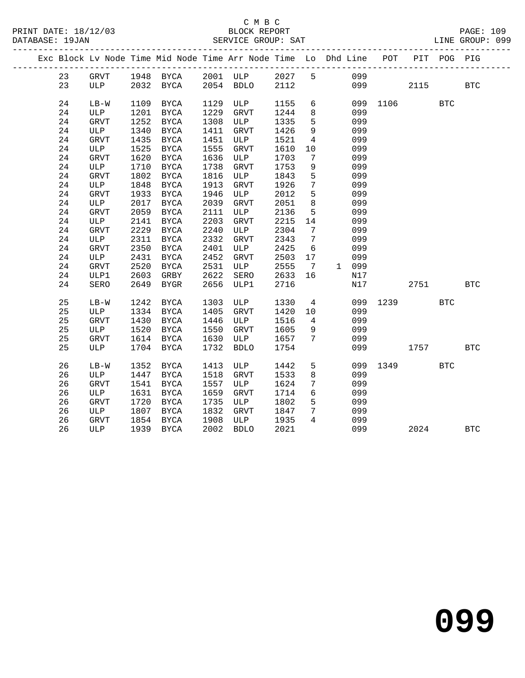|  |    |        |      | Exc Block Lv Node Time Mid Node Time Arr Node Time Lo Dhd Line POT |      |                       |      |                 |       |          |      | PIT POG PIG |              |
|--|----|--------|------|--------------------------------------------------------------------|------|-----------------------|------|-----------------|-------|----------|------|-------------|--------------|
|  | 23 | GRVT   |      | 1948 BYCA 2001 ULP 2027 5                                          |      |                       |      |                 | 099   |          |      |             |              |
|  | 23 | ULP    |      | 2032 BYCA 2054 BDLO 2112                                           |      |                       |      |                 |       | 099 12   | 2115 |             | $_{\rm BTC}$ |
|  | 24 | $LB-W$ | 1109 | BYCA                                                               |      | 1129 ULP              | 1155 | 6               |       | 099 1106 |      | <b>BTC</b>  |              |
|  | 24 | ULP    | 1201 | BYCA                                                               | 1229 | GRVT                  | 1244 | 8 <sup>8</sup>  | 099   |          |      |             |              |
|  | 24 | GRVT   | 1252 | BYCA                                                               |      | 1308 ULP              | 1335 | 5               | 099   |          |      |             |              |
|  | 24 | ULP    | 1340 | BYCA                                                               |      | 1411 GRVT             | 1426 | 9               | 099   |          |      |             |              |
|  | 24 | GRVT   | 1435 | BYCA                                                               | 1451 | ULP                   | 1521 | $4\overline{4}$ | 099   |          |      |             |              |
|  | 24 | ULP    | 1525 | BYCA                                                               | 1555 | GRVT                  | 1610 | 10              | 099   |          |      |             |              |
|  | 24 | GRVT   | 1620 | BYCA                                                               | 1636 | ULP                   | 1703 | $\overline{7}$  | 099   |          |      |             |              |
|  | 24 | ULP    | 1710 | BYCA                                                               | 1738 | GRVT                  | 1753 | 9               | 099   |          |      |             |              |
|  | 24 | GRVT   | 1802 | BYCA                                                               | 1816 | ULP                   | 1843 | 5               | 099   |          |      |             |              |
|  | 24 | ULP    | 1848 | BYCA                                                               | 1913 | GRVT                  | 1926 | $7\overline{ }$ | 099   |          |      |             |              |
|  | 24 | GRVT   | 1933 | BYCA                                                               | 1946 | ULP                   | 2012 | 5               | 099   |          |      |             |              |
|  | 24 | ULP    | 2017 | BYCA                                                               | 2039 | GRVT                  | 2051 | 8               | 099   |          |      |             |              |
|  | 24 | GRVT   | 2059 | BYCA                                                               | 2111 | ULP                   | 2136 | $5^{\circ}$     | 099   |          |      |             |              |
|  | 24 | ULP    | 2141 | BYCA                                                               | 2203 | GRVT                  | 2215 | 14              | 099   |          |      |             |              |
|  | 24 | GRVT   | 2229 | BYCA                                                               | 2240 | ULP                   | 2304 | $\overline{7}$  | 099   |          |      |             |              |
|  | 24 | ULP    | 2311 | BYCA                                                               | 2332 | GRVT                  | 2343 | $\overline{7}$  | 099   |          |      |             |              |
|  | 24 | GRVT   | 2350 | BYCA                                                               | 2401 | ULP                   | 2425 | $6\overline{6}$ | 099   |          |      |             |              |
|  | 24 | ULP    | 2431 | BYCA                                                               | 2452 | GRVT                  | 2503 | 17              | 099   |          |      |             |              |
|  | 24 | GRVT   | 2520 | BYCA                                                               | 2531 | ULP                   | 2555 | $7\overline{ }$ | 1 099 |          |      |             |              |
|  | 24 | ULP1   | 2603 | GRBY                                                               | 2622 | SERO                  | 2633 | 16              | N17   |          |      |             |              |
|  | 24 | SERO   | 2649 | BYGR                                                               | 2656 | ULP1                  | 2716 |                 | N17   |          | 2751 |             | <b>BTC</b>   |
|  | 25 | $LB-W$ | 1242 | BYCA                                                               | 1303 | ULP                   | 1330 | $\overline{4}$  | 099   | 1239     |      | <b>BTC</b>  |              |
|  | 25 | ULP    | 1334 | BYCA                                                               | 1405 | GRVT                  | 1420 | 10              | 099   |          |      |             |              |
|  | 25 | GRVT   | 1430 | <b>BYCA</b>                                                        | 1446 | ULP                   | 1516 | $4\overline{4}$ | 099   |          |      |             |              |
|  | 25 | ULP    | 1520 | BYCA                                                               | 1550 | GRVT                  | 1605 | 9               | 099   |          |      |             |              |
|  | 25 | GRVT   | 1614 | BYCA                                                               | 1630 | ULP                   | 1657 | $7\overline{ }$ | 099   |          |      |             |              |
|  | 25 | ULP    |      | 1704 BYCA                                                          | 1732 | <b>BDLO</b>           | 1754 |                 | 099   |          | 1757 |             | <b>BTC</b>   |
|  | 26 | LB-W   | 1352 | BYCA                                                               | 1413 | ULP                   | 1442 | 5               |       | 099 1349 |      | <b>BTC</b>  |              |
|  | 26 | ULP    | 1447 | BYCA                                                               | 1518 | GRVT                  | 1533 | 8               | 099   |          |      |             |              |
|  | 26 | GRVT   | 1541 | BYCA                                                               | 1557 | ULP                   | 1624 | $7\overline{ }$ | 099   |          |      |             |              |
|  | 26 | ULP    | 1631 | BYCA                                                               | 1659 | GRVT                  | 1714 | $6\overline{6}$ | 099   |          |      |             |              |
|  | 26 | GRVT   | 1720 | BYCA                                                               | 1735 | ULP                   | 1802 | 5               | 099   |          |      |             |              |
|  | 26 | ULP    | 1807 | BYCA                                                               | 1832 | GRVT                  | 1847 | $7\overline{ }$ | 099   |          |      |             |              |
|  | 26 | GRVT   | 1854 | BYCA                                                               | 1908 | GRVI 1847<br>ULP 1935 |      | $\overline{4}$  | 099   |          |      |             |              |
|  | 26 | ULP    |      | 1939 BYCA                                                          | 2002 | <b>BDLO</b>           | 2021 |                 | 099   |          | 2024 |             | <b>BTC</b>   |
|  |    |        |      |                                                                    |      |                       |      |                 |       |          |      |             |              |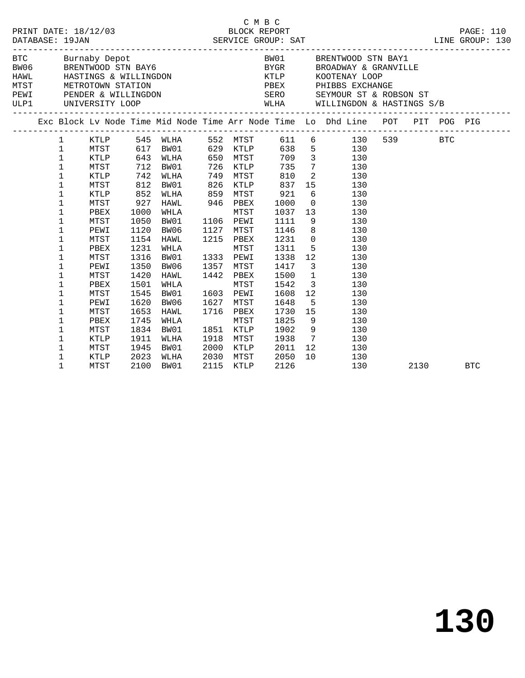|  | DATABASE: 19JAN | PRINT DATE: 18/12/03                              |      |                            |      | C M B C   |              |    |                                                                                                                                                                                                                                                                                                                                                                                                                                                       |      |            |
|--|-----------------|---------------------------------------------------|------|----------------------------|------|-----------|--------------|----|-------------------------------------------------------------------------------------------------------------------------------------------------------------------------------------------------------------------------------------------------------------------------------------------------------------------------------------------------------------------------------------------------------------------------------------------------------|------|------------|
|  |                 |                                                   |      |                            |      |           |              |    | $\begin{tabular}{llllllllll} \texttt{BTC} & \texttt{Burnaby Depot} & \texttt{BNC} & \texttt{BW01} & \texttt{BRENTWOOD} & \texttt{SRT} & \texttt{BAY1} \\ \texttt{BW06} & \texttt{BRENTWOOD} & \texttt{STN} & \texttt{BAY6} & \texttt{BYGR} & \texttt{BROADWAY} & \texttt{\& GRANVILLE} \\ \texttt{HAWL} & \texttt{HASTINGS} & \texttt{WILLINGDOM} & \texttt{STATION} & \texttt{PBEX} & \texttt{PHIBBS EXCHANGE} \\ \texttt{PENDER} & \texttt{WILLING$ |      |            |
|  |                 |                                                   |      |                            |      |           |              |    |                                                                                                                                                                                                                                                                                                                                                                                                                                                       |      |            |
|  |                 |                                                   |      |                            |      |           |              |    |                                                                                                                                                                                                                                                                                                                                                                                                                                                       |      |            |
|  |                 |                                                   |      |                            |      |           |              |    |                                                                                                                                                                                                                                                                                                                                                                                                                                                       |      |            |
|  |                 |                                                   |      |                            |      |           |              |    | SERO SEYMOUR ST & ROBSON ST                                                                                                                                                                                                                                                                                                                                                                                                                           |      |            |
|  |                 | ULP1 UNIVERSITY LOOP<br>------------------------- |      |                            |      |           |              |    | WLHA WILLINGDON & HASTINGS S/B                                                                                                                                                                                                                                                                                                                                                                                                                        |      |            |
|  |                 |                                                   |      |                            |      |           |              |    | Exc Block Lv Node Time Mid Node Time Arr Node Time Lo Dhd Line POT PIT POG PIG                                                                                                                                                                                                                                                                                                                                                                        |      |            |
|  | $\mathbf{1}$    |                                                   |      | KTLP 545 WLHA 552 MTST 611 |      |           |              |    | 6 130 539 BTC                                                                                                                                                                                                                                                                                                                                                                                                                                         |      |            |
|  | $\mathbf{1}$    | MTST                                              |      |                            |      |           |              |    | 617 BW01 629 KTLP 638 5 130<br>643 WLHA 650 MTST 709 3 130<br>712 BW01 726 KTLP 735 7 130<br>742 WLHA 749 MTST 810 2 130                                                                                                                                                                                                                                                                                                                              |      |            |
|  | $\mathbf 1$     | KTLP                                              |      |                            |      |           |              |    |                                                                                                                                                                                                                                                                                                                                                                                                                                                       |      |            |
|  | $\mathbf 1$     | MTST                                              |      |                            |      |           |              |    |                                                                                                                                                                                                                                                                                                                                                                                                                                                       |      |            |
|  | $\mathbf 1$     | KTLP                                              |      |                            |      |           |              |    |                                                                                                                                                                                                                                                                                                                                                                                                                                                       |      |            |
|  | 1               | MTST                                              | 812  | BW01                       | 826  | KTLP      | 837          |    | 15 130                                                                                                                                                                                                                                                                                                                                                                                                                                                |      |            |
|  | 1               | KTLP                                              | 852  | WLHA 859 MTST              |      |           | 921          |    | 6 <sup>6</sup><br>130                                                                                                                                                                                                                                                                                                                                                                                                                                 |      |            |
|  | 1               | MTST                                              |      | 927 HAWL 946 PBEX          |      |           | 1000         |    | $\overline{0}$<br>130                                                                                                                                                                                                                                                                                                                                                                                                                                 |      |            |
|  | 1               | PBEX                                              | 1000 | WHLA                       |      | MTST      | 1037         |    | 13<br>130                                                                                                                                                                                                                                                                                                                                                                                                                                             |      |            |
|  | 1               | MTST                                              | 1050 | BW01                       |      | 1106 PEWI | 1111         |    | $9 \left( \frac{1}{2} \right)$<br>130                                                                                                                                                                                                                                                                                                                                                                                                                 |      |            |
|  | $\mathbf 1$     | PEWI                                              | 1120 | BW06                       |      | 1127 MTST | 1146         |    | 8<br>130                                                                                                                                                                                                                                                                                                                                                                                                                                              |      |            |
|  | 1               | MTST                                              | 1154 | HAWL                       |      | 1215 PBEX | 1231         |    | $\overline{0}$<br>130                                                                                                                                                                                                                                                                                                                                                                                                                                 |      |            |
|  | 1               | PBEX                                              | 1231 | WHLA                       |      | MTST      | 1311         |    | 5 130                                                                                                                                                                                                                                                                                                                                                                                                                                                 |      |            |
|  | 1               | MTST                                              | 1316 | BW01                       |      | 1333 PEWI | 1338<br>1417 |    | $\begin{array}{ccc}\n 12 & 130 \\  \hline\n \end{array}$                                                                                                                                                                                                                                                                                                                                                                                              |      |            |
|  | 1               | PEWI                                              | 1350 | BW06                       |      | 1357 MTST |              |    | $\begin{array}{ccc} 3 & \hspace{1.5cm} 130 \\ 1 & \hspace{1.5cm} 130 \end{array}$                                                                                                                                                                                                                                                                                                                                                                     |      |            |
|  | 1               | MTST                                              | 1420 | HAWL                       |      | 1442 PBEX | 1500         |    |                                                                                                                                                                                                                                                                                                                                                                                                                                                       |      |            |
|  | 1               | PBEX                                              | 1501 | WHLA                       |      | MTST      | 1542         |    | $\frac{1}{3}$ 130                                                                                                                                                                                                                                                                                                                                                                                                                                     |      |            |
|  | 1               | MTST                                              | 1545 | BW01                       |      | 1603 PEWI | 1608         |    | 12<br>130                                                                                                                                                                                                                                                                                                                                                                                                                                             |      |            |
|  | 1               | PEWI                                              | 1620 | BW06                       |      | 1627 MTST | 1648         |    | 5 <sub>1</sub><br>130                                                                                                                                                                                                                                                                                                                                                                                                                                 |      |            |
|  | 1               | MTST                                              | 1653 | HAWL                       |      | 1716 PBEX | 1730         |    | 15<br>130                                                                                                                                                                                                                                                                                                                                                                                                                                             |      |            |
|  | 1               | PBEX                                              | 1745 | WHLA                       |      | MTST      | 1825         |    | $9 \left( \frac{1}{2} \right)$<br>130                                                                                                                                                                                                                                                                                                                                                                                                                 |      |            |
|  | 1               | MTST                                              | 1834 | BW01                       |      | 1851 KTLP | 1902         |    | 9<br>130                                                                                                                                                                                                                                                                                                                                                                                                                                              |      |            |
|  | 1               | KTLP                                              | 1911 | WLHA                       | 1918 | MTST      | 1938         |    | $7\overline{ }$<br>130                                                                                                                                                                                                                                                                                                                                                                                                                                |      |            |
|  | 1               | MTST                                              | 1945 | BW01                       | 2000 | KTLP      | 2011         |    | 12 130                                                                                                                                                                                                                                                                                                                                                                                                                                                |      |            |
|  | 1               | KTLP                                              | 2023 | WLHA                       | 2030 | MTST      | 2050         | 10 | 130                                                                                                                                                                                                                                                                                                                                                                                                                                                   |      |            |
|  | 1               | MTST                                              | 2100 | BW01                       | 2115 | KTLP      | 2126         |    | 130                                                                                                                                                                                                                                                                                                                                                                                                                                                   | 2130 | <b>BTC</b> |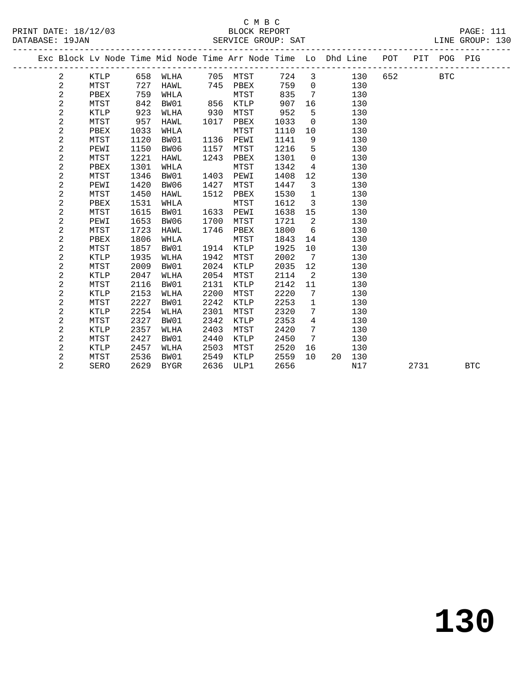|  |                |             |      |             |      | Exc Block Lv Node Time Mid Node Time Arr Node Time Lo Dhd Line POT |      |                 |    |     |     |      | PIT POG PIG |            |
|--|----------------|-------------|------|-------------|------|--------------------------------------------------------------------|------|-----------------|----|-----|-----|------|-------------|------------|
|  | 2              | KTLP        | 658  | WLHA        | 705  | MTST                                                               | 724  | 3               |    | 130 | 652 |      | <b>BTC</b>  |            |
|  | $\overline{c}$ | MTST        | 727  | HAWL        | 745  | PBEX                                                               | 759  | $\mathbf 0$     |    | 130 |     |      |             |            |
|  | $\overline{c}$ | PBEX        | 759  | WHLA        |      | MTST                                                               | 835  | 7               |    | 130 |     |      |             |            |
|  | $\overline{c}$ | MTST        | 842  | BW01        | 856  | KTLP                                                               | 907  | 16              |    | 130 |     |      |             |            |
|  | 2              | <b>KTLP</b> | 923  | WLHA        | 930  | MTST                                                               | 952  | 5               |    | 130 |     |      |             |            |
|  | 2              | MTST        | 957  | <b>HAWL</b> | 1017 | PBEX                                                               | 1033 | $\mathbf 0$     |    | 130 |     |      |             |            |
|  | 2              | PBEX        | 1033 | WHLA        |      | MTST                                                               | 1110 | 10              |    | 130 |     |      |             |            |
|  | 2              | MTST        | 1120 | BW01        | 1136 | PEWI                                                               | 1141 | 9               |    | 130 |     |      |             |            |
|  | 2              | PEWI        | 1150 | BW06        | 1157 | MTST                                                               | 1216 | 5               |    | 130 |     |      |             |            |
|  | 2              | MTST        | 1221 | HAWL        | 1243 | PBEX                                                               | 1301 | $\mathbf 0$     |    | 130 |     |      |             |            |
|  | 2              | PBEX        | 1301 | WHLA        |      | MTST                                                               | 1342 | $\overline{4}$  |    | 130 |     |      |             |            |
|  | 2              | MTST        | 1346 | BW01        | 1403 | PEWI                                                               | 1408 | 12              |    | 130 |     |      |             |            |
|  | $\overline{c}$ | PEWI        | 1420 | BW06        | 1427 | MTST                                                               | 1447 | 3               |    | 130 |     |      |             |            |
|  | 2              | <b>MTST</b> | 1450 | <b>HAWL</b> | 1512 | PBEX                                                               | 1530 | $\mathbf{1}$    |    | 130 |     |      |             |            |
|  | $\overline{a}$ | PBEX        | 1531 | WHLA        |      | MTST                                                               | 1612 | 3               |    | 130 |     |      |             |            |
|  | 2              | MTST        | 1615 | BW01        | 1633 | PEWI                                                               | 1638 | 15              |    | 130 |     |      |             |            |
|  | 2              | PEWI        | 1653 | BW06        | 1700 | MTST                                                               | 1721 | 2               |    | 130 |     |      |             |            |
|  | 2              | MTST        | 1723 | <b>HAWL</b> | 1746 | PBEX                                                               | 1800 | 6               |    | 130 |     |      |             |            |
|  | 2              | PBEX        | 1806 | WHLA        |      | MTST                                                               | 1843 | 14              |    | 130 |     |      |             |            |
|  | 2              | MTST        | 1857 | BW01        | 1914 | <b>KTLP</b>                                                        | 1925 | 10              |    | 130 |     |      |             |            |
|  | 2              | KTLP        | 1935 | WLHA        | 1942 | MTST                                                               | 2002 | $7\phantom{.0}$ |    | 130 |     |      |             |            |
|  | 2              | MTST        | 2009 | BW01        | 2024 | KTLP                                                               | 2035 | 12              |    | 130 |     |      |             |            |
|  | 2              | <b>KTLP</b> | 2047 | WLHA        | 2054 | MTST                                                               | 2114 | 2               |    | 130 |     |      |             |            |
|  | 2              | <b>MTST</b> | 2116 | BW01        | 2131 | <b>KTLP</b>                                                        | 2142 | 11              |    | 130 |     |      |             |            |
|  | 2              | KTLP        | 2153 | WLHA        | 2200 | MTST                                                               | 2220 | 7               |    | 130 |     |      |             |            |
|  | $\sqrt{2}$     | MTST        | 2227 | BW01        | 2242 | KTLP                                                               | 2253 | 1               |    | 130 |     |      |             |            |
|  | 2              | <b>KTLP</b> | 2254 | WLHA        | 2301 | MTST                                                               | 2320 | 7               |    | 130 |     |      |             |            |
|  | 2              | <b>MTST</b> | 2327 | BW01        | 2342 | <b>KTLP</b>                                                        | 2353 | 4               |    | 130 |     |      |             |            |
|  | 2              | <b>KTLP</b> | 2357 | WLHA        | 2403 | MTST                                                               | 2420 | 7               |    | 130 |     |      |             |            |
|  | 2              | MTST        | 2427 | BW01        | 2440 | KTLP                                                               | 2450 | 7               |    | 130 |     |      |             |            |
|  | 2              | KTLP        | 2457 | WLHA        | 2503 | MTST                                                               | 2520 | 16              |    | 130 |     |      |             |            |
|  | 2              | MTST        | 2536 | BW01        | 2549 | <b>KTLP</b>                                                        | 2559 | 10              | 20 | 130 |     |      |             |            |
|  | $\overline{2}$ | SERO        | 2629 | <b>BYGR</b> | 2636 | ULP1                                                               | 2656 |                 |    | N17 |     | 2731 |             | <b>BTC</b> |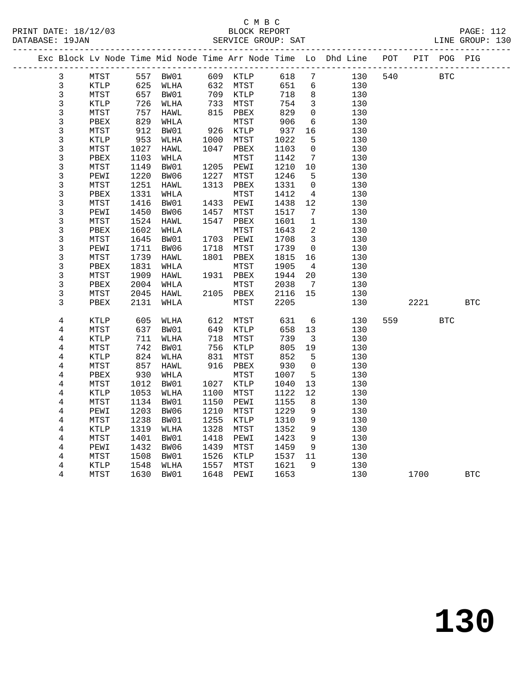### C M B C<br>BLOCK REPORT

|                |              |              |              |      |              |              |                 |                                                                    |     |         |            | PRINT DATE: 18/12/03 BLOCK REPORT PAGE: 112<br>DATABASE: 19JAN SERVICE GROUP: SAT LINE GROUP: 130<br>LINE GROUP: 130 |
|----------------|--------------|--------------|--------------|------|--------------|--------------|-----------------|--------------------------------------------------------------------|-----|---------|------------|----------------------------------------------------------------------------------------------------------------------|
|                |              |              |              |      |              |              |                 | Exc Block Lv Node Time Mid Node Time Arr Node Time Lo Dhd Line POT |     |         |            | PIT POG PIG                                                                                                          |
| 3              | MTST         |              | 557 BW01     |      | 609 KTLP     | 618          | $7\overline{ }$ | 130                                                                |     | 540 540 | <b>BTC</b> |                                                                                                                      |
| 3              | KTLP         | 625          | WLHA         |      | 632 MTST     | 651          | 6               | 130                                                                |     |         |            |                                                                                                                      |
| 3              | MTST         | 657          | BW01         |      | 709 KTLP     | 718          | 8               | 130                                                                |     |         |            |                                                                                                                      |
| 3              | KTLP         | 726          | WLHA         | 733  | MTST         | 754          | $\mathbf{3}$    | 130                                                                |     |         |            |                                                                                                                      |
| 3              | MTST         | 757          | HAWL         | 815  | PBEX         | 829          | $\mathbf 0$     | 130                                                                |     |         |            |                                                                                                                      |
| 3              | PBEX         | 829          | WHLA         |      | MTST         | 906          | 6               | 130                                                                |     |         |            |                                                                                                                      |
| 3              | MTST         | 912          | BW01         | 926  | KTLP         | 937          | 16              | 130                                                                |     |         |            |                                                                                                                      |
| 3              | KTLP         | 953          | WLHA         | 1000 | MTST         | 1022         | 5               | 130                                                                |     |         |            |                                                                                                                      |
| 3              | MTST         | 1027         | HAWL         | 1047 | PBEX         | 1103         | $\mathbf 0$     | 130                                                                |     |         |            |                                                                                                                      |
| 3              | PBEX         | 1103         | WHLA         |      | MTST         | 1142         | 7               | 130                                                                |     |         |            |                                                                                                                      |
| 3              | MTST         | 1149         | BW01         | 1205 | PEWI         | 1210         | 10              | 130                                                                |     |         |            |                                                                                                                      |
| 3              | PEWI         | 1220         | BW06         | 1227 | MTST         | 1246         | 5               | 130                                                                |     |         |            |                                                                                                                      |
| 3              | MTST         | 1251         | HAWL         | 1313 | PBEX         | 1331         | 0               | 130                                                                |     |         |            |                                                                                                                      |
| 3              | PBEX         | 1331         | WHLA         |      | MTST         | 1412         | 4               | 130                                                                |     |         |            |                                                                                                                      |
| 3              | MTST         | 1416         | BW01         | 1433 | PEWI         | 1438         | 12              | 130                                                                |     |         |            |                                                                                                                      |
| 3              | PEWI         | 1450         | BW06         | 1457 | MTST         | 1517         | 7               | 130                                                                |     |         |            |                                                                                                                      |
| 3              | MTST         | 1524         | HAWL         | 1547 | PBEX         | 1601         | $\mathbf{1}$    | 130                                                                |     |         |            |                                                                                                                      |
| 3              | PBEX         | 1602         | WHLA         |      | MTST         | 1643         | 2               | 130                                                                |     |         |            |                                                                                                                      |
| 3              | MTST         | 1645         | BW01         | 1703 | PEWI         | 1708         | 3               | 130                                                                |     |         |            |                                                                                                                      |
| 3              | PEWI         | 1711         | BW06         | 1718 | MTST         | 1739         | 0               | 130                                                                |     |         |            |                                                                                                                      |
| 3              | MTST         | 1739<br>1831 | HAWL         | 1801 | PBEX<br>MTST | 1815<br>1905 | 16<br>4         | 130<br>130                                                         |     |         |            |                                                                                                                      |
| 3<br>3         | PBEX<br>MTST | 1909         | WHLA<br>HAWL | 1931 | PBEX         | 1944         | 20              | 130                                                                |     |         |            |                                                                                                                      |
| 3              | PBEX         | 2004         | WHLA         |      | MTST         | 2038         | 7               | 130                                                                |     |         |            |                                                                                                                      |
| 3              | MTST         | 2045         | HAWL         | 2105 | PBEX         | 2116         | 15              | 130                                                                |     |         |            |                                                                                                                      |
| 3              | PBEX         | 2131         | WHLA         |      | MTST         | 2205         |                 | 130                                                                |     | 2221    |            | <b>BTC</b>                                                                                                           |
|                |              |              |              |      |              |              |                 |                                                                    |     |         |            |                                                                                                                      |
| 4              | KTLP         | 605          | WLHA         | 612  | MTST         | 631          | 6               | 130                                                                | 559 |         | <b>BTC</b> |                                                                                                                      |
| 4              | MTST         | 637          | BW01         | 649  | KTLP         | 658          | 13              | 130                                                                |     |         |            |                                                                                                                      |
| $\overline{4}$ | KTLP         | 711          | WLHA         | 718  | MTST         | 739          | 3               | 130                                                                |     |         |            |                                                                                                                      |
| 4              | MTST         | 742          | BW01         | 756  | KTLP         | 805          | 19              | 130                                                                |     |         |            |                                                                                                                      |
| 4              | KTLP         | 824          | WLHA         | 831  | MTST         | 852          | 5               | 130                                                                |     |         |            |                                                                                                                      |
| 4              | MTST         | 857          | HAWL         | 916  | PBEX         | 930          | $\mathbf 0$     | 130                                                                |     |         |            |                                                                                                                      |
| $\overline{4}$ | PBEX         | 930          | WHLA         |      | MTST         | 1007         | 5               | 130                                                                |     |         |            |                                                                                                                      |
| 4              | MTST         | 1012         | BW01         | 1027 | KTLP         | 1040         | 13              | 130                                                                |     |         |            |                                                                                                                      |
| 4              | KTLP         | 1053         | WLHA         | 1100 | MTST         | 1122         | 12              | 130                                                                |     |         |            |                                                                                                                      |
| 4              | MTST         | 1134         | BW01         | 1150 | PEWI         | 1155         | 8               | 130                                                                |     |         |            |                                                                                                                      |
| 4              | PEWI         | 1203         | BW06         | 1210 | MTST         | 1229         | 9               | 130                                                                |     |         |            |                                                                                                                      |
| 4              | MTST         | 1238         | BW01         | 1255 | KTLP         | 1310         | 9               | 130                                                                |     |         |            |                                                                                                                      |
| $\overline{4}$ | KTLP         | 1319         | WLHA         | 1328 | MTST         | 1352         | 9               | 130                                                                |     |         |            |                                                                                                                      |
| $\overline{4}$ | MTST         | 1401         | BW01         | 1418 | PEWI         | 1423         | 9               | 130                                                                |     |         |            |                                                                                                                      |
| 4              | PEWI         | 1432         | BW06         | 1439 | MTST         | 1459         | 9               | 130                                                                |     |         |            |                                                                                                                      |
| 4<br>4         | MTST         | 1508         | BW01         | 1526 | KTLP         | 1537         | 11<br>9         | 130                                                                |     |         |            |                                                                                                                      |
|                | <b>KTLP</b>  | 1548         | WLHA         | 1557 | MTST         | 1621         |                 | 130                                                                |     |         |            |                                                                                                                      |

4 MTST 1630 BW01 1648 PEWI 1653 130 1700 BTC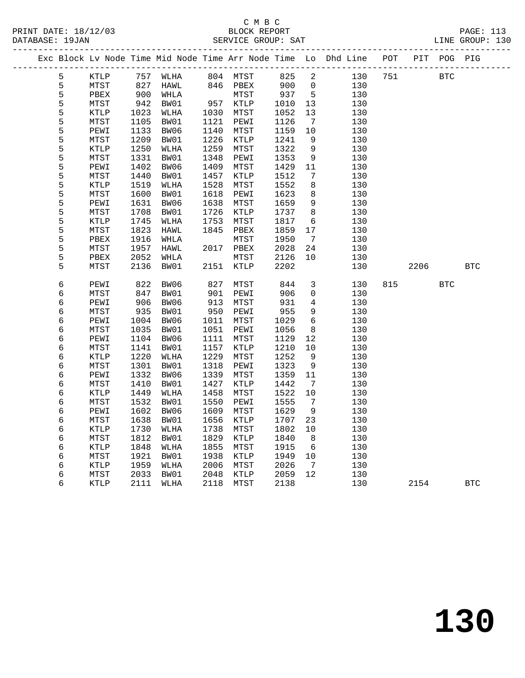#### C M B C SERVICE GROUP: SAT

|   |             |      |           |      |                         |        |                              | Exc Block Lv Node Time Mid Node Time Arr Node Time Lo Dhd Line POT PIT POG PIG |     |             |            |            |
|---|-------------|------|-----------|------|-------------------------|--------|------------------------------|--------------------------------------------------------------------------------|-----|-------------|------------|------------|
| 5 | KTLP        |      |           |      | 757 WLHA 804 MTST 825 2 |        |                              |                                                                                |     | 130 751 BTC |            |            |
| 5 | <b>MTST</b> |      | 827 HAWL  |      | 846 PBEX 900            |        | $\overline{0}$               | 130                                                                            |     |             |            |            |
| 5 | PBEX        | 900  | WHLA      |      | MTST 937 5              |        |                              | 130                                                                            |     |             |            |            |
| 5 | MTST        | 942  | BW01      |      | 957 KTLP                | 1010   | 13                           | 130                                                                            |     |             |            |            |
| 5 | KTLP        | 1023 | WLHA      | 1030 | MTST                    | 1052   | 13                           | 130                                                                            |     |             |            |            |
| 5 | MTST        | 1105 | BW01      | 1121 | PEWI                    | 1126   | $\overline{7}$               | 130                                                                            |     |             |            |            |
| 5 | PEWI        | 1133 | BW06      | 1140 | MTST                    | 1159   | 10                           | 130                                                                            |     |             |            |            |
| 5 | MTST        | 1209 | BW01      | 1226 | KTLP                    | 1241   | 9                            | 130                                                                            |     |             |            |            |
| 5 | KTLP        | 1250 | WLHA      | 1259 | MTST                    | 1322   | 9                            | 130                                                                            |     |             |            |            |
| 5 | MTST        | 1331 | BW01      | 1348 | PEWI                    | 1353   | 9                            | 130                                                                            |     |             |            |            |
| 5 | PEWI        | 1402 | BW06      | 1409 | MTST                    | 1429   | 11                           | 130                                                                            |     |             |            |            |
| 5 | MTST        | 1440 | BW01      | 1457 | KTLP                    | 1512   | $7\phantom{.0}\phantom{.0}7$ | 130                                                                            |     |             |            |            |
| 5 | KTLP        | 1519 | WLHA      | 1528 | MTST                    | 1552   | 8                            | 130                                                                            |     |             |            |            |
| 5 | MTST        | 1600 | BW01      | 1618 | PEWI                    | 1623   | 8                            | 130                                                                            |     |             |            |            |
| 5 | PEWI        | 1631 | BW06      | 1638 | MTST                    | 1659   | 9                            | 130                                                                            |     |             |            |            |
| 5 | MTST        | 1708 | BW01      | 1726 | KTLP                    | 1737   | 8                            | 130                                                                            |     |             |            |            |
| 5 | KTLP        | 1745 | WLHA      | 1753 | MTST                    | 1817   | 6                            | 130                                                                            |     |             |            |            |
| 5 | MTST        | 1823 | HAWL      | 1845 | PBEX                    | 1859   | 17                           | 130                                                                            |     |             |            |            |
| 5 | PBEX        | 1916 | WHLA      |      | MTST                    | 1950   | $\overline{7}$               | 130                                                                            |     |             |            |            |
| 5 | MTST        | 1957 | HAWL      |      | 2017 PBEX               | 2028   | 24                           | 130                                                                            |     |             |            |            |
| 5 | PBEX        | 2052 | WHLA      |      | MTST                    | 2126   | 10                           | 130                                                                            |     |             |            |            |
| 5 | MTST        | 2136 | BW01      |      | 2151 KTLP               | 2202   |                              | 130                                                                            |     | 2206        |            | <b>BTC</b> |
| 6 | PEWI        | 822  | BW06      | 827  | MTST                    | 844    | 3                            | 130                                                                            | 815 |             | <b>BTC</b> |            |
| 6 | MTST        | 847  | BW01      | 901  | PEWI                    | 906    | $\mathbf 0$                  | 130                                                                            |     |             |            |            |
| 6 | PEWI        | 906  | BW06      | 913  | MTST                    | 931    | 4                            | 130                                                                            |     |             |            |            |
| 6 | MTST        | 935  | BW01      | 950  | PEWI                    | 955    | 9                            | 130                                                                            |     |             |            |            |
| 6 | PEWI        | 1004 | BW06      | 1011 | MTST                    | 1029   | 6                            | 130                                                                            |     |             |            |            |
| 6 | MTST        | 1035 | BW01      | 1051 | PEWI                    | 1056   | 8                            | 130                                                                            |     |             |            |            |
| 6 | PEWI        | 1104 | BW06      | 1111 | MTST                    | 1129   | 12                           | 130                                                                            |     |             |            |            |
| 6 | MTST        | 1141 | BW01      | 1157 | KTLP                    | 1210   | 10                           | 130                                                                            |     |             |            |            |
| 6 | KTLP        |      | 1220 WLHA | 1229 | MTST                    | 1252 9 |                              | 130                                                                            |     |             |            |            |
| 6 | MTST        |      | 1301 BW01 | 1318 | PEWI                    | 1323   | 9                            | 130                                                                            |     |             |            |            |
|   |             |      |           |      |                         |        |                              |                                                                                |     |             |            |            |

 6 MTST 1301 BW01 1318 PEWI 1323 9 130 6 PEWI 1332 BW06 1339 MTST 1359 11 130 6 MTST 1410 BW01 1427 KTLP 1442 7 130

6 MTST 1812 BW01 1829 KTLP 1840 8 130

6 MTST 2033 BW01 2048 KTLP 2059 12 130

 6 KTLP 1449 WLHA 1458 MTST 1522 10 130 6 MTST 1532 BW01 1550 PEWI 1555 7 130 6 PEWI 1602 BW06 1609 MTST 1629 9 130 6 MTST 1638 BW01 1656 KTLP 1707 23 130 6 KTLP 1730 WLHA 1738 MTST 1802 10 130

 6 KTLP 1848 WLHA 1855 MTST 1915 6 130 6 MTST 1921 BW01 1938 KTLP 1949 10 130 6 KTLP 1959 WLHA 2006 MTST 2026 7 130<br>6 MTST 2033 BW01 2048 KTLP 2059 12 130<br>6 KTLP 2111 WLHA 2118 MTST 2138 130

6 KTLP 2111 WLHA 2118 MTST 2138 130 2154 BTC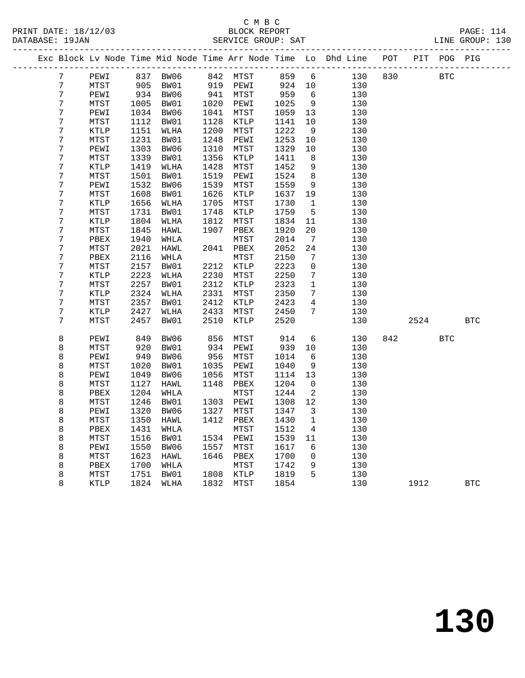### C M B C<br>BLOCK BEDORT

| DATABASE: 19JAN |                 |             |      |      |      |           |                 |                          |                                                                                                                   |      |            |            |
|-----------------|-----------------|-------------|------|------|------|-----------|-----------------|--------------------------|-------------------------------------------------------------------------------------------------------------------|------|------------|------------|
|                 |                 |             |      |      |      |           |                 |                          | Exc Block Lv Node Time Mid Node Time Arr Node Time Lo Dhd Line POT PIT POG PIG                                    |      |            |            |
|                 | $7\phantom{0}$  |             |      |      |      |           |                 |                          | PEWI 837 BW06 842 MTST 859 6 130 830 BTC<br>MTST 905 BW01 919 PEWI 924 10 130<br>PEWI 934 BW06 941 MTST 959 6 130 |      |            |            |
|                 | $7\phantom{.0}$ |             |      |      |      |           |                 |                          |                                                                                                                   |      |            |            |
|                 | $7\phantom{.0}$ |             |      |      |      | 941 MTST  | $959$<br>$1025$ |                          |                                                                                                                   |      |            |            |
|                 | $\overline{7}$  | MTST        | 1005 | BW01 |      | 1020 PEWI |                 | 9                        | 130                                                                                                               |      |            |            |
|                 | 7               | PEWI        | 1034 | BW06 | 1041 | MTST      | 1059            | 13                       | 130                                                                                                               |      |            |            |
|                 | 7               | MTST        | 1112 | BW01 | 1128 | KTLP      | 1141            | 10                       | 130                                                                                                               |      |            |            |
|                 | 7               | KTLP        | 1151 | WLHA | 1200 | MTST      | 1222            | 9                        | 130                                                                                                               |      |            |            |
|                 | 7               | MTST        | 1231 | BW01 | 1248 | PEWI      | 1253            | 10                       | 130                                                                                                               |      |            |            |
|                 | 7               | PEWI        | 1303 | BW06 | 1310 | MTST      | 1329            | 10                       | 130                                                                                                               |      |            |            |
|                 | 7               | MTST        | 1339 | BW01 | 1356 | KTLP      | 1411            | 8 <sup>8</sup>           | 130                                                                                                               |      |            |            |
|                 | 7               | KTLP        | 1419 | WLHA | 1428 | MTST      | 1452            | 9                        | 130                                                                                                               |      |            |            |
|                 | 7               | MTST        | 1501 | BW01 | 1519 | PEWI      | 1524            | 8 <sup>8</sup>           | 130                                                                                                               |      |            |            |
|                 | 7               | PEWI        | 1532 | BW06 | 1539 | MTST      | 1559            | 9                        | 130                                                                                                               |      |            |            |
|                 | 7               | MTST        | 1608 | BW01 | 1626 | KTLP      | 1637            | 19                       | 130                                                                                                               |      |            |            |
|                 | 7               | KTLP        | 1656 | WLHA | 1705 | MTST      | 1730            | $\overline{1}$           | 130                                                                                                               |      |            |            |
|                 | 7               | MTST        | 1731 | BW01 | 1748 | KTLP      | 1759            | 5 <sup>5</sup>           | 130                                                                                                               |      |            |            |
|                 | 7               | KTLP        | 1804 | WLHA | 1812 | MTST      | 1834            | 11                       | 130                                                                                                               |      |            |            |
|                 | 7               | MTST        | 1845 | HAWL | 1907 | PBEX      | 1920            | 20 <sub>o</sub>          | 130                                                                                                               |      |            |            |
|                 | 7               | PBEX        | 1940 | WHLA |      | MTST      | 2014            | $7\overline{ }$          | 130                                                                                                               |      |            |            |
|                 | 7               | MTST        | 2021 | HAWL |      | 2041 PBEX | 2052            | 24                       | 130                                                                                                               |      |            |            |
|                 | 7               | PBEX        | 2116 | WHLA |      | MTST      | 2150            | $7\phantom{.0}$          | 130                                                                                                               |      |            |            |
|                 | 7               | MTST        | 2157 | BW01 |      | 2212 KTLP | 2223            | $\overline{0}$           | 130                                                                                                               |      |            |            |
|                 | 7               | KTLP        | 2223 | WLHA |      | 2230 MTST | 2250            | $7\overline{ }$          | 130                                                                                                               |      |            |            |
|                 | 7               | MTST        | 2257 | BW01 | 2312 | KTLP      | 2323            | $\mathbf{1}$             | 130                                                                                                               |      |            |            |
|                 | 7               | KTLP        | 2324 | WLHA | 2331 | MTST      | 2350            | $7\phantom{.0}$          | 130                                                                                                               |      |            |            |
|                 | 7               | MTST        | 2357 | BW01 | 2412 | KTLP      | 2423            |                          | $4\overline{ }$<br>130                                                                                            |      |            |            |
|                 | 7               | KTLP        | 2427 | WLHA | 2433 | MTST      | 2450            | $7\overline{ }$          | 130                                                                                                               |      |            |            |
|                 | 7               | MTST        | 2457 | BW01 | 2510 | KTLP      | 2520            |                          | 130                                                                                                               | 2524 |            | <b>BTC</b> |
|                 | 8               | PEWI        | 849  | BW06 | 856  | MTST      | 914             |                          | $6 \overline{6}$<br>130                                                                                           | 842  | <b>BTC</b> |            |
|                 | 8               | MTST        | 920  | BW01 |      | 934 PEWI  | 939             | 10                       | 130                                                                                                               |      |            |            |
|                 | 8               | PEWI        | 949  | BW06 | 956  | MTST      | 1014            | 6                        | 130                                                                                                               |      |            |            |
|                 | 8               | MTST        | 1020 | BW01 | 1035 | PEWI      | 1040            | 9                        | 130                                                                                                               |      |            |            |
|                 | 8               | PEWI        | 1049 | BW06 | 1056 | MTST      | 1114            | 13                       | 130                                                                                                               |      |            |            |
|                 | 8               | MTST        | 1127 | HAWL |      | 1148 PBEX | 1204            | $\overline{0}$           | 130                                                                                                               |      |            |            |
|                 | 8               | PBEX        | 1204 | WHLA |      | MTST      | 1244            | $\overline{\phantom{a}}$ | 130                                                                                                               |      |            |            |
|                 | 8               | MTST        | 1246 | BW01 |      | 1303 PEWI | 1308 12         |                          | 130                                                                                                               |      |            |            |
|                 | 8               | PEWI        | 1320 | BW06 | 1327 | MTST      | 1347            | $\overline{\mathbf{3}}$  | 130                                                                                                               |      |            |            |
|                 | 8               | MTST        | 1350 | HAWL | 1412 | PBEX      | 1430            | 1                        | 130                                                                                                               |      |            |            |
|                 | 8               | PBEX        | 1431 | WHLA |      | MTST      | 1512            | 4                        | 130                                                                                                               |      |            |            |
|                 | 8               | <b>MTST</b> | 1516 | BW01 | 1534 | PEWI      | 1539            | 11                       | 130                                                                                                               |      |            |            |
|                 | 8               | PEWI        | 1550 | BW06 | 1557 | MTST      | 1617            | 6                        | 130                                                                                                               |      |            |            |
|                 | 8               | MTST        | 1623 | HAWL | 1646 | PBEX      | 1700            | 0                        | 130                                                                                                               |      |            |            |
|                 | 8               | PBEX        | 1700 | WHLA |      | MTST      | 1742            | 9                        | 130                                                                                                               |      |            |            |
|                 | 8               | MTST        | 1751 | BW01 | 1808 | KTLP      | 1819            | 5                        | 130                                                                                                               |      |            |            |

8 KTLP 1824 WLHA 1832 MTST 1854 130 1912 BTC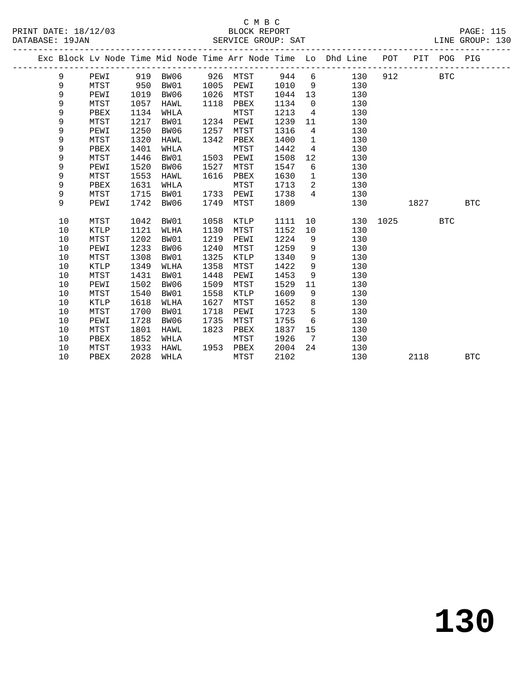|  |    |             |      |          |      |          |      |                 | Exc Block Lv Node Time Mid Node Time Arr Node Time Lo Dhd Line POT |      |      | PIT POG PIG |            |
|--|----|-------------|------|----------|------|----------|------|-----------------|--------------------------------------------------------------------|------|------|-------------|------------|
|  | 9  | PEWI        |      | 919 BW06 |      | 926 MTST | 944  | 6               | 130                                                                | 912  |      | BTC         |            |
|  | 9  | MTST        | 950  | BW01     | 1005 | PEWI     | 1010 | 9               | 130                                                                |      |      |             |            |
|  | 9  | PEWI        | 1019 | BW06     | 1026 | MTST     | 1044 | 13              | 130                                                                |      |      |             |            |
|  | 9  | MTST        | 1057 | HAWL     | 1118 | PBEX     | 1134 | $\overline{0}$  | 130                                                                |      |      |             |            |
|  | 9  | PBEX        | 1134 | WHLA     |      | MTST     | 1213 | $4\overline{ }$ | 130                                                                |      |      |             |            |
|  | 9  | MTST        | 1217 | BW01     | 1234 | PEWI     | 1239 | 11              | 130                                                                |      |      |             |            |
|  | 9  | PEWI        | 1250 | BW06     | 1257 | MTST     | 1316 | 4               | 130                                                                |      |      |             |            |
|  | 9  | MTST        | 1320 | HAWL     | 1342 | PBEX     | 1400 | $\mathbf 1$     | 130                                                                |      |      |             |            |
|  | 9  | PBEX        | 1401 | WHLA     |      | MTST     | 1442 | $4\overline{ }$ | 130                                                                |      |      |             |            |
|  | 9  | MTST        | 1446 | BW01     | 1503 | PEWI     | 1508 | 12              | 130                                                                |      |      |             |            |
|  | 9  | PEWI        | 1520 | BW06     | 1527 | MTST     | 1547 | 6               | 130                                                                |      |      |             |            |
|  | 9  | MTST        | 1553 | HAWL     | 1616 | PBEX     | 1630 | $\mathbf{1}$    | 130                                                                |      |      |             |            |
|  | 9  | PBEX        | 1631 | WHLA     |      | MTST     | 1713 | 2               | 130                                                                |      |      |             |            |
|  | 9  | MTST        | 1715 | BW01     | 1733 | PEWI     | 1738 | 4               | 130                                                                |      |      |             |            |
|  | 9  | PEWI        | 1742 | BW06     | 1749 | MTST     | 1809 |                 | 130                                                                |      | 1827 |             | <b>BTC</b> |
|  |    |             |      |          |      |          |      |                 |                                                                    |      |      |             |            |
|  | 10 | MTST        | 1042 | BW01     | 1058 | KTLP     | 1111 | 10              | 130                                                                | 1025 |      | <b>BTC</b>  |            |
|  | 10 | <b>KTLP</b> | 1121 | WLHA     | 1130 | MTST     | 1152 | 10              | 130                                                                |      |      |             |            |
|  | 10 | MTST        | 1202 | BW01     | 1219 | PEWI     | 1224 | 9               | 130                                                                |      |      |             |            |
|  | 10 | PEWI        | 1233 | BW06     | 1240 | MTST     | 1259 | 9               | 130                                                                |      |      |             |            |
|  | 10 | MTST        | 1308 | BW01     | 1325 | KTLP     | 1340 | 9               | 130                                                                |      |      |             |            |
|  | 10 | <b>KTLP</b> | 1349 | WLHA     | 1358 | MTST     | 1422 | 9               | 130                                                                |      |      |             |            |
|  | 10 | MTST        | 1431 | BW01     | 1448 | PEWI     | 1453 | 9               | 130                                                                |      |      |             |            |
|  | 10 | PEWI        | 1502 | BW06     | 1509 | MTST     | 1529 | 11              | 130                                                                |      |      |             |            |
|  | 10 | MTST        | 1540 | BW01     | 1558 | KTLP     | 1609 | 9               | 130                                                                |      |      |             |            |
|  | 10 | <b>KTLP</b> | 1618 | WLHA     | 1627 | MTST     | 1652 | 8               | 130                                                                |      |      |             |            |
|  | 10 | MTST        | 1700 | BW01     | 1718 | PEWI     | 1723 | 5               | 130                                                                |      |      |             |            |
|  | 10 | PEWI        | 1728 | BW06     | 1735 | MTST     | 1755 | 6               | 130                                                                |      |      |             |            |
|  | 10 | MTST        | 1801 | HAWL     | 1823 | PBEX     | 1837 | 15              | 130                                                                |      |      |             |            |
|  | 10 | PBEX        | 1852 | WHLA     |      | MTST     | 1926 | 7               | 130                                                                |      |      |             |            |
|  | 10 | MTST        | 1933 | HAWL     | 1953 | PBEX     | 2004 | 24              | 130                                                                |      |      |             |            |
|  | 10 | PBEX        | 2028 | WHLA     |      | MTST     | 2102 |                 | 130                                                                |      | 2118 |             | <b>BTC</b> |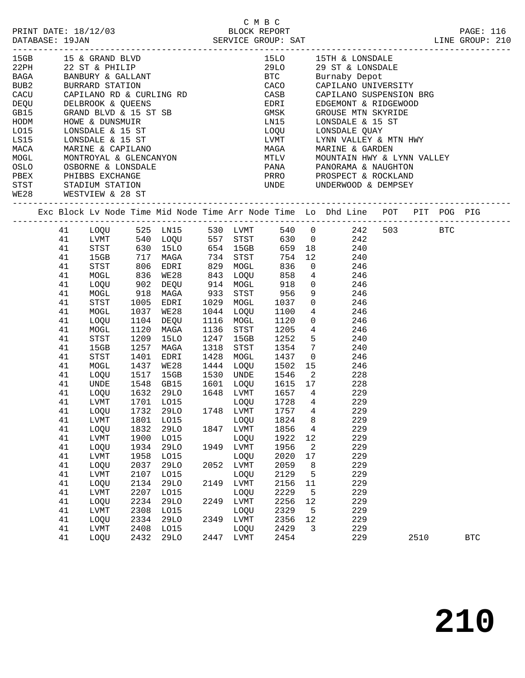|                                                                                |    |              |      | 15GB 15 & GRAND BLVD<br>22PH 22 ST & PHILIP<br>BAGA BANBURY & GALLANT<br>BUB2 BURRARD STATION<br>CACU CAPILANO RD & CURLING RD<br>CACU CAPILANO RD & CURLING RD                                                                    |      |           |                            |        | 15LO 15TH & LONSDALE                                                                                                                                                               |      |                      |  |
|--------------------------------------------------------------------------------|----|--------------|------|------------------------------------------------------------------------------------------------------------------------------------------------------------------------------------------------------------------------------------|------|-----------|----------------------------|--------|------------------------------------------------------------------------------------------------------------------------------------------------------------------------------------|------|----------------------|--|
|                                                                                |    |              |      |                                                                                                                                                                                                                                    |      |           |                            |        |                                                                                                                                                                                    |      |                      |  |
|                                                                                |    |              |      |                                                                                                                                                                                                                                    |      |           |                            |        | 29LO 29 ST & LONSDALE<br>BTC Burnaby Depot<br>CACO CAPILANO UNIVERSITY                                                                                                             |      |                      |  |
|                                                                                |    |              |      |                                                                                                                                                                                                                                    |      |           |                            |        |                                                                                                                                                                                    |      |                      |  |
|                                                                                |    |              |      |                                                                                                                                                                                                                                    |      |           |                            |        | CASB CAPILANO SUSPENSION BRG                                                                                                                                                       |      |                      |  |
|                                                                                |    |              |      |                                                                                                                                                                                                                                    |      |           |                            |        |                                                                                                                                                                                    |      |                      |  |
|                                                                                |    |              |      |                                                                                                                                                                                                                                    |      |           |                            |        |                                                                                                                                                                                    |      |                      |  |
|                                                                                |    |              |      |                                                                                                                                                                                                                                    |      |           |                            |        | EDRI EDGEMONT & RIDGEWOOD<br>GMSK GROUSE MTN SKYRIDE<br>LN15 LONSDALE & 15 ST                                                                                                      |      |                      |  |
|                                                                                |    |              |      |                                                                                                                                                                                                                                    |      |           |                            |        | LOQU LONSDALE QUAY                                                                                                                                                                 |      |                      |  |
|                                                                                |    |              |      |                                                                                                                                                                                                                                    |      |           |                            |        | LVMT LYNN VALLEY & MTN HWY<br>MAGA MARINE & GARDEN<br>MTLV MOUNTAIN HWY & LYNN VALLEY<br>PANA PANORAMA & NAUGHTON<br>PRRO PROSPECT & ROCKLAND<br>UNDE UNDERWOOD & DEMPSEY          |      |                      |  |
|                                                                                |    |              |      |                                                                                                                                                                                                                                    |      |           |                            |        |                                                                                                                                                                                    |      |                      |  |
|                                                                                |    |              |      |                                                                                                                                                                                                                                    |      |           |                            |        |                                                                                                                                                                                    |      |                      |  |
|                                                                                |    |              |      |                                                                                                                                                                                                                                    |      |           |                            |        |                                                                                                                                                                                    |      |                      |  |
|                                                                                |    |              |      |                                                                                                                                                                                                                                    |      |           |                            |        |                                                                                                                                                                                    |      |                      |  |
|                                                                                |    |              |      |                                                                                                                                                                                                                                    |      |           |                            |        |                                                                                                                                                                                    |      |                      |  |
| PBEX<br>PHIBBS EXCHANGE<br>STST<br>STADIUM STATION<br>WE28<br>WESTVIEW & 28 ST |    |              |      | AND NOTE & DUNSMUIR<br>LOIS LONSDALE & 15 ST<br>LS15 LONSDALE & 15 ST<br>MACA MARINE & CAPILANO<br>MOGL MONTROYAL & GLENCANYON<br>OSLO OSBORNE & LONSDALE<br>PBEX PHIBBS EXCHANGE<br>STST STADIUM STATION<br>WE28 WESTVTEW & 20 OF |      |           |                            |        |                                                                                                                                                                                    |      |                      |  |
|                                                                                |    |              |      |                                                                                                                                                                                                                                    |      |           |                            |        | Exc Block Lv Node Time Mid Node Time Arr Node Time Lo Dhd Line POT PIT POG PIG                                                                                                     |      |                      |  |
|                                                                                |    |              |      |                                                                                                                                                                                                                                    |      |           |                            |        | 41 LOQU 525 LN15 530 LVMT 540 0 242 503 BTC                                                                                                                                        |      |                      |  |
|                                                                                | 41 |              |      |                                                                                                                                                                                                                                    |      |           |                            |        | LVMT 540 LOQU 557 STST 630 0 242<br>STST 630 15LO 654 15GB 659 18 240<br>15GB 717 MAGA 734 STST 754 12 240<br>STST 806 EDRT 829 MOGL 836 0 246<br>MOGL 836 WE28 843 LOQU 858 4 246 |      |                      |  |
|                                                                                | 41 |              |      |                                                                                                                                                                                                                                    |      |           |                            |        |                                                                                                                                                                                    |      |                      |  |
|                                                                                | 41 |              |      |                                                                                                                                                                                                                                    |      |           |                            |        |                                                                                                                                                                                    |      |                      |  |
|                                                                                | 41 |              |      |                                                                                                                                                                                                                                    |      |           |                            |        |                                                                                                                                                                                    |      |                      |  |
|                                                                                | 41 |              |      |                                                                                                                                                                                                                                    |      |           |                            |        |                                                                                                                                                                                    |      |                      |  |
|                                                                                | 41 | LOQU         |      | 902 DEQU                                                                                                                                                                                                                           |      | 914 MOGL  | 918                        |        | $0$ 246                                                                                                                                                                            |      |                      |  |
|                                                                                | 41 | MOGL         |      |                                                                                                                                                                                                                                    |      |           |                            |        | 918 MAGA 933 STST 956 9 246<br>1005 EDRI 1029 MOGL 1037 0 246<br>1037 WE28 1044 LOQU 1100 4 246                                                                                    |      |                      |  |
|                                                                                | 41 | STST         |      |                                                                                                                                                                                                                                    |      |           |                            |        |                                                                                                                                                                                    |      |                      |  |
|                                                                                | 41 | MOGL         |      |                                                                                                                                                                                                                                    |      |           |                            |        |                                                                                                                                                                                    |      |                      |  |
|                                                                                | 41 | LOQU         |      | 1104 DEQU 1116 MOGL                                                                                                                                                                                                                |      |           | 1120                       |        | $0\qquad \qquad 246$                                                                                                                                                               |      |                      |  |
|                                                                                | 41 | MOGL         | 1120 | MAGA                                                                                                                                                                                                                               |      | 1136 STST | 1205                       |        | $\begin{array}{ccc} 4 & 246 \\ 5 & 240 \end{array}$                                                                                                                                |      |                      |  |
|                                                                                | 41 | STST         | 1209 | 15LO                                                                                                                                                                                                                               |      | 1247 15GB | 1252                       |        |                                                                                                                                                                                    |      |                      |  |
|                                                                                | 41 | 15GB         | 1257 | MAGA                                                                                                                                                                                                                               | 1318 | STST      | 1354                       |        | $7\overline{ }$<br>240                                                                                                                                                             |      |                      |  |
|                                                                                | 41 | STST         | 1401 | EDRI                                                                                                                                                                                                                               |      | 1428 MOGL | 1437                       |        | $\overline{0}$<br>246                                                                                                                                                              |      |                      |  |
|                                                                                | 41 | MOGL         | 1437 | WE28                                                                                                                                                                                                                               |      | 1444 LOQU | 1502                       |        | 15<br>246                                                                                                                                                                          |      |                      |  |
|                                                                                | 41 | LOQU         |      |                                                                                                                                                                                                                                    |      |           |                            |        |                                                                                                                                                                                    |      |                      |  |
|                                                                                | 41 | UNDE         |      | 1517 15GB<br>1548 GB15                                                                                                                                                                                                             |      |           |                            |        | 1530 UNDE 1546 2 228<br>1601 LOQU 1615 17 228                                                                                                                                      |      |                      |  |
|                                                                                | 41 |              |      |                                                                                                                                                                                                                                    |      |           |                            |        | LOQU 1632 29LO 1648 LVMT 1657 4 229                                                                                                                                                |      |                      |  |
|                                                                                | 41 | LVMT         |      |                                                                                                                                                                                                                                    |      |           | LOQU 1728 4<br>LVMT 1757 4 |        | 229                                                                                                                                                                                |      |                      |  |
|                                                                                | 41 | LOQU         |      |                                                                                                                                                                                                                                    |      |           |                            | 1757 4 | 229                                                                                                                                                                                |      |                      |  |
|                                                                                | 41 |              |      |                                                                                                                                                                                                                                    |      |           |                            |        | LVMT 1801 LO15 LOQU 1824 8 229                                                                                                                                                     |      |                      |  |
|                                                                                | 41 | LOQU         | 1832 | 29LO                                                                                                                                                                                                                               | 1847 | LVMT      | 1856                       | 4      | 229                                                                                                                                                                                |      |                      |  |
|                                                                                | 41 | LVMT         | 1900 | L015                                                                                                                                                                                                                               |      | LOQU      | 1922                       | 12     | 229                                                                                                                                                                                |      |                      |  |
|                                                                                | 41 | LOQU         | 1934 | <b>29LO</b>                                                                                                                                                                                                                        | 1949 | LVMT      | 1956                       | 2      | 229                                                                                                                                                                                |      |                      |  |
|                                                                                | 41 | LVMT         | 1958 | L015                                                                                                                                                                                                                               |      | LOQU      | 2020                       | 17     | 229                                                                                                                                                                                |      |                      |  |
|                                                                                | 41 | LOQU         | 2037 | 29LO                                                                                                                                                                                                                               | 2052 | LVMT      | 2059                       | 8      | 229                                                                                                                                                                                |      |                      |  |
|                                                                                | 41 | LVMT         | 2107 | L015                                                                                                                                                                                                                               |      | LOQU      | 2129                       | 5      | 229                                                                                                                                                                                |      |                      |  |
|                                                                                | 41 | LOQU         | 2134 | 29LO                                                                                                                                                                                                                               | 2149 | LVMT      | 2156                       | 11     | 229                                                                                                                                                                                |      |                      |  |
|                                                                                | 41 | ${\rm LVMT}$ | 2207 | L015                                                                                                                                                                                                                               |      | LOQU      | 2229                       | 5      | 229                                                                                                                                                                                |      |                      |  |
|                                                                                | 41 | LOQU         | 2234 | 29LO                                                                                                                                                                                                                               | 2249 | LVMT      | 2256                       | 12     | 229                                                                                                                                                                                |      |                      |  |
|                                                                                | 41 | LVMT         | 2308 | L015                                                                                                                                                                                                                               |      | LOQU      | 2329                       | 5      | 229                                                                                                                                                                                |      |                      |  |
|                                                                                | 41 | LOQU         | 2334 | 29LO                                                                                                                                                                                                                               | 2349 | LVMT      | 2356                       | 12     | 229                                                                                                                                                                                |      |                      |  |
|                                                                                | 41 | ${\rm LVMT}$ | 2408 | L015                                                                                                                                                                                                                               |      | LOQU      | 2429                       | 3      | 229                                                                                                                                                                                |      |                      |  |
|                                                                                | 41 | LOQU         | 2432 | <b>29LO</b>                                                                                                                                                                                                                        | 2447 | LVMT      | 2454                       |        | 229                                                                                                                                                                                | 2510 | $\operatorname{BTC}$ |  |
|                                                                                |    |              |      |                                                                                                                                                                                                                                    |      |           |                            |        |                                                                                                                                                                                    |      |                      |  |

C M B C<br>BLOCK REPORT PRINT DATE: 18/12/03 BLOCK REPORT PAGE: 116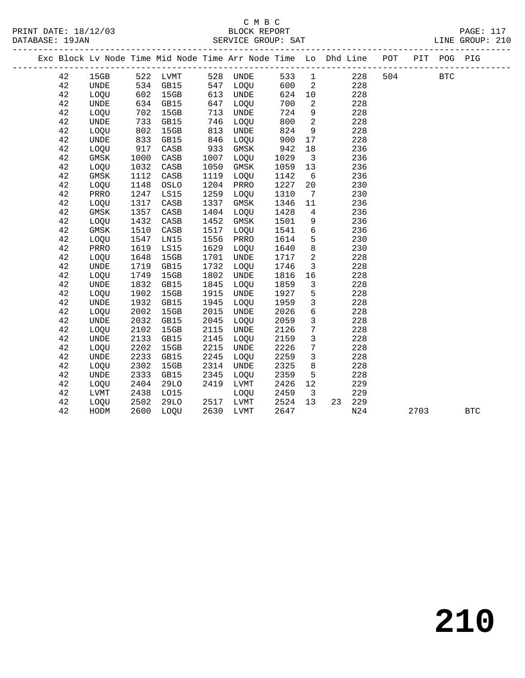### C M B C

| PRINT DATE: 18/12/03<br>DATABASE: 19JAN |             |      | $\frac{1}{2}$ |      | BLOCK REPORT<br>SERVICE GROUP: SAT |      |                |                                                                                |     |            | PAGE: 117<br>LINE GROUP: 210 |  |
|-----------------------------------------|-------------|------|---------------|------|------------------------------------|------|----------------|--------------------------------------------------------------------------------|-----|------------|------------------------------|--|
|                                         |             |      |               |      |                                    |      |                | Exc Block Lv Node Time Mid Node Time Arr Node Time Lo Dhd Line POT PIT POG PIG |     |            |                              |  |
| 42                                      | 15GB        |      | 522 LVMT      |      | 528 UNDE                           | 533  | $\overline{1}$ | 228                                                                            | 504 | <b>BTC</b> |                              |  |
| 42                                      | <b>UNDE</b> | 534  | GB15          | 547  | LOQU                               | 600  | 2              | 228                                                                            |     |            |                              |  |
| 42                                      | LOQU        | 602  | 15GB          | 613  | UNDE                               | 624  | 10             | 228                                                                            |     |            |                              |  |
| 42                                      | <b>UNDE</b> | 634  | GB15          | 647  | LOQU                               | 700  | $\overline{2}$ | 228                                                                            |     |            |                              |  |
| 42                                      | <b>LOOU</b> | 702  | 15GB          | 713  | <b>UNDE</b>                        | 724  | 9              | 228                                                                            |     |            |                              |  |
| 42                                      | <b>UNDE</b> | 733  | GB15          | 746  | LOQU                               | 800  | 2              | 228                                                                            |     |            |                              |  |
| 42                                      | LOQU        | 802  | 15GB          | 813  | UNDE                               | 824  | $\overline{9}$ | 228                                                                            |     |            |                              |  |
| 42                                      | <b>UNDE</b> | 833  | GB15          | 846  | LOQU                               | 900  | 17             | 228                                                                            |     |            |                              |  |
| 42                                      | LOQU        | 917  | CASB          | 933  | GMSK                               | 942  | 18             | 236                                                                            |     |            |                              |  |
| 42                                      | GMSK        | 1000 | CASB          | 1007 | LOQU                               | 1029 | $\overline{3}$ | 236                                                                            |     |            |                              |  |
| 42                                      | LOQU        | 1032 | CASB          | 1050 | GMSK                               | 1059 | 13             | 236                                                                            |     |            |                              |  |
| 42                                      | GMSK        | 1112 | CASB          | 1119 | LOOU                               | 1142 | 6              | 236                                                                            |     |            |                              |  |
| 42                                      | LOQU        | 1148 | OSLO          | 1204 | PRRO                               | 1227 | 20             | 230                                                                            |     |            |                              |  |
| 42                                      | PRRO        | 1247 | LS15          | 1259 | LOQU                               | 1310 | 7              | 230                                                                            |     |            |                              |  |
| 42                                      | LOQU        | 1317 | CASB          | 1337 | GMSK                               | 1346 | 11             | 236                                                                            |     |            |                              |  |
| 42                                      | GMSK        | 1357 | CASB          | 1404 | LOOU                               | 1428 | 4              | 236                                                                            |     |            |                              |  |
| 42                                      | LOQU        | 1432 | CASB          | 1452 | GMSK                               | 1501 | 9              | 236                                                                            |     |            |                              |  |
| 42                                      | GMSK        | 1510 | CASB          | 1517 | LOOU                               | 1541 | 6              | 236                                                                            |     |            |                              |  |
| 42                                      | LOOU        | 1547 | LN15          | 1556 | PRRO                               | 1614 | 5              | 230                                                                            |     |            |                              |  |
| 42                                      | PRRO        | 1619 | LS15          | 1629 | LOQU                               | 1640 | 8              | 230                                                                            |     |            |                              |  |
| 42                                      | <b>LOOU</b> | 1648 | 15GB          | 1701 | UNDE                               | 1717 | 2              | 228                                                                            |     |            |                              |  |
| 42                                      | <b>UNDE</b> | 1719 | GB15          | 1732 | LOOU                               | 1746 | $\overline{3}$ | 228                                                                            |     |            |                              |  |
| 42                                      | LOQU        | 1749 | 15GB          | 1802 | UNDE                               | 1816 | 16             | 228                                                                            |     |            |                              |  |
| 42                                      | UNDE        | 1832 | GB15          | 1845 | LOQU                               | 1859 | 3              | 228                                                                            |     |            |                              |  |
| 42                                      | LOQU        | 1902 | 15GB          | 1915 | UNDE                               | 1927 | 5              | 228                                                                            |     |            |                              |  |
| 42                                      | <b>UNDE</b> | 1932 | GB15          | 1945 | LOQU                               | 1959 | 3              | 228                                                                            |     |            |                              |  |
| 42                                      | LOQU        | 2002 | 15GB          | 2015 | UNDE                               | 2026 | 6              | 228                                                                            |     |            |                              |  |
| 42                                      | <b>UNDE</b> | 2032 | GB15          | 2045 | LOQU                               | 2059 | 3              | 228                                                                            |     |            |                              |  |
| 42                                      | LOQU        | 2102 | 15GB          | 2115 | UNDE                               | 2126 | 7              | 228                                                                            |     |            |                              |  |
| 42                                      | <b>UNDE</b> | 2133 | GB15          | 2145 | LOQU                               | 2159 | $\mathbf{3}$   | 228                                                                            |     |            |                              |  |
| 42                                      | LOQU        | 2202 | 15GB          | 2215 | UNDE                               | 2226 | 7              | 228                                                                            |     |            |                              |  |
| 42                                      | <b>UNDE</b> | 2233 | GB15          | 2245 | LOOU                               | 2259 | 3              | 228                                                                            |     |            |                              |  |

 42 LOQU 2302 15GB 2314 UNDE 2325 8 228 42 UNDE 2333 GB15 2345 LOQU 2359 5 228 42 LOQU 2404 29LO 2419 LVMT 2426 12 229 42 LVMT 2438 LO15 LOQU 2459 3 229 42 LOQU 2502 29LO 2517 LVMT 2524 13 23 229

42 HODM 2600 LOQU 2630 LVMT 2647 N24 2703 BTC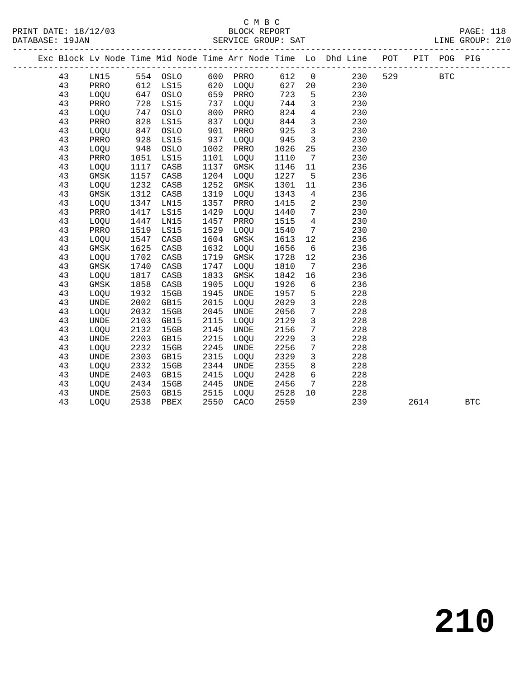| Exc Block Ly Node Time Mid Node Time Arr Node Time Lo Dhd Line |             |     |      |      |             |      |     |     | POT | PIT | POG.       | PIG |
|----------------------------------------------------------------|-------------|-----|------|------|-------------|------|-----|-----|-----|-----|------------|-----|
| 43                                                             | LN15        | 554 | OSLO | 600  | PRRO        | 612  | - 0 | 230 | 529 |     | <b>BTC</b> |     |
| 43                                                             | PRRO        | 612 | LS15 | 620  | LOOU        | 627  | 20  | 230 |     |     |            |     |
| 43                                                             | <b>LOOU</b> | 647 | OSLO | 659  | PRRO        | 723  | 5   | 230 |     |     |            |     |
| 43                                                             | PRRO        | 728 | LS15 | 737  | LOOU        | 744  |     | 230 |     |     |            |     |
| 43                                                             | <b>LOOU</b> | 747 | OSLO | 800  | PRRO        | 824  | 4   | 230 |     |     |            |     |
| 43                                                             | PRRO        | 828 | LS15 | 837  | LOOU        | 844  |     | 230 |     |     |            |     |
| 43                                                             | <b>LOOU</b> | 847 | OSLO | 901  | PRRO        | 925  |     | 230 |     |     |            |     |
| 43                                                             | PRRO        | 928 | LS15 | 937  | <b>LOOU</b> | 945  |     | 230 |     |     |            |     |
| 43                                                             | LOOU        | 948 | OSLO | 1002 | PRRO        | 1026 | -25 | 230 |     |     |            |     |

| 43 | PRRO        | 928  | LS15 | 937  | LOQU        | 945  | 3  | 230 |      |            |  |
|----|-------------|------|------|------|-------------|------|----|-----|------|------------|--|
| 43 | LOQU        | 948  | OSLO | 1002 | PRRO        | 1026 | 25 | 230 |      |            |  |
| 43 | PRRO        | 1051 | LS15 | 1101 | LOOU        | 1110 | 7  | 230 |      |            |  |
| 43 | LOQU        | 1117 | CASB | 1137 | GMSK        | 1146 | 11 | 236 |      |            |  |
| 43 | GMSK        | 1157 | CASB | 1204 | LOQU        | 1227 | 5  | 236 |      |            |  |
| 43 | LOQU        | 1232 | CASB | 1252 | GMSK        | 1301 | 11 | 236 |      |            |  |
| 43 | GMSK        | 1312 | CASB | 1319 | LOQU        | 1343 | 4  | 236 |      |            |  |
| 43 | LOQU        | 1347 | LN15 | 1357 | PRRO        | 1415 | 2  | 230 |      |            |  |
| 43 | PRRO        | 1417 | LS15 | 1429 | LOQU        | 1440 | 7  | 230 |      |            |  |
| 43 | LOQU        | 1447 | LN15 | 1457 | PRRO        | 1515 | 4  | 230 |      |            |  |
| 43 | PRRO        | 1519 | LS15 | 1529 | LOOU        | 1540 | 7  | 230 |      |            |  |
| 43 | LOQU        | 1547 | CASB | 1604 | GMSK        | 1613 | 12 | 236 |      |            |  |
| 43 | GMSK        | 1625 | CASB | 1632 | LOQU        | 1656 | 6  | 236 |      |            |  |
| 43 | LOQU        | 1702 | CASB | 1719 | GMSK        | 1728 | 12 | 236 |      |            |  |
| 43 | GMSK        | 1740 | CASB | 1747 | LOOU        | 1810 | 7  | 236 |      |            |  |
| 43 | LOQU        | 1817 | CASB | 1833 | GMSK        | 1842 | 16 | 236 |      |            |  |
| 43 | GMSK        | 1858 | CASB | 1905 | <b>LOOU</b> | 1926 | 6  | 236 |      |            |  |
| 43 | LOQU        | 1932 | 15GB | 1945 | UNDE        | 1957 | 5  | 228 |      |            |  |
| 43 | UNDE        | 2002 | GB15 | 2015 | LOQU        | 2029 | 3  | 228 |      |            |  |
| 43 | LOQU        | 2032 | 15GB | 2045 | UNDE        | 2056 | 7  | 228 |      |            |  |
| 43 | <b>UNDE</b> | 2103 | GB15 | 2115 | LOQU        | 2129 | 3  | 228 |      |            |  |
| 43 | LOQU        | 2132 | 15GB | 2145 | UNDE        | 2156 | 7  | 228 |      |            |  |
| 43 | UNDE        | 2203 | GB15 | 2215 | LOQU        | 2229 | 3  | 228 |      |            |  |
| 43 | LOQU        | 2232 | 15GB | 2245 | UNDE        | 2256 | 7  | 228 |      |            |  |
| 43 | UNDE        | 2303 | GB15 | 2315 | LOQU        | 2329 | 3  | 228 |      |            |  |
| 43 | LOQU        | 2332 | 15GB | 2344 | UNDE        | 2355 | 8  | 228 |      |            |  |
| 43 | UNDE        | 2403 | GB15 | 2415 | <b>LOOU</b> | 2428 | 6  | 228 |      |            |  |
| 43 | LOQU        | 2434 | 15GB | 2445 | UNDE        | 2456 | 7  | 228 |      |            |  |
| 43 | UNDE        | 2503 | GB15 | 2515 | LOQU        | 2528 | 10 | 228 |      |            |  |
| 43 | LOQU        | 2538 | PBEX | 2550 | CACO        | 2559 |    | 239 | 2614 | <b>BTC</b> |  |
|    |             |      |      |      |             |      |    |     |      |            |  |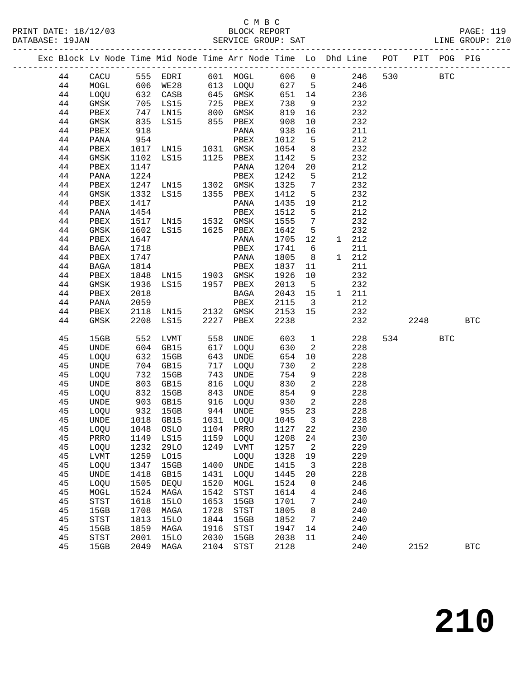### C M B C<br>BLOCK REPORT

LINE GROUP: 210

|  |    |                            |               | Exc Block Lv Node Time Mid Node Time Arr Node Time Lo Dhd Line POT |      |                            |         |                         |       |            |      | PIT POG PIG |            |
|--|----|----------------------------|---------------|--------------------------------------------------------------------|------|----------------------------|---------|-------------------------|-------|------------|------|-------------|------------|
|  | 44 | CACU                       |               | 555 EDRI                                                           |      | 601 MOGL                   | 606 0   |                         |       | 530<br>246 |      | <b>BTC</b>  |            |
|  | 44 | MOGL                       | 606           | WE28                                                               |      | 613 LOQU                   | 627 5   |                         |       | 246        |      |             |            |
|  | 44 | LOQU                       |               |                                                                    |      | 645 GMSK                   | 651     | 14                      |       | 236        |      |             |            |
|  | 44 | GMSK                       |               | 632 CASB<br>705 TO15<br>705 LS15                                   |      | 725 PBEX                   | 738     | 9                       |       | 232        |      |             |            |
|  | 44 | PBEX                       | 747           | LN15                                                               | 800  | GMSK                       | 819     | 16                      |       | 232        |      |             |            |
|  | 44 | GMSK                       | 835           | LS15                                                               |      | 855 PBEX                   | 908     | 10                      |       | 232        |      |             |            |
|  | 44 | PBEX                       | 918           |                                                                    |      | PANA                       | 938     | 16                      |       | 211        |      |             |            |
|  | 44 | PANA                       | 954           |                                                                    |      | PBEX                       | 1012    | 5                       |       | 212        |      |             |            |
|  | 44 | PBEX                       | 1017          | LNI5                                                               |      | 1031 GMSK                  | 1054    | 8 <sup>8</sup>          |       | 232        |      |             |            |
|  | 44 | GMSK                       | 1102          | LS15                                                               |      | 1125 PBEX                  | 1142    | 5                       |       | 232        |      |             |            |
|  | 44 | PBEX                       | 1147          |                                                                    |      | PANA                       | 1204    | 20                      |       | 212        |      |             |            |
|  | 44 | PANA                       | 1224          |                                                                    |      | PBEX                       | 1242    | 5                       |       | 212        |      |             |            |
|  | 44 | PBEX                       | 1247          | LN15 1302 GMSK                                                     |      |                            | 1325    | $7\phantom{.0}$         |       | 232        |      |             |            |
|  | 44 | GMSK                       | 1332          | LS15 1355 PBEX                                                     |      |                            | 1412    | 5                       |       | 232        |      |             |            |
|  | 44 | PBEX                       | 1417          |                                                                    |      | PANA                       | 1435    | 19                      |       | 212        |      |             |            |
|  | 44 | PANA                       | 1454          |                                                                    |      | PBEX                       | 1512    | 5                       |       | 212        |      |             |            |
|  | 44 | PBEX                       | 1517          | LNI5                                                               |      | 1532 GMSK                  | 1555    | $7\overline{ }$         |       | 232        |      |             |            |
|  | 44 | GMSK                       | 1602          | LS15                                                               |      | 1625 PBEX                  | 1642    | 5                       |       | 232        |      |             |            |
|  | 44 | PBEX                       | 1647          |                                                                    |      | PANA                       | 1705    | 12                      | 1 212 |            |      |             |            |
|  | 44 | BAGA                       | 1718          |                                                                    |      | PBEX                       | 1741    | 6                       |       | 211        |      |             |            |
|  | 44 | PBEX                       | 1747          |                                                                    |      | PANA                       | 1805    | 8                       | 1 212 |            |      |             |            |
|  | 44 | BAGA                       | 1814          |                                                                    |      | PBEX                       | 1837    | 11                      |       | 211        |      |             |            |
|  | 44 | PBEX                       | 1848          | LN15 1903 GMSK                                                     |      |                            | 1926    | 10                      |       | 232        |      |             |            |
|  | 44 | GMSK                       | 1936          | LS15                                                               |      | 1957 PBEX                  | 2013    | 5                       |       | 232        |      |             |            |
|  | 44 | PBEX                       | 2018          |                                                                    |      | BAGA                       | 2043    | 15                      | 1 211 |            |      |             |            |
|  | 44 | PANA                       | 2059          |                                                                    |      | PBEX                       | 2115    | $\overline{\mathbf{3}}$ |       | 212        |      |             |            |
|  | 44 | PBEX                       | 2118          | LN15                                                               |      | 2132 GMSK                  | 2153    | 15                      |       | 232        |      |             |            |
|  | 44 | GMSK                       | 2208          | LS15                                                               | 2227 | PBEX                       | 2238    |                         |       | 232        | 2248 |             | <b>BTC</b> |
|  |    |                            |               |                                                                    |      |                            |         |                         |       |            |      |             |            |
|  | 45 | 15GB                       | 552           | LVMT                                                               | 558  | UNDE                       | 603     | $\overline{1}$          |       | 228<br>534 |      | <b>BTC</b>  |            |
|  | 45 | <b>UNDE</b>                | 604           | GB15                                                               | 617  | LOQU                       | 630     | 2                       |       | 228        |      |             |            |
|  | 45 | LOQU                       | 632           | 15GB                                                               | 643  | UNDE                       | 654     | 10                      |       | 228        |      |             |            |
|  | 45 | UNDE                       | 704           | GB15                                                               | 717  | LOQU                       | 730     | 2                       |       | 228        |      |             |            |
|  | 45 | LOQU                       | 732           | 15GB                                                               | 743  | UNDE                       | 754     | 9                       |       | 228        |      |             |            |
|  | 45 | <b>UNDE</b>                | 803           | GB15                                                               | 816  | LOQU                       | 830     | 2                       |       | 228        |      |             |            |
|  | 45 | LOQU                       | 832           | 15GB                                                               | 843  | UNDE                       | 854     | 9                       |       | 228        |      |             |            |
|  | 45 | UNDE                       | $0.34$<br>903 | GB15                                                               |      | 916 LOQU                   | 930     | $\overline{2}$          |       | 228        |      |             |            |
|  | 45 | LOQU                       |               | 932 15GB                                                           |      | 944 UNDE                   | 955     | 23                      |       | 228        |      |             |            |
|  | 45 | UNDE                       |               | 1018 GB15                                                          |      | 1031 LOQU                  | 1045    | $\overline{\mathbf{3}}$ |       | 228        |      |             |            |
|  | 45 | LOQU                       | 1048          | OSLO                                                               | 1104 | PRRO                       | 1127 22 |                         |       | 230        |      |             |            |
|  | 45 | PRRO                       | 1149          | LS15                                                               | 1159 | LOQU                       | 1208    | 24                      |       | 230        |      |             |            |
|  | 45 | LOQU                       | 1232          | <b>29LO</b>                                                        | 1249 | LVMT                       | 1257    | 2                       |       | 229        |      |             |            |
|  | 45 | <b>LVMT</b>                | 1259          | L015                                                               |      | LOQU                       | 1328    | 19                      |       | 229        |      |             |            |
|  | 45 | LOQU                       | 1347          | 15GB                                                               | 1400 | <b>UNDE</b>                | 1415    | 3                       |       | 228        |      |             |            |
|  | 45 | <b>UNDE</b>                | 1418          | GB15                                                               | 1431 | LOQU                       | 1445    | 20                      |       | 228        |      |             |            |
|  | 45 | LOQU                       | 1505          | DEQU                                                               | 1520 | MOGL                       | 1524    | 0                       |       | 246        |      |             |            |
|  | 45 | MOGL                       | 1524          | MAGA                                                               | 1542 | STST                       | 1614    | 4                       |       | 246        |      |             |            |
|  | 45 | STST                       | 1618          | <b>15LO</b>                                                        | 1653 | 15GB                       | 1701    | 7                       |       | 240        |      |             |            |
|  | 45 | 15GB                       | 1708          | MAGA                                                               | 1728 | $_{\footnotesize\rm STST}$ | 1805    | 8                       |       | 240        |      |             |            |
|  | 45 | $_{\footnotesize\rm STST}$ | 1813          | <b>15LO</b>                                                        | 1844 | 15GB                       | 1852    | 7                       |       | 240        |      |             |            |
|  | 45 | 15GB                       | 1859          | MAGA                                                               | 1916 | STST                       | 1947    | 14                      |       | 240        |      |             |            |
|  | 45 | <b>STST</b>                | 2001          | <b>15LO</b>                                                        | 2030 | 15GB                       | 2038    | 11                      |       | 240        |      |             |            |

45 15GB 2049 MAGA 2104 STST 2128 240 2152 BTC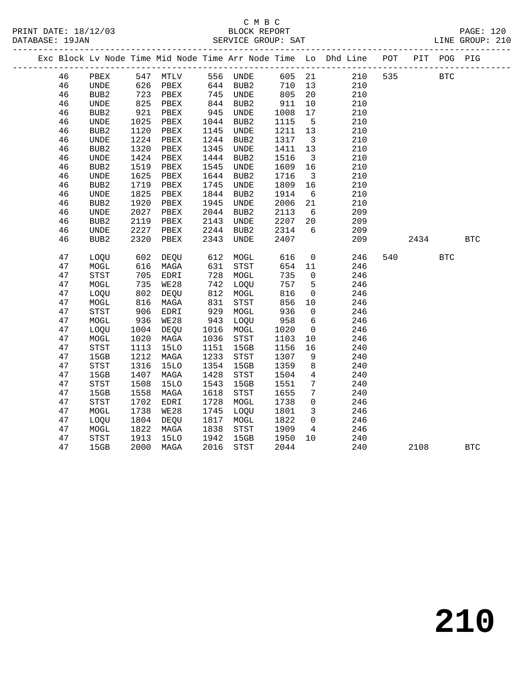|    |                                       |               |                   |      |          |        |                         | Exc Block Lv Node Time Mid Node Time Arr Node Time Lo Dhd Line POT |     |      | PIT POG PIG |              |  |
|----|---------------------------------------|---------------|-------------------|------|----------|--------|-------------------------|--------------------------------------------------------------------|-----|------|-------------|--------------|--|
| 46 | PBEX                                  |               | 547 MTLV 556 UNDE |      |          | 605 21 |                         | 210                                                                | 535 |      | <b>BTC</b>  |              |  |
| 46 | UNDE                                  | 626           | PBEX              |      | 644 BUB2 | 710    | 13                      | 210                                                                |     |      |             |              |  |
| 46 | BUB <sub>2</sub>                      | 723           | PBEX              |      | 745 UNDE | 805    | 20                      | 210                                                                |     |      |             |              |  |
| 46 | <b>UNDE</b>                           | 825           | PBEX              | 844  | BUB2     | 911    | 10                      | 210                                                                |     |      |             |              |  |
| 46 | BUB <sub>2</sub>                      | 921           | PBEX              | 945  | UNDE     | 1008   | 17                      | 210                                                                |     |      |             |              |  |
| 46 | UNDE                                  | 1025          | PBEX              | 1044 | BUB2     | 1115   | $5^{\circ}$             | 210                                                                |     |      |             |              |  |
| 46 | BUB <sub>2</sub>                      | 1120          | PBEX              | 1145 | UNDE     | 1211   | 13                      | 210                                                                |     |      |             |              |  |
| 46 | UNDE                                  | 1224          | PBEX              | 1244 | BUB2     | 1317   | $\overline{\mathbf{3}}$ | 210                                                                |     |      |             |              |  |
| 46 | BUB <sub>2</sub>                      | 1320          | PBEX              | 1345 | UNDE     | 1411   | 13                      | 210                                                                |     |      |             |              |  |
| 46 | UNDE                                  | 1424          | PBEX              | 1444 | BUB2     | 1516   | $\overline{\mathbf{3}}$ | 210                                                                |     |      |             |              |  |
| 46 | BUB <sub>2</sub>                      | 1519          | PBEX              | 1545 | UNDE     | 1609   | 16                      | 210                                                                |     |      |             |              |  |
| 46 | UNDE                                  | 1625          | PBEX              | 1644 | BUB2     | 1716   | $\overline{\mathbf{3}}$ | 210                                                                |     |      |             |              |  |
| 46 | BUB <sub>2</sub>                      | 1719          | PBEX              | 1745 | UNDE     | 1809   | 16                      | 210                                                                |     |      |             |              |  |
| 46 | UNDE                                  | 1825          | PBEX              | 1844 | BUB2     | 1914   | $6\overline{6}$         | 210                                                                |     |      |             |              |  |
| 46 | BUB <sub>2</sub>                      | 1920          | PBEX              | 1945 | UNDE     | 2006   | 21                      | 210                                                                |     |      |             |              |  |
| 46 | UNDE                                  | 2027          | PBEX              | 2044 | BUB2     | 2113   | 6                       | 209                                                                |     |      |             |              |  |
| 46 | BUB <sub>2</sub>                      | 2119          | PBEX              | 2143 | UNDE     | 2207   | 20                      | 209                                                                |     |      |             |              |  |
| 46 | UNDE                                  | 2227          | PBEX              | 2244 | BUB2     | 2314   | $6\overline{6}$         | 209                                                                |     |      |             |              |  |
| 46 | BUB <sub>2</sub>                      | 2320          | PBEX              | 2343 | UNDE     | 2407   |                         | 209                                                                |     | 2434 |             | <b>BTC</b>   |  |
|    |                                       |               |                   |      |          |        |                         |                                                                    |     |      |             |              |  |
| 47 | LOQU                                  | 602           | DEQU              |      | 612 MOGL | 616    | $\overline{0}$          | 246                                                                | 540 |      | <b>BTC</b>  |              |  |
| 47 | MOGL                                  | 616           | MAGA              | 631  | STST     | 654    | 11                      | 246                                                                |     |      |             |              |  |
| 47 | <b>STST</b>                           | 705           | EDRI              | 728  | MOGL     | 735    | $\mathbf 0$             | 246                                                                |     |      |             |              |  |
| 47 | MOGL                                  | 735           | WE28              | 742  | LOQU     | 757    | $5^{\circ}$             | 246                                                                |     |      |             |              |  |
| 47 | LOQU                                  | 802           | DEQU              | 812  | MOGL     | 816    | $\mathbf 0$             | 246                                                                |     |      |             |              |  |
| 47 | MOGL                                  | $rac{6}{906}$ | MAGA              | 831  | STST     | 856    | 10                      | 246                                                                |     |      |             |              |  |
| 47 | <b>STST</b>                           |               | EDRI              | 929  | MOGL     | 936    | $\mathsf{O}$            | 246                                                                |     |      |             |              |  |
| 47 | MOGL                                  | 936           | WE28              | 943  | LOQU     | 958    | 6                       | 246                                                                |     |      |             |              |  |
| 47 | LOQU                                  | 1004          | DEQU              | 1016 | MOGL     | 1020   | $\overline{0}$          | 246                                                                |     |      |             |              |  |
| 47 | MOGL                                  | 1020          | MAGA              | 1036 | STST     | 1103   | 10                      | 246                                                                |     |      |             |              |  |
| 47 | STST                                  | 1113          | <b>15LO</b>       | 1151 | 15GB     | 1156   | 16                      | 240                                                                |     |      |             |              |  |
| 47 | 15GB                                  | 1212          | MAGA              | 1233 | STST     | 1307   | 9                       | 240                                                                |     |      |             |              |  |
| 47 | $_{\footnotesize{\textnormal{STST}}}$ | 1316          | <b>15LO</b>       | 1354 | 15GB     | 1359   | $8\phantom{1}$          | 240                                                                |     |      |             |              |  |
| 47 | 15GB                                  | 1407          | MAGA              | 1428 | STST     | 1504   | $\overline{4}$          | 240                                                                |     |      |             |              |  |
| 47 | <b>STST</b>                           | 1508          | <b>15LO</b>       | 1543 | 15GB     | 1551   | 7                       | 240                                                                |     |      |             |              |  |
| 47 | 15GB                                  | 1558          | MAGA              | 1618 | STST     | 1655   | $7\phantom{.0}$         | 240                                                                |     |      |             |              |  |
| 47 | STST                                  | 1702          | EDRI              | 1728 | MOGL     | 1738   | $\mathbf 0$             | 246                                                                |     |      |             |              |  |
| 47 | MOGL                                  | 1738          | WE28              | 1745 | LOQU     | 1801   | $\mathbf{3}$            | 246                                                                |     |      |             |              |  |
| 47 | LOQU                                  | 1804          | DEQU              | 1817 | MOGL     | 1822   | $\mathbf 0$             | 246                                                                |     |      |             |              |  |
| 47 | MOGL                                  | 1822          | MAGA              | 1838 | STST     | 1909   | 4                       | 246                                                                |     |      |             |              |  |
| 47 | STST                                  | 1913          | 15LO              | 1942 | 15GB     | 1950   | 10 <sup>°</sup>         | 240                                                                |     |      |             |              |  |
| 47 | 15GB                                  | 2000          | MAGA              | 2016 | STST     | 2044   |                         | 240                                                                |     | 2108 |             | $_{\rm BTC}$ |  |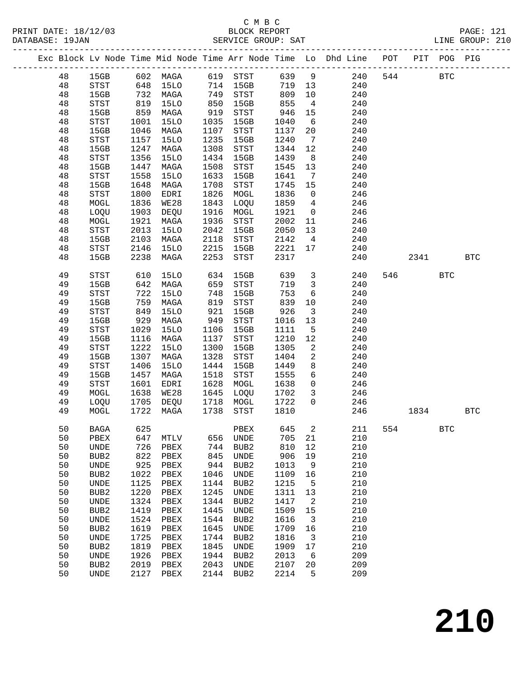|    |                                       |                   |                              |      |                  |       |                            | Exc Block Lv Node Time Mid Node Time Arr Node Time Lo Dhd Line POT PIT POG PIG |     |            |            |            |
|----|---------------------------------------|-------------------|------------------------------|------|------------------|-------|----------------------------|--------------------------------------------------------------------------------|-----|------------|------------|------------|
| 48 |                                       |                   | 15GB 602 MAGA 619 STST 639 9 |      |                  |       |                            | 240                                                                            | 544 | <b>BTC</b> |            |            |
| 48 | STST                                  |                   | 648 15LO 714 15GB            |      |                  |       |                            | 719 13<br>240                                                                  |     |            |            |            |
| 48 | 15GB                                  |                   | 732 MAGA                     | 749  | STST             | 809   | 10                         | 240                                                                            |     |            |            |            |
| 48 | STST                                  | 819               | 15LO                         | 850  | 15GB             | 855   | $\overline{4}$             | 240                                                                            |     |            |            |            |
| 48 | 15GB                                  | 859               | MAGA                         | 919  | STST             | 946   | 15                         | 240                                                                            |     |            |            |            |
| 48 | $_{\footnotesize{\textnormal{STST}}}$ | 1001              | 15LO                         | 1035 | 15GB             | 1040  | 6                          | 240                                                                            |     |            |            |            |
| 48 | 15GB                                  | 1046              | MAGA                         | 1107 | STST             | 1137  | 20                         | 240                                                                            |     |            |            |            |
| 48 | STST                                  | 1157              | 15LO                         | 1235 | 15GB             | 1240  | $\overline{7}$             | 240                                                                            |     |            |            |            |
| 48 | 15GB                                  | 1247              | MAGA                         | 1308 | STST             | 1344  | 12                         | 240                                                                            |     |            |            |            |
| 48 | $_{\footnotesize{\textnormal{STST}}}$ | 1356              | 15LO                         | 1434 | 15GB             | 1439  | 8 <sup>8</sup>             | 240                                                                            |     |            |            |            |
| 48 | 15GB                                  | 1447              | MAGA                         | 1508 | STST             | 1545  | 13                         | 240                                                                            |     |            |            |            |
| 48 | STST                                  | 1558              | 15LO                         | 1633 | 15GB             | 1641  | $\overline{7}$             | 240                                                                            |     |            |            |            |
| 48 | 15GB                                  | 1648              | MAGA                         | 1708 | STST             | 1745  | 15                         | 240                                                                            |     |            |            |            |
| 48 | $_{\footnotesize\rm STST}$            | 1800              | EDRI                         | 1826 | MOGL             | 1836  | $\overline{0}$             | 246                                                                            |     |            |            |            |
| 48 | MOGL                                  | 1836              | WE28                         | 1843 | LOQU             | 1859  | $\overline{4}$             | 246                                                                            |     |            |            |            |
| 48 | LOQU                                  | 1903              | DEQU                         | 1916 | MOGL             | 1921  | $\overline{0}$             | 246                                                                            |     |            |            |            |
|    |                                       |                   |                              |      |                  |       |                            |                                                                                |     |            |            |            |
| 48 | MOGL                                  | 1921              | MAGA                         | 1936 | STST             | 2002  | 11                         | 246                                                                            |     |            |            |            |
| 48 | $_{\footnotesize{\textnormal{STST}}}$ | 2013              | 15LO                         | 2042 | 15GB             | 2050  | 13                         | 240                                                                            |     |            |            |            |
| 48 | 15GB                                  | 2103              | MAGA                         | 2118 | STST             | 2142  | $\overline{4}$             | 240                                                                            |     |            |            |            |
| 48 | STST                                  | 2146              | 15LO                         | 2215 | 15GB             | 2221  | 17                         | 240                                                                            |     |            |            |            |
| 48 | 15GB                                  | 2238              | MAGA                         | 2253 | STST             | 2317  |                            | 240                                                                            |     | 2341       |            | <b>BTC</b> |
| 49 | <b>STST</b>                           | 610               | 15LO                         | 634  | 15GB             | 639   |                            | 3 <sup>1</sup><br>240                                                          |     | 546        | <b>BTC</b> |            |
| 49 | 15GB                                  |                   | 642 MAGA                     | 659  | STST             | 719   | $\overline{\mathbf{3}}$    | 240                                                                            |     |            |            |            |
| 49 | $_{\footnotesize{\textnormal{STST}}}$ | 722<br>759<br>849 | 15LO                         | 748  | 15GB             | 753   | $6\overline{6}$            | 240                                                                            |     |            |            |            |
| 49 | 15GB                                  |                   | MAGA                         | 819  | STST             | 839   | 10                         | 240                                                                            |     |            |            |            |
| 49 | STST                                  |                   | 15LO                         | 921  | 15GB             | 926   | $\overline{\mathbf{3}}$    | 240                                                                            |     |            |            |            |
| 49 | 15GB                                  | 929               | MAGA                         | 949  | STST             | 1016  | 13                         | 240                                                                            |     |            |            |            |
| 49 | STST                                  | 1029              | 15LO                         | 1106 | 15GB             | 1111  | $5^{\circ}$                | 240                                                                            |     |            |            |            |
| 49 | 15GB                                  | 1116              | MAGA                         | 1137 | STST             | 1210  | 12                         | 240                                                                            |     |            |            |            |
| 49 | $_{\footnotesize\rm STST}$            | 1222              | 15LO                         | 1300 | 15GB             | 1305  | $\overline{\phantom{a}}$   | 240                                                                            |     |            |            |            |
| 49 | 15GB                                  | 1307              | MAGA                         | 1328 | STST             | 1404  | $\overline{\phantom{a}}^2$ | 240                                                                            |     |            |            |            |
| 49 | $_{\footnotesize\rm STST}$            | 1406              | 15LO                         | 1444 | 15GB             | 1449  | 8                          | 240                                                                            |     |            |            |            |
| 49 | 15GB                                  | 1457              | MAGA                         | 1518 | STST             | 1555  | $6\overline{6}$            | 240                                                                            |     |            |            |            |
| 49 | STST                                  | 1601              | EDRI                         | 1628 | MOGL             | 1638  | $\overline{0}$             | 246                                                                            |     |            |            |            |
| 49 | MOGL                                  |                   | 1638 WE28                    | 1645 | LOQU             | 1702  | $\overline{\mathbf{3}}$    | 246                                                                            |     |            |            |            |
| 49 |                                       | 1705              |                              | 1718 |                  | 1722  | $\overline{0}$             |                                                                                |     |            |            |            |
|    | LOQU                                  |                   | DEQU                         |      | MOGL             |       |                            | 246                                                                            |     |            |            |            |
| 49 | MOGL                                  |                   | 1722 MAGA                    | 1738 | STST             | 1810  |                            | 246                                                                            |     | 1834       |            | <b>BTC</b> |
| 50 | $_{\rm BAGA}$                         | 625               |                              |      | PBEX             | 645 2 |                            | 211                                                                            | 554 |            | BTC        |            |
| 50 | PBEX                                  | 647               | MTLV                         | 656  | UNDE             | 705   | 21                         | 210                                                                            |     |            |            |            |
| 50 | UNDE                                  | 726               | PBEX                         | 744  | BUB2             | 810   | 12                         | 210                                                                            |     |            |            |            |
| 50 | BUB2                                  | 822               | PBEX                         | 845  | UNDE             | 906   | 19                         | 210                                                                            |     |            |            |            |
| 50 | UNDE                                  | 925               | PBEX                         | 944  | BUB <sub>2</sub> | 1013  | $\overline{9}$             | 210                                                                            |     |            |            |            |
| 50 | BUB2                                  | 1022              | PBEX                         | 1046 | UNDE             | 1109  | 16                         | 210                                                                            |     |            |            |            |
| 50 | UNDE                                  | 1125              | PBEX                         | 1144 | BUB <sub>2</sub> | 1215  | 5                          | 210                                                                            |     |            |            |            |
| 50 | BUB2                                  | 1220              | PBEX                         | 1245 | UNDE             | 1311  | 13                         | 210                                                                            |     |            |            |            |
| 50 | UNDE                                  | 1324              | PBEX                         | 1344 | BUB <sub>2</sub> | 1417  | $\overline{\phantom{0}}^2$ | 210                                                                            |     |            |            |            |
| 50 | BUB <sub>2</sub>                      | 1419              | PBEX                         | 1445 | UNDE             | 1509  | 15                         | 210                                                                            |     |            |            |            |
| 50 | UNDE                                  | 1524              | PBEX                         | 1544 | BUB <sub>2</sub> | 1616  | $\overline{\mathbf{3}}$    | 210                                                                            |     |            |            |            |
| 50 | BUB2                                  | 1619              | PBEX                         | 1645 | UNDE             | 1709  | 16                         | 210                                                                            |     |            |            |            |
| 50 | UNDE                                  | 1725              | PBEX                         | 1744 | BUB <sub>2</sub> | 1816  | $\overline{\mathbf{3}}$    | 210                                                                            |     |            |            |            |
| 50 | BUB <sub>2</sub>                      | 1819              | PBEX                         | 1845 | UNDE             | 1909  | 17                         | 210                                                                            |     |            |            |            |
| 50 | UNDE                                  | 1926              | PBEX                         | 1944 | BUB <sub>2</sub> | 2013  | 6                          | 209                                                                            |     |            |            |            |
| 50 | BUB <sub>2</sub>                      | 2019              | PBEX                         | 2043 | UNDE             | 2107  | 20                         | 209                                                                            |     |            |            |            |
| 50 |                                       | 2127              |                              | 2144 | BUB2             | 2214  | 5                          | 209                                                                            |     |            |            |            |
|    | UNDE                                  |                   | PBEX                         |      |                  |       |                            |                                                                                |     |            |            |            |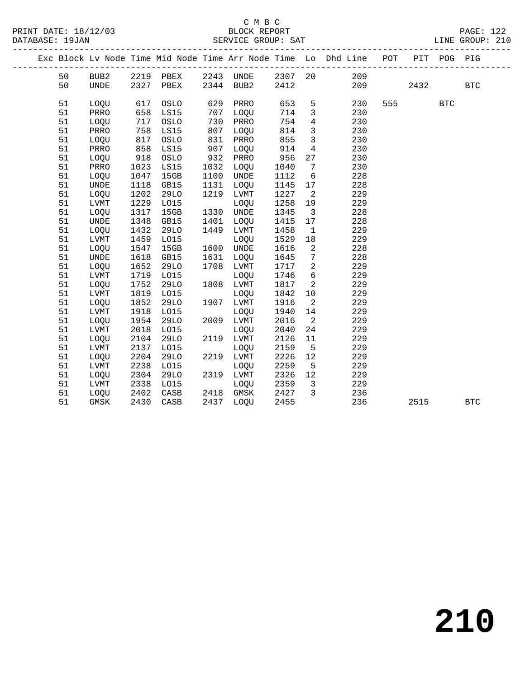|  |    |              |      |             |      |             |         |                 | Exc Block Lv Node Time Mid Node Time Arr Node Time Lo Dhd Line POT<br>________________________________ |     | $- - - - -$ | PIT POG PIG<br>$- - - - - -$ |            |  |
|--|----|--------------|------|-------------|------|-------------|---------|-----------------|--------------------------------------------------------------------------------------------------------|-----|-------------|------------------------------|------------|--|
|  | 50 | BUB2         | 2219 | PBEX        | 2243 | UNDE        | 2307 20 |                 | 209                                                                                                    |     |             |                              |            |  |
|  | 50 | <b>UNDE</b>  | 2327 | PBEX        | 2344 | BUB2        | 2412    |                 | 209                                                                                                    |     | 2432        |                              | <b>BTC</b> |  |
|  |    |              |      |             |      |             |         |                 |                                                                                                        |     |             |                              |            |  |
|  | 51 | LOOU         | 617  | OSLO        | 629  | PRRO        | 653     | 5               | 230                                                                                                    | 555 |             | $_{\rm BTC}$                 |            |  |
|  | 51 | PRRO         | 658  | LS15        | 707  | LOOU        | 714     | $\mathbf{3}$    | 230                                                                                                    |     |             |                              |            |  |
|  | 51 | LOQU         | 717  | OSLO        | 730  | PRRO        | 754     | $\overline{4}$  | 230                                                                                                    |     |             |                              |            |  |
|  | 51 | PRRO         | 758  | LS15        | 807  | LOQU        | 814     | $\mathbf{3}$    | 230                                                                                                    |     |             |                              |            |  |
|  | 51 | LOQU         | 817  | OSLO        | 831  | PRRO        | 855     | $\overline{3}$  | 230                                                                                                    |     |             |                              |            |  |
|  | 51 | PRRO         | 858  | LS15        | 907  | LOQU        | 914     | $\overline{4}$  | 230                                                                                                    |     |             |                              |            |  |
|  | 51 | LOQU         | 918  | OSLO        | 932  | PRRO        | 956     | 27              | 230                                                                                                    |     |             |                              |            |  |
|  | 51 | PRRO         | 1023 | LS15        | 1032 | LOOU        | 1040    | $7\phantom{.0}$ | 230                                                                                                    |     |             |                              |            |  |
|  | 51 | LOQU         | 1047 | 15GB        | 1100 | UNDE        | 1112    | 6               | 228                                                                                                    |     |             |                              |            |  |
|  | 51 | <b>UNDE</b>  | 1118 | GB15        | 1131 | LOQU        | 1145    | 17              | 228                                                                                                    |     |             |                              |            |  |
|  | 51 | LOQU         | 1202 | <b>29LO</b> | 1219 | LVMT        | 1227    | 2               | 229                                                                                                    |     |             |                              |            |  |
|  | 51 | LVMT         | 1229 | L015        |      | LOQU        | 1258    | 19              | 229                                                                                                    |     |             |                              |            |  |
|  | 51 | LOQU         | 1317 | 15GB        | 1330 | UNDE        | 1345    | $\overline{3}$  | 228                                                                                                    |     |             |                              |            |  |
|  | 51 | <b>UNDE</b>  | 1348 | GB15        | 1401 | LOQU        | 1415    | 17              | 228                                                                                                    |     |             |                              |            |  |
|  | 51 | LOQU         | 1432 | <b>29LO</b> | 1449 | LVMT        | 1458    | $\mathbf{1}$    | 229                                                                                                    |     |             |                              |            |  |
|  | 51 | ${\rm LVMT}$ | 1459 | L015        |      | LOQU        | 1529    | 18              | 229                                                                                                    |     |             |                              |            |  |
|  | 51 | LOQU         | 1547 | 15GB        | 1600 | UNDE        | 1616    | 2               | 228                                                                                                    |     |             |                              |            |  |
|  | 51 | <b>UNDE</b>  | 1618 | GB15        | 1631 | LOQU        | 1645    | 7               | 228                                                                                                    |     |             |                              |            |  |
|  | 51 | LOQU         | 1652 | 29LO        | 1708 | LVMT        | 1717    | $\overline{a}$  | 229                                                                                                    |     |             |                              |            |  |
|  | 51 | LVMT         | 1719 | L015        |      | LOQU        | 1746    | 6               | 229                                                                                                    |     |             |                              |            |  |
|  | 51 | LOQU         | 1752 | 29LO        | 1808 | LVMT        | 1817    | 2               | 229                                                                                                    |     |             |                              |            |  |
|  | 51 | LVMT         | 1819 | L015        |      | LOQU        | 1842    | 10              | 229                                                                                                    |     |             |                              |            |  |
|  | 51 | LOQU         | 1852 | <b>29LO</b> | 1907 | LVMT        | 1916    | 2               | 229                                                                                                    |     |             |                              |            |  |
|  | 51 | <b>LVMT</b>  | 1918 | L015        |      | <b>LOOU</b> | 1940    | 14              | 229                                                                                                    |     |             |                              |            |  |
|  | 51 | LOQU         | 1954 | <b>29LO</b> | 2009 | LVMT        | 2016    | 2               | 229                                                                                                    |     |             |                              |            |  |
|  | 51 | <b>LVMT</b>  | 2018 | L015        |      | LOQU        | 2040    | 24              | 229                                                                                                    |     |             |                              |            |  |
|  | 51 | LOQU         | 2104 | <b>29LO</b> | 2119 | LVMT        | 2126    | 11              | 229                                                                                                    |     |             |                              |            |  |
|  | 51 | LVMT         | 2137 | L015        |      | LOQU        | 2159    | 5               | 229                                                                                                    |     |             |                              |            |  |
|  | 51 | LOQU         | 2204 | <b>29LO</b> | 2219 | LVMT        | 2226    | 12              | 229                                                                                                    |     |             |                              |            |  |
|  | 51 | LVMT         | 2238 | L015        |      | LOQU        | 2259    | 5               | 229                                                                                                    |     |             |                              |            |  |
|  | 51 | LOQU         | 2304 | <b>29LO</b> | 2319 | LVMT        | 2326    | 12              | 229                                                                                                    |     |             |                              |            |  |
|  | 51 | LVMT         | 2338 | L015        |      | LOQU        | 2359    | 3               | 229                                                                                                    |     |             |                              |            |  |
|  | 51 | LOQU         | 2402 | CASB        | 2418 | GMSK        | 2427    | 3               | 236                                                                                                    |     |             |                              |            |  |
|  | 51 | GMSK         | 2430 | CASB        | 2437 | LOQU        | 2455    |                 | 236                                                                                                    |     | 2515        |                              | <b>BTC</b> |  |
|  |    |              |      |             |      |             |         |                 |                                                                                                        |     |             |                              |            |  |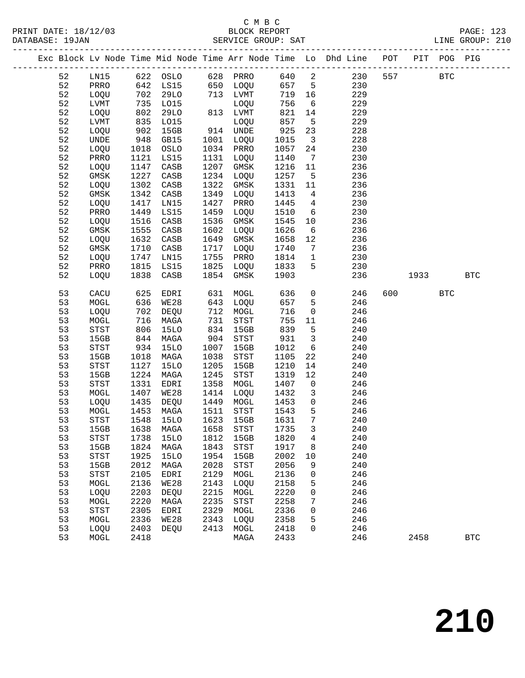#### C M B C DATABASE: 19JAN SERVICE GROUP: SAT

|    |                                       |      |                   |      |              |        |                         | Exc Block Lv Node Time Mid Node Time Arr Node Time Lo Dhd Line POT PIT POG PIG |     |            |            |     |
|----|---------------------------------------|------|-------------------|------|--------------|--------|-------------------------|--------------------------------------------------------------------------------|-----|------------|------------|-----|
| 52 | LNI5                                  |      | 622 OSLO 628 PRRO |      |              |        |                         | 640 2<br>230                                                                   | 557 | <b>BTC</b> |            |     |
| 52 | PRRO                                  |      | 642 LS15          |      | 650 LOQU     | 657 5  |                         | 230                                                                            |     |            |            |     |
| 52 | LOQU                                  | 702  | 29LO              |      | 713 LVMT     | 719 16 |                         | 229                                                                            |     |            |            |     |
| 52 | LVMT                                  | 735  | L015              |      | LOQU         | 756    | $6\overline{6}$         | 229                                                                            |     |            |            |     |
| 52 | LOQU                                  | 802  | <b>29LO</b>       |      | 813 LVMT     | 821    | 14                      | 229                                                                            |     |            |            |     |
| 52 | LVMT                                  | 835  | L015              |      | LOQU         | 857    | $5\overline{)}$         | 229                                                                            |     |            |            |     |
| 52 | LOQU                                  | 902  | 15GB              |      | 914 UNDE     | 925    | 23                      | 228                                                                            |     |            |            |     |
| 52 | UNDE                                  | 948  | GB15              | 1001 | LOQU         | 1015   | $\overline{\mathbf{3}}$ | 228                                                                            |     |            |            |     |
| 52 | LOQU                                  | 1018 | OSLO              | 1034 | PRRO         | 1057   | 24                      | 230                                                                            |     |            |            |     |
| 52 | PRRO                                  | 1121 | LS15              | 1131 | LOQU         | 1140   | $7\overline{ }$         | 230                                                                            |     |            |            |     |
| 52 | LOQU                                  | 1147 | CASB              | 1207 | GMSK         | 1216   | 11                      | 236                                                                            |     |            |            |     |
| 52 | GMSK                                  | 1227 | CASB              | 1234 | LOQU         | 1257   | $5^{\circ}$             | 236                                                                            |     |            |            |     |
| 52 | LOQU                                  | 1302 | $\mathtt{CASB}$   | 1322 | GMSK         | 1331   | 11                      | 236                                                                            |     |            |            |     |
| 52 | GMSK                                  | 1342 | CASB              | 1349 | LOQU         | 1413   | $\overline{4}$          | 236                                                                            |     |            |            |     |
| 52 | LOQU                                  | 1417 | LN15              | 1427 | PRRO         | 1445   | $4\overline{ }$         | 230                                                                            |     |            |            |     |
| 52 | PRRO                                  | 1449 | LS15              | 1459 | LOQU         | 1510   | 6                       | 230                                                                            |     |            |            |     |
| 52 | LOQU                                  | 1516 | CASB              | 1536 | GMSK         | 1545   | 10                      | 236                                                                            |     |            |            |     |
| 52 | GMSK                                  | 1555 | CASB              | 1602 | LOQU         | 1626   | 6                       | 236                                                                            |     |            |            |     |
| 52 | LOQU                                  | 1632 | CASB              | 1649 | GMSK         | 1658   | 12                      | 236                                                                            |     |            |            |     |
| 52 | GMSK                                  | 1710 | CASB              | 1717 | LOQU         | 1740   | $7\overline{ }$         | 236                                                                            |     |            |            |     |
| 52 | LOOU                                  | 1747 | LNI5              | 1755 | PRRO         | 1814   | $\mathbf{1}$            | 230                                                                            |     |            |            |     |
| 52 | PRRO                                  | 1815 | LS15              | 1825 | LOQU         | 1833   | 5                       | 230                                                                            |     |            |            |     |
| 52 | LOQU                                  | 1838 | CASB              | 1854 | GMSK         | 1903   |                         | 236                                                                            |     | 1933       |            | BTC |
| 53 | CACU                                  | 625  | EDRI              | 631  | MOGL         | 636    | $\overline{0}$          | 246                                                                            | 600 |            | <b>BTC</b> |     |
| 53 | MOGL                                  | 636  | WE28              | 643  | LOQU         | 657    | 5                       | 246                                                                            |     |            |            |     |
| 53 | LOQU                                  | 702  | DEQU              | 712  | MOGL         | 716    | $\overline{0}$          | 246                                                                            |     |            |            |     |
| 53 | MOGL                                  | 716  | MAGA              | 731  | ${\tt STST}$ | 755    | 11                      | 246                                                                            |     |            |            |     |
| 53 | STST                                  | 806  | <b>15LO</b>       | 834  | 15GB         | 839    | 5                       | 240                                                                            |     |            |            |     |
| 53 | 15GB                                  | 844  | MAGA              | 904  | STST         | 931    | 3 <sup>7</sup>          | 240                                                                            |     |            |            |     |
| 53 | STST                                  | 934  | <b>15LO</b>       | 1007 | 15GB         | 1012   | 6                       | 240                                                                            |     |            |            |     |
| 53 | 15GB                                  | 1018 | MAGA              | 1038 | STST         | 1105   | 22                      | 240                                                                            |     |            |            |     |
| 53 | STST                                  | 1127 | <b>15LO</b>       | 1205 | 15GB         | 1210   | 14                      | 240                                                                            |     |            |            |     |
| 53 | 15GB                                  | 1224 | MAGA              | 1245 | STST         | 1319   | 12                      | 240                                                                            |     |            |            |     |
| 53 | STST                                  | 1331 | EDRI              | 1358 | MOGL         | 1407   | $\overline{0}$          | 246                                                                            |     |            |            |     |
| 53 | MOGL                                  | 1407 | <b>WE28</b>       | 1414 | LOQU         | 1432   | $\mathbf{3}$            | 246                                                                            |     |            |            |     |
| 53 | LOQU                                  | 1435 | DEQU              | 1449 | MOGL         | 1453   | $\overline{0}$          | 246                                                                            |     |            |            |     |
| 53 | MOGL                                  | 1453 | MAGA              | 1511 | STST         | 1543   | 5                       | 246                                                                            |     |            |            |     |
| 53 | $_{\footnotesize{\textnormal{STST}}}$ | 1548 | <b>15LO</b>       | 1623 | 15GB         | 1631   | $7\overline{ }$         | 240                                                                            |     |            |            |     |
| 53 | 15GB                                  | 1638 | MAGA              | 1658 | STST         | 1735   | 3 <sup>7</sup>          | 240                                                                            |     |            |            |     |
| 53 | $_{\footnotesize{\textnormal{STST}}}$ | 1738 | <b>15LO</b>       | 1812 | 15GB         | 1820   | $4\overline{ }$         | 240                                                                            |     |            |            |     |
| 53 | 15GB                                  | 1824 | MAGA              | 1843 | STST         | 1917   | 8                       | 240                                                                            |     |            |            |     |
| 53 | STST                                  | 1925 | 15LO              | 1954 | 15GB         | 2002   | 10                      | 240                                                                            |     |            |            |     |
| 53 | 15GB                                  | 2012 | MAGA              | 2028 | <b>STST</b>  | 2056   | 9                       | 240                                                                            |     |            |            |     |

53 MOGL 2418 MAGA 2433 246 2458 BTC

 53 STST 2105 EDRI 2129 MOGL 2136 0 246 53 MOGL 2136 WE28 2143 LOQU 2158 5 246 53 LOQU 2203 DEQU 2215 MOGL 2220 0 246 53 MOGL 2220 MAGA 2235 STST 2258 7 246

 53 MOGL 2336 WE28 2343 LOQU 2358 5 246 53 LOQU 2403 DEQU 2413 MOGL 2418 0 246

53 STST 2305 EDRI 2329 MOGL 2336 0 246<br>53 MOGL 2336 WE28 2343 LOQU 2358 5 246<br>53 LOQU 2403 DEQU 2413 MOGL 2418 0 246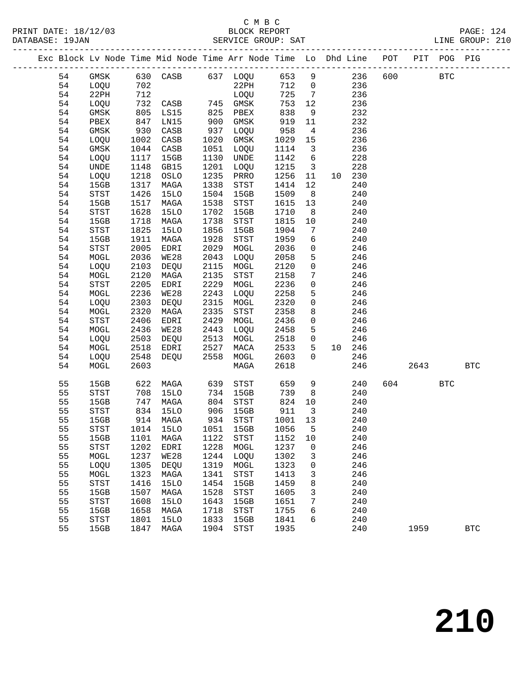### C M B C<br>BLOCK REPORT

#### LINE GROUP: 210

|  |          |                                               |              | Exc Block Lv Node Time Mid Node Time Arr Node Time Lo Dhd Line POT |              |                                       |              |                         |            |         | PIT POG PIG |              |
|--|----------|-----------------------------------------------|--------------|--------------------------------------------------------------------|--------------|---------------------------------------|--------------|-------------------------|------------|---------|-------------|--------------|
|  | 54       | GMSK                                          |              |                                                                    |              |                                       |              |                         |            | 600 000 | <b>BTC</b>  |              |
|  | 54       | LOQU                                          |              |                                                                    |              |                                       |              |                         |            |         |             |              |
|  | 54       | 22PH                                          |              |                                                                    |              | <b>LOQU</b>                           |              |                         |            |         |             |              |
|  | 54       | LOQU                                          | 732          | CASB 745 GMSK                                                      |              |                                       | 753          | 12                      | 236        |         |             |              |
|  | 54       | GMSK                                          |              | LS15                                                               | 825          | PBEX                                  | 838          | 9                       | 232        |         |             |              |
|  | 54       | PBEX                                          | 805<br>847   | LN15                                                               | 900          | GMSK                                  | 919          | 11                      | 232        |         |             |              |
|  | 54       | GMSK                                          | 930          | CASB                                                               | 937          | LOQU                                  | 958          | $\overline{4}$          | 236        |         |             |              |
|  | 54       | LOQU                                          | 1002         | CASB                                                               | 1020         | GMSK                                  | 1029         | 15                      | 236        |         |             |              |
|  | 54       | GMSK                                          | 1044         | CASB                                                               | 1051         | LOQU                                  | 1114         | $\overline{3}$          | 236        |         |             |              |
|  | 54       | LOQU                                          | 1117         | 15GB                                                               | 1130         | UNDE                                  | 1142         | 6                       | 228        |         |             |              |
|  | 54       | UNDE                                          | 1148         | GB15                                                               | 1201         | LOQU                                  | 1215         | $\overline{\mathbf{3}}$ | 228        |         |             |              |
|  | 54       | LOQU                                          | 1218         | OSLO                                                               | 1235         | PRRO                                  | 1256         | 11                      | 10 230     |         |             |              |
|  | 54       | 15GB                                          | 1317         | MAGA                                                               | 1338         | STST                                  | 1414         | 12                      | 240        |         |             |              |
|  | 54       | <b>STST</b>                                   | 1426         | <b>15LO</b>                                                        | 1504         | 15GB                                  | 1509         | 8 <sup>8</sup>          | 240        |         |             |              |
|  | 54       | 15GB                                          | 1517         | MAGA                                                               | 1538         | STST                                  | 1615         | 13                      | 240        |         |             |              |
|  | 54       | STST                                          | 1628         | <b>15LO</b>                                                        | 1702         | 15GB                                  | 1710         | 8 <sup>8</sup>          | 240        |         |             |              |
|  | 54       | 15GB                                          | 1718         | MAGA                                                               | 1738         | STST                                  | 1815         | 10                      | 240        |         |             |              |
|  | 54       | STST                                          | 1825         | 15LO                                                               | 1856         | 15GB                                  | 1904         | $\overline{7}$          | 240        |         |             |              |
|  | 54       | 15GB                                          | 1911         | MAGA                                                               | 1928         | $_{\footnotesize{\textnormal{STST}}}$ | 1959         | 6                       | 240        |         |             |              |
|  | 54       | STST                                          | 2005         | EDRI                                                               | 2029         | MOGL                                  | 2036         | $\overline{0}$          | 246        |         |             |              |
|  | 54       | MOGL                                          | 2036         | WE28                                                               | 2043         | LOQU                                  | 2058         | 5                       | 246        |         |             |              |
|  | 54       | LOQU                                          | 2103         | DEQU                                                               | 2115         | MOGL                                  | 2120         | $\overline{0}$          | 246        |         |             |              |
|  | 54       | MOGL                                          | 2120         | MAGA                                                               | 2135         | STST                                  | 2158         | $7\phantom{.}$          | 246        |         |             |              |
|  | 54       | STST                                          | 2205         | EDRI                                                               | 2229         | MOGL                                  | 2236         | $\overline{0}$          | 246        |         |             |              |
|  | 54       | MOGL                                          | 2236         | WE28                                                               | 2243         | LOQU                                  | 2258         | 5                       | 246        |         |             |              |
|  | 54       | LOQU                                          | 2303         | DEQU                                                               | 2315         | MOGL                                  | 2320         | $\overline{0}$          | 246        |         |             |              |
|  | 54<br>54 | $\tt MOGL$                                    | 2320<br>2406 | MAGA                                                               | 2335<br>2429 | STST                                  | 2358<br>2436 | 8<br>$\overline{0}$     | 246        |         |             |              |
|  | 54       | $_{\footnotesize{\textnormal{STST}}}$<br>MOGL | 2436         | EDRI<br>WE28                                                       | 2443         | MOGL<br>LOQU                          | 2458         | 5                       | 246<br>246 |         |             |              |
|  | 54       | LOQU                                          | 2503         | DEQU                                                               | 2513         | MOGL                                  | 2518         | $\overline{0}$          | 246        |         |             |              |
|  | 54       | $\tt MOGL$                                    | 2518         | EDRI                                                               | 2527         | MACA                                  | 2533         | 5 <sub>5</sub>          | 10 246     |         |             |              |
|  | 54       | LOQU                                          | 2548         | DEQU                                                               | 2558         | MOGL                                  | 2603         | $\Omega$                | 246        |         |             |              |
|  | 54       | MOGL                                          | 2603         |                                                                    |              | MAGA                                  | 2618         |                         | 246        | 2643    |             | $_{\rm BTC}$ |
|  |          |                                               |              |                                                                    |              |                                       |              |                         |            |         |             |              |
|  | 55       | 15GB                                          | 622          | MAGA                                                               | 639          | STST                                  | 659          | 9                       | 240        | 604 60  | <b>BTC</b>  |              |
|  | 55       | STST                                          | 708          | 15LO                                                               | 734          | 15GB                                  | 739          | 8 <sup>8</sup>          | 240        |         |             |              |
|  | 55       | 15GB                                          | 747          | MAGA                                                               |              | 804 STST                              | 824          | 10                      | 240        |         |             |              |
|  | 55       | STST                                          | 834          | <b>15LO</b>                                                        | 906          | 15GB                                  | 911          | $\overline{\mathbf{3}}$ | 240        |         |             |              |
|  | 55       | 15GB                                          |              | 914 MAGA                                                           |              | 934 STST                              | 1001 13      |                         | 240        |         |             |              |
|  | 55       | STST                                          |              | 1014 15LO 1051 15GB 1056 5                                         |              |                                       |              |                         | 240        |         |             |              |
|  | 55       | 15GB                                          | 1101         | MAGA                                                               | 1122         | STST                                  | 1152         | 10                      | 240        |         |             |              |
|  | 55       | STST                                          | 1202         | EDRI                                                               | 1228<br>1244 | MOGL                                  | 1237         | 0                       | 246        |         |             |              |
|  | 55       | MOGL                                          | 1237         | WE28                                                               |              | LOQU                                  | 1302         | 3                       | 246        |         |             |              |
|  | 55<br>55 | LOQU<br>MOGL                                  | 1305<br>1323 | DEQU<br>MAGA                                                       | 1319<br>1341 | MOGL<br>STST                          | 1323<br>1413 | 0                       | 246<br>246 |         |             |              |
|  | 55       | <b>STST</b>                                   | 1416         | <b>15LO</b>                                                        | 1454         | 15GB                                  | 1459         | 3<br>8                  | 240        |         |             |              |
|  | 55       | 15GB                                          | 1507         | MAGA                                                               | 1528         | $_{\footnotesize{\textnormal{STST}}}$ | 1605         | 3                       | 240        |         |             |              |
|  | 55       | ${\tt STST}$                                  | 1608         | 15LO                                                               | 1643         | 15GB                                  | 1651         | 7                       | 240        |         |             |              |
|  | 55       | 15GB                                          | 1658         | MAGA                                                               | 1718         | STST                                  | 1755         | 6                       | 240        |         |             |              |
|  | 55       | <b>STST</b>                                   | 1801         | <b>15LO</b>                                                        | 1833         | 15GB                                  | 1841         | 6                       | 240        |         |             |              |
|  | 55       | 15GB                                          | 1847         | MAGA                                                               | 1904         | ${\tt STST}$                          | 1935         |                         | 240        | 1959    |             | <b>BTC</b>   |
|  |          |                                               |              |                                                                    |              |                                       |              |                         |            |         |             |              |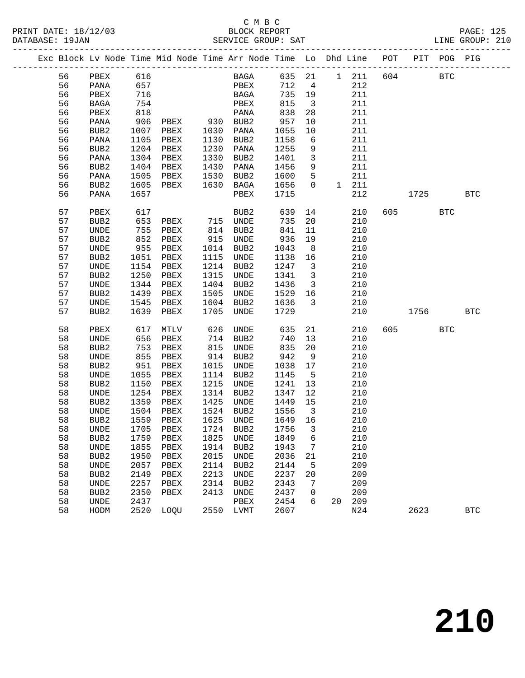|  |    | Exc Block Lv Node Time Mid Node Time Arr Node Time Lo Dhd Line |            |              |              |             |             |                            |                         |    |              | POT |           | PIT POG PIG |            |
|--|----|----------------------------------------------------------------|------------|--------------|--------------|-------------|-------------|----------------------------|-------------------------|----|--------------|-----|-----------|-------------|------------|
|  | 56 | PBEX                                                           | 616        |              |              |             | <b>BAGA</b> |                            |                         |    | 635 21 1 211 | 604 |           | <b>BTC</b>  |            |
|  | 56 | PANA                                                           | 657        |              |              | PBEX        |             | 712                        | $\overline{4}$          |    | 212          |     |           |             |            |
|  | 56 | PBEX                                                           | 716        |              |              | BAGA        |             | 735                        | 19                      |    | 211          |     |           |             |            |
|  | 56 | BAGA                                                           | 754        |              |              | PBEX        |             | 815                        | $\overline{\mathbf{3}}$ |    | 211          |     |           |             |            |
|  | 56 | PBEX                                                           | 818        |              |              | PANA        |             | 838                        | 28                      |    | 211          |     |           |             |            |
|  | 56 | PANA                                                           | 906        | PBEX         | 930 BUB2     |             |             | 957                        | 10                      |    | 211          |     |           |             |            |
|  | 56 | BUB2                                                           | 1007       | PBEX         | 1030         | PANA        |             | 1055                       | 10                      |    | 211          |     |           |             |            |
|  | 56 | PANA                                                           | 1105       | PBEX         | 1130         | BUB2        |             | 1158                       | $6\overline{6}$         |    | 211          |     |           |             |            |
|  | 56 | BUB2                                                           | 1204       | PBEX         | 1230         | PANA        |             | 1255                       | 9                       |    | 211          |     |           |             |            |
|  | 56 | PANA                                                           | 1304       | PBEX         | 1330         | BUB2        |             | 1401                       | $\overline{3}$          |    | 211          |     |           |             |            |
|  | 56 | BUB2                                                           | 1404       | PBEX         | 1430         | PANA        |             | 1456                       | 9                       |    | 211          |     |           |             |            |
|  | 56 | PANA                                                           | 1505       | PBEX         | 1530         | BUB2        |             | 1600                       | 5                       |    | 211          |     |           |             |            |
|  | 56 | BUB2                                                           | 1605       | PBEX         | 1630         | BAGA        |             | 1656                       | $\overline{0}$          |    | 1 211        |     |           |             |            |
|  | 56 | PANA                                                           | 1657       |              |              | PBEX        |             | 1715                       |                         |    | 212          |     | 1725      |             | <b>BTC</b> |
|  |    |                                                                |            |              |              |             |             |                            |                         |    |              |     |           |             |            |
|  | 57 | PBEX                                                           | 617        |              |              | BUB2        |             | 639                        | 14                      |    | 210          |     | 605 — 100 | <b>BTC</b>  |            |
|  | 57 | BUB2                                                           | 653        | PBEX         | 715 UNDE     |             |             | 735                        | 20                      |    | 210          |     |           |             |            |
|  | 57 | UNDE                                                           | 755<br>852 | PBEX         | 814          | BUB2        |             | 841                        | 11                      |    | 210          |     |           |             |            |
|  | 57 | BUB2                                                           |            | PBEX         | 915          | UNDE        |             | 936                        | 19                      |    | 210          |     |           |             |            |
|  | 57 | UNDE                                                           | 955        | PBEX         | 1014         | BUB2        |             | 1043                       | 8 <sup>8</sup>          |    | 210          |     |           |             |            |
|  | 57 | BUB2                                                           | 1051       | PBEX         | 1115         | UNDE        |             | 1138                       | 16                      |    | 210          |     |           |             |            |
|  | 57 | UNDE                                                           | 1154       | PBEX         | 1214         | BUB2        |             | 1247                       | $\overline{\mathbf{3}}$ |    | 210          |     |           |             |            |
|  | 57 | BUB2                                                           | 1250       | PBEX         | 1315         | UNDE        |             | 1341                       | $\overline{\mathbf{3}}$ |    | 210          |     |           |             |            |
|  | 57 | UNDE                                                           | 1344       | PBEX         | 1404         | BUB2        |             | 1436                       | $\overline{\mathbf{3}}$ |    | 210          |     |           |             |            |
|  | 57 | BUB2                                                           | 1439       | PBEX         | 1505         | UNDE        |             | 1529                       | 16                      |    | 210          |     |           |             |            |
|  | 57 | UNDE                                                           | 1545       | PBEX         | 1604         | BUB2        |             | 1636                       | $\overline{\mathbf{3}}$ |    | 210          |     |           |             |            |
|  | 57 | BUB <sub>2</sub>                                               | 1639       | PBEX         | 1705         | <b>UNDE</b> |             | 1729                       |                         |    | 210          |     | 1756 17   |             | <b>BTC</b> |
|  |    |                                                                |            |              |              |             |             |                            |                         |    |              |     |           |             |            |
|  | 58 | PBEX                                                           | 617        | MTLV         | 626          | UNDE        |             | 635                        | 21                      |    | 210          | 605 |           | <b>BTC</b>  |            |
|  | 58 | UNDE                                                           | 656        | PBEX         | 714          | BUB2        |             | 740                        | 13                      |    | 210          |     |           |             |            |
|  | 58 | BUB2                                                           | 753        | PBEX         | 815          | UNDE        |             | 835                        | 20                      |    | 210          |     |           |             |            |
|  | 58 | UNDE                                                           | 855        | PBEX         | 914          | BUB2        |             | 942                        | 9                       |    | 210          |     |           |             |            |
|  | 58 | BUB2                                                           | 951        | PBEX         | 1015         | UNDE        |             | 1038                       | 17                      |    | 210          |     |           |             |            |
|  | 58 | UNDE                                                           | 1055       | PBEX         | 1114         | BUB2        |             | 1145                       | $5^{\circ}$             |    | 210          |     |           |             |            |
|  | 58 | BUB2                                                           | 1150       | PBEX         | 1215         | UNDE        |             | 1241                       | 13                      |    | 210          |     |           |             |            |
|  | 58 | UNDE                                                           | 1254       | PBEX         | 1314         | BUB2        |             | 1347                       | 12                      |    | 210          |     |           |             |            |
|  | 58 | BUB2                                                           | 1359       | PBEX         | 1425         | UNDE        |             | 1449                       | 15                      |    | 210          |     |           |             |            |
|  | 58 | UNDE                                                           | 1504       | PBEX<br>PBEX | 1524<br>1625 | BUB2        |             | 1556<br>1649               | $\overline{\mathbf{3}}$ |    | 210          |     |           |             |            |
|  | 58 | BUB <sub>2</sub>                                               | 1559       |              |              | UNDE        |             |                            | 16                      |    | 210          |     |           |             |            |
|  | 58 | <b>UNDE</b>                                                    |            |              |              |             |             | 1705 PBEX 1724 BUB2 1756 3 |                         |    | 210          |     |           |             |            |
|  | 58 | BUB2                                                           | 1759       | PBEX         | 1825         | UNDE        |             | 1849                       | 6                       |    | 210          |     |           |             |            |
|  | 58 | UNDE                                                           | 1855       | PBEX         | 1914         | BUB2        |             | 1943                       | 7                       |    | 210          |     |           |             |            |
|  | 58 | BUB2                                                           | 1950       | PBEX         | 2015         | UNDE        |             | 2036                       | 21                      |    | 210          |     |           |             |            |
|  | 58 | UNDE                                                           | 2057       | PBEX         | 2114         | BUB2        |             | 2144                       | 5                       |    | 209          |     |           |             |            |
|  | 58 | BUB2                                                           | 2149       | PBEX         | 2213         | UNDE        |             | 2237                       | 20                      |    | 209          |     |           |             |            |
|  | 58 | UNDE                                                           | 2257       | PBEX         | 2314         | BUB2        |             | 2343                       | 7                       |    | 209          |     |           |             |            |
|  | 58 | BUB2                                                           | 2350       | PBEX         | 2413         | UNDE        |             | 2437                       | 0                       |    | 209          |     |           |             |            |
|  | 58 | UNDE                                                           | 2437       |              |              | PBEX        |             | 2454                       | 6                       | 20 | 209          |     |           |             |            |
|  | 58 | HODM                                                           | 2520       | LOQU         | 2550         | LVMT        |             | 2607                       |                         |    | N24          |     | 2623      |             | <b>BTC</b> |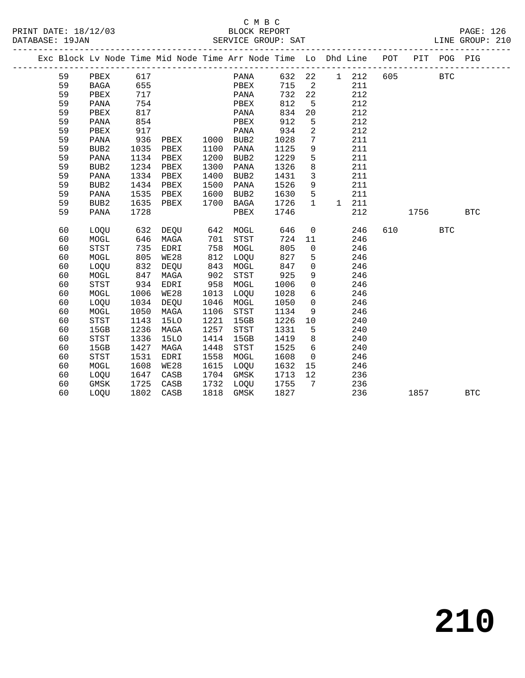|  |    |                  |      |             |      | Exc Block Lv Node Time Mid Node Time Arr Node Time Lo Dhd Line |      |              |             |     | POT | PIT  | POG PIG    |            |
|--|----|------------------|------|-------------|------|----------------------------------------------------------------|------|--------------|-------------|-----|-----|------|------------|------------|
|  | 59 | PBEX             | 617  |             |      | PANA                                                           | 632  | 22           | $\mathbf 1$ | 212 | 605 |      | <b>BTC</b> |            |
|  | 59 | BAGA             | 655  |             |      | PBEX                                                           | 715  | 2            |             | 211 |     |      |            |            |
|  | 59 | PBEX             | 717  |             |      | PANA                                                           | 732  | 22           |             | 212 |     |      |            |            |
|  | 59 | PANA             | 754  |             |      | PBEX                                                           | 812  | 5            |             | 212 |     |      |            |            |
|  | 59 | PBEX             | 817  |             |      | PANA                                                           | 834  | 20           |             | 212 |     |      |            |            |
|  | 59 | PANA             | 854  |             |      | PBEX                                                           | 912  | 5            |             | 212 |     |      |            |            |
|  | 59 | PBEX             | 917  |             |      | PANA                                                           | 934  | 2            |             | 212 |     |      |            |            |
|  | 59 | PANA             | 936  | PBEX        | 1000 | BUB <sub>2</sub>                                               | 1028 | 7            |             | 211 |     |      |            |            |
|  | 59 | BUB <sub>2</sub> | 1035 | PBEX        | 1100 | PANA                                                           | 1125 | 9            |             | 211 |     |      |            |            |
|  | 59 | PANA             | 1134 | PBEX        | 1200 | BUB <sub>2</sub>                                               | 1229 | 5            |             | 211 |     |      |            |            |
|  | 59 | BUB <sub>2</sub> | 1234 | PBEX        | 1300 | <b>PANA</b>                                                    | 1326 | 8            |             | 211 |     |      |            |            |
|  | 59 | PANA             | 1334 | PBEX        | 1400 | BUB <sub>2</sub>                                               | 1431 | 3            |             | 211 |     |      |            |            |
|  | 59 | BUB <sub>2</sub> | 1434 | PBEX        | 1500 | PANA                                                           | 1526 | 9            |             | 211 |     |      |            |            |
|  | 59 | PANA             | 1535 | PBEX        | 1600 | BUB2                                                           | 1630 | 5            |             | 211 |     |      |            |            |
|  | 59 | BUB <sub>2</sub> | 1635 | PBEX        | 1700 | BAGA                                                           | 1726 | $\mathbf{1}$ | $\mathbf 1$ | 211 |     |      |            |            |
|  | 59 | PANA             | 1728 |             |      | PBEX                                                           | 1746 |              |             | 212 |     | 1756 |            | <b>BTC</b> |
|  |    |                  |      |             |      |                                                                |      |              |             |     |     |      |            |            |
|  | 60 | LOQU             | 632  | DEQU        | 642  | MOGL                                                           | 646  | 0            |             | 246 | 610 |      | <b>BTC</b> |            |
|  | 60 | MOGL             | 646  | MAGA        | 701  | <b>STST</b>                                                    | 724  | 11           |             | 246 |     |      |            |            |
|  | 60 | <b>STST</b>      | 735  | EDRI        | 758  | MOGL                                                           | 805  | 0            |             | 246 |     |      |            |            |
|  | 60 | MOGL             | 805  | <b>WE28</b> | 812  | LOQU                                                           | 827  | 5            |             | 246 |     |      |            |            |
|  | 60 | LOQU             | 832  | DEQU        | 843  | MOGL                                                           | 847  | 0            |             | 246 |     |      |            |            |
|  | 60 | MOGL             | 847  | MAGA        | 902  | <b>STST</b>                                                    | 925  | 9            |             | 246 |     |      |            |            |
|  | 60 | <b>STST</b>      | 934  | EDRI        | 958  | MOGL                                                           | 1006 | $\mathsf{O}$ |             | 246 |     |      |            |            |
|  | 60 | MOGL             | 1006 | WE28        | 1013 | LOOU                                                           | 1028 | 6            |             | 246 |     |      |            |            |
|  | 60 | LOQU             | 1034 | DEQU        | 1046 | MOGL                                                           | 1050 | $\mathsf{O}$ |             | 246 |     |      |            |            |
|  | 60 | MOGL             | 1050 | MAGA        | 1106 | <b>STST</b>                                                    | 1134 | 9            |             | 246 |     |      |            |            |
|  | 60 | <b>STST</b>      | 1143 | <b>15LO</b> | 1221 | 15GB                                                           | 1226 | 10           |             | 240 |     |      |            |            |
|  | 60 | 15GB             | 1236 | MAGA        | 1257 | STST                                                           | 1331 | 5            |             | 240 |     |      |            |            |
|  | 60 | <b>STST</b>      | 1336 | <b>15LO</b> | 1414 | 15GB                                                           | 1419 | 8            |             | 240 |     |      |            |            |
|  | 60 | 15GB             | 1427 | MAGA        | 1448 | <b>STST</b>                                                    | 1525 | 6            |             | 240 |     |      |            |            |
|  | 60 | <b>STST</b>      | 1531 | EDRI        | 1558 | MOGL                                                           | 1608 | 0            |             | 246 |     |      |            |            |
|  | 60 | MOGL             | 1608 | <b>WE28</b> | 1615 | LOQU                                                           | 1632 | 15           |             | 246 |     |      |            |            |
|  | 60 | LOQU             | 1647 | CASB        | 1704 | <b>GMSK</b>                                                    | 1713 | 12           |             | 236 |     |      |            |            |
|  | 60 | <b>GMSK</b>      | 1725 | CASB        | 1732 | LOQU                                                           | 1755 | 7            |             | 236 |     |      |            |            |
|  | 60 | LOOU             | 1802 | CASB        | 1818 | <b>GMSK</b>                                                    | 1827 |              |             | 236 |     | 1857 |            | <b>BTC</b> |
|  |    |                  |      |             |      |                                                                |      |              |             |     |     |      |            |            |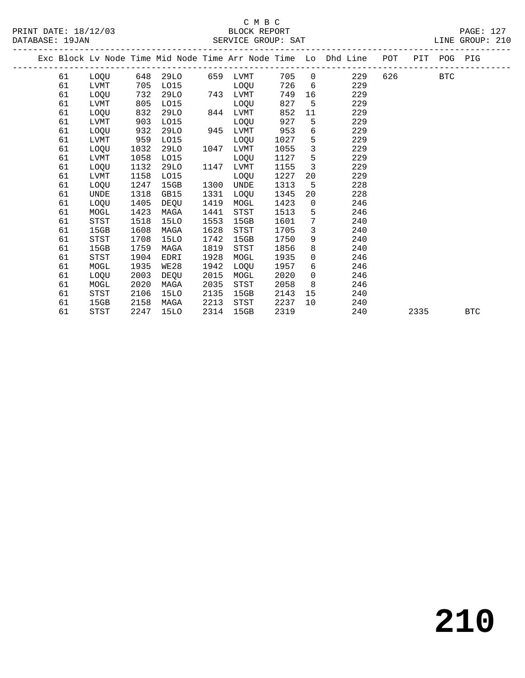|  |    |             |      |             |      |             |      |                | Exc Block Lv Node Time Mid Node Time Arr Node Time Lo Dhd Line | POT |      | PIT POG PIG |            |
|--|----|-------------|------|-------------|------|-------------|------|----------------|----------------------------------------------------------------|-----|------|-------------|------------|
|  | 61 | LOQU        | 648  | 29LO        | 659  | LVMT        | 705  | $\overline{0}$ | 229                                                            | 626 |      | <b>BTC</b>  |            |
|  | 61 | LVMT        | 705  | L015        |      | LOQU        | 726  | 6              | 229                                                            |     |      |             |            |
|  | 61 | LOQU        | 732  | 29LO        | 743  | LVMT        | 749  | 16             | 229                                                            |     |      |             |            |
|  | 61 | LVMT        | 805  | L015        |      | LOQU        | 827  | 5              | 229                                                            |     |      |             |            |
|  | 61 | LOQU        | 832  | 29LO        | 844  | LVMT        | 852  | 11             | 229                                                            |     |      |             |            |
|  | 61 | LVMT        | 903  | L015        |      | LOQU        | 927  | 5              | 229                                                            |     |      |             |            |
|  | 61 | LOQU        | 932  | 29LO        | 945  | LVMT        | 953  | 6              | 229                                                            |     |      |             |            |
|  | 61 | LVMT        | 959  | L015        |      | LOOU        | 1027 | 5              | 229                                                            |     |      |             |            |
|  | 61 | <b>LOOU</b> | 1032 | 29LO        | 1047 | LVMT        | 1055 | 3              | 229                                                            |     |      |             |            |
|  | 61 | LVMT        | 1058 | L015        |      | LOQU        | 1127 | 5              | 229                                                            |     |      |             |            |
|  | 61 | LOQU        | 1132 | 29LO        | 1147 | LVMT        | 1155 | 3              | 229                                                            |     |      |             |            |
|  | 61 | LVMT        | 1158 | L015        |      | LOQU        | 1227 | 20             | 229                                                            |     |      |             |            |
|  | 61 | LOQU        | 1247 | 15GB        | 1300 | UNDE        | 1313 | 5              | 228                                                            |     |      |             |            |
|  | 61 | UNDE        | 1318 | GB15        | 1331 | LOQU        | 1345 | 20             | 228                                                            |     |      |             |            |
|  | 61 | LOQU        | 1405 | DEQU        | 1419 | MOGL        | 1423 | $\mathbf 0$    | 246                                                            |     |      |             |            |
|  | 61 | MOGL        | 1423 | MAGA        | 1441 | STST        | 1513 | 5              | 246                                                            |     |      |             |            |
|  | 61 | <b>STST</b> | 1518 | 15LO        | 1553 | 15GB        | 1601 | 7              | 240                                                            |     |      |             |            |
|  | 61 | 15GB        | 1608 | MAGA        | 1628 | STST        | 1705 | $\mathbf{3}$   | 240                                                            |     |      |             |            |
|  | 61 | STST        | 1708 | <b>15LO</b> | 1742 | 15GB        | 1750 | 9              | 240                                                            |     |      |             |            |
|  | 61 | 15GB        | 1759 | MAGA        | 1819 | STST        | 1856 | 8              | 240                                                            |     |      |             |            |
|  | 61 | STST        | 1904 | EDRI        | 1928 | MOGL        | 1935 | $\overline{0}$ | 246                                                            |     |      |             |            |
|  | 61 | MOGL        | 1935 | <b>WE28</b> | 1942 | <b>LOOU</b> | 1957 | 6              | 246                                                            |     |      |             |            |
|  | 61 | LOQU        | 2003 | DEQU        | 2015 | MOGL        | 2020 | $\mathbf{0}$   | 246                                                            |     |      |             |            |
|  | 61 | MOGL        | 2020 | MAGA        | 2035 | <b>STST</b> | 2058 | 8              | 246                                                            |     |      |             |            |
|  | 61 | <b>STST</b> | 2106 | <b>15LO</b> | 2135 | 15GB        | 2143 | 15             | 240                                                            |     |      |             |            |
|  | 61 | 15GB        | 2158 | MAGA        | 2213 | STST        | 2237 | 10             | 240                                                            |     |      |             |            |
|  | 61 | STST        | 2247 | 15LO        | 2314 | 15GB        | 2319 |                | 240                                                            |     | 2335 |             | <b>BTC</b> |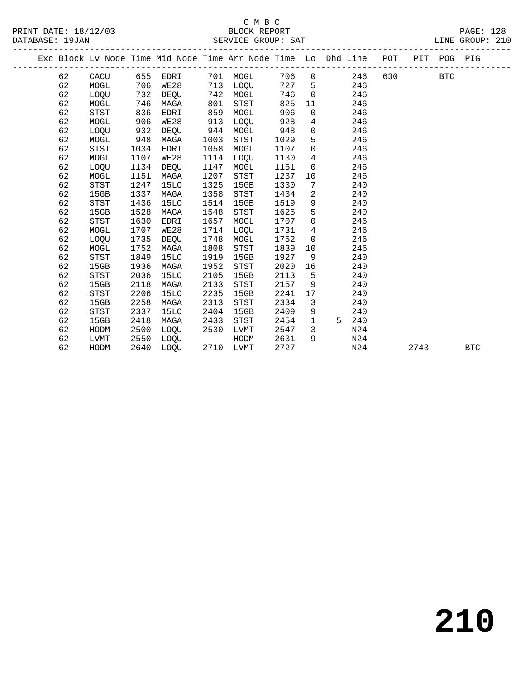### C M B C<br>BLOCK REPORT SERVICE GROUP: SAT

PRINT DATE: 18/12/03 BLOCK REPORT PAGE: 128

|  |    |             |      | Exc Block Lv Node Time Mid Node Time Arr Node Time Lo Dhd Line POT |      |             |      |             |   |                 |      | PIT POG PIG |            |
|--|----|-------------|------|--------------------------------------------------------------------|------|-------------|------|-------------|---|-----------------|------|-------------|------------|
|  | 62 | CACU        |      | 655 EDRI                                                           | 701  | MOGL        | 706  | $\mathbf 0$ |   | 630<br>246      |      | <b>BTC</b>  |            |
|  | 62 | MOGL        | 706  | WE28                                                               | 713  | LOQU        | 727  | 5           |   | 246             |      |             |            |
|  | 62 | LOQU        | 732  | DEOU                                                               | 742  | MOGL        | 746  | $\mathbf 0$ |   | 246             |      |             |            |
|  | 62 | MOGL        | 746  | MAGA                                                               | 801  | STST        | 825  | 11          |   | 246             |      |             |            |
|  | 62 | STST        | 836  | EDRI                                                               | 859  | MOGL        | 906  | $\Omega$    |   | 246             |      |             |            |
|  | 62 | MOGL        | 906  | WE28                                                               | 913  | LOQU        | 928  | 4           |   | 246             |      |             |            |
|  | 62 | LOQU        | 932  | DEQU                                                               | 944  | MOGL        | 948  | $\mathbf 0$ |   | 246             |      |             |            |
|  | 62 | MOGL        | 948  | MAGA                                                               | 1003 | STST        | 1029 | 5           |   | 246             |      |             |            |
|  | 62 | STST        | 1034 | EDRI                                                               | 1058 | MOGL        | 1107 | $\mathbf 0$ |   | 246             |      |             |            |
|  | 62 | MOGL        | 1107 | <b>WE28</b>                                                        | 1114 | LOQU        | 1130 | 4           |   | 246             |      |             |            |
|  | 62 | LOQU        | 1134 | DEQU                                                               | 1147 | MOGL        | 1151 | $\mathbf 0$ |   | 246             |      |             |            |
|  | 62 | MOGL        | 1151 | MAGA                                                               | 1207 | STST        | 1237 | 10          |   | 246             |      |             |            |
|  | 62 | <b>STST</b> | 1247 | 15LO                                                               | 1325 | 15GB        | 1330 | 7           |   | 240             |      |             |            |
|  | 62 | 15GB        | 1337 | MAGA                                                               | 1358 | STST        | 1434 | 2           |   | 240             |      |             |            |
|  | 62 | <b>STST</b> | 1436 | <b>15LO</b>                                                        | 1514 | 15GB        | 1519 | 9           |   | 240             |      |             |            |
|  | 62 | 15GB        | 1528 | MAGA                                                               | 1548 | <b>STST</b> | 1625 | 5           |   | 240             |      |             |            |
|  | 62 | <b>STST</b> | 1630 | EDRI                                                               | 1657 | MOGL        | 1707 | $\mathbf 0$ |   | 246             |      |             |            |
|  | 62 | MOGL        | 1707 | <b>WE28</b>                                                        | 1714 | LOQU        | 1731 | 4           |   | 246             |      |             |            |
|  | 62 | LOQU        | 1735 | DEQU                                                               | 1748 | MOGL        | 1752 | $\mathbf 0$ |   | 246             |      |             |            |
|  | 62 | MOGL        | 1752 | MAGA                                                               | 1808 | <b>STST</b> | 1839 | 10          |   | 246             |      |             |            |
|  | 62 | <b>STST</b> | 1849 | <b>15LO</b>                                                        | 1919 | 15GB        | 1927 | 9           |   | 240             |      |             |            |
|  | 62 | 15GB        | 1936 | MAGA                                                               | 1952 | STST        | 2020 | 16          |   | 240             |      |             |            |
|  | 62 | STST        | 2036 | <b>15LO</b>                                                        | 2105 | 15GB        | 2113 | 5           |   | 240             |      |             |            |
|  | 62 | 15GB        | 2118 | MAGA                                                               | 2133 | <b>STST</b> | 2157 | 9           |   | 240             |      |             |            |
|  | 62 | STST        | 2206 | <b>15LO</b>                                                        | 2235 | 15GB        | 2241 | 17          |   | 240             |      |             |            |
|  | 62 | 15GB        | 2258 | MAGA                                                               | 2313 | <b>STST</b> | 2334 | 3           |   | 240             |      |             |            |
|  | 62 | <b>STST</b> | 2337 | 15LO                                                               | 2404 | 15GB        | 2409 | 9           |   | 240             |      |             |            |
|  | 62 | 15GB        | 2418 | MAGA                                                               | 2433 | STST        | 2454 | 1           | 5 | 240             |      |             |            |
|  | 62 | HODM        | 2500 | LOOU                                                               | 2530 | LVMT        | 2547 | 3           |   | N <sub>24</sub> |      |             |            |
|  | 62 | LVMT        | 2550 | LOQU                                                               |      | HODM        | 2631 | 9           |   | N24             |      |             |            |
|  | 62 | HODM        | 2640 | LOOU                                                               | 2710 | LVMT        | 2727 |             |   | N24             | 2743 |             | <b>BTC</b> |
|  |    |             |      |                                                                    |      |             |      |             |   |                 |      |             |            |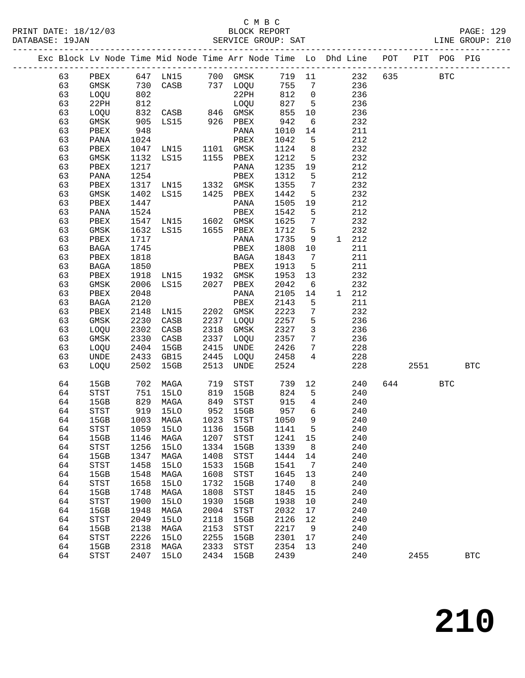PRINT DATE: 18/12/03 BLOCK REPORT BATABASE: 19JAN BLOCK REPORT

### C M B C<br>BLOCK REPORT

PAGE: 129<br>LINE GROUP: 210

|  |          |                     |              |                                                                    |              |                                    |              |                 |            | -------------------------- |      |             |              |  |
|--|----------|---------------------|--------------|--------------------------------------------------------------------|--------------|------------------------------------|--------------|-----------------|------------|----------------------------|------|-------------|--------------|--|
|  |          |                     |              | Exc Block Lv Node Time Mid Node Time Arr Node Time Lo Dhd Line POT |              |                                    |              |                 |            |                            |      | PIT POG PIG |              |  |
|  | 63       | PBEX                |              | 647 LN15                                                           |              | 700 GMSK                           | 719 11       |                 |            | 232<br>635                 |      | <b>BTC</b>  |              |  |
|  | 63       | GMSK                | 730          | CASB                                                               |              | 737 LOQU                           | 755          | $\overline{7}$  | 236        |                            |      |             |              |  |
|  | 63       | LOQU                | 802          |                                                                    |              | 22PH                               | 812          | $\overline{0}$  | 236        |                            |      |             |              |  |
|  | 63       | 22PH                | 812          |                                                                    |              | LOQU                               | 827          | $5^{\circ}$     | 236        |                            |      |             |              |  |
|  | 63       | LOQU                | 832          | $CASB$ 846 GMSK                                                    |              |                                    | 855          | 10              | 236        |                            |      |             |              |  |
|  | 63       | GMSK                | 905          | LS15 926 PBEX                                                      |              |                                    | 942          | 6               | 232        |                            |      |             |              |  |
|  | 63       | PBEX                | 948          |                                                                    |              | PANA                               | 1010         | 14              | 211        |                            |      |             |              |  |
|  | 63       | PANA                | 1024         |                                                                    |              | PBEX                               | 1042         | 5               | 212        |                            |      |             |              |  |
|  | 63       | PBEX                | 1047         | LNI5                                                               |              | 1101 GMSK                          | 1124         | 8               | 232        |                            |      |             |              |  |
|  | 63       | GMSK                | 1132         | LS15                                                               |              | 1155 PBEX                          | 1212         | 5               | 232        |                            |      |             |              |  |
|  | 63       | PBEX                | 1217         |                                                                    |              | PANA                               | 1235         | 19              | 212        |                            |      |             |              |  |
|  | 63       | PANA                | 1254         |                                                                    |              | PBEX                               | 1312         | 5               | 212        |                            |      |             |              |  |
|  | 63       | PBEX                | 1317         | LNI5                                                               |              | 1332 GMSK                          | 1355         | $7\phantom{.0}$ | 232        |                            |      |             |              |  |
|  | 63       | GMSK                | 1402         | LS15                                                               |              | 1425 PBEX                          | 1442         | 5               | 232        |                            |      |             |              |  |
|  | 63       | PBEX                | 1447         |                                                                    |              | PANA                               | 1505         | 19              | 212        |                            |      |             |              |  |
|  | 63       | PANA                | 1524         |                                                                    |              | PBEX                               | 1542         | 5               | 212        |                            |      |             |              |  |
|  | 63       | PBEX                | 1547         | LNI5                                                               |              | 1602 GMSK                          | 1625         | $7\phantom{.0}$ | 232        |                            |      |             |              |  |
|  | 63       | GMSK                | 1632         | LS15                                                               |              | 1655 PBEX                          | 1712         | 5               | 232        |                            |      |             |              |  |
|  | 63       | PBEX                | 1717         |                                                                    |              | PANA                               | 1735         | 9               | 1 212      |                            |      |             |              |  |
|  | 63       | BAGA                | 1745         |                                                                    |              | PBEX                               | 1808         | 10              | 211        |                            |      |             |              |  |
|  | 63       | PBEX                | 1818         |                                                                    |              | BAGA                               | 1843         | $7\phantom{.0}$ | 211        |                            |      |             |              |  |
|  | 63       | BAGA                | 1850         |                                                                    |              | PBEX                               | 1913         | 5               | 211        |                            |      |             |              |  |
|  | 63       | PBEX                | 1918         | LN15 1932 GMSK                                                     |              |                                    | 1953         | 13              | 232        |                            |      |             |              |  |
|  | 63       | GMSK                | 2006         | LS15                                                               | 2027         | PBEX                               | 2042         | 6               | 232        |                            |      |             |              |  |
|  | 63       | PBEX                | 2048         |                                                                    |              | PANA                               | 2105         | 14              | 1 212      |                            |      |             |              |  |
|  | 63       | BAGA                | 2120         |                                                                    |              | PBEX                               | 2143         | 5               | 211        |                            |      |             |              |  |
|  | 63       | PBEX                | 2148         | LN15                                                               |              | 2202 GMSK                          | 2223         | 7               | 232        |                            |      |             |              |  |
|  | 63       | GMSK                | 2230         | CASB                                                               | 2237         | LOQU                               | 2257         | 5               | 236        |                            |      |             |              |  |
|  | 63       | LOQU                | 2302         | CASB                                                               | 2318         | GMSK                               | 2327         | $\mathbf{3}$    | 236        |                            |      |             |              |  |
|  | 63       | GMSK                | 2330         | CASB                                                               | 2337         | LOQU                               | 2357         | $7\overline{ }$ | 236        |                            |      |             |              |  |
|  | 63       | LOQU                | 2404         | 15GB                                                               | 2415         | UNDE                               | 2426         | $7\phantom{.0}$ | 228        |                            |      |             |              |  |
|  | 63       | UNDE                | 2433         | GB15                                                               | 2445         | LOQU                               | 2458         | $4\overline{ }$ | 228        |                            |      |             |              |  |
|  | 63       | LOQU                | 2502         | 15GB                                                               | 2513         | UNDE                               | 2524         |                 | 228        |                            | 2551 |             | <b>BTC</b>   |  |
|  | 64       | 15GB                | 702          | MAGA                                                               | 719          | STST                               | 739          | 12              | 240        | 644                        |      | <b>BTC</b>  |              |  |
|  | 64       | STST                | 751          | 15LO                                                               | 819          | 15GB                               | 824          | 5               | 240        |                            |      |             |              |  |
|  | 64       | 15GB                | 829          | MAGA                                                               | 849          | STST                               | 915          | $4\overline{ }$ | 240        |                            |      |             |              |  |
|  | 64       | STST                | 919          | 15LO                                                               | 952          | 15GB                               | 957          | 6               | 240        |                            |      |             |              |  |
|  | 64       | 15GB                | 1003         | MAGA                                                               | 1023         | STST                               | 1050         | 9               | 240        |                            |      |             |              |  |
|  | 64       | <b>STST</b>         | 1059         | <b>15LO</b>                                                        | 1136         | 15GB                               | 1141         | 5               | 240        |                            |      |             |              |  |
|  | 64       | 15GB                | 1146         | MAGA                                                               | 1207         | STST                               | 1241         | 15              | 240        |                            |      |             |              |  |
|  | 64       | <b>STST</b>         | 1256         | <b>15LO</b>                                                        | 1334         | 15GB                               | 1339         | 8               | 240        |                            |      |             |              |  |
|  | 64       | 15GB                | 1347         | MAGA                                                               | 1408         | STST                               | 1444         | 14              | 240        |                            |      |             |              |  |
|  | 64       | <b>STST</b>         | 1458         | <b>15LO</b>                                                        | 1533         | 15GB                               | 1541         | 7               | 240        |                            |      |             |              |  |
|  | 64       | 15GB                | 1548         | MAGA                                                               | 1608         | STST                               | 1645         | 13              | 240        |                            |      |             |              |  |
|  | 64       | <b>STST</b>         | 1658         | <b>15LO</b>                                                        | 1732         | 15GB                               | 1740         | 8               | 240        |                            |      |             |              |  |
|  | 64       | 15GB                | 1748         | MAGA                                                               | 1808         | <b>STST</b>                        | 1845         | 15              | 240        |                            |      |             |              |  |
|  | 64       | <b>STST</b>         | 1900         | <b>15LO</b>                                                        | 1930         | 15GB                               | 1938         | 10              | 240        |                            |      |             |              |  |
|  | 64       | 15GB                | 1948         | MAGA                                                               | 2004         | STST                               | 2032         | 17              | 240        |                            |      |             |              |  |
|  | 64       | <b>STST</b>         | 2049         | <b>15LO</b>                                                        | 2118         | 15GB                               | 2126         | 12              | 240        |                            |      |             |              |  |
|  | 64       | 15GB                | 2138         | MAGA                                                               | 2153<br>2255 | STST                               | 2217<br>2301 | 9               | 240<br>240 |                            |      |             |              |  |
|  | 64<br>64 | <b>STST</b><br>15GB | 2226<br>2318 | <b>15LO</b><br>MAGA                                                | 2333         | 15GB<br>$_{\footnotesize\rm STST}$ | 2354         | 17<br>13        | 240        |                            |      |             |              |  |
|  | 64       | <b>STST</b>         | 2407         | <b>15LO</b>                                                        | 2434         | 15GB                               | 2439         |                 | 240        |                            | 2455 |             | $_{\rm BTC}$ |  |
|  |          |                     |              |                                                                    |              |                                    |              |                 |            |                            |      |             |              |  |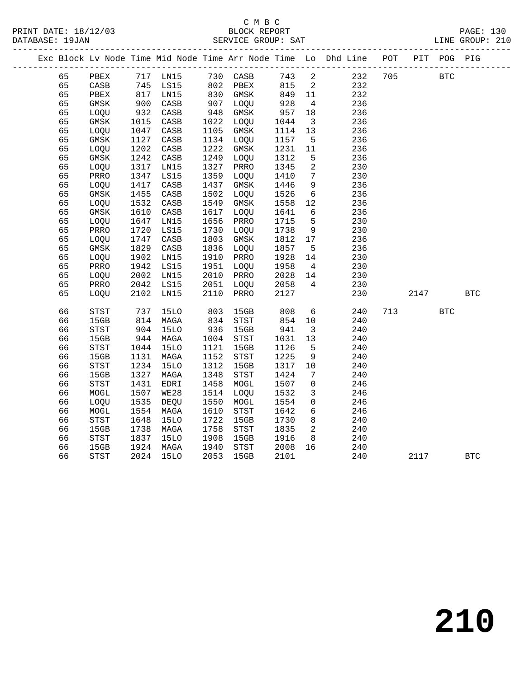|  |    | Exc Block Lv Node Time Mid Node Time Arr Node Time Lo Dhd Line POT |                                                                                            |             |                                                           |          |      |                          |     |     |      | PIT POG PIG |            |
|--|----|--------------------------------------------------------------------|--------------------------------------------------------------------------------------------|-------------|-----------------------------------------------------------|----------|------|--------------------------|-----|-----|------|-------------|------------|
|  | 65 | PBEX                                                               |                                                                                            | 717 LN15    | 730 CASB                                                  |          | 743  | $\overline{\phantom{a}}$ | 232 | 705 |      | <b>BTC</b>  |            |
|  | 65 | $\mathtt{CASB}$                                                    | 745                                                                                        | LS15        |                                                           | 802 PBEX | 815  | $\overline{\mathbf{c}}$  | 232 |     |      |             |            |
|  | 65 | PBEX                                                               | $\begin{array}{c} \n \stackrel{\cdot}{\cancel{0}} \\ \n 817 \\  \hline\n 0 \n \end{array}$ | LN15        | $802 - 2$ $830$ $830$ $830$ $830$ $830$ $830$ $800$ $800$ |          | 849  | 11                       | 232 |     |      |             |            |
|  | 65 | $\rm{GMSK}$                                                        | 900                                                                                        | CASB        | 907                                                       | LOQU     | 928  | $\overline{4}$           | 236 |     |      |             |            |
|  | 65 | LOQU                                                               | 932                                                                                        | CASB        | 948                                                       | GMSK     | 957  | 18                       | 236 |     |      |             |            |
|  | 65 | GMSK                                                               | 1015                                                                                       | CASB        | 1022                                                      | LOQU     | 1044 | $\overline{\mathbf{3}}$  | 236 |     |      |             |            |
|  | 65 | LOQU                                                               | 1047                                                                                       | CASB        | 1105                                                      | GMSK     | 1114 | 13                       | 236 |     |      |             |            |
|  | 65 | $\rm{GMSK}$                                                        | 1127                                                                                       | CASB        | 1134                                                      | LOQU     | 1157 | $5^{\circ}$              | 236 |     |      |             |            |
|  | 65 | LOQU                                                               | 1202                                                                                       | CASB        | 1222                                                      | GMSK     | 1231 | 11                       | 236 |     |      |             |            |
|  | 65 | GMSK                                                               | 1242                                                                                       | CASB        | 1249                                                      | LOQU     | 1312 | 5                        | 236 |     |      |             |            |
|  | 65 | LOQU                                                               | 1317                                                                                       | LN15        | 1327                                                      | PRRO     | 1345 | $\overline{a}$           | 230 |     |      |             |            |
|  | 65 | PRRO                                                               | 1347                                                                                       | LS15        | 1359                                                      | LOQU     | 1410 | $7\phantom{.0}$          | 230 |     |      |             |            |
|  | 65 | LOQU                                                               | 1417                                                                                       | CASB        | 1437                                                      | GMSK     | 1446 | 9                        | 236 |     |      |             |            |
|  | 65 | $\rm{GMSK}$                                                        | 1455                                                                                       | CASB        | 1502                                                      | LOQU     | 1526 | $6\overline{6}$          | 236 |     |      |             |            |
|  | 65 | LOQU                                                               | 1532                                                                                       | CASB        | 1549                                                      | GMSK     | 1558 | 12                       | 236 |     |      |             |            |
|  | 65 | $\rm{GMSK}$                                                        | 1610                                                                                       | CASB        | 1617                                                      | LOQU     | 1641 | $6\overline{6}$          | 236 |     |      |             |            |
|  | 65 | LOQU                                                               | 1647                                                                                       | LN15        | 1656                                                      | PRRO     | 1715 | 5                        | 230 |     |      |             |            |
|  | 65 | PRRO                                                               | 1720                                                                                       | LS15        | 1730                                                      | LOQU     | 1738 | 9                        | 230 |     |      |             |            |
|  | 65 | LOQU                                                               | 1747                                                                                       | CASB        | 1803                                                      | GMSK     | 1812 | 17                       | 236 |     |      |             |            |
|  | 65 | GMSK                                                               | 1829                                                                                       | CASB        | 1836                                                      | LOQU     | 1857 | 5                        | 236 |     |      |             |            |
|  | 65 | LOQU                                                               | 1902                                                                                       | LN15        | 1910                                                      | PRRO     | 1928 | 14                       | 230 |     |      |             |            |
|  | 65 | PRRO                                                               | 1942                                                                                       | LS15        | 1951                                                      | LOQU     | 1958 | $\overline{4}$           | 230 |     |      |             |            |
|  | 65 | LOQU                                                               | 2002                                                                                       | LN15        | 2010                                                      | PRRO     | 2028 | 14                       | 230 |     |      |             |            |
|  | 65 | PRRO                                                               | 2042                                                                                       | LS15        | 2051                                                      | LOQU     | 2058 | $\overline{4}$           | 230 |     |      |             |            |
|  | 65 | LOQU                                                               | 2102                                                                                       | LN15        | 2110                                                      | PRRO     | 2127 |                          | 230 |     | 2147 |             | <b>BTC</b> |
|  | 66 | STST                                                               | 737                                                                                        | <b>15LO</b> | 803                                                       | 15GB     | 808  | $6\overline{6}$          | 240 | 713 |      | <b>BTC</b>  |            |
|  | 66 | 15GB                                                               | 814                                                                                        | MAGA        | 834                                                       | STST     | 854  | 10                       | 240 |     |      |             |            |
|  | 66 | <b>STST</b>                                                        | 904                                                                                        | 15LO        | 936                                                       | 15GB     | 941  | $\overline{\mathbf{3}}$  | 240 |     |      |             |            |
|  | 66 | 15GB                                                               | 944                                                                                        | MAGA        | 1004                                                      | STST     | 1031 | 13                       | 240 |     |      |             |            |
|  | 66 | STST                                                               | 1044                                                                                       | <b>15LO</b> | 1121                                                      | 15GB     | 1126 | 5                        | 240 |     |      |             |            |
|  | 66 | 15GB                                                               | 1131                                                                                       | MAGA        | 1152                                                      | STST     | 1225 | 9                        | 240 |     |      |             |            |
|  | 66 | <b>STST</b>                                                        | 1234                                                                                       | <b>15LO</b> | 1312                                                      | 15GB     | 1317 | 10                       | 240 |     |      |             |            |
|  | 66 | 15GB                                                               | 1327                                                                                       | MAGA        | 1348                                                      | STST     | 1424 | 7                        | 240 |     |      |             |            |
|  | 66 | STST                                                               | 1431                                                                                       | EDRI        | 1458                                                      | MOGL     | 1507 | $\mathbf 0$              | 246 |     |      |             |            |
|  | 66 | MOGL                                                               | 1507                                                                                       | WE28        | 1514                                                      | LOQU     | 1532 | 3                        | 246 |     |      |             |            |
|  | 66 | LOQU                                                               | 1535                                                                                       | DEQU        | 1550                                                      | MOGL     | 1554 | $\mathbf 0$              | 246 |     |      |             |            |
|  | 66 | MOGL                                                               | 1554                                                                                       | MAGA        | 1610                                                      | STST     | 1642 | $6\overline{6}$          | 246 |     |      |             |            |
|  | 66 | $_{\footnotesize{\textnormal{STST}}}$                              | 1648                                                                                       | <b>15LO</b> | 1722                                                      | 15GB     | 1730 | 8                        | 240 |     |      |             |            |
|  | 66 | 15GB                                                               | 1738                                                                                       | MAGA        | 1758                                                      | STST     | 1835 | $\overline{2}$           | 240 |     |      |             |            |
|  | 66 | STST                                                               | 1837                                                                                       | <b>15LO</b> | 1908                                                      | 15GB     | 1916 | 8                        | 240 |     |      |             |            |
|  | 66 | 15GB                                                               | 1924                                                                                       | MAGA        | 1940                                                      | STST     | 2008 | 16                       | 240 |     |      |             |            |
|  | 66 | STST                                                               | 2024                                                                                       | <b>15LO</b> | 2053                                                      | 15GB     | 2101 |                          | 240 |     | 2117 |             | <b>BTC</b> |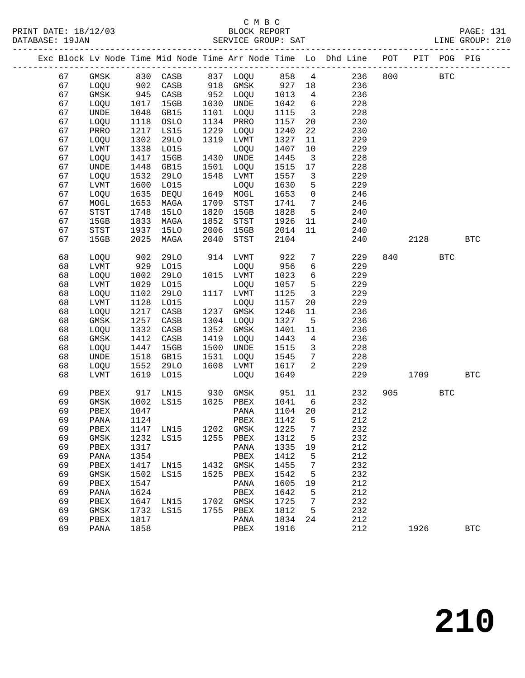|    |              |      |                                 |      |                                       |      |                         | Exc Block Lv Node Time Mid Node Time Arr Node Time Lo Dhd Line POT |     |      | PIT POG PIG |            |
|----|--------------|------|---------------------------------|------|---------------------------------------|------|-------------------------|--------------------------------------------------------------------|-----|------|-------------|------------|
| 67 | GMSK         |      | 830 CASB                        |      | 837 LOQU 858                          |      |                         | $4\overline{ }$<br>236                                             | 800 |      | <b>BTC</b>  |            |
| 67 | LOQU         | 902  | CASB                            |      | 918 GMSK 927 18                       |      |                         | 236                                                                |     |      |             |            |
| 67 | GMSK         | 945  | CASB                            |      | 952 LOQU                              | 1013 | $\overline{4}$          | 236                                                                |     |      |             |            |
| 67 | LOQU         | 1017 | 15GB                            |      | 1030 UNDE                             | 1042 | 6                       | 228                                                                |     |      |             |            |
| 67 | UNDE         | 1048 | GB15                            | 1101 | LOQU                                  | 1115 | $\overline{\mathbf{3}}$ | 228                                                                |     |      |             |            |
| 67 | LOQU         | 1118 | OSLO                            | 1134 | PRRO                                  | 1157 | 20                      | 230                                                                |     |      |             |            |
| 67 | PRRO         | 1217 | LS15                            | 1229 | LOQU                                  | 1240 | 22                      | 230                                                                |     |      |             |            |
| 67 | LOQU         | 1302 | 29LO                            | 1319 | LVMT                                  | 1327 | 11                      | 229                                                                |     |      |             |            |
| 67 | LVMT         | 1338 | L015                            |      | LOQU                                  | 1407 | 10                      | 229                                                                |     |      |             |            |
| 67 | LOQU         | 1417 | 15GB                            |      | 1430 UNDE                             | 1445 | $\overline{\mathbf{3}}$ | 228                                                                |     |      |             |            |
| 67 | UNDE         | 1448 | GB15                            | 1501 | LOQU                                  | 1515 | 17                      | 228                                                                |     |      |             |            |
| 67 | LOQU         | 1532 | 29LO                            | 1548 | LVMT                                  | 1557 | $\mathbf{3}$            | 229                                                                |     |      |             |            |
| 67 | LVMT         | 1600 | L015                            |      | LOQU                                  | 1630 | 5                       | 229                                                                |     |      |             |            |
| 67 | LOQU         | 1635 | DEQU                            |      | 1649 MOGL                             | 1653 | $\mathsf{O}$            | 246                                                                |     |      |             |            |
| 67 | MOGL         | 1653 | MAGA                            | 1709 | STST                                  | 1741 | $\overline{7}$          | 246                                                                |     |      |             |            |
| 67 | STST         | 1748 | <b>15LO</b>                     | 1820 | 15GB                                  | 1828 | $5^{\circ}$             | 240                                                                |     |      |             |            |
| 67 | 15GB         | 1833 | MAGA                            | 1852 | $_{\footnotesize{\textnormal{STST}}}$ | 1926 | 11                      | 240                                                                |     |      |             |            |
| 67 | STST         | 1937 | 15LO                            | 2006 | 15GB                                  | 2014 | 11                      | 240                                                                |     |      |             |            |
| 67 | 15GB         | 2025 | MAGA                            | 2040 | STST                                  | 2104 |                         | 240                                                                |     | 2128 |             | <b>BTC</b> |
|    |              |      |                                 |      |                                       |      |                         |                                                                    |     |      |             |            |
| 68 | LOQU         | 902  | 29LO                            |      | 914 LVMT                              | 922  | $7\phantom{.0}$         | 229                                                                | 840 |      | <b>BTC</b>  |            |
| 68 | ${\rm LVMT}$ | 929  | LO15                            |      | LOQU                                  | 956  | $6\overline{6}$         | 229                                                                |     |      |             |            |
| 68 | LOQU         | 1002 | 29LO                            |      | 1015 LVMT                             | 1023 | 6                       | 229                                                                |     |      |             |            |
| 68 | LVMT         | 1029 | L015                            |      | LOQU                                  | 1057 | 5                       | 229                                                                |     |      |             |            |
| 68 | LOQU         | 1102 | <b>29LO</b>                     |      | 1117 LVMT                             | 1125 | $\overline{\mathbf{3}}$ | 229                                                                |     |      |             |            |
| 68 | ${\rm LVMT}$ | 1128 | L015                            |      | LOQU                                  | 1157 | 20                      | 229                                                                |     |      |             |            |
| 68 | LOQU         | 1217 | CASB                            | 1237 | GMSK                                  | 1246 | 11                      | 236                                                                |     |      |             |            |
| 68 | GMSK         | 1257 | CASB                            | 1304 | LOQU                                  | 1327 | $5^{\circ}$             | 236                                                                |     |      |             |            |
| 68 | LOQU         | 1332 | CASB                            | 1352 | GMSK                                  | 1401 | 11                      | 236                                                                |     |      |             |            |
| 68 | $\rm{GMSK}$  | 1412 | CASB                            | 1419 | LOQU                                  | 1443 | $\overline{4}$          | 236                                                                |     |      |             |            |
| 68 | LOQU         | 1447 | 15GB                            | 1500 | UNDE                                  | 1515 | $\overline{3}$          | 228                                                                |     |      |             |            |
| 68 | UNDE         | 1518 | GB15                            | 1531 | LOQU                                  | 1545 | $7\overline{ }$         | 228                                                                |     |      |             |            |
| 68 | LOQU         | 1552 | 29LO                            | 1608 | LVMT                                  | 1617 | 2                       | 229                                                                |     |      |             |            |
| 68 | LVMT         | 1619 | L015                            |      | LOQU                                  | 1649 |                         | 229                                                                |     | 1709 |             | <b>BTC</b> |
|    |              |      |                                 |      |                                       |      |                         |                                                                    |     |      |             |            |
| 69 | PBEX         | 917  | LN15                            | 930  | GMSK                                  | 951  | 11                      | 232                                                                | 905 |      | <b>BTC</b>  |            |
| 69 | GMSK         | 1002 | LS15                            | 1025 | PBEX                                  | 1041 | 6                       | 232                                                                |     |      |             |            |
| 69 | PBEX         | 1047 |                                 |      | PANA                                  | 1104 | 20                      | 212                                                                |     |      |             |            |
| 69 | PANA         | 1124 |                                 |      | PBEX                                  | 1142 | $5^{\circ}$             | 212                                                                |     |      |             |            |
| 69 |              |      | PBEX 1147 LN15 1202 GMSK 1225 7 |      |                                       |      |                         | 232                                                                |     |      |             |            |
| 69 | GMSK         | 1232 | LS15                            |      | 1255 PBEX                             | 1312 | 5                       | 232                                                                |     |      |             |            |
| 69 | PBEX         | 1317 |                                 |      | PANA                                  | 1335 | 19                      | 212                                                                |     |      |             |            |
| 69 | PANA         | 1354 |                                 |      | PBEX                                  | 1412 | 5                       | 212                                                                |     |      |             |            |
| 69 | PBEX         | 1417 | LN15                            | 1432 | GMSK                                  | 1455 | 7                       | 232                                                                |     |      |             |            |
| 69 | GMSK         | 1502 | LS15                            | 1525 | PBEX                                  | 1542 | 5                       | 232                                                                |     |      |             |            |
| 69 | PBEX         | 1547 |                                 |      | PANA                                  | 1605 | 19                      | 212                                                                |     |      |             |            |
| 69 | PANA         | 1624 |                                 |      | PBEX                                  | 1642 | 5                       | 212                                                                |     |      |             |            |
| 69 | PBEX         | 1647 | LN15                            |      | 1702 GMSK                             | 1725 | 7                       | 232                                                                |     |      |             |            |
| 69 | GMSK         | 1732 | LS15                            | 1755 | PBEX                                  | 1812 | 5                       | 232                                                                |     |      |             |            |
| 69 | ${\tt PBEX}$ | 1817 |                                 |      | PANA                                  | 1834 | 24                      | 212                                                                |     |      |             |            |
| 69 | PANA         | 1858 |                                 |      | PBEX                                  | 1916 |                         | 212                                                                |     | 1926 |             | <b>BTC</b> |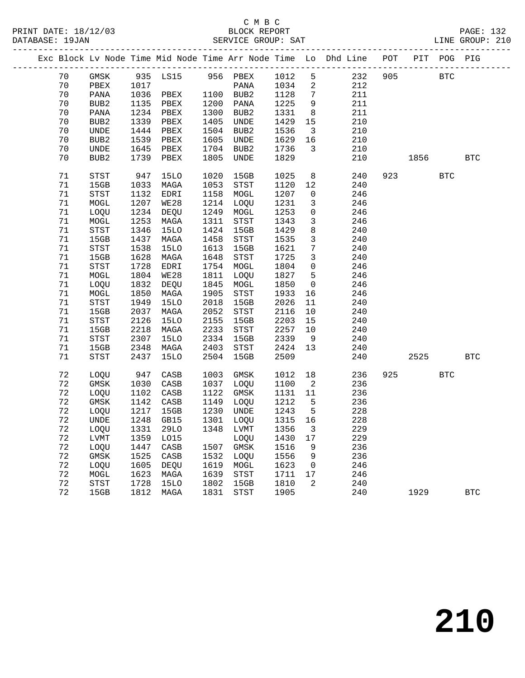|  |             |                                       |      |             |      |                                       |         |                         | Exc Block Lv Node Time Mid Node Time Arr Node Time Lo Dhd Line POT |     |      | PIT POG PIG |                      |
|--|-------------|---------------------------------------|------|-------------|------|---------------------------------------|---------|-------------------------|--------------------------------------------------------------------|-----|------|-------------|----------------------|
|  | 70          | GMSK                                  |      | 935 LS15    |      | 956 PBEX                              | 1012    | 5                       | 232                                                                | 905 |      | <b>BTC</b>  |                      |
|  | 70          | PBEX                                  | 1017 |             |      | PANA                                  | 1034    | $\overline{a}$          | 212                                                                |     |      |             |                      |
|  | 70          | PANA                                  | 1036 | PBEX        |      | 1100 BUB2                             | 1128    | $7\phantom{.0}$         | 211                                                                |     |      |             |                      |
|  | 70          | BUB2                                  | 1135 | PBEX        | 1200 | PANA                                  | 1225    | 9                       | 211                                                                |     |      |             |                      |
|  | 70          | PANA                                  | 1234 | PBEX        | 1300 | BUB2                                  | 1331    | 8                       | 211                                                                |     |      |             |                      |
|  | 70          | BUB <sub>2</sub>                      | 1339 | PBEX        | 1405 | UNDE                                  | 1429    | 15                      | 210                                                                |     |      |             |                      |
|  | 70          | UNDE                                  | 1444 | PBEX        | 1504 | BUB2                                  | 1536    | $\overline{\mathbf{3}}$ | 210                                                                |     |      |             |                      |
|  | 70          | BUB <sub>2</sub>                      | 1539 | PBEX        | 1605 | UNDE                                  | 1629    | 16                      | 210                                                                |     |      |             |                      |
|  | 70          | UNDE                                  | 1645 | PBEX        | 1704 | BUB2                                  | 1736    | $\overline{3}$          | 210                                                                |     |      |             |                      |
|  | 70          | BUB <sub>2</sub>                      | 1739 | PBEX        | 1805 | UNDE                                  | 1829    |                         | 210                                                                |     | 1856 |             | <b>BTC</b>           |
|  | 71          | $_{\footnotesize{\textnormal{STST}}}$ | 947  | 15LO        | 1020 | 15GB                                  | 1025    | 8                       | 240                                                                | 923 |      | <b>BTC</b>  |                      |
|  | 71          | 15GB                                  | 1033 | MAGA        | 1053 | STST                                  | 1120    | 12                      | 240                                                                |     |      |             |                      |
|  | 71          | STST                                  | 1132 | EDRI        | 1158 | MOGL                                  | 1207    | $\mathbf 0$             | 246                                                                |     |      |             |                      |
|  | 71          | MOGL                                  | 1207 | <b>WE28</b> | 1214 | LOQU                                  | 1231    | 3                       | 246                                                                |     |      |             |                      |
|  | 71          | LOQU                                  | 1234 | DEQU        | 1249 | MOGL                                  | 1253    | $\mathsf 0$             | 246                                                                |     |      |             |                      |
|  | 71          | MOGL                                  | 1253 | MAGA        | 1311 | STST                                  | 1343    | $\mathbf{3}$            | 246                                                                |     |      |             |                      |
|  | 71          | STST                                  | 1346 | <b>15LO</b> | 1424 | 15GB                                  | 1429    | 8                       | 240                                                                |     |      |             |                      |
|  | 71          | 15GB                                  | 1437 | MAGA        | 1458 | STST                                  | 1535    | $\mathbf{3}$            | 240                                                                |     |      |             |                      |
|  | 71          | $_{\footnotesize{\textnormal{STST}}}$ | 1538 | 15LO        | 1613 | 15GB                                  | 1621    | $7\phantom{.0}$         | 240                                                                |     |      |             |                      |
|  | 71          | 15GB                                  | 1628 | MAGA        | 1648 | <b>STST</b>                           | 1725    | $\mathbf{3}$            | 240                                                                |     |      |             |                      |
|  | 71          | STST                                  | 1728 | EDRI        | 1754 | MOGL                                  | 1804    | $\mathsf{O}$            | 246                                                                |     |      |             |                      |
|  | 71          | MOGL                                  | 1804 | WE28        | 1811 | LOQU                                  | 1827    | 5                       | 246                                                                |     |      |             |                      |
|  | 71          | LOQU                                  | 1832 | DEQU        | 1845 | MOGL                                  | 1850    | $\mathbf 0$             | 246                                                                |     |      |             |                      |
|  | 71          | MOGL                                  | 1850 | MAGA        | 1905 | STST                                  | 1933    | 16                      | 246                                                                |     |      |             |                      |
|  | 71          | STST                                  | 1949 | <b>15LO</b> | 2018 | 15GB                                  | 2026    | 11                      | 240                                                                |     |      |             |                      |
|  | 71          | 15GB                                  | 2037 | MAGA        | 2052 | STST                                  | 2116    | 10                      | 240                                                                |     |      |             |                      |
|  | 71          | STST                                  | 2126 | <b>15LO</b> | 2155 | 15GB                                  | 2203    | 15                      | 240                                                                |     |      |             |                      |
|  | 71          | 15GB                                  | 2218 | MAGA        | 2233 | $_{\footnotesize{\textnormal{STST}}}$ | 2257    | 10                      | 240                                                                |     |      |             |                      |
|  | 71          | STST                                  | 2307 | <b>15LO</b> | 2334 | 15GB                                  | 2339    | 9                       | 240                                                                |     |      |             |                      |
|  | 71          | 15GB                                  | 2348 | MAGA        | 2403 | $_{\footnotesize{\textnormal{STST}}}$ | 2424    | 13                      | 240                                                                |     |      |             |                      |
|  | $71\,$      | <b>STST</b>                           | 2437 | 15LO        | 2504 | 15GB                                  | 2509    |                         | 240                                                                |     | 2525 |             | <b>BTC</b>           |
|  | 72          | LOQU                                  | 947  | CASB        | 1003 | GMSK                                  | 1012    | 18                      | 236                                                                | 925 |      | <b>BTC</b>  |                      |
|  | 72          | $\rm{GMSK}$                           | 1030 | CASB        | 1037 | LOQU                                  | 1100    | 2                       | 236                                                                |     |      |             |                      |
|  | 72          | LOQU                                  | 1102 | CASB        | 1122 | GMSK                                  | 1131    | 11                      | 236                                                                |     |      |             |                      |
|  | 72          | GMSK                                  | 1142 | CASB        | 1149 | LOQU                                  | 1212    | $5^{\circ}$             | 236                                                                |     |      |             |                      |
|  | 72          | LOQU                                  | 1217 | 15GB        | 1230 | UNDE                                  | 1243    | $5^{\circ}$             | 228                                                                |     |      |             |                      |
|  | 72          | <b>UNDE</b>                           | 1248 | GB15        | 1301 | LOQU                                  | 1315 16 |                         | 228                                                                |     |      |             |                      |
|  | 72          | LOQU                                  |      | 1331 29LO   |      | 1348 LVMT                             | 1356    | $\overline{\mathbf{3}}$ | 229                                                                |     |      |             |                      |
|  | 72          | LVMT                                  | 1359 | L015        |      | LOQU                                  | 1430    | 17                      | 229                                                                |     |      |             |                      |
|  | 72          | LOQU                                  | 1447 | CASB        | 1507 | GMSK                                  | 1516    | 9                       | 236                                                                |     |      |             |                      |
|  | 72          | GMSK                                  | 1525 | CASB        | 1532 | LOQU                                  | 1556    | 9                       | 236                                                                |     |      |             |                      |
|  | 72          | LOQU                                  | 1605 | <b>DEQU</b> | 1619 | MOGL                                  | 1623    | 0                       | 246                                                                |     |      |             |                      |
|  | 72          | MOGL                                  | 1623 | MAGA        | 1639 | <b>STST</b>                           | 1711    | 17                      | 246                                                                |     |      |             |                      |
|  | 72          | $_{\footnotesize\rm STST}$            | 1728 | <b>15LO</b> | 1802 | 15GB                                  | 1810    | 2                       | 240                                                                |     |      |             |                      |
|  | $7\sqrt{2}$ | 15GB                                  | 1812 | MAGA        | 1831 | $_{\footnotesize\rm STST}$            | 1905    |                         | 240                                                                |     | 1929 |             | $\operatorname{BTC}$ |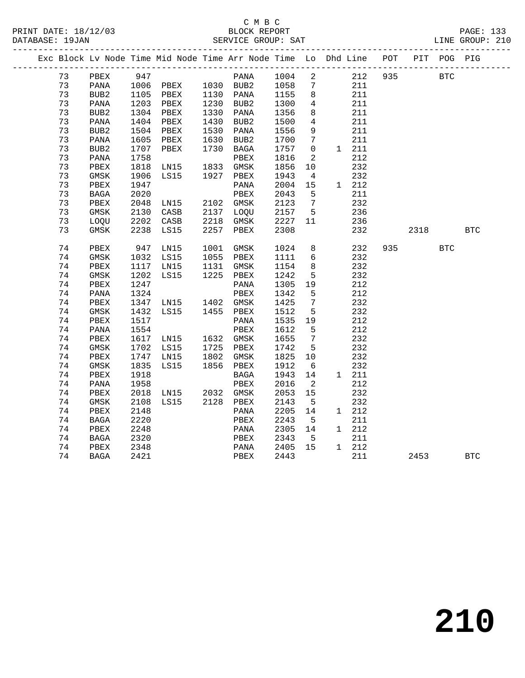|  |    |                  |      | Exc Block Lv Node Time Mid Node Time Arr Node Time Lo Dhd Line POT |      |             |      |                 |               |     |      | PIT POG PIG |            |
|--|----|------------------|------|--------------------------------------------------------------------|------|-------------|------|-----------------|---------------|-----|------|-------------|------------|
|  | 73 | PBEX             | 947  |                                                                    |      | PANA        | 1004 | $\overline{2}$  | 212           | 935 |      | <b>BTC</b>  |            |
|  | 73 | PANA             | 1006 | PBEX 1030 BUB2                                                     |      |             | 1058 | 7               | 211           |     |      |             |            |
|  | 73 | BUB2             | 1105 | PBEX                                                               |      | 1130 PANA   | 1155 | 8               | 211           |     |      |             |            |
|  | 73 | PANA             | 1203 | PBEX                                                               |      | 1230 BUB2   | 1300 | 4               | 211           |     |      |             |            |
|  | 73 | BUB <sub>2</sub> | 1304 | PBEX                                                               | 1330 | PANA        | 1356 | 8               | 211           |     |      |             |            |
|  | 73 | PANA             | 1404 | PBEX                                                               | 1430 | BUB2        | 1500 | $\overline{4}$  | 211           |     |      |             |            |
|  | 73 | BUB <sub>2</sub> | 1504 | PBEX                                                               | 1530 | PANA        | 1556 | 9               | 211           |     |      |             |            |
|  | 73 | PANA             | 1605 | PBEX                                                               | 1630 | BUB2        | 1700 | $7\phantom{.0}$ | 211           |     |      |             |            |
|  | 73 | BUB <sub>2</sub> | 1707 | PBEX                                                               | 1730 | BAGA        | 1757 | $\overline{0}$  | $1 \quad 211$ |     |      |             |            |
|  | 73 | PANA             | 1758 |                                                                    |      | PBEX        | 1816 | 2               | 212           |     |      |             |            |
|  | 73 | ${\tt PBEX}$     | 1818 | LN15                                                               | 1833 | GMSK        | 1856 | 10              | 232           |     |      |             |            |
|  | 73 | $\rm{GMSK}$      | 1906 | LS15                                                               | 1927 | PBEX        | 1943 | $\overline{4}$  | 232           |     |      |             |            |
|  | 73 | PBEX             | 1947 |                                                                    |      | PANA        | 2004 | 15              | 1 212         |     |      |             |            |
|  | 73 | BAGA             | 2020 |                                                                    |      | PBEX        | 2043 | 5               | 211           |     |      |             |            |
|  | 73 | PBEX             | 2048 | LN15                                                               | 2102 | GMSK        | 2123 | 7               | 232           |     |      |             |            |
|  | 73 | $\rm{GMSK}$      | 2130 | CASB                                                               | 2137 | LOQU        | 2157 | 5               | 236           |     |      |             |            |
|  | 73 | LOOU             | 2202 | CASB                                                               | 2218 | GMSK        | 2227 | 11              | 236           |     |      |             |            |
|  | 73 | GMSK             | 2238 | LS15                                                               | 2257 | PBEX        | 2308 |                 | 232           |     | 2318 |             | <b>BTC</b> |
|  | 74 | PBEX             | 947  | LN15                                                               | 1001 | GMSK        | 1024 | 8               | 232           | 935 |      | <b>BTC</b>  |            |
|  | 74 | GMSK             | 1032 | LS15                                                               | 1055 | PBEX        | 1111 | $6\overline{6}$ | 232           |     |      |             |            |
|  | 74 | PBEX             | 1117 | LN15                                                               | 1131 | GMSK        | 1154 | 8               | 232           |     |      |             |            |
|  | 74 | $\rm{GMSK}$      | 1202 | LS15                                                               | 1225 | PBEX        | 1242 | 5               | 232           |     |      |             |            |
|  | 74 | PBEX             | 1247 |                                                                    |      | PANA        | 1305 | 19              | 212           |     |      |             |            |
|  | 74 | PANA             | 1324 |                                                                    |      | PBEX        | 1342 | 5               | 212           |     |      |             |            |
|  | 74 | PBEX             | 1347 | LNI5                                                               |      | 1402 GMSK   | 1425 | $7\phantom{.0}$ | 232           |     |      |             |            |
|  | 74 | GMSK             | 1432 | LS15                                                               | 1455 | PBEX        | 1512 | 5               | 232           |     |      |             |            |
|  | 74 | PBEX             | 1517 |                                                                    |      | PANA        | 1535 | 19              | 212           |     |      |             |            |
|  | 74 | PANA             | 1554 |                                                                    |      | PBEX        | 1612 | 5               | 212           |     |      |             |            |
|  | 74 | PBEX             | 1617 | LN15                                                               | 1632 | GMSK        | 1655 | 7               | 232           |     |      |             |            |
|  | 74 | GMSK             | 1702 | LS15                                                               | 1725 | PBEX        | 1742 | 5               | 232           |     |      |             |            |
|  | 74 | PBEX             | 1747 | LN15                                                               | 1802 | GMSK        | 1825 | 10              | 232           |     |      |             |            |
|  | 74 | GMSK             | 1835 | LS15                                                               | 1856 | PBEX        | 1912 | 6               | 232           |     |      |             |            |
|  | 74 | PBEX             | 1918 |                                                                    |      | <b>BAGA</b> | 1943 | 14              | 1 211         |     |      |             |            |
|  | 74 | PANA             | 1958 |                                                                    |      | PBEX        | 2016 | 2               | 212           |     |      |             |            |
|  | 74 | PBEX             | 2018 | LN15                                                               | 2032 | GMSK        | 2053 | 15              | 232           |     |      |             |            |
|  | 74 | GMSK             | 2108 | LS15                                                               | 2128 | PBEX        | 2143 | $5\overline{5}$ | 232           |     |      |             |            |
|  | 74 | PBEX             | 2148 |                                                                    |      | PANA        | 2205 | 14              | 1 212         |     |      |             |            |
|  | 74 | BAGA             | 2220 |                                                                    |      | PBEX        | 2243 | - 5             | 211           |     |      |             |            |
|  | 74 | PBEX             | 2248 |                                                                    |      | PANA        | 2305 | 14              | 1 212         |     |      |             |            |
|  | 74 | <b>BAGA</b>      | 2320 |                                                                    |      | PBEX        | 2343 | 5               | 211           |     |      |             |            |
|  | 74 | PBEX             | 2348 |                                                                    |      | PANA        | 2405 | 15              | 1 212         |     |      |             |            |
|  | 74 | <b>BAGA</b>      | 2421 |                                                                    |      | PBEX        | 2443 |                 | 211           |     | 2453 |             | <b>BTC</b> |
|  |    |                  |      |                                                                    |      |             |      |                 |               |     |      |             |            |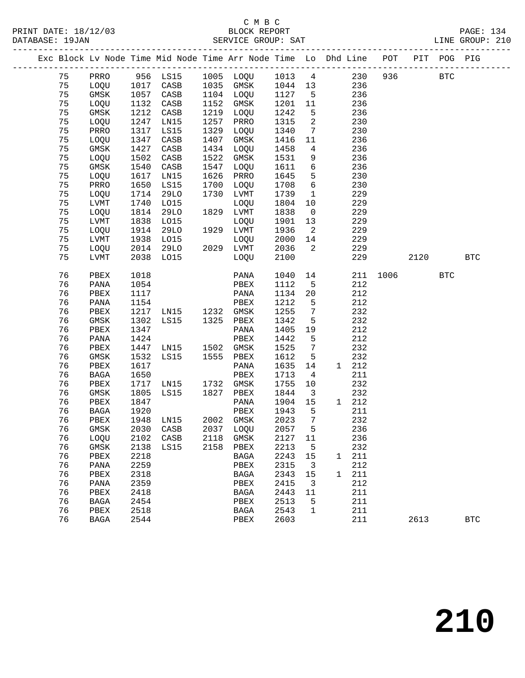### C M B C

|    |               |                         | Exc Block Lv Node Time Mid Node Time Arr Node Time Lo Dhd Line POT PIT POG PIG     |      |                      |         |                         |              |       |      |      |            |              |
|----|---------------|-------------------------|------------------------------------------------------------------------------------|------|----------------------|---------|-------------------------|--------------|-------|------|------|------------|--------------|
| 75 |               |                         | PRRO 956 LS15 1005 LOQU 1013 4 230 936 BTC<br>LOQU 1017 CASB 1035 GMSK 1044 13 236 |      |                      |         |                         |              |       |      |      |            |              |
| 75 |               |                         |                                                                                    |      |                      |         |                         |              |       |      |      |            |              |
| 75 | GMSK          | 1057                    | CASB                                                                               |      | 1104 LOQU 1127 5 236 |         |                         |              |       |      |      |            |              |
| 75 | LOQU          | $11$<br>$1212$<br>$247$ | CASB                                                                               |      | 1152 GMSK            | 1201 11 |                         |              | 236   |      |      |            |              |
| 75 | GMSK          |                         | CASB                                                                               |      | 1219 LOQU            | 1242    | 5 <sub>5</sub>          |              | 236   |      |      |            |              |
| 75 | LOQU          | 1247                    | LN15                                                                               |      | 1257 PRRO            | 1315    | $\overline{\mathbf{c}}$ |              | 230   |      |      |            |              |
| 75 | PRRO          | 1317                    | LS15                                                                               | 1329 | LOQU                 | 1340    |                         | 7 230        |       |      |      |            |              |
| 75 | LOQU          | 1347                    | CASB                                                                               | 1407 | GMSK                 | 1416    | 11                      |              | 236   |      |      |            |              |
| 75 | GMSK          | 1427                    | CASB                                                                               |      | 1434 LOQU            | 1458    | $4\overline{4}$         |              | 236   |      |      |            |              |
| 75 | LOQU          | 1502                    | CASB                                                                               | 1522 | GMSK                 | 1531    | 9                       |              | 236   |      |      |            |              |
| 75 | GMSK          | 1540                    | CASB                                                                               | 1547 | LOQU                 | 1611 6  |                         |              | 236   |      |      |            |              |
| 75 | LOQU          | 1617                    | LN15                                                                               | 1626 | PRRO                 | 1645 5  |                         |              | 230   |      |      |            |              |
| 75 | PRRO          | 1650                    | LS15                                                                               | 1700 | LOQU                 | 1708    | $6\overline{6}$         |              | 230   |      |      |            |              |
| 75 | LOQU          | 1714                    | 29LO                                                                               | 1730 | LVMT                 | 1739    | $\overline{1}$          |              | 229   |      |      |            |              |
| 75 | LVMT          | 1740                    | L015                                                                               |      | LOQU                 | 1804 10 |                         |              | 229   |      |      |            |              |
| 75 | LOQU          | 1814                    | 29LO                                                                               |      | 1829 LVMT            | 1838    | $\overline{0}$          |              | 229   |      |      |            |              |
| 75 | LVMT          | 1838                    | LO15                                                                               |      | LOQU                 | 1901    | 13                      |              | 229   |      |      |            |              |
| 75 | LOQU          | 1914                    | <b>29LO</b>                                                                        |      | 1929 LVMT            | 1936    | $\overline{\mathbf{2}}$ |              | 229   |      |      |            |              |
| 75 | LVMT          | 1938                    | LO15 LOQU<br>29LO 2029 LVMT                                                        |      |                      | 2000 14 |                         |              | 229   |      |      |            |              |
| 75 | LOQU          | 2014                    |                                                                                    |      |                      | 2036    | $\overline{2}$          |              | 229   |      |      |            |              |
| 75 | LVMT          | 2038                    | L015                                                                               |      | LOQU                 | 2100    |                         |              | 229   |      | 2120 |            | <b>BTC</b>   |
| 76 | PBEX          | 1018                    |                                                                                    |      | PANA                 | 1040    |                         | 14           | 211   | 1006 |      | <b>BTC</b> |              |
| 76 | PANA          | 1054                    |                                                                                    |      | PBEX                 | 1112    | 5 <sub>5</sub>          |              | 212   |      |      |            |              |
| 76 | PBEX          | 1117                    |                                                                                    |      |                      | 1134    | 20                      |              | 212   |      |      |            |              |
| 76 | PANA          | 1154                    |                                                                                    |      |                      | 1212    | 5 <sub>5</sub>          |              | 212   |      |      |            |              |
| 76 | PBEX          | 1217                    |                                                                                    |      |                      | 1255    | $7\overline{ }$         |              | 232   |      |      |            |              |
| 76 | GMSK          | 1302                    | LS15 1325 PBEX                                                                     |      |                      | 1342    | 5 <sub>5</sub>          |              | 232   |      |      |            |              |
| 76 | PBEX          | 1347                    |                                                                                    |      | PANA                 | 1405    | 19                      |              | 212   |      |      |            |              |
| 76 | PANA          | 1424                    |                                                                                    |      | PBEX                 | 1442    | 5 <sub>5</sub>          |              | 212   |      |      |            |              |
| 76 | PBEX          | 1447                    | LN15 1502 GMSK                                                                     |      |                      | 1525    | $7\overline{ }$         |              | 232   |      |      |            |              |
| 76 | GMSK          | 1532                    | LS15                                                                               |      | 1555 PBEX            | 1612    | $5^{\circ}$             |              | 232   |      |      |            |              |
| 76 | PBEX          | 1617                    |                                                                                    |      | PANA                 | 1635 14 |                         |              | 1 212 |      |      |            |              |
| 76 | BAGA          | 1650                    |                                                                                    |      |                      | 1713    | $\overline{4}$          |              | 211   |      |      |            |              |
| 76 | PBEX          | 1717                    |                                                                                    |      |                      | 1755 10 |                         |              | 232   |      |      |            |              |
| 76 | GMSK          | 1805                    | LS15 1827 PBEX                                                                     |      |                      | 1844 3  |                         |              | 232   |      |      |            |              |
| 76 | PBEX          | 1847                    |                                                                                    |      | PANA                 | 1904 15 |                         |              | 1 212 |      |      |            |              |
|    | 76 BAGA 1920  |                         |                                                                                    |      | PBEX 1943 5          |         |                         |              | 211   |      |      |            |              |
| 76 | PBEX          | 1948                    | LN15                                                                               | 2002 | GMSK                 | 2023    | $\boldsymbol{7}$        |              | 232   |      |      |            |              |
| 76 | GMSK          | 2030                    | CASB                                                                               | 2037 | LOQU                 | 2057    | 5                       |              | 236   |      |      |            |              |
| 76 | LOQU          | 2102                    | CASB                                                                               | 2118 | GMSK                 | 2127    | 11                      |              | 236   |      |      |            |              |
| 76 | GMSK          | 2138                    | LS15                                                                               | 2158 | ${\tt PBEX}$         | 2213    | 5                       |              | 232   |      |      |            |              |
| 76 | ${\tt PBEX}$  | 2218                    |                                                                                    |      | <b>BAGA</b>          | 2243    | 15                      | $\mathbf{1}$ | 211   |      |      |            |              |
| 76 | PANA          | 2259                    |                                                                                    |      | PBEX                 | 2315    | 3                       |              | 212   |      |      |            |              |
| 76 | PBEX          | 2318                    |                                                                                    |      | <b>BAGA</b>          | 2343    | 15                      | $\mathbf{1}$ | 211   |      |      |            |              |
| 76 | PANA          | 2359                    |                                                                                    |      | ${\tt PBEX}$         | 2415    | 3                       |              | 212   |      |      |            |              |
| 76 | PBEX          | 2418                    |                                                                                    |      | $_{\rm BAGA}$        | 2443    | 11                      |              | 211   |      |      |            |              |
| 76 | BAGA          | 2454                    |                                                                                    |      | PBEX                 | 2513    | 5                       |              | 211   |      |      |            |              |
| 76 | PBEX          | 2518                    |                                                                                    |      | <b>BAGA</b>          | 2543    | 1                       |              | 211   |      |      |            |              |
| 76 | $_{\rm BAGA}$ | 2544                    |                                                                                    |      | ${\tt PBEX}$         | 2603    |                         |              | 211   |      | 2613 |            | $_{\rm BTC}$ |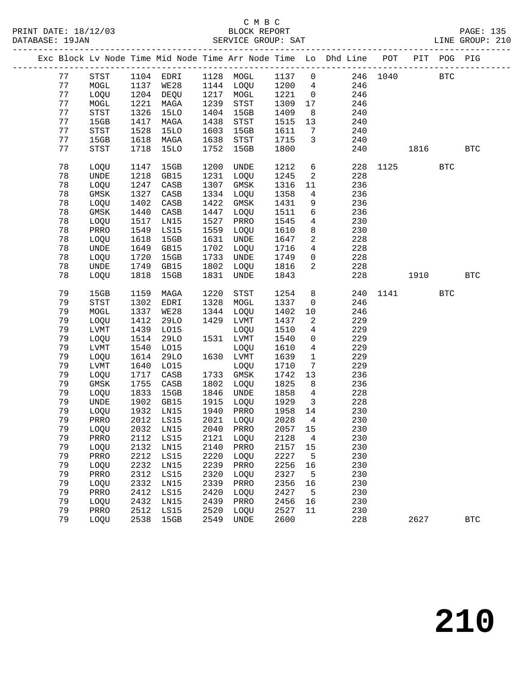|    |             |      |             |      |             |         |                         | Exc Block Lv Node Time Mid Node Time Arr Node Time Lo Dhd Line POT PIT POG PIG |          |      |              |            |
|----|-------------|------|-------------|------|-------------|---------|-------------------------|--------------------------------------------------------------------------------|----------|------|--------------|------------|
| 77 | <b>STST</b> |      | 1104 EDRI   |      | 1128 MOGL   | 1137    | $\overline{0}$          |                                                                                | 246 1040 |      | $_{\rm BTC}$ |            |
| 77 | MOGL        | 1137 | WE28        |      | 1144 LOQU   | 1200    | $\overline{4}$          | 246                                                                            |          |      |              |            |
| 77 | LOQU        | 1204 | DEQU        | 1217 | MOGL        | 1221    | $\overline{0}$          | 246                                                                            |          |      |              |            |
| 77 | MOGL        | 1221 | MAGA        | 1239 | <b>STST</b> | 1309    | 17                      | 246                                                                            |          |      |              |            |
| 77 | STST        | 1326 | <b>15LO</b> | 1404 | 15GB        | 1409    | 8                       | 240                                                                            |          |      |              |            |
| 77 | 15GB        | 1417 | MAGA        | 1438 | STST        | 1515    | 13                      | 240                                                                            |          |      |              |            |
| 77 | STST        | 1528 | <b>15LO</b> | 1603 | 15GB        | 1611    | $7\overline{ }$         | 240                                                                            |          |      |              |            |
| 77 | 15GB        | 1618 | MAGA        | 1638 | STST        | 1715    | $\mathbf{3}$            | 240                                                                            |          |      |              |            |
| 77 | <b>STST</b> | 1718 | 15LO        | 1752 | 15GB        | 1800    |                         | 240                                                                            |          | 1816 |              | <b>BTC</b> |
| 78 | LOQU        | 1147 | 15GB        | 1200 | UNDE        | 1212    | 6                       |                                                                                | 228 1125 |      | <b>BTC</b>   |            |
| 78 | UNDE        | 1218 | GB15        | 1231 | LOQU        | 1245    | 2                       | 228                                                                            |          |      |              |            |
| 78 | LOQU        | 1247 | CASB        | 1307 | GMSK        | 1316    | 11                      | 236                                                                            |          |      |              |            |
| 78 | GMSK        | 1327 | CASB        | 1334 | LOQU        | 1358    | $\overline{4}$          | 236                                                                            |          |      |              |            |
| 78 | LOQU        | 1402 | CASB        | 1422 | $\rm{GMSK}$ | 1431    | 9                       | 236                                                                            |          |      |              |            |
| 78 | $\rm{GMSK}$ | 1440 | CASB        | 1447 | LOQU        | 1511    | 6                       | 236                                                                            |          |      |              |            |
| 78 | LOQU        | 1517 | LN15        | 1527 | PRRO        | 1545    | $\overline{4}$          | 230                                                                            |          |      |              |            |
| 78 | PRRO        | 1549 | LS15        | 1559 | LOQU        | 1610    | 8                       | 230                                                                            |          |      |              |            |
| 78 | LOQU        | 1618 | 15GB        | 1631 | UNDE        | 1647    | $\overline{a}$          | 228                                                                            |          |      |              |            |
| 78 | UNDE        | 1649 | GB15        | 1702 | LOQU        | 1716    | $4\overline{ }$         | 228                                                                            |          |      |              |            |
| 78 | LOQU        | 1720 | 15GB        | 1733 | UNDE        | 1749    | $\mathsf{O}$            | 228                                                                            |          |      |              |            |
| 78 | <b>UNDE</b> | 1749 | GB15        | 1802 | LOQU        | 1816    | 2                       | 228                                                                            |          |      |              |            |
| 78 | LOQU        | 1818 | 15GB        | 1831 | UNDE        | 1843    |                         | 228                                                                            |          | 1910 |              | <b>BTC</b> |
| 79 | 15GB        | 1159 | MAGA        | 1220 | <b>STST</b> | 1254    | 8                       | 240                                                                            |          | 1141 | <b>BTC</b>   |            |
| 79 | <b>STST</b> | 1302 | EDRI        | 1328 | MOGL        | 1337    | $\mathbf 0$             | 246                                                                            |          |      |              |            |
| 79 | MOGL        | 1337 | WE28        | 1344 | LOQU        | 1402    | 10                      | 246                                                                            |          |      |              |            |
| 79 | LOQU        | 1412 | <b>29LO</b> | 1429 | LVMT        | 1437    | 2                       | 229                                                                            |          |      |              |            |
| 79 | LVMT        | 1439 | L015        |      | LOQU        | 1510    | $\overline{4}$          | 229                                                                            |          |      |              |            |
| 79 | LOQU        | 1514 | <b>29LO</b> |      | 1531 LVMT   | 1540    | $\mathbf{0}$            | 229                                                                            |          |      |              |            |
| 79 | <b>LVMT</b> | 1540 | L015        |      | LOQU        | 1610    | $\overline{4}$          | 229                                                                            |          |      |              |            |
| 79 | LOQU        | 1614 | <b>29LO</b> |      | 1630 LVMT   | 1639    | $\mathbf{1}$            | 229                                                                            |          |      |              |            |
| 79 | <b>LVMT</b> | 1640 | L015        |      | LOQU        | 1710    | 7                       | 229                                                                            |          |      |              |            |
| 79 | LOQU        | 1717 | CASB        | 1733 | GMSK        | 1742    | 13                      | 236                                                                            |          |      |              |            |
| 79 | $\rm{GMSK}$ | 1755 | CASB        | 1802 | LOQU        | 1825    | 8                       | 236                                                                            |          |      |              |            |
| 79 | LOQU        | 1833 | 15GB        | 1846 | UNDE        | 1858    | $\overline{4}$          | 228                                                                            |          |      |              |            |
| 79 | UNDE        | 1902 | GB15        | 1915 | LOQU        | 1929    | $\overline{\mathbf{3}}$ | 228                                                                            |          |      |              |            |
| 79 | LOQU        | 1932 | LN15        | 1940 | PRRO        | 1958    | 14                      | 230                                                                            |          |      |              |            |
| 79 | PRRO        | 2012 | LS15        |      | 2021 LOQU   | 2028    | $\overline{4}$          | 230                                                                            |          |      |              |            |
| 79 | LOQU        |      | 2032 LN15   |      | 2040 PRRO   | 2057 15 |                         | 230                                                                            |          |      |              |            |
| 79 | PRRO        | 2112 | LS15        | 2121 | LOQU        | 2128    | 4                       | 230                                                                            |          |      |              |            |
| 79 | LOQU        | 2132 | LN15        | 2140 | PRRO        | 2157    | 15                      | 230                                                                            |          |      |              |            |
| 79 | PRRO        | 2212 | LS15        | 2220 | LOQU        | 2227    | 5                       | 230                                                                            |          |      |              |            |
| 79 | LOQU        | 2232 | LN15        | 2239 | PRRO        | 2256    | 16                      | 230                                                                            |          |      |              |            |
| 79 | PRRO        | 2312 | LS15        | 2320 | LOQU        | 2327    | 5                       | 230                                                                            |          |      |              |            |
| 79 | LOQU        | 2332 | LN15        | 2339 | PRRO        | 2356    | 16                      | 230                                                                            |          |      |              |            |
| 79 | PRRO        | 2412 | LS15        | 2420 | LOQU        | 2427    | 5                       | 230                                                                            |          |      |              |            |
| 79 | LOQU        | 2432 | LN15        | 2439 | PRRO        | 2456    | 16                      | 230                                                                            |          |      |              |            |
| 79 | PRRO        | 2512 | LS15        | 2520 | LOQU        | 2527    | 11                      | 230                                                                            |          |      |              |            |
| 79 | LOQU        | 2538 | 15GB        | 2549 | <b>UNDE</b> | 2600    |                         | 228                                                                            |          | 2627 |              | <b>BTC</b> |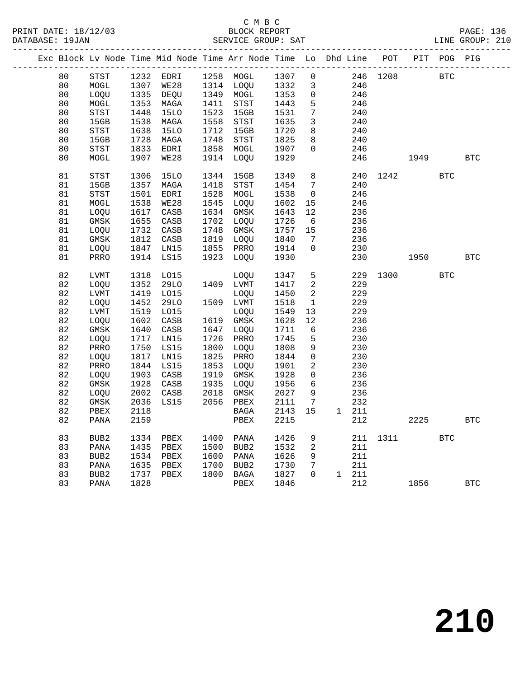|  |    |                  |      | Exc Block Lv Node Time Mid Node Time Arr Node Time Lo Dhd Line POT |      |             |              |                 |               |          |         | PIT POG PIG |            |
|--|----|------------------|------|--------------------------------------------------------------------|------|-------------|--------------|-----------------|---------------|----------|---------|-------------|------------|
|  | 80 | STST             |      | 1232 EDRI 1258 MOGL 1307                                           |      |             |              | $\overline{0}$  |               | 246 1208 |         | <b>BTC</b>  |            |
|  | 80 | $\sf{MOGL}$      | 1307 | WE28                                                               |      | 1314 LOQU   | 1332         | $\mathbf{3}$    | 246           |          |         |             |            |
|  | 80 | LOQU             |      | 1335 DEQU                                                          |      | 1349 MOGL   | 1332<br>1353 | $\overline{0}$  | 246           |          |         |             |            |
|  | 80 | MOGL             | 1353 | MAGA                                                               | 1411 | STST        | 1443         | 5               | 246           |          |         |             |            |
|  | 80 | STST             | 1448 | <b>15LO</b>                                                        | 1523 | 15GB        | 1531         | $7\overline{ }$ | 240           |          |         |             |            |
|  | 80 | 15GB             | 1538 | MAGA                                                               | 1558 | <b>STST</b> | 1635         | 3               | 240           |          |         |             |            |
|  | 80 | STST             | 1638 | 15LO                                                               | 1712 | 15GB        | 1720         | 8               | 240           |          |         |             |            |
|  | 80 | 15GB             | 1728 | MAGA                                                               | 1748 | STST        | 1825         | 8               | 240           |          |         |             |            |
|  | 80 | STST             | 1833 | EDRI                                                               | 1858 | MOGL        | 1907         | $\Omega$        | 246           |          |         |             |            |
|  | 80 | MOGL             | 1907 | WE28                                                               | 1914 | LOQU        | 1929         |                 | 246           |          | 1949    |             | <b>BTC</b> |
|  | 81 | <b>STST</b>      | 1306 | <b>15LO</b>                                                        | 1344 | 15GB        | 1349         | 8               | 240           |          | 1242    | <b>BTC</b>  |            |
|  | 81 | 15GB             | 1357 | MAGA                                                               | 1418 | STST        | 1454         | $7\overline{ }$ | 240           |          |         |             |            |
|  | 81 | <b>STST</b>      | 1501 | EDRI                                                               | 1528 | MOGL        | 1538         | $\overline{0}$  | 246           |          |         |             |            |
|  | 81 | MOGL             | 1538 | <b>WE28</b>                                                        | 1545 | LOQU        | 1602         | 15              | 246           |          |         |             |            |
|  | 81 | LOQU             | 1617 | CASB                                                               | 1634 | GMSK        | 1643         | 12              | 236           |          |         |             |            |
|  | 81 | GMSK             | 1655 | CASB                                                               | 1702 | LOQU        | 1726         | $6\overline{6}$ | 236           |          |         |             |            |
|  | 81 | LOQU             | 1732 | CASB                                                               | 1748 | GMSK        | 1757         | 15              | 236           |          |         |             |            |
|  | 81 | $\rm{GMSK}$      | 1812 | $\mathtt{CASB}$                                                    | 1819 | LOQU        | 1840         | $7\phantom{.0}$ | 236           |          |         |             |            |
|  | 81 | LOQU             | 1847 | LNI5                                                               |      | 1855 PRRO   | 1914         | $\mathbf 0$     | 230           |          |         |             |            |
|  | 81 | PRRO             | 1914 | LS15                                                               | 1923 | LOOU        | 1930         |                 | 230           |          | 1950    |             | <b>BTC</b> |
|  |    |                  |      |                                                                    |      |             |              |                 |               |          |         |             |            |
|  | 82 | <b>LVMT</b>      | 1318 | LO15                                                               |      | LOOU        | 1347         | 5               | 229           |          | 1300    | <b>BTC</b>  |            |
|  | 82 | LOQU             | 1352 | 29LO                                                               |      | 1409 LVMT   | 1417         | $\overline{a}$  | 229           |          |         |             |            |
|  | 82 | LVMT             | 1419 | L015                                                               |      | LOQU        | 1450         | 2               | 229           |          |         |             |            |
|  | 82 | LOQU             | 1452 | 29LO                                                               |      | 1509 LVMT   | 1518         | $\mathbf{1}$    | 229           |          |         |             |            |
|  | 82 | LVMT             | 1519 | L015                                                               |      | LOQU        | 1549         | 13              | 229           |          |         |             |            |
|  | 82 | LOQU             | 1602 | CASB                                                               |      | 1619 GMSK   | 1628         | 12              | 236           |          |         |             |            |
|  | 82 | GMSK             | 1640 | CASB                                                               | 1647 | LOQU        | 1711         | 6               | 236           |          |         |             |            |
|  | 82 | LOQU             | 1717 | LN15                                                               | 1726 | PRRO        | 1745         | 5               | 230           |          |         |             |            |
|  | 82 | PRRO             | 1750 | LS15                                                               | 1800 | LOQU        | 1808         | 9               | 230           |          |         |             |            |
|  | 82 | LOQU             | 1817 | LN15                                                               | 1825 | PRRO        | 1844         | $\mathsf{O}$    | 230           |          |         |             |            |
|  | 82 | PRRO             | 1844 | LS15                                                               | 1853 | LOQU        | 1901         | $\overline{a}$  | 230           |          |         |             |            |
|  | 82 | LOQU             | 1903 | CASB                                                               | 1919 | GMSK        | 1928         | $\mathbf 0$     | 236           |          |         |             |            |
|  | 82 | GMSK             | 1928 | CASB                                                               | 1935 | LOQU        | 1956         | 6               | 236           |          |         |             |            |
|  | 82 | LOQU             | 2002 | CASB                                                               | 2018 | GMSK        | 2027         | 9               | 236           |          |         |             |            |
|  | 82 | GMSK             | 2036 | LS15                                                               | 2056 | PBEX        | 2111         | 7               | 232           |          |         |             |            |
|  | 82 | PBEX             | 2118 |                                                                    |      | BAGA        | 2143         | 15              | 1 211         |          |         |             |            |
|  | 82 | PANA             | 2159 |                                                                    |      | PBEX        | 2215         |                 | 212           |          | 2225    |             | <b>BTC</b> |
|  | 83 | BUB <sub>2</sub> | 1334 | PBEX                                                               | 1400 | PANA        | 1426         | 9               | 211           |          | 1311 \  | <b>BTC</b>  |            |
|  | 83 | PANA             | 1435 | PBEX                                                               |      | 1500 BUB2   | 1532         | $\overline{a}$  | 211           |          |         |             |            |
|  | 83 | BUB2             | 1534 | PBEX                                                               | 1600 | PANA        | 1626         | 9               | 211           |          |         |             |            |
|  | 83 | $\mathtt{PANA}$  | 1635 | PBEX                                                               | 1700 | BUB2        | 1730         | $7\phantom{.}$  | 211           |          |         |             |            |
|  | 83 | BUB <sub>2</sub> | 1737 | PBEX                                                               | 1800 | BAGA        | 1827         | $\Omega$        | $1 \quad 211$ |          |         |             |            |
|  | 83 | PANA             | 1828 |                                                                    |      | PBEX        | 1846         |                 | 212           |          | 1856 18 |             | <b>BTC</b> |
|  |    |                  |      |                                                                    |      |             |              |                 |               |          |         |             |            |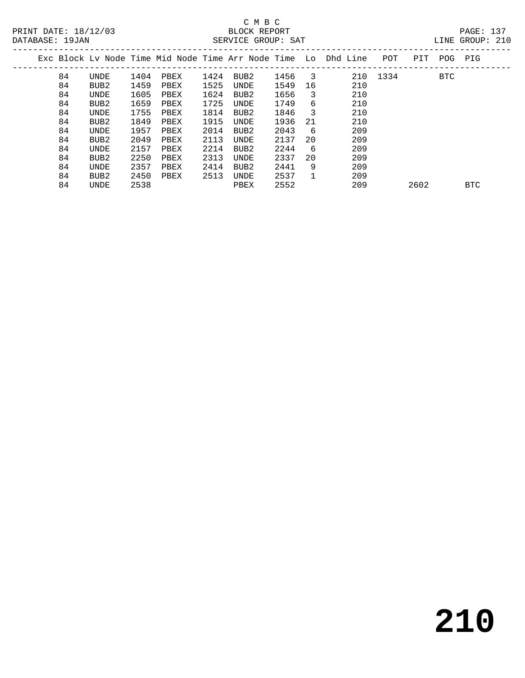## C M B C

84 UNDE 2538 PBEX 2552 209 2602 BTC

| DATABASE: 19JAN |    |      |      |      |      | SERVICE GROUP: SAT |      |                           |                                                                |          |     |     | LINE GROUP: 210 |  |
|-----------------|----|------|------|------|------|--------------------|------|---------------------------|----------------------------------------------------------------|----------|-----|-----|-----------------|--|
|                 |    |      |      |      |      |                    |      |                           | Exc Block Ly Node Time Mid Node Time Arr Node Time Lo Dhd Line | POT      | PIT | POG | PIG             |  |
|                 | 84 | UNDE | 1404 | PBEX | 1424 | BUB2               | 1456 | $\overline{\phantom{a}3}$ |                                                                | 210 1334 |     | BTC |                 |  |
|                 | 84 | BUB2 | 1459 | PBEX | 1525 | UNDE               | 1549 | 16                        | 210                                                            |          |     |     |                 |  |
|                 | 84 | UNDE | 1605 | PBEX | 1624 | BUB2               | 1656 | 3                         | 210                                                            |          |     |     |                 |  |
|                 | 84 | BUB2 | 1659 | PBEX | 1725 | UNDE               | 1749 | 6                         | 210                                                            |          |     |     |                 |  |
|                 | 84 | UNDE | 1755 | PBEX | 1814 | BUB2               | 1846 | 3                         | 210                                                            |          |     |     |                 |  |
|                 | 84 | BUB2 | 1849 | PBEX | 1915 | UNDE               | 1936 | -21                       | 210                                                            |          |     |     |                 |  |
|                 | 84 | UNDE | 1957 | PBEX | 2014 | BUB2               | 2043 | 6                         | 209                                                            |          |     |     |                 |  |
|                 | 84 | BUB2 | 2049 | PBEX | 2113 | UNDE               | 2137 | 20                        | 209                                                            |          |     |     |                 |  |
|                 | 84 | UNDE | 2157 | PBEX | 2214 | BUB2               | 2244 | 6                         | 209                                                            |          |     |     |                 |  |
|                 | 84 | BUB2 | 2250 | PBEX | 2313 | UNDE               | 2337 | 20                        | 209                                                            |          |     |     |                 |  |
|                 | 84 | UNDE | 2357 | PBEX | 2414 | BUB2               | 2441 | 9                         | 209                                                            |          |     |     |                 |  |
|                 | 84 | BUB2 | 2450 | PBEX | 2513 | UNDE               | 2537 | 1                         | 209                                                            |          |     |     |                 |  |
|                 |    |      |      |      |      |                    |      |                           |                                                                |          |     |     |                 |  |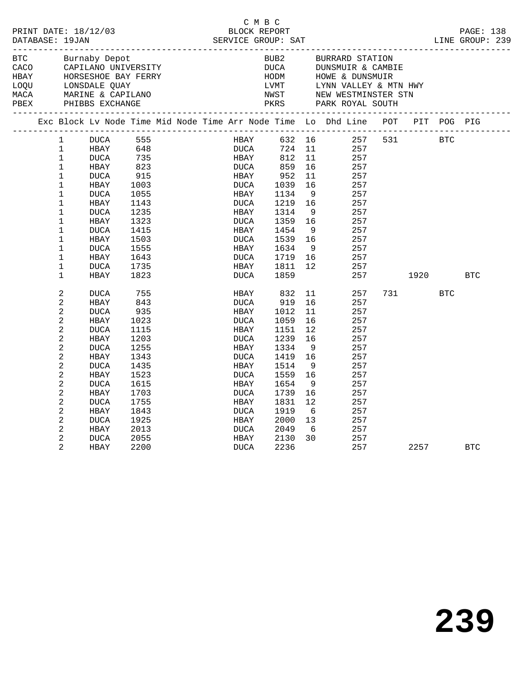| PRINT DATE: 18/12/03<br>DATABASE: 19JAN                   |                                                                                                                                                                                                |                                                                                                                                                                                                                             |                                                                                                                                                      |  | C M B C<br>BLOCK REPORT<br>SERVICE GROUP: SAT                                                                                                                              |                                                                                                                                                          |                                                                                                      |                                                                                                                                            |         |                  |                   | PAGE: 138<br>LINE GROUP: 239 |  |
|-----------------------------------------------------------|------------------------------------------------------------------------------------------------------------------------------------------------------------------------------------------------|-----------------------------------------------------------------------------------------------------------------------------------------------------------------------------------------------------------------------------|------------------------------------------------------------------------------------------------------------------------------------------------------|--|----------------------------------------------------------------------------------------------------------------------------------------------------------------------------|----------------------------------------------------------------------------------------------------------------------------------------------------------|------------------------------------------------------------------------------------------------------|--------------------------------------------------------------------------------------------------------------------------------------------|---------|------------------|-------------------|------------------------------|--|
| BTC<br>CACO<br>HBAY<br>LOQU LONSDALE QUAY<br>MACA<br>PBEX |                                                                                                                                                                                                | Burnaby Depot<br>CAPILANO UNIVERSITY<br>HORSESHOE BAY FERRY<br>MARINE & CAPILANO<br>PHIBBS EXCHANGE                                                                                                                         |                                                                                                                                                      |  |                                                                                                                                                                            | BUB2<br>DUCA<br>HODM                                                                                                                                     |                                                                                                      | BURRARD STATION<br>DUNSMUIR & CAMBIE<br>HOWE & DUNSMUIR<br>LVMT LYNN VALLEY & MTN HWY<br>NWST NEW WESTMINSTER STN<br>PKRS PARK ROYAL SOUTH |         |                  |                   |                              |  |
|                                                           |                                                                                                                                                                                                |                                                                                                                                                                                                                             |                                                                                                                                                      |  |                                                                                                                                                                            |                                                                                                                                                          |                                                                                                      | Exc Block Lv Node Time Mid Node Time Arr Node Time Lo Dhd Line POT PIT POG PIG                                                             |         |                  |                   |                              |  |
|                                                           | 1<br>$\mathbf{1}$<br>$\mathbf 1$<br>1<br>$\mathbf 1$<br>$\mathbf 1$<br>1<br>$\mathbf 1$<br>1<br>1<br>$\mathbf 1$<br>1<br>1<br>$\mathbf 1$<br>$\mathbf 1$<br>1<br>2<br>2<br>$\overline{a}$<br>2 | DUCA<br>HBAY<br><b>DUCA</b><br>HBAY<br><b>DUCA</b><br>HBAY<br><b>DUCA</b><br>HBAY<br><b>DUCA</b><br>HBAY<br><b>DUCA</b><br>HBAY<br><b>DUCA</b><br>HBAY<br><b>DUCA</b><br>HBAY<br><b>DUCA</b><br>HBAY<br><b>DUCA</b><br>HBAY | 555<br>648<br>735<br>823<br>915<br>1003<br>1055<br>1143<br>1235<br>1323<br>1415<br>1503<br>1555<br>1643<br>1735<br>1823<br>755<br>843<br>935<br>1023 |  | <b>HBAY</b><br><b>DUCA</b><br>HBAY<br>DUCA<br>HBAY<br>DUCA<br>HBAY<br>DUCA<br>HBAY<br>DUCA<br>HBAY<br>DUCA<br>HBAY<br>DUCA<br>HBAY<br>DUCA<br>HBAY<br>DUCA<br>HBAY<br>DUCA | 632 16<br>724<br>812<br>859<br>952<br>1039<br>1134<br>1219<br>1314<br>1359<br>1454<br>1539<br>1634<br>1719<br>1811<br>1859<br>832<br>919<br>1012<br>1059 | 11<br>11<br>16<br>11<br>16<br>9<br>16<br>9<br>16<br>9<br>16<br>9<br>16<br>12<br>11<br>16<br>11<br>16 | 257<br>257<br>257<br>257<br>257<br>257<br>257<br>257<br>257<br>257<br>257<br>257<br>257<br>257<br>257<br>257<br>257<br>257<br>257          | 257 531 | 1920<br>731 — 10 | BTC<br><b>BTC</b> | <b>BTC</b>                   |  |
|                                                           | 2<br>2<br>2<br>2<br>2<br>2<br>2<br>2<br>2<br>2<br>2<br>2<br>2<br>2                                                                                                                             | DUCA<br>HBAY<br><b>DUCA</b><br>HBAY<br><b>DUCA</b><br>HBAY<br><b>DUCA</b><br>HBAY<br><b>DUCA</b><br>HBAY<br><b>DUCA</b><br>HBAY<br>DUCA<br>HBAY                                                                             | 1115<br>1203<br>1255<br>1343<br>1435<br>1523<br>1615<br>1703<br>1755<br>1843<br>1925<br>2013<br>2055<br>2200                                         |  | HBAY<br>DUCA<br>HBAY<br>DUCA<br>HBAY<br>DUCA<br>HBAY<br>DUCA<br>HBAY<br>DUCA<br>HBAY<br>DUCA<br>HBAY<br>DUCA                                                               | 1151<br>1239<br>1334<br>1419<br>1514<br>1559<br>1654<br>1739<br>1831<br>1919<br>2000<br>2049<br>2130<br>2236                                             | 12<br>16<br>- 9<br>16<br>- 9<br>16<br>- 9<br>16<br>$12 \overline{ }$<br>6<br>13<br>6<br>30           | 257<br>257<br>257<br>257<br>257<br>257<br>257<br>257<br>257<br>257<br>257<br>257<br>257<br>257                                             |         | 2257             |                   | <b>BTC</b>                   |  |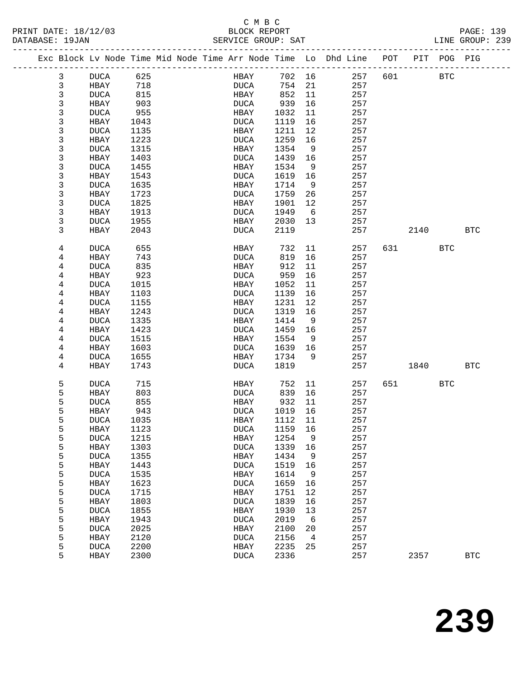#### C M B C<br>BLOCK REPORT PRINT DATE: 18/12/03 BLOCK REPORT PAGE: 139 DATABASE: 19JAN SERVICE GROUP: SAT LINE GROUP: 239

|  |        | Exc Block Lv Node Time Mid Node Time Arr Node Time Lo Dhd Line POT |              |  |                     |              |          |            |     |      | PIT POG PIG |            |
|--|--------|--------------------------------------------------------------------|--------------|--|---------------------|--------------|----------|------------|-----|------|-------------|------------|
|  | 3      | DUCA                                                               | 625          |  | HBAY                | 702 16       |          | 257        | 601 |      | <b>BTC</b>  |            |
|  | 3      | HBAY                                                               | 718          |  | DUCA                | 754          | 21       | 257        |     |      |             |            |
|  | 3      | <b>DUCA</b>                                                        | 815          |  | HBAY                | 852          | 11       | 257        |     |      |             |            |
|  | 3      | HBAY                                                               | 903          |  | DUCA                | 939          | 16       | 257        |     |      |             |            |
|  | 3      | <b>DUCA</b>                                                        | 955          |  | HBAY                | 1032         | 11       | 257        |     |      |             |            |
|  | 3      | HBAY                                                               | 1043         |  | <b>DUCA</b>         | 1119         | 16       | 257        |     |      |             |            |
|  | 3      | <b>DUCA</b>                                                        | 1135         |  | HBAY                | 1211         | 12       | 257        |     |      |             |            |
|  | 3      | <b>HBAY</b>                                                        | 1223         |  | <b>DUCA</b>         | 1259         | 16       | 257        |     |      |             |            |
|  | 3      | <b>DUCA</b>                                                        | 1315         |  | HBAY                | 1354         | 9        | 257        |     |      |             |            |
|  | 3      | HBAY                                                               | 1403         |  | <b>DUCA</b>         | 1439         | 16       | 257        |     |      |             |            |
|  | 3      | <b>DUCA</b>                                                        | 1455         |  | HBAY                | 1534         | 9        | 257        |     |      |             |            |
|  | 3      | HBAY                                                               | 1543         |  | DUCA                | 1619         | 16       | 257        |     |      |             |            |
|  | 3      | <b>DUCA</b>                                                        | 1635         |  | HBAY                | 1714         | 9        | 257        |     |      |             |            |
|  | 3      | HBAY                                                               | 1723         |  | DUCA                | 1759         | 26       | 257        |     |      |             |            |
|  | 3      | <b>DUCA</b>                                                        | 1825         |  | HBAY                | 1901         | 12       | 257        |     |      |             |            |
|  | 3      | HBAY                                                               | 1913         |  | <b>DUCA</b>         | 1949         | 6        | 257        |     |      |             |            |
|  | 3      | <b>DUCA</b>                                                        | 1955         |  | HBAY                | 2030         | 13       | 257        |     |      |             |            |
|  | 3      | HBAY                                                               | 2043         |  | <b>DUCA</b>         | 2119         |          | 257        |     | 2140 |             | <b>BTC</b> |
|  | 4      | <b>DUCA</b>                                                        | 655          |  | HBAY                | 732          | 11       | 257        | 631 |      | BTC         |            |
|  | 4      | HBAY                                                               | 743          |  | <b>DUCA</b>         | 819          | 16       | 257        |     |      |             |            |
|  | 4      | <b>DUCA</b>                                                        | 835          |  | HBAY                | 912          | 11       | 257        |     |      |             |            |
|  | 4      | HBAY                                                               | 923          |  | <b>DUCA</b>         | 959          | 16       | 257        |     |      |             |            |
|  | 4      | <b>DUCA</b>                                                        | 1015         |  | HBAY                | 1052         | 11       | 257        |     |      |             |            |
|  | 4      | HBAY                                                               | 1103         |  | <b>DUCA</b>         | 1139         | 16       | 257        |     |      |             |            |
|  | 4      | <b>DUCA</b>                                                        | 1155         |  | HBAY                | 1231         | 12       | 257        |     |      |             |            |
|  | 4      | HBAY                                                               | 1243         |  | <b>DUCA</b>         | 1319         | 16       | 257        |     |      |             |            |
|  | 4      | <b>DUCA</b>                                                        | 1335         |  | HBAY                | 1414         | 9        | 257        |     |      |             |            |
|  | 4      | HBAY                                                               | 1423         |  | <b>DUCA</b>         | 1459         | 16       | 257        |     |      |             |            |
|  | 4      | <b>DUCA</b>                                                        | 1515         |  | HBAY                | 1554         | 9        | 257        |     |      |             |            |
|  | 4      | HBAY                                                               | 1603         |  | <b>DUCA</b>         | 1639         | 16       | 257        |     |      |             |            |
|  | 4      | <b>DUCA</b>                                                        | 1655         |  | HBAY                | 1734         | 9        | 257        |     |      |             |            |
|  | 4      | HBAY                                                               | 1743         |  | <b>DUCA</b>         | 1819         |          | 257        |     | 1840 |             | <b>BTC</b> |
|  | 5      | <b>DUCA</b>                                                        | 715          |  | HBAY                | 752          | 11       | 257        | 651 |      | <b>BTC</b>  |            |
|  | 5      | HBAY                                                               | 803          |  | DUCA                | 839          | 16       | 257        |     |      |             |            |
|  | 5      | <b>DUCA</b>                                                        | 855          |  | HBAY                | 932          | 11       | 257        |     |      |             |            |
|  | 5      | HBAY                                                               | 943          |  | DUCA                | 1019         | 16       | 257        |     |      |             |            |
|  | 5      | <b>DUCA</b>                                                        | 1035         |  | HBAY                | 1112         | 11       | 257        |     |      |             |            |
|  | 5      | HBAY                                                               | 1123         |  | <b>DUCA</b>         | 1159         | 16       | 257        |     |      |             |            |
|  | 5      | <b>DUCA</b>                                                        | 1215         |  | HBAY                | 1254         | 9        | 257        |     |      |             |            |
|  | 5      | HBAY                                                               | 1303         |  | <b>DUCA</b>         | 1339         | 16       | 257        |     |      |             |            |
|  | 5      | <b>DUCA</b>                                                        | 1355         |  | HBAY                | 1434         | 9        | 257        |     |      |             |            |
|  | 5      | HBAY                                                               | 1443         |  | <b>DUCA</b>         | 1519         | 16       | 257        |     |      |             |            |
|  | 5      | <b>DUCA</b>                                                        | 1535         |  | HBAY                | 1614         | 9        | 257        |     |      |             |            |
|  | 5      | HBAY                                                               | 1623         |  | <b>DUCA</b>         | 1659         | 16       | 257        |     |      |             |            |
|  | 5<br>5 | <b>DUCA</b>                                                        | 1715         |  | HBAY                | 1751         | 12       | 257        |     |      |             |            |
|  | 5      | HBAY<br><b>DUCA</b>                                                | 1803<br>1855 |  | <b>DUCA</b><br>HBAY | 1839<br>1930 | 16<br>13 | 257<br>257 |     |      |             |            |
|  | 5      | HBAY                                                               | 1943         |  | <b>DUCA</b>         | 2019         | 6        | 257        |     |      |             |            |
|  | 5      | <b>DUCA</b>                                                        | 2025         |  | HBAY                | 2100         | 20       | 257        |     |      |             |            |
|  | 5      | HBAY                                                               | 2120         |  | <b>DUCA</b>         | 2156         | 4        | 257        |     |      |             |            |
|  | 5      | <b>DUCA</b>                                                        | 2200         |  | HBAY                | 2235         | 25       | 257        |     |      |             |            |
|  | 5      | HBAY                                                               | 2300         |  | <b>DUCA</b>         | 2336         |          | 257        |     | 2357 |             | <b>BTC</b> |
|  |        |                                                                    |              |  |                     |              |          |            |     |      |             |            |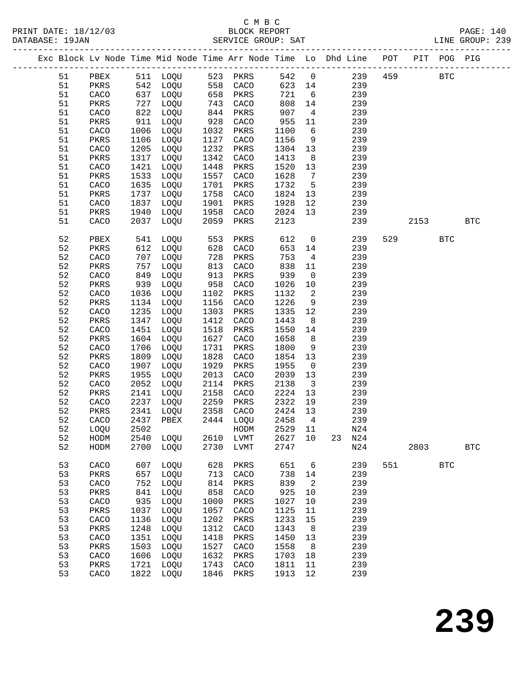|  |          |      |              | Exc Block Lv Node Time Mid Node Time Arr Node Time Lo Dhd Line POT |              |              |              |                         |    | -------------------------------- |     |      | PIT POG PIG |              |
|--|----------|------|--------------|--------------------------------------------------------------------|--------------|--------------|--------------|-------------------------|----|----------------------------------|-----|------|-------------|--------------|
|  | 51       | PBEX |              | 511 LOQU                                                           |              | 523 PKRS     | 542          | $\overline{0}$          |    | 239                              | 459 |      | <b>BTC</b>  |              |
|  | 51       | PKRS | 542          | LOQU                                                               |              | 558 CACO     | 623          | 14                      |    | 239                              |     |      |             |              |
|  | 51       | CACO | 637          | LOQU                                                               | 658          | PKRS         | 721          | $6\overline{6}$         |    | 239                              |     |      |             |              |
|  | 51       | PKRS | 727          | LOQU                                                               | 743          | CACO         | 808          | 14                      |    | 239                              |     |      |             |              |
|  | 51       | CACO | 822          | LOQU                                                               | 844          | PKRS         | 907          | $\overline{4}$          |    | 239                              |     |      |             |              |
|  | 51       | PKRS | 911          | LOQU                                                               | 928          | CACO         | 955          | 11                      |    | 239                              |     |      |             |              |
|  | 51       | CACO | 1006         | LOQU                                                               | 1032         | PKRS         | 1100         | 6                       |    | 239                              |     |      |             |              |
|  | 51       | PKRS | 1106         | LOQU                                                               | 1127         | CACO         | 1156         | 9                       |    | 239                              |     |      |             |              |
|  | 51       | CACO | 1205         | LOQU                                                               | 1232         | PKRS         | 1304         | 13                      |    | 239                              |     |      |             |              |
|  | 51       | PKRS | 1317         | LOQU                                                               | 1342         | CACO         | 1413         | 8                       |    | 239                              |     |      |             |              |
|  | 51       | CACO | 1421         | LOQU                                                               | 1448         | PKRS         | 1520         | 13                      |    | 239                              |     |      |             |              |
|  | 51       | PKRS | 1533         | LOQU                                                               | 1557         | CACO         | 1628         | $7\phantom{.0}$         |    | 239                              |     |      |             |              |
|  | 51       | CACO | 1635         | LOQU                                                               | 1701         | PKRS         | 1732         | $5\overline{5}$         |    | 239                              |     |      |             |              |
|  | 51       | PKRS | 1737         | LOQU                                                               | 1758         | CACO         | 1824         | 13                      |    | 239                              |     |      |             |              |
|  | 51       | CACO | 1837         | LOQU                                                               | 1901         | PKRS         | 1928         | 12                      |    | 239                              |     |      |             |              |
|  | 51       | PKRS | 1940         | LOQU                                                               | 1958         | CACO         | 2024         | 13                      |    | 239                              |     |      |             |              |
|  | 51       | CACO | 2037         | LOQU                                                               | 2059         | PKRS         | 2123         |                         |    | 239                              |     | 2153 |             | <b>BTC</b>   |
|  |          |      |              |                                                                    |              |              |              |                         |    |                                  |     |      |             |              |
|  | 52       | PBEX | 541          | LOQU                                                               | 553          | PKRS         | 612          | $\mathsf{O}$            |    | 239                              | 529 |      | <b>BTC</b>  |              |
|  | 52       | PKRS | 612          | LOQU                                                               | 628          | CACO         | 653          | 14                      |    | 239                              |     |      |             |              |
|  | 52       | CACO | 707          | LOQU                                                               | 728          | PKRS         | 753          | $\overline{4}$          |    | 239                              |     |      |             |              |
|  | 52       | PKRS | 757          | LOQU                                                               | 813          | CACO         | 838          | 11                      |    | 239                              |     |      |             |              |
|  | 52       | CACO | 849          | LOQU                                                               | 913          | PKRS         | 939          | $\mathsf{O}$            |    | 239                              |     |      |             |              |
|  | 52       | PKRS | 939          | LOQU                                                               | 958          | CACO         | 1026         | 10                      |    | 239                              |     |      |             |              |
|  | 52       | CACO | 1036         | LOQU                                                               | 1102         | PKRS         | 1132         | 2                       |    | 239                              |     |      |             |              |
|  | 52       | PKRS | 1134         | LOQU                                                               | 1156         | CACO         | 1226         | 9                       |    | 239                              |     |      |             |              |
|  | 52       | CACO | 1235         | LOQU                                                               | 1303         | PKRS         | 1335         | 12                      |    | 239                              |     |      |             |              |
|  | 52       | PKRS | 1347         | LOQU                                                               | 1412         | CACO         | 1443         | 8                       |    | 239                              |     |      |             |              |
|  | 52       | CACO | 1451         | LOQU                                                               | 1518         | PKRS         | 1550         | 14                      |    | 239                              |     |      |             |              |
|  | 52       | PKRS | 1604         | LOQU                                                               | 1627         | CACO         | 1658         | 8 <sup>8</sup>          |    | 239                              |     |      |             |              |
|  | 52       | CACO | 1706         | LOQU                                                               | 1731         | PKRS         | 1800         | 9                       |    | 239                              |     |      |             |              |
|  | 52       | PKRS | 1809         | LOQU                                                               | 1828         | CACO         | 1854         | 13                      |    | 239                              |     |      |             |              |
|  | 52       | CACO | 1907         | LOQU                                                               | 1929         | PKRS         | 1955         | $\overline{0}$          |    | 239                              |     |      |             |              |
|  | 52       | PKRS | 1955         | LOQU                                                               | 2013         | CACO         | 2039         | 13                      |    | 239                              |     |      |             |              |
|  | 52       | CACO | 2052         | LOQU                                                               | 2114         | PKRS         | 2138         | $\overline{\mathbf{3}}$ |    | 239                              |     |      |             |              |
|  | 52       | PKRS | 2141         | LOQU                                                               | 2158         | CACO         | 2224         | 13                      |    | 239                              |     |      |             |              |
|  | 52       | CACO | 2237         | LOQU                                                               | 2259         | PKRS         | 2322         | 19                      |    | 239                              |     |      |             |              |
|  | 52       | PKRS | 2341         | LOQU                                                               | 2358         | CACO         | 2424         | 13                      |    | 239                              |     |      |             |              |
|  | 52       | CACO | 2437         | PBEX                                                               | 2444         | LOQU         | 2458         | $\overline{4}$          |    | 239                              |     |      |             |              |
|  | 52       | LOQU | 2502         |                                                                    |              | HODM         | 2529 11      |                         |    | N24                              |     |      |             |              |
|  | 52       | HODM | 2540         | LOQU                                                               | 2610         | ${\rm LVMT}$ | 2627         | $10$                    | 23 | N24                              |     |      |             |              |
|  | 52       | HODM | 2700         | LOQU                                                               | 2730         | LVMT         | 2747         |                         |    | N24                              |     | 2803 |             | $_{\rm BTC}$ |
|  |          |      |              |                                                                    |              |              |              |                         |    |                                  |     |      |             |              |
|  | 53<br>53 | CACO | 607<br>657   | LOQU                                                               | 628<br>713   | PKRS         | 651          | 6                       |    | 239<br>239                       | 551 |      | <b>BTC</b>  |              |
|  |          | PKRS |              | LOQU                                                               |              | CACO         | 738          | 14                      |    |                                  |     |      |             |              |
|  | 53       | CACO | 752          | LOQU                                                               | 814          | PKRS         | 839          | 2                       |    | 239                              |     |      |             |              |
|  | 53<br>53 | PKRS | 841          | LOQU                                                               | 858          | CACO         | 925<br>1027  | 10                      |    | 239<br>239                       |     |      |             |              |
|  | 53       | CACO | 935          | LOQU                                                               | 1000<br>1057 | PKRS         | 1125         | 10                      |    | 239                              |     |      |             |              |
|  |          | PKRS | 1037         | LOQU                                                               |              | CACO         |              | 11                      |    |                                  |     |      |             |              |
|  | 53       | CACO | 1136         | LOQU                                                               | 1202<br>1312 | PKRS         | 1233         | 15                      |    | 239<br>239                       |     |      |             |              |
|  | 53       | PKRS | 1248         | LOQU                                                               |              | CACO         | 1343         | 8                       |    |                                  |     |      |             |              |
|  | 53       | CACO | 1351         | LOQU                                                               | 1418         | PKRS         | 1450         | 13                      |    | 239                              |     |      |             |              |
|  | 53       | PKRS | 1503         | LOQU                                                               | 1527         | CACO         | 1558         | 8                       |    | 239                              |     |      |             |              |
|  | 53<br>53 | CACO | 1606<br>1721 | LOQU                                                               | 1632<br>1743 | PKRS         | 1703<br>1811 | 18                      |    | 239<br>239                       |     |      |             |              |
|  | 53       | PKRS | 1822         | LOQU                                                               |              | CACO         | 1913         | 11                      |    | 239                              |     |      |             |              |
|  |          | CACO |              | LOQU                                                               | 1846         | PKRS         |              | 12                      |    |                                  |     |      |             |              |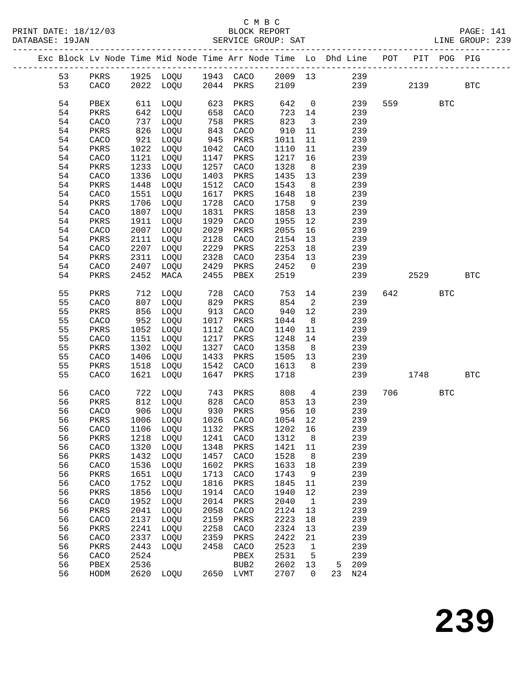|  |          |              |              | Exc Block Lv Node Time Mid Node Time Arr Node Time Lo Dhd Line POT PIT POG PIG |                   |                      |                 |                         |                 |            |        |              |              |
|--|----------|--------------|--------------|--------------------------------------------------------------------------------|-------------------|----------------------|-----------------|-------------------------|-----------------|------------|--------|--------------|--------------|
|  | 53       |              |              |                                                                                |                   |                      |                 |                         |                 |            |        |              |              |
|  | 53       |              |              |                                                                                |                   |                      |                 |                         |                 | 239        | 2139   |              | $_{\rm BTC}$ |
|  |          |              |              |                                                                                |                   |                      |                 |                         |                 |            |        |              |              |
|  | 54       | PBEX         |              | 611 LOQU                                                                       | 623<br>658<br>758 | PKRS                 | 642             | $\overline{0}$          |                 | 239        | 559 30 | $_{\rm BTC}$ |              |
|  | 54       | PKRS         | 642          | LOQU                                                                           |                   | CACO                 | 723 14          |                         |                 | 239        |        |              |              |
|  | 54       | CACO         | 737          | LOQU                                                                           |                   | PKRS                 | 823             | $\overline{\mathbf{3}}$ |                 | 239        |        |              |              |
|  | 54<br>54 | PKRS         | 826<br>921   | LOQU                                                                           | 843               | CACO                 | 910<br>1011     | 11                      |                 | 239<br>239 |        |              |              |
|  | 54       | CACO<br>PKRS | 1022         | LOQU<br>LOQU                                                                   | 945               | PKRS<br>CACO         | 1110            | 11<br>11                |                 | 239        |        |              |              |
|  | 54       | CACO         | 1121         | LOQU                                                                           | 1042<br>1147      | PKRS                 | 1217            | 16                      |                 | 239        |        |              |              |
|  | 54       | PKRS         | 1233         | LOQU                                                                           | 1257              | CACO                 | 1328            | 8 <sup>8</sup>          |                 | 239        |        |              |              |
|  | 54       | CACO         | 1336         | LOQU                                                                           | 1403              | PKRS                 | 1435            | 13                      |                 | 239        |        |              |              |
|  | 54       | PKRS         | 1448         | LOQU                                                                           | 1512              | CACO                 | 1543            | 8 <sup>8</sup>          |                 | 239        |        |              |              |
|  | 54       | CACO         | 1551         | LOQU                                                                           | 1617              | PKRS                 | 1648            | 18                      |                 | 239        |        |              |              |
|  | 54       | PKRS         | 1706         | LOQU                                                                           | 1728              | CACO                 | 1758            | 9                       |                 | 239        |        |              |              |
|  | 54       | CACO         | 1807         | LOQU                                                                           | 1831              | PKRS                 | 1858            | 13                      |                 | 239        |        |              |              |
|  | 54       | PKRS         | 1911         | LOQU                                                                           | 1929              | CACO                 | 1955            | 12                      |                 | 239        |        |              |              |
|  | 54       | CACO         | 2007         | LOQU                                                                           | 2029              | PKRS                 | 2055            | 16                      |                 | 239        |        |              |              |
|  | 54       | PKRS         | 2111         | LOQU                                                                           | 2128              | CACO                 | 2154            | 13                      |                 | 239        |        |              |              |
|  | 54       | CACO         | 2207         | LOQU                                                                           | 2229              | PKRS                 | 2253            | 18                      |                 | 239        |        |              |              |
|  | 54<br>54 | PKRS<br>CACO | 2311<br>2407 | LOQU<br>LOQU                                                                   | 2328<br>2429      | CACO<br>PKRS         | 2354<br>2452    | 13<br>$\overline{0}$    |                 | 239<br>239 |        |              |              |
|  | 54       | PKRS         | 2452         | MACA                                                                           | 2455              | PBEX                 | 2519            |                         |                 | 239        | 2529   |              | $_{\rm BTC}$ |
|  |          |              |              |                                                                                |                   |                      |                 |                         |                 |            |        |              |              |
|  | 55       | PKRS         |              | 712 LOQU                                                                       |                   |                      | 753             | 14                      |                 | 239        | 642    | <b>BTC</b>   |              |
|  | 55       | CACO         |              | 807 LOQU                                                                       |                   | 728 CACO<br>829 PKRS | 854             | $\overline{\mathbf{c}}$ |                 | 239        |        |              |              |
|  | 55       | PKRS         | 856          | LOQU                                                                           |                   | 913 CACO             | 940             | 12                      |                 | 239        |        |              |              |
|  | 55       | CACO         | 952          | LOQU                                                                           | 1017              | PKRS                 | 1044            | 8 <sup>8</sup>          |                 | 239        |        |              |              |
|  | 55       | PKRS         | 1052         | LOQU                                                                           | 1112              | CACO                 | 1140            | 11                      |                 | 239        |        |              |              |
|  | 55       | CACO         | 1151         | LOQU                                                                           | 1217              | PKRS                 | 1248            | 14                      |                 | 239        |        |              |              |
|  | 55       | PKRS         | 1302         | LOQU                                                                           | 1327              | CACO                 | 1358            | 8 <sup>8</sup>          |                 | 239        |        |              |              |
|  | 55<br>55 | CACO         | 1406<br>1518 | LOQU                                                                           | 1433              | PKRS<br>1542 CACO    | 1505 13<br>1613 | 8 <sup>8</sup>          |                 | 239<br>239 |        |              |              |
|  | 55       | PKRS<br>CACO |              | LOQU<br>1621 LOQU                                                              | 1647              | PKRS                 | 1718            |                         |                 | 239        | 1748   |              | BTC          |
|  |          |              |              |                                                                                |                   |                      |                 |                         |                 |            |        |              |              |
|  | 56       | CACO         |              | 722 LOQU                                                                       | 743               | PKRS                 | 808             |                         | $4\overline{ }$ | 239        | 706    | $_{\rm BTC}$ |              |
|  | 56       | PKRS         | 812          | LOQU                                                                           |                   | 828 CACO             | 853             | 13                      |                 | 239        |        |              |              |
|  | 56       | CACO         |              | 906 LOQU                                                                       |                   | 930 PKRS             | 956             | 10                      |                 | 239        |        |              |              |
|  | 56       | PKRS         |              | 1006 LOQU                                                                      |                   | 1026 CACO            | 1054 12         |                         |                 | 239        |        |              |              |
|  | 56       |              |              | CACO 1106 LOQU 1132 PKRS 1202 16                                               |                   |                      |                 |                         |                 | 239        |        |              |              |
|  | 56<br>56 | PKRS<br>CACO | 1218<br>1320 | LOQU<br>LOQU                                                                   | 1241<br>1348      | CACO<br>PKRS         | 1312<br>1421    | 8<br>11                 |                 | 239<br>239 |        |              |              |
|  | 56       | PKRS         | 1432         | LOQU                                                                           | 1457              | CACO                 | 1528            | 8                       |                 | 239        |        |              |              |
|  | 56       | CACO         | 1536         | LOQU                                                                           | 1602              | PKRS                 | 1633            | 18                      |                 | 239        |        |              |              |
|  | 56       | PKRS         | 1651         | LOQU                                                                           | 1713              | CACO                 | 1743            | 9                       |                 | 239        |        |              |              |
|  | 56       | CACO         | 1752         | LOQU                                                                           | 1816              | PKRS                 | 1845            | 11                      |                 | 239        |        |              |              |
|  | 56       | PKRS         | 1856         | LOQU                                                                           | 1914              | CACO                 | 1940            | 12                      |                 | 239        |        |              |              |
|  | 56       | CACO         | 1952         | LOQU                                                                           | 2014              | PKRS                 | 2040            | $\mathbf{1}$            |                 | 239        |        |              |              |
|  | 56       | PKRS         | 2041         | LOQU                                                                           | 2058              | CACO                 | 2124            | 13                      |                 | 239        |        |              |              |
|  | 56       | CACO         | 2137         | LOQU                                                                           | 2159              | PKRS                 | 2223            | 18                      |                 | 239        |        |              |              |
|  | 56       | PKRS         | 2241         | LOQU                                                                           | 2258              | CACO                 | 2324            | 13                      |                 | 239        |        |              |              |
|  | 56       | CACO         | 2337         | LOQU                                                                           | 2359              | PKRS                 | 2422            | 21                      |                 | 239        |        |              |              |
|  | 56<br>56 | PKRS<br>CACO | 2443<br>2524 | LOQU                                                                           | 2458              | CACO<br>PBEX         | 2523<br>2531    | $\mathbf{1}$<br>5       |                 | 239<br>239 |        |              |              |
|  | 56       | PBEX         | 2536         |                                                                                |                   | BUB <sub>2</sub>     | 2602            | 13                      | 5               | 209        |        |              |              |
|  | 56       | HODM         | 2620         | LOQU                                                                           |                   | 2650 LVMT            | 2707            | $\mathbf 0$             | 23              | N24        |        |              |              |
|  |          |              |              |                                                                                |                   |                      |                 |                         |                 |            |        |              |              |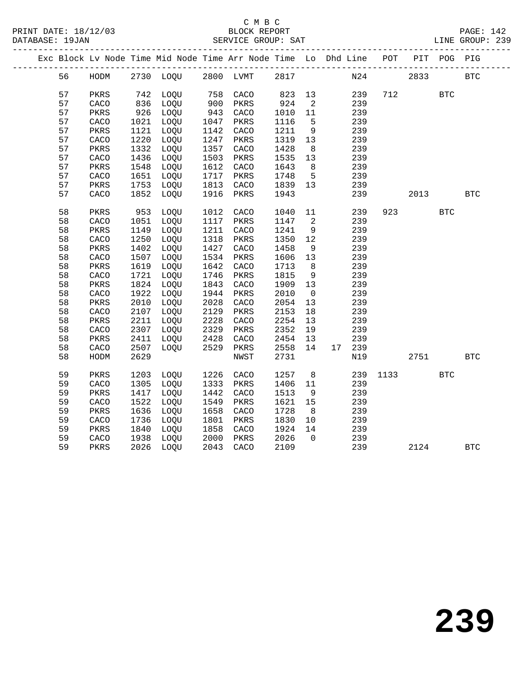|  |    |      |      | Exc Block Lv Node Time Mid Node Time Arr Node Time Lo Dhd Line POT PIT POG PIG |      |      |        |                |        |      |      |            |            |  |
|--|----|------|------|--------------------------------------------------------------------------------|------|------|--------|----------------|--------|------|------|------------|------------|--|
|  | 56 | HODM |      | 2730 LOQU 2800 LVMT 2817                                                       |      |      |        |                | N24    |      | 2833 |            | <b>BTC</b> |  |
|  | 57 | PKRS | 742  | LOQU                                                                           | 758  | CACO | 823 13 |                | 239    |      | 712  | <b>BTC</b> |            |  |
|  | 57 | CACO | 836  | LOQU                                                                           | 900  | PKRS | 924    | $\overline{2}$ | 239    |      |      |            |            |  |
|  | 57 | PKRS | 926  | LOQU                                                                           | 943  | CACO | 1010   | 11             | 239    |      |      |            |            |  |
|  | 57 | CACO | 1021 | LOQU                                                                           | 1047 | PKRS | 1116   | $5^{\circ}$    | 239    |      |      |            |            |  |
|  | 57 | PKRS | 1121 | LOQU                                                                           | 1142 | CACO | 1211   | 9              | 239    |      |      |            |            |  |
|  | 57 | CACO | 1220 | LOQU                                                                           | 1247 | PKRS | 1319   | 13             | 239    |      |      |            |            |  |
|  | 57 | PKRS | 1332 | LOQU                                                                           | 1357 | CACO | 1428   | 8              | 239    |      |      |            |            |  |
|  | 57 | CACO | 1436 | LOQU                                                                           | 1503 | PKRS | 1535   | 13             | 239    |      |      |            |            |  |
|  | 57 | PKRS | 1548 | LOQU                                                                           | 1612 | CACO | 1643   | 8              | 239    |      |      |            |            |  |
|  | 57 | CACO | 1651 | LOQU                                                                           | 1717 | PKRS | 1748   | $5^{\circ}$    | 239    |      |      |            |            |  |
|  | 57 | PKRS | 1753 | LOQU                                                                           | 1813 | CACO | 1839   | 13             | 239    |      |      |            |            |  |
|  | 57 | CACO | 1852 | LOQU                                                                           | 1916 | PKRS | 1943   |                | 239    |      | 2013 |            | <b>BTC</b> |  |
|  | 58 | PKRS | 953  | LOQU                                                                           | 1012 | CACO | 1040   | 11             | 239    |      | 923  | <b>BTC</b> |            |  |
|  | 58 | CACO | 1051 | LOQU                                                                           | 1117 | PKRS | 1147   | 2              | 239    |      |      |            |            |  |
|  | 58 | PKRS | 1149 | LOQU                                                                           | 1211 | CACO | 1241   | 9              | 239    |      |      |            |            |  |
|  | 58 | CACO | 1250 | LOQU                                                                           | 1318 | PKRS | 1350   | 12             | 239    |      |      |            |            |  |
|  | 58 | PKRS | 1402 | LOQU                                                                           | 1427 | CACO | 1458   | 9              | 239    |      |      |            |            |  |
|  | 58 | CACO | 1507 | LOQU                                                                           | 1534 | PKRS | 1606   | 13             | 239    |      |      |            |            |  |
|  | 58 | PKRS | 1619 | LOQU                                                                           | 1642 | CACO | 1713   | 8 <sup>8</sup> | 239    |      |      |            |            |  |
|  | 58 | CACO | 1721 | LOQU                                                                           | 1746 | PKRS | 1815   | 9              | 239    |      |      |            |            |  |
|  | 58 | PKRS | 1824 | LOQU                                                                           | 1843 | CACO | 1909   | 13             | 239    |      |      |            |            |  |
|  | 58 | CACO | 1922 | LOQU                                                                           | 1944 | PKRS | 2010   | $\overline{0}$ | 239    |      |      |            |            |  |
|  | 58 | PKRS | 2010 | LOQU                                                                           | 2028 | CACO | 2054   | 13             | 239    |      |      |            |            |  |
|  | 58 | CACO | 2107 | LOQU                                                                           | 2129 | PKRS | 2153   | 18             | 239    |      |      |            |            |  |
|  | 58 | PKRS | 2211 | LOQU                                                                           | 2228 | CACO | 2254   | 13             | 239    |      |      |            |            |  |
|  | 58 | CACO | 2307 | LOQU                                                                           | 2329 | PKRS | 2352   | 19             | 239    |      |      |            |            |  |
|  | 58 | PKRS | 2411 | LOQU                                                                           | 2428 | CACO | 2454   | 13             | 239    |      |      |            |            |  |
|  | 58 | CACO | 2507 | LOQU                                                                           | 2529 | PKRS | 2558   | 14             | 17 239 |      |      |            |            |  |
|  | 58 | HODM | 2629 |                                                                                |      | NWST | 2731   |                | N19    |      | 2751 |            | <b>BTC</b> |  |
|  | 59 | PKRS | 1203 | LOQU                                                                           | 1226 | CACO | 1257   | 8 <sup>8</sup> | 239    | 1133 |      | <b>BTC</b> |            |  |
|  | 59 | CACO | 1305 | LOQU                                                                           | 1333 | PKRS | 1406   | 11             | 239    |      |      |            |            |  |
|  | 59 | PKRS | 1417 | LOQU                                                                           | 1442 | CACO | 1513   | 9              | 239    |      |      |            |            |  |
|  | 59 | CACO | 1522 | LOQU                                                                           | 1549 | PKRS | 1621   | 15             | 239    |      |      |            |            |  |
|  | 59 | PKRS | 1636 | LOQU                                                                           | 1658 | CACO | 1728   | 8              | 239    |      |      |            |            |  |
|  | 59 | CACO | 1736 | LOQU                                                                           | 1801 | PKRS | 1830   | 10             | 239    |      |      |            |            |  |
|  | 59 | PKRS | 1840 | LOQU                                                                           | 1858 | CACO | 1924   | 14             | 239    |      |      |            |            |  |
|  | 59 | CACO | 1938 | LOQU                                                                           | 2000 | PKRS | 2026   | $\overline{0}$ | 239    |      |      |            |            |  |
|  | 59 | PKRS | 2026 | LOQU                                                                           | 2043 | CACO | 2109   |                | 239    |      | 2124 |            | <b>BTC</b> |  |
|  |    |      |      |                                                                                |      |      |        |                |        |      |      |            |            |  |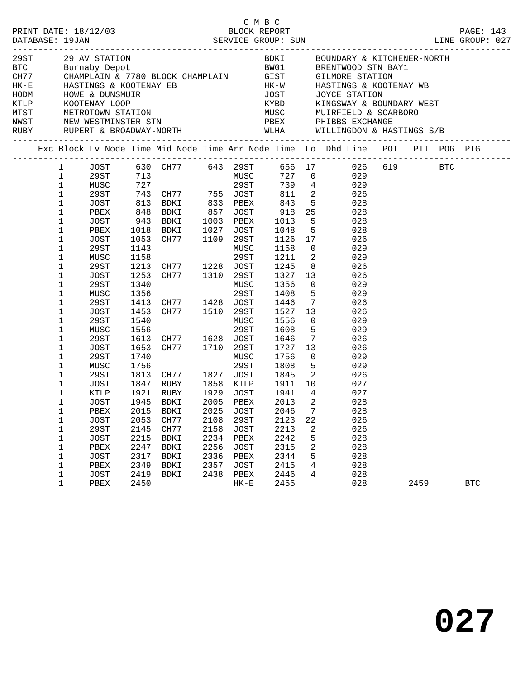|                                                                                                                                                                                                                                                                                                                                                                |                                                                                                                                                              |                                                                      |                                                                                                                                                                                            |                                                                           |                                                                                          |                                                                                              |                                                                     | C M B C<br>PRINT DATE: 18/12/03 BLOCK REPORT PAGE: 143<br>DATABASE: 19JAN SERVICE GROUP: SUN LINE GROUP: 027                                                                                                                                                                                                                                                                                                                                                                                                                                                                                                                                                                                                                                                                                          |      |            |  |
|----------------------------------------------------------------------------------------------------------------------------------------------------------------------------------------------------------------------------------------------------------------------------------------------------------------------------------------------------------------|--------------------------------------------------------------------------------------------------------------------------------------------------------------|----------------------------------------------------------------------|--------------------------------------------------------------------------------------------------------------------------------------------------------------------------------------------|---------------------------------------------------------------------------|------------------------------------------------------------------------------------------|----------------------------------------------------------------------------------------------|---------------------------------------------------------------------|-------------------------------------------------------------------------------------------------------------------------------------------------------------------------------------------------------------------------------------------------------------------------------------------------------------------------------------------------------------------------------------------------------------------------------------------------------------------------------------------------------------------------------------------------------------------------------------------------------------------------------------------------------------------------------------------------------------------------------------------------------------------------------------------------------|------|------------|--|
|                                                                                                                                                                                                                                                                                                                                                                |                                                                                                                                                              |                                                                      |                                                                                                                                                                                            |                                                                           |                                                                                          |                                                                                              |                                                                     | $\begin{tabular}{lllllllllllllllllll} \multicolumn{3}{c }{\begin{tabular}{l} \multicolumn{3}{c}{\multicolumn{3}{c}{\multicolumn{3}{c}{\multicolumn{3}{c}{\multicolumn{3}{c}{\multicolumn{3}{c}{\multicolumn{3}{c}{\multicolumn{3}{c}{\multicolumn{3}{c}{\multicolumn{3}{c}{\multicolumn{3}{c}{\multicolumn{3}{c}{\multicolumn{3}{c}{\multicolumn{3}{c}{\multicolumn{3}{c}{\multicolumn{3}{c}{\multicolumn{3}{c}{\multicolumn{3}{c}{\multicolumn{3}{c}{\multicolumn{3}{c}{\multicolumn{3$<br>EXERCISE HARD MISCHER STATION HOWE & DUNSMUIR<br>HE-E HASTINGS & KOOTENAY EB HK-W HASTINGS & KOOTEN<br>HODM HOWE & DUNSMUIR<br>HODM HOWE & DUNSMUIR<br>HODM MUSC JOYCE STATION<br>MUSC MUIRFIELD & SCAR<br>NEW WESTMINSTER STN PBEX PHIBBS<br>RUBY RUPERT & BROADWAY-NORTH WLHA WILLINGDON & HASTINGS S/B |      |            |  |
|                                                                                                                                                                                                                                                                                                                                                                |                                                                                                                                                              |                                                                      |                                                                                                                                                                                            |                                                                           |                                                                                          |                                                                                              |                                                                     | Exc Block Lv Node Time Mid Node Time Arr Node Time Lo Dhd Line POT PIT POG PIG                                                                                                                                                                                                                                                                                                                                                                                                                                                                                                                                                                                                                                                                                                                        |      |            |  |
| 1<br>$\mathbf{1}$<br>$\mathbf{1}$<br>$\mathbf{1}$<br>$\mathbf{1}$<br>$\mathbf{1}$<br>$\mathbf{1}$<br>$\mathbf 1$<br>$\mathbf{1}$<br>$\mathbf{1}$<br>$\mathbf{1}$<br>$\mathbf{1}$<br>$\mathbf{1}$<br>$\mathbf{1}$<br>$\mathbf 1$<br>$\mathbf{1}$<br>$\mathbf{1}$<br>$\mathbf{1}$<br>$\mathbf{1}$<br>$\mathbf{1}$<br>$\mathbf{1}$<br>$\mathbf{1}$<br>$\mathbf 1$ | JOST<br>PBEX<br>JOST<br>PBEX<br>JOST<br>29ST<br>MUSC<br>29ST<br>JOST<br>29ST<br>MUSC<br>29ST<br>JOST<br>29ST<br>MUSC<br>29ST<br>JOST<br>29ST<br>MUSC<br>29ST | 1053<br>1143<br>1158<br>1253<br>1340<br>1356<br>1453<br>1540<br>1556 | 1018 BDKI 1027 JOST 1048<br>CH77 1109 29ST<br>1213 CH77 1228 JOST<br>CH77 1310 29ST<br>1413 CH77 1428 JOST<br>CH77 1510 29ST<br>1613 CH77 1628 JOST<br>1653 CH77 1710 29ST<br>1740<br>1756 |                                                                           | MUSC<br>29ST<br>MUSC<br>29ST<br>MUSC<br>29ST<br>MUSC<br>29ST                             | 1158<br>1211<br>1245<br>1327<br>1356<br>1408<br>1446<br>1556<br>1608<br>1646<br>1756<br>1808 | $\overline{\mathbf{2}}$<br>5 <sub>5</sub><br>1727<br>5 <sub>5</sub> | 30 5 530 5 643 29 5 656 17 626 619<br>1981 - 13 MUSC 727 0 629<br>2981 - 2981 739 4 629<br>29ST 743 CH77 755 JOST 811 2 026<br>813 BDKI 833 PBEX 843 5 028<br>848 BDKI 857 JOST 918 25 028<br>943 BDKI 1003 PBEX 1013 5 028<br>5 <sub>1</sub><br>028<br>1126 17<br>026<br>$\overline{0}$<br>029<br>029<br>8 <sup>1</sup><br>026<br>13<br>026<br>$\overline{0}$<br>029<br>029<br>$7\overline{ }$<br>026<br>1527 13<br>026<br>$\overline{0}$<br>029<br>$5 -$<br>029<br>$7\overline{ }$<br>026<br>13<br>026<br>$\overline{0}$<br>029<br>029<br>1813 CH77 1827 JOST 1845 2 026                                                                                                                                                                                                                            |      |            |  |
| $\mathbf 1$<br>$\mathbf 1$<br>$\mathbf 1$<br>1<br>$\mathbf 1$<br>1<br>1<br>$\mathbf 1$<br>1<br>$\mathbf{1}$<br>$\mathbf 1$                                                                                                                                                                                                                                     | JOST<br>KTLP<br>PBEX<br><b>JOST</b><br>29ST<br>JOST<br>PBEX<br><b>JOST</b><br>PBEX<br>JOST                                                                   | 2015<br>2053<br>2145<br>2215<br>2247<br>2317<br>2349<br>2419         | 1921 RUBY<br>JOST 1945 BDKI 2005 PBEX 2013 2<br><b>BDKI</b><br>CH77<br>CH77<br>BDKI<br>BDKI<br>BDKI<br>BDKI<br>BDKI                                                                        | 1929 JOST<br>2025<br>2108<br>2158<br>2234<br>2256<br>2336<br>2357<br>2438 | <b>JOST</b><br>29ST<br><b>JOST</b><br>PBEX<br><b>JOST</b><br>PBEX<br><b>JOST</b><br>PBEX | 1941<br>2046<br>2123<br>2213<br>2242<br>2315<br>2344<br>2415<br>2446                         | $\overline{4}$<br>7<br>22<br>2<br>5<br>2<br>5<br>4<br>4             | 1847 RUBY 1858 KTLP 1911 10 027<br>027<br>028<br>028<br>026<br>026<br>028<br>028<br>028<br>028<br>028                                                                                                                                                                                                                                                                                                                                                                                                                                                                                                                                                                                                                                                                                                 |      |            |  |
| $\mathbf{1}$                                                                                                                                                                                                                                                                                                                                                   | PBEX                                                                                                                                                         | 2450                                                                 |                                                                                                                                                                                            |                                                                           | $HK-E$                                                                                   | 2455                                                                                         |                                                                     | 028                                                                                                                                                                                                                                                                                                                                                                                                                                                                                                                                                                                                                                                                                                                                                                                                   | 2459 | <b>BTC</b> |  |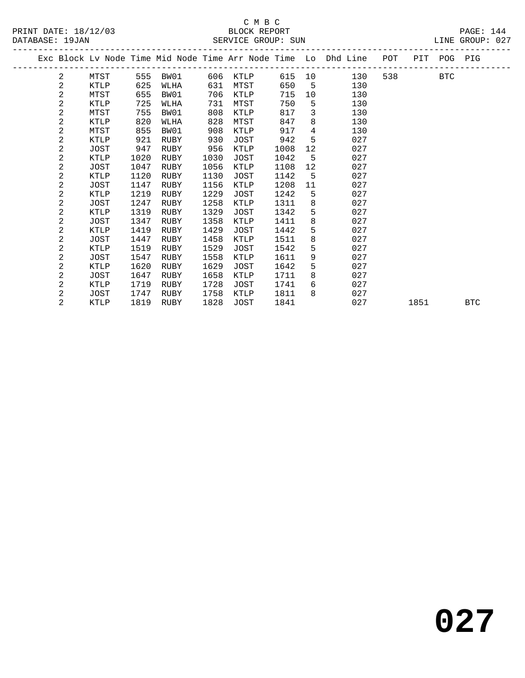#### C M B C<br>BLOCK REPORT SERVICE GROUP: SUN

|  |                |             |      |      |      |             |      |                 | Exc Block Lv Node Time Mid Node Time Arr Node Time Lo Dhd Line POT |       | PIT POG PIG |  |
|--|----------------|-------------|------|------|------|-------------|------|-----------------|--------------------------------------------------------------------|-------|-------------|--|
|  | 2              | MTST        | 555  | BW01 | 606  | KTLP        |      |                 | 615 10<br>130                                                      | 538 7 | BTC         |  |
|  | 2              | <b>KTLP</b> | 625  | WLHA | 631  | MTST        | 650  | $-5$            | 130                                                                |       |             |  |
|  | 2              | MTST        | 655  | BW01 | 706  | KTLP        | 715  | 10              | 130                                                                |       |             |  |
|  | $\mathbf{2}$   | KTLP        | 725  | WLHA | 731  | MTST        | 750  | 5               | 130                                                                |       |             |  |
|  | 2              | MTST        | 755  | BW01 | 808  | KTLP        | 817  | 3               | 130                                                                |       |             |  |
|  | 2              | KTLP        | 820  | WLHA | 828  | MTST        | 847  | 8               | 130                                                                |       |             |  |
|  | 2              | MTST        | 855  | BW01 | 908  | KTLP        | 917  | $\overline{4}$  | 130                                                                |       |             |  |
|  | $\overline{2}$ | <b>KTLP</b> | 921  | RUBY | 930  | JOST        | 942  | 5               | 027                                                                |       |             |  |
|  | 2              | JOST        | 947  | RUBY | 956  | KTLP        | 1008 | 12              | 027                                                                |       |             |  |
|  | $\overline{a}$ | KTLP        | 1020 | RUBY | 1030 | JOST        | 1042 | $5\overline{)}$ | 027                                                                |       |             |  |
|  | 2              | JOST        | 1047 | RUBY | 1056 | KTLP        | 1108 | 12              | 027                                                                |       |             |  |
|  | 2              | KTLP        | 1120 | RUBY | 1130 | JOST        | 1142 | 5               | 027                                                                |       |             |  |
|  | $\overline{2}$ | JOST        | 1147 | RUBY | 1156 | KTLP        | 1208 | 11              | 027                                                                |       |             |  |
|  | 2              | KTLP        | 1219 | RUBY | 1229 | JOST        | 1242 | 5               | 027                                                                |       |             |  |
|  | 2              | JOST        | 1247 | RUBY | 1258 | KTLP        | 1311 | 8               | 027                                                                |       |             |  |
|  | 2              | KTLP        | 1319 | RUBY | 1329 | JOST        | 1342 | 5               | 027                                                                |       |             |  |
|  | 2              | JOST        | 1347 | RUBY | 1358 | KTLP        | 1411 | 8               | 027                                                                |       |             |  |
|  | $\overline{a}$ | KTLP        | 1419 | RUBY | 1429 | JOST        | 1442 | 5               | 027                                                                |       |             |  |
|  | 2              | JOST        | 1447 | RUBY | 1458 | KTLP        | 1511 | 8               | 027                                                                |       |             |  |
|  | 2              | KTLP        | 1519 | RUBY | 1529 | JOST        | 1542 | 5               | 027                                                                |       |             |  |
|  | $\mathbf{2}$   | JOST        | 1547 | RUBY | 1558 | KTLP        | 1611 | 9               | 027                                                                |       |             |  |
|  | 2              | KTLP        | 1620 | RUBY | 1629 | <b>JOST</b> | 1642 | 5               | 027                                                                |       |             |  |
|  | $\overline{2}$ | JOST        | 1647 | RUBY | 1658 | KTLP        | 1711 | 8               | 027                                                                |       |             |  |
|  | 2              | KTLP        | 1719 | RUBY | 1728 | JOST        | 1741 | 6               | 027                                                                |       |             |  |
|  | $\overline{2}$ | <b>JOST</b> | 1747 | RUBY | 1758 | KTLP        | 1811 | 8               | 027                                                                |       |             |  |

2 KTLP 1819 RUBY 1828 JOST 1841 027 1851 BTC

# **027**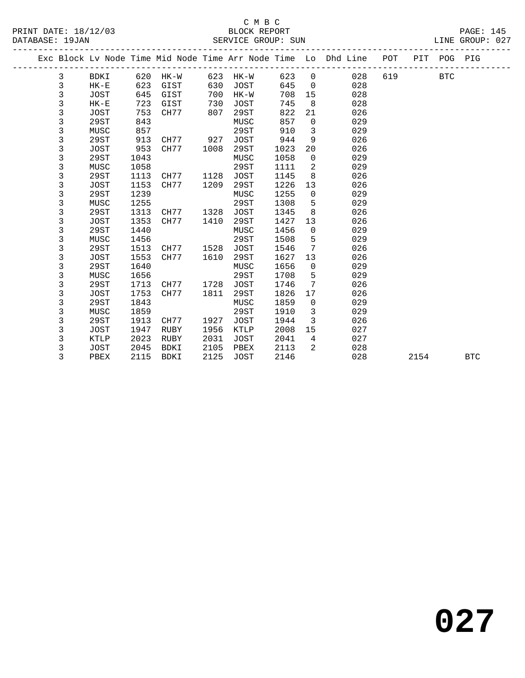#### C M B C<br>BLOCK REPORT PRINT DATE: 18/12/03 BLOCK REPORT PAGE: 145 SERVICE GROUP: SUN

|  |             |             |      |             |      |      |      |                 | Exc Block Lv Node Time Mid Node Time Arr Node Time Lo Dhd Line | POT |      | PIT POG PIG |            |
|--|-------------|-------------|------|-------------|------|------|------|-----------------|----------------------------------------------------------------|-----|------|-------------|------------|
|  | 3           | BDKI        | 620  | HK-W        | 623  | HK-W | 623  | $\mathbf{0}$    | 028                                                            | 619 |      | <b>BTC</b>  |            |
|  | 3           | $HK-E$      | 623  | GIST        | 630  | JOST | 645  | $\mathbf 0$     | 028                                                            |     |      |             |            |
|  | 3           | JOST        | 645  | GIST        | 700  | HK-W | 708  | 15              | 028                                                            |     |      |             |            |
|  | 3           | $HK-E$      | 723  | GIST        | 730  | JOST | 745  | 8               | 028                                                            |     |      |             |            |
|  | 3           | JOST        | 753  | CH77        | 807  | 29ST | 822  | 21              | 026                                                            |     |      |             |            |
|  | $\mathsf 3$ | 29ST        | 843  |             |      | MUSC | 857  | $\Omega$        | 029                                                            |     |      |             |            |
|  | 3           | MUSC        | 857  |             |      | 29ST | 910  | 3               | 029                                                            |     |      |             |            |
|  | 3           | 29ST        | 913  | CH77        | 927  | JOST | 944  | 9               | 026                                                            |     |      |             |            |
|  | 3           | <b>JOST</b> | 953  | CH77        | 1008 | 29ST | 1023 | 20              | 026                                                            |     |      |             |            |
|  | 3           | 29ST        | 1043 |             |      | MUSC | 1058 | $\mathbf 0$     | 029                                                            |     |      |             |            |
|  | 3           | MUSC        | 1058 |             |      | 29ST | 1111 | 2               | 029                                                            |     |      |             |            |
|  | 3           | 29ST        | 1113 | CH77        | 1128 | JOST | 1145 | 8               | 026                                                            |     |      |             |            |
|  | 3           | <b>JOST</b> | 1153 | CH77        | 1209 | 29ST | 1226 | 13              | 026                                                            |     |      |             |            |
|  | 3           | 29ST        | 1239 |             |      | MUSC | 1255 | $\mathbf 0$     | 029                                                            |     |      |             |            |
|  | 3           | MUSC        | 1255 |             |      | 29ST | 1308 | 5               | 029                                                            |     |      |             |            |
|  | 3           | 29ST        | 1313 | CH77        | 1328 | JOST | 1345 | 8               | 026                                                            |     |      |             |            |
|  | 3           | <b>JOST</b> | 1353 | CH77        | 1410 | 29ST | 1427 | 13              | 026                                                            |     |      |             |            |
|  | 3           | 29ST        | 1440 |             |      | MUSC | 1456 | $\mathbf 0$     | 029                                                            |     |      |             |            |
|  | 3           | MUSC        | 1456 |             |      | 29ST | 1508 | 5               | 029                                                            |     |      |             |            |
|  | 3           | 29ST        | 1513 | CH77        | 1528 | JOST | 1546 | $7\phantom{.0}$ | 026                                                            |     |      |             |            |
|  | 3           | <b>JOST</b> | 1553 | CH77        | 1610 | 29ST | 1627 | 13              | 026                                                            |     |      |             |            |
|  | 3           | 29ST        | 1640 |             |      | MUSC | 1656 | 0               | 029                                                            |     |      |             |            |
|  | 3           | MUSC        | 1656 |             |      | 29ST | 1708 | 5               | 029                                                            |     |      |             |            |
|  | 3           | 29ST        | 1713 | CH77        | 1728 | JOST | 1746 | 7               | 026                                                            |     |      |             |            |
|  | 3           | <b>JOST</b> | 1753 | CH77        | 1811 | 29ST | 1826 | 17              | 026                                                            |     |      |             |            |
|  | 3           | 29ST        | 1843 |             |      | MUSC | 1859 | $\mathbf{0}$    | 029                                                            |     |      |             |            |
|  | 3           | MUSC        | 1859 |             |      | 29ST | 1910 | $\mathbf{3}$    | 029                                                            |     |      |             |            |
|  | 3           | 29ST        | 1913 | CH77        | 1927 | JOST | 1944 | $\overline{3}$  | 026                                                            |     |      |             |            |
|  | 3           | <b>JOST</b> | 1947 | RUBY        | 1956 | KTLP | 2008 | 15              | 027                                                            |     |      |             |            |
|  | 3           | KTLP        | 2023 | <b>RUBY</b> | 2031 | JOST | 2041 | $\overline{4}$  | 027                                                            |     |      |             |            |
|  | 3           | <b>JOST</b> | 2045 | <b>BDKI</b> | 2105 | PBEX | 2113 | 2               | 028                                                            |     |      |             |            |
|  | 3           | PBEX        | 2115 | <b>BDKI</b> | 2125 | JOST | 2146 |                 | 028                                                            |     | 2154 |             | <b>BTC</b> |
|  |             |             |      |             |      |      |      |                 |                                                                |     |      |             |            |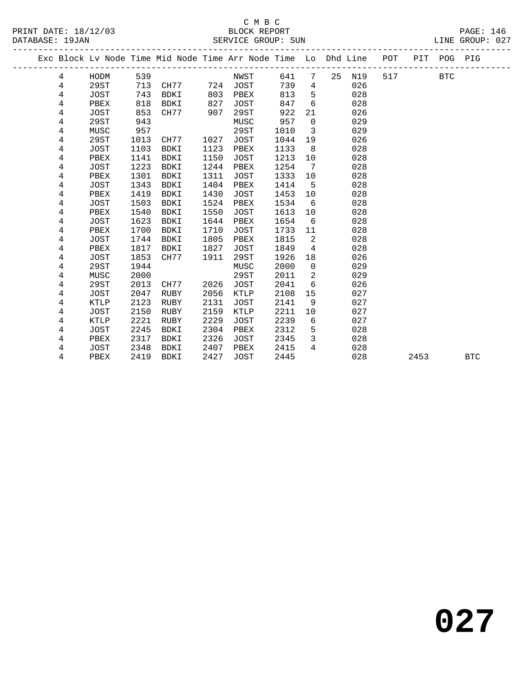#### C M B C<br>BLOCK REPORT SERVICE GROUP: SUN

|                |             |      |                   |      |      |      |                         |                                                                                |         | PAGE: 146<br>LINE GROUP: 027 |
|----------------|-------------|------|-------------------|------|------|------|-------------------------|--------------------------------------------------------------------------------|---------|------------------------------|
|                |             |      |                   |      |      |      |                         | Exc Block Lv Node Time Mid Node Time Arr Node Time Lo Dhd Line POT PIT POG PIG |         |                              |
| $\overline{4}$ |             |      |                   |      |      |      |                         | HODM 539 NWST 641 7 25 N19                                                     | 517 BTC |                              |
| 4              | 29ST        |      | 713 CH77 724 JOST |      |      |      |                         | 739 4<br>026                                                                   |         |                              |
| $\overline{4}$ | JOST        |      | 743 BDKI          | 803  | PBEX | 813  |                         | 5 <sub>1</sub><br>028                                                          |         |                              |
| 4              | PBEX        | 818  | BDKI              | 827  | JOST | 847  |                         | $6\overline{}$<br>028                                                          |         |                              |
| 4              | JOST        | 853  | CH77 907          |      | 29ST | 922  | 21                      | 026                                                                            |         |                              |
| $\overline{4}$ | 29ST        | 943  |                   |      | MUSC | 957  | $\overline{0}$          | 029                                                                            |         |                              |
| 4              | MUSC        | 957  |                   |      | 29ST | 1010 | $\overline{\mathbf{3}}$ | 029                                                                            |         |                              |
| 4              | 29ST        |      | 1013 CH77 1027    |      | JOST | 1044 |                         | 19<br>026                                                                      |         |                              |
| 4              | JOST        | 1103 | BDKI              | 1123 | PBEX | 1133 |                         | 028<br>$8 \overline{)}$                                                        |         |                              |
| 4              | PBEX        | 1141 | BDKI              | 1150 | JOST | 1213 | 10                      | 028                                                                            |         |                              |
| $\overline{4}$ | JOST        | 1223 | BDKI              | 1244 | PBEX | 1254 | $\overline{7}$          | 028                                                                            |         |                              |
| 4              | PBEX        | 1301 | BDKI              | 1311 | JOST | 1333 | 10                      | 028                                                                            |         |                              |
| 4              | JOST        | 1343 | BDKI              | 1404 | PBEX | 1414 | $-5$                    | 028                                                                            |         |                              |
| 4              | PBEX        | 1419 | BDKI              | 1430 | JOST | 1453 | 10                      | 028                                                                            |         |                              |
| 4              | JOST        | 1503 | BDKI              | 1524 | PBEX | 1534 | 6                       | 028                                                                            |         |                              |
| $\overline{4}$ | PBEX        | 1540 | BDKI              | 1550 | JOST | 1613 | 10                      | 028                                                                            |         |                              |
| 4              | JOST        | 1623 | BDKI              | 1644 | PBEX | 1654 | 6                       | 028                                                                            |         |                              |
| 4              | PBEX        | 1700 | BDKI              | 1710 | JOST | 1733 | 11                      | 028                                                                            |         |                              |
| 4              | JOST        | 1744 | BDKI              | 1805 | PBEX | 1815 | $\overline{2}$          | 028                                                                            |         |                              |
| 4              | PBEX        | 1817 | BDKI              | 1827 | JOST | 1849 | $4\overline{4}$         | 028                                                                            |         |                              |
| $\overline{4}$ | JOST        | 1853 | CH77              | 1911 | 29ST | 1926 | 18                      | 026                                                                            |         |                              |
| 4              | 29ST        | 1944 |                   |      | MUSC | 2000 | $\overline{0}$          | 029                                                                            |         |                              |
| 4              | MUSC        | 2000 |                   |      | 29ST | 2011 | 2                       | 029                                                                            |         |                              |
| 4              | 29ST        | 2013 | CH77              | 2026 | JOST | 2041 | 6                       | 026                                                                            |         |                              |
| 4              | <b>JOST</b> | 2047 | RUBY              | 2056 | KTLP | 2108 | 15                      | 027                                                                            |         |                              |
| $\overline{4}$ | KTLP        | 2123 | RUBY              | 2131 | JOST | 2141 | 9                       | 027                                                                            |         |                              |
| 4              | JOST        | 2150 | RUBY              | 2159 | KTLP | 2211 |                         | 10<br>027                                                                      |         |                              |
| 4              | KTLP        | 2221 | RUBY              | 2229 | JOST | 2239 |                         | $6\overline{6}$<br>027                                                         |         |                              |
| 4              | <b>JOST</b> |      | 2245 BDKI         | 2304 | PBEX | 2312 | 5                       | 028                                                                            |         |                              |

 4 PBEX 2317 BDKI 2326 JOST 2345 3 028 4 JOST 2348 BDKI 2407 PBEX 2415 4 028

4 PBEX 2419 BDKI 2427 JOST 2445 028 2453 BTC

**027**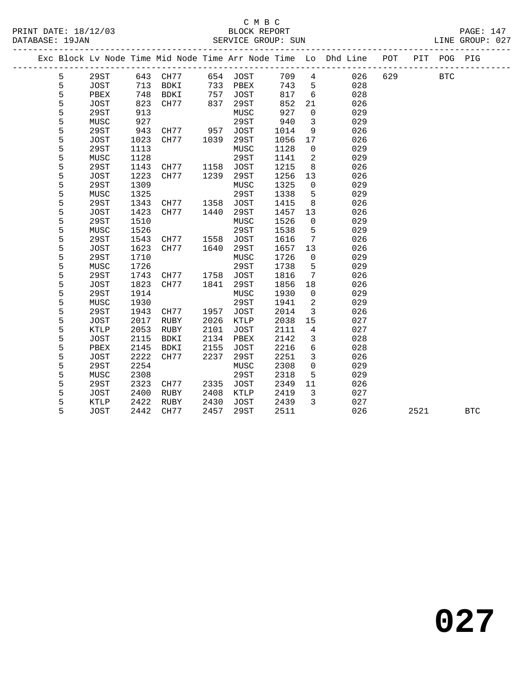#### C M B C<br>BLOCK REPORT PRINT DATE: 18/12/03 BLOCK REPORT PAGE: 147 SERVICE GROUP: SUN

|  |   |             |      | Exc Block Lv Node Time Mid Node Time Arr Node Time Lo Dhd Line POT<br>___________________________ |                 |             | --------- |      |                 |     |     |      | PIT POG PIG |            |  |
|--|---|-------------|------|---------------------------------------------------------------------------------------------------|-----------------|-------------|-----------|------|-----------------|-----|-----|------|-------------|------------|--|
|  | 5 | 29ST        |      | 643 CH77                                                                                          |                 | 654 JOST    |           | 709  | $\overline{4}$  | 026 | 629 |      | <b>BTC</b>  |            |  |
|  | 5 | JOST        | 713  | BDKI                                                                                              |                 | 733 PBEX    |           | 743  | 5               | 028 |     |      |             |            |  |
|  | 5 | PBEX        | 748  | BDKI                                                                                              | $\frac{1}{757}$ | JOST        |           | 817  | $6\overline{6}$ | 028 |     |      |             |            |  |
|  | 5 | JOST        | 823  | CH77                                                                                              | 837             | 29ST        |           | 852  | 21              | 026 |     |      |             |            |  |
|  | 5 | 29ST        | 913  |                                                                                                   |                 | MUSC        |           | 927  | $\mathbf 0$     | 029 |     |      |             |            |  |
|  | 5 | MUSC        | 927  |                                                                                                   |                 | 29ST        |           | 940  | $\overline{3}$  | 029 |     |      |             |            |  |
|  | 5 | 29ST        | 943  | CH77 957                                                                                          |                 | JOST        |           | 1014 | 9               | 026 |     |      |             |            |  |
|  | 5 | JOST        | 1023 | CH77                                                                                              | 1039            | 29ST        |           | 1056 | 17              | 026 |     |      |             |            |  |
|  | 5 | 29ST        | 1113 |                                                                                                   |                 | MUSC        |           | 1128 | $\overline{0}$  | 029 |     |      |             |            |  |
|  | 5 | MUSC        | 1128 |                                                                                                   |                 | 29ST        |           | 1141 | $\overline{2}$  | 029 |     |      |             |            |  |
|  | 5 | 29ST        | 1143 | CH77                                                                                              | 1158            | <b>JOST</b> |           | 1215 | 8               | 026 |     |      |             |            |  |
|  | 5 | JOST        | 1223 | CH77                                                                                              | 1239            | 29ST        |           | 1256 | 13              | 026 |     |      |             |            |  |
|  | 5 | 29ST        | 1309 |                                                                                                   |                 | MUSC        |           | 1325 | $\overline{0}$  | 029 |     |      |             |            |  |
|  | 5 | MUSC        | 1325 |                                                                                                   |                 | 29ST        |           | 1338 | $5\phantom{.0}$ | 029 |     |      |             |            |  |
|  | 5 | 29ST        | 1343 | CH77 1358                                                                                         |                 | JOST        |           | 1415 | 8               | 026 |     |      |             |            |  |
|  | 5 | JOST        | 1423 | CH77                                                                                              | 1440            | 29ST        |           | 1457 | 13              | 026 |     |      |             |            |  |
|  | 5 | 29ST        | 1510 |                                                                                                   |                 | MUSC        |           | 1526 | $\mathbf 0$     | 029 |     |      |             |            |  |
|  | 5 | MUSC        | 1526 |                                                                                                   |                 | 29ST        |           | 1538 | 5               | 029 |     |      |             |            |  |
|  | 5 | 29ST        | 1543 | CH77                                                                                              |                 | 1558 JOST   |           | 1616 | $7\overline{ }$ | 026 |     |      |             |            |  |
|  | 5 | JOST        | 1623 | CH77                                                                                              | 1640            | 29ST        |           | 1657 | 13              | 026 |     |      |             |            |  |
|  | 5 | 29ST        | 1710 |                                                                                                   |                 | MUSC        |           | 1726 | $\overline{0}$  | 029 |     |      |             |            |  |
|  | 5 | MUSC        | 1726 |                                                                                                   |                 | 29ST        |           | 1738 | 5               | 029 |     |      |             |            |  |
|  | 5 | 29ST        | 1743 | CH77                                                                                              | 1758            | JOST        |           | 1816 | 7               | 026 |     |      |             |            |  |
|  | 5 | JOST        | 1823 | CH77                                                                                              | 1841            | 29ST        |           | 1856 | 18              | 026 |     |      |             |            |  |
|  | 5 | 29ST        | 1914 |                                                                                                   |                 | MUSC        |           | 1930 | $\overline{0}$  | 029 |     |      |             |            |  |
|  | 5 | MUSC        | 1930 |                                                                                                   |                 | 29ST        |           | 1941 | 2               | 029 |     |      |             |            |  |
|  | 5 | 29ST        | 1943 | CH77                                                                                              | 1957            | JOST        |           | 2014 | $\overline{3}$  | 026 |     |      |             |            |  |
|  | 5 | JOST        | 2017 | RUBY                                                                                              | 2026            | KTLP        |           | 2038 | 15              | 027 |     |      |             |            |  |
|  | 5 | KTLP        | 2053 | RUBY                                                                                              | 2101            | JOST        |           | 2111 | $\overline{4}$  | 027 |     |      |             |            |  |
|  | 5 | <b>JOST</b> | 2115 | BDKI                                                                                              | 2134            | PBEX        |           | 2142 | $\mathbf{3}$    | 028 |     |      |             |            |  |
|  | 5 | PBEX        | 2145 | BDKI                                                                                              | 2155            | JOST        |           | 2216 | $6\overline{6}$ | 028 |     |      |             |            |  |
|  | 5 | JOST        | 2222 | CH77                                                                                              | 2237            | 29ST        |           | 2251 | $\mathbf{3}$    | 026 |     |      |             |            |  |
|  | 5 | 29ST        | 2254 |                                                                                                   |                 | MUSC        |           | 2308 | $\mathbf 0$     | 029 |     |      |             |            |  |
|  | 5 | MUSC        | 2308 |                                                                                                   |                 | 29ST        |           | 2318 | 5               | 029 |     |      |             |            |  |
|  | 5 | 29ST        | 2323 | CH77                                                                                              | 2335            | JOST        |           | 2349 | 11              | 026 |     |      |             |            |  |
|  | 5 | JOST        | 2400 | RUBY                                                                                              | 2408            | KTLP        |           | 2419 | $\overline{3}$  | 027 |     |      |             |            |  |
|  | 5 | KTLP        | 2422 | RUBY                                                                                              | 2430            | JOST        |           | 2439 | $\overline{3}$  | 027 |     |      |             |            |  |
|  | 5 | JOST        | 2442 | CH77                                                                                              | 2457            | 29ST        |           | 2511 |                 | 026 |     | 2521 |             | <b>BTC</b> |  |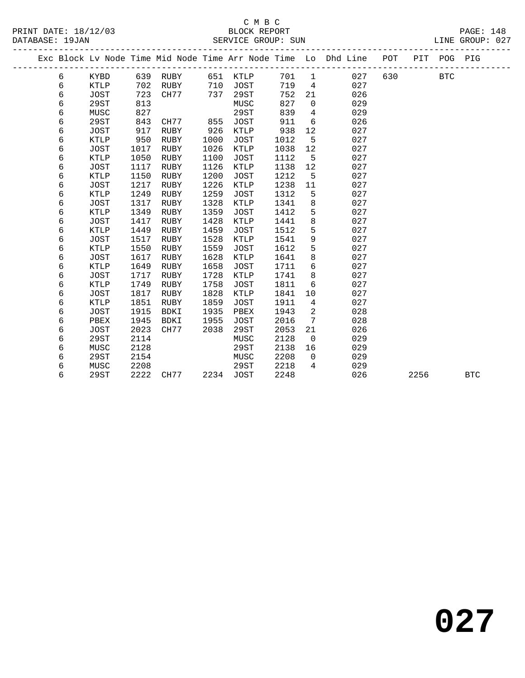#### C M B C<br>BLOCK REPORT PRINT DATE: 18/12/03 BLOCK REPORT PAGE: 148 SERVICE GROUP: SUN

|  |   |             |      |             |      |             |      |                | Exc Block Lv Node Time Mid Node Time Arr Node Time Lo Dhd Line | POT |      | PIT POG PIG |            |
|--|---|-------------|------|-------------|------|-------------|------|----------------|----------------------------------------------------------------|-----|------|-------------|------------|
|  | 6 | KYBD        | 639  | RUBY        | 651  | KTLP        | 701  | $\mathbf{1}$   | 027                                                            | 630 |      | <b>BTC</b>  |            |
|  | 6 | <b>KTLP</b> | 702  | RUBY        | 710  | <b>JOST</b> | 719  | $\overline{4}$ | 027                                                            |     |      |             |            |
|  | 6 | <b>JOST</b> | 723  | CH77        | 737  | 29ST        | 752  | 21             | 026                                                            |     |      |             |            |
|  | 6 | 29ST        | 813  |             |      | MUSC        | 827  | $\mathbf 0$    | 029                                                            |     |      |             |            |
|  | 6 | MUSC        | 827  |             |      | 29ST        | 839  | 4              | 029                                                            |     |      |             |            |
|  | 6 | 29ST        | 843  | CH77        | 855  | <b>JOST</b> | 911  | 6              | 026                                                            |     |      |             |            |
|  | 6 | <b>JOST</b> | 917  | RUBY        | 926  | <b>KTLP</b> | 938  | 12             | 027                                                            |     |      |             |            |
|  | 6 | KTLP        | 950  | RUBY        | 1000 | <b>JOST</b> | 1012 | 5              | 027                                                            |     |      |             |            |
|  | 6 | JOST        | 1017 | RUBY        | 1026 | KTLP        | 1038 | 12             | 027                                                            |     |      |             |            |
|  | 6 | <b>KTLP</b> | 1050 | RUBY        | 1100 | <b>JOST</b> | 1112 | 5              | 027                                                            |     |      |             |            |
|  | 6 | JOST        | 1117 | RUBY        | 1126 | <b>KTLP</b> | 1138 | 12             | 027                                                            |     |      |             |            |
|  | 6 | KTLP        | 1150 | RUBY        | 1200 | <b>JOST</b> | 1212 | 5              | 027                                                            |     |      |             |            |
|  | 6 | JOST        | 1217 | RUBY        | 1226 | KTLP        | 1238 | 11             | 027                                                            |     |      |             |            |
|  | 6 | KTLP        | 1249 | RUBY        | 1259 | JOST        | 1312 | 5              | 027                                                            |     |      |             |            |
|  | 6 | JOST        | 1317 | RUBY        | 1328 | <b>KTLP</b> | 1341 | 8              | 027                                                            |     |      |             |            |
|  | 6 | <b>KTLP</b> | 1349 | RUBY        | 1359 | <b>JOST</b> | 1412 | 5              | 027                                                            |     |      |             |            |
|  | 6 | <b>JOST</b> | 1417 | RUBY        | 1428 | <b>KTLP</b> | 1441 | 8              | 027                                                            |     |      |             |            |
|  | 6 | <b>KTLP</b> | 1449 | RUBY        | 1459 | <b>JOST</b> | 1512 | 5              | 027                                                            |     |      |             |            |
|  | 6 | <b>JOST</b> | 1517 | RUBY        | 1528 | KTLP        | 1541 | 9              | 027                                                            |     |      |             |            |
|  | 6 | KTLP        | 1550 | RUBY        | 1559 | <b>JOST</b> | 1612 | 5              | 027                                                            |     |      |             |            |
|  | 6 | <b>JOST</b> | 1617 | RUBY        | 1628 | KTLP        | 1641 | 8              | 027                                                            |     |      |             |            |
|  | 6 | <b>KTLP</b> | 1649 | RUBY        | 1658 | <b>JOST</b> | 1711 | 6              | 027                                                            |     |      |             |            |
|  | 6 | <b>JOST</b> | 1717 | RUBY        | 1728 | <b>KTLP</b> | 1741 | 8              | 027                                                            |     |      |             |            |
|  | 6 | KTLP        | 1749 | RUBY        | 1758 | <b>JOST</b> | 1811 | 6              | 027                                                            |     |      |             |            |
|  | 6 | <b>JOST</b> | 1817 | RUBY        | 1828 | KTLP        | 1841 | 10             | 027                                                            |     |      |             |            |
|  | 6 | KTLP        | 1851 | RUBY        | 1859 | JOST        | 1911 | 4              | 027                                                            |     |      |             |            |
|  | 6 | <b>JOST</b> | 1915 | <b>BDKI</b> | 1935 | PBEX        | 1943 | 2              | 028                                                            |     |      |             |            |
|  | 6 | PBEX        | 1945 | <b>BDKI</b> | 1955 | <b>JOST</b> | 2016 | 7              | 028                                                            |     |      |             |            |
|  | 6 | <b>JOST</b> | 2023 | CH77        | 2038 | 29ST        | 2053 | 21             | 026                                                            |     |      |             |            |
|  | 6 | 29ST        | 2114 |             |      | MUSC        | 2128 | $\mathbf 0$    | 029                                                            |     |      |             |            |
|  | 6 | MUSC        | 2128 |             |      | 29ST        | 2138 | 16             | 029                                                            |     |      |             |            |
|  | 6 | 29ST        | 2154 |             |      | MUSC        | 2208 | $\mathbf 0$    | 029                                                            |     |      |             |            |
|  | 6 | MUSC        | 2208 |             |      | 29ST        | 2218 | 4              | 029                                                            |     |      |             |            |
|  | 6 | 29ST        | 2222 | CH77        | 2234 | <b>JOST</b> | 2248 |                | 026                                                            |     | 2256 |             | <b>BTC</b> |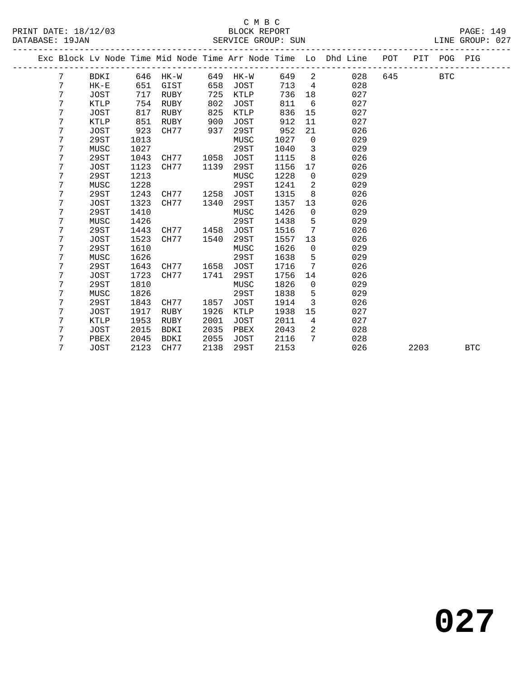# C M B C

| יחת מהיה ל |  |  |  |
|------------|--|--|--|

| DATABASE: 19JAN |   |             |      |             |      | SERVICE GROUP: SUN |      |                |                                                                                |     |      |            | LINE GROUP: 027 |  |
|-----------------|---|-------------|------|-------------|------|--------------------|------|----------------|--------------------------------------------------------------------------------|-----|------|------------|-----------------|--|
|                 |   |             |      |             |      |                    |      |                | Exc Block Lv Node Time Mid Node Time Arr Node Time Lo Dhd Line POT PIT POG PIG |     |      |            |                 |  |
|                 | 7 | BDKI        |      | 646 HK-W    | 649  | HK-W               | 649  | $\overline{2}$ | 028                                                                            | 645 |      | <b>BTC</b> |                 |  |
|                 | 7 | $HK - E$    | 651  | GIST        | 658  | JOST               | 713  | $\overline{4}$ | 028                                                                            |     |      |            |                 |  |
|                 | 7 | <b>JOST</b> | 717  | RUBY        | 725  | KTLP               | 736  | 18             | 027                                                                            |     |      |            |                 |  |
|                 | 7 | KTLP        | 754  | RUBY        | 802  | JOST               | 811  | 6              | 027                                                                            |     |      |            |                 |  |
|                 | 7 | <b>JOST</b> | 817  | RUBY        | 825  | KTLP               | 836  | 15             | 027                                                                            |     |      |            |                 |  |
|                 | 7 | KTLP        | 851  | RUBY        | 900  | <b>JOST</b>        | 912  | 11             | 027                                                                            |     |      |            |                 |  |
|                 | 7 | <b>JOST</b> | 923  | CH77        | 937  | 29ST               | 952  | 21             | 026                                                                            |     |      |            |                 |  |
|                 | 7 | 29ST        | 1013 |             |      | MUSC               | 1027 | $\mathbf 0$    | 029                                                                            |     |      |            |                 |  |
|                 | 7 | MUSC        | 1027 |             |      | 29ST               | 1040 | $\overline{3}$ | 029                                                                            |     |      |            |                 |  |
|                 | 7 | 29ST        | 1043 | CH77        | 1058 | <b>JOST</b>        | 1115 | 8              | 026                                                                            |     |      |            |                 |  |
|                 | 7 | <b>JOST</b> | 1123 | CH77        | 1139 | 29ST               | 1156 | 17             | 026                                                                            |     |      |            |                 |  |
|                 | 7 | 29ST        | 1213 |             |      | MUSC               | 1228 | $\mathbf 0$    | 029                                                                            |     |      |            |                 |  |
|                 | 7 | MUSC        | 1228 |             |      | 29ST               | 1241 | $\overline{a}$ | 029                                                                            |     |      |            |                 |  |
|                 | 7 | 29ST        | 1243 | CH77        | 1258 | <b>JOST</b>        | 1315 | 8              | 026                                                                            |     |      |            |                 |  |
|                 | 7 | JOST        | 1323 | CH77        | 1340 | 29ST               | 1357 | 13             | 026                                                                            |     |      |            |                 |  |
|                 | 7 | 29ST        | 1410 |             |      | MUSC               | 1426 | $\mathbf 0$    | 029                                                                            |     |      |            |                 |  |
|                 | 7 | MUSC        | 1426 |             |      | 29ST               | 1438 | 5              | 029                                                                            |     |      |            |                 |  |
|                 | 7 | 29ST        | 1443 | CH77        | 1458 | JOST               | 1516 | 7              | 026                                                                            |     |      |            |                 |  |
|                 | 7 | <b>JOST</b> | 1523 | CH77        | 1540 | 29ST               | 1557 | 13             | 026                                                                            |     |      |            |                 |  |
|                 | 7 | 29ST        | 1610 |             |      | MUSC               | 1626 | $\mathbf 0$    | 029                                                                            |     |      |            |                 |  |
|                 | 7 | MUSC        | 1626 |             |      | 29ST               | 1638 | 5              | 029                                                                            |     |      |            |                 |  |
|                 | 7 | 29ST        | 1643 | CH77        | 1658 | JOST               | 1716 | 7              | 026                                                                            |     |      |            |                 |  |
|                 | 7 | <b>JOST</b> | 1723 | CH77        | 1741 | 29ST               | 1756 | 14             | 026                                                                            |     |      |            |                 |  |
|                 | 7 | 29ST        | 1810 |             |      | MUSC               | 1826 | 0              | 029                                                                            |     |      |            |                 |  |
|                 | 7 | MUSC        | 1826 |             |      | 29ST               | 1838 | 5              | 029                                                                            |     |      |            |                 |  |
|                 | 7 | 29ST        | 1843 | CH77        | 1857 | <b>JOST</b>        | 1914 | $\overline{3}$ | 026                                                                            |     |      |            |                 |  |
|                 | 7 | <b>JOST</b> | 1917 | <b>RUBY</b> | 1926 | <b>KTLP</b>        | 1938 | 15             | 027                                                                            |     |      |            |                 |  |
|                 | 7 | <b>KTLP</b> | 1953 | <b>RUBY</b> | 2001 | <b>JOST</b>        | 2011 | 4              | 027                                                                            |     |      |            |                 |  |
|                 | 7 | <b>JOST</b> | 2015 | <b>BDKI</b> | 2035 | PBEX               | 2043 | $\overline{2}$ | 028                                                                            |     |      |            |                 |  |
|                 | 7 | PBEX        | 2045 | <b>BDKI</b> | 2055 | JOST               | 2116 | 7              | 028                                                                            |     |      |            |                 |  |
|                 | 7 | <b>JOST</b> | 2123 | CH77        | 2138 | <b>29ST</b>        | 2153 |                | 026                                                                            |     | 2203 |            | <b>BTC</b>      |  |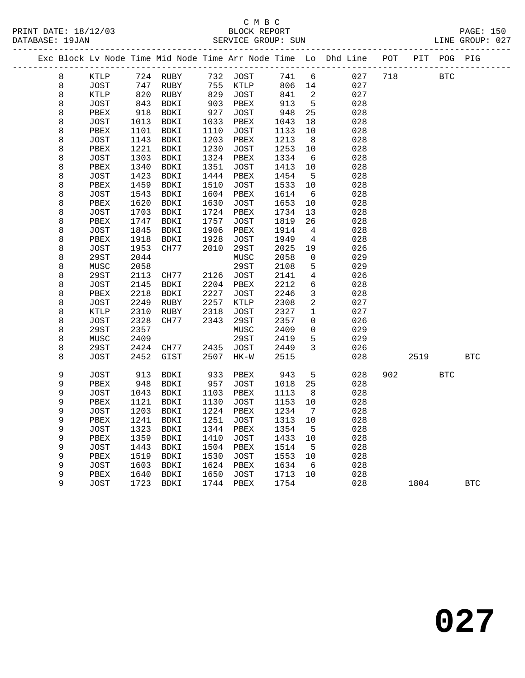| PRINT DATE: 18/12/03 | $\sim$ $\sim$ | BLOCK REPORT | $\texttt{PAGE}$ : | 150 |
|----------------------|---------------|--------------|-------------------|-----|
|                      |               |              |                   |     |

|  | DATABASE: 19JAN |              |              |                                                                                |      | SERVICE GROUP: SUN |              |                     | LINE GROUP: 027 |         |            |            |            |  |
|--|-----------------|--------------|--------------|--------------------------------------------------------------------------------|------|--------------------|--------------|---------------------|-----------------|---------|------------|------------|------------|--|
|  |                 |              |              | Exc Block Lv Node Time Mid Node Time Arr Node Time Lo Dhd Line POT PIT POG PIG |      |                    |              |                     |                 |         |            |            |            |  |
|  | 8               |              |              | KTLP 724 RUBY 732 JOST 741 6                                                   |      |                    |              |                     |                 | 027 718 | <b>BTC</b> |            |            |  |
|  | 8               | JOST         | 747          |                                                                                |      | RUBY 755 KTLP      | 806 14       |                     | 027             |         |            |            |            |  |
|  | 8               | KTLP         | 820          | RUBY                                                                           | 829  | JOST               | 841          | $\overline{2}$      | 027             |         |            |            |            |  |
|  | 8               | JOST         | 843<br>918   | BDKI                                                                           | 903  | PBEX               | 913          | $5^{\circ}$         | 028             |         |            |            |            |  |
|  | 8               | PBEX         |              | BDKI                                                                           | 927  | JOST               | 948          | 25                  | 028             |         |            |            |            |  |
|  | 8               | JOST         | 1013         | BDKI                                                                           | 1033 | PBEX               | 1043         | 18                  | 028             |         |            |            |            |  |
|  | 8               | PBEX         | 1101         | BDKI                                                                           | 1110 | JOST               | 1133         | $10\,$              | 028             |         |            |            |            |  |
|  | 8               | JOST         | 1143         | BDKI                                                                           | 1203 | PBEX               | 1213         | 8 <sup>8</sup>      | 028             |         |            |            |            |  |
|  | 8               | PBEX         | 1221         | BDKI                                                                           | 1230 | JOST               | 1253         | 10                  | 028             |         |            |            |            |  |
|  | 8               | JOST         | 1303         | BDKI                                                                           | 1324 | PBEX               | 1334         | $6\overline{6}$     | 028             |         |            |            |            |  |
|  | 8               | PBEX         | 1340         | BDKI                                                                           | 1351 | JOST               | 1413         | 10                  | 028             |         |            |            |            |  |
|  | 8               | JOST         | 1423         | BDKI                                                                           | 1444 | PBEX               | 1454         | $5^{\circ}$         | 028             |         |            |            |            |  |
|  | 8               | PBEX         | 1459         | BDKI                                                                           | 1510 | JOST               | 1533         | 10                  | 028             |         |            |            |            |  |
|  | 8               | JOST         | 1543         | BDKI                                                                           | 1604 | PBEX               | 1614         | $6\overline{6}$     | 028             |         |            |            |            |  |
|  | 8               | PBEX         | 1620         | BDKI                                                                           | 1630 | JOST               | 1653         | 10                  | 028             |         |            |            |            |  |
|  | 8               | JOST         | 1703         | BDKI                                                                           | 1724 | PBEX               | 1734         | 13                  | 028             |         |            |            |            |  |
|  | 8               | PBEX         | 1747         | BDKI                                                                           | 1757 | JOST               | 1819         | 26                  | 028             |         |            |            |            |  |
|  | 8               | JOST         | 1845         | BDKI                                                                           | 1906 | PBEX               | 1914         | $\overline{4}$      | 028             |         |            |            |            |  |
|  | 8               | PBEX         | 1918         | BDKI                                                                           | 1928 | JOST               | 1949         | $\overline{4}$      | 028             |         |            |            |            |  |
|  | 8               | JOST         | 1953         | CH77                                                                           | 2010 | 29ST               | 2025         | 19                  | 026             |         |            |            |            |  |
|  | 8               | 29ST         | 2044<br>2058 |                                                                                |      | MUSC<br>29ST       | 2058<br>2108 | $\mathbf 0$         | 029<br>029      |         |            |            |            |  |
|  | 8               | MUSC<br>29ST | 2113         | CH77                                                                           | 2126 | JOST               | 2141         | 5<br>$\overline{4}$ | 026             |         |            |            |            |  |
|  | 8<br>8          | JOST         | 2145         | BDKI                                                                           | 2204 | PBEX               | 2212         | 6                   | 028             |         |            |            |            |  |
|  | 8               | PBEX         | 2218         | BDKI                                                                           | 2227 | JOST               | 2246         | $\mathbf{3}$        | 028             |         |            |            |            |  |
|  | 8               | JOST         | 2249         | RUBY                                                                           | 2257 | KTLP               | 2308         | 2                   | 027             |         |            |            |            |  |
|  | 8               | KTLP         | 2310         | RUBY                                                                           | 2318 | JOST               | 2327         | $\mathbf{1}$        | 027             |         |            |            |            |  |
|  | 8               | JOST         | 2328         | CH77                                                                           | 2343 | 29ST               | 2357         | $\mathbf{0}$        | 026             |         |            |            |            |  |
|  | 8               | 29ST         | 2357         |                                                                                |      | MUSC               | 2409         | $\overline{0}$      | 029             |         |            |            |            |  |
|  | 8               | MUSC         | 2409         |                                                                                |      | 29ST               | 2419         | 5                   | 029             |         |            |            |            |  |
|  | 8               | 29ST         | 2424         | CH77                                                                           | 2435 | JOST               | 2449         | $\overline{3}$      | 026             |         |            |            |            |  |
|  | 8               | JOST         | 2452         | GIST                                                                           | 2507 | HK-W               | 2515         |                     | 028             |         | 2519       |            | <b>BTC</b> |  |
|  | 9               | JOST         | 913          | BDKI                                                                           | 933  | PBEX               | 943          | $5^{\circ}$         | 028             |         | 902 200    | <b>BTC</b> |            |  |
|  | 9               | PBEX         | 948          | BDKI                                                                           | 957  | JOST               | 1018         | 25                  | 028             |         |            |            |            |  |
|  | 9               | JOST         | 1043         | BDKI                                                                           | 1103 | PBEX               | 1113         | 8                   | 028             |         |            |            |            |  |
|  | 9               | PBEX         | 1121         | BDKI                                                                           | 1130 | JOST               | 1153         | 10                  | 028             |         |            |            |            |  |
|  | 9               | JOST         |              | 1203 BDKI                                                                      |      | 1224 PBEX          | 1234         | $\overline{7}$      | 028             |         |            |            |            |  |
|  | 9               |              |              | PBEX 1241 BDKI 1251 JOST 1313 10                                               |      |                    |              |                     | 028             |         |            |            |            |  |
|  | 9               | JOST         | 1323         | BDKI                                                                           | 1344 | PBEX               | 1354         | 5                   | 028             |         |            |            |            |  |
|  | 9               | PBEX         | 1359         | BDKI                                                                           | 1410 | <b>JOST</b>        | 1433         | 10                  | 028             |         |            |            |            |  |
|  | 9               | <b>JOST</b>  | 1443         | BDKI                                                                           | 1504 | PBEX               | 1514         | $-5$                | 028             |         |            |            |            |  |
|  | 9               | PBEX         | 1519         | BDKI                                                                           | 1530 | <b>JOST</b>        | 1553         | 10                  | 028             |         |            |            |            |  |
|  | 9               | <b>JOST</b>  | 1603         | BDKI                                                                           | 1624 | PBEX               | 1634         | 6                   | 028             |         |            |            |            |  |
|  | 9               | ${\tt PBEX}$ | 1640         | BDKI                                                                           | 1650 | JOST               | 1713         | 10                  | 028             |         |            |            |            |  |
|  | 9               | <b>JOST</b>  | 1723         | BDKI                                                                           | 1744 | PBEX               | 1754         |                     | 028             |         | 1804       |            | <b>BTC</b> |  |
|  |                 |              |              |                                                                                |      |                    |              |                     |                 |         |            |            |            |  |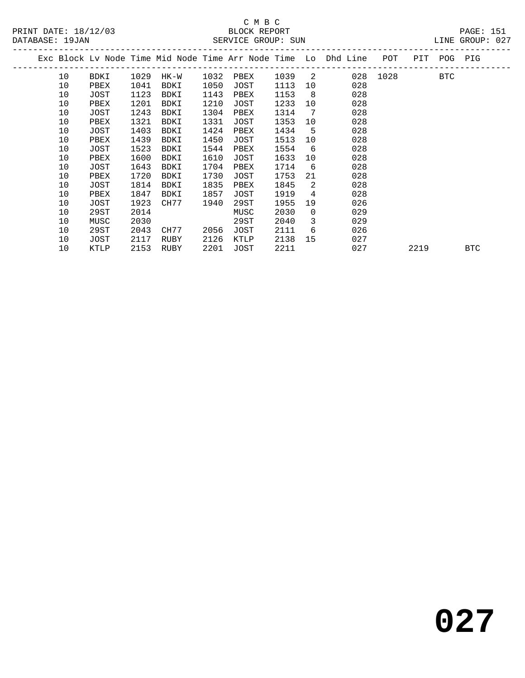PRINT DATE: 18/12/03 BLOCK REPORT PAGE: 151 DATABASE: 19JAN

# C M B C<br>BLOCK REPORT

| DATABASE: 19JAN |      |      |           |      | SERVICE GROUP: SUN |        |     |                                                                    |          |             | LINE GROUP: 027 |  |
|-----------------|------|------|-----------|------|--------------------|--------|-----|--------------------------------------------------------------------|----------|-------------|-----------------|--|
|                 |      |      |           |      |                    |        |     | Exc Block Lv Node Time Mid Node Time Arr Node Time Lo Dhd Line POT |          | PIT POG PIG |                 |  |
| 10              | BDKI | 1029 | HK-W      | 1032 | PBEX               | 1039 2 |     |                                                                    | 028 1028 | BTC         |                 |  |
| 10              | PBEX | 1041 | BDKI      | 1050 | JOST               | 1113   | 10  | 028                                                                |          |             |                 |  |
| 10              | JOST | 1123 | BDKI      | 1143 | PBEX               | 1153   | - 8 | 028                                                                |          |             |                 |  |
| 10              | PBEX | 1201 | BDKI      | 1210 | JOST               | 1233   | 10  | 028                                                                |          |             |                 |  |
| 10              | JOST | 1243 | BDKI      | 1304 | PBEX               | 1314   | 7   | 028                                                                |          |             |                 |  |
| 10              | PBEX | 1321 | BDKI      | 1331 | JOST               | 1353   | 10  | 028                                                                |          |             |                 |  |
| 10              | JOST | 1403 | BDKI      | 1424 | PBEX               | 1434   | 5   | 028                                                                |          |             |                 |  |
| 10              | PBEX | 1439 | BDKI      | 1450 | JOST               | 1513   | 10  | 028                                                                |          |             |                 |  |
| 10              | JOST | 1523 | BDKI      | 1544 | PBEX               | 1554   | 6   | 028                                                                |          |             |                 |  |
| 10              | PBEX | 1600 | BDKI      | 1610 | JOST               | 1633   | 10  | 028                                                                |          |             |                 |  |
| 10              | JOST | 1643 | BDKI      | 1704 | PBEX               | 1714   | - 6 | 028                                                                |          |             |                 |  |
| 10              | PBEX | 1720 | BDKI      | 1730 | JOST               | 1753   | 21  | 028                                                                |          |             |                 |  |
| 10              | JOST |      | 1814 BDKI | 1835 | PBEX               | 1845   | 2   | 028                                                                |          |             |                 |  |
|                 |      |      |           |      |                    |        |     |                                                                    |          |             |                 |  |

10 KTLP 2153 RUBY 2201 JOST 2211 027 2219 BTC

 10 PBEX 1847 BDKI 1857 JOST 1919 4 028 10 JOST 1923 CH77 1940 29ST 1955 19 026 10 29ST 2014 MUSC 2030 0 029 10 MUSC 2030 29ST 2040 3 029 10 29ST 2043 CH77 2056 JOST 2111 6 026 10 JOST 2117 RUBY 2126 KTLP 2138 15 027

**027**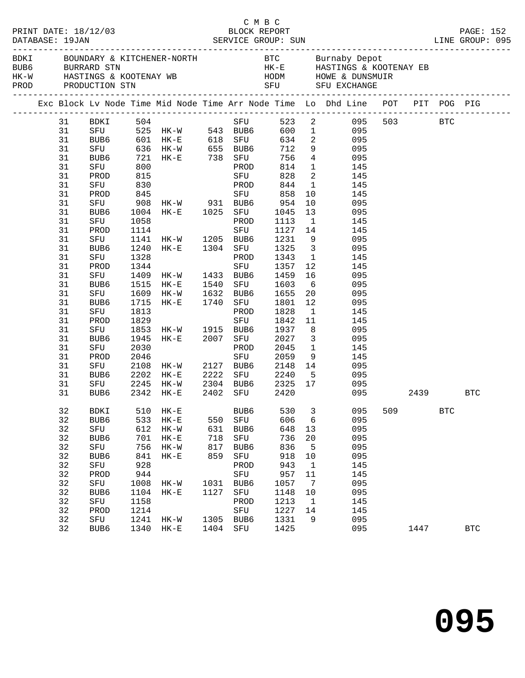|          |             |              |                                                                       |      | C M B C     |                                                           |                         |                                                                                                                                                                                                                                                      |     |      |            |            |  |
|----------|-------------|--------------|-----------------------------------------------------------------------|------|-------------|-----------------------------------------------------------|-------------------------|------------------------------------------------------------------------------------------------------------------------------------------------------------------------------------------------------------------------------------------------------|-----|------|------------|------------|--|
|          |             |              |                                                                       |      |             |                                                           |                         | ${\tt HK-W}\qquad\qquad {\tt HASTINGS\ \&\ KOOTENAY\ \ {\tt WB}\qquad\qquad {\tt HODM}\qquad\qquad {\tt HOWE\ \&\ DUNSMUIR}\nonumber\\ {\tt PROD}\qquad\qquad {\tt PRODUCTION\ \ {\tt STN}}\qquad\qquad {\tt SFU}\qquad\qquad {\tt SFU\ \ EXCHANGE}$ |     |      |            |            |  |
|          |             |              |                                                                       |      |             |                                                           |                         | Exc Block Lv Node Time Mid Node Time Arr Node Time Lo Dhd Line POT PIT POG PIG                                                                                                                                                                       |     |      |            |            |  |
| 31       |             |              |                                                                       |      |             |                                                           |                         |                                                                                                                                                                                                                                                      |     |      |            |            |  |
| 31       |             |              | BUB6 601 HK-E 618 SFU                                                 |      |             |                                                           |                         |                                                                                                                                                                                                                                                      |     |      |            |            |  |
| 31       |             |              |                                                                       |      |             |                                                           |                         | 634 2 095                                                                                                                                                                                                                                            |     |      |            |            |  |
| 31       |             |              | SFU 636 HK-W 655 BUB6 712                                             |      |             |                                                           |                         | 9 095                                                                                                                                                                                                                                                |     |      |            |            |  |
| 31       | BUB6        |              | BUB6 721 HK-E 738 SFU<br>SFU 800 PROD                                 |      |             | 756                                                       |                         | $\begin{array}{ccc} 4 & \hspace{1.5cm} & 095 \\ 1 & \hspace{1.5cm} & 145 \end{array}$                                                                                                                                                                |     |      |            |            |  |
| 31       |             |              |                                                                       |      |             | 814                                                       |                         |                                                                                                                                                                                                                                                      |     |      |            |            |  |
| 31       | PROD        | 815          |                                                                       |      | SFU         | 828                                                       |                         | 2 145                                                                                                                                                                                                                                                |     |      |            |            |  |
| 31       | SFU         | 830          |                                                                       |      | PROD        | 844                                                       |                         | 1 145                                                                                                                                                                                                                                                |     |      |            |            |  |
| 31       |             |              | PROD 845<br>SFU 908 HK-W 931 BUB6 954<br>BUB6 1004 HK-E 1025 SFU 1045 |      |             |                                                           |                         | $\begin{array}{cc} 10 & \hspace{1.5cm} 145 \\ 10 & \hspace{1.5cm} 095 \end{array}$                                                                                                                                                                   |     |      |            |            |  |
| 31       |             |              |                                                                       |      |             |                                                           |                         |                                                                                                                                                                                                                                                      |     |      |            |            |  |
| 31       |             |              |                                                                       |      |             |                                                           | 13                      | 095                                                                                                                                                                                                                                                  |     |      |            |            |  |
| 31       | SFU         | 1058         |                                                                       |      |             | PROD 1113                                                 | $\overline{1}$          | 145                                                                                                                                                                                                                                                  |     |      |            |            |  |
| 31       | PROD        | 1114         |                                                                       |      | SFU         | 1127 14<br>1127<br>1231                                   |                         | 145                                                                                                                                                                                                                                                  |     |      |            |            |  |
| 31       | SFU         |              | 1141 HK-W 1205 BUB6 1231<br>1240 HK-E 1304 SFU 1325                   |      |             |                                                           | 9                       | 095<br>3 095                                                                                                                                                                                                                                         |     |      |            |            |  |
| 31       | BUB6        |              |                                                                       |      |             |                                                           |                         |                                                                                                                                                                                                                                                      |     |      |            |            |  |
| 31       | SFU         | 1328         |                                                                       |      |             | PROD 1343                                                 |                         | $\mathbf{1}$<br>145                                                                                                                                                                                                                                  |     |      |            |            |  |
| 31       | PROD        |              | 1344<br>1409 HK-W 1433 BUB6 1459<br>1515 HK-E 1540 SFU 1603           |      |             |                                                           | 12                      | 145                                                                                                                                                                                                                                                  |     |      |            |            |  |
| 31       | SFU         |              |                                                                       |      |             |                                                           | 16                      | 095<br>$6\overline{6}$                                                                                                                                                                                                                               |     |      |            |            |  |
| 31<br>31 | BUB6        |              | 1609 HK-W 1632 BUB6 1655                                              |      |             |                                                           | 20 <sub>o</sub>         | 095<br>095                                                                                                                                                                                                                                           |     |      |            |            |  |
| 31       | SFU         |              |                                                                       |      |             |                                                           | 12                      | 095                                                                                                                                                                                                                                                  |     |      |            |            |  |
| 31       | BUB6        | 1715<br>1813 | HK-E 1740 SFU 1801                                                    |      | PROD        | 1828                                                      | $\overline{1}$          | 145                                                                                                                                                                                                                                                  |     |      |            |            |  |
| 31       | SFU<br>PROD | 1829         |                                                                       |      | SFU         |                                                           | 11                      | 145                                                                                                                                                                                                                                                  |     |      |            |            |  |
| 31       | SFU         |              | 1853 HK-W 1915 BUB6                                                   |      |             | 1842<br>1937                                              | 8 <sup>8</sup>          | 095                                                                                                                                                                                                                                                  |     |      |            |            |  |
| 31       | BUB6        | 1945         |                                                                       |      |             |                                                           | $\overline{\mathbf{3}}$ | 095                                                                                                                                                                                                                                                  |     |      |            |            |  |
| 31       | SFU         | 2030         | HK-E 2007 SFU 2027                                                    |      |             | 2045                                                      |                         | 145                                                                                                                                                                                                                                                  |     |      |            |            |  |
| 31       | PROD        | 2046         |                                                                       |      | PROD<br>SFU | 2059                                                      |                         | $\frac{1}{9}$<br>145                                                                                                                                                                                                                                 |     |      |            |            |  |
| 31       | SFU         |              | 2108 HK-W 2127 BUB6 2148                                              |      |             |                                                           |                         | 14<br>095                                                                                                                                                                                                                                            |     |      |            |            |  |
| 31       | BUB6        | 2202         | $HK-E$                                                                |      |             |                                                           |                         | 5 095                                                                                                                                                                                                                                                |     |      |            |            |  |
| 31       | SFU         | 2245         | HK-W                                                                  |      |             | 2222 SFU 2240                                             |                         | 095                                                                                                                                                                                                                                                  |     |      |            |            |  |
| 31       | BUB6        |              | 2342 HK-E                                                             |      |             | 2304   BUB6       2325    17<br>2402    SFU          2420 |                         | 095                                                                                                                                                                                                                                                  |     |      | 2439       | BTC        |  |
|          |             |              |                                                                       |      |             |                                                           |                         |                                                                                                                                                                                                                                                      |     |      |            |            |  |
| 32       | <b>BDKI</b> | 510          | $HK - E$                                                              |      | BUB6        | 530                                                       | 3                       | 095                                                                                                                                                                                                                                                  | 509 |      | <b>BTC</b> |            |  |
| 32       | BUB6        | 533          | $\rm{HK}\!-\!\rm{E}$                                                  | 550  | SFU         | 606                                                       | 6                       | 095                                                                                                                                                                                                                                                  |     |      |            |            |  |
| 32       | ${\rm SFU}$ | 612          | $HK-W$                                                                | 631  | BUB6        | 648                                                       | 13                      | 095                                                                                                                                                                                                                                                  |     |      |            |            |  |
| 32       | BUB6        | 701          | $HK-E$                                                                | 718  | SFU         | 736                                                       | 20                      | 095                                                                                                                                                                                                                                                  |     |      |            |            |  |
| 32       | SFU         | 756          | $HK-W$                                                                | 817  | BUB6        | 836                                                       | 5                       | 095                                                                                                                                                                                                                                                  |     |      |            |            |  |
| 32       | BUB6        | 841          | $HK - E$                                                              | 859  | SFU         | 918                                                       | $10$                    | 095                                                                                                                                                                                                                                                  |     |      |            |            |  |
| 32       | SFU         | 928          |                                                                       |      | PROD        | 943                                                       | 1                       | 145                                                                                                                                                                                                                                                  |     |      |            |            |  |
| 32       | PROD        | 944          |                                                                       |      | ${\tt SFU}$ | 957                                                       | 11                      | 145                                                                                                                                                                                                                                                  |     |      |            |            |  |
| 32       | SFU         | 1008         | HK-W                                                                  | 1031 | BUB6        | 1057                                                      | 7                       | 095                                                                                                                                                                                                                                                  |     |      |            |            |  |
| 32       | BUB6        | 1104         | $HK - E$                                                              | 1127 | SFU         | 1148                                                      | 10                      | 095                                                                                                                                                                                                                                                  |     |      |            |            |  |
| 32       | SFU         | 1158         |                                                                       |      | PROD        | 1213                                                      | $\mathbf{1}$            | 145                                                                                                                                                                                                                                                  |     |      |            |            |  |
| 32       | PROD        | 1214         |                                                                       |      | ${\tt SFU}$ | 1227                                                      | 14                      | 145                                                                                                                                                                                                                                                  |     |      |            |            |  |
| 32       | SFU         | 1241         | $HK-W$                                                                | 1305 | BUB6        | 1331                                                      | 9                       | 095                                                                                                                                                                                                                                                  |     |      |            |            |  |
| 32       | BUB6        | 1340         | $HK-E$                                                                | 1404 | SFU         | 1425                                                      |                         | 095                                                                                                                                                                                                                                                  |     | 1447 |            | <b>BTC</b> |  |
|          |             |              |                                                                       |      |             |                                                           |                         |                                                                                                                                                                                                                                                      |     |      |            |            |  |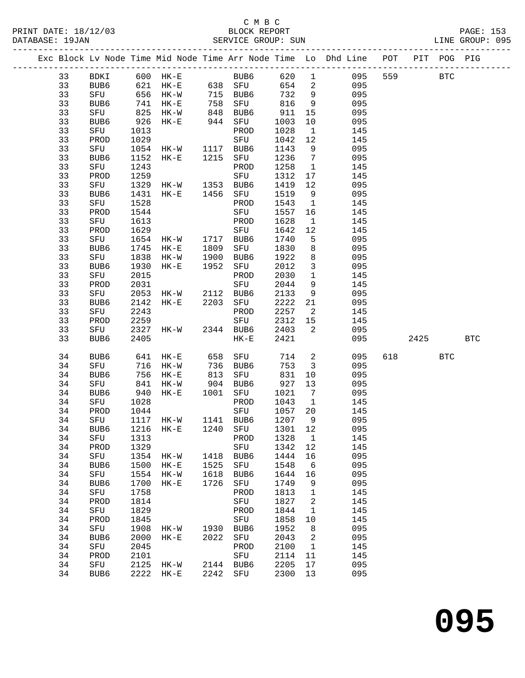### C M B C<br>BLOCK REPORT

|    |              |      |                                                                               |            |             |      |                          | Exc Block Lv Node Time Mid Node Time Arr Node Time Lo Dhd Line POT PIT POG PIG |          |     |     |
|----|--------------|------|-------------------------------------------------------------------------------|------------|-------------|------|--------------------------|--------------------------------------------------------------------------------|----------|-----|-----|
|    |              |      |                                                                               |            |             |      |                          | 33 BDKI 600 HK-E BUB6 620 1 095 559 BTC                                        |          |     |     |
| 33 |              |      |                                                                               |            |             |      |                          | BUB6 621 HK-E 638 SFU 654 2 095                                                |          |     |     |
| 33 | SFU          |      |                                                                               |            |             |      |                          | 095                                                                            |          |     |     |
| 33 | BUB6         |      |                                                                               |            |             |      |                          | 095                                                                            |          |     |     |
| 33 | SFU          |      | 656 HK-W 715 BUB6 732 9<br>741 HK-E 758 SFU 816 9<br>825 HK-W 848 BUB6 911 15 |            |             |      |                          | 095                                                                            |          |     |     |
| 33 | BUB6         |      | 926 HK-E 944                                                                  |            | SFU         | 1003 | 10                       | 095                                                                            |          |     |     |
| 33 | SFU          | 1013 |                                                                               |            | PROD        | 1028 | $\overline{1}$           | 145                                                                            |          |     |     |
| 33 | PROD         |      |                                                                               |            |             | 1042 | 12                       | 145                                                                            |          |     |     |
| 33 | SFU          |      |                                                                               |            |             | 1143 | 9                        | 095                                                                            |          |     |     |
| 33 | BUB6         |      | 1152 HK-E 1215 SFU                                                            |            |             | 1236 | $7\overline{ }$          | 095                                                                            |          |     |     |
| 33 | SFU          | 1243 |                                                                               |            | PROD        | 1258 | $\mathbf{1}$             | 145                                                                            |          |     |     |
| 33 | PROD         | 1259 |                                                                               |            | SFU         | 1312 | 17                       | 145                                                                            |          |     |     |
| 33 | SFU          |      | 1329 HK-W 1353 BUB6                                                           |            |             | 1419 | 12                       | 095                                                                            |          |     |     |
| 33 | BUB6         | 1431 | HK-E 1456 SFU                                                                 |            |             | 1519 | 9                        | 095                                                                            |          |     |     |
| 33 | SFU          | 1528 |                                                                               |            | PROD        | 1543 | $\overline{1}$           | 145                                                                            |          |     |     |
| 33 | PROD         | 1544 |                                                                               |            | SFU         | 1557 | 16                       | 145                                                                            |          |     |     |
| 33 | SFU          | 1613 |                                                                               |            | PROD        | 1628 | $\overline{1}$           | 145                                                                            |          |     |     |
| 33 | PROD         | 1629 |                                                                               |            | SFU         | 1642 | 12                       | 145                                                                            |          |     |     |
| 33 | SFU          |      | 1654 HK-W 1717 BUB6                                                           |            |             | 1740 | 5                        | 095                                                                            |          |     |     |
| 33 | BUB6         | 1745 | $HK-E$                                                                        | 1809       | SFU         | 1830 | 8                        | 095                                                                            |          |     |     |
| 33 | SFU          | 1838 | HK-W                                                                          |            | 1900 BUB6   | 1922 | 8                        | 095                                                                            |          |     |     |
| 33 | BUB6         | 1930 | $HK-E$                                                                        | 1952       | SFU         | 2012 | $\overline{3}$           | 095                                                                            |          |     |     |
| 33 | SFU          | 2015 |                                                                               |            | PROD        | 2030 | $\overline{1}$           | 145                                                                            |          |     |     |
| 33 | PROD         | 2031 |                                                                               |            | SFU         | 2044 | 9                        | 145                                                                            |          |     |     |
| 33 | SFU          |      | 2053 HK-W 2112 BUB6<br>2142 HK-E 2203 SFU                                     |            |             | 2133 | 9                        | 095                                                                            |          |     |     |
| 33 | BUB6         |      |                                                                               |            |             | 2222 | 21                       | 095                                                                            |          |     |     |
| 33 | SFU          | 2243 |                                                                               |            | PROD        | 2257 | $\overline{\mathbf{2}}$  | 145                                                                            |          |     |     |
| 33 | PROD         | 2259 |                                                                               |            | SFU         | 2312 | 15                       | 145                                                                            |          |     |     |
| 33 | SFU          |      | 2327 HK-W 2344 BUB6                                                           |            |             | 2403 | $\overline{\phantom{a}}$ | 095                                                                            |          |     |     |
| 33 | BUB6         | 2405 |                                                                               |            | $HK-E$      | 2421 |                          | 095                                                                            | 2425     |     | BTC |
| 34 | BUB6         |      | 641 HK-E                                                                      | 658        | SFU         | 714  | $\overline{\phantom{a}}$ | 095                                                                            | 618 — 18 | BTC |     |
| 34 | SFU          |      |                                                                               |            | BUB6        | 753  | $\overline{\mathbf{3}}$  | 095                                                                            |          |     |     |
| 34 | BUB6         |      | 716 НК-W<br>756 НК-Е                                                          | 736<br>813 | SFU         | 831  | 10                       | 095                                                                            |          |     |     |
| 34 | SFU          |      | 841 HK-W 904 BUB6                                                             |            |             | 927  | 13                       | 095                                                                            |          |     |     |
| 34 | BUB6         |      | 940 HK-E 1001 SFU                                                             |            |             | 1021 | $\overline{7}$           | 095                                                                            |          |     |     |
| 34 | SFU          | 1028 |                                                                               |            | PROD        | 1043 | $\overline{1}$           | 145                                                                            |          |     |     |
|    | 34 PROD 1044 |      |                                                                               |            | SFU 1057 20 |      |                          | 145                                                                            |          |     |     |
| 34 | SFU          | 1117 | HK-W                                                                          | 1141       | BUB6        | 1207 | 9                        | 095                                                                            |          |     |     |
| 34 | BUB6         | 1216 | $HK-E$                                                                        | 1240       | SFU         | 1301 | 12                       | 095                                                                            |          |     |     |
| 34 | SFU          | 1313 |                                                                               |            | PROD        | 1328 | $\mathbf{1}$             | 145                                                                            |          |     |     |
| 34 | PROD         | 1329 |                                                                               |            | SFU         | 1342 | 12                       | 145                                                                            |          |     |     |
| 34 | SFU          | 1354 | $HK-W$                                                                        | 1418       | BUB6        | 1444 | 16                       | 095                                                                            |          |     |     |
| 34 | BUB6         | 1500 | $HK-E$                                                                        | 1525       | SFU         | 1548 | 6                        | 095                                                                            |          |     |     |
| 34 | SFU          | 1554 | $HK-W$                                                                        | 1618       | BUB6        | 1644 | 16                       | 095                                                                            |          |     |     |
| 34 | BUB6         | 1700 | $HK-E$                                                                        | 1726       | SFU         | 1749 | 9                        | 095                                                                            |          |     |     |
| 34 | SFU          | 1758 |                                                                               |            | PROD        | 1813 | $\mathbf{1}$             | 145                                                                            |          |     |     |
| 34 | PROD         | 1814 |                                                                               |            | SFU         | 1827 | 2                        | 145                                                                            |          |     |     |
| 34 | SFU          | 1829 |                                                                               |            | PROD        | 1844 | $\mathbf{1}$             | 145                                                                            |          |     |     |
| 34 | PROD         | 1845 |                                                                               |            | SFU         | 1858 | 10                       | 145                                                                            |          |     |     |
| 34 | SFU          | 1908 | HK-W                                                                          | 1930       | BUB6        | 1952 | 8                        | 095                                                                            |          |     |     |
| 34 | BUB6         | 2000 | $HK-E$                                                                        | 2022       | SFU         | 2043 | 2                        | 095                                                                            |          |     |     |
| 34 | SFU          | 2045 |                                                                               |            | PROD        | 2100 | $\mathbf{1}$             | 145                                                                            |          |     |     |
| 34 | PROD         | 2101 |                                                                               |            | SFU         | 2114 | 11                       | 145                                                                            |          |     |     |
| 34 | SFU          | 2125 | HK-W                                                                          |            | 2144 BUB6   | 2205 | 17                       | 095                                                                            |          |     |     |
| 34 | BUB6         | 2222 | $HK-E$                                                                        | 2242       | SFU         | 2300 | 13                       | 095                                                                            |          |     |     |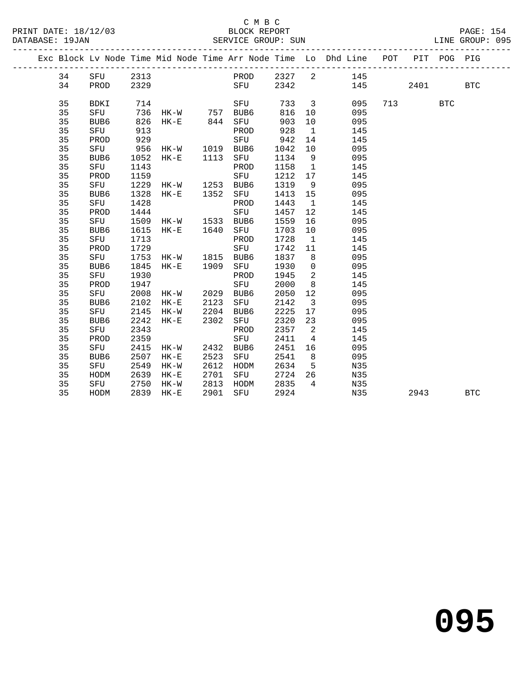### C M B C

| DATABASE: 19JAN |                  |      |                |      | SERVICE GROUP: SUN |       |                         | UN<br>--------------------------                                   |     |     |             | LINE GROUP: 095 |  |
|-----------------|------------------|------|----------------|------|--------------------|-------|-------------------------|--------------------------------------------------------------------|-----|-----|-------------|-----------------|--|
|                 |                  |      |                |      |                    |       |                         | Exc Block Lv Node Time Mid Node Time Arr Node Time Lo Dhd Line POT |     |     | PIT POG PIG |                 |  |
| 34              | SFU              | 2313 |                |      | PROD 2327 2        |       |                         | 145                                                                |     |     |             |                 |  |
| 34              | PROD             | 2329 |                |      | SFU                | 2342  |                         |                                                                    | 145 |     | 2401        | $_{\rm BTC}$    |  |
| 35              | BDKI             | 714  |                |      | SFU                | 733 3 |                         | 095                                                                |     | 713 | <b>BTC</b>  |                 |  |
| 35              | SFU              |      |                |      |                    | 816   | 10                      | 095                                                                |     |     |             |                 |  |
| 35              | BUB6             | 826  | HK-E 844 SFU   |      |                    | 903   | 10                      | 095                                                                |     |     |             |                 |  |
| 35              | SFU              | 913  |                |      | PROD               | 928   | $\mathbf{1}$            | 145                                                                |     |     |             |                 |  |
| 35              | PROD             | 929  |                |      | SFU                | 942   | 14                      | 145                                                                |     |     |             |                 |  |
| 35              | SFU              | 956  | HK-W 1019 BUB6 |      |                    | 1042  | 10                      | 095                                                                |     |     |             |                 |  |
| 35              | BUB6             | 1052 | HK-E 1113 SFU  |      |                    | 1134  | 9                       | 095                                                                |     |     |             |                 |  |
| 35              | SFU              | 1143 |                |      | PROD               | 1158  | $\overline{1}$          | 145                                                                |     |     |             |                 |  |
| 35              | PROD             | 1159 |                |      | SFU                | 1212  | 17                      | 145                                                                |     |     |             |                 |  |
| 35              | SFU              | 1229 | HK-W 1253 BUB6 |      |                    | 1319  | 9                       | 095                                                                |     |     |             |                 |  |
| 35              | BUB6             | 1328 | HK-E 1352      |      | SFU                | 1413  | 15                      | 095                                                                |     |     |             |                 |  |
| 35              | SFU              | 1428 |                |      | PROD               | 1443  | $\overline{1}$          | 145                                                                |     |     |             |                 |  |
| 35              | PROD             | 1444 |                |      | SFU                | 1457  | 12                      | 145                                                                |     |     |             |                 |  |
| 35              | SFU              | 1509 | HK-W 1533 BUB6 |      |                    | 1559  | 16                      | 095                                                                |     |     |             |                 |  |
| 35              | BUB6             | 1615 | HK-E 1640      |      | SFU                | 1703  | 10                      | 095                                                                |     |     |             |                 |  |
| 35              | SFU              | 1713 |                |      | PROD               | 1728  | $\overline{1}$          | 145                                                                |     |     |             |                 |  |
| 35              | PROD             | 1729 |                |      | SFU                | 1742  | 11                      | 145                                                                |     |     |             |                 |  |
| 35              | SFU              | 1753 | HK-W 1815 BUB6 |      |                    | 1837  | 8 <sup>8</sup>          | 095                                                                |     |     |             |                 |  |
| 35              | BUB6             | 1845 | HK-E 1909      |      | SFU                | 1930  | $\overline{0}$          | 095                                                                |     |     |             |                 |  |
| 35              | SFU              | 1930 |                |      | PROD               | 1945  | $\overline{\mathbf{2}}$ | 145                                                                |     |     |             |                 |  |
| 35              | PROD             | 1947 |                |      | SFU                | 2000  | 8 <sup>8</sup>          | 145                                                                |     |     |             |                 |  |
| 35              | SFU              | 2008 | HK-W 2029 BUB6 |      |                    | 2050  | 12                      | 095                                                                |     |     |             |                 |  |
| 35              | BUB <sub>6</sub> | 2102 | $HK-E$         | 2123 | SFU                | 2142  | $\overline{\mathbf{3}}$ | 095                                                                |     |     |             |                 |  |
| 35              | SFU              | 2145 | $HK-W$         | 2204 | BUB6               | 2225  | 17                      | 095                                                                |     |     |             |                 |  |
| 35              | BUB6             | 2242 | $HK-E$         | 2302 | SFU                | 2320  | 23                      | 095                                                                |     |     |             |                 |  |
| 35              | SFU              | 2343 |                |      | PROD               | 2357  | $\overline{a}$          | 145                                                                |     |     |             |                 |  |
| 35              | PROD             | 2359 |                |      | SFU                | 2411  | $\overline{4}$          | 145                                                                |     |     |             |                 |  |
| 35              | SFU              | 2415 | HK-W           | 2432 | BUB6               | 2451  | 16                      | 095                                                                |     |     |             |                 |  |
| 35              | BUB <sub>6</sub> | 2507 | $HK-E$         | 2523 | SFU                | 2541  | 8 <sup>8</sup>          | 095                                                                |     |     |             |                 |  |
| 35              | SFU              | 2549 | HK-W           | 2612 | HODM               | 2634  | $5^{\circ}$             | N35                                                                |     |     |             |                 |  |
| 35              | HODM             | 2639 | $HK-E$         | 2701 | SFU                | 2724  | 26                      | N35                                                                |     |     |             |                 |  |
| 35              | SFU              | 2750 | HK-W           | 2813 | HODM               | 2835  | $\overline{4}$          | N35                                                                |     |     |             |                 |  |
| 35              | HODM             | 2839 | $HK-E$         | 2901 | SFU                | 2924  |                         | N35                                                                |     |     | 2943        | <b>BTC</b>      |  |
|                 |                  |      |                |      |                    |       |                         |                                                                    |     |     |             |                 |  |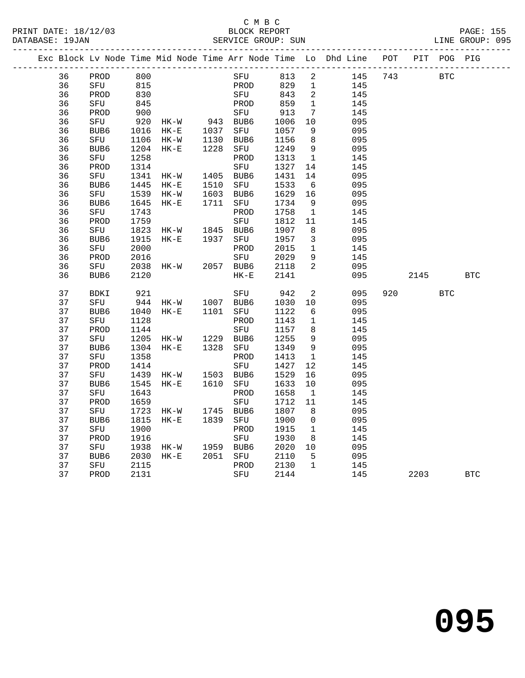#### C M B C<br>BLOCK REPORT SERVICE GROUP: SUN

|  |    | Exc Block Lv Node Time Mid Node Time Arr Node Time Lo Dhd Line POT |       |                                |                                 |        |     |      |                |     |     |            | PIT POG PIG |              |
|--|----|--------------------------------------------------------------------|-------|--------------------------------|---------------------------------|--------|-----|------|----------------|-----|-----|------------|-------------|--------------|
|  | 36 | PROD                                                               | 800   |                                |                                 |        | SFU | 813  | $\overline{a}$ | 145 | 743 | <b>BTC</b> |             |              |
|  | 36 | SFU                                                                | 815   |                                |                                 | PROD   |     | 829  | $\mathbf{1}$   | 145 |     |            |             |              |
|  | 36 | PROD                                                               | 830   |                                |                                 | SFU    |     | 843  | $\overline{2}$ | 145 |     |            |             |              |
|  | 36 | SFU                                                                | 845   |                                |                                 | PROD   |     | 859  | $\mathbf{1}$   | 145 |     |            |             |              |
|  | 36 | PROD                                                               | 900   |                                |                                 | SFU    |     | 913  | 7              | 145 |     |            |             |              |
|  | 36 | SFU                                                                | $920$ | HK-W 943 BUB6<br>HK-E 1037 SFU |                                 |        |     | 1006 | 10             | 095 |     |            |             |              |
|  | 36 | BUB6                                                               | 1016  |                                |                                 |        |     | 1057 | 9              | 095 |     |            |             |              |
|  | 36 | SFU                                                                | 1106  | $HK-W$                         | 1130                            | BUB6   |     | 1156 | 8              | 095 |     |            |             |              |
|  | 36 | BUB6                                                               | 1204  | $HK-E$                         | 1228                            | SFU    |     | 1249 | $\overline{9}$ | 095 |     |            |             |              |
|  | 36 | SFU                                                                | 1258  |                                |                                 | PROD   |     | 1313 | $\overline{1}$ | 145 |     |            |             |              |
|  | 36 | PROD                                                               | 1314  |                                |                                 | SFU    |     | 1327 | 14             | 145 |     |            |             |              |
|  | 36 | SFU                                                                | 1341  | HK-W                           | 1405                            | BUB6   |     | 1431 | 14             | 095 |     |            |             |              |
|  | 36 | BUB6                                                               | 1445  | HK-E                           | 1510                            | SFU    |     | 1533 | 6              | 095 |     |            |             |              |
|  | 36 | SFU                                                                | 1539  | $HK-W$                         | 1603                            | BUB6   |     | 1629 | 16             | 095 |     |            |             |              |
|  | 36 | BUB6                                                               | 1645  | HK-E                           | 1711                            | SFU    |     | 1734 | 9              | 095 |     |            |             |              |
|  | 36 | SFU                                                                | 1743  |                                |                                 | PROD   |     | 1758 | $\mathbf{1}$   | 145 |     |            |             |              |
|  | 36 | PROD                                                               | 1759  |                                |                                 | SFU    |     | 1812 | 11             | 145 |     |            |             |              |
|  | 36 | SFU                                                                | 1823  |                                | HK-W 1845 BUB6<br>HK-E 1937 SFU |        |     | 1907 | 8              | 095 |     |            |             |              |
|  | 36 | BUB6                                                               | 1915  |                                |                                 |        |     | 1957 | $\mathbf{3}$   | 095 |     |            |             |              |
|  | 36 | SFU                                                                | 2000  |                                |                                 | PROD   |     | 2015 | $\mathbf{1}$   | 145 |     |            |             |              |
|  | 36 | PROD                                                               | 2016  |                                |                                 | SFU    |     | 2029 | 9              | 145 |     |            |             |              |
|  | 36 | SFU                                                                | 2038  | $HK-W$                         | 2057 BUB6                       |        |     | 2118 | 2              | 095 |     |            |             |              |
|  | 36 | BUB6                                                               | 2120  |                                |                                 | $HK-E$ |     | 2141 |                | 095 |     | 2145       |             | $_{\rm BTC}$ |
|  | 37 | <b>BDKI</b>                                                        | 921   |                                |                                 | SFU    |     | 942  | 2              | 095 | 920 |            | <b>BTC</b>  |              |
|  | 37 | SFU                                                                | 944   | HK-W 1007 BUB6                 |                                 |        |     | 1030 | 10             | 095 |     |            |             |              |
|  | 37 | BUB6                                                               | 1040  | $HK-E$                         | 1101 SFU                        |        |     | 1122 | 6              | 095 |     |            |             |              |
|  | 37 | SFU                                                                | 1128  |                                |                                 | PROD   |     | 1143 | $\mathbf{1}$   | 145 |     |            |             |              |
|  | 37 | PROD                                                               | 1144  |                                |                                 | SFU    |     | 1157 | 8              | 145 |     |            |             |              |
|  | 37 | SFU                                                                | 1205  | HK-W 1229<br>HK-E 1328         |                                 | BUB6   |     | 1255 | 9              | 095 |     |            |             |              |
|  | 37 | BUB6                                                               | 1304  |                                |                                 | SFU    |     | 1349 | $\overline{9}$ | 095 |     |            |             |              |
|  | 37 | SFU                                                                | 1358  |                                |                                 | PROD   |     | 1413 | $\mathbf{1}$   | 145 |     |            |             |              |
|  | 37 | PROD                                                               | 1414  |                                |                                 | SFU    |     | 1427 | 12             | 145 |     |            |             |              |
|  | 37 | SFU                                                                | 1439  | $HK-W$                         | 1503 BUB6                       |        |     | 1529 | 16             | 095 |     |            |             |              |
|  | 37 | BUB6                                                               | 1545  | $HK-E$                         | 1610 SFU                        |        |     | 1633 | 10             | 095 |     |            |             |              |
|  | 37 | SFU                                                                | 1643  |                                |                                 | PROD   |     | 1658 | $\mathbf{1}$   | 145 |     |            |             |              |
|  | 37 | PROD                                                               | 1659  |                                |                                 | SFU    |     | 1712 | 11             | 145 |     |            |             |              |
|  | 37 | SFU                                                                | 1723  |                                | HK-W 1745 BUB6                  |        |     | 1807 | 8              | 095 |     |            |             |              |
|  | 37 | BUB6                                                               | 1815  | $HK-E$                         | 1839                            | SFU    |     | 1900 | $\overline{0}$ | 095 |     |            |             |              |
|  | 37 | SFU                                                                | 1900  |                                |                                 | PROD   |     | 1915 | $\mathbf{1}$   | 145 |     |            |             |              |
|  | 37 | PROD                                                               | 1916  |                                |                                 | SFU    |     | 1930 | 8              | 145 |     |            |             |              |
|  | 37 | SFU                                                                | 1938  | HK-W                           | 1959 BUB6                       |        |     | 2020 | 10             | 095 |     |            |             |              |

 37 BUB6 2030 HK-E 2051 SFU 2110 5 095 37 SFU 2115 PROD 2130 1 145

37 PROD 2131 SFU 2144 145 2203 BTC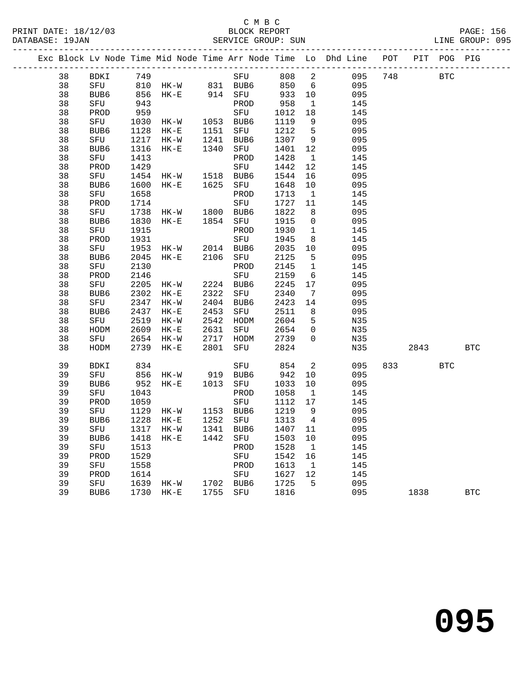#### C M B C<br>BLOCK REPORT SERVICE GROUP: SUN

PRINT DATE: 18/12/03 BLOCK REPORT PAGE: 156

|    |                  |      |                                               |      |                                   |         |                         | Exc Block Lv Node Time Mid Node Time Arr Node Time Lo Dhd Line POT PIT POG PIG |     |             |            |            |
|----|------------------|------|-----------------------------------------------|------|-----------------------------------|---------|-------------------------|--------------------------------------------------------------------------------|-----|-------------|------------|------------|
| 38 |                  |      | BDKI 749 SFU 808<br>SFU 810 HK-W 831 BUB6 850 |      | SFU 808 2                         |         |                         | 095                                                                            | 748 | <b>BTC</b>  |            |            |
| 38 |                  |      |                                               |      |                                   |         |                         | $6\overline{6}$<br>095                                                         |     |             |            |            |
| 38 | BUB6             |      | 856 HK-E 914 SFU                              |      |                                   | 933 10  |                         | 095                                                                            |     |             |            |            |
| 38 | SFU              | 943  |                                               |      | PROD                              | 958     | $\overline{1}$          | 145                                                                            |     |             |            |            |
| 38 | PROD             | 959  |                                               |      | SFU                               | 1012    | 18                      | 145                                                                            |     |             |            |            |
| 38 | SFU              |      | 1030 HK-W 1053 BUB6                           |      |                                   | 1119    | 9                       | 095                                                                            |     |             |            |            |
| 38 | BUB6             | 1128 | $HK-E$                                        |      | 1151 SFU                          | 1212    | $5^{\circ}$             | 095                                                                            |     |             |            |            |
| 38 | SFU              | 1217 | HK-W                                          |      | 1241 BUB6                         | 1307    | 9                       | 095                                                                            |     |             |            |            |
| 38 | BUB <sub>6</sub> | 1316 | $HK-E$                                        |      | 1340 SFU                          | 1401    | 12                      | 095                                                                            |     |             |            |            |
| 38 | SFU              | 1413 |                                               |      | PROD                              | 1428    | $\overline{1}$          | 145                                                                            |     |             |            |            |
| 38 | PROD             | 1429 |                                               |      | SFU                               | 1442    | 12                      | 145                                                                            |     |             |            |            |
| 38 | SFU              | 1454 | HK-W 1518 BUB6                                |      |                                   | 1544    | 16                      | 095                                                                            |     |             |            |            |
| 38 | BUB6             | 1600 | $HK-E$                                        |      | 1625 SFU                          | 1648    | 10                      | 095                                                                            |     |             |            |            |
| 38 | SFU              | 1658 |                                               |      | PROD                              | 1713    | $\overline{1}$          | 145                                                                            |     |             |            |            |
| 38 | PROD             | 1714 |                                               |      | SFU                               | 1727    | 11                      | 145                                                                            |     |             |            |            |
| 38 | SFU              | 1738 | HK-W 1800 BUB6                                |      |                                   | 1822    | 8                       | 095                                                                            |     |             |            |            |
| 38 | BUB6             |      | 1830 HK-E                                     |      | 1854 SFU                          | 1915    | $\overline{0}$          | 095                                                                            |     |             |            |            |
| 38 | SFU              | 1915 |                                               |      | PROD                              | 1930    | $\overline{1}$          | 145                                                                            |     |             |            |            |
| 38 | PROD             | 1931 |                                               |      | SFU                               | 1945    | 8 <sup>8</sup>          | 145                                                                            |     |             |            |            |
| 38 | SFU              | 1953 | HK-W 2014 BUB6                                |      |                                   | 2035    | 10                      | 095                                                                            |     |             |            |            |
| 38 | BUB6             | 2045 | $HK-E$                                        |      | 2106 SFU                          | 2125    | 5                       | 095                                                                            |     |             |            |            |
| 38 | SFU              | 2130 |                                               |      | PROD                              | 2145    | $\mathbf{1}$            | 145                                                                            |     |             |            |            |
| 38 | PROD             | 2146 |                                               |      | SFU                               | 2159    | 6                       | 145                                                                            |     |             |            |            |
| 38 | SFU              | 2205 | HK-W 2224 BUB6                                |      |                                   | 2245    | 17                      | 095                                                                            |     |             |            |            |
| 38 | BUB6             | 2302 | $HK-E$                                        |      | 2322 SFU                          | 2340    | $\overline{7}$          | 095                                                                            |     |             |            |            |
| 38 | SFU              |      | 2347 HK-W                                     |      | 2404 BUB6                         | 2423    | 14                      | 095                                                                            |     |             |            |            |
| 38 | BUB6             |      | 2437 HK-E                                     |      | 2453 SFU                          | 2511    | 8 <sup>8</sup>          | 095                                                                            |     |             |            |            |
| 38 | SFU              | 2519 | HK-W                                          |      | 2542 HODM                         | 2604    | $5^{\circ}$             | N35                                                                            |     |             |            |            |
| 38 | HODM             | 2609 | $HK-E$                                        | 2631 |                                   | 2654    | $\overline{0}$          | N35                                                                            |     |             |            |            |
| 38 | SFU              | 2654 | HK-W                                          |      |                                   | 2739    | $\overline{0}$          | N35                                                                            |     |             |            |            |
| 38 | HODM             |      | 2739 HK-E                                     |      | 2631 SFU<br>2717 HODM<br>2801 SFU | 2824    |                         | N35                                                                            |     | 2843        |            | <b>BTC</b> |
| 39 | BDKI             | 834  |                                               |      | SFU                               | 854     | $\overline{\mathbf{c}}$ | 095                                                                            |     | 833 and 100 | <b>BTC</b> |            |
| 39 | SFU              |      |                                               |      |                                   | 942     | 10                      | 095                                                                            |     |             |            |            |
| 39 | BUB6             |      |                                               |      |                                   | 1033    | 10                      | 095                                                                            |     |             |            |            |
| 39 | SFU              | 1043 |                                               |      | PROD                              | 1058    | $\overline{1}$          | 145                                                                            |     |             |            |            |
| 39 | PROD             | 1059 |                                               |      | SFU                               | 1112    | 17                      | 145                                                                            |     |             |            |            |
| 39 | SFU              |      | 1129 HK-W 1153 BUB6<br>1228 HK-E 1252 SFU     |      |                                   | 1219    | 9                       | 095                                                                            |     |             |            |            |
| 39 | BUB6             |      | 1228 HK-E                                     |      |                                   | 1313    | $\overline{4}$          | 095                                                                            |     |             |            |            |
| 39 |                  |      |                                               |      |                                   |         |                         | SFU 1317 HK-W 1341 BUB6 1407 11 095                                            |     |             |            |            |
| 39 | BUB6             | 1418 | $HK-E$                                        |      | 1442 SFU                          | 1503 10 |                         | 095                                                                            |     |             |            |            |
| 39 | SFU              | 1513 |                                               |      | PROD                              | 1528    | $\overline{1}$          | 145                                                                            |     |             |            |            |
| 39 | PROD             | 1529 |                                               |      | SFU                               | 1542    | 16                      | 145                                                                            |     |             |            |            |
| 39 | SFU              | 1558 |                                               |      | PROD                              | 1613    | $\mathbf{1}$            | 145                                                                            |     |             |            |            |
| 39 | PROD             | 1614 |                                               |      | SFU                               | 1627    | 12                      | 145                                                                            |     |             |            |            |
| 39 | SFU              | 1639 | HK-W                                          |      | 1702 BUB6                         | 1725    | 5                       | 095                                                                            |     |             |            |            |
| 39 | BUB6             |      | 1730 HK-E                                     | 1755 | SFU                               | 1816    |                         | 095                                                                            |     | 1838        |            | <b>BTC</b> |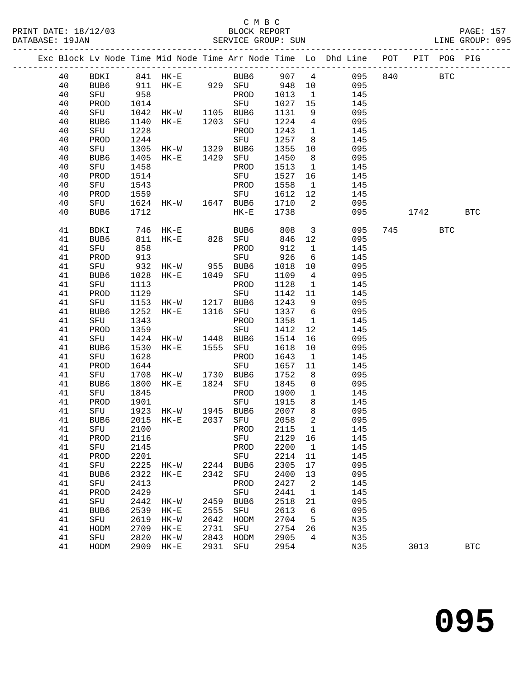PRINT DATE: 18/12/03 BLOCK REPORT PAGE: 157 DATABASE: 19JAN

### C M B C<br>BLOCK REPORT

|  | DATABASE: 19JAN |      |      |          |      |          | SERVICE GROUP: SUN                                                                                              |      |                 |                                                                |     |      |             | LINE GROUP: 095 |  |
|--|-----------------|------|------|----------|------|----------|-----------------------------------------------------------------------------------------------------------------|------|-----------------|----------------------------------------------------------------|-----|------|-------------|-----------------|--|
|  |                 |      |      |          |      |          |                                                                                                                 |      |                 | Exc Block Lv Node Time Mid Node Time Arr Node Time Lo Dhd Line | POT |      | PIT POG PIG |                 |  |
|  | 40              | BDKI |      |          |      |          | 841 HK-E BUB6                                                                                                   | 907  | 4               | 095                                                            | 840 |      | <b>BTC</b>  |                 |  |
|  | 40              | BUB6 | 911  |          |      | HK-E 929 | SFU                                                                                                             | 948  | 10              | 095                                                            |     |      |             |                 |  |
|  | 40              | SFU  | 958  |          |      |          | PROD                                                                                                            | 1013 | 1               | 145                                                            |     |      |             |                 |  |
|  | 40              | PROD | 1014 |          |      |          | SFU                                                                                                             | 1027 | 15              | 145                                                            |     |      |             |                 |  |
|  | 40              | SFU  | 1042 | HK-W     |      | 1105     | BUB6                                                                                                            | 1131 | 9               | 095                                                            |     |      |             |                 |  |
|  | 40              | BUB6 | 1140 | $HK-E$   |      | 1203     | SFU                                                                                                             | 1224 | 4               | 095                                                            |     |      |             |                 |  |
|  | 40              | SFU  | 1228 |          |      |          | PROD                                                                                                            | 1243 | $\mathbf{1}$    | 145                                                            |     |      |             |                 |  |
|  | 40              | PROD | 1244 |          |      |          | SFU                                                                                                             | 1257 | 8               | 145                                                            |     |      |             |                 |  |
|  | 40              | SFU  | 1305 | HK-W     |      | 1329     | BUB6                                                                                                            | 1355 | 10 <sup>°</sup> | 095                                                            |     |      |             |                 |  |
|  | 40              | BUB6 | 1405 | $HK-E$   |      | 1429     | SFU                                                                                                             | 1450 | 8               | 095                                                            |     |      |             |                 |  |
|  | 40              | SFU  | 1458 |          |      |          | PROD                                                                                                            | 1513 | $\mathbf{1}$    | 145                                                            |     |      |             |                 |  |
|  | 40              | PROD | 1514 |          |      |          | SFU                                                                                                             | 1527 | 16              | 145                                                            |     |      |             |                 |  |
|  | 40              | SFU  | 1543 |          |      |          | PROD                                                                                                            | 1558 | 1               | 145                                                            |     |      |             |                 |  |
|  | 40              | PROD | 1559 |          |      |          | SFU                                                                                                             | 1612 | 12              | 145                                                            |     |      |             |                 |  |
|  | 40              | SFU  | 1624 |          | HK-W | 1647     | BUB6                                                                                                            | 1710 | 2               | 095                                                            |     |      |             |                 |  |
|  | 40              | BUB6 | 1712 |          |      |          | HK-E                                                                                                            | 1738 |                 | 095                                                            |     | 1742 |             | BTC             |  |
|  | 41              | BDKI |      | 746 HK-E |      |          | BUB6                                                                                                            | 808  | $\overline{3}$  | 095                                                            | 745 |      | <b>BTC</b>  |                 |  |
|  |                 |      |      |          |      |          | the contract of the contract of the contract of the contract of the contract of the contract of the contract of |      |                 |                                                                |     |      |             |                 |  |

| -⊥ ∪ | ບ⊥∪         | <b>LUIU</b> |           |                                                | - 1702 | ᆂᅴᅴᄓ    |                 | <b>LIJ</b> |      |              |            |
|------|-------------|-------------|-----------|------------------------------------------------|--------|---------|-----------------|------------|------|--------------|------------|
| 40   | PROD        | 1559        |           |                                                | SFU    | 1612 12 |                 | 145        |      |              |            |
| 40   | SFU         |             |           | 1624 HK-W 1647 BUB6                            |        | 1710    | $\overline{a}$  | 095        |      |              |            |
| 40   | BUB6        | 1712        |           |                                                | $HK-E$ | 1738    |                 | 095        | 1742 |              | <b>BTC</b> |
|      |             |             |           |                                                |        |         |                 |            |      |              |            |
| 41   | <b>BDKI</b> |             | 746 HK-E  |                                                | BUB6   |         | 808 3           | 095        | 745  | $_{\rm BTC}$ |            |
| 41   | BUB6        |             | 811 HK-E  | 828                                            | SFU    | 846 12  |                 | 095        |      |              |            |
| 41   | SFU         | 858         |           |                                                | PROD   | 912     | $\mathbf{1}$    | 145        |      |              |            |
| 41   | PROD        |             |           |                                                |        | 926     | $6\overline{6}$ | 145        |      |              |            |
| 41   | SFU         |             |           |                                                |        | 1018 10 |                 | 095        |      |              |            |
| 41   | BUB6        |             |           | 913<br>932 HK-W 955 BUB6<br>1028 HK-E 1049 SFU |        | 1109    | $\overline{4}$  | 095        |      |              |            |
| 41   | SFU         | 1113        |           |                                                | PROD   | 1128    | $\overline{1}$  | 145        |      |              |            |
| 41   | PROD        | 1129        |           |                                                | SFU    | 1142    | 11              | 145        |      |              |            |
| 41   | SFU         |             |           | 1153 HK-W 1217                                 | BUB6   | 1243    | 9               | 095        |      |              |            |
| 41   | BUB6        | 1252        |           | HK-E 1316                                      | SFU    | 1337    | $6\overline{6}$ | 095        |      |              |            |
| 41   | SFU         | 1343        |           |                                                | PROD   | 1358    | $\mathbf{1}$    | 145        |      |              |            |
| 41   | PROD        | 1359        |           |                                                | SFU    | 1412    | 12              | 145        |      |              |            |
| 41   | SFU         |             |           | 1424 HK-W 1448                                 | BUB6   | 1514    | 16              | 095        |      |              |            |
| 41   | BUB6        | 1530        |           | HK-E 1555                                      | SFU    | 1618    | 10              | 095        |      |              |            |
| 41   | SFU         | 1628        |           |                                                | PROD   | 1643    | $\overline{1}$  | 145        |      |              |            |
| 41   | PROD        | 1644        |           |                                                | SFU    | 1657    | 11              | 145        |      |              |            |
| 41   | SFU         |             |           | 1708 HK-W 1730 BUB6                            |        | 1752    | 8               | 095        |      |              |            |
| 41   | BUB6        | 1800        |           | HK-E 1824                                      | SFU    | 1845    | $\mathsf{O}$    | 095        |      |              |            |
| 41   | SFU         | 1845        |           |                                                | PROD   | 1900    | $\mathbf{1}$    | 145        |      |              |            |
| 41   | PROD        | 1901        |           |                                                | SFU    | 1915    | 8               | 145        |      |              |            |
| 41   | SFU         |             |           | 1923 HK-W 1945                                 | BUB6   | 2007    | $8\phantom{.0}$ | 095        |      |              |            |
| 41   | BUB6        | 2015        |           | HK-E 2037                                      | SFU    | 2058    | $\overline{a}$  | 095        |      |              |            |
| 41   | SFU         | 2100        |           |                                                | PROD   | 2115    | $\overline{1}$  | 145        |      |              |            |
| 41   | PROD        | 2116        |           |                                                | SFU    | 2129    | 16              | 145        |      |              |            |
| 41   | SFU         | 2145        |           |                                                | PROD   | 2200    | $\overline{1}$  | 145        |      |              |            |
| 41   | PROD        | 2201        |           |                                                | SFU    | 2214    | 11              | 145        |      |              |            |
| 41   | SFU         |             |           | 2225 HK-W 2244 BUB6                            |        | 2305    | 17              | 095        |      |              |            |
| 41   | BUB6        | 2322        | $HK - E$  | 2342                                           | SFU    | 2400    | 13              | 095        |      |              |            |
| 41   | SFU         | 2413        |           |                                                | PROD   | 2427    | $\overline{a}$  | 145        |      |              |            |
| 41   | PROD        | 2429        |           |                                                | SFU    | 2441    | $\mathbf{1}$    | 145        |      |              |            |
| 41   | SFU         |             | 2442 HK-W | 2459                                           | BUB6   | 2518    | 21              | 095        |      |              |            |
| 41   | BUB6        | 2539        | $HK-E$    | 2555                                           | SFU    | 2613    | 6               | 095        |      |              |            |
| 41   | SFU         |             | 2619 HK-W | 2642                                           | HODM   | 2704 5  |                 | N35        |      |              |            |
| 41   | HODM        | 2709        | $HK-E$    | 2731                                           | SFU    | 2754 26 |                 | N35        |      |              |            |
| 41   | SFU         | 2820        | $HK-W$    | 2843                                           | HODM   | 2905    | $\overline{4}$  | N35        |      |              |            |
| 41   | HODM        | 2909        | $HK-E$    | 2931                                           | SFU    | 2954    |                 | N35        | 3013 |              | BTC        |
|      |             |             |           |                                                |        |         |                 |            |      |              |            |
|      |             |             |           |                                                |        |         |                 |            |      |              |            |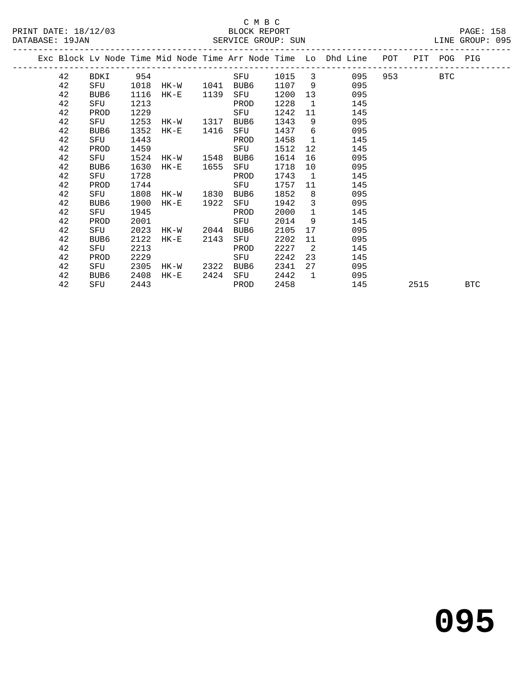### C M B C<br>BLOCK REPORT SERVICE GROUP: SUN

PRINT DATE: 18/12/03 BLOCK REPORT PAGE: 158

|  |    |                  |      |           |      |      |        |                | Exc Block Lv Node Time Mid Node Time Arr Node Time Lo Dhd Line POT |      | PIT POG PIG |            |
|--|----|------------------|------|-----------|------|------|--------|----------------|--------------------------------------------------------------------|------|-------------|------------|
|  | 42 | BDKI             |      | 954       |      | SFU  | 1015 3 |                | 095                                                                |      | BTC         |            |
|  | 42 | SFU              | 1018 | HK-W 1041 |      | BUB6 | 1107   | 9              | 095                                                                |      |             |            |
|  | 42 | BUB6             | 1116 | HK-E      | 1139 | SFU  | 1200   | 13             | 095                                                                |      |             |            |
|  | 42 | SFU              | 1213 |           |      | PROD | 1228   | $\overline{1}$ | 145                                                                |      |             |            |
|  | 42 | PROD             | 1229 |           |      | SFU  | 1242   | 11             | 145                                                                |      |             |            |
|  | 42 | SFU              | 1253 | HK-W      | 1317 | BUB6 | 1343   | 9              | 095                                                                |      |             |            |
|  | 42 | BUB6             | 1352 | HK-E      | 1416 | SFU  | 1437   | 6              | 095                                                                |      |             |            |
|  | 42 | SFU              | 1443 |           |      | PROD | 1458   | $\overline{1}$ | 145                                                                |      |             |            |
|  | 42 | PROD             | 1459 |           |      | SFU  | 1512   | 12             | 145                                                                |      |             |            |
|  | 42 | SFU              | 1524 | HK-W      | 1548 | BUB6 | 1614   | 16             | 095                                                                |      |             |            |
|  | 42 | BUB6             | 1630 | $HK-E$    | 1655 | SFU  | 1718   | 10             | 095                                                                |      |             |            |
|  | 42 | SFU              | 1728 |           |      | PROD | 1743   | $\overline{1}$ | 145                                                                |      |             |            |
|  | 42 | PROD             | 1744 |           |      | SFU  | 1757   | 11             | 145                                                                |      |             |            |
|  | 42 | SFU              | 1808 | HK-W      | 1830 | BUB6 | 1852   | 8              | 095                                                                |      |             |            |
|  | 42 | BUB <sub>6</sub> | 1900 | HK-E      | 1922 | SFU  | 1942   | 3              | 095                                                                |      |             |            |
|  | 42 | SFU              | 1945 |           |      | PROD | 2000   | $\mathbf{1}$   | 145                                                                |      |             |            |
|  | 42 | PROD             | 2001 |           |      | SFU  | 2014   | 9              | 145                                                                |      |             |            |
|  | 42 | SFU              | 2023 | HK-W      | 2044 | BUB6 | 2105   | 17             | 095                                                                |      |             |            |
|  | 42 | BUB6             | 2122 | HK-E      | 2143 | SFU  | 2202   | 11             | 095                                                                |      |             |            |
|  | 42 | SFU              | 2213 |           |      | PROD | 2227   | 2              | 145                                                                |      |             |            |
|  | 42 | PROD             | 2229 |           |      | SFU  | 2242   | 23             | 145                                                                |      |             |            |
|  | 42 | SFU              | 2305 | HK-W      | 2322 | BUB6 | 2341   | 27             | 095                                                                |      |             |            |
|  | 42 | BUB6             | 2408 | $HK-E$    | 2424 | SFU  | 2442   | $\overline{1}$ | 095                                                                |      |             |            |
|  | 42 | SFU              | 2443 |           |      | PROD | 2458   |                | 145                                                                | 2515 |             | <b>BTC</b> |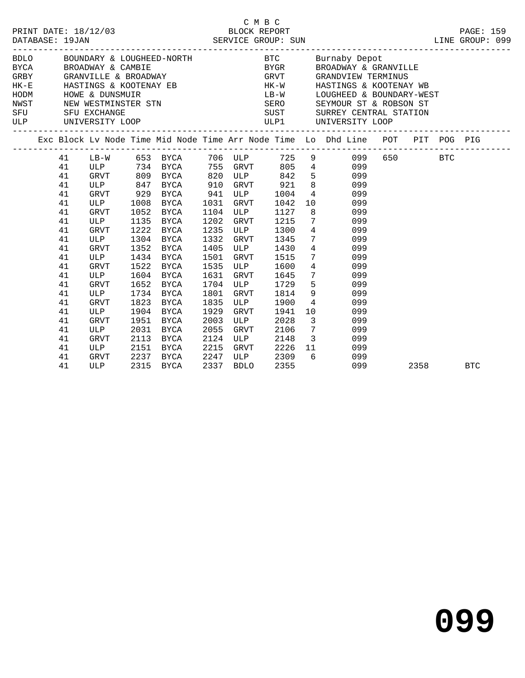|            | 2/03<br>BLOCK REPORT<br>SERVICE GROUP: SUN<br>PRINT DATE: 18/12/03<br>DATABASE: 19JAN |                                                                      |                                                                                                      |                                                      |                                                                                                                                     |                                                              |                                                                                                     | C M B C                                                                      | LINE GROUP: 099                                                                                                                                                                                                                                                                                      |         | PAGE: 159  |
|------------|---------------------------------------------------------------------------------------|----------------------------------------------------------------------|------------------------------------------------------------------------------------------------------|------------------------------------------------------|-------------------------------------------------------------------------------------------------------------------------------------|--------------------------------------------------------------|-----------------------------------------------------------------------------------------------------|------------------------------------------------------------------------------|------------------------------------------------------------------------------------------------------------------------------------------------------------------------------------------------------------------------------------------------------------------------------------------------------|---------|------------|
| SFU<br>ULP |                                                                                       |                                                                      | SFU EXCHANGE<br>UNIVERSITY LOOP                                                                      |                                                      | HK-E<br>HASTINGS & KOOTENAY EB<br>HODM        HOWE & DUNSMUIR<br>NWST         NEW WESTMINSTER STN                                   |                                                              |                                                                                                     |                                                                              | BYGR BROADWAY & GRANVILLE<br>GRVT GRANDVIEW TERMINUS<br>HK-W HASTINGS & KOOTENAY WB<br>LB-W LOUGHEED & BOUNDARY-WEST<br>SERO SEYMOUR ST & ROBSON ST<br>SUST SURREY CENTRAL STATION<br>ULP1 UNIVERSITY LOOP                                                                                           |         |            |
|            |                                                                                       |                                                                      |                                                                                                      |                                                      |                                                                                                                                     |                                                              |                                                                                                     |                                                                              | Exc Block Lv Node Time Mid Node Time Arr Node Time Lo Dhd Line POT PIT POG PIG                                                                                                                                                                                                                       |         |            |
|            |                                                                                       | 41<br>41<br>41<br>41<br>41<br>41<br>41<br>41<br>41<br>41<br>41<br>41 | <b>ULP</b><br>GRVT<br>ULP<br>GRVT<br>ULP<br>GRVT<br>ULP                                              | 1008<br>1052<br>1135<br>1222                         | ULP 847 BYCA 910 GRVT 921<br>GRVT 929 BYCA 941 ULP 1004<br>BYCA 1031<br>BYCA<br>BYCA<br>BYCA<br>1304 BYCA<br>1352 BYCA<br>1434 BYCA | 1104<br>1202<br>1235<br>1332<br>1405<br>1501                 | ULP<br>GRVT<br>ULP<br>GRVT<br>ULP<br>GRVT                                                           | GRVT 1042<br>1127<br>1215<br>1300<br>1345<br>1430<br>1515<br>ULP 1600        | LB-W 653 BYCA 706 ULP 725 9 099<br>ULP 734 BYCA 755 GRVT 805 4 099<br>GRVT 809 BYCA 820 ULP 842 5 099<br>8<br>099<br>$4\overline{ }$<br>099<br>10<br>099<br>8<br>099<br>$7\overline{ }$<br>099<br>$4\overline{ }$<br>099<br>$7\overline{ }$<br>099<br>$4\overline{)}$<br>099<br>$\frac{7}{4}$<br>099 | 650 BTC |            |
|            |                                                                                       | 41<br>41<br>41<br>41<br>41<br>41<br>41<br>41<br>41<br>41<br>41       | <b>GRVT</b><br>ULP<br><b>GRVT</b><br>ULP<br>GRVT<br>ULP<br>GRVT<br>ULP<br>GRVT<br>ULP<br>GRVT<br>ULP | 1652<br>1823<br>1904<br>1951<br>2031<br>2113<br>2151 | 1522 BYCA<br>1604 BYCA<br>BYCA<br>1734 BYCA<br>BYCA<br>BYCA<br>BYCA<br>BYCA<br>BYCA<br>BYCA<br>2237 BYCA                            | 1535<br>1631<br>1801<br>1835<br>1929<br>2003<br>2055<br>2124 | GRVT<br>1704 ULP<br>GRVT<br>ULP<br>GRVT<br>ULP<br>GRVT<br>ULP<br>2215 GRVT<br>2247 ULP<br>2337 BDLO | 1645<br>1729<br>1814<br>1900<br>1941<br>2028<br>2106<br>2148<br>2226<br>2309 | 099<br>$7\overline{ }$<br>099<br>$5^{\circ}$<br>099<br>$9 \left( \frac{1}{2} \right)$<br>099<br>$4\overline{ }$<br>099<br>10<br>099<br>$3 \left( \frac{1}{2} \right)$<br>099<br>$7\overline{ }$<br>099<br>3 <sup>1</sup><br>099<br>11 099<br>$6\overline{}$<br>099                                   |         |            |
|            |                                                                                       | 41                                                                   |                                                                                                      |                                                      | 2315 BYCA                                                                                                                           | 2337                                                         | BDLO                                                                                                | 2355                                                                         | 099                                                                                                                                                                                                                                                                                                  | 2358    | <b>BTC</b> |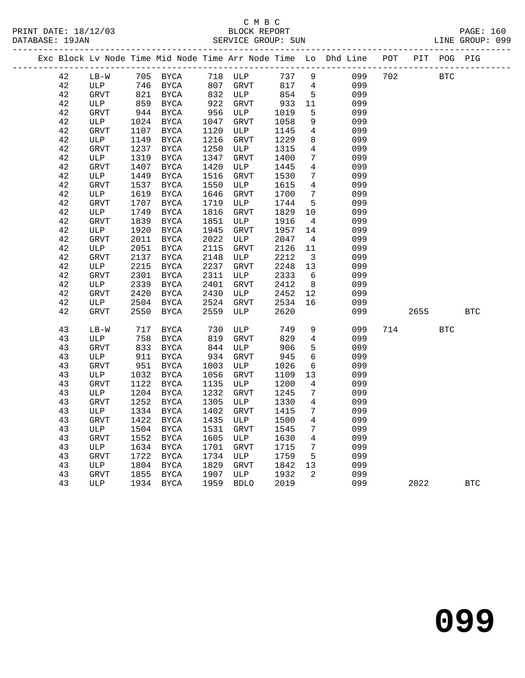### C M B C<br>BLOCK REPORT SERVICE GROUP: SUN

|  |             |              |      |               |      |             |      |                         | Exc Block Lv Node Time Mid Node Time Arr Node Time Lo Dhd Line POT |     |      | PIT POG PIG |            |
|--|-------------|--------------|------|---------------|------|-------------|------|-------------------------|--------------------------------------------------------------------|-----|------|-------------|------------|
|  | 42          | $LB-W$       |      | 705 BYCA      |      | 718 ULP     | 737  | 9                       | 099                                                                | 702 |      | <b>BTC</b>  |            |
|  | 42          | ULP          | 746  | BYCA          |      | 807 GRVT    | 817  | $\overline{4}$          | 099                                                                |     |      |             |            |
|  | 42          | GRVT         | 821  | <b>BYCA</b>   |      | 832 ULP     | 854  | $5^{\circ}$             | 099                                                                |     |      |             |            |
|  | 42          | ULP          | 859  | BYCA          | 922  | GRVT        | 933  | 11                      | 099                                                                |     |      |             |            |
|  | 42          | GRVT         | 944  | BYCA          | 956  | ULP         | 1019 | 5                       | 099                                                                |     |      |             |            |
|  | 42          | ULP          | 1024 | BYCA          | 1047 | GRVT        | 1058 | 9                       | 099                                                                |     |      |             |            |
|  | 42          | GRVT         | 1107 | <b>BYCA</b>   | 1120 | ULP         | 1145 | $4\overline{ }$         | 099                                                                |     |      |             |            |
|  | 42          | ULP          | 1149 | <b>BYCA</b>   | 1216 | <b>GRVT</b> | 1229 | 8                       | 099                                                                |     |      |             |            |
|  | $4\sqrt{2}$ | <b>GRVT</b>  | 1237 | BYCA          | 1250 | ULP         | 1315 | $\overline{4}$          | 099                                                                |     |      |             |            |
|  | 42          | ULP          | 1319 | BYCA          | 1347 | GRVT        | 1400 | $7\phantom{.0}$         | 099                                                                |     |      |             |            |
|  | 42          | <b>GRVT</b>  | 1407 | <b>BYCA</b>   | 1420 | ULP         | 1445 | $\overline{4}$          | 099                                                                |     |      |             |            |
|  | $4\sqrt{2}$ | ULP          | 1449 | <b>BYCA</b>   | 1516 | GRVT        | 1530 | $7\phantom{.0}$         | 099                                                                |     |      |             |            |
|  | 42          | <b>GRVT</b>  | 1537 | <b>BYCA</b>   | 1550 | ULP         | 1615 | $\overline{4}$          | 099                                                                |     |      |             |            |
|  | 42          | ULP          | 1619 | <b>BYCA</b>   | 1646 | GRVT        | 1700 | $7\overline{ }$         | 099                                                                |     |      |             |            |
|  | 42          | GRVT         | 1707 | BYCA          | 1719 | ULP         | 1744 | 5                       | 099                                                                |     |      |             |            |
|  | 42          | $_{\rm ULP}$ | 1749 | <b>BYCA</b>   | 1816 | <b>GRVT</b> | 1829 | 10                      | 099                                                                |     |      |             |            |
|  | 42          | <b>GRVT</b>  | 1839 | <b>BYCA</b>   | 1851 | ULP         | 1916 | 4                       | 099                                                                |     |      |             |            |
|  | 42          | ULP          | 1920 | BYCA          | 1945 | GRVT        | 1957 | 14                      | 099                                                                |     |      |             |            |
|  | $4\sqrt{2}$ |              | 2011 | BYCA          | 2022 | ULP         | 2047 | 4                       | 099                                                                |     |      |             |            |
|  | 42          | GRVT         |      |               | 2115 |             |      | 11                      | 099                                                                |     |      |             |            |
|  |             | ULP          | 2051 | BYCA          |      | GRVT        | 2126 |                         |                                                                    |     |      |             |            |
|  | $4\sqrt{2}$ | GRVT         | 2137 | $_{\rm BYCA}$ | 2148 | ULP         | 2212 | $\overline{\mathbf{3}}$ | 099                                                                |     |      |             |            |
|  | 42          | ULP          | 2215 | <b>BYCA</b>   | 2237 | GRVT        | 2248 | 13                      | 099                                                                |     |      |             |            |
|  | 42          | GRVT         | 2301 | <b>BYCA</b>   | 2311 | ULP         | 2333 | 6                       | 099                                                                |     |      |             |            |
|  | 42          | ULP          | 2339 | BYCA          | 2401 | GRVT        | 2412 | 8 <sup>8</sup>          | 099                                                                |     |      |             |            |
|  | 42          | GRVT         | 2420 | BYCA          | 2430 | ULP         | 2452 | 12                      | 099                                                                |     |      |             |            |
|  | 42          | ULP          | 2504 | BYCA          | 2524 | GRVT        | 2534 | 16                      | 099                                                                |     |      |             |            |
|  | 42          | <b>GRVT</b>  | 2550 | <b>BYCA</b>   | 2559 | ULP         | 2620 |                         | 099                                                                |     | 2655 |             | <b>BTC</b> |
|  | 43          | $LB-W$       | 717  | BYCA          | 730  | ULP         | 749  | 9                       | 099                                                                | 714 |      | <b>BTC</b>  |            |
|  | 43          | ULP          | 758  | BYCA          | 819  | GRVT        | 829  | $\overline{4}$          | 099                                                                |     |      |             |            |
|  | 43          | GRVT         | 833  | BYCA          | 844  | ULP         | 906  | 5                       | 099                                                                |     |      |             |            |
|  | 43          | ULP          | 911  | BYCA          | 934  | GRVT        | 945  | $6\phantom{1}6$         | 099                                                                |     |      |             |            |
|  | 43          | GRVT         | 951  | <b>BYCA</b>   | 1003 | ULP         | 1026 | 6                       | 099                                                                |     |      |             |            |
|  | 43          | ULP          | 1032 | BYCA          | 1056 | GRVT        | 1109 | 13                      | 099                                                                |     |      |             |            |
|  | 43          | GRVT         | 1122 | BYCA          | 1135 | ULP         | 1200 | 4                       | 099                                                                |     |      |             |            |
|  | 43          | ULP          | 1204 | <b>BYCA</b>   | 1232 | <b>GRVT</b> | 1245 | 7                       | 099                                                                |     |      |             |            |
|  | 43          | <b>GRVT</b>  | 1252 | BYCA          | 1305 | ULP         | 1330 | $\overline{4}$          | 099                                                                |     |      |             |            |
|  | 43          | ULP          | 1334 | BYCA          | 1402 | GRVT        | 1415 | $7^{\circ}$             | 099                                                                |     |      |             |            |
|  | 43          | <b>GRVT</b>  | 1422 | BYCA          | 1435 | ULP         | 1500 | $\overline{4}$          | 099                                                                |     |      |             |            |
|  | 43          | ULP          | 1504 | BYCA          | 1531 | <b>GRVT</b> | 1545 | $7\overline{ }$         | 099                                                                |     |      |             |            |
|  | 43          | <b>GRVT</b>  | 1552 | BYCA          | 1605 | ULP         | 1630 | $\overline{4}$          | 099                                                                |     |      |             |            |
|  | 43          | ULP          | 1634 | BYCA          | 1701 | GRVT        | 1715 | 7                       | 099                                                                |     |      |             |            |
|  | 43          | GRVT         | 1722 | BYCA          | 1734 | ULP         | 1759 | 5                       | 099                                                                |     |      |             |            |
|  | 43          | ULP          | 1804 | BYCA          | 1829 | <b>GRVT</b> | 1842 | 13                      | 099                                                                |     |      |             |            |
|  | 43          | <b>GRVT</b>  | 1855 | <b>BYCA</b>   | 1907 | ULP         | 1932 | $\overline{2}$          | 099                                                                |     |      |             |            |
|  |             |              |      |               |      |             |      |                         |                                                                    |     |      |             |            |

43 ULP 1934 BYCA 1959 BDLO 2019 099 2022 BTC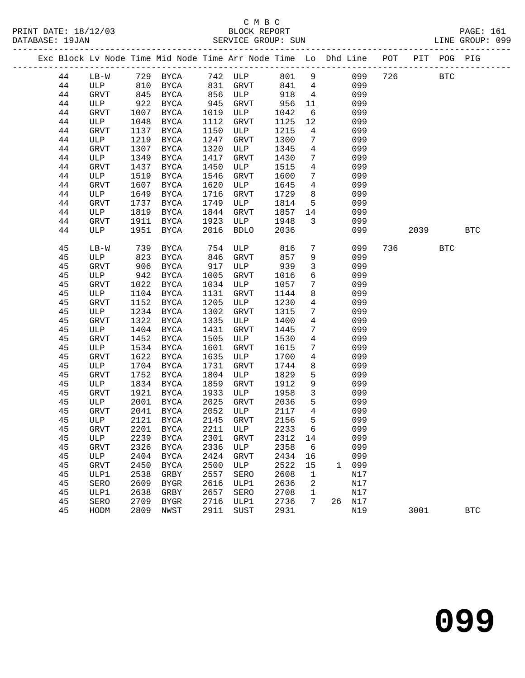|  |          |                               |              | Exc Block Lv Node Time Mid Node Time Arr Node Time Lo Dhd Line POT |              |             |              |                 |              |            |     |      | PIT POG PIG  |            |
|--|----------|-------------------------------|--------------|--------------------------------------------------------------------|--------------|-------------|--------------|-----------------|--------------|------------|-----|------|--------------|------------|
|  | 44       | $LB-W$                        |              | 729 BYCA                                                           |              | 742 ULP     |              |                 | 801 9        | 099        | 726 |      | $_{\rm BTC}$ |            |
|  | 44       |                               |              |                                                                    |              | GRVT        | 841          | $4\overline{4}$ |              | 099        |     |      |              |            |
|  | 44       | ULP 810 BYCA<br>GRVT 845 BYCA |              |                                                                    | 831<br>856   | ULP         | 918          | $\overline{4}$  |              | 099        |     |      |              |            |
|  | 44       | ULP                           | 922          | BYCA                                                               | 945          | GRVT        | 956          | 11              |              | 099        |     |      |              |            |
|  | 44       | <b>GRVT</b>                   | 1007         | BYCA                                                               | 1019         | ULP         | 1042         | 6               |              | 099        |     |      |              |            |
|  | 44       | ULP                           | 1048         | BYCA                                                               | 1112         | GRVT        | 1125         | 12              |              | 099        |     |      |              |            |
|  | 44       | GRVT                          | 1137         | BYCA                                                               | 1150         | ULP         | 1215         | $4\overline{ }$ |              | 099        |     |      |              |            |
|  | 44       | ULP                           | 1219         | BYCA                                                               | 1247         | GRVT        | 1300         | 7               |              | 099        |     |      |              |            |
|  | 44       | <b>GRVT</b>                   | 1307         | BYCA                                                               | 1320         | ULP         | 1345         | $\overline{4}$  |              | 099        |     |      |              |            |
|  | 44       | ULP                           | 1349         | BYCA                                                               | 1417         | GRVT        | 1430         | $7\phantom{.0}$ |              | 099        |     |      |              |            |
|  | 44       | GRVT                          | 1437         | BYCA                                                               | 1450         | ULP         | 1515         | $\overline{4}$  |              | 099        |     |      |              |            |
|  | 44       | ULP                           | 1519         | BYCA                                                               | 1546         | GRVT        | 1600         | $7\phantom{.0}$ |              | 099        |     |      |              |            |
|  | 44       | <b>GRVT</b>                   | 1607         | BYCA                                                               | 1620         | ULP         | 1645         | $\overline{4}$  |              | 099        |     |      |              |            |
|  | 44       | ULP                           | 1649         | <b>BYCA</b>                                                        | 1716         | GRVT        | 1729         | 8               |              | 099        |     |      |              |            |
|  | 44       | <b>GRVT</b>                   | 1737         | <b>BYCA</b>                                                        | 1749         | ULP         | 1814         | $5\overline{)}$ |              | 099        |     |      |              |            |
|  | 44       | ULP                           | 1819         | BYCA                                                               | 1844         | GRVT        | 1857         | 14              |              | 099        |     |      |              |            |
|  | 44       | <b>GRVT</b>                   | 1911         | BYCA                                                               | 1923         | ULP         | 1948         | $\mathbf{3}$    |              | 099        |     |      |              |            |
|  | 44       | ULP                           | 1951         | BYCA                                                               | 2016         | <b>BDLO</b> | 2036         |                 |              | 099        |     | 2039 |              | <b>BTC</b> |
|  |          |                               |              |                                                                    |              |             |              |                 |              |            |     |      |              |            |
|  | 45       | $LB-W$                        | 739          | BYCA                                                               | 754          | ULP         | 816          | $7\phantom{.0}$ |              | 099        | 736 |      | <b>BTC</b>   |            |
|  | 45       | ULP                           | 823          | BYCA                                                               | 846          | GRVT        | 857          | 9               |              | 099        |     |      |              |            |
|  | 45       | <b>GRVT</b>                   | 906          | <b>BYCA</b>                                                        | 917          | ULP         | 939          | $\mathbf{3}$    |              | 099        |     |      |              |            |
|  | 45       | ULP                           | 942          | BYCA                                                               | 1005         | GRVT        | 1016         | 6               |              | 099        |     |      |              |            |
|  | 45       | GRVT                          | 1022         | BYCA                                                               | 1034         | ULP         | 1057         | $7\phantom{.0}$ |              | 099        |     |      |              |            |
|  | 45       | ULP                           | 1104         | BYCA                                                               | 1131         | GRVT        | 1144         | 8               |              | 099        |     |      |              |            |
|  | 45       | <b>GRVT</b>                   | 1152         | BYCA                                                               | 1205         | ULP         | 1230         | $\overline{4}$  |              | 099        |     |      |              |            |
|  | 45       | ULP                           | 1234         | BYCA                                                               | 1302         | GRVT        | 1315         | $7\phantom{.0}$ |              | 099        |     |      |              |            |
|  | 45       | GRVT                          | 1322         | BYCA                                                               | 1335         | ULP         | 1400         | $\overline{4}$  |              | 099        |     |      |              |            |
|  | 45       | ULP                           | 1404         | BYCA                                                               | 1431         | GRVT        | 1445         | $7\phantom{.}$  |              | 099        |     |      |              |            |
|  | 45       | <b>GRVT</b>                   | 1452         | BYCA                                                               | 1505         | ULP         | 1530         | $\overline{4}$  |              | 099        |     |      |              |            |
|  | 45       | ULP                           | 1534         | BYCA                                                               | 1601         | GRVT        | 1615         | $7\phantom{.0}$ |              | 099        |     |      |              |            |
|  | 45       | GRVT                          | 1622         | BYCA                                                               | 1635         | ULP         | 1700         | $\overline{4}$  |              | 099        |     |      |              |            |
|  | 45       | ULP                           | 1704         | BYCA                                                               | 1731         | GRVT        | 1744         | 8               |              | 099        |     |      |              |            |
|  | 45       | <b>GRVT</b>                   | 1752         | BYCA                                                               | 1804         | ULP         | 1829         | 5<br>9          |              | 099        |     |      |              |            |
|  | 45       | ULP                           | 1834<br>1921 | BYCA                                                               | 1859<br>1933 | GRVT        | 1912<br>1958 | $\mathbf{3}$    |              | 099<br>099 |     |      |              |            |
|  | 45<br>45 | GRVT<br>ULP                   | 2001         | BYCA<br>BYCA                                                       | 2025         | ULP<br>GRVT | 2036         | 5               |              | 099        |     |      |              |            |
|  | 45       | <b>GRVT</b>                   | 2041         | BYCA                                                               | 2052         | ULP         | 2117         | $\overline{4}$  |              | 099        |     |      |              |            |
|  | 45       | ULP                           | 2121         | BYCA                                                               | 2145         | GRVT        | 2156         | 5               |              | 099        |     |      |              |            |
|  | 45       | GRVT                          |              | 2201 BYCA 2211 ULP                                                 |              |             | 2233 6       |                 |              | 099        |     |      |              |            |
|  | 45       | ULP                           | 2239         | <b>BYCA</b>                                                        | 2301         | GRVT        | 2312         | 14              |              | 099        |     |      |              |            |
|  | 45       | <b>GRVT</b>                   | 2326         | <b>BYCA</b>                                                        | 2336         | ULP         | 2358         | 6               |              | 099        |     |      |              |            |
|  | 45       | $_{\rm ULP}$                  | 2404         | <b>BYCA</b>                                                        | 2424         | GRVT        | 2434         | 16              |              | 099        |     |      |              |            |
|  | 45       | <b>GRVT</b>                   | 2450         | <b>BYCA</b>                                                        | 2500         | ULP         | 2522         | 15              | $\mathbf{1}$ | 099        |     |      |              |            |
|  | 45       | ULP1                          | 2538         | GRBY                                                               | 2557         | SERO        | 2608         | 1               |              | N17        |     |      |              |            |
|  | 45       | SERO                          | 2609         | <b>BYGR</b>                                                        | 2616         | ULP1        | 2636         | 2               |              | N17        |     |      |              |            |
|  | 45       | ULP1                          | 2638         | GRBY                                                               | 2657         | SERO        | 2708         | 1               |              | N17        |     |      |              |            |
|  | 45       | SERO                          | 2709         | <b>BYGR</b>                                                        | 2716         | ULP1        | 2736         | 7               | 26           | N17        |     |      |              |            |
|  | 45       | HODM                          | 2809         | NWST                                                               | 2911         | SUST        | 2931         |                 |              | N19        |     | 3001 |              | <b>BTC</b> |
|  |          |                               |              |                                                                    |              |             |              |                 |              |            |     |      |              |            |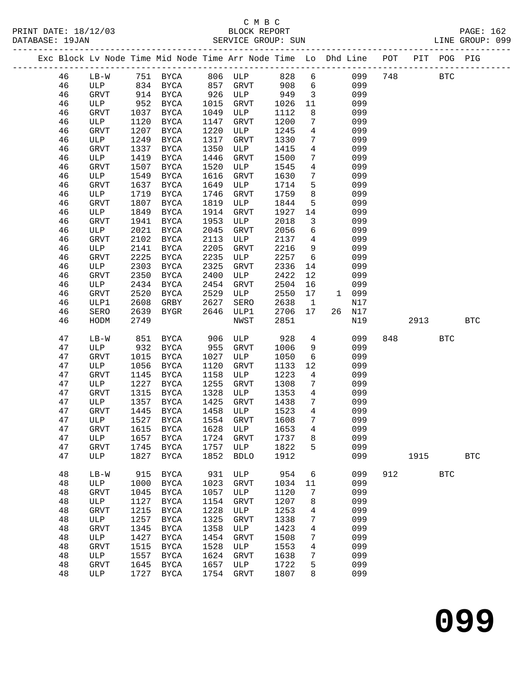|  |          |              |      |                                |         |             |      |                         | Exc Block Lv Node Time Mid Node Time Arr Node Time Lo Dhd Line POT PIT POG PIG |     |      |            |            |
|--|----------|--------------|------|--------------------------------|---------|-------------|------|-------------------------|--------------------------------------------------------------------------------|-----|------|------------|------------|
|  | 46       | LB-W         |      | 751 BYCA                       | 806 ULP |             | 828  | 6                       | 099                                                                            | 748 |      | <b>BTC</b> |            |
|  | 46       | ULP          |      | 834 BYCA                       | 857     | GRVT        | 908  | 6                       | 099                                                                            |     |      |            |            |
|  | 46       | <b>GRVT</b>  |      | 914 BYCA                       | 926     | ULP         | 949  | $\overline{\mathbf{3}}$ | 099                                                                            |     |      |            |            |
|  | 46       | ULP          | 952  | BYCA                           | 1015    | <b>GRVT</b> | 1026 | 11                      | 099                                                                            |     |      |            |            |
|  | 46       | GRVT         | 1037 | BYCA                           | 1049    | ULP         | 1112 | 8                       | 099                                                                            |     |      |            |            |
|  | 46       | ULP          | 1120 | BYCA                           | 1147    | GRVT        | 1200 | $7\phantom{.0}$         | 099                                                                            |     |      |            |            |
|  | 46       | GRVT         | 1207 | <b>BYCA</b>                    | 1220    | ULP         | 1245 | $4\overline{ }$         | 099                                                                            |     |      |            |            |
|  | 46       | ULP          | 1249 | <b>BYCA</b>                    | 1317    | GRVT        | 1330 | $7\phantom{.0}$         | 099                                                                            |     |      |            |            |
|  | 46       | <b>GRVT</b>  | 1337 | BYCA                           | 1350    | ULP         | 1415 | $\overline{4}$          | 099                                                                            |     |      |            |            |
|  | 46       | ULP          | 1419 | BYCA                           | 1446    | GRVT        | 1500 | $7\phantom{.0}$         | 099                                                                            |     |      |            |            |
|  | 46       | <b>GRVT</b>  | 1507 | BYCA                           | 1520    | ULP         | 1545 | $\overline{4}$          | 099                                                                            |     |      |            |            |
|  | 46       | ULP          | 1549 | BYCA                           | 1616    | GRVT        | 1630 | 7                       | 099                                                                            |     |      |            |            |
|  | 46       | GRVT         | 1637 | BYCA                           | 1649    | ULP         | 1714 | 5                       | 099                                                                            |     |      |            |            |
|  | 46       | ULP          | 1719 | BYCA                           | 1746    | GRVT        | 1759 | 8                       | 099                                                                            |     |      |            |            |
|  | 46       | <b>GRVT</b>  | 1807 | BYCA                           | 1819    | ULP         | 1844 | 5                       | 099                                                                            |     |      |            |            |
|  | 46       | ULP          | 1849 | BYCA                           | 1914    | GRVT        | 1927 | 14                      | 099                                                                            |     |      |            |            |
|  | 46       | <b>GRVT</b>  | 1941 | BYCA                           | 1953    | ULP         | 2018 | $\mathbf{3}$            | 099                                                                            |     |      |            |            |
|  | 46       | ULP          | 2021 | BYCA                           | 2045    | GRVT        | 2056 | 6                       | 099                                                                            |     |      |            |            |
|  | 46       | <b>GRVT</b>  | 2102 | BYCA                           | 2113    | ULP         | 2137 | $4\overline{ }$         | 099                                                                            |     |      |            |            |
|  | 46       | ULP          | 2141 | BYCA                           | 2205    | GRVT        | 2216 | 9                       | 099                                                                            |     |      |            |            |
|  | 46       | GRVT         | 2225 | BYCA                           | 2235    | ULP         | 2257 | $6\overline{6}$         | 099                                                                            |     |      |            |            |
|  | 46       | ULP          | 2303 | BYCA                           | 2325    | GRVT        | 2336 | 14                      | 099                                                                            |     |      |            |            |
|  | 46       | GRVT         | 2350 | BYCA                           | 2400    | ULP         | 2422 | 12                      | 099                                                                            |     |      |            |            |
|  | 46       | ULP          | 2434 | BYCA                           | 2454    | GRVT        | 2504 | 16                      | 099                                                                            |     |      |            |            |
|  | 46       | GRVT         | 2520 | BYCA                           | 2529    | ULP         | 2550 | 17                      | 099<br>$\mathbf{1}$                                                            |     |      |            |            |
|  | 46       | ULP1         | 2608 | GRBY                           | 2627    | SERO        | 2638 | $\mathbf{1}$            | N17                                                                            |     |      |            |            |
|  | 46<br>46 | SERO         | 2639 | BYGR                           | 2646    | ULP1        | 2706 | 17                      | 26 N17<br>N19                                                                  |     |      |            | <b>BTC</b> |
|  |          | HODM         | 2749 |                                |         | NWST        | 2851 |                         |                                                                                |     | 2913 |            |            |
|  | 47       | $LB-W$       | 851  | BYCA                           | 906     | ULP         | 928  | $4\overline{ }$         | 099                                                                            | 848 |      | <b>BTC</b> |            |
|  | 47       | ULP          | 932  | BYCA                           | 955     | GRVT        | 1006 | 9                       | 099                                                                            |     |      |            |            |
|  | 47       | GRVT         | 1015 | BYCA                           | 1027    | ULP         | 1050 | 6                       | 099                                                                            |     |      |            |            |
|  | 47       | ULP          | 1056 | BYCA                           | 1120    | GRVT        | 1133 | 12                      | 099                                                                            |     |      |            |            |
|  | 47       | <b>GRVT</b>  | 1145 | BYCA                           | 1158    | ULP         | 1223 | $\overline{4}$          | 099                                                                            |     |      |            |            |
|  | 47       | ULP          | 1227 | BYCA                           | 1255    | GRVT        | 1308 | 7                       | 099                                                                            |     |      |            |            |
|  | 47       | <b>GRVT</b>  | 1315 | BYCA                           | 1328    | ULP         | 1353 | $\overline{4}$          | 099                                                                            |     |      |            |            |
|  | 47       | ULP          | 1357 | BYCA                           | 1425    | GRVT        | 1438 | 7                       | 099                                                                            |     |      |            |            |
|  | 47       | GRVT         | 1445 | BYCA                           | 1458    | ULP         | 1523 | $4\overline{ }$         | 099                                                                            |     |      |            |            |
|  | 47       | ULP          | 1527 | BYCA                           |         | 1554 GRVT   | 1608 | $7\overline{ }$         | 099                                                                            |     |      |            |            |
|  | 47       |              |      | GRVT 1615 BYCA 1628 ULP 1653 4 |         |             |      |                         | 099                                                                            |     |      |            |            |
|  | 47       | ULP          | 1657 | BYCA                           | 1724    | GRVT        | 1737 | 8                       | 099                                                                            |     |      |            |            |
|  | 47       | <b>GRVT</b>  | 1745 | BYCA                           | 1757    | ULP         | 1822 | 5                       | 099                                                                            |     |      |            |            |
|  | 47       | $_{\rm ULP}$ | 1827 | BYCA                           | 1852    | <b>BDLO</b> | 1912 |                         | 099                                                                            |     | 1915 |            | <b>BTC</b> |
|  | 48       | $LB-W$       | 915  | <b>BYCA</b>                    | 931     | ULP         | 954  | 6                       | 099                                                                            | 912 |      | <b>BTC</b> |            |
|  | 48       | ULP          | 1000 | <b>BYCA</b>                    | 1023    | <b>GRVT</b> | 1034 | 11                      | 099                                                                            |     |      |            |            |
|  | 48       | <b>GRVT</b>  | 1045 | BYCA                           | 1057    | ULP         | 1120 | 7                       | 099                                                                            |     |      |            |            |
|  | 48       | ULP          | 1127 | BYCA                           | 1154    | <b>GRVT</b> | 1207 | 8                       | 099                                                                            |     |      |            |            |
|  | 48       | GRVT         | 1215 | <b>BYCA</b>                    | 1228    | ULP         | 1253 | 4                       | 099                                                                            |     |      |            |            |
|  | 48       | ULP          | 1257 | BYCA                           | 1325    | <b>GRVT</b> | 1338 | 7                       | 099                                                                            |     |      |            |            |
|  | 48       | GRVT         | 1345 | BYCA                           | 1358    | ULP         | 1423 | 4                       | 099                                                                            |     |      |            |            |
|  | 48       | ULP          | 1427 | BYCA                           | 1454    | <b>GRVT</b> | 1508 | 7                       | 099                                                                            |     |      |            |            |
|  | 48       | GRVT         | 1515 | BYCA                           | 1528    | ULP         | 1553 | 4                       | 099                                                                            |     |      |            |            |
|  | 48       | ULP          | 1557 | BYCA                           | 1624    | GRVT        | 1638 | 7                       | 099                                                                            |     |      |            |            |
|  | 48       | GRVT         | 1645 | BYCA                           | 1657    | ULP         | 1722 | 5                       | 099                                                                            |     |      |            |            |
|  | 48       | ULP          | 1727 | BYCA                           | 1754    | <b>GRVT</b> | 1807 | 8                       | 099                                                                            |     |      |            |            |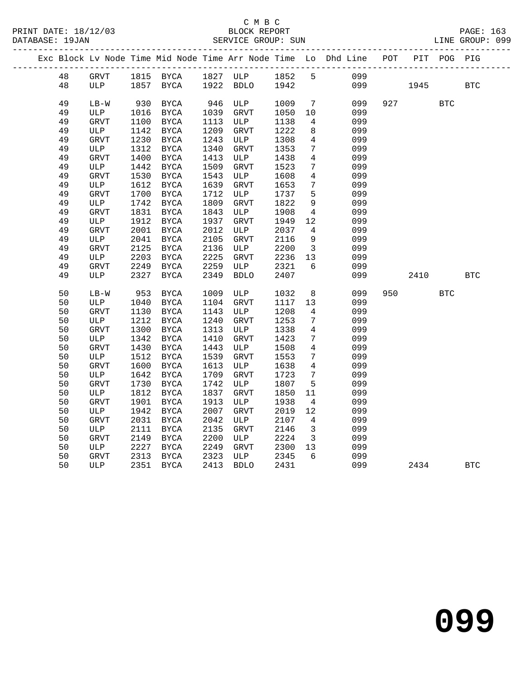|  |          |                    |              |                            |              |                    |              |                         | Exc Block Lv Node Time Mid Node Time Arr Node Time Lo Dhd Line POT |     |      | PIT POG PIG |            |
|--|----------|--------------------|--------------|----------------------------|--------------|--------------------|--------------|-------------------------|--------------------------------------------------------------------|-----|------|-------------|------------|
|  | 48       | GRVT               |              | 1815 BYCA                  |              | 1827 ULP           | 1852         | 5 <sup>5</sup>          | 099                                                                |     |      |             |            |
|  | 48       | ULP                | 1857         | BYCA                       |              | 1922 BDLO          | 1942         |                         | 099                                                                |     | 1945 |             | <b>BTC</b> |
|  |          |                    |              |                            |              |                    |              |                         |                                                                    |     |      |             |            |
|  | 49       | $LB-W$             | 930          | BYCA                       | 946          | ULP                | 1009         | $7\overline{ }$         | 099                                                                | 927 |      | <b>BTC</b>  |            |
|  | 49       | ULP                | 1016         | BYCA                       | 1039         | GRVT               | 1050         | 10                      | 099<br>099                                                         |     |      |             |            |
|  | 49<br>49 | GRVT<br>ULP        | 1100<br>1142 | <b>BYCA</b><br><b>BYCA</b> | 1113<br>1209 | ULP<br><b>GRVT</b> | 1138<br>1222 | 4<br>8                  | 099                                                                |     |      |             |            |
|  | 49       | <b>GRVT</b>        | 1230         | BYCA                       | 1243         | ULP                | 1308         | 4                       | 099                                                                |     |      |             |            |
|  | 49       | ULP                | 1312         | <b>BYCA</b>                | 1340         | <b>GRVT</b>        | 1353         | 7                       | 099                                                                |     |      |             |            |
|  | 49       | <b>GRVT</b>        | 1400         | BYCA                       | 1413         | ULP                | 1438         | 4                       | 099                                                                |     |      |             |            |
|  | 49       | ULP                | 1442         | <b>BYCA</b>                | 1509         | GRVT               | 1523         | 7                       | 099                                                                |     |      |             |            |
|  | 49       | <b>GRVT</b>        | 1530         | <b>BYCA</b>                | 1543         | ULP                | 1608         | $\overline{4}$          | 099                                                                |     |      |             |            |
|  | 49       | ULP                | 1612         | BYCA                       | 1639         | GRVT               | 1653         | 7                       | 099                                                                |     |      |             |            |
|  | 49       | <b>GRVT</b>        | 1700         | BYCA                       | 1712         | ULP                | 1737         | 5                       | 099                                                                |     |      |             |            |
|  | 49       | ULP                | 1742         | <b>BYCA</b>                | 1809         | <b>GRVT</b>        | 1822         | $\overline{9}$          | 099                                                                |     |      |             |            |
|  | 49       | <b>GRVT</b>        | 1831         | <b>BYCA</b>                | 1843         | ULP                | 1908         | $\overline{4}$          | 099                                                                |     |      |             |            |
|  | 49       | ULP                | 1912         | <b>BYCA</b>                | 1937         | GRVT               | 1949         | 12                      | 099                                                                |     |      |             |            |
|  | 49       | <b>GRVT</b>        | 2001         | <b>BYCA</b>                | 2012         | ULP                | 2037         | 4                       | 099                                                                |     |      |             |            |
|  | 49       | ULP                | 2041         | <b>BYCA</b>                | 2105         | <b>GRVT</b>        | 2116         | 9                       | 099                                                                |     |      |             |            |
|  | 49       | GRVT               | 2125         | <b>BYCA</b>                | 2136         | ULP                | 2200         | $\overline{\mathbf{3}}$ | 099                                                                |     |      |             |            |
|  | 49       | ULP                | 2203         | <b>BYCA</b>                | 2225         | GRVT               | 2236         | 13                      | 099                                                                |     |      |             |            |
|  | 49       | <b>GRVT</b>        | 2249         | BYCA                       | 2259         | ULP                | 2321         | 6                       | 099                                                                |     |      |             |            |
|  | 49       | ULP                | 2327         | BYCA                       | 2349         | <b>BDLO</b>        | 2407         |                         | 099                                                                |     | 2410 |             | <b>BTC</b> |
|  |          |                    |              |                            |              |                    |              |                         |                                                                    |     |      |             |            |
|  | 50       | $LB-W$             | 953          | <b>BYCA</b>                | 1009         | ULP                | 1032         | 8                       | 099                                                                | 950 |      | <b>BTC</b>  |            |
|  | 50       | ULP                | 1040         | BYCA                       | 1104         | GRVT               | 1117         | 13                      | 099<br>099                                                         |     |      |             |            |
|  | 50<br>50 | <b>GRVT</b><br>ULP | 1130<br>1212 | <b>BYCA</b><br><b>BYCA</b> | 1143<br>1240 | ULP<br><b>GRVT</b> | 1208<br>1253 | $\overline{4}$<br>7     | 099                                                                |     |      |             |            |
|  | 50       | <b>GRVT</b>        | 1300         | <b>BYCA</b>                | 1313         | ULP                | 1338         | 4                       | 099                                                                |     |      |             |            |
|  | 50       | ULP                | 1342         | <b>BYCA</b>                | 1410         | GRVT               | 1423         | 7                       | 099                                                                |     |      |             |            |
|  | 50       | <b>GRVT</b>        | 1430         | BYCA                       | 1443         | ULP                | 1508         | 4                       | 099                                                                |     |      |             |            |
|  | 50       | ULP                | 1512         | <b>BYCA</b>                | 1539         | GRVT               | 1553         | 7                       | 099                                                                |     |      |             |            |
|  | 50       | <b>GRVT</b>        | 1600         | <b>BYCA</b>                | 1613         | ULP                | 1638         | 4                       | 099                                                                |     |      |             |            |
|  | 50       | ULP                | 1642         | <b>BYCA</b>                | 1709         | <b>GRVT</b>        | 1723         | 7                       | 099                                                                |     |      |             |            |
|  | 50       | <b>GRVT</b>        | 1730         | BYCA                       | 1742         | ULP                | 1807         | 5                       | 099                                                                |     |      |             |            |
|  | 50       | ULP                | 1812         | <b>BYCA</b>                | 1837         | <b>GRVT</b>        | 1850         | 11                      | 099                                                                |     |      |             |            |
|  | 50       | <b>GRVT</b>        | 1901         | <b>BYCA</b>                | 1913         | ULP                | 1938         | $\overline{4}$          | 099                                                                |     |      |             |            |
|  | 50       | ULP                | 1942         | <b>BYCA</b>                | 2007         | <b>GRVT</b>        | 2019         | 12                      | 099                                                                |     |      |             |            |
|  | 50       | <b>GRVT</b>        | 2031         | BYCA                       | 2042         | ULP                | 2107         | 4                       | 099                                                                |     |      |             |            |
|  | 50       | ULP                | 2111         | BYCA                       | 2135         | GRVT               | 2146         | $\overline{3}$          | 099                                                                |     |      |             |            |
|  | 50       | <b>GRVT</b>        | 2149         | <b>BYCA</b>                | 2200         | ULP                | 2224         | $\overline{3}$          | 099                                                                |     |      |             |            |
|  | 50       | ULP                | 2227         | <b>BYCA</b>                | 2249         | GRVT               | 2300         | 13                      | 099                                                                |     |      |             |            |
|  | 50       | <b>GRVT</b>        | 2313         | <b>BYCA</b>                | 2323         | ULP                | 2345         | 6                       | 099                                                                |     |      |             |            |
|  | 50       | ULP                | 2351         | <b>BYCA</b>                | 2413         | <b>BDLO</b>        | 2431         |                         | 099                                                                |     | 2434 |             | <b>BTC</b> |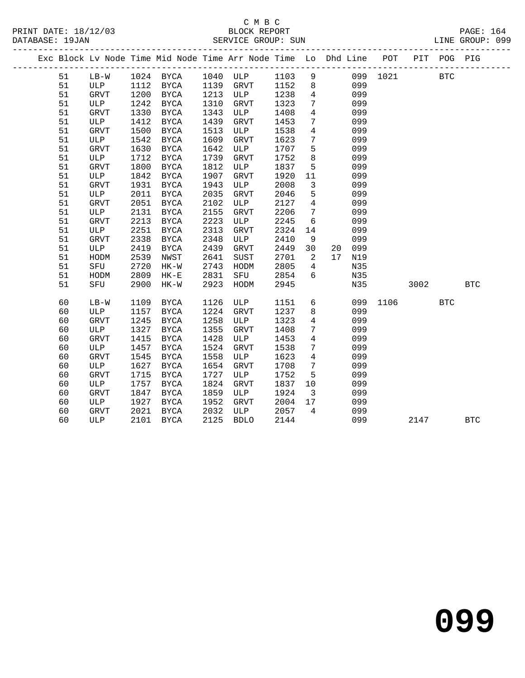### C M B C<br>BLOCK REPORT SERVICE GROUP: SUN

|  |    |             |      |             |      | Exc Block Lv Node Time Mid Node Time Arr Node Time Lo Dhd Line POT |      |                         |    |     |          |      | PIT POG PIG |            |
|--|----|-------------|------|-------------|------|--------------------------------------------------------------------|------|-------------------------|----|-----|----------|------|-------------|------------|
|  | 51 | $LB-W$      |      | 1024 BYCA   |      | 1040 ULP                                                           | 1103 | 9                       |    |     | 099 1021 |      | <b>BTC</b>  |            |
|  | 51 | ULP         | 1112 | BYCA        | 1139 | GRVT                                                               | 1152 | 8                       |    | 099 |          |      |             |            |
|  | 51 | GRVT        | 1200 | BYCA        | 1213 | ULP                                                                | 1238 | $\overline{4}$          |    | 099 |          |      |             |            |
|  | 51 | ULP         | 1242 | BYCA        | 1310 | GRVT                                                               | 1323 | $7\phantom{.0}$         |    | 099 |          |      |             |            |
|  | 51 | <b>GRVT</b> | 1330 | BYCA        | 1343 | ULP                                                                | 1408 | $\overline{4}$          |    | 099 |          |      |             |            |
|  | 51 | ULP         | 1412 | BYCA        | 1439 | <b>GRVT</b>                                                        | 1453 | $7\phantom{.0}$         |    | 099 |          |      |             |            |
|  | 51 | GRVT        | 1500 | <b>BYCA</b> | 1513 | ULP                                                                | 1538 | $\overline{4}$          |    | 099 |          |      |             |            |
|  | 51 | ULP         | 1542 | <b>BYCA</b> | 1609 | GRVT                                                               | 1623 | $7\overline{ }$         |    | 099 |          |      |             |            |
|  | 51 | GRVT        | 1630 | <b>BYCA</b> | 1642 | ULP                                                                | 1707 | 5                       |    | 099 |          |      |             |            |
|  | 51 | ULP         | 1712 | <b>BYCA</b> | 1739 | <b>GRVT</b>                                                        | 1752 | 8                       |    | 099 |          |      |             |            |
|  | 51 | <b>GRVT</b> | 1800 | BYCA        | 1812 | ULP                                                                | 1837 | 5                       |    | 099 |          |      |             |            |
|  | 51 | ULP         | 1842 | BYCA        | 1907 | <b>GRVT</b>                                                        | 1920 | 11                      |    | 099 |          |      |             |            |
|  | 51 | <b>GRVT</b> | 1931 | BYCA        | 1943 | ULP                                                                | 2008 | $\overline{3}$          |    | 099 |          |      |             |            |
|  | 51 | ULP         | 2011 | BYCA        | 2035 | <b>GRVT</b>                                                        | 2046 | $5\phantom{.0}$         |    | 099 |          |      |             |            |
|  | 51 | <b>GRVT</b> | 2051 | BYCA        | 2102 | ULP                                                                | 2127 | $\overline{4}$          |    | 099 |          |      |             |            |
|  | 51 | ULP         | 2131 | BYCA        | 2155 | <b>GRVT</b>                                                        | 2206 | $7\phantom{.0}$         |    | 099 |          |      |             |            |
|  | 51 | <b>GRVT</b> | 2213 | BYCA        | 2223 | ULP                                                                | 2245 | 6                       |    | 099 |          |      |             |            |
|  | 51 | ULP         | 2251 | <b>BYCA</b> | 2313 | ${\tt GRVT}$                                                       | 2324 | 14                      |    | 099 |          |      |             |            |
|  | 51 | <b>GRVT</b> | 2338 | <b>BYCA</b> | 2348 | ULP                                                                | 2410 | 9                       |    | 099 |          |      |             |            |
|  | 51 | ULP         | 2419 | BYCA        | 2439 | <b>GRVT</b>                                                        | 2449 | 30                      | 20 | 099 |          |      |             |            |
|  | 51 | HODM        | 2539 | NWST        | 2641 | <b>SUST</b>                                                        | 2701 | $\overline{2}$          | 17 | N19 |          |      |             |            |
|  | 51 | SFU         | 2720 | $HK-W$      | 2743 | HODM                                                               | 2805 | $\overline{4}$          |    | N35 |          |      |             |            |
|  | 51 | HODM        | 2809 | $HK-E$      | 2831 | SFU                                                                | 2854 | 6                       |    | N35 |          |      |             |            |
|  | 51 | SFU         | 2900 | $HK-W$      | 2923 | HODM                                                               | 2945 |                         |    | N35 |          | 3002 |             | <b>BTC</b> |
|  | 60 | $LB-W$      | 1109 | BYCA        | 1126 | ULP                                                                | 1151 | 6                       |    | 099 | 1106     |      | <b>BTC</b>  |            |
|  | 60 | ULP         | 1157 | BYCA        | 1224 | GRVT                                                               | 1237 | 8                       |    | 099 |          |      |             |            |
|  | 60 | GRVT        | 1245 | <b>BYCA</b> | 1258 | ULP                                                                | 1323 | $\overline{4}$          |    | 099 |          |      |             |            |
|  | 60 | ULP         | 1327 | <b>BYCA</b> | 1355 | ${\tt GRVT}$                                                       | 1408 | $7\phantom{.0}$         |    | 099 |          |      |             |            |
|  | 60 | <b>GRVT</b> | 1415 | <b>BYCA</b> | 1428 | ULP                                                                | 1453 | $\overline{4}$          |    | 099 |          |      |             |            |
|  | 60 | ULP         | 1457 | <b>BYCA</b> | 1524 | <b>GRVT</b>                                                        | 1538 | $7\phantom{.0}$         |    | 099 |          |      |             |            |
|  | 60 | <b>GRVT</b> | 1545 | BYCA        | 1558 | ULP                                                                | 1623 | $\overline{4}$          |    | 099 |          |      |             |            |
|  | 60 | ULP         | 1627 | BYCA        | 1654 | <b>GRVT</b>                                                        | 1708 | $7\phantom{.0}$         |    | 099 |          |      |             |            |
|  | 60 | <b>GRVT</b> | 1715 | BYCA        | 1727 | ULP                                                                | 1752 | 5                       |    | 099 |          |      |             |            |
|  | 60 | ULP         | 1757 | BYCA        | 1824 | GRVT                                                               | 1837 | 10                      |    | 099 |          |      |             |            |
|  | 60 | <b>GRVT</b> | 1847 | BYCA        | 1859 | ULP                                                                | 1924 | $\overline{\mathbf{3}}$ |    | 099 |          |      |             |            |
|  | 60 | ULP         | 1927 | BYCA        | 1952 | GRVT                                                               | 2004 | 17                      |    | 099 |          |      |             |            |
|  | 60 | GRVT        | 2021 | <b>BYCA</b> | 2032 | ULP                                                                | 2057 | $\overline{4}$          |    | 099 |          |      |             |            |
|  |    |             |      |             |      |                                                                    |      |                         |    |     |          |      |             |            |

60 ULP 2101 BYCA 2125 BDLO 2144 099 2147 BTC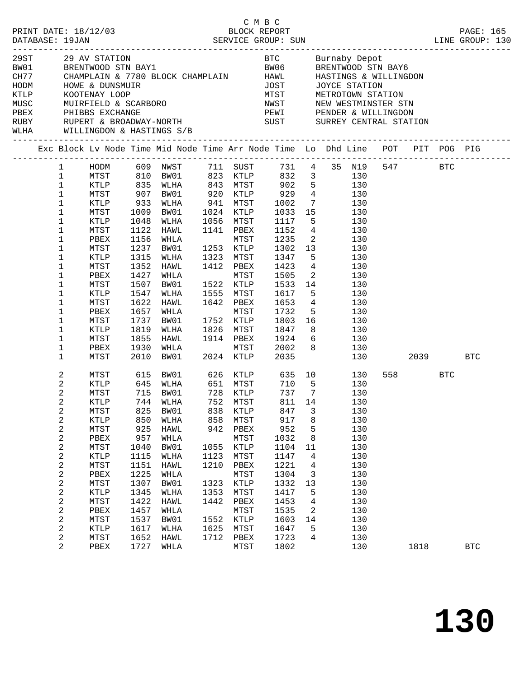|      | C M B C<br>PRINT DATE: 18/12/03 BLOCK REPORT PAGE: 165<br>DATABASE: 19JAN SERVICE GROUP: SUN LINE GROUP: 130                                                                                                                                                                                                                                                                                                                                                |                                                                                                                                             |                                                                                                                                                                                                                     |                                                                                           |                                                                                                                                                                     |                                                                                                                                                                                                |                                                                                                                     |                                                                                                                                                                                                                                                                                                                                                                                                     |          |                 |            |
|------|-------------------------------------------------------------------------------------------------------------------------------------------------------------------------------------------------------------------------------------------------------------------------------------------------------------------------------------------------------------------------------------------------------------------------------------------------------------|---------------------------------------------------------------------------------------------------------------------------------------------|---------------------------------------------------------------------------------------------------------------------------------------------------------------------------------------------------------------------|-------------------------------------------------------------------------------------------|---------------------------------------------------------------------------------------------------------------------------------------------------------------------|------------------------------------------------------------------------------------------------------------------------------------------------------------------------------------------------|---------------------------------------------------------------------------------------------------------------------|-----------------------------------------------------------------------------------------------------------------------------------------------------------------------------------------------------------------------------------------------------------------------------------------------------------------------------------------------------------------------------------------------------|----------|-----------------|------------|
| HODM | 29 AV STATION AND RESERVE DE CONTROLLER EN BUTTADY DEPOTMENT OF PRENTWOOD STRIBATG<br>1980 BRENTWOOD STRIBAY1 BAVAND BE BRENTWOOD STRIBAY6<br>2017 CHAMPLAIN & 7780 BLOCK CHAMPLAIN HAWL HASTINGS & WILLINGDON<br>HOWE & DUNSMUIR<br>RUBY      RUPERT & BROADWAY-NORTH                         SUST        SURREY CENTRAL STATION<br>WLHA WILLINGDON & HASTINGS S/B                                                                                         |                                                                                                                                             |                                                                                                                                                                                                                     |                                                                                           |                                                                                                                                                                     |                                                                                                                                                                                                |                                                                                                                     | THE MISSING CONTRACT CONTRACT THE METROTOWN STATION<br>MIST METROTOWN STATION<br>NEW WESTMINSTER STN<br>PEWI PENDER & WILLINGDON                                                                                                                                                                                                                                                                    |          |                 |            |
|      | Exc Block Lv Node Time Mid Node Time Arr Node Time Lo Dhd Line POT PIT POG PIG                                                                                                                                                                                                                                                                                                                                                                              |                                                                                                                                             |                                                                                                                                                                                                                     |                                                                                           |                                                                                                                                                                     |                                                                                                                                                                                                |                                                                                                                     |                                                                                                                                                                                                                                                                                                                                                                                                     |          |                 |            |
|      | 1<br>$\mathbf{1}$<br>$\mathbf{1}$<br>$\mathbf 1$<br>MTST<br>$\mathbf 1$<br>KTLP<br>$\mathbf 1$<br>MTST<br>$\mathbf{1}$<br>KTLP<br>$\mathbf{1}$<br>MTST<br>$\mathbf 1$<br>PBEX<br>$\mathbf 1$<br>MTST<br>$\mathbf 1$<br>KTLP<br>$\mathbf 1$<br>MTST<br>$\mathbf 1$<br>PBEX<br>1<br>MTST<br>$\mathbf 1$<br>KTLP<br>1<br>MTST<br>$\mathbf 1$<br>PBEX<br>1<br>MTST<br>$\mathbf 1$<br>KTLP<br>$\mathbf 1$<br>MTST<br>$\mathbf 1$<br>PBEX<br>$\mathbf{1}$<br>MTST | 933<br>1009<br>1048<br>1122<br>1156<br>1237<br>1315<br>1352<br>1427<br>1507<br>1547<br>1622<br>1657<br>1737<br>1819<br>1855<br>1930<br>2010 | 907 BW01<br>WLHA<br>BW01<br>WLHA<br>HAWL<br>WHLA<br>BW01<br>WLHA<br>HAWL<br>WHLA<br>BW01<br>WLHA<br>HAWL<br>WHLA<br>BW01<br>WLHA<br>HAWL 1914 PBEX<br>WHLA<br>BW01                                                  |                                                                                           | 1056 MTST<br>1141 PBEX<br>MTST<br>1253 KTLP<br>1323 MTST<br>1412 PBEX<br>MTST<br>1522 KTLP<br>1555 MTST<br>1642 PBEX<br>MTST<br>1752 KTLP<br>1826 MTST<br>2024 KTLP | 920 KTLP 929<br>941 MTST 1002<br>1024 KTLP 1033<br>1056 MTST 1117<br>1152<br>1235<br>1302<br>1347<br>1423<br>1505<br>1533<br>1617<br>1653<br>1732<br>1803<br>1847<br>1924<br>MTST 2002<br>2035 | 15<br>13<br>5 <sub>5</sub><br>$\overline{\phantom{a}}$<br>14<br>5 <sub>5</sub><br>$5\overline{)}$<br>8 <sup>8</sup> | HODM 609 NWST 711 SUST 731 4 35 N19 547 BTC<br>MTST 810 BW01 823 KTLP 832 3 130<br>KTLP 835 WLHA 843 MTST 902 5 130<br>4 130<br>7 130<br>130<br>$5\overline{)}$<br>130<br>$4\overline{ }$<br>130<br>$\overline{2}$<br>130<br>130<br>130<br>$4\overline{ }$<br>130<br>130<br>130<br>130<br>$4\overline{ }$<br>130<br>130<br>16 10<br>130<br>130<br>$6\overline{6}$<br>130<br>$8 \overline{)}$<br>130 | 130 2039 |                 | <b>BTC</b> |
|      | $\overline{a}$<br>MTST<br>2<br>KTLP<br>2<br>MTST<br>2<br>KTLP<br>2<br>MTST<br>$\boldsymbol{2}$<br>KTLP<br>2<br>MTST<br>$\boldsymbol{2}$<br>PBEX<br>$\boldsymbol{2}$<br>MTST<br>$\boldsymbol{2}$<br>KTLP<br>2<br>MTST<br>$\boldsymbol{2}$<br>PBEX<br>$\overline{c}$<br>MTST<br>2<br>KTLP<br>2<br>MTST<br>2<br>PBEX<br>$\boldsymbol{2}$<br>MTST<br>2<br>KTLP<br>2<br>MTST<br>2<br>PBEX                                                                        | 825<br>850<br>925<br>957<br>1040<br>1115<br>1151<br>1225<br>1307<br>1345<br>1422<br>1457<br>1537<br>1617<br>1652<br>1727                    | 615 BW01 626 KTLP 635 10<br>645 WLHA<br>715 BW01<br>744 WLHA 752 MTST 811 14<br>BW01<br>WLHA<br>HAWL<br>WHLA<br>BW01<br>WLHA<br><b>HAWL</b><br>WHLA<br>BW01<br>WLHA<br>HAWL<br>WHLA<br>BW01<br>WLHA<br>HAWL<br>WHLA | 838<br>858<br>942<br>1055<br>1123<br>1210<br>1323<br>1353<br>1442<br>1552<br>1625<br>1712 | KTLP<br>MTST<br>PBEX<br>MTST<br>KTLP<br>MTST<br>PBEX<br>MTST<br>KTLP<br>MTST<br>PBEX<br>MTST<br>KTLP<br>MTST<br>PBEX<br>MTST                                        | 847<br>917<br>952<br>1032<br>1104<br>1147<br>1221<br>1304<br>1332<br>1417<br>1453<br>1535<br>1603<br>1647<br>1723<br>1802                                                                      | 3<br>8<br>5<br>8<br>11<br>4<br>4<br>3<br>13<br>5<br>4<br>2<br>14<br>5<br>4                                          | 130<br>130<br>130<br>130<br>130<br>130<br>130<br>130<br>130<br>130<br>130<br>130<br>130<br>130<br>130<br>130<br>130<br>130<br>130<br>130                                                                                                                                                                                                                                                            |          | 558 BTC<br>1818 | <b>BTC</b> |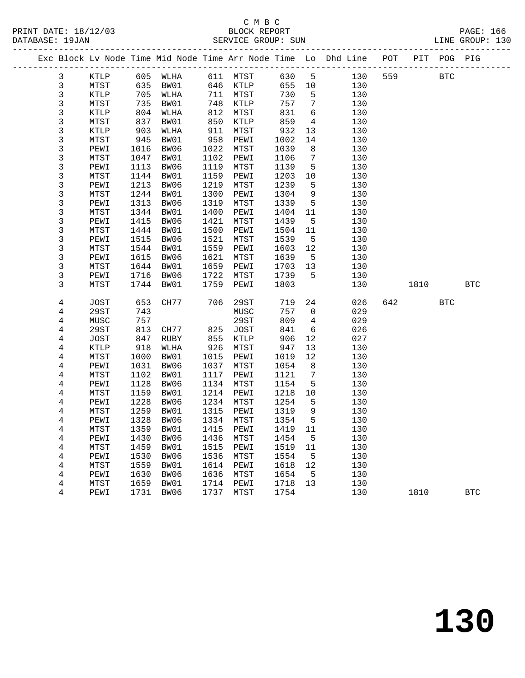PRINT DATE: 18/12/03 BLOCK REPORT PAGE: 166 DATABASE: 19JAN

# C M B C<br>BLOCK REPORT

|  | DAIADAOL · IJUAN |      |      |      |      | SERVICE GROUP. SUN |      |    |                                                                |     |     |            | TIME GUOOL. TOO |  |
|--|------------------|------|------|------|------|--------------------|------|----|----------------------------------------------------------------|-----|-----|------------|-----------------|--|
|  |                  |      |      |      |      |                    |      |    | Exc Block Ly Node Time Mid Node Time Arr Node Time Lo Dhd Line | POT | PIT | POG        | PIG             |  |
|  |                  | KTLP | 605  | WLHA | 611  | MTST               | 630  | 5  | 130                                                            | 559 |     | <b>BTC</b> |                 |  |
|  |                  | MTST | 635  | BW01 | 646  | KTLP               | 655  | 10 | 130                                                            |     |     |            |                 |  |
|  |                  | KTLP | 705  | WLHA | 711  | MTST               | 730  | 5  | 130                                                            |     |     |            |                 |  |
|  |                  | MTST | 735  | BW01 | 748  | KTLP               | 757  | 7  | 130                                                            |     |     |            |                 |  |
|  |                  | KTLP | 804  | WLHA | 812  | MTST               | 831  | 6  | 130                                                            |     |     |            |                 |  |
|  |                  | MTST | 837  | BW01 | 850  | KTLP               | 859  | 4  | 130                                                            |     |     |            |                 |  |
|  |                  | KTLP | 903  | WLHA | 911  | MTST               | 932  | 13 | 130                                                            |     |     |            |                 |  |
|  |                  | MTST | 945  | BW01 | 958  | PEWI               | 1002 | 14 | 130                                                            |     |     |            |                 |  |
|  |                  | PEWI | 1016 | BW06 | 1022 | MTST               | 1039 | 8  | 130                                                            |     |     |            |                 |  |
|  |                  |      |      |      |      |                    |      |    |                                                                |     |     |            |                 |  |

| 3              | PEWI        | 1016 | BW06 | 1022 | MTST        | 1039 | 8              | 130 |     |      |            |            |  |
|----------------|-------------|------|------|------|-------------|------|----------------|-----|-----|------|------------|------------|--|
| 3              | MTST        | 1047 | BW01 | 1102 | PEWI        | 1106 | 7              | 130 |     |      |            |            |  |
| 3              | PEWI        | 1113 | BW06 | 1119 | MTST        | 1139 | 5              | 130 |     |      |            |            |  |
| 3              | MTST        | 1144 | BW01 | 1159 | PEWI        | 1203 | $10$           | 130 |     |      |            |            |  |
| 3              | PEWI        | 1213 | BW06 | 1219 | MTST        | 1239 | 5              | 130 |     |      |            |            |  |
| 3              | MTST        | 1244 | BW01 | 1300 | PEWI        | 1304 | 9              | 130 |     |      |            |            |  |
| 3              | PEWI        | 1313 | BW06 | 1319 | MTST        | 1339 | 5              | 130 |     |      |            |            |  |
| 3              | MTST        | 1344 | BW01 | 1400 | PEWI        | 1404 | 11             | 130 |     |      |            |            |  |
| 3              | PEWI        | 1415 | BW06 | 1421 | MTST        | 1439 | 5              | 130 |     |      |            |            |  |
| 3              | MTST        | 1444 | BW01 | 1500 | PEWI        | 1504 | 11             | 130 |     |      |            |            |  |
| 3              | PEWI        | 1515 | BW06 | 1521 | MTST        | 1539 | $\mathsf S$    | 130 |     |      |            |            |  |
| 3              | MTST        | 1544 | BW01 | 1559 | PEWI        | 1603 | 12             | 130 |     |      |            |            |  |
| 3              | PEWI        | 1615 | BW06 | 1621 | MTST        | 1639 | 5              | 130 |     |      |            |            |  |
| 3              | MTST        | 1644 | BW01 | 1659 | PEWI        | 1703 | 13             | 130 |     |      |            |            |  |
| 3              | PEWI        | 1716 | BW06 | 1722 | MTST        | 1739 | 5              | 130 |     |      |            |            |  |
| 3              | <b>MTST</b> | 1744 | BW01 | 1759 | PEWI        | 1803 |                | 130 |     | 1810 |            | <b>BTC</b> |  |
|                |             |      |      |      |             |      |                |     |     |      |            |            |  |
| 4              | <b>JOST</b> | 653  | CH77 | 706  | 29ST        | 719  | 24             | 026 | 642 |      | <b>BTC</b> |            |  |
| 4              | 29ST        | 743  |      |      | MUSC        | 757  | 0              | 029 |     |      |            |            |  |
| 4              | MUSC        | 757  |      |      | 29ST        | 809  | $\overline{4}$ | 029 |     |      |            |            |  |
| $\overline{4}$ | <b>29ST</b> | 813  | CH77 | 825  | <b>JOST</b> | 841  | 6              | 026 |     |      |            |            |  |
| 4              | <b>JOST</b> | 847  | RUBY | 855  | KTLP        | 906  | $12$           | 027 |     |      |            |            |  |
| 4              | KTLP        | 918  | WLHA | 926  | MTST        | 947  | 13             | 130 |     |      |            |            |  |
| $\overline{4}$ | MTST        | 1000 | BW01 | 1015 | PEWI        | 1019 | 12             | 130 |     |      |            |            |  |
| $\overline{4}$ | PEWI        | 1031 | BW06 | 1037 | MTST        | 1054 | 8              | 130 |     |      |            |            |  |
| $\overline{4}$ | MTST        | 1102 | BW01 | 1117 | PEWI        | 1121 | 7              | 130 |     |      |            |            |  |
| 4              | PEWI        | 1128 | BW06 | 1134 | MTST        | 1154 | 5              | 130 |     |      |            |            |  |
| 4              | MTST        | 1159 | BW01 | 1214 | PEWI        | 1218 | $10$           | 130 |     |      |            |            |  |
| 4              | PEWI        | 1228 | BW06 | 1234 | MTST        | 1254 | 5              | 130 |     |      |            |            |  |
| 4              | MTST        | 1259 | BW01 | 1315 | PEWI        | 1319 | 9              | 130 |     |      |            |            |  |
| 4              | PEWI        | 1328 | BW06 | 1334 | MTST        | 1354 | 5              | 130 |     |      |            |            |  |
| 4              | MTST        | 1359 | BW01 | 1415 | PEWI        | 1419 | 11             | 130 |     |      |            |            |  |
| 4              | PEWI        | 1430 | BW06 | 1436 | MTST        | 1454 | 5              | 130 |     |      |            |            |  |
| $\overline{4}$ | MTST        | 1459 | BW01 | 1515 | PEWI        | 1519 | 11             | 130 |     |      |            |            |  |
| $\overline{4}$ | PEWI        | 1530 | BW06 | 1536 | MTST        | 1554 | 5              | 130 |     |      |            |            |  |
| 4              | MTST        | 1559 | BW01 | 1614 | PEWI        | 1618 | $12$           | 130 |     |      |            |            |  |
| 4              | PEWI        | 1630 | BW06 | 1636 | MTST        | 1654 | 5              | 130 |     |      |            |            |  |
| 4              | MTST        | 1659 | BW01 | 1714 | PEWI        | 1718 | 13             | 130 |     |      |            |            |  |
| 4              | PEWI        | 1731 | BW06 | 1737 | MTST        | 1754 |                | 130 |     | 1810 |            | <b>BTC</b> |  |
|                |             |      |      |      |             |      |                |     |     |      |            |            |  |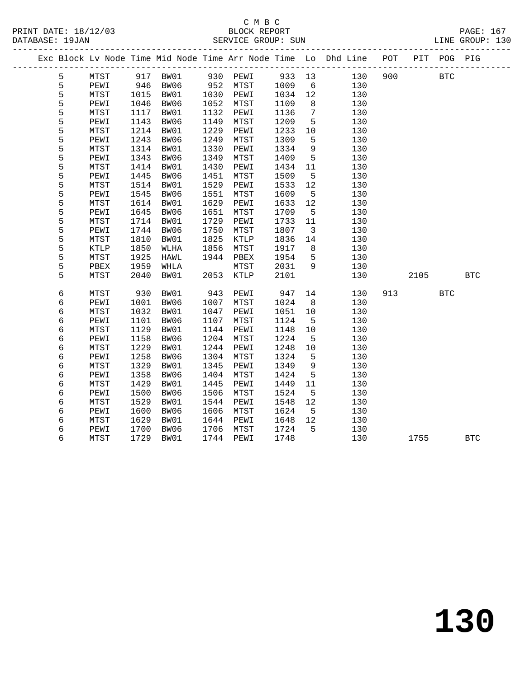DATABASE: 19JAN<br>---------------

### C M B C<br>BLOCK REPORT PRINT DATE: 18/12/03 BLOCK REPORT PAGE: 167

| URIADAUE · IJUAN |      |      |      |      | DERVICE GROUP. BUN |        |                 |                                                                |     |     |            | TIME GIVOUL. TOO |
|------------------|------|------|------|------|--------------------|--------|-----------------|----------------------------------------------------------------|-----|-----|------------|------------------|
|                  |      |      |      |      |                    |        |                 | Exc Block Lv Node Time Mid Node Time Arr Node Time Lo Dhd Line | POT | PIT |            | POG PIG          |
| 5                | MTST | 917  | BW01 | 930  | PEWI               | 933 13 |                 | 130                                                            | 900 |     | <b>BTC</b> |                  |
| 5                | PEWI | 946  | BW06 | 952  | MTST               | 1009   | 6               | 130                                                            |     |     |            |                  |
| 5                | MTST | 1015 | BW01 | 1030 | PEWI               | 1034   | 12              | 130                                                            |     |     |            |                  |
| 5                | PEWI | 1046 | BW06 | 1052 | MTST               | 1109   | 8               | 130                                                            |     |     |            |                  |
| 5                | MTST | 1117 | BW01 | 1132 | PEWI               | 1136   | 7               | 130                                                            |     |     |            |                  |
| 5                | PEWI | 1143 | BW06 | 1149 | MTST               | 1209   | 5               | 130                                                            |     |     |            |                  |
| 5                | MTST | 1214 | BW01 | 1229 | PEWI               | 1233   | 10              | 130                                                            |     |     |            |                  |
| 5                | PEWI | 1243 | BW06 | 1249 | MTST               | 1309   | 5               | 130                                                            |     |     |            |                  |
| 5                | MTST | 1314 | BW01 | 1330 | PEWI               | 1334   | 9               | 130                                                            |     |     |            |                  |
| 5                | PEWI | 1343 | BW06 | 1349 | MTST               | 1409   | 5               | 130                                                            |     |     |            |                  |
| 5                | MTST | 1414 | BW01 | 1430 | PEWI               | 1434   | 11              | 130                                                            |     |     |            |                  |
| 5                | PEWI | 1445 | BW06 | 1451 | MTST               | 1509   | 5               | 130                                                            |     |     |            |                  |
| 5                | MTST | 1514 | BW01 | 1529 | PEWI               | 1533   | 12 <sup>°</sup> | 130                                                            |     |     |            |                  |
| 5                | PEWI | 1545 | BW06 | 1551 | MTST               | 1609   | 5               | 130                                                            |     |     |            |                  |
| 5                | MTST | 1614 | BW01 | 1629 | PEWI               | 1633   | 12 <sup>°</sup> | 130                                                            |     |     |            |                  |
| 5                | PEWI | 1645 | BW06 | 1651 | MTST               | 1709   | 5               | 130                                                            |     |     |            |                  |
| 5                | MTST | 1714 | BW01 | 1729 | PEWI               | 1733   | 11              | 130                                                            |     |     |            |                  |
| 5                | PEWI | 1744 | BW06 | 1750 | MTST               | 1807   | 3               | 130                                                            |     |     |            |                  |
| 5                | MTST | 1810 | BW01 | 1825 | KTLP               | 1836   | 14              | 130                                                            |     |     |            |                  |
| 5                | KTLP | 1850 | WLHA | 1856 | MTST               | 1917   | 8               | 130                                                            |     |     |            |                  |
|                  |      |      |      |      |                    |        |                 |                                                                |     |     |            |                  |

| 5 | MTST | 1925 | HAWL | 1944 | PBEX | 1954 | 5  | 130 |      |            |
|---|------|------|------|------|------|------|----|-----|------|------------|
| 5 | PBEX | 1959 | WHLA |      | MTST | 2031 | 9  | 130 |      |            |
| 5 | MTST | 2040 | BW01 | 2053 | KTLP | 2101 |    | 130 | 2105 | <b>BTC</b> |
|   |      |      |      |      |      |      |    |     |      |            |
| 6 | MTST | 930  | BW01 | 943  | PEWI | 947  | 14 | 130 | 913  | <b>BTC</b> |
| 6 | PEWI | 1001 | BW06 | 1007 | MTST | 1024 | 8  | 130 |      |            |
| 6 | MTST | 1032 | BW01 | 1047 | PEWI | 1051 | 10 | 130 |      |            |
| 6 | PEWI | 1101 | BW06 | 1107 | MTST | 1124 | 5  | 130 |      |            |
| 6 | MTST | 1129 | BW01 | 1144 | PEWI | 1148 | 10 | 130 |      |            |
| 6 | PEWI | 1158 | BW06 | 1204 | MTST | 1224 | 5  | 130 |      |            |
| 6 | MTST | 1229 | BW01 | 1244 | PEWI | 1248 | 10 | 130 |      |            |
| 6 | PEWI | 1258 | BW06 | 1304 | MTST | 1324 | 5  | 130 |      |            |
| 6 | MTST | 1329 | BW01 | 1345 | PEWI | 1349 | 9  | 130 |      |            |
| 6 | PEWI | 1358 | BW06 | 1404 | MTST | 1424 | 5  | 130 |      |            |
| 6 | MTST | 1429 | BW01 | 1445 | PEWI | 1449 | 11 | 130 |      |            |
| 6 | PEWI | 1500 | BW06 | 1506 | MTST | 1524 | 5  | 130 |      |            |
| 6 | MTST | 1529 | BW01 | 1544 | PEWI | 1548 | 12 | 130 |      |            |
| 6 | PEWI | 1600 | BW06 | 1606 | MTST | 1624 | 5  | 130 |      |            |
| 6 | MTST | 1629 | BW01 | 1644 | PEWI | 1648 | 12 | 130 |      |            |
| 6 | PEWI | 1700 | BW06 | 1706 | MTST | 1724 | 5  | 130 |      |            |
| 6 | MTST | 1729 | BW01 | 1744 | PEWI | 1748 |    | 130 | 1755 | <b>BTC</b> |
|   |      |      |      |      |      |      |    |     |      |            |

**130**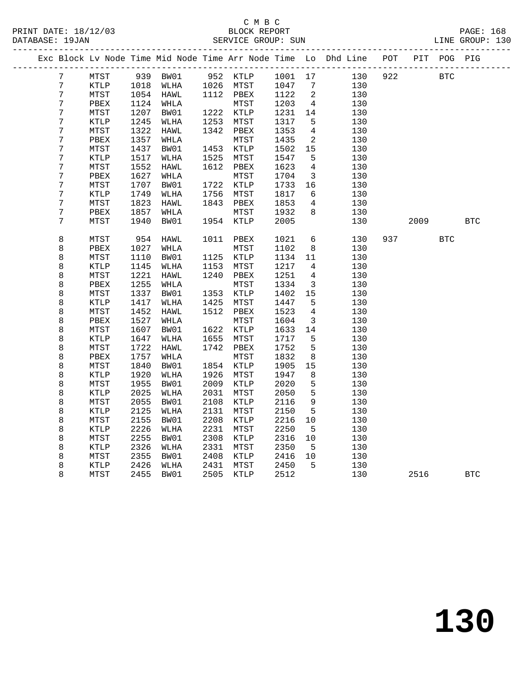|  |                  |              |      |          |      |                  |      |                         | Exc Block Lv Node Time Mid Node Time Arr Node Time Lo Dhd Line POT |     |      | PIT POG PIG |              |
|--|------------------|--------------|------|----------|------|------------------|------|-------------------------|--------------------------------------------------------------------|-----|------|-------------|--------------|
|  | $7\phantom{.}$   | MTST         |      | 939 BW01 |      | 952 KTLP 1001 17 |      |                         | 130                                                                | 922 |      | <b>BTC</b>  |              |
|  | 7                | KTLP         | 1018 | WLHA     |      | 1026 MTST        | 1047 | 7                       | 130                                                                |     |      |             |              |
|  | $\overline{7}$   | MTST         | 1054 | HAWL     |      | 1112 PBEX        | 1122 | 2                       | 130                                                                |     |      |             |              |
|  | 7                | PBEX         | 1124 | WHLA     |      | MTST             | 1203 | $\overline{4}$          | 130                                                                |     |      |             |              |
|  | 7                | MTST         | 1207 | BW01     |      | 1222 KTLP        | 1231 | 14                      | 130                                                                |     |      |             |              |
|  | 7                | KTLP         | 1245 | WLHA     | 1253 | MTST             | 1317 | 5                       | 130                                                                |     |      |             |              |
|  | 7                | ${\tt MTST}$ | 1322 | HAWL     | 1342 | PBEX             | 1353 | $\overline{4}$          | 130                                                                |     |      |             |              |
|  | 7                | PBEX         | 1357 | WHLA     |      | MTST             | 1435 | $\overline{a}$          | 130                                                                |     |      |             |              |
|  | 7                | MTST         | 1437 | BW01     | 1453 | KTLP             | 1502 | 15                      | 130                                                                |     |      |             |              |
|  | 7                | KTLP         | 1517 | WLHA     | 1525 | MTST             | 1547 | 5                       | 130                                                                |     |      |             |              |
|  | 7                | MTST         | 1552 | HAWL     | 1612 | PBEX             | 1623 | 4                       | 130                                                                |     |      |             |              |
|  | 7                | PBEX         | 1627 | WHLA     |      | MTST             | 1704 | 3                       | 130                                                                |     |      |             |              |
|  | 7                | MTST         | 1707 | BW01     | 1722 | KTLP             | 1733 | 16                      | 130                                                                |     |      |             |              |
|  | $\boldsymbol{7}$ | KTLP         | 1749 | WLHA     | 1756 | MTST             | 1817 | 6                       | 130                                                                |     |      |             |              |
|  | 7                | MTST         | 1823 | HAWL     | 1843 | PBEX             | 1853 | 4                       | 130                                                                |     |      |             |              |
|  | 7                | PBEX         | 1857 | WHLA     |      | MTST             | 1932 | 8                       | 130                                                                |     |      |             |              |
|  | 7                | MTST         | 1940 | BW01     | 1954 | KTLP             | 2005 |                         | 130                                                                |     | 2009 |             | $_{\rm BTC}$ |
|  |                  |              |      |          |      |                  |      |                         |                                                                    |     |      |             |              |
|  | 8                | MTST         | 954  | HAWL     | 1011 | PBEX             | 1021 | 6                       | 130                                                                | 937 |      | <b>BTC</b>  |              |
|  | 8                | PBEX         | 1027 | WHLA     |      | MTST             | 1102 | 8                       | 130                                                                |     |      |             |              |
|  | 8                | MTST         | 1110 | BW01     |      | 1125 KTLP        | 1134 | 11                      | 130                                                                |     |      |             |              |
|  | 8                | <b>KTLP</b>  | 1145 | WLHA     | 1153 | MTST             | 1217 | 4                       | 130                                                                |     |      |             |              |
|  | 8                | MTST         | 1221 | HAWL     | 1240 | PBEX             | 1251 | 4                       | 130                                                                |     |      |             |              |
|  | 8                | PBEX         | 1255 | WHLA     |      | MTST             | 1334 | $\overline{\mathbf{3}}$ | 130                                                                |     |      |             |              |
|  | 8                | MTST         | 1337 | BW01     | 1353 | KTLP             | 1402 | 15                      | 130                                                                |     |      |             |              |
|  | 8                | KTLP         | 1417 | WLHA     | 1425 | MTST             | 1447 | 5                       | 130                                                                |     |      |             |              |
|  | 8                | MTST         | 1452 | HAWL     | 1512 | PBEX             | 1523 | 4                       | 130                                                                |     |      |             |              |
|  | 8                | PBEX         | 1527 | WHLA     |      | MTST             | 1604 | 3                       | 130                                                                |     |      |             |              |
|  | 8                | MTST         | 1607 | BW01     | 1622 | KTLP             | 1633 | 14                      | 130                                                                |     |      |             |              |
|  | 8                | KTLP         | 1647 | WLHA     | 1655 | MTST             | 1717 | 5                       | 130                                                                |     |      |             |              |
|  | 8                | MTST         | 1722 | HAWL     | 1742 | PBEX             | 1752 | 5                       | 130                                                                |     |      |             |              |
|  | 8                | PBEX         | 1757 | WHLA     |      | MTST             | 1832 | 8                       | 130                                                                |     |      |             |              |
|  | 8                | MTST         | 1840 | BW01     | 1854 | KTLP             | 1905 | 15                      | 130                                                                |     |      |             |              |
|  | 8                | <b>KTLP</b>  | 1920 | WLHA     | 1926 | MTST             | 1947 | 8                       | 130                                                                |     |      |             |              |
|  | 8                | MTST         | 1955 | BW01     | 2009 | KTLP             | 2020 | 5                       | 130                                                                |     |      |             |              |
|  | 8                | KTLP         | 2025 | WLHA     | 2031 | MTST             | 2050 | $\overline{5}$          | 130                                                                |     |      |             |              |
|  | 8                | MTST         | 2055 | BW01     | 2108 | KTLP             | 2116 | 9                       | 130                                                                |     |      |             |              |
|  | 8                | <b>KTLP</b>  | 2125 | WLHA     | 2131 | MTST             | 2150 | 5                       | 130                                                                |     |      |             |              |
|  | 8                | MTST         | 2155 | BW01     | 2208 | KTLP             | 2216 | 10                      | 130                                                                |     |      |             |              |
|  | 8                | KTLP         | 2226 | WLHA     | 2231 | MTST             | 2250 | 5                       | 130                                                                |     |      |             |              |
|  | 8                | MTST         | 2255 | BW01     | 2308 | KTLP             | 2316 | 10                      | 130                                                                |     |      |             |              |
|  | 8                | KTLP         | 2326 | WLHA     | 2331 | MTST             | 2350 | $-5$                    | 130                                                                |     |      |             |              |
|  | 8                | MTST         | 2355 | BW01     | 2408 | KTLP             | 2416 | 10                      | 130                                                                |     |      |             |              |
|  | 8                | <b>KTLP</b>  | 2426 | WLHA     | 2431 | MTST             | 2450 | 5                       | 130                                                                |     |      |             |              |
|  | 8                | MTST         | 2455 | BW01     | 2505 | KTLP             | 2512 |                         | 130                                                                |     | 2516 |             | <b>BTC</b>   |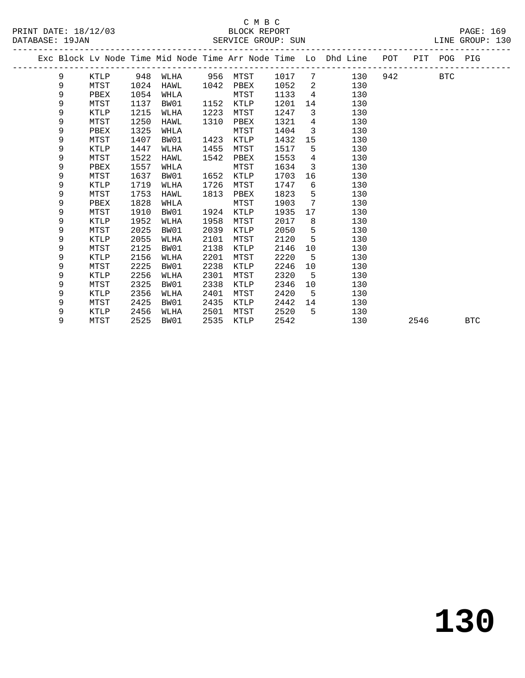|  |   |      |      |      |      |          |      |                            | Exc Block Lv Node Time Mid Node Time Arr Node Time Lo Dhd Line POT |          |      | PIT POG PIG |            |
|--|---|------|------|------|------|----------|------|----------------------------|--------------------------------------------------------------------|----------|------|-------------|------------|
|  | 9 | KTLP | 948  | WLHA |      | 956 MTST | 1017 | $7\phantom{.0}$            | 130                                                                | 942 — 10 |      | BTC         |            |
|  | 9 | MTST | 1024 | HAWL | 1042 | PBEX     | 1052 | $\overline{\phantom{a}}^2$ | 130                                                                |          |      |             |            |
|  | 9 | PBEX | 1054 | WHLA |      | MTST     | 1133 | $\overline{4}$             | 130                                                                |          |      |             |            |
|  | 9 | MTST | 1137 | BW01 | 1152 | KTLP     | 1201 | 14                         | 130                                                                |          |      |             |            |
|  | 9 | KTLP | 1215 | WLHA | 1223 | MTST     | 1247 | $\overline{3}$             | 130                                                                |          |      |             |            |
|  | 9 | MTST | 1250 | HAWL | 1310 | PBEX     | 1321 | $4\overline{ }$            | 130                                                                |          |      |             |            |
|  | 9 | PBEX | 1325 | WHLA |      | MTST     | 1404 | $\overline{3}$             | 130                                                                |          |      |             |            |
|  | 9 | MTST | 1407 | BW01 | 1423 | KTLP     | 1432 | 15                         | 130                                                                |          |      |             |            |
|  | 9 | KTLP | 1447 | WLHA | 1455 | MTST     | 1517 | 5                          | 130                                                                |          |      |             |            |
|  | 9 | MTST | 1522 | HAWL | 1542 | PBEX     | 1553 | $\overline{4}$             | 130                                                                |          |      |             |            |
|  | 9 | PBEX | 1557 | WHLA |      | MTST     | 1634 | $\overline{3}$             | 130                                                                |          |      |             |            |
|  | 9 | MTST | 1637 | BW01 | 1652 | KTLP     | 1703 | 16                         | 130                                                                |          |      |             |            |
|  | 9 | KTLP | 1719 | WLHA | 1726 | MTST     | 1747 | 6                          | 130                                                                |          |      |             |            |
|  | 9 | MTST | 1753 | HAWL | 1813 | PBEX     | 1823 | 5                          | 130                                                                |          |      |             |            |
|  | 9 | PBEX | 1828 | WHLA |      | MTST     | 1903 | 7                          | 130                                                                |          |      |             |            |
|  | 9 | MTST | 1910 | BW01 | 1924 | KTLP     | 1935 | 17                         | 130                                                                |          |      |             |            |
|  | 9 | KTLP | 1952 | WLHA | 1958 | MTST     | 2017 | 8                          | 130                                                                |          |      |             |            |
|  | 9 | MTST | 2025 | BW01 | 2039 | KTLP     | 2050 | 5                          | 130                                                                |          |      |             |            |
|  | 9 | KTLP | 2055 | WLHA | 2101 | MTST     | 2120 | 5                          | 130                                                                |          |      |             |            |
|  | 9 | MTST | 2125 | BW01 | 2138 | KTLP     | 2146 | 10                         | 130                                                                |          |      |             |            |
|  | 9 | KTLP | 2156 | WLHA | 2201 | MTST     | 2220 | 5                          | 130                                                                |          |      |             |            |
|  | 9 | MTST | 2225 | BW01 | 2238 | KTLP     | 2246 | 10                         | 130                                                                |          |      |             |            |
|  | 9 | KTLP | 2256 | WLHA | 2301 | MTST     | 2320 | -5                         | 130                                                                |          |      |             |            |
|  | 9 | MTST | 2325 | BW01 | 2338 | KTLP     | 2346 | 10                         | 130                                                                |          |      |             |            |
|  | 9 | KTLP | 2356 | WLHA | 2401 | MTST     | 2420 | 5                          | 130                                                                |          |      |             |            |
|  | 9 | MTST | 2425 | BW01 | 2435 | KTLP     | 2442 | 14                         | 130                                                                |          |      |             |            |
|  | 9 | KTLP | 2456 | WLHA | 2501 | MTST     | 2520 | 5                          | 130                                                                |          |      |             |            |
|  | 9 | MTST | 2525 | BW01 | 2535 | KTLP     | 2542 |                            | 130                                                                |          | 2546 |             | <b>BTC</b> |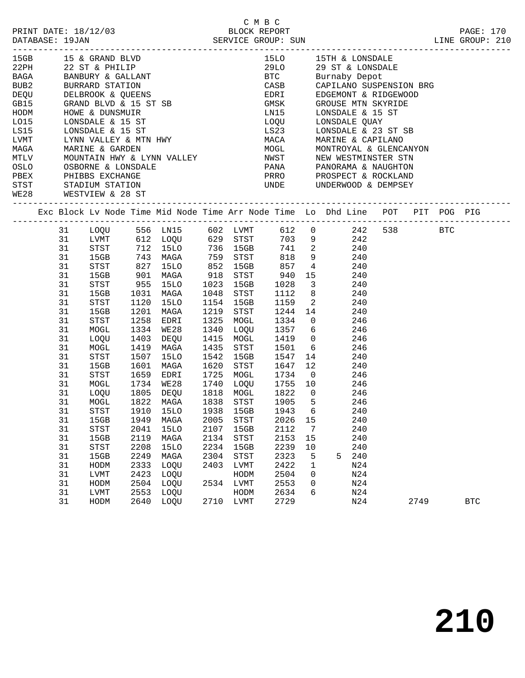| MTLV MOUNTAIN HWY & LYNN VAL.<br>OSLO OSBORNE & LONSDALE<br>PBEX PHIBBS EXCHANGE |                                                                                                                                                                            | STST STADIUM STATION<br>WE28 WESTVIEW & 28 ST                                                                                                                        |                                                                                      | 15GB 15 & GRAND BLVD<br>22PH 22 ST & PHILIP<br>BAGA BANBURY & GALLANT<br>BUB2 BURRARD STATION<br>DEQU DELBROOK & QUEENS<br>GB15 GRAND BLVD & 15 ST SB<br>HODM HOWE & DUNSMUIR<br>LO15 LONSDALE & 15 ST<br>LO15 LONSDALE & 15 ST<br>LS15 LONSDALE & 15 ST<br>LVMT LYNN VALLEY & MTN HWY<br>MAGA MARINE & GARDEN<br>MOUNTAIN HWY & LYNN VALLEY                                                                                                                                                                                                             |                                                              | MOGL MONTROYAL & GLENCANYON<br>NWST NEW WESTMINSTER STN<br>PANA PANORAMA & NAUGHTON<br>PRRO PROSPECT & ROCKLAND<br>UNDE UNDERWOOD & DEMPSEY                                                                                | 15LO 15TH & LONSDALE<br>29LO 29 ST & LONSDALE<br>BTC Burnaby Depot<br>CASB CAPILANO SUSPENSION BRG<br>EDRI EDGEMONT & RIDGEWOOD<br>GMSK GROUSE MTN SKYRIDE<br>LN15 LONSDALE & 15 ST<br>LOQU LONSDALE QUAY<br>LS23 LONSDALE & 23 ST SB<br>MACA MARINE & CAPILANO                               |                                                                           |                                                                  |                                                                                                       |      |                                                                                |
|----------------------------------------------------------------------------------|----------------------------------------------------------------------------------------------------------------------------------------------------------------------------|----------------------------------------------------------------------------------------------------------------------------------------------------------------------|--------------------------------------------------------------------------------------|----------------------------------------------------------------------------------------------------------------------------------------------------------------------------------------------------------------------------------------------------------------------------------------------------------------------------------------------------------------------------------------------------------------------------------------------------------------------------------------------------------------------------------------------------------|--------------------------------------------------------------|----------------------------------------------------------------------------------------------------------------------------------------------------------------------------------------------------------------------------|-----------------------------------------------------------------------------------------------------------------------------------------------------------------------------------------------------------------------------------------------------------------------------------------------|---------------------------------------------------------------------------|------------------------------------------------------------------|-------------------------------------------------------------------------------------------------------|------|--------------------------------------------------------------------------------|
|                                                                                  |                                                                                                                                                                            |                                                                                                                                                                      |                                                                                      |                                                                                                                                                                                                                                                                                                                                                                                                                                                                                                                                                          |                                                              |                                                                                                                                                                                                                            |                                                                                                                                                                                                                                                                                               |                                                                           |                                                                  |                                                                                                       |      | Exc Block Lv Node Time Mid Node Time Arr Node Time Lo Dhd Line POT PIT POG PIG |
|                                                                                  | 31<br>31<br>31<br>31<br>31<br>31<br>31<br>31<br>31<br>31<br>31<br>31<br>31<br>31<br>31<br>31<br>31<br>31<br>31<br>31<br>31<br>31<br>31<br>31<br>31<br>31<br>31<br>31<br>31 | STST<br>15GB<br>STST<br>MOGL<br>LOQU<br>MOGL<br>STST<br>15GB<br>MOGL<br>LOQU<br>STST<br>15GB<br>STST<br>15GB<br>STST<br>15GB<br>HODM<br>${\rm LVMT}$<br>HODM<br>LVMT | 1120<br>1910<br>1949<br>2041<br>2119<br>2208<br>2249<br>2333<br>2423<br>2504<br>2553 | LOQU 556 LN15 602 LVMT 612 0 242 538 BTC<br>LVMT 612 LOQU 629 STST 703 9 242<br>STST 712 15LO 736 15GB 741 2 240<br>15GB 743 MAGA 759 STST 818 9 240<br>952 15GB<br>15GB 901 MAGA 918 STST<br>15GB 955 15LO 1023 15GB<br>15GB 1031 MAGA 1000<br>15LO<br>1201 MAGA<br>1258 EDRI<br>1334 WE28<br>1403 DEQU<br>1419 MAGA<br>1507 15LO<br>1601 MAGA<br>STST 1659 EDRI 1725 MOGL 1734 0 246<br>1734 WE28<br>1805 DEQU<br>31 MOGL 1822 MAGA 1838 STST 1905 5 246<br>15LO<br>MAGA<br><b>15LO</b><br>MAGA<br><b>15LO</b><br>MAGA<br>LOQU<br>LOQU<br>LOQU<br>LOQU | 1938<br>2005<br>2107<br>2134<br>2234<br>2304<br>2403<br>2534 | 1154 15GB<br>1219 STST<br>1325 MOGL<br>1340 LOQU<br>1415 MOGL<br>1435 STST<br>1542 15GB<br>1620 STST<br>1740 LOQU 1755 10 246<br>1818 MOGL<br>15GB<br>STST<br>15GB<br>STST<br>15GB<br>STST<br>LVMT<br>HODM<br>LVMT<br>HODM | 857<br>940 15 240<br>1028 3 240<br>1112 8<br>1159<br>$\begin{array}{cccc} 1244 & 14 & & 240 \\ 1334 & 0 & 246 \\ 1357 & 6 & 246 \\ 246 & 246 & 246 \end{array}$<br>1419 0 246<br>150⊥<br>1547<br>1647<br>1822<br>1943<br>2026<br>2112<br>2153<br>2239<br>2323<br>2422<br>2504<br>2553<br>2634 | 14<br>$\overline{0}$<br>6<br>15<br>7<br>15<br>10<br>5<br>1<br>0<br>0<br>6 | $4 \qquad \qquad 240$<br>$\overline{2}$<br>$6 \t 246$<br>12<br>5 | 240<br>240<br>240<br>240<br>246<br>240<br>240<br>240<br>240<br>240<br>240<br>N24<br>N24<br>N24<br>N24 |      |                                                                                |
|                                                                                  | 31                                                                                                                                                                         | HODM                                                                                                                                                                 | 2640                                                                                 | LOQU                                                                                                                                                                                                                                                                                                                                                                                                                                                                                                                                                     | 2710                                                         | LVMT                                                                                                                                                                                                                       | 2729                                                                                                                                                                                                                                                                                          |                                                                           |                                                                  | N24                                                                                                   | 2749 | <b>BTC</b>                                                                     |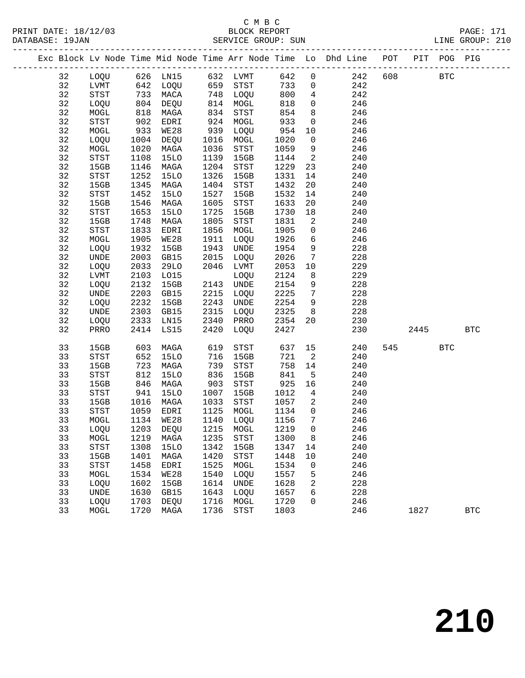# C M B C<br>BLOCK REPORT

| PRINT DATE: 18/12/03<br>DATABASE: 19JAN |    |      |      |      |      | смвс<br>BLOCK REPORT      |      |             | SERVICE GROUP: SUN LINE GROUP: 210                                             |  |         | PAGE: 171 |  |
|-----------------------------------------|----|------|------|------|------|---------------------------|------|-------------|--------------------------------------------------------------------------------|--|---------|-----------|--|
|                                         |    |      |      |      |      | ------------------------- |      |             | Exc Block Lv Node Time Mid Node Time Arr Node Time Lo Dhd Line POT PIT POG PIG |  |         |           |  |
|                                         | 32 |      |      |      |      | LOQU 626 LN15 632 LVMT    | 642  |             | $0 \qquad \qquad 242$                                                          |  | 608 BTC |           |  |
|                                         | 32 | LVMT | 642  | LOQU | 659  | STST                      | 733  |             | $\overline{0}$<br>242                                                          |  |         |           |  |
|                                         | 32 | STST | 733  | MACA | 748  | LOQU                      | 800  |             | $4\degree$<br>242                                                              |  |         |           |  |
|                                         | 32 | LOQU | 804  | DEQU | 814  | MOGL                      | 818  |             | $\overline{0}$<br>246                                                          |  |         |           |  |
|                                         | 32 | MOGL | 818  | MAGA | 834  | STST                      | 854  |             | 246                                                                            |  |         |           |  |
|                                         | 32 | STST | 902  | EDRI | 924  | MOGL                      | 933  |             | 246<br>$0 \qquad \qquad$                                                       |  |         |           |  |
|                                         | 32 | MOGL | 933  | WE28 | 939  | LOQU                      | 954  |             | 246<br>10                                                                      |  |         |           |  |
|                                         | 32 | LOQU | 1004 | DEQU | 1016 | MOGL                      | 1020 |             | $0 \qquad \qquad$<br>246                                                       |  |         |           |  |
|                                         | 32 | MOGL | 1020 | MAGA | 1036 | STST                      | 1059 |             | $9 \left( \frac{1}{2} \right)$<br>246                                          |  |         |           |  |
|                                         | 32 | STST | 1108 | 15LO | 1139 | 15GB                      | 1144 |             | $\overline{2}$ and $\overline{2}$<br>240                                       |  |         |           |  |
|                                         | 32 | 15GB | 1146 | MAGA | 1204 | STST                      | 1229 |             | 23<br>240                                                                      |  |         |           |  |
|                                         | 32 | STST | 1252 | 15LO | 1326 | 15GB                      | 1331 |             | 240<br>14                                                                      |  |         |           |  |
|                                         | 32 | 15GB | 1345 | MAGA | 1404 | STST                      | 1432 |             | 20<br>240                                                                      |  |         |           |  |
|                                         | 32 | STST | 1452 | 15LO | 1527 | 15GB                      | 1532 |             | 14<br>240                                                                      |  |         |           |  |
|                                         | 32 | 15GB | 1546 | MAGA | 1605 | STST                      | 1633 |             | 20<br>240                                                                      |  |         |           |  |
|                                         | 32 | STST | 1653 | 15LO | 1725 | 15GB                      | 1730 |             | 240                                                                            |  |         |           |  |
|                                         | 32 | 15GB | 1748 | MAGA | 1805 | STST                      | 1831 |             | $2 \left( \frac{1}{2} \right)$<br>240                                          |  |         |           |  |
|                                         | 32 | STST | 1833 | EDRI | 1856 | MOGL                      | 1905 |             | $0 \qquad \qquad$<br>246                                                       |  |         |           |  |
|                                         | 32 | MOGL | 1905 | WE28 | 1911 | LOQU                      | 1926 |             | $6\overline{}$<br>246                                                          |  |         |           |  |
|                                         | 32 | LOQU | 1932 | 15GB | 1943 | UNDE                      | 1954 | 9           | 228                                                                            |  |         |           |  |
|                                         | 32 | UNDE | 2003 | GB15 |      | 2015 LOQU                 | 2026 | $7^{\circ}$ | 228                                                                            |  |         |           |  |

| 32 | LOQU | 2033 | 29LO        | 2046 | LVMT        | 2053 | 10             | 229 |     |      |            |            |
|----|------|------|-------------|------|-------------|------|----------------|-----|-----|------|------------|------------|
| 32 | LVMT | 2103 | L015        |      | LOQU        | 2124 | 8              | 229 |     |      |            |            |
| 32 | LOQU | 2132 | 15GB        | 2143 | <b>UNDE</b> | 2154 | 9              | 228 |     |      |            |            |
| 32 | UNDE | 2203 | GB15        | 2215 | LOQU        | 2225 | 7              | 228 |     |      |            |            |
| 32 | LOQU | 2232 | 15GB        | 2243 | UNDE        | 2254 | 9              | 228 |     |      |            |            |
| 32 | UNDE | 2303 | GB15        | 2315 | LOQU        | 2325 | 8              | 228 |     |      |            |            |
| 32 | LOQU | 2333 | LN15        | 2340 | PRRO        | 2354 | 20             | 230 |     |      |            |            |
| 32 | PRRO | 2414 | LS15        | 2420 | LOQU        | 2427 |                | 230 |     | 2445 |            | <b>BTC</b> |
|    |      |      |             |      |             |      |                |     |     |      |            |            |
| 33 | 15GB | 603  | MAGA        | 619  | STST        | 637  | 15             | 240 | 545 |      | <b>BTC</b> |            |
| 33 | STST | 652  | 15LO        | 716  | 15GB        | 721  | 2              | 240 |     |      |            |            |
| 33 | 15GB | 723  | MAGA        | 739  | STST        | 758  | 14             | 240 |     |      |            |            |
| 33 | STST | 812  | <b>15LO</b> | 836  | 15GB        | 841  | 5              | 240 |     |      |            |            |
| 33 | 15GB | 846  | MAGA        | 903  | STST        | 925  | 16             | 240 |     |      |            |            |
| 33 | STST | 941  | <b>15LO</b> | 1007 | 15GB        | 1012 | $\overline{4}$ | 240 |     |      |            |            |
| 33 | 15GB | 1016 | MAGA        | 1033 | STST        | 1057 | 2              | 240 |     |      |            |            |
| 33 | STST | 1059 | EDRI        | 1125 | MOGL        | 1134 | 0              | 246 |     |      |            |            |
| 33 | MOGL | 1134 | WE28        | 1140 | LOQU        | 1156 | 7              | 246 |     |      |            |            |
| 33 | LOQU | 1203 | DEQU        | 1215 | MOGL        | 1219 | $\mathbf 0$    | 246 |     |      |            |            |
| 33 | MOGL | 1219 | MAGA        | 1235 | STST        | 1300 | 8              | 246 |     |      |            |            |
| 33 | STST | 1308 | <b>15LO</b> | 1342 | 15GB        | 1347 | 14             | 240 |     |      |            |            |
| 33 | 15GB | 1401 | MAGA        | 1420 | STST        | 1448 | 10             | 240 |     |      |            |            |
| 33 | STST | 1458 | EDRI        | 1525 | MOGL        | 1534 | $\mathbf 0$    | 246 |     |      |            |            |
| 33 | MOGL | 1534 | WE28        | 1540 | LOQU        | 1557 | 5              | 246 |     |      |            |            |
| 33 | LOQU | 1602 | 15GB        | 1614 | UNDE        | 1628 | 2              | 228 |     |      |            |            |
| 33 | UNDE | 1630 | GB15        | 1643 | LOQU        | 1657 | 6              | 228 |     |      |            |            |
| 33 | LOQU | 1703 | DEQU        | 1716 | MOGL        | 1720 | $\mathbf 0$    | 246 |     |      |            |            |
| 33 | MOGL | 1720 | MAGA        | 1736 | STST        | 1803 |                | 246 |     | 1827 |            | <b>BTC</b> |
|    |      |      |             |      |             |      |                |     |     |      |            |            |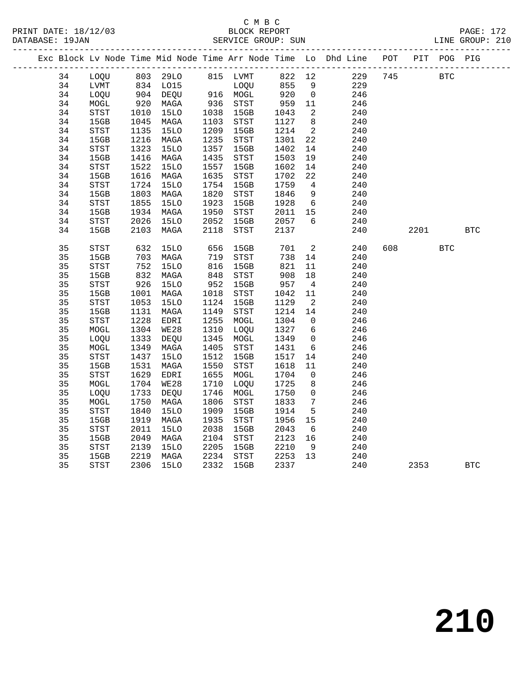|  |          |              |              |                     |              |                            |              |                            | Exc Block Lv Node Time Mid Node Time Arr Node Time Lo Dhd Line POT |     |      | PIT POG PIG |            |
|--|----------|--------------|--------------|---------------------|--------------|----------------------------|--------------|----------------------------|--------------------------------------------------------------------|-----|------|-------------|------------|
|  | 34       | LOQU         |              | 803 29LO            |              | 815 LVMT                   | 822 12       |                            | 229                                                                | 745 |      | <b>BTC</b>  |            |
|  | 34       | LVMT         |              | 834 LO15            |              | LOQU                       | 855          | 9                          | 229                                                                |     |      |             |            |
|  | 34       | LOQU         |              | 904 DEQU            |              | $916$ MOGL                 | 920          | $\overline{0}$             | 246                                                                |     |      |             |            |
|  | 34       | MOGL         | 920          | MAGA                | 936          | STST                       | 959          | 11                         | 246                                                                |     |      |             |            |
|  | 34       | STST         | 1010         | <b>15LO</b>         | 1038         | 15GB                       | 1043         | $\overline{2}$             | 240                                                                |     |      |             |            |
|  | 34       | 15GB         | 1045         | MAGA                | 1103         | STST                       | 1127         | 8 <sup>8</sup>             | 240                                                                |     |      |             |            |
|  | 34       | STST         | 1135         | <b>15LO</b>         | 1209         | 15GB                       | 1214         | $\overline{a}$             | 240                                                                |     |      |             |            |
|  | 34       | 15GB         | 1216         | MAGA                | 1235         | ${\tt STST}$               | 1301         | 22                         | 240                                                                |     |      |             |            |
|  | 34       | STST         | 1323         | <b>15LO</b>         | 1357         | 15GB                       | 1402         | 14                         | 240                                                                |     |      |             |            |
|  | 34       | 15GB         | 1416         | MAGA                | 1435         | <b>STST</b>                | 1503         | 19                         | 240                                                                |     |      |             |            |
|  | 34       | STST         | 1522         | <b>15LO</b>         | 1557         | 15GB                       | 1602         | 14                         | 240                                                                |     |      |             |            |
|  | 34       | 15GB         | 1616         | MAGA                | 1635         | STST                       | 1702         | 22                         | 240                                                                |     |      |             |            |
|  | 34       | STST         | 1724         | <b>15LO</b>         | 1754         | 15GB                       | 1759         | $\overline{4}$             | 240                                                                |     |      |             |            |
|  | 34       | 15GB         | 1803         | MAGA                | 1820         | STST                       | 1846         | 9                          | 240                                                                |     |      |             |            |
|  | 34       | <b>STST</b>  | 1855         | 15LO                | 1923         | 15GB                       | 1928         | 6                          | 240                                                                |     |      |             |            |
|  | 34       | 15GB         | 1934         | MAGA                | 1950         | STST                       | 2011         | 15                         | 240                                                                |     |      |             |            |
|  | 34       | STST         | 2026         | <b>15LO</b>         | 2052         | 15GB                       | 2057         | $6\overline{6}$            | 240                                                                |     |      |             |            |
|  | 34       | 15GB         | 2103         | MAGA                | 2118         | STST                       | 2137         |                            | 240                                                                |     | 2201 |             | <b>BTC</b> |
|  | 35       | STST         | 632          | <b>15LO</b>         | 656          | 15GB                       | 701          | $\overline{2}$             | 240                                                                | 608 |      | <b>BTC</b>  |            |
|  | 35       | 15GB         | 703          | MAGA                | 719          | STST                       | 738          | 14                         | 240                                                                |     |      |             |            |
|  | 35       | STST         | 752          | <b>15LO</b>         | 816          | 15GB                       | 821          | 11                         | 240                                                                |     |      |             |            |
|  | 35       | 15GB         | $8 - 926$    | MAGA                | 848          | $_{\footnotesize\rm STST}$ | 908          | 18                         | 240                                                                |     |      |             |            |
|  | 35       | STST         |              | <b>15LO</b>         | 952          | 15GB                       | 957          | $\overline{4}$             | 240                                                                |     |      |             |            |
|  | 35       | 15GB         | 1001         | MAGA                | 1018         | STST                       | 1042         | 11                         | 240                                                                |     |      |             |            |
|  | 35       | STST         | 1053         | 15LO                | 1124         | 15GB                       | 1129         | $\overline{\phantom{a}}^2$ | 240                                                                |     |      |             |            |
|  | 35       | 15GB         | 1131         | MAGA                | 1149         | <b>STST</b>                | 1214         | 14                         | 240                                                                |     |      |             |            |
|  | 35       | ${\tt STST}$ | 1228         | EDRI                | 1255         | MOGL                       | 1304         | $\overline{0}$             | 246                                                                |     |      |             |            |
|  | 35       | MOGL         | 1304         | WE28                | 1310         | LOQU                       | 1327         | $6\overline{6}$            | 246                                                                |     |      |             |            |
|  | 35       | LOQU         | 1333         | DEQU                | 1345         | ${\tt MOGL}$               | 1349         | $\overline{0}$             | 246                                                                |     |      |             |            |
|  | 35       | $\tt MOGL$   | 1349         | MAGA                | 1405         | STST                       | 1431         | 6                          | 246                                                                |     |      |             |            |
|  | 35       | STST         | 1437         | <b>15LO</b>         | 1512         | 15GB                       | 1517         | 14                         | 240                                                                |     |      |             |            |
|  | 35       | 15GB         | 1531         | MAGA                | 1550         | <b>STST</b>                | 1618         | 11                         | 240                                                                |     |      |             |            |
|  | 35       | STST         | 1629         | EDRI                | 1655         | MOGL                       | 1704         | $\overline{0}$             | 246                                                                |     |      |             |            |
|  | 35       | MOGL         | 1704         | WE28                | 1710         | LOQU                       | 1725         | 8                          | 246                                                                |     |      |             |            |
|  | 35       | LOQU         | 1733         | DEQU                | 1746         | MOGL                       | 1750         | $\mathsf{O}$               | 246                                                                |     |      |             |            |
|  | 35       | MOGL         | 1750         | MAGA                | 1806         | ${\tt STST}$               | 1833         | $7\phantom{.0}$            | 246                                                                |     |      |             |            |
|  | 35       | <b>STST</b>  | 1840         | <b>15LO</b>         | 1909         | 15GB                       | 1914         | 5                          | 240                                                                |     |      |             |            |
|  | 35<br>35 | 15GB         | 1919         | MAGA                | 1935         | STST                       | 1956         | 15                         | 240                                                                |     |      |             |            |
|  | 35       | STST<br>15GB | 2011<br>2049 | <b>15LO</b><br>MAGA | 2038<br>2104 | 15GB<br>STST               | 2043<br>2123 | 6<br>16                    | 240<br>240                                                         |     |      |             |            |
|  | 35       | <b>STST</b>  | 2139         | <b>15LO</b>         | 2205         | 15GB                       | 2210         | - 9                        | 240                                                                |     |      |             |            |
|  | 35       | 15GB         | 2219         | MAGA                | 2234         | STST                       | 2253         | 13                         | 240                                                                |     |      |             |            |
|  | 35       | STST         | 2306         | <b>15LO</b>         | 2332         | 15GB                       | 2337         |                            | 240                                                                |     | 2353 |             | <b>BTC</b> |
|  |          |              |              |                     |              |                            |              |                            |                                                                    |     |      |             |            |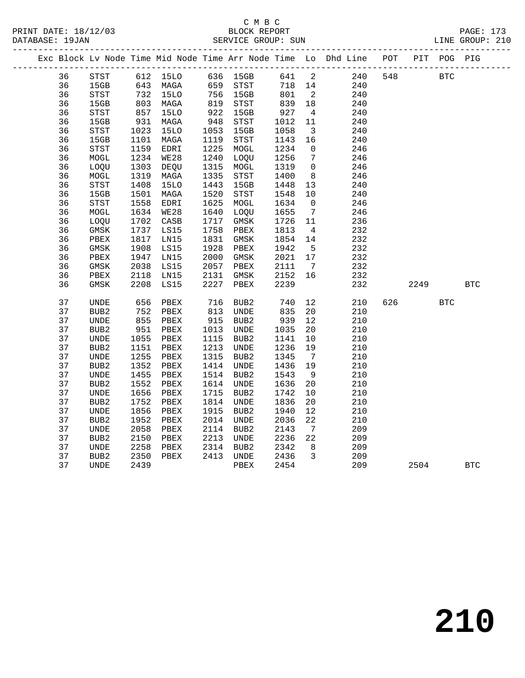# C M B C<br>BLOCK REPORT

| PRINT DATE: 18/12/03<br>DATABASE: 19JAN |    |                  |      |             |      | BLOCK REPORT<br>SERVICE GROUP: SUN |      |                   |                                                                    |     |      |            | PAGE: 173<br>LINE GROUP: 210 |
|-----------------------------------------|----|------------------|------|-------------|------|------------------------------------|------|-------------------|--------------------------------------------------------------------|-----|------|------------|------------------------------|
| _____________                           |    |                  |      |             |      |                                    |      |                   | Exc Block Lv Node Time Mid Node Time Arr Node Time Lo Dhd Line POT |     | PIT  |            | POG PIG                      |
|                                         | 36 | STST             | 612  | 15LO        | 636  | 15GB                               | 641  | 2                 | 240                                                                | 548 |      | <b>BTC</b> |                              |
|                                         | 36 | 15GB             | 643  | MAGA        | 659  | <b>STST</b>                        | 718  | 14                | 240                                                                |     |      |            |                              |
|                                         | 36 | <b>STST</b>      | 732  | 15LO        | 756  | 15GB                               | 801  | $\overline{a}$    | 240                                                                |     |      |            |                              |
|                                         | 36 | 15GB             | 803  | MAGA        | 819  | <b>STST</b>                        | 839  | $18\,$            | 240                                                                |     |      |            |                              |
|                                         | 36 | STST             | 857  | 15LO        | 922  | 15GB                               | 927  | 4                 | 240                                                                |     |      |            |                              |
|                                         | 36 | 15GB             | 931  | MAGA        | 948  | STST                               | 1012 | 11                | 240                                                                |     |      |            |                              |
|                                         | 36 | STST             | 1023 | <b>15LO</b> | 1053 | 15GB                               | 1058 | 3                 | 240                                                                |     |      |            |                              |
|                                         | 36 | 15GB             | 1101 | MAGA        | 1119 | <b>STST</b>                        | 1143 | 16                | 240                                                                |     |      |            |                              |
|                                         | 36 | <b>STST</b>      | 1159 | EDRI        | 1225 | MOGL                               | 1234 | $\mathbf 0$       | 246                                                                |     |      |            |                              |
|                                         | 36 | MOGL             | 1234 | WE28        | 1240 | LOQU                               | 1256 | 7                 | 246                                                                |     |      |            |                              |
|                                         | 36 | LOQU             | 1303 | DEQU        | 1315 | MOGL                               | 1319 | $\mathbf 0$       | 246                                                                |     |      |            |                              |
|                                         | 36 | MOGL             | 1319 | MAGA        | 1335 | STST                               | 1400 | 8                 | 246                                                                |     |      |            |                              |
|                                         | 36 | STST             | 1408 | <b>15LO</b> | 1443 | 15GB                               | 1448 | 13                | 240                                                                |     |      |            |                              |
|                                         | 36 | 15GB             | 1501 | MAGA        | 1520 | STST                               | 1548 | 10                | 240                                                                |     |      |            |                              |
|                                         | 36 | <b>STST</b>      | 1558 | EDRI        | 1625 | MOGL                               | 1634 | $\mathbf 0$       | 246                                                                |     |      |            |                              |
|                                         | 36 | MOGL             | 1634 | <b>WE28</b> | 1640 | LOQU                               | 1655 | 7                 | 246                                                                |     |      |            |                              |
|                                         | 36 | LOQU             | 1702 | CASB        | 1717 | GMSK                               | 1726 | 11                | 236                                                                |     |      |            |                              |
|                                         | 36 | GMSK             | 1737 | LS15        | 1758 | PBEX                               | 1813 | 4                 | 232                                                                |     |      |            |                              |
|                                         | 36 | PBEX             | 1817 | LN15        | 1831 | GMSK                               | 1854 | 14                | 232                                                                |     |      |            |                              |
|                                         | 36 | GMSK             | 1908 | LS15        | 1928 | PBEX                               | 1942 | 5                 | 232                                                                |     |      |            |                              |
|                                         | 36 | PBEX             | 1947 | LN15        | 2000 | GMSK                               | 2021 | 17                | 232                                                                |     |      |            |                              |
|                                         | 36 | <b>GMSK</b>      | 2038 | LS15        | 2057 | PBEX                               | 2111 | 7                 | 232                                                                |     |      |            |                              |
|                                         | 36 | PBEX             | 2118 | LN15        | 2131 | $\rm{GMSK}$                        | 2152 | 16                | 232                                                                |     |      |            |                              |
|                                         | 36 | GMSK             | 2208 | LS15        | 2227 | PBEX                               | 2239 |                   | 232                                                                |     | 2249 |            | <b>BTC</b>                   |
|                                         | 37 | UNDE             | 656  | PBEX        | 716  | BUB2                               | 740  | 12                | 210                                                                | 626 |      | <b>BTC</b> |                              |
|                                         | 37 | BUB <sub>2</sub> | 752  | PBEX        | 813  | UNDE                               | 835  | 20                | 210                                                                |     |      |            |                              |
|                                         | 37 | UNDE             | 855  | PBEX        | 915  | BUB <sub>2</sub>                   | 939  | 12                | 210                                                                |     |      |            |                              |
|                                         | 37 | BUB <sub>2</sub> | 951  | PBEX        | 1013 | UNDE                               | 1035 | 20                | 210                                                                |     |      |            |                              |
|                                         | 37 | <b>UNDE</b>      | 1055 | PBEX        | 1115 | BUB <sub>2</sub>                   | 1141 | 10                | 210                                                                |     |      |            |                              |
|                                         | 37 | BUB <sub>2</sub> | 1151 | PBEX        | 1213 | $\ensuremath{\mathsf{UNDE}}$       | 1236 | 19                | 210                                                                |     |      |            |                              |
|                                         | 37 | <b>UNDE</b>      | 1255 | PBEX        | 1315 | BUB <sub>2</sub>                   | 1345 | $7\phantom{.0}\,$ | 210                                                                |     |      |            |                              |
|                                         | 37 | BUB <sub>2</sub> | 1352 | PBEX        | 1414 | <b>UNDE</b>                        | 1436 | 19                | 210                                                                |     |      |            |                              |
|                                         | 37 | <b>UNDE</b>      | 1455 | PBEX        | 1514 | BUB <sub>2</sub>                   | 1543 | 9                 | 210                                                                |     |      |            |                              |
|                                         | 37 | BUB <sub>2</sub> | 1552 | PBEX        | 1614 | UNDE                               | 1636 | 20                | 210                                                                |     |      |            |                              |
|                                         | 37 | <b>UNDE</b>      | 1656 | PBEX        | 1715 | BUB <sub>2</sub>                   | 1742 | 10                | 210                                                                |     |      |            |                              |
|                                         | 37 | BUB <sub>2</sub> | 1752 | PBEX        | 1814 | UNDE                               | 1836 | 20                | 210                                                                |     |      |            |                              |
|                                         | 37 | <b>UNDE</b>      | 1856 | PBEX        | 1915 | BUB <sub>2</sub>                   | 1940 | 12                | 210                                                                |     |      |            |                              |
|                                         | 37 | BUB <sub>2</sub> | 1952 | PBEX        | 2014 | <b>UNDE</b>                        | 2036 | 22                | 210                                                                |     |      |            |                              |
|                                         | 37 | UNDE             | 2058 | PBEX        | 2114 | BUB <sub>2</sub>                   | 2143 | $\overline{7}$    | 209                                                                |     |      |            |                              |
|                                         | 37 | BUB <sub>2</sub> | 2150 | PBEX        | 2213 | UNDE                               | 2236 | 22                | 209                                                                |     |      |            |                              |
|                                         | 37 | UNDE             | 2258 | PBEX        | 2314 | BUB <sub>2</sub>                   | 2342 | 8                 | 209                                                                |     |      |            |                              |
|                                         | 37 | BUB <sub>2</sub> | 2350 | PBEX        | 2413 | <b>UNDE</b>                        | 2436 | 3                 | 209                                                                |     |      |            |                              |

37 UNDE 2439 PBEX 2454 209 2504 BTC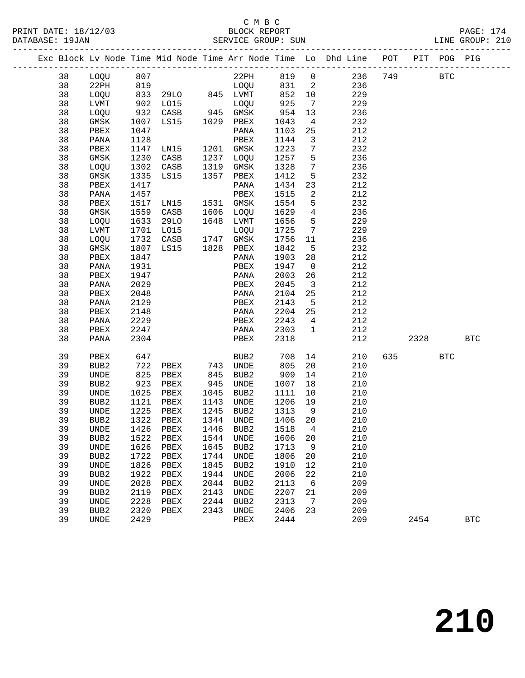|  |          |                          |              |                      |              |                                                  |              |                         | Exc Block Lv Node Time Mid Node Time Arr Node Time Lo Dhd Line POT |     |      | PIT POG PIG |              |
|--|----------|--------------------------|--------------|----------------------|--------------|--------------------------------------------------|--------------|-------------------------|--------------------------------------------------------------------|-----|------|-------------|--------------|
|  | 38       | LOQU                     | 807          |                      |              | $22$ PH                                          | 819          | $\overline{0}$          | 236                                                                | 749 |      | <b>BTC</b>  |              |
|  | 38       | 22PH                     | 819          |                      |              | LOQU                                             | 831          | $\overline{\mathbf{2}}$ | 236                                                                |     |      |             |              |
|  | 38       | LOQU                     | 833          | 29LO                 |              | 845 LVMT                                         | 852          | 10                      | 229                                                                |     |      |             |              |
|  | 38       | LVMT                     |              | 902 LO15<br>932 CASB |              | LOQU                                             | 925          | $\overline{7}$          | 229                                                                |     |      |             |              |
|  | 38       | LOQU                     |              | CASB                 |              | 945 GMSK                                         | 954          | 13                      | 236                                                                |     |      |             |              |
|  | 38       | GMSK                     | 1007         | LS15                 |              | 1029 PBEX                                        | 1043         | $\overline{4}$          | 232                                                                |     |      |             |              |
|  | 38       | PBEX                     | 1047         |                      |              | PANA                                             | 1103         | 25                      | 212                                                                |     |      |             |              |
|  | 38       | PANA                     | 1128         |                      |              | PBEX                                             | 1144         | $\mathbf{3}$            | 212                                                                |     |      |             |              |
|  | 38       | PBEX                     | 1147         | LN15                 |              | 1201 GMSK                                        | 1223         | $7\phantom{.0}$         | 232                                                                |     |      |             |              |
|  | 38       | GMSK                     | 1230         | CASB                 | 1237         | LOQU                                             | 1257         | 5                       | 236                                                                |     |      |             |              |
|  | 38       | LOQU                     | 1302         | CASB                 | 1319         | GMSK                                             | 1328         | $7\phantom{.0}$         | 236                                                                |     |      |             |              |
|  | 38       | GMSK                     | 1335         | LS15                 | 1357         | PBEX                                             | 1412         | 5                       | 232                                                                |     |      |             |              |
|  | 38       | PBEX                     | 1417         |                      |              | PANA                                             | 1434         | 23                      | 212                                                                |     |      |             |              |
|  | 38       | PANA                     | 1457         |                      |              | PBEX                                             | 1515         | 2                       | 212                                                                |     |      |             |              |
|  | 38       | PBEX                     | 1517         | LN15                 | 1531         | GMSK                                             | 1554         | 5                       | 232                                                                |     |      |             |              |
|  | 38       | GMSK                     | 1559         | CASB                 | 1606         | LOQU                                             | 1629         | $\overline{4}$          | 236                                                                |     |      |             |              |
|  | 38       | LOQU                     | 1633         | 29LO                 |              | 1648 LVMT                                        | 1656         | 5                       | 229                                                                |     |      |             |              |
|  | 38       | LVMT                     | 1701         | L015                 |              | LOQU                                             | 1725         | 7                       | 229                                                                |     |      |             |              |
|  | 38       | LOQU                     | 1732         | CASB                 | 1747         | GMSK                                             | 1756         | 11                      | 236                                                                |     |      |             |              |
|  | 38       | GMSK                     | 1807         | LS15                 |              | 1828 PBEX                                        | 1842         | 5                       | 232                                                                |     |      |             |              |
|  | 38       | PBEX                     | 1847         |                      |              | PANA                                             | 1903         | 28                      | 212                                                                |     |      |             |              |
|  | 38       | PANA                     | 1931         |                      |              | PBEX                                             | 1947         | $\overline{0}$          | 212                                                                |     |      |             |              |
|  | 38       | PBEX                     | 1947         |                      |              | PANA                                             | 2003         | 26                      | 212                                                                |     |      |             |              |
|  | 38       | PANA                     | 2029         |                      |              | PBEX                                             | 2045         | $\overline{\mathbf{3}}$ | 212                                                                |     |      |             |              |
|  | 38       | PBEX                     | 2048         |                      |              | PANA                                             | 2104         | 25                      | 212                                                                |     |      |             |              |
|  | 38       | PANA                     | 2129         |                      |              | PBEX                                             | 2143         | 5                       | 212                                                                |     |      |             |              |
|  | 38       | PBEX                     | 2148         |                      |              | PANA                                             | 2204         | 25                      | 212                                                                |     |      |             |              |
|  | 38       | PANA                     | 2229         |                      |              | PBEX                                             | 2243         | $4\overline{ }$         | 212                                                                |     |      |             |              |
|  | 38       | PBEX                     | 2247         |                      |              | PANA                                             | 2303         | $\mathbf{1}$            | 212                                                                |     |      |             |              |
|  | 38       | PANA                     | 2304         |                      |              | PBEX                                             | 2318         |                         | 212                                                                |     | 2328 |             | <b>BTC</b>   |
|  | 39       | PBEX                     | 647          |                      |              | BUB2                                             | 708          | 14                      | 210                                                                | 635 |      | <b>BTC</b>  |              |
|  | 39       | BUB <sub>2</sub>         | 722          | PBEX                 | 743          | UNDE                                             | 805          | 20                      | 210                                                                |     |      |             |              |
|  | 39       | UNDE                     | 825          | PBEX                 | 845          | BUB2                                             | 909          | 14                      | 210                                                                |     |      |             |              |
|  | 39       | BUB <sub>2</sub>         | 923          | PBEX                 | 945          | UNDE                                             | 1007         | 18                      | 210                                                                |     |      |             |              |
|  | 39       | UNDE                     | 1025         | PBEX                 | 1045         | BUB2                                             | 1111         | 10                      | 210                                                                |     |      |             |              |
|  | 39       | BUB2                     | 1121         | PBEX                 | 1143         | UNDE                                             | 1206         | 19                      | 210                                                                |     |      |             |              |
|  | 39       | UNDE                     | 1225         | PBEX                 | 1245         | BUB2                                             | 1313         | 9                       | 210                                                                |     |      |             |              |
|  | 39       | BUB <sub>2</sub>         | 1322         | PBEX                 | 1344         | UNDE                                             | 1406         | 20                      | 210                                                                |     |      |             |              |
|  | 39       | UNDE                     | 1426         | PBEX                 | 1446         | BUB <sub>2</sub>                                 | 1518         | 4                       | 210                                                                |     |      |             |              |
|  | 39<br>39 | BUB <sub>2</sub>         | 1522<br>1626 | PBEX                 | 1544<br>1645 | UNDE                                             | 1606<br>1713 | 20                      | 210<br>210                                                         |     |      |             |              |
|  | 39       | UNDE<br>BUB <sub>2</sub> | 1722         | PBEX<br>PBEX         | 1744         | BUB <sub>2</sub><br>$\ensuremath{\mathsf{UNDE}}$ | 1806         | 9<br>20                 | 210                                                                |     |      |             |              |
|  | 39       | UNDE                     | 1826         | PBEX                 | 1845         | BUB <sub>2</sub>                                 | 1910         | 12                      | 210                                                                |     |      |             |              |
|  | 39       |                          | 1922         |                      |              |                                                  | 2006         | 22                      | 210                                                                |     |      |             |              |
|  | 39       | BUB2<br><b>UNDE</b>      | 2028         | ${\tt PBEX}$<br>PBEX | 1944<br>2044 | <b>UNDE</b><br>BUB2                              | 2113         | 6                       | 209                                                                |     |      |             |              |
|  | 39       | BUB2                     | 2119         | ${\tt PBEX}$         | 2143         | <b>UNDE</b>                                      | 2207         | 21                      | 209                                                                |     |      |             |              |
|  | 39       | UNDE                     | 2228         | PBEX                 | 2244         | BUB <sub>2</sub>                                 | 2313         | 7                       | 209                                                                |     |      |             |              |
|  | 39       | BUB2                     | 2320         | ${\tt PBEX}$         | 2343         | $\ensuremath{\mathsf{UNDE}}$                     | 2406         | 23                      | 209                                                                |     |      |             |              |
|  | 39       | <b>UNDE</b>              | 2429         |                      |              | PBEX                                             | 2444         |                         | 209                                                                |     | 2454 |             | $_{\rm BTC}$ |
|  |          |                          |              |                      |              |                                                  |              |                         |                                                                    |     |      |             |              |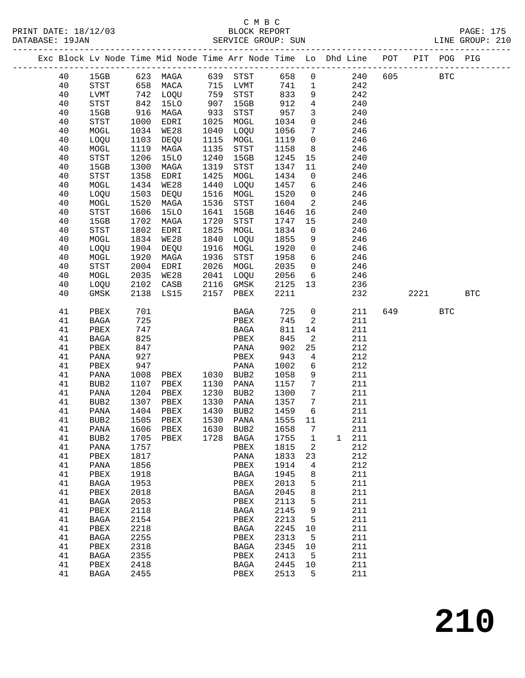#### C M B C<br>BLOCK REPORT DATABASE: 19JAN SERVICE GROUP: SUN LINE GROUP: 210

#### ------------------------------------------------------------------------------------------------- Exc Block Lv Node Time Mid Node Time Arr Node Time Lo Dhd Line POT PIT POG PIG ------------------------------------------------------------------------------------------------- 40 15GB 623 MAGA 639 STST 658 0 240 605 BTC 40 STST 658 MACA 715 LVMT 741 1 242 40 LVMT 742 LOQU 759 STST 833 9 242 40 STST 842 15LO 907 15GB 912 4 240 40 15GB 916 MAGA 933 STST 957 3 240 40 STST 1000 EDRI 1025 MOGL 1034 0 246 40 MOGL 1034 WE28 1040 LOQU 1056 7 246 40 LOQU 1103 DEQU 1115 MOGL 1119 0 246 40 MOGL 1119 MAGA 1135 STST 1158 8 246 40 STST 1206 15LO 1240 15GB 1245 15 240 40 15GB 1300 MAGA 1319 STST 1347 11 240 40 STST 1358 EDRI 1425 MOGL 1434 0 246 40 MOGL 1434 WE28 1440 LOQU 1457 6 246 40 LOQU 1503 DEQU 1516 MOGL 1520 0 246 40 MOGL 1520 MAGA 1536 STST 1604 2 246 40 STST 1606 15LO 1641 15GB 1646 16 240 40 15GB 1702 MAGA 1720 STST 1747 15 240 40 STST 1802 EDRI 1825 MOGL 1834 0 246 40 MOGL 1834 WE28 1840 LOQU 1855 9 246 40 LOQU 1904 DEQU 1916 MOGL 1920 0 246 40 MOGL 1920 MAGA 1936 STST 1958 6 246 40 STST 2004 EDRI 2026 MOGL 2035 0 246 40 MOGL 2035 WE28 2041 LOQU 2056 6 246 40 LOQU 2102 CASB 2116 GMSK 2125 13 236 40 GMSK 2138 LS15 2157 PBEX 2211 232 2221 BTC 41 PBEX 701 BAGA 725 0 211 649 BTC 41 BAGA 725 PBEX 745 2 211 41 PBEX 747 BAGA 811 14 211 41 BAGA 825 PBEX 845 2 211 41 PBEX 847 PANA 902 25 212 41 PANA 927 PBEX 943 4 212 41 PBEX 947 PANA 1002 6 212 41 PANA 1008 PBEX 1030 BUB2 1058 9 211 41 BUB2 1107 PBEX 1130 PANA 1157 7 211 41 PANA 1204 PBEX 1230 BUB2 1300 7 211 41 BUB2 1307 PBEX 1330 PANA 1357 7 211 41 PANA 1404 PBEX 1430 BUB2 1459 6 211 41 BUB2 1505 PBEX 1530 PANA 1555 11 211 41 PANA 1606 PBEX 1630 BUB2 1658 7 211 41 BUB2 1705 PBEX 1728 BAGA 1755 1 1 211 41 PANA 1757 PBEX 1815 2 212 41 PBEX 1817 PANA 1833 23 212 41 PANA 1856 PBEX 1914 4 212 41 PBEX 1918 BAGA 1945 8 211 41 BAGA 1953 PBEX 2013 5 211 41 PBEX 2018 BAGA 2045 8 211 41 BAGA 2053 PBEX 2113 5 211 41 PBEX 2118 BAGA 2145 9 211 41 BAGA 2154 PBEX 2213 5 211 41 PBEX 2218 BAGA 2245 10 211 41 BAGA 2255 PBEX 2313 5 211 41 PBEX 2318 BAGA 2345 10 211 41 BAGA 2355 PBEX 2413 5 211 41 PBEX 2418 BAGA 2445 10 211 41 BAGA 2455 PBEX 2513 5 211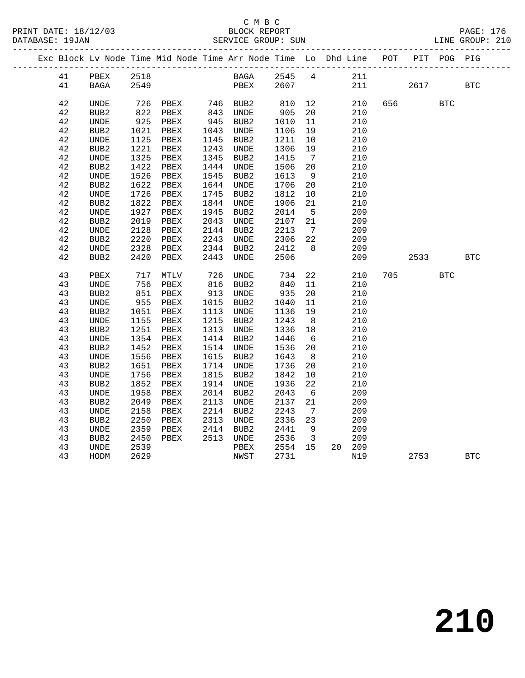#### C M B C<br>BLOCK REPORT SERVICE GROUP: SUN

|  |             |                                                  |              |              |              | Exc Block Lv Node Time Mid Node Time Arr Node Time Lo Dhd Line |              |                         |            | POT |      | PIT POG PIG |            |
|--|-------------|--------------------------------------------------|--------------|--------------|--------------|----------------------------------------------------------------|--------------|-------------------------|------------|-----|------|-------------|------------|
|  | 41          | PBEX                                             | 2518         |              |              | BAGA 2545 4                                                    |              |                         | 211        |     |      |             |            |
|  | 41          | <b>BAGA</b>                                      | 2549         |              |              | PBEX                                                           | 2607         |                         | 211        |     | 2617 |             | <b>BTC</b> |
|  |             |                                                  |              |              |              |                                                                |              |                         |            |     |      |             |            |
|  | 42          | UNDE                                             | 726          | PBEX         | 746          | BUB2                                                           | 810          | 12                      | 210        | 656 |      | <b>BTC</b>  |            |
|  | 42          | BUB2                                             | 822          | PBEX         | 843          | UNDE                                                           | 905          | 20                      | 210        |     |      |             |            |
|  | 42          | UNDE                                             | 925          | PBEX         | 945          | BUB2                                                           | 1010         | 11                      | 210        |     |      |             |            |
|  | 42<br>42    | BUB <sub>2</sub><br><b>UNDE</b>                  | 1021<br>1125 | PBEX         | 1043<br>1145 | UNDE<br>BUB2                                                   | 1106<br>1211 | 19<br>10                | 210<br>210 |     |      |             |            |
|  | $4\sqrt{2}$ | BUB2                                             | 1221         | PBEX<br>PBEX | 1243         | UNDE                                                           | 1306         | 19                      | 210        |     |      |             |            |
|  | 42          | $\ensuremath{\mathsf{UNDE}}$                     | 1325         | PBEX         | 1345         | BUB2                                                           | 1415         | $\overline{7}$          | 210        |     |      |             |            |
|  | 42          | BUB <sub>2</sub>                                 | 1422         | PBEX         | 1444         | UNDE                                                           | 1506         | 20                      | 210        |     |      |             |            |
|  | 42          | <b>UNDE</b>                                      | 1526         | PBEX         | 1545         | BUB2                                                           | 1613         | - 9                     | 210        |     |      |             |            |
|  | 42          | BUB2                                             | 1622         | PBEX         | 1644         | UNDE                                                           | 1706         | 20                      | 210        |     |      |             |            |
|  | 42          | UNDE                                             | 1726         | PBEX         | 1745         | BUB2                                                           | 1812         | $10 \,$                 | 210        |     |      |             |            |
|  | 42          | BUB <sub>2</sub>                                 | 1822         | PBEX         | 1844         | UNDE                                                           | 1906         | 21                      | 210        |     |      |             |            |
|  | 42          | <b>UNDE</b>                                      | 1927         | PBEX         | 1945         | BUB2                                                           | 2014         | $5^{\circ}$             | 209        |     |      |             |            |
|  | 42          | BUB <sub>2</sub>                                 | 2019         | PBEX         | 2043         | UNDE                                                           | 2107         | 21                      | 209        |     |      |             |            |
|  | 42          | UNDE                                             | 2128         | PBEX         | 2144         | BUB2                                                           | 2213         | $\overline{7}$          | 209        |     |      |             |            |
|  | 42          | BUB2                                             | 2220         | PBEX         | 2243         | UNDE                                                           | 2306         | 22                      | 209        |     |      |             |            |
|  | 42          | UNDE                                             | 2328         | PBEX         | 2344         | BUB2                                                           | 2412         | 8 <sup>8</sup>          | 209        |     |      |             |            |
|  | 42          | BUB <sub>2</sub>                                 | 2420         | PBEX         | 2443         | UNDE                                                           | 2506         |                         | 209        |     | 2533 |             | <b>BTC</b> |
|  |             |                                                  |              |              |              |                                                                |              |                         |            |     |      |             |            |
|  | 43          | PBEX                                             | 717          | MTLV         | 726          | UNDE                                                           | 734          | 22                      | 210        | 705 |      | <b>BTC</b>  |            |
|  | 43          | UNDE                                             | 756          | PBEX         | 616          | BUB2                                                           | 840          | 11                      | 210        |     |      |             |            |
|  | 43          | BUB <sub>2</sub>                                 | 851          | PBEX         | 913          | UNDE                                                           | 935          | 20                      | 210        |     |      |             |            |
|  | 43          | UNDE                                             | 955          | PBEX         | 1015         | BUB2                                                           | 1040         | 11                      | 210        |     |      |             |            |
|  | 43          | BUB2                                             | 1051         | PBEX         | 1113         | UNDE                                                           | 1136         | 19                      | 210        |     |      |             |            |
|  | 43          | UNDE                                             | 1155         | PBEX         | 1215         | BUB2                                                           | 1243         | 8                       | 210        |     |      |             |            |
|  | 43          | BUB2                                             | 1251         | PBEX         | 1313         | UNDE                                                           | 1336         | 18                      | 210        |     |      |             |            |
|  | 43          | <b>UNDE</b>                                      | 1354         | PBEX         | 1414         | BUB2                                                           | 1446         | 6                       | 210        |     |      |             |            |
|  | 43          | BUB <sub>2</sub>                                 | 1452         | PBEX         | 1514         | UNDE                                                           | 1536         | 20                      | 210        |     |      |             |            |
|  | 43          | UNDE                                             | 1556         | PBEX         | 1615         | BUB2                                                           | 1643         | 8 <sup>8</sup>          | 210        |     |      |             |            |
|  | 43          | BUB <sub>2</sub>                                 | 1651         | PBEX         | 1714         | UNDE                                                           | 1736         | 20                      | 210        |     |      |             |            |
|  | 43          | <b>UNDE</b>                                      | 1756         | PBEX         | 1815         | BUB2                                                           | 1842         | 10                      | 210        |     |      |             |            |
|  | 43          | BUB <sub>2</sub>                                 | 1852         | PBEX         | 1914         | UNDE                                                           | 1936         | 22                      | 210        |     |      |             |            |
|  | 43          | UNDE                                             | 1958         | PBEX         | 2014         | BUB2                                                           | 2043         | 6                       | 209        |     |      |             |            |
|  | 43          | BUB2                                             | 2049<br>2158 | PBEX<br>PBEX | 2113<br>2214 | UNDE                                                           | 2137<br>2243 | 21                      | 209<br>209 |     |      |             |            |
|  | 43<br>43    | <b>UNDE</b>                                      |              | PBEX         | 2313         | BUB2                                                           | 2336         | $\overline{7}$          | 209        |     |      |             |            |
|  | 43          | BUB <sub>2</sub><br>$\ensuremath{\mathsf{UNDE}}$ | 2250<br>2359 | PBEX         | 2414         | UNDE<br>BUB2                                                   | 2441         | 23<br>9                 | 209        |     |      |             |            |
|  | 43          | BUB2                                             | 2450         | PBEX         | 2513         | UNDE                                                           | 2536         | $\overline{\mathbf{3}}$ | 209        |     |      |             |            |
|  | 43          | UNDE                                             | 2539         |              |              | PBEX                                                           | 2554         | 15                      | 20 209     |     |      |             |            |
|  | 43          | HODM                                             | 2629         |              |              | NWST                                                           | 2731         |                         | N19        |     | 2753 |             | <b>BTC</b> |
|  |             |                                                  |              |              |              |                                                                |              |                         |            |     |      |             |            |

**210**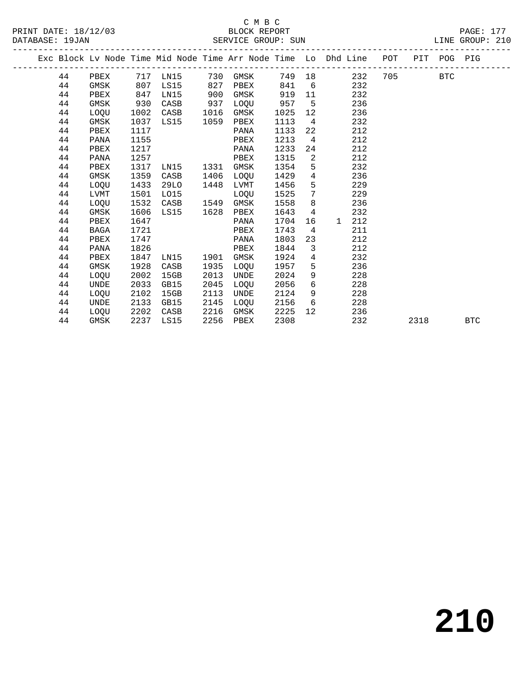|  |    |             |      | Exc Block Lv Node Time Mid Node Time Arr Node Time Lo Dhd Line POT PIT POG PIG |      |      |      |                 |              |     |         |      |            |            |
|--|----|-------------|------|--------------------------------------------------------------------------------|------|------|------|-----------------|--------------|-----|---------|------|------------|------------|
|  | 44 | PBEX        |      | 717 LN15                                                                       | 730  | GMSK |      |                 | 749 18       | 232 | 705 700 |      | <b>BTC</b> |            |
|  | 44 | GMSK        | 807  | LS15                                                                           | 827  | PBEX | 841  | 6               |              | 232 |         |      |            |            |
|  | 44 | PBEX        | 847  | LN15                                                                           | 900  | GMSK | 919  | 11              |              | 232 |         |      |            |            |
|  | 44 | GMSK        | 930  | CASB                                                                           | 937  | LOQU | 957  | $5^{\circ}$     |              | 236 |         |      |            |            |
|  | 44 | <b>LOOU</b> | 1002 | CASB                                                                           | 1016 | GMSK | 1025 | 12              |              | 236 |         |      |            |            |
|  | 44 | GMSK        | 1037 | LS15                                                                           | 1059 | PBEX | 1113 | $\overline{4}$  |              | 232 |         |      |            |            |
|  | 44 | PBEX        | 1117 |                                                                                |      | PANA | 1133 | 22              |              | 212 |         |      |            |            |
|  | 44 | PANA        | 1155 |                                                                                |      | PBEX | 1213 | $\overline{4}$  |              | 212 |         |      |            |            |
|  | 44 | PBEX        | 1217 |                                                                                |      | PANA | 1233 | 24              |              | 212 |         |      |            |            |
|  | 44 | PANA        | 1257 |                                                                                |      | PBEX | 1315 | $\overline{2}$  |              | 212 |         |      |            |            |
|  | 44 | PBEX        | 1317 | LN15                                                                           | 1331 | GMSK | 1354 | 5               |              | 232 |         |      |            |            |
|  | 44 | GMSK        | 1359 | CASB                                                                           | 1406 | LOQU | 1429 | $\overline{4}$  |              | 236 |         |      |            |            |
|  | 44 | LOQU        | 1433 | 29LO                                                                           | 1448 | LVMT | 1456 | 5               |              | 229 |         |      |            |            |
|  | 44 | LVMT        | 1501 | L015                                                                           |      | LOOU | 1525 | $\overline{7}$  |              | 229 |         |      |            |            |
|  | 44 | LOQU        | 1532 | CASB                                                                           | 1549 | GMSK | 1558 | 8               |              | 236 |         |      |            |            |
|  | 44 | GMSK        | 1606 | LS15                                                                           | 1628 | PBEX | 1643 | $\overline{4}$  |              | 232 |         |      |            |            |
|  | 44 | PBEX        | 1647 |                                                                                |      | PANA | 1704 | 16              | $\mathbf{1}$ | 212 |         |      |            |            |
|  | 44 | BAGA        | 1721 |                                                                                |      | PBEX | 1743 | $\overline{4}$  |              | 211 |         |      |            |            |
|  | 44 | PBEX        | 1747 |                                                                                |      | PANA | 1803 | 23              |              | 212 |         |      |            |            |
|  | 44 | PANA        | 1826 |                                                                                |      | PBEX | 1844 | $\mathbf{3}$    |              | 212 |         |      |            |            |
|  | 44 | PBEX        | 1847 | LN15                                                                           | 1901 | GMSK | 1924 | $4\overline{ }$ |              | 232 |         |      |            |            |
|  | 44 | GMSK        | 1928 | CASB                                                                           | 1935 | LOOU | 1957 | 5               |              | 236 |         |      |            |            |
|  | 44 | LOQU        | 2002 | 15GB                                                                           | 2013 | UNDE | 2024 | 9               |              | 228 |         |      |            |            |
|  | 44 | UNDE        | 2033 | GB15                                                                           | 2045 | LOOU | 2056 | 6               |              | 228 |         |      |            |            |
|  | 44 | LOQU        | 2102 | 15GB                                                                           | 2113 | UNDE | 2124 | 9               |              | 228 |         |      |            |            |
|  | 44 | UNDE        | 2133 | GB15                                                                           | 2145 | LOOU | 2156 | 6               |              | 228 |         |      |            |            |
|  | 44 | LOQU        | 2202 | CASB                                                                           | 2216 | GMSK | 2225 | 12              |              | 236 |         |      |            |            |
|  | 44 | GMSK        | 2237 | LS15                                                                           | 2256 | PBEX | 2308 |                 |              | 232 |         | 2318 |            | <b>BTC</b> |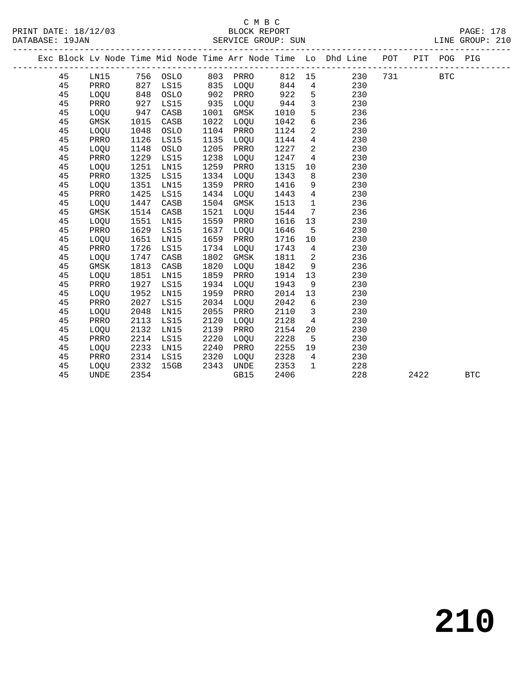|  |    |             |      |          |      |             |      |                 | Exc Block Lv Node Time Mid Node Time Arr Node Time Lo Dhd Line POT |     |      | PIT POG PIG |            |
|--|----|-------------|------|----------|------|-------------|------|-----------------|--------------------------------------------------------------------|-----|------|-------------|------------|
|  | 45 | LN15        |      | 756 OSLO | 803  | PRRO        | 812  | 15              | 230                                                                | 731 |      | <b>BTC</b>  |            |
|  | 45 | PRRO        | 827  | LS15     | 835  | LOQU        | 844  | $\overline{4}$  | 230                                                                |     |      |             |            |
|  | 45 | LOQU        | 848  | OSLO     | 902  | PRRO        | 922  | 5               | 230                                                                |     |      |             |            |
|  | 45 | PRRO        | 927  | LS15     | 935  | LOQU        | 944  | $\overline{3}$  | 230                                                                |     |      |             |            |
|  | 45 | LOQU        | 947  | CASB     | 1001 | GMSK        | 1010 | 5               | 236                                                                |     |      |             |            |
|  | 45 | GMSK        | 1015 | CASB     | 1022 | LOQU        | 1042 | $6\overline{6}$ | 236                                                                |     |      |             |            |
|  | 45 | LOQU        | 1048 | OSLO     | 1104 | PRRO        | 1124 | 2               | 230                                                                |     |      |             |            |
|  | 45 | PRRO        | 1126 | LS15     | 1135 | LOQU        | 1144 | $\overline{4}$  | 230                                                                |     |      |             |            |
|  | 45 | LOQU        | 1148 | OSLO     | 1205 | PRRO        | 1227 | $\overline{2}$  | 230                                                                |     |      |             |            |
|  | 45 | PRRO        | 1229 | LS15     | 1238 | LOQU        | 1247 | 4               | 230                                                                |     |      |             |            |
|  | 45 | LOQU        | 1251 | LN15     | 1259 | PRRO        | 1315 | 10              | 230                                                                |     |      |             |            |
|  | 45 | PRRO        | 1325 | LS15     | 1334 | LOQU        | 1343 | 8               | 230                                                                |     |      |             |            |
|  | 45 | LOQU        | 1351 | LN15     | 1359 | PRRO        | 1416 | 9               | 230                                                                |     |      |             |            |
|  | 45 | PRRO        | 1425 | LS15     | 1434 | LOQU        | 1443 | $\overline{4}$  | 230                                                                |     |      |             |            |
|  | 45 | LOQU        | 1447 | CASB     | 1504 | GMSK        | 1513 | $\mathbf{1}$    | 236                                                                |     |      |             |            |
|  | 45 | GMSK        | 1514 | CASB     | 1521 | LOQU        | 1544 | 7               | 236                                                                |     |      |             |            |
|  | 45 | LOQU        | 1551 | LN15     | 1559 | PRRO        | 1616 | 13              | 230                                                                |     |      |             |            |
|  | 45 | PRRO        | 1629 | LS15     | 1637 | LOQU        | 1646 | 5               | 230                                                                |     |      |             |            |
|  | 45 | LOQU        | 1651 | LN15     | 1659 | PRRO        | 1716 | 10              | 230                                                                |     |      |             |            |
|  | 45 | PRRO        | 1726 | LS15     | 1734 | LOQU        | 1743 | $4\overline{ }$ | 230                                                                |     |      |             |            |
|  | 45 | LOQU        | 1747 | CASB     | 1802 | <b>GMSK</b> | 1811 | 2               | 236                                                                |     |      |             |            |
|  | 45 | GMSK        | 1813 | CASB     | 1820 | LOQU        | 1842 | 9               | 236                                                                |     |      |             |            |
|  | 45 | LOQU        | 1851 | LN15     | 1859 | PRRO        | 1914 | 13              | 230                                                                |     |      |             |            |
|  | 45 | PRRO        | 1927 | LS15     | 1934 | LOQU        | 1943 | 9               | 230                                                                |     |      |             |            |
|  | 45 | LOQU        | 1952 | LN15     | 1959 | PRRO        | 2014 | 13              | 230                                                                |     |      |             |            |
|  | 45 | PRRO        | 2027 | LS15     | 2034 | LOQU        | 2042 | 6               | 230                                                                |     |      |             |            |
|  | 45 | LOQU        | 2048 | LN15     | 2055 | PRRO        | 2110 | 3               | 230                                                                |     |      |             |            |
|  | 45 | PRRO        | 2113 | LS15     | 2120 | LOQU        | 2128 | $\overline{4}$  | 230                                                                |     |      |             |            |
|  | 45 | LOQU        | 2132 | LN15     | 2139 | PRRO        | 2154 | 20              | 230                                                                |     |      |             |            |
|  | 45 | PRRO        | 2214 | LS15     | 2220 | LOQU        | 2228 | 5               | 230                                                                |     |      |             |            |
|  | 45 | LOQU        | 2233 | LN15     | 2240 | PRRO        | 2255 | 19              | 230                                                                |     |      |             |            |
|  | 45 | PRRO        | 2314 | LS15     | 2320 | LOQU        | 2328 | 4               | 230                                                                |     |      |             |            |
|  | 45 | LOQU        | 2332 | 15GB     | 2343 | UNDE        | 2353 | $\mathbf{1}$    | 228                                                                |     |      |             |            |
|  | 45 | <b>UNDE</b> | 2354 |          |      | GB15        | 2406 |                 | 228                                                                |     | 2422 |             | <b>BTC</b> |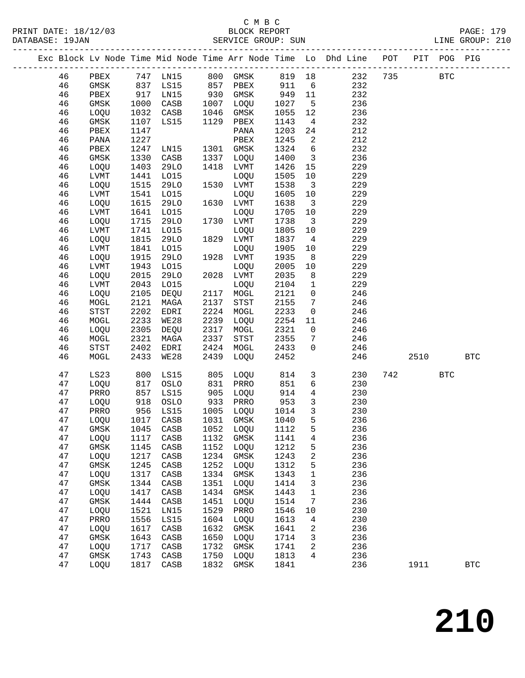#### C M B C<br>BLOCK REPORT PRINT DATE: 18/12/03 BLOCK REPORT PAGE: 179 SERVICE GROUP: SUN

|  |          |                    |              |                               |              |                   |                     |                                | Exc Block Lv Node Time Mid Node Time Arr Node Time Lo Dhd Line POT PIT POG PIG |     |            |            |              |
|--|----------|--------------------|--------------|-------------------------------|--------------|-------------------|---------------------|--------------------------------|--------------------------------------------------------------------------------|-----|------------|------------|--------------|
|  | 46       | PBEX               |              |                               |              |                   |                     |                                |                                                                                | 735 | <b>BTC</b> |            |              |
|  | 46       | GMSK               |              |                               |              | 857 PBEX          | 911                 |                                |                                                                                |     |            |            |              |
|  | 46       | PBEX               |              | 917 LN15                      |              | 930 GMSK          | 949                 | 11                             | 232                                                                            |     |            |            |              |
|  | 46       | GMSK               | 1000         | CASB                          |              | 1007 LOQU         | 1027                | $5^{\circ}$                    | 236                                                                            |     |            |            |              |
|  | 46       | LOQU               | 1032         | CASB                          |              | 1046 GMSK         | 1055                | 12                             | 236                                                                            |     |            |            |              |
|  | 46       | GMSK               |              | 1107 LS15                     |              | 1129 PBEX         | 1143                | $\overline{4}$                 | 232                                                                            |     |            |            |              |
|  | 46       | PBEX               | 1147         |                               |              | PANA              | 1203                | 24                             | 212                                                                            |     |            |            |              |
|  | 46       | PANA               | 1227         |                               |              | PBEX              | 1245                | 2                              | 212                                                                            |     |            |            |              |
|  | 46       | PBEX               | 1247         | LN15 1301 GMSK                |              |                   | 1324                | $6\overline{6}$                | 232                                                                            |     |            |            |              |
|  | 46       | GMSK               | 1330         | CASB                          | 1337         | LOQU              | 1400                | $\overline{\mathbf{3}}$        | 236                                                                            |     |            |            |              |
|  | 46       | LOQU               | 1403         | 29LO                          |              | 1418 LVMT         | 1426                | 15                             | 229                                                                            |     |            |            |              |
|  | 46       | LVMT               | 1441         | L015                          |              | LOQU              | 1505                | 10                             | 229                                                                            |     |            |            |              |
|  | 46       | LOQU               | 1515         | 29LO                          |              | 1530 LVMT         | 1538                | $\overline{\mathbf{3}}$        | 229                                                                            |     |            |            |              |
|  | 46       | LVMT               | 1541         | L015                          |              | LOQU              | 1605                | 10                             | 229                                                                            |     |            |            |              |
|  | 46       | LOQU               | 1615         | 29LO                          |              | 1630 LVMT         | 1638                | $\overline{\mathbf{3}}$        | 229                                                                            |     |            |            |              |
|  | 46       | LVMT               | 1641         | LO15                          |              | LOQU              | 1705                | 10                             | 229                                                                            |     |            |            |              |
|  | 46       | LOQU               | 1715         | 29LO                          |              | 1730 LVMT         | 1738                | $\overline{\mathbf{3}}$        | 229                                                                            |     |            |            |              |
|  | 46       | LVMT               |              | 1741 LO15                     |              | LOQU              | 1805                | 10                             | 229                                                                            |     |            |            |              |
|  | 46       | LOQU               | 1815         | 29LO                          |              | 1829 LVMT         | 1837                | $\overline{4}$                 | 229                                                                            |     |            |            |              |
|  | 46       | LVMT               | 1841         | LO15                          |              | LOQU              | 1905                | 10                             | 229                                                                            |     |            |            |              |
|  | 46       | LOQU               | 1915         | 29LO                          |              | 1928 LVMT         | 1935                | 8 <sup>8</sup>                 | 229                                                                            |     |            |            |              |
|  | 46       | ${\rm LVMT}$       | 1943         | LO15                          |              | LOQU              | 2005                | 10                             | 229                                                                            |     |            |            |              |
|  | 46<br>46 | LOQU               | 2015<br>2043 | 29LO<br>LO15                  |              | 2028 LVMT         | 2035<br>2104        | 8 <sup>8</sup><br>$\mathbf{1}$ | 229<br>229                                                                     |     |            |            |              |
|  | 46       | LVMT               | 2105         |                               |              | LOQU<br>2117 MOGL | 2121                | $\overline{0}$                 | 246                                                                            |     |            |            |              |
|  | 46       | LOQU<br>$\tt MOGL$ | 2121         | DEQU<br>MAGA                  | 2137         | STST              | 2155                | $7\phantom{.0}$                | 246                                                                            |     |            |            |              |
|  | 46       | STST               | 2202         | EDRI                          | 2224         | MOGL              | 2233                | $\overline{0}$                 | 246                                                                            |     |            |            |              |
|  | 46       | MOGL               | 2233         | WE28                          | 2239         | LOQU              | 2254                | 11                             | 246                                                                            |     |            |            |              |
|  | 46       | LOQU               | 2305         | DEQU                          | 2317         | MOGL              | 2321                | $\overline{0}$                 | 246                                                                            |     |            |            |              |
|  | 46       | $\tt MOGL$         | 2321         | MAGA                          | 2337         | STST              | 2355                | $7\phantom{.0}$                | 246                                                                            |     |            |            |              |
|  | 46       | STST               | 2402         | EDRI                          | 2424         | MOGL              | 2433                | $\overline{0}$                 | 246                                                                            |     |            |            |              |
|  | 46       | MOGL               | 2433         | WE28                          | 2439         | LOQU              | 2452                |                                | 246                                                                            |     | 2510       |            | $_{\rm BTC}$ |
|  |          |                    |              |                               |              |                   |                     |                                |                                                                                |     |            |            |              |
|  | 47       | LS23               | 800<br>817   | LS15                          | 805<br>831   | LOQU              | 814<br>851          | $\mathbf{3}$                   | 230                                                                            |     | 742        | <b>BTC</b> |              |
|  | 47       | LOQU               |              | OSLO                          |              | 831 PRRO          | 851                 | 6                              | 230                                                                            |     |            |            |              |
|  | 47       | PRRO               | 857          | LS15                          |              | 905 LOQU          | 914                 | $\overline{4}$                 | 230                                                                            |     |            |            |              |
|  | 47       | LOQU               | 918          | OSLO                          |              | 933 PRRO          | 953                 | $\mathbf{3}$                   | 230                                                                            |     |            |            |              |
|  | 47       | PRRO               | 956          | LS15                          |              | 1005 LOQU         | $\frac{1014}{1040}$ | $\overline{3}$                 | 230                                                                            |     |            |            |              |
|  | 47       | LOQU               |              | 1017 CASB                     |              | 1031 GMSK         | 1040                | 5                              | 236                                                                            |     |            |            |              |
|  | 47       |                    |              | GMSK 1045 CASB 1052 LOQU 1112 |              |                   |                     | 5                              | 236                                                                            |     |            |            |              |
|  | 47       | LOQU               | 1117         | CASB                          | 1132         | GMSK              | 1141                | 4                              | 236                                                                            |     |            |            |              |
|  | 47       | GMSK               | 1145<br>1217 | CASB                          | 1152<br>1234 | LOQU              | 1212<br>1243        | 5                              | 236<br>236                                                                     |     |            |            |              |
|  | 47<br>47 | LOQU               |              | CASB                          |              | GMSK              |                     | 2                              | 236                                                                            |     |            |            |              |
|  | 47       | GMSK<br>LOQU       | 1245<br>1317 | CASB<br>CASB                  | 1252<br>1334 | LOQU<br>GMSK      | 1312<br>1343        | 5<br>1                         | 236                                                                            |     |            |            |              |
|  | 47       |                    | 1344         |                               | 1351         | LOQU              | 1414                |                                | 236                                                                            |     |            |            |              |
|  | 47       | GMSK               |              | CASB                          | 1434         |                   |                     | 3                              | 236                                                                            |     |            |            |              |
|  | 47       | LOQU<br>GMSK       | 1417<br>1444 | CASB<br>CASB                  | 1451         | GMSK<br>LOQU      | 1443<br>1514        | $\mathbf{1}$<br>7              | 236                                                                            |     |            |            |              |
|  | 47       | LOQU               | 1521         | LN15                          | 1529         | PRRO              | 1546                | 10                             | 230                                                                            |     |            |            |              |
|  | 47       | PRRO               | 1556         | LS15                          | 1604         | LOQU              | 1613                | 4                              | 230                                                                            |     |            |            |              |
|  | 47       | LOQU               | 1617         | CASB                          | 1632         | GMSK              | 1641                | 2                              | 236                                                                            |     |            |            |              |
|  | 47       | GMSK               | 1643         | CASB                          | 1650         | LOQU              | 1714                | 3                              | 236                                                                            |     |            |            |              |
|  | 47       | LOQU               | 1717         | CASB                          | 1732         | GMSK              | 1741                | 2                              | 236                                                                            |     |            |            |              |
|  | 47       | GMSK               | 1743         | $\mathtt{CASB}$               | 1750         | LOQU              | 1813                | 4                              | 236                                                                            |     |            |            |              |
|  | 47       | LOQU               | 1817         | CASB                          | 1832         | GMSK              | 1841                |                                | 236                                                                            |     | 1911       |            | $_{\rm BTC}$ |
|  |          |                    |              |                               |              |                   |                     |                                |                                                                                |     |            |            |              |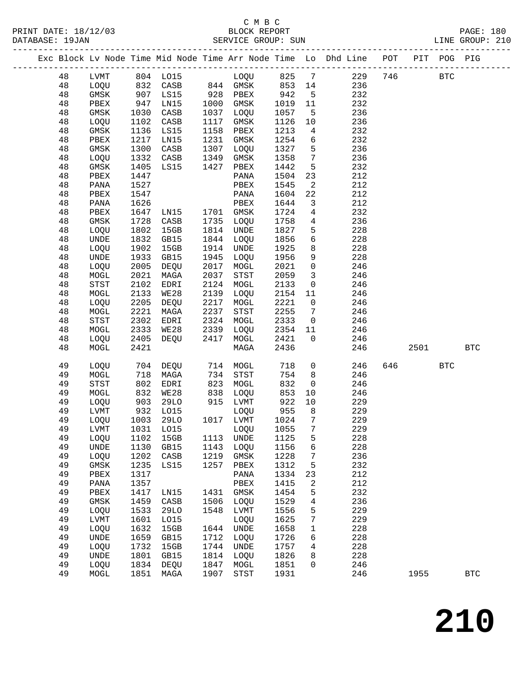|  |          |              |              |                          |              |                            |              |                         | Exc Block Lv Node Time Mid Node Time Arr Node Time Lo Dhd Line POT PIT POG PIG |     |      |            |              |
|--|----------|--------------|--------------|--------------------------|--------------|----------------------------|--------------|-------------------------|--------------------------------------------------------------------------------|-----|------|------------|--------------|
|  | 48       | LVMT         |              | 804 LO15 LOQU 825 7      |              |                            |              |                         | 229                                                                            | 746 |      | <b>BTC</b> |              |
|  | 48       | LOQU         |              | 832 CASB 844 GMSK 853 14 |              |                            |              |                         | 236                                                                            |     |      |            |              |
|  | 48       | GMSK         | 907          | LS15                     |              | 928 PBEX                   | 942          | $5^{\circ}$             | 232                                                                            |     |      |            |              |
|  | 48       | PBEX         | 947          | LN15                     | 1000         | GMSK                       | 1019         | 11                      | 232                                                                            |     |      |            |              |
|  | 48       | GMSK         | 1030         | CASB                     |              | 1037 LOQU                  | 1057         | $5^{\circ}$             | 236                                                                            |     |      |            |              |
|  | 48       | LOQU         | 1102         | CASB                     | 1117         | GMSK                       | 1126         | 10                      | 236                                                                            |     |      |            |              |
|  | 48       | GMSK         | 1136         | LS15                     | 1158         | PBEX                       | 1213         | $\overline{4}$          | 232                                                                            |     |      |            |              |
|  | 48       | PBEX         | 1217         | LN15                     | 1231         | GMSK                       | 1254         | 6                       | 232                                                                            |     |      |            |              |
|  | 48       | GMSK         | 1300         | CASB                     | 1307         | LOQU                       | 1327         | 5                       | 236                                                                            |     |      |            |              |
|  | 48       | LOQU         | 1332         | CASB                     | 1349         | GMSK                       | 1358         | $7\overline{ }$         | 236                                                                            |     |      |            |              |
|  | 48       | GMSK         | 1405         | LS15                     | 1427         | PBEX                       | 1442         | 5                       | 232                                                                            |     |      |            |              |
|  | 48       | PBEX         | 1447         |                          |              | PANA                       | 1504         | 23                      | 212                                                                            |     |      |            |              |
|  | 48       | PANA         | 1527         |                          |              | PBEX                       | 1545         | $\overline{2}$          | 212                                                                            |     |      |            |              |
|  | 48       | PBEX         | 1547         |                          |              | PANA                       | 1604         | 22                      | 212                                                                            |     |      |            |              |
|  | 48       | PANA         | 1626         |                          |              | PBEX                       | 1644         | $\overline{\mathbf{3}}$ | 212                                                                            |     |      |            |              |
|  | 48       | PBEX         | 1647         | LN15                     |              | 1701 GMSK                  | 1724         | 4                       | 232                                                                            |     |      |            |              |
|  | 48       | GMSK         | 1728         | CASB                     | 1735         | LOQU                       | 1758         | $\overline{4}$          | 236                                                                            |     |      |            |              |
|  | 48       | LOQU         | 1802         | 15GB                     |              | 1814 UNDE                  | 1827         | 5                       | 228                                                                            |     |      |            |              |
|  | 48       | UNDE         | 1832         | GB15                     |              | 1844 LOQU                  | 1856         | 6                       | 228                                                                            |     |      |            |              |
|  | 48       | LOQU         | 1902         | 15GB                     | 1914         | UNDE                       | 1925         | 8                       | 228                                                                            |     |      |            |              |
|  | 48       | UNDE         | 1933         | GB15                     | 1945         | LOQU                       | 1956         | 9                       | 228                                                                            |     |      |            |              |
|  | 48       | LOQU         | 2005         | DEQU                     |              | 2017 MOGL                  | 2021         | $\mathbf 0$             | 246                                                                            |     |      |            |              |
|  | 48       | MOGL         | 2021         | MAGA                     | 2037         | STST                       | 2059         | $\overline{3}$          | 246                                                                            |     |      |            |              |
|  | 48       | STST         | 2102         | EDRI                     | 2124         | MOGL                       | 2133         | $\mathsf{O}$            | 246                                                                            |     |      |            |              |
|  | 48       | MOGL         | 2133         | WE28                     | 2139         | LOQU                       | 2154         | 11                      | 246                                                                            |     |      |            |              |
|  | 48       | LOQU         | 2205         | DEQU                     | 2217         | MOGL                       | 2221         | $\overline{0}$          | 246                                                                            |     |      |            |              |
|  | 48       | MOGL         | 2221         | MAGA                     | 2237         | STST                       | 2255         | $\overline{7}$          | 246                                                                            |     |      |            |              |
|  | 48       | STST         | 2302         | EDRI                     | 2324         | MOGL                       | 2333         | $\overline{0}$          | 246                                                                            |     |      |            |              |
|  | 48       | MOGL         | 2333         | WE28                     | 2339         | LOQU                       | 2354         | 11                      | 246                                                                            |     |      |            |              |
|  | 48       | LOQU         | 2405         | DEQU                     | 2417         | MOGL                       | 2421         | $\overline{0}$          | 246                                                                            |     |      |            |              |
|  | 48       | MOGL         | 2421         |                          |              | MAGA                       | 2436         |                         | 246                                                                            |     | 2501 |            | <b>BTC</b>   |
|  |          |              |              |                          |              |                            |              |                         |                                                                                |     |      |            |              |
|  | 49       | LOQU         | 704          | DEQU                     | 714          | MOGL                       | 718          | $\mathsf{O}$            | 246                                                                            |     | 646  | <b>BTC</b> |              |
|  | 49       | MOGL         | 718          | MAGA                     |              | 734 STST                   | 754          | 8                       | 246                                                                            |     |      |            |              |
|  | 49       | STST         | 802          | EDRI                     | 823          | MOGL                       | 832          | $\overline{0}$          | 246                                                                            |     |      |            |              |
|  | 49       | MOGL         | 832          | WE28                     | 838          | LOQU                       | 853          | 10                      | 246                                                                            |     |      |            |              |
|  | 49       | LOQU         | 903          | 29LO                     |              | 915 LVMT                   | 922          | 10                      | 229                                                                            |     |      |            |              |
|  | 49       | LVMT         | 932          | L015                     |              | LOQU                       | 955          | 8 <sup>8</sup>          | 229                                                                            |     |      |            |              |
|  | 49       | LOQU         | 1003         | 29LO                     |              | 1017 LVMT                  | 1024         | $\overline{7}$          | 229                                                                            |     |      |            |              |
|  | 49       | LVMT         |              | 1031 LO15 LOQU 1055 7    |              |                            |              |                         | 229                                                                            |     |      |            |              |
|  | 49<br>49 | LOQU<br>UNDE | 1102<br>1130 | 15GB<br>GB15             | 1113<br>1143 | UNDE<br>LOQU               | 1125<br>1156 | 5<br>6                  | 228<br>228                                                                     |     |      |            |              |
|  | 49       | LOQU         | 1202         | CASB                     | 1219         | GMSK                       | 1228         | 7                       | 236                                                                            |     |      |            |              |
|  | 49       | GMSK         | 1235         | LS15                     | 1257         | ${\tt PBEX}$               | 1312         | 5                       | 232                                                                            |     |      |            |              |
|  | 49       | ${\tt PBEX}$ | 1317         |                          |              | PANA                       | 1334         | 23                      | 212                                                                            |     |      |            |              |
|  | 49       | PANA         | 1357         |                          |              | PBEX                       | 1415         | 2                       | 212                                                                            |     |      |            |              |
|  | 49       | PBEX         | 1417         | LN15                     | 1431         | GMSK                       | 1454         | 5                       | 232                                                                            |     |      |            |              |
|  | 49       | GMSK         | 1459         | CASB                     | 1506         | LOQU                       | 1529         | 4                       | 236                                                                            |     |      |            |              |
|  | 49       | LOQU         | 1533         | 29LO                     | 1548         | LVMT                       | 1556         | 5                       | 229                                                                            |     |      |            |              |
|  | 49       | LVMT         | 1601         | L015                     |              | LOQU                       | 1625         | 7                       | 229                                                                            |     |      |            |              |
|  | 49       | LOQU         | 1632         | 15GB                     | 1644         | UNDE                       | 1658         | 1                       | 228                                                                            |     |      |            |              |
|  | 49       | UNDE         | 1659         | GB15                     | 1712         | LOQU                       | 1726         | 6                       | 228                                                                            |     |      |            |              |
|  | 49       | LOQU         | 1732         | 15GB                     | 1744         | UNDE                       | 1757         | 4                       | 228                                                                            |     |      |            |              |
|  | 49       | UNDE         | 1801         | GB15                     | 1814         | LOQU                       | 1826         | 8                       | 228                                                                            |     |      |            |              |
|  | 49       | LOQU         | 1834         | DEQU                     | 1847         | MOGL                       | 1851         | 0                       | 246                                                                            |     |      |            |              |
|  | 49       | MOGL         | 1851         | MAGA                     | 1907         | $_{\footnotesize\rm STST}$ | 1931         |                         | 246                                                                            |     | 1955 |            | $_{\rm BTC}$ |
|  |          |              |              |                          |              |                            |              |                         |                                                                                |     |      |            |              |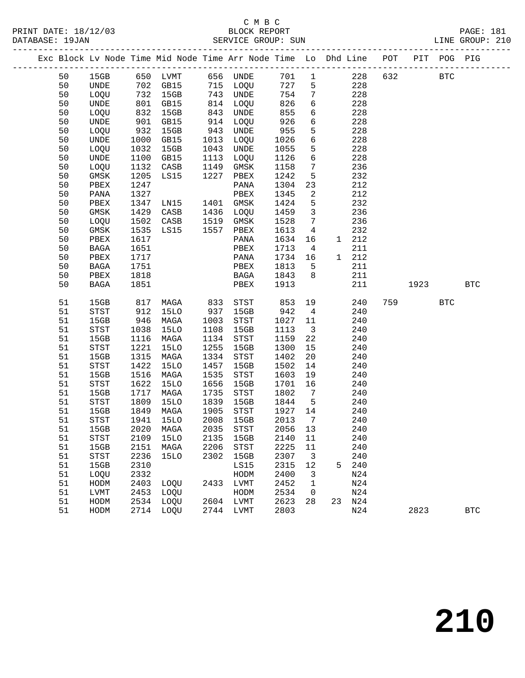|  |          |                                       |              | Exc Block Lv Node Time Mid Node Time Arr Node Time Lo Dhd Line POT      |              |                                       |              |                               |    |            |     |         | PIT POG PIG |            |
|--|----------|---------------------------------------|--------------|-------------------------------------------------------------------------|--------------|---------------------------------------|--------------|-------------------------------|----|------------|-----|---------|-------------|------------|
|  | 50       | 15GB                                  |              | 650   LVMT             656    UNDE<br>702    GB15           715    LOQU |              |                                       | 701 1        |                               |    | 228        | 632 |         | <b>BTC</b>  |            |
|  | 50       | UNDE                                  |              | 702 GB15                                                                |              |                                       | 727          | 5                             |    | 228        |     |         |             |            |
|  | 50       | LOQU                                  | 732          | 15GB                                                                    |              | 743 UNDE                              | 754          | $7\phantom{.0}$               |    | 228        |     |         |             |            |
|  | 50       | UNDE                                  | 801          | GB15                                                                    |              | 814 LOQU                              | 826          | 6                             |    | 228        |     |         |             |            |
|  | 50       | LOQU                                  | 832<br>901   | 15GB                                                                    | 843          | UNDE                                  | 855          | 6                             |    | 228        |     |         |             |            |
|  | 50       | UNDE                                  |              | GB15                                                                    | 914          | LOQU                                  | 926          | 6                             |    | 228        |     |         |             |            |
|  | 50       | LOQU                                  | 932          | 15GB                                                                    | 943          | UNDE                                  | 955          | 5                             |    | 228        |     |         |             |            |
|  | 50       | UNDE                                  | 1000         | GB15                                                                    |              | 1013 LOQU                             | 1026         | $6\overline{6}$               |    | 228        |     |         |             |            |
|  | 50       | LOQU                                  | 1032         | 15GB                                                                    | 1043         | UNDE                                  | 1055         | 5                             |    | 228        |     |         |             |            |
|  | 50       | $\ensuremath{\mathsf{UNDE}}$          | 1100         | GB15                                                                    | 1113         | LOQU                                  | 1126         | 6                             |    | 228        |     |         |             |            |
|  | 50       | LOQU                                  | 1132         | CASB                                                                    | 1149         | GMSK                                  | 1158         | $7\phantom{.0}$               |    | 236        |     |         |             |            |
|  | 50       | GMSK                                  | 1205         | LS15                                                                    | 1227         | PBEX                                  | 1242         | 5                             |    | 232        |     |         |             |            |
|  | 50       | PBEX                                  | 1247         |                                                                         |              | PANA                                  | 1304         | 23                            |    | 212        |     |         |             |            |
|  | 50       | PANA                                  | 1327         |                                                                         |              | PBEX                                  | 1345         | 2                             |    | 212        |     |         |             |            |
|  | 50       | PBEX                                  | 1347         | LN15                                                                    |              | 1401 GMSK                             | 1424         | 5                             |    | 232        |     |         |             |            |
|  | 50       | GMSK                                  | 1429         | CASB                                                                    |              | 1436 LOQU                             | 1459         | $\overline{3}$                |    | 236        |     |         |             |            |
|  | 50       | LOQU                                  | 1502         | CASB                                                                    |              | 1519 GMSK                             | 1528         | $7\phantom{.0}$               |    | 236        |     |         |             |            |
|  | 50       | GMSK                                  | 1535         | LS15                                                                    |              | 1557 PBEX                             | 1613         | $\overline{4}$                |    | 232        |     |         |             |            |
|  | 50       | PBEX                                  | 1617         |                                                                         |              | PANA                                  | 1634         | 16                            |    | 1 212      |     |         |             |            |
|  | 50       | BAGA                                  | 1651         |                                                                         |              | PBEX                                  | 1713         | $\overline{4}$                |    | 211        |     |         |             |            |
|  | 50       | PBEX                                  | 1717         |                                                                         |              | PANA                                  | 1734         | 16                            |    | 1 212      |     |         |             |            |
|  | 50       | BAGA                                  | 1751         |                                                                         |              | PBEX                                  | 1813         | 5                             |    | 211        |     |         |             |            |
|  | 50       | PBEX                                  | 1818         |                                                                         |              | BAGA                                  | 1843         | 8                             |    | 211        |     |         |             |            |
|  | 50       | BAGA                                  | 1851         |                                                                         |              | PBEX                                  | 1913         |                               |    | 211        |     | 1923    |             | <b>BTC</b> |
|  |          |                                       |              |                                                                         |              |                                       |              |                               |    |            |     |         |             |            |
|  | 51       | 15GB                                  | 817          | MAGA                                                                    | 833<br>937   | STST                                  | 853          | 19                            |    | 240        |     | 759 751 | <b>BTC</b>  |            |
|  | 51       | STST                                  | 912          | 15LO                                                                    |              | 15GB                                  | 942          | $\overline{4}$                |    | 240        |     |         |             |            |
|  | 51       | 15GB                                  | 946          | MAGA                                                                    | 1003         | STST                                  | 1027         | 11                            |    | 240        |     |         |             |            |
|  | 51       | STST                                  | 1038         | 15LO                                                                    | 1108         | 15GB                                  | 1113         | $\overline{\mathbf{3}}$       |    | 240        |     |         |             |            |
|  | 51       | 15GB                                  | 1116         | MAGA                                                                    | 1134         | STST                                  | 1159         | 22                            |    | 240        |     |         |             |            |
|  | 51       | $_{\footnotesize{\textnormal{STST}}}$ | 1221         | 15LO                                                                    | 1255         | 15GB                                  | 1300         | 15                            |    | 240        |     |         |             |            |
|  | 51       | 15GB                                  | 1315         | MAGA                                                                    | 1334         | $_{\footnotesize{\textnormal{STST}}}$ | 1402         | 20                            |    | 240        |     |         |             |            |
|  | 51       | STST                                  | 1422         | 15LO                                                                    | 1457         | 15GB                                  | 1502         | 14                            |    | 240        |     |         |             |            |
|  | 51       | 15GB                                  | 1516         | MAGA                                                                    | 1535         | STST                                  | 1603         | 19                            |    | 240        |     |         |             |            |
|  | 51       | STST                                  | 1622         | <b>15LO</b>                                                             | 1656         | 15GB                                  | 1701         | 16                            |    | 240        |     |         |             |            |
|  | 51       | 15GB                                  | 1717         | MAGA<br>15LO                                                            | 1735<br>1839 | STST                                  | 1802<br>1844 | $\overline{7}$<br>$5^{\circ}$ |    | 240<br>240 |     |         |             |            |
|  | 51       | STST<br>15GB                          | 1809         |                                                                         | 1905         | 15GB                                  | 1927         | 14                            |    |            |     |         |             |            |
|  | 51<br>51 |                                       | 1849<br>1941 | MAGA<br><b>15LO</b>                                                     | 2008         | STST<br>15GB                          | 2013         | $\overline{7}$                |    | 240<br>240 |     |         |             |            |
|  |          | STST                                  |              | 2020 MAGA 2035 STST                                                     |              |                                       | 2056 13      |                               |    |            |     |         |             |            |
|  | 51       | 15GB                                  | 2109         |                                                                         | 2135         |                                       |              |                               |    | 240        |     |         |             |            |
|  | 51<br>51 | STST                                  | 2151         | 15LO<br>MAGA                                                            | 2206         | 15GB                                  | 2140         | 11                            |    | 240<br>240 |     |         |             |            |
|  | 51       | 15GB                                  | 2236         |                                                                         | 2302         | STST                                  | 2225<br>2307 | 11                            |    | 240        |     |         |             |            |
|  | 51       | STST                                  | 2310         | 15LO                                                                    |              | 15GB<br>LS15                          | 2315         | $\overline{\mathbf{3}}$<br>12 | 5  | 240        |     |         |             |            |
|  |          | 15GB                                  | 2332         |                                                                         |              |                                       | 2400         |                               |    | N24        |     |         |             |            |
|  | 51<br>51 | LOQU                                  | 2403         | LOOU                                                                    | 2433         | HODM                                  | 2452         | 3                             |    | N24        |     |         |             |            |
|  | 51       | HODM                                  | 2453         |                                                                         |              | LVMT                                  | 2534         | 1                             |    | N24        |     |         |             |            |
|  | 51       | LVMT                                  | 2534         | LOQU                                                                    |              | HODM<br>2604 LVMT                     | 2623         | 0<br>28                       | 23 |            |     |         |             |            |
|  | 51       | HODM<br>HODM                          |              | LOQU<br>2714 LOQU                                                       |              | 2744 LVMT                             | 2803         |                               |    | N24<br>N24 |     | 2823    |             | <b>BTC</b> |
|  |          |                                       |              |                                                                         |              |                                       |              |                               |    |            |     |         |             |            |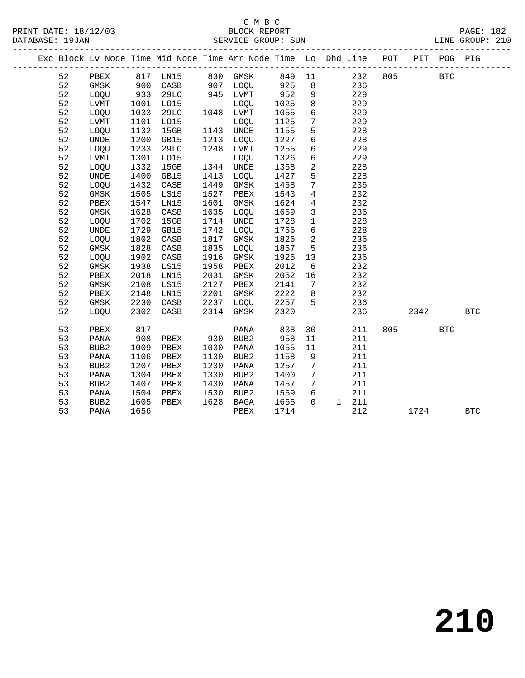#### C M B C DATABASE: 19JAN SERVICE GROUP: SUN LINE GROUP: 210

------------------------------------------------------------------------------------------------- Exc Block Lv Node Time Mid Node Time Arr Node Time Lo Dhd Line POT PIT POG PIG ------------------------------------------------------------------------------------------------- 52 PBEX 817 LN15 830 GMSK 849 11 232 805 BTC

PRINT DATE: 18/12/03 BLOCK REPORT PAGE: 182

| 52 | <b>GMSK</b>      | 900  | CASB        | 907  | LOQU             | 925  | 8            | 236 |      |            |              |  |
|----|------------------|------|-------------|------|------------------|------|--------------|-----|------|------------|--------------|--|
| 52 | LOQU             | 933  | <b>29LO</b> | 945  | LVMT             | 952  | 9            | 229 |      |            |              |  |
| 52 | LVMT             | 1001 | L015        |      | LOQU             | 1025 | 8            | 229 |      |            |              |  |
| 52 | LOOU             | 1033 | 29LO        | 1048 | LVMT             | 1055 | 6            | 229 |      |            |              |  |
| 52 | LVMT             | 1101 | L015        |      | LOQU             | 1125 | 7            | 229 |      |            |              |  |
| 52 | LOQU             | 1132 | 15GB        | 1143 | UNDE             | 1155 | 5            | 228 |      |            |              |  |
| 52 | UNDE             | 1200 | GB15        | 1213 | LOQU             | 1227 | 6            | 228 |      |            |              |  |
| 52 | LOQU             | 1233 | 29LO        | 1248 | LVMT             | 1255 | 6            | 229 |      |            |              |  |
| 52 | LVMT             | 1301 | L015        |      | LOQU             | 1326 | 6            | 229 |      |            |              |  |
| 52 | LOQU             | 1332 | 15GB        | 1344 | UNDE             | 1358 | 2            | 228 |      |            |              |  |
| 52 | UNDE             | 1400 | GB15        | 1413 | LOQU             | 1427 | 5            | 228 |      |            |              |  |
| 52 | LOQU             | 1432 | CASB        | 1449 | GMSK             | 1458 | 7            | 236 |      |            |              |  |
| 52 | GMSK             | 1505 | LS15        | 1527 | PBEX             | 1543 | 4            | 232 |      |            |              |  |
| 52 | PBEX             | 1547 | LN15        | 1601 | GMSK             | 1624 | 4            | 232 |      |            |              |  |
| 52 | GMSK             | 1628 | CASB        | 1635 | LOOU             | 1659 | 3            | 236 |      |            |              |  |
| 52 | LOQU             | 1702 | 15GB        | 1714 | UNDE             | 1728 | $\mathbf{1}$ | 228 |      |            |              |  |
| 52 | <b>UNDE</b>      | 1729 | GB15        | 1742 | LOQU             | 1756 | 6            | 228 |      |            |              |  |
| 52 | LOQU             | 1802 | CASB        | 1817 | GMSK             | 1826 | 2            | 236 |      |            |              |  |
| 52 | GMSK             | 1828 | CASB        | 1835 | LOOU             | 1857 | 5            | 236 |      |            |              |  |
| 52 | LOQU             | 1902 | CASB        | 1916 | GMSK             | 1925 | 13           | 236 |      |            |              |  |
| 52 | GMSK             | 1938 | LS15        | 1958 | PBEX             | 2012 | 6            | 232 |      |            |              |  |
| 52 | PBEX             | 2018 | LN15        | 2031 | GMSK             | 2052 | 16           | 232 |      |            |              |  |
| 52 | GMSK             | 2108 | LS15        | 2127 | PBEX             | 2141 | 7            | 232 |      |            |              |  |
| 52 | PBEX             | 2148 | LN15        | 2201 | GMSK             | 2222 | 8            | 232 |      |            |              |  |
| 52 | GMSK             | 2230 | CASB        | 2237 | LOQU             | 2257 | 5            | 236 |      |            |              |  |
| 52 | LOOU             | 2302 | CASB        | 2314 | GMSK             | 2320 |              | 236 | 2342 |            | $_{\rm BTC}$ |  |
| 53 | PBEX             | 817  |             |      | PANA             | 838  | 30           | 211 | 805  | <b>BTC</b> |              |  |
| 53 | PANA             | 908  | PBEX        | 930  | BUB <sub>2</sub> | 958  | 11           | 211 |      |            |              |  |
| 53 | BUB <sub>2</sub> | 1009 | PBEX        | 1030 | PANA             | 1055 | 11           | 211 |      |            |              |  |
| 53 | PANA             | 1106 | PBEX        | 1130 | BUB <sub>2</sub> | 1158 | $\,9$        | 211 |      |            |              |  |
| 53 | BUB <sub>2</sub> | 1207 | PBEX        | 1230 | PANA             | 1257 | 7            | 211 |      |            |              |  |
| 53 | PANA             | 1304 | PBEX        | 1330 | BUB <sub>2</sub> | 1400 | 7            | 211 |      |            |              |  |
|    |                  |      |             |      |                  |      |              |     |      |            |              |  |

53 PANA 1656 PBEX 1714 212 1724 BTC

 53 BUB2 1407 PBEX 1430 PANA 1457 7 211 53 PANA 1504 PBEX 1530 BUB2 1559 6 211 53 BUB2 1605 PBEX 1628 BAGA 1655 0 1 211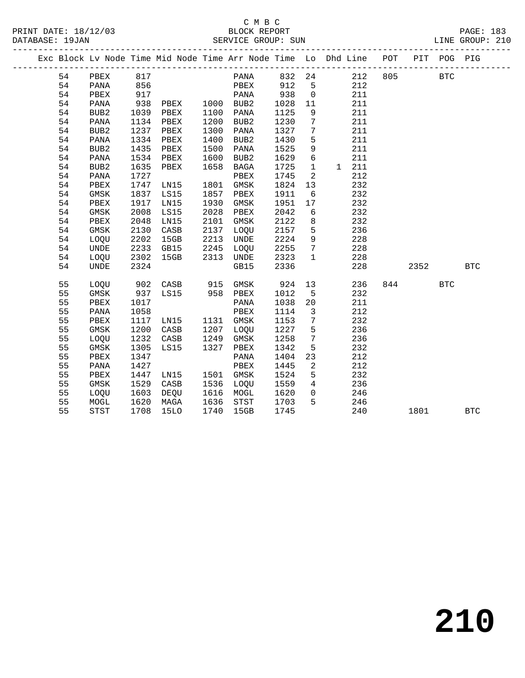|  |    |                  |      |             |      | Exc Block Lv Node Time Mid Node Time Arr Node Time Lo Dhd Line POT |      |                |          | ----------------------------------- |      | PIT POG PIG |            |
|--|----|------------------|------|-------------|------|--------------------------------------------------------------------|------|----------------|----------|-------------------------------------|------|-------------|------------|
|  | 54 | PBEX             | 817  |             |      | PANA                                                               | 832  | 24             |          | 212<br>805                          |      | <b>BTC</b>  |            |
|  | 54 | PANA             | 856  |             |      | PBEX                                                               | 912  | 5              | 212      |                                     |      |             |            |
|  | 54 | PBEX             | 917  |             |      | PANA                                                               | 938  | $\mathbf 0$    | 211      |                                     |      |             |            |
|  | 54 | PANA             | 938  | PBEX        | 1000 | BUB2                                                               | 1028 | 11             | 211      |                                     |      |             |            |
|  | 54 | BUB2             | 1039 | PBEX        | 1100 | PANA                                                               | 1125 | 9              | 211      |                                     |      |             |            |
|  | 54 | PANA             | 1134 | PBEX        | 1200 | BUB2                                                               | 1230 | 7              | 211      |                                     |      |             |            |
|  | 54 | BUB2             | 1237 | PBEX        | 1300 | PANA                                                               | 1327 | 7              | 211      |                                     |      |             |            |
|  | 54 | PANA             | 1334 | PBEX        | 1400 | BUB <sub>2</sub>                                                   | 1430 | 5              | 211      |                                     |      |             |            |
|  | 54 | BUB <sub>2</sub> | 1435 | PBEX        | 1500 | PANA                                                               | 1525 | 9              | 211      |                                     |      |             |            |
|  | 54 | PANA             | 1534 | PBEX        | 1600 | BUB2                                                               | 1629 | $\sqrt{6}$     | 211      |                                     |      |             |            |
|  | 54 | BUB2             | 1635 | PBEX        | 1658 | BAGA                                                               | 1725 | $\mathbf{1}$   | 211<br>1 |                                     |      |             |            |
|  | 54 | PANA             | 1727 |             |      | PBEX                                                               | 1745 | 2              | 212      |                                     |      |             |            |
|  | 54 | PBEX             | 1747 | LN15        | 1801 | GMSK                                                               | 1824 | 13             | 232      |                                     |      |             |            |
|  | 54 | GMSK             | 1837 | LS15        | 1857 | PBEX                                                               | 1911 | 6              | 232      |                                     |      |             |            |
|  | 54 | PBEX             | 1917 | LN15        | 1930 | GMSK                                                               | 1951 | 17             | 232      |                                     |      |             |            |
|  | 54 | <b>GMSK</b>      | 2008 | LS15        | 2028 | PBEX                                                               | 2042 | 6              | 232      |                                     |      |             |            |
|  | 54 | PBEX             | 2048 | LN15        | 2101 | GMSK                                                               | 2122 | 8              | 232      |                                     |      |             |            |
|  | 54 | GMSK             | 2130 | CASB        | 2137 | <b>LOOU</b>                                                        | 2157 | 5              | 236      |                                     |      |             |            |
|  | 54 | LOQU             | 2202 | 15GB        | 2213 | UNDE                                                               | 2224 | 9              | 228      |                                     |      |             |            |
|  | 54 | <b>UNDE</b>      | 2233 | GB15        | 2245 | LOQU                                                               | 2255 | 7              | 228      |                                     |      |             |            |
|  | 54 | LOQU             | 2302 | 15GB        | 2313 | UNDE                                                               | 2323 | $\mathbf{1}$   | 228      |                                     |      |             |            |
|  | 54 | <b>UNDE</b>      | 2324 |             |      | GB15                                                               | 2336 |                | 228      |                                     | 2352 |             | <b>BTC</b> |
|  | 55 | LOQU             | 902  | CASB        | 915  | GMSK                                                               | 924  | 13             | 236      | 844                                 |      | <b>BTC</b>  |            |
|  | 55 | GMSK             | 937  | LS15        | 958  | PBEX                                                               | 1012 | 5              | 232      |                                     |      |             |            |
|  | 55 | PBEX             | 1017 |             |      | PANA                                                               | 1038 | 20             | 211      |                                     |      |             |            |
|  | 55 | PANA             | 1058 |             |      | PBEX                                                               | 1114 | 3              | 212      |                                     |      |             |            |
|  | 55 | PBEX             | 1117 | LN15        | 1131 | GMSK                                                               | 1153 | 7              | 232      |                                     |      |             |            |
|  | 55 | GMSK             | 1200 | CASB        | 1207 | LOOU                                                               | 1227 | 5              | 236      |                                     |      |             |            |
|  | 55 | <b>LOOU</b>      | 1232 | CASB        | 1249 | GMSK                                                               | 1258 | 7              | 236      |                                     |      |             |            |
|  | 55 | <b>GMSK</b>      | 1305 | LS15        | 1327 | PBEX                                                               | 1342 | 5              | 232      |                                     |      |             |            |
|  | 55 | PBEX             | 1347 |             |      | PANA                                                               | 1404 | 23             | 212      |                                     |      |             |            |
|  | 55 | PANA             | 1427 |             |      | PBEX                                                               | 1445 | 2              | 212      |                                     |      |             |            |
|  | 55 | PBEX             | 1447 | LN15        | 1501 | GMSK                                                               | 1524 | 5              | 232      |                                     |      |             |            |
|  | 55 | GMSK             | 1529 | CASB        | 1536 | LOQU                                                               | 1559 | $\overline{4}$ | 236      |                                     |      |             |            |
|  | 55 | LOQU             | 1603 | DEQU        | 1616 | MOGL                                                               | 1620 | $\mathbf 0$    | 246      |                                     |      |             |            |
|  | 55 | MOGL             | 1620 | MAGA        | 1636 | $_{\footnotesize{\textnormal{STST}}}$                              | 1703 | 5              | 246      |                                     |      |             |            |
|  | 55 | <b>STST</b>      | 1708 | <b>15LO</b> | 1740 | 15GB                                                               | 1745 |                | 240      |                                     | 1801 |             | <b>BTC</b> |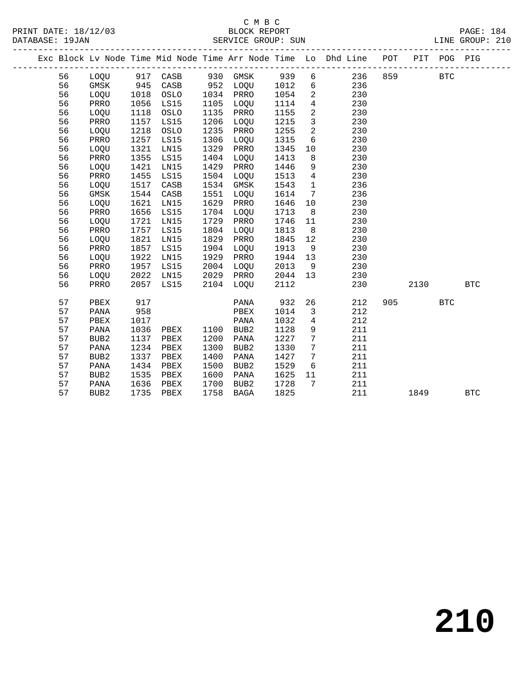|  |    |                  |      |          |      |                  |      |                         | Exc Block Lv Node Time Mid Node Time Arr Node Time Lo Dhd Line POT |     |      | PIT POG PIG |            |
|--|----|------------------|------|----------|------|------------------|------|-------------------------|--------------------------------------------------------------------|-----|------|-------------|------------|
|  | 56 | LOQU             |      | 917 CASB |      | 930 GMSK         | 939  | $6\overline{6}$         | 236                                                                | 859 |      | <b>BTC</b>  |            |
|  | 56 | <b>GMSK</b>      | 945  | CASB     |      | 952 LOQU         | 1012 | 6                       | 236                                                                |     |      |             |            |
|  | 56 | LOQU             | 1018 | OSLO     |      | 1034 PRRO        | 1054 | $\overline{2}$          | 230                                                                |     |      |             |            |
|  | 56 | PRRO             | 1056 | LS15     | 1105 | LOQU             | 1114 | $4\overline{ }$         | 230                                                                |     |      |             |            |
|  | 56 | LOQU             | 1118 | OSLO     | 1135 | PRRO             | 1155 | 2                       | 230                                                                |     |      |             |            |
|  | 56 | PRRO             | 1157 | LS15     | 1206 | LOQU             | 1215 | $\overline{\mathbf{3}}$ | 230                                                                |     |      |             |            |
|  | 56 | LOQU             | 1218 | OSLO     | 1235 | PRRO             | 1255 | $\overline{a}$          | 230                                                                |     |      |             |            |
|  | 56 | PRRO             | 1257 | LS15     | 1306 | LOQU             | 1315 | 6                       | 230                                                                |     |      |             |            |
|  | 56 | LOQU             | 1321 | LN15     | 1329 | PRRO             | 1345 | 10                      | 230                                                                |     |      |             |            |
|  | 56 | PRRO             | 1355 | LS15     | 1404 | LOQU             | 1413 | 8                       | 230                                                                |     |      |             |            |
|  | 56 | LOQU             | 1421 | LN15     | 1429 | PRRO             | 1446 | 9                       | 230                                                                |     |      |             |            |
|  | 56 | PRRO             | 1455 | LS15     | 1504 | LOQU             | 1513 | $4\overline{ }$         | 230                                                                |     |      |             |            |
|  | 56 | LOQU             | 1517 | CASB     | 1534 | GMSK             | 1543 | $\mathbf{1}$            | 236                                                                |     |      |             |            |
|  | 56 | GMSK             | 1544 | CASB     | 1551 | LOQU             | 1614 | 7                       | 236                                                                |     |      |             |            |
|  | 56 | LOQU             | 1621 | LN15     | 1629 | PRRO             | 1646 | 10                      | 230                                                                |     |      |             |            |
|  | 56 | PRRO             | 1656 | LS15     | 1704 | LOQU             | 1713 | 8 <sup>8</sup>          | 230                                                                |     |      |             |            |
|  | 56 | LOQU             | 1721 | LN15     | 1729 | PRRO             | 1746 | 11                      | 230                                                                |     |      |             |            |
|  | 56 | PRRO             | 1757 | LS15     | 1804 | LOQU             | 1813 | 8 <sup>8</sup>          | 230                                                                |     |      |             |            |
|  | 56 | LOQU             | 1821 | LN15     | 1829 | PRRO             | 1845 | 12                      | 230                                                                |     |      |             |            |
|  | 56 | PRRO             | 1857 | LS15     | 1904 | LOQU             | 1913 | 9                       | 230                                                                |     |      |             |            |
|  | 56 | LOQU             | 1922 | LN15     | 1929 | PRRO             | 1944 | 13                      | 230                                                                |     |      |             |            |
|  | 56 | PRRO             | 1957 | LS15     | 2004 | LOQU             | 2013 | 9                       | 230                                                                |     |      |             |            |
|  | 56 | LOQU             | 2022 | LN15     | 2029 | PRRO             | 2044 | 13                      | 230                                                                |     |      |             |            |
|  | 56 | PRRO             | 2057 | LS15     |      | 2104 LOQU        | 2112 |                         | 230                                                                |     | 2130 |             | <b>BTC</b> |
|  | 57 | PBEX             | 917  |          |      | PANA             | 932  | 26                      | 212                                                                | 905 |      | <b>BTC</b>  |            |
|  | 57 | PANA             | 958  |          |      | PBEX             | 1014 | $\overline{\mathbf{3}}$ | 212                                                                |     |      |             |            |
|  | 57 | PBEX             | 1017 |          |      | PANA             | 1032 | $\overline{4}$          | 212                                                                |     |      |             |            |
|  | 57 | PANA             | 1036 | PBEX     | 1100 | BUB2             | 1128 | 9                       | 211                                                                |     |      |             |            |
|  | 57 | BUB2             | 1137 | PBEX     | 1200 | PANA             | 1227 | $7\phantom{.0}$         | 211                                                                |     |      |             |            |
|  | 57 | PANA             | 1234 | PBEX     | 1300 | BUB <sub>2</sub> | 1330 | 7                       | 211                                                                |     |      |             |            |
|  | 57 | BUB2             | 1337 | PBEX     | 1400 | PANA             | 1427 | $7\phantom{.0}$         | 211                                                                |     |      |             |            |
|  | 57 | PANA             | 1434 | PBEX     | 1500 | BUB <sub>2</sub> | 1529 | 6                       | 211                                                                |     |      |             |            |
|  | 57 | BUB2             | 1535 | PBEX     | 1600 | PANA             | 1625 | 11                      | 211                                                                |     |      |             |            |
|  | 57 | PANA             | 1636 | PBEX     | 1700 | BUB2             | 1728 | 7                       | 211                                                                |     |      |             |            |
|  | 57 | BUB <sub>2</sub> | 1735 | PBEX     | 1758 | <b>BAGA</b>      | 1825 |                         | 211                                                                |     | 1849 |             | <b>BTC</b> |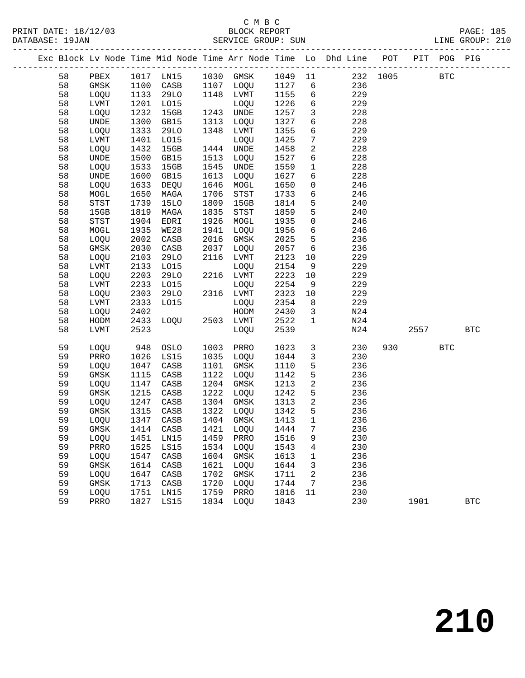#### C M B C<br>BLOCK REPORT SERVICE GROUP: SUN

PRINT DATE: 18/12/03 BLOCK REPORT PAGE: 185

|  |    |                |      |             |      |                             |      |                 | Exc Block Lv Node Time Mid Node Time Arr Node Time Lo Dhd Line POT PIT POG PIG |          |            |            |              |
|--|----|----------------|------|-------------|------|-----------------------------|------|-----------------|--------------------------------------------------------------------------------|----------|------------|------------|--------------|
|  | 58 | PBEX           |      |             |      | 1017 LN15 1030 GMSK 1049 11 |      |                 |                                                                                | 232 1005 | <b>BTC</b> |            |              |
|  | 58 | GMSK           | 1100 | CASB        |      | 1107 LOQU 1127              |      | 6               | 236                                                                            |          |            |            |              |
|  | 58 | LOQU           | 1133 | 29LO        |      | 1148 LVMT                   | 1155 | $6\overline{6}$ | 229                                                                            |          |            |            |              |
|  | 58 | LVMT           | 1201 | L015        |      | LOQU                        | 1226 | 6               | 229                                                                            |          |            |            |              |
|  | 58 | LOQU           | 1232 | 15GB        |      | 1243 UNDE                   | 1257 | $\mathbf{3}$    | 228                                                                            |          |            |            |              |
|  | 58 | UNDE           | 1300 | GB15        | 1313 | LOQU                        | 1327 | 6               | 228                                                                            |          |            |            |              |
|  | 58 | LOQU           | 1333 | 29LO        | 1348 | LVMT                        | 1355 | 6               | 229                                                                            |          |            |            |              |
|  | 58 | LVMT           | 1401 | L015        |      | LOQU                        | 1425 | $7\phantom{.0}$ | 229                                                                            |          |            |            |              |
|  | 58 | LOQU           | 1432 | 15GB        |      | 1444 UNDE                   | 1458 | $\overline{2}$  | 228                                                                            |          |            |            |              |
|  | 58 | UNDE           | 1500 | GB15        | 1513 | LOQU                        | 1527 | 6               | 228                                                                            |          |            |            |              |
|  | 58 | LOQU           | 1533 | 15GB        | 1545 | UNDE                        | 1559 | $\mathbf{1}$    | 228                                                                            |          |            |            |              |
|  | 58 | UNDE           | 1600 | GB15        | 1613 | LOQU                        | 1627 | 6               | 228                                                                            |          |            |            |              |
|  | 58 | LOQU           | 1633 | DEQU        | 1646 | MOGL                        | 1650 | $\mathsf{O}$    | 246                                                                            |          |            |            |              |
|  | 58 | MOGL           | 1650 | MAGA        | 1706 | STST                        | 1733 | 6               | 246                                                                            |          |            |            |              |
|  | 58 | STST           | 1739 | <b>15LO</b> | 1809 | 15GB                        | 1814 | 5               | 240                                                                            |          |            |            |              |
|  | 58 | 15GB           | 1819 | MAGA        | 1835 | STST                        | 1859 | 5               | 240                                                                            |          |            |            |              |
|  | 58 | ${\tt STST}$   | 1904 | EDRI        | 1926 | MOGL                        | 1935 | $\mathsf{O}$    | 246                                                                            |          |            |            |              |
|  | 58 | MOGL           | 1935 | WE28        | 1941 | LOQU                        | 1956 | 6               | 246                                                                            |          |            |            |              |
|  | 58 | LOQU           | 2002 | CASB        | 2016 | GMSK                        | 2025 | 5               | 236                                                                            |          |            |            |              |
|  | 58 | GMSK           | 2030 | CASB        | 2037 | LOQU                        | 2057 | 6               | 236                                                                            |          |            |            |              |
|  | 58 | LOQU           | 2103 | 29LO        | 2116 | LVMT                        | 2123 | 10              | 229                                                                            |          |            |            |              |
|  | 58 | LVMT           | 2133 | L015        |      | LOQU                        | 2154 | 9               | 229                                                                            |          |            |            |              |
|  | 58 | LOQU           | 2203 | 29LO        |      | 2216 LVMT                   | 2223 | 10              | 229                                                                            |          |            |            |              |
|  | 58 | LVMT           | 2233 | L015        |      | LOQU                        | 2254 | 9               | 229                                                                            |          |            |            |              |
|  | 58 | LOQU           | 2303 | 29LO        |      | 2316 LVMT                   | 2323 | 10              | 229                                                                            |          |            |            |              |
|  | 58 | LVMT           | 2333 | L015        |      | LOQU                        | 2354 | 8 <sup>8</sup>  | 229                                                                            |          |            |            |              |
|  | 58 | LOQU           | 2402 |             |      | HODM                        | 2430 | $\overline{3}$  | N24                                                                            |          |            |            |              |
|  | 58 | HODM           | 2433 | LOQU        |      | 2503 LVMT                   | 2522 | $\mathbf{1}$    | N24                                                                            |          |            |            |              |
|  | 58 | LVMT           | 2523 |             |      | LOQU                        | 2539 |                 | N24                                                                            |          | 2557       |            | $_{\rm BTC}$ |
|  | 59 | LOQU           | 948  | OSLO        | 1003 | PRRO                        | 1023 | $\mathbf{3}$    | 230                                                                            | 930      |            | <b>BTC</b> |              |
|  | 59 | PRRO           | 1026 | LS15        | 1035 | LOQU                        | 1044 | $\mathbf{3}$    | 230                                                                            |          |            |            |              |
|  | 59 | LOQU           | 1047 | CASB        | 1101 | GMSK                        | 1110 | 5               | 236                                                                            |          |            |            |              |
|  | 59 | GMSK           | 1115 | CASB        | 1122 | LOQU                        | 1142 | $5\phantom{.0}$ | 236                                                                            |          |            |            |              |
|  | 59 | LOQU           | 1147 | CASB        |      | 1204 GMSK                   | 1213 | $\overline{a}$  | 236                                                                            |          |            |            |              |
|  | 59 | GMSK           | 1215 | CASB        | 1222 | LOQU                        | 1242 | 5               | 236                                                                            |          |            |            |              |
|  | 59 | LOQU           | 1247 | CASB        |      | 1304 GMSK                   | 1313 | $\overline{a}$  | 236                                                                            |          |            |            |              |
|  | 59 | GMSK           | 1315 | CASB        |      | 1322 LOQU                   | 1342 | 5               | 236                                                                            |          |            |            |              |
|  | 59 | LOQU           | 1347 | CASB        |      | 1404 GMSK                   | 1413 | $\mathbf{1}$    | 236                                                                            |          |            |            |              |
|  | 59 | GMSK 1414 CASB |      |             |      | 1421 LOQU 1444 7            |      |                 | 236                                                                            |          |            |            |              |
|  | 59 | LOQU           | 1451 | LN15        | 1459 | PRRO                        | 1516 | 9               | 230                                                                            |          |            |            |              |
|  | 59 | PRRO           | 1525 | LS15        | 1534 | LOQU                        | 1543 | 4               | 230                                                                            |          |            |            |              |
|  | 59 | LOQU           | 1547 | CASB        | 1604 | GMSK                        | 1613 | 1               | 236                                                                            |          |            |            |              |
|  | 59 | GMSK           | 1614 | CASB        | 1621 | LOQU                        | 1644 | 3               | 236                                                                            |          |            |            |              |
|  | 59 | LOQU           | 1647 | CASB        | 1702 | GMSK                        | 1711 | 2               | 236                                                                            |          |            |            |              |
|  | 59 | GMSK           | 1713 | CASB        | 1720 | LOQU                        | 1744 | 7               | 236                                                                            |          |            |            |              |
|  | 59 | LOQU           | 1751 | LN15        | 1759 | PRRO                        | 1816 | 11              | 230                                                                            |          |            |            |              |
|  | 59 | PRRO           | 1827 | LS15        | 1834 | LOQU                        | 1843 |                 | 230                                                                            |          | 1901       |            | $_{\rm BTC}$ |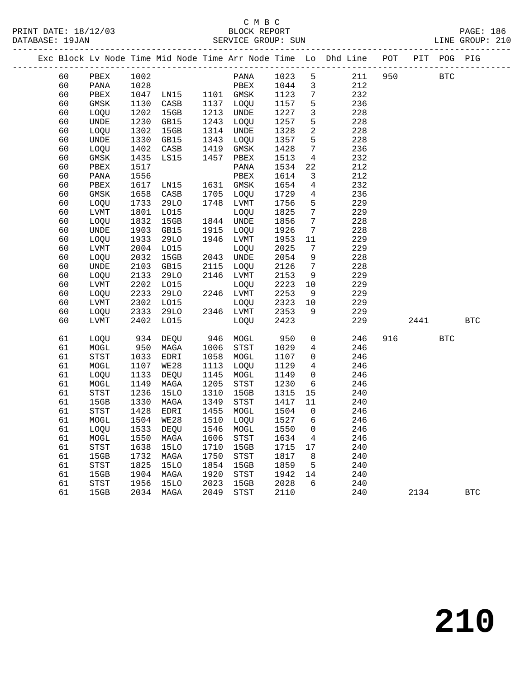# C M B C<br>BLOCK REPORT

LINE GROUP: 210

|  |    |                                       |      |                            |      |             |                              |                              | Exc Block Lv Node Time Mid Node Time Arr Node Time Lo Dhd Line POT |        | PIT POG PIG |            |
|--|----|---------------------------------------|------|----------------------------|------|-------------|------------------------------|------------------------------|--------------------------------------------------------------------|--------|-------------|------------|
|  | 60 | PBEX                                  | 1002 |                            |      | PANA 1023 5 |                              |                              | 211 950                                                            |        | <b>BTC</b>  |            |
|  | 60 | PANA                                  | 1028 |                            |      | PBEX        | 1044                         | $\overline{\mathbf{3}}$      | 212                                                                |        |             |            |
|  | 60 | PBEX                                  | 1047 | PBEX<br>LN15 1101 GMSK     |      |             | 1123                         | $7\overline{ }$              | 232                                                                |        |             |            |
|  | 60 | GMSK                                  | 1130 | CASB                       |      | 1137 LOQU   | 1157                         | 5                            | 236                                                                |        |             |            |
|  | 60 | LOQU                                  | 1202 | 15GB                       |      | 1213 UNDE   | 1227                         | $\mathbf{3}$                 | 228                                                                |        |             |            |
|  | 60 | UNDE                                  | 1230 | GB15                       | 1243 | LOQU        | 1257                         | 5                            | 228                                                                |        |             |            |
|  | 60 | LOQU                                  | 1302 | 15GB                       | 1314 | UNDE        | 1328                         | $\overline{a}$               | 228                                                                |        |             |            |
|  | 60 | UNDE                                  | 1330 | GB15                       | 1343 | LOQU        | 1357                         | $5^{\circ}$                  | 228                                                                |        |             |            |
|  | 60 | LOQU                                  | 1402 | CASB                       | 1419 | GMSK        | 1428                         | $7\overline{ }$              | 236                                                                |        |             |            |
|  | 60 | $\rm{GMSK}$                           | 1435 | LS15                       | 1457 | PBEX        | 1513                         | $\overline{4}$               | 232                                                                |        |             |            |
|  | 60 | PBEX                                  | 1517 |                            |      | PANA        | 1534                         | 22                           | 212                                                                |        |             |            |
|  | 60 | PANA                                  | 1556 |                            |      | PBEX        | 1614                         | 3                            | 212                                                                |        |             |            |
|  | 60 | PBEX                                  | 1617 | LNI5                       |      | 1631 GMSK   | 1654                         | $\overline{4}$               | 232                                                                |        |             |            |
|  | 60 | GMSK                                  | 1658 | CASB                       |      | 1705 LOQU   | 1729                         | $\overline{4}$               | 236                                                                |        |             |            |
|  | 60 | LOQU                                  | 1733 | 29LO                       |      | 1748 LVMT   | 1756                         | 5                            | 229                                                                |        |             |            |
|  | 60 | LVMT                                  | 1801 | L015                       |      | LOQU        | 1825                         | $7\overline{ }$              | 229                                                                |        |             |            |
|  | 60 | LOQU                                  | 1832 | 15GB                       |      | 1844 UNDE   | 1856                         | $7\overline{ }$              | 228                                                                |        |             |            |
|  | 60 | UNDE                                  | 1903 | GB15                       | 1915 | LOQU        | 1926                         | $7\overline{ }$              | 228                                                                |        |             |            |
|  | 60 | LOQU                                  | 1933 | 29LO                       |      | 1946 LVMT   | 1953                         | 11                           | 229                                                                |        |             |            |
|  | 60 | LVMT                                  | 2004 | L015                       |      | LOQU        | 2025                         | $7\phantom{.0}\phantom{.0}7$ | 229                                                                |        |             |            |
|  | 60 | LOQU                                  | 2032 | 15GB                       |      | 2043 UNDE   | 2054                         | 9                            | 228                                                                |        |             |            |
|  | 60 | $\ensuremath{\mathsf{UNDE}}$          | 2103 | GB15                       | 2115 | LOQU        | 2126                         | $7\overline{ }$              | 228                                                                |        |             |            |
|  | 60 | LOQU                                  | 2133 | 29LO                       |      | 2146 LVMT   | 2153                         | 9                            | 229                                                                |        |             |            |
|  | 60 | LVMT                                  | 2202 | L015                       |      | LOQU        | 2223                         | 10                           | 229                                                                |        |             |            |
|  | 60 | LOQU                                  | 2233 | 29LO                       |      | 2246 LVMT   | 2253                         | 9                            | 229                                                                |        |             |            |
|  | 60 | LVMT                                  | 2302 | LO15                       |      | LOQU        | 2253<br>2323<br>2353<br>2323 | 10                           | 229                                                                |        |             |            |
|  | 60 | LOQU                                  | 2333 | 29LO                       |      | 2346 LVMT   |                              | 9                            | 229                                                                |        |             |            |
|  | 60 | LVMT                                  | 2402 | LO15                       |      | LOQU        | 2423                         |                              | 229                                                                | 2441   |             | <b>BTC</b> |
|  | 61 | LOQU                                  | 934  | DEQU                       |      | 946 MOGL    | 950                          | $\overline{0}$               | 246                                                                | 916 70 | <b>BTC</b>  |            |
|  | 61 | MOGL                                  | 950  | MAGA                       | 1006 | STST        | 1029                         | $4\overline{ }$              | 246                                                                |        |             |            |
|  | 61 | STST                                  | 1033 | EDRI                       | 1058 | MOGL        | 1107                         | $\overline{0}$               | 246                                                                |        |             |            |
|  | 61 | MOGL                                  | 1107 | WE28                       | 1113 | LOQU        | 1129                         | $4\overline{ }$              | 246                                                                |        |             |            |
|  | 61 | LOQU                                  | 1133 | DEQU                       | 1145 | MOGL        | 1149                         | $\overline{0}$               | 246                                                                |        |             |            |
|  | 61 | MOGL                                  | 1149 | MAGA                       | 1205 | STST        | 1230                         | 6                            | 246                                                                |        |             |            |
|  | 61 | $_{\footnotesize{\textnormal{STST}}}$ | 1236 | <b>15LO</b>                | 1310 | 15GB        | 1315                         | 15                           | 240                                                                |        |             |            |
|  | 61 | 15GB                                  | 1330 | MAGA                       | 1349 | STST        | 1417                         | 11                           | 240                                                                |        |             |            |
|  | 61 | $_{\footnotesize{\textnormal{STST}}}$ | 1428 | EDRI                       | 1455 | MOGL        | 1504                         | $\overline{0}$               | 246                                                                |        |             |            |
|  | 61 | MOGL                                  | 1504 | WE28                       |      | 1510 LOQU   | 1527                         | 6                            | 246                                                                |        |             |            |
|  | 61 | LOQU                                  |      | 1533 DEQU 1546 MOGL 1550 0 |      |             |                              |                              | 246                                                                |        |             |            |
|  | 61 | MOGL                                  | 1550 | MAGA                       | 1606 | STST        | 1634                         | $\overline{4}$               | 246                                                                |        |             |            |
|  | 61 | $_{\footnotesize\rm STST}$            | 1638 | 15LO                       | 1710 | 15GB        | 1715                         | 17                           | 240                                                                |        |             |            |
|  | 61 | 15GB                                  | 1732 | MAGA                       | 1750 | STST        | 1817                         | 8 <sup>8</sup>               | 240                                                                |        |             |            |
|  | 61 | <b>STST</b>                           | 1825 | 15LO                       | 1854 | 15GB        | 1859                         | 5                            | 240                                                                |        |             |            |
|  | 61 | 15GB                                  | 1904 | MAGA                       | 1920 | STST        | 1942                         | 14                           | 240                                                                |        |             |            |
|  | 61 | $_{\footnotesize\rm STST}$            | 1956 | 15LO                       | 2023 | 15GB        | 2028                         | 6                            | 240                                                                |        |             |            |
|  | 61 | 15GB                                  |      | 2034 MAGA                  | 2049 | STST        | 2110                         |                              | 240                                                                | 2134   |             | <b>BTC</b> |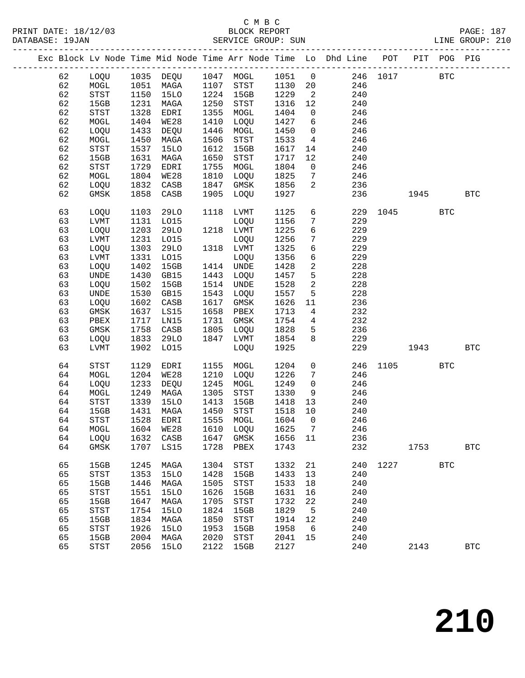|  |          |                                    |              | Exc Block Lv Node Time Mid Node Time Arr Node Time Lo Dhd Line POT PIT POG PIG |              |                                       |              |                 |            |          |      |            |              |
|--|----------|------------------------------------|--------------|--------------------------------------------------------------------------------|--------------|---------------------------------------|--------------|-----------------|------------|----------|------|------------|--------------|
|  | 62       | LOQU                               |              | 1035 DEQU 1047 MOGL                                                            |              |                                       | 1051         | $\overline{0}$  |            | 246 1017 |      | <b>BTC</b> |              |
|  | 62       | $\tt MOGL$                         | 1051         | MAGA                                                                           | 1107         | STST                                  | 1130         | 20              | 246        |          |      |            |              |
|  | 62       | STST                               | 1150         | 15LO                                                                           | 1224         | 15GB                                  | 1229         | $\overline{a}$  | 240        |          |      |            |              |
|  | 62       | 15GB                               | 1231         | MAGA                                                                           | 1250         | STST                                  | 1316         | 12              | 240        |          |      |            |              |
|  | 62       | STST                               | 1328         | EDRI                                                                           | 1355         | MOGL                                  | 1404         | $\overline{0}$  | 246        |          |      |            |              |
|  | 62       | MOGL                               | 1404         | WE28                                                                           | 1410         | LOQU                                  | 1427         | 6               | 246        |          |      |            |              |
|  | 62       | LOQU                               | 1433         | DEQU                                                                           | 1446         | MOGL                                  | 1450         | $\overline{0}$  | 246        |          |      |            |              |
|  | 62       | MOGL                               | 1450         | MAGA                                                                           | 1506         | $_{\footnotesize{\textnormal{STST}}}$ | 1533         | $4\overline{ }$ | 246        |          |      |            |              |
|  | 62       | STST                               | 1537         | <b>15LO</b>                                                                    | 1612         | 15GB                                  | 1617         | 14              | 240        |          |      |            |              |
|  | 62       | 15GB                               | 1631         | MAGA                                                                           | 1650         | STST                                  | 1717         | 12              | 240        |          |      |            |              |
|  | 62       | STST                               | 1729         | EDRI                                                                           | 1755         | MOGL                                  | 1804         | $\overline{0}$  | 246        |          |      |            |              |
|  | 62       | MOGL                               | 1804         | WE28                                                                           | 1810         | LOQU                                  | 1825         | $7\phantom{.0}$ | 246        |          |      |            |              |
|  | 62       | LOQU                               | 1832         | CASB                                                                           | 1847         | GMSK                                  | 1856         | $\overline{2}$  | 236        |          |      |            |              |
|  | 62       | GMSK                               | 1858         | CASB                                                                           | 1905         | LOQU                                  | 1927         |                 | 236        |          | 1945 |            | <b>BTC</b>   |
|  |          |                                    |              |                                                                                |              |                                       |              |                 |            |          |      |            |              |
|  | 63       | <b>LOOU</b>                        | 1103         | 29LO                                                                           | 1118         | LVMT                                  | 1125         | 6               | 229        | 1045     |      | <b>BTC</b> |              |
|  | 63       | LVMT                               | 1131         | L015                                                                           |              | LOQU                                  | 1156         | $7\phantom{.0}$ | 229        |          |      |            |              |
|  | 63       | LOQU                               | 1203         | 29LO                                                                           |              | 1218 LVMT                             | 1225         | б               | 229        |          |      |            |              |
|  | 63       | LVMT                               | 1231         | L015                                                                           |              | LOQU                                  | 1256         | $7\phantom{.0}$ | 229        |          |      |            |              |
|  | 63       | LOQU                               | 1303         | 29LO                                                                           |              | 1318 LVMT                             | 1325         | 6               | 229        |          |      |            |              |
|  | 63       | <b>LVMT</b>                        | 1331         | LO15                                                                           |              | LOQU                                  | 1356         | 6               | 229        |          |      |            |              |
|  | 63       | LOQU                               | 1402         | 15GB                                                                           |              | 1414 UNDE                             | 1428         | $\overline{a}$  | 228        |          |      |            |              |
|  | 63       | UNDE                               | 1430         | GB15                                                                           | 1443         | LOQU                                  | 1457         | 5               | 228        |          |      |            |              |
|  | 63       | LOQU                               | 1502         | 15GB                                                                           | 1514         | UNDE                                  | 1528         | $\overline{a}$  | 228        |          |      |            |              |
|  | 63       | UNDE                               | 1530         | GB15                                                                           | 1543         | LOQU                                  | 1557         | 5               | 228        |          |      |            |              |
|  | 63       | LOQU                               | 1602         | CASB                                                                           | 1617         | GMSK                                  | 1626         | 11              | 236        |          |      |            |              |
|  | 63       | GMSK                               | 1637         | LS15                                                                           | 1658         | PBEX                                  | 1713         | $4\overline{ }$ | 232        |          |      |            |              |
|  | 63       | PBEX                               | 1717         | LN15                                                                           | 1731         | GMSK                                  | 1754         | $\overline{4}$  | 232        |          |      |            |              |
|  | 63       | GMSK                               | 1758         | CASB                                                                           | 1805         | LOQU                                  | 1828         | 5               | 236        |          |      |            |              |
|  | 63       | LOQU                               | 1833         | 29LO                                                                           | 1847         | LVMT                                  | 1854         | 8               | 229        |          |      |            |              |
|  | 63       | <b>LVMT</b>                        | 1902         | L015                                                                           |              | LOQU                                  | 1925         |                 | 229        |          | 1943 |            | <b>BTC</b>   |
|  | 64       | STST                               | 1129         | EDRI                                                                           | 1155         | MOGL                                  | 1204         | $\mathsf{O}$    | 246        | 1105     |      | <b>BTC</b> |              |
|  | 64       | MOGL                               | 1204         | <b>WE28</b>                                                                    | 1210         | LOQU                                  | 1226         | $7\phantom{.0}$ | 246        |          |      |            |              |
|  | 64       | LOQU                               | 1233         | DEQU                                                                           | 1245         | MOGL                                  | 1249         | 0               | 246        |          |      |            |              |
|  | 64       | MOGL                               | 1249         | MAGA                                                                           | 1305         | STST                                  | 1330         | 9               | 246        |          |      |            |              |
|  | 64       | $_{\footnotesize\rm STST}$         | 1339         | <b>15LO</b>                                                                    | 1413         | 15GB                                  | 1418         | 13              | 240        |          |      |            |              |
|  | 64       | 15GB                               | 1431         | MAGA                                                                           | 1450         | STST                                  | 1518         | 10              | 240        |          |      |            |              |
|  | 64       | <b>STST</b>                        | 1528         | EDRI                                                                           | 1555         | MOGL                                  | 1604         | $\mathbf{0}$    | 246        |          |      |            |              |
|  | 64       | MOGL                               |              | 1604 WE28 1610 LOQU 1625 7                                                     |              |                                       |              |                 | 246        |          |      |            |              |
|  | 64       | LOQU                               | 1632         | CASB                                                                           | 1647         | GMSK                                  | 1656         | 11              | 236        |          |      |            |              |
|  | 64       | GMSK                               | 1707         | LS15                                                                           | 1728         | PBEX                                  | 1743         |                 | 232        |          | 1753 |            | <b>BTC</b>   |
|  |          |                                    |              | MAGA                                                                           | 1304         | STST                                  |              |                 |            | 1227     |      | <b>BTC</b> |              |
|  | 65<br>65 | 15GB                               | 1245         |                                                                                | 1428         |                                       | 1332<br>1433 | 21<br>13        | 240<br>240 |          |      |            |              |
|  |          | $_{\footnotesize\rm STST}$         | 1353         | 15LO                                                                           |              | 15GB                                  |              |                 |            |          |      |            |              |
|  | 65<br>65 | 15GB                               | 1446         | MAGA<br><b>15LO</b>                                                            | 1505<br>1626 | STST                                  | 1533<br>1631 | 18<br>16        | 240        |          |      |            |              |
|  | 65       | STST                               | 1551         |                                                                                | 1705         | 15GB                                  |              | 22              | 240<br>240 |          |      |            |              |
|  | 65       | 15GB<br>$_{\footnotesize\rm STST}$ | 1647<br>1754 | MAGA<br>15LO                                                                   | 1824         | <b>STST</b><br>15GB                   | 1732<br>1829 | 5               | 240        |          |      |            |              |
|  | 65       | 15GB                               | 1834         | MAGA                                                                           | 1850         | STST                                  | 1914         | 12              | 240        |          |      |            |              |
|  | 65       | STST                               | 1926         | <b>15LO</b>                                                                    | 1953         | 15GB                                  | 1958         | 6               | 240        |          |      |            |              |
|  | 65       | 15GB                               | 2004         | MAGA                                                                           | 2020         | <b>STST</b>                           | 2041         | 15              | 240        |          |      |            |              |
|  | 65       | $_{\footnotesize\rm STST}$         | 2056         | <b>15LO</b>                                                                    | 2122         | 15GB                                  | 2127         |                 | 240        |          | 2143 |            | $_{\rm BTC}$ |
|  |          |                                    |              |                                                                                |              |                                       |              |                 |            |          |      |            |              |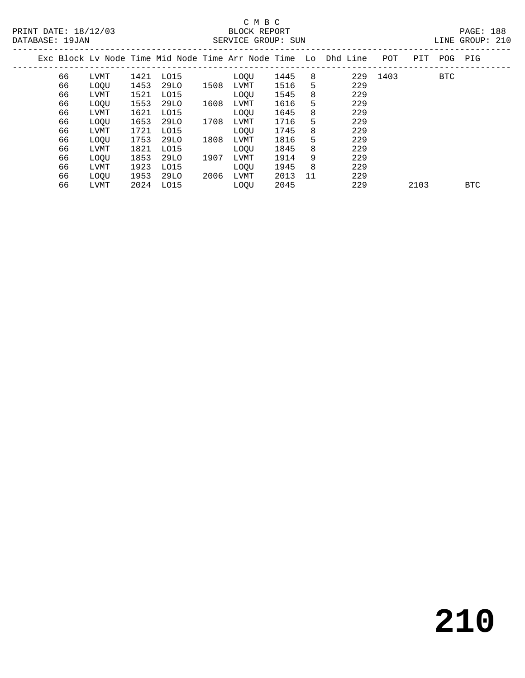# C M B C<br>BLOCK REPORT

|       | --------- | -- - - - - |  |
|-------|-----------|------------|--|
| LTNE. | GROUP:    |            |  |

| DATABASE: 19JAN |    |             |      |      |      | SERVICE GROUP: SUN |      |    |                                                                |      |      |     | LINE GROUP: 210 |  |
|-----------------|----|-------------|------|------|------|--------------------|------|----|----------------------------------------------------------------|------|------|-----|-----------------|--|
|                 |    |             |      |      |      |                    |      |    | Exc Block Ly Node Time Mid Node Time Arr Node Time Lo Dhd Line | POT  | PIT  | POG | PIG             |  |
|                 | 66 | LVMT        | 1421 | LO15 |      | LOOU               | 1445 | 8  | 229                                                            | 1403 |      | BTC |                 |  |
|                 | 66 | LOQU        | 1453 | 29LO | 1508 | LVMT               | 1516 | 5  | 229                                                            |      |      |     |                 |  |
|                 | 66 | LVMT        | 1521 | LO15 |      | LOOU               | 1545 | 8  | 229                                                            |      |      |     |                 |  |
|                 | 66 | <b>LOOU</b> | 1553 | 29LO | 1608 | LVMT               | 1616 | 5  | 229                                                            |      |      |     |                 |  |
|                 | 66 | LVMT        | 1621 | LO15 |      | LOOU               | 1645 | 8  | 229                                                            |      |      |     |                 |  |
|                 | 66 | LOQU        | 1653 | 29LO | 1708 | LVMT               | 1716 | 5. | 229                                                            |      |      |     |                 |  |
|                 | 66 | LVMT        | 1721 | LO15 |      | <b>LOOU</b>        | 1745 | 8  | 229                                                            |      |      |     |                 |  |
|                 | 66 | LOQU        | 1753 | 29LO | 1808 | LVMT               | 1816 | 5  | 229                                                            |      |      |     |                 |  |
|                 | 66 | LVMT        | 1821 | LO15 |      | LOOU               | 1845 | 8  | 229                                                            |      |      |     |                 |  |
|                 | 66 | <b>LOOU</b> | 1853 | 29LO | 1907 | LVMT               | 1914 | 9  | 229                                                            |      |      |     |                 |  |
|                 | 66 | LVMT        | 1923 | LO15 |      | <b>LOOU</b>        | 1945 | 8  | 229                                                            |      |      |     |                 |  |
|                 | 66 | LOQU        | 1953 | 29LO | 2006 | LVMT               | 2013 | 11 | 229                                                            |      |      |     |                 |  |
|                 | 66 | LVMT        | 2024 | LO15 |      | LOOU               | 2045 |    | 229                                                            |      | 2103 |     | <b>BTC</b>      |  |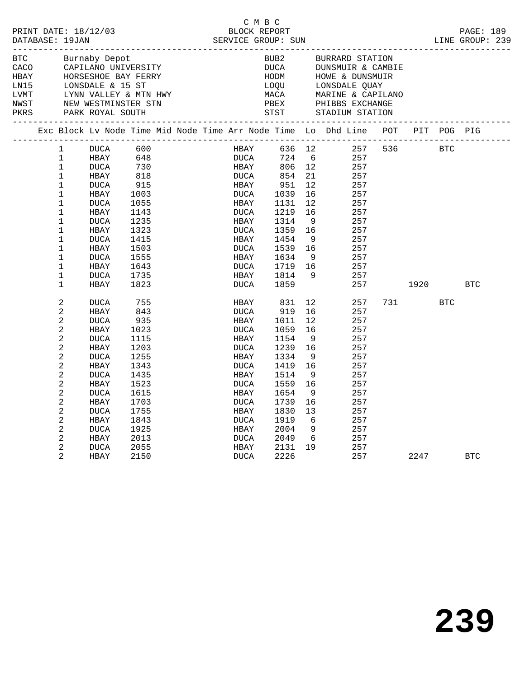|                            | DATABASE: 19JAN                                                                                                                                      | PRINT DATE: 18/12/03                                                                                                                                             |                                                                                                                                   |  |                                                                                                                                      | C M B C      |                                                                                                                                    |                                                                                                              |                                                                                                                               |           |         |            |  |
|----------------------------|------------------------------------------------------------------------------------------------------------------------------------------------------|------------------------------------------------------------------------------------------------------------------------------------------------------------------|-----------------------------------------------------------------------------------------------------------------------------------|--|--------------------------------------------------------------------------------------------------------------------------------------|--------------|------------------------------------------------------------------------------------------------------------------------------------|--------------------------------------------------------------------------------------------------------------|-------------------------------------------------------------------------------------------------------------------------------|-----------|---------|------------|--|
| <b>BTC</b><br>HBAY<br>LN15 |                                                                                                                                                      | Burnaby Depot<br>CACO CAPILANO UNIVERSITY                                                                                                                        |                                                                                                                                   |  |                                                                                                                                      |              | BUB2                                                                                                                               |                                                                                                              | BURRARD STATION<br>DUCA DUNSMUIR & CANNON<br>HOM HOWE & DUNSMUI<br>LOQU LONSDALE QUAY<br>DUNSMUIR & CAMBIE<br>HOWE & DUNSMUIR |           |         |            |  |
| LVMT<br>NWST<br>PKRS       |                                                                                                                                                      | HORSESHOE BAY FERRY<br>LONSDALE & 15 ST<br>LYNN VALLEY & MTN HWY<br>NEW WESTMINSTER STN                                                                          |                                                                                                                                   |  |                                                                                                                                      |              | MACA<br>PBEX                                                                                                                       |                                                                                                              | MARINE & CAPILANO<br>PHIBBS EXCHANGE                                                                                          |           |         |            |  |
|                            |                                                                                                                                                      |                                                                                                                                                                  |                                                                                                                                   |  |                                                                                                                                      |              |                                                                                                                                    |                                                                                                              | Exc Block Lv Node Time Mid Node Time Arr Node Time Lo Dhd Line POT PIT POG PIG                                                |           |         |            |  |
|                            | 1<br>1<br>$\mathbf{1}$<br>$\mathbf{1}$<br>$\mathbf 1$<br>$\mathbf 1$<br>$\mathbf{1}$<br>$\mathbf{1}$<br>$\mathbf{1}$<br>$\mathbf{1}$<br>$\mathbf{1}$ | DUCA<br>HBAY<br>DUCA<br>HBAY<br>DUCA<br>HBAY<br><b>DUCA</b><br>HBAY<br>DUCA<br>HBAY<br>DUCA                                                                      | 600<br>648<br>730<br>818<br>915<br>1003<br>1055<br>1143<br>1235<br>1323<br>1415                                                   |  | HBAY<br>DUCA<br>HBAY<br>DUCA<br>HBAY<br>DUCA<br>HBAY<br>DUCA<br>HBAY                                                                 | HBAY<br>DUCA | 806 12<br>854<br>951<br>1039<br>1131<br>1219<br>1314<br>1359<br>1454                                                               | 21<br>12 <sup>°</sup><br>16<br>12 <sup>°</sup><br>16<br>9<br>16<br>9                                         | 636 12 257<br>724 6 257<br>257<br>257<br>257<br>257<br>257<br>257<br>257<br>257<br>257                                        | 536 BTC   |         |            |  |
|                            | $\mathbf{1}$<br>$\mathbf{1}$<br>$\mathbf{1}$<br>$\mathbf{1}$<br>$\mathbf 1$                                                                          | HBAY<br>DUCA<br>HBAY<br>DUCA<br>HBAY                                                                                                                             | 1503<br>1555<br>1643<br>1735<br>1823                                                                                              |  | DUCA<br>HBAY<br>DUCA<br>HBAY<br>DUCA                                                                                                 |              | 1539<br>1634<br>1719<br>1814<br>1859                                                                                               | 16<br>- 9<br>16<br>- 9                                                                                       | 257<br>257<br>257<br>257<br>257                                                                                               |           | 1920 70 | BTC        |  |
|                            | 2<br>2<br>2<br>2<br>$\overline{2}$<br>2<br>2<br>2<br>2<br>2<br>2<br>2<br>2<br>2<br>2<br>$\overline{2}$<br>$\overline{2}$                             | DUCA<br>HBAY<br>DUCA<br>HBAY<br>DUCA<br>HBAY<br><b>DUCA</b><br>HBAY<br><b>DUCA</b><br>HBAY<br>DUCA<br>HBAY<br><b>DUCA</b><br>HBAY<br><b>DUCA</b><br>HBAY<br>DUCA | 755<br>843<br>935<br>1023<br>1115<br>1203<br>1255<br>1343<br>1435<br>1523<br>1615<br>1703<br>1755<br>1843<br>1925<br>2013<br>2055 |  | HBAY<br>DUCA<br>HBAY<br>DUCA<br>HBAY<br>DUCA<br>HBAY<br>DUCA<br>HBAY<br>DUCA<br>HBAY<br>DUCA<br>HBAY<br>DUCA<br>HBAY<br>DUCA<br>HBAY |              | 831<br>919<br>1011<br>1059<br>1154<br>1239<br>1334<br>1419<br>1514<br>1559<br>1654<br>1739<br>1830<br>1919<br>2004<br>2049<br>2131 | 12<br>16<br>12 <sup>°</sup><br>16<br>9<br>16<br>9<br>16<br>- 9<br>16<br>- 9<br>16<br>13<br>6<br>9<br>6<br>19 | 257<br>257<br>257<br>257<br>257<br>257<br>257<br>257<br>257<br>257<br>257<br>257<br>257<br>257<br>257<br>257<br>257           | 731 — 173 | BTC     |            |  |
|                            | $\overline{a}$                                                                                                                                       | HBAY                                                                                                                                                             | 2150                                                                                                                              |  | DUCA                                                                                                                                 |              | 2226                                                                                                                               |                                                                                                              | 257                                                                                                                           |           | 2247    | <b>BTC</b> |  |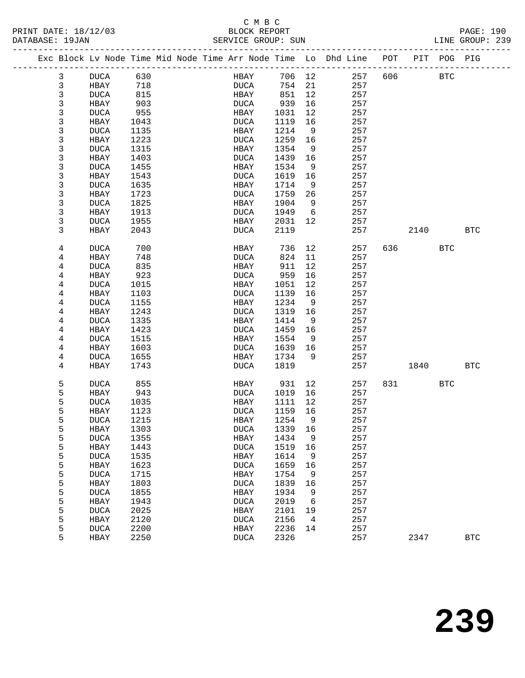## C M B C<br>BLOCK REPORT

|  | PA |
|--|----|

| PRINT DATE: 18/12/03<br>DATABASE: 19JAN |                |             |      | BLOCK REPORT<br>SERVICE GROUP: SUN |         |                |                                                                                |             |        |            | PAGE: 190<br>LINE GROUP: 239 |
|-----------------------------------------|----------------|-------------|------|------------------------------------|---------|----------------|--------------------------------------------------------------------------------|-------------|--------|------------|------------------------------|
|                                         |                |             |      |                                    |         |                | Exc Block Lv Node Time Mid Node Time Arr Node Time Lo Dhd Line POT PIT POG PIG |             |        |            |                              |
|                                         | 3              | DUCA 630    |      | <b>HBAY</b>                        | 706 12  |                |                                                                                | 257 606 BTC |        |            |                              |
|                                         | $\mathbf{3}$   | HBAY        | 718  | <b>DUCA</b>                        | 754 21  |                | 257                                                                            |             |        |            |                              |
|                                         | 3              | <b>DUCA</b> | 815  | HBAY                               | 851     | 12             | 257                                                                            |             |        |            |                              |
|                                         | 3              | HBAY        | 903  | DUCA                               | 939     | 16             | 257                                                                            |             |        |            |                              |
|                                         | 3              | DUCA        | 955  | HBAY                               | 1031    | 12             | 257                                                                            |             |        |            |                              |
|                                         | 3              | HBAY        | 1043 | DUCA                               | 1119    | 16             | 257                                                                            |             |        |            |                              |
|                                         | 3              | DUCA        | 1135 | HBAY                               | 1214    | - 9            | 257                                                                            |             |        |            |                              |
|                                         | 3              | HBAY        | 1223 | DUCA                               | 1259    | 16             | 257                                                                            |             |        |            |                              |
|                                         | 3              | DUCA        | 1315 | HBAY                               | 1354    | 9              | 257                                                                            |             |        |            |                              |
|                                         | 3              | HBAY        | 1403 | DUCA                               | 1439    | 16             | 257                                                                            |             |        |            |                              |
|                                         | 3              | DUCA        | 1455 | HBAY                               | 1534    | 9              | 257                                                                            |             |        |            |                              |
|                                         | 3              | HBAY        | 1543 | DUCA                               | 1619    | 16             | 257                                                                            |             |        |            |                              |
|                                         | 3              | DUCA        | 1635 | HBAY                               | 1714    | 9              | 257                                                                            |             |        |            |                              |
|                                         | 3              | HBAY        | 1723 | DUCA                               | 1759    | 26             | 257                                                                            |             |        |            |                              |
|                                         | 3              | <b>DUCA</b> | 1825 | HBAY                               | 1904    | 9              | 257                                                                            |             |        |            |                              |
|                                         | 3              | HBAY        | 1913 | DUCA                               | 1949    | 6              | 257                                                                            |             |        |            |                              |
|                                         | 3              | DUCA        | 1955 | HBAY                               | 2031 12 |                | 257                                                                            |             |        |            |                              |
|                                         | 3              | HBAY        | 2043 | DUCA                               | 2119    |                | 257                                                                            |             | 2140   |            | BTC                          |
|                                         | 4              | DUCA        | 700  | HBAY                               | 736     | 12             | 257                                                                            |             | 636 11 | <b>BTC</b> |                              |
|                                         | 4              | HBAY        | 748  | DUCA                               | 824     | 11             | 257                                                                            |             |        |            |                              |
|                                         | 4              | DUCA        | 835  | HBAY                               | 911     | 12             | 257                                                                            |             |        |            |                              |
|                                         | 4              | HBAY        | 923  | DUCA                               | 959     | 16             | 257                                                                            |             |        |            |                              |
|                                         | 4              | DUCA        | 1015 | HBAY                               | 1051    | 12             | 257                                                                            |             |        |            |                              |
|                                         | $\overline{4}$ | HBAY        | 1103 | <b>DUCA</b>                        | 1139    | 16             | 257                                                                            |             |        |            |                              |
|                                         | 4              | DUCA        | 1155 | HBAY                               | 1234    | 9              | 257                                                                            |             |        |            |                              |
|                                         | 4              | HBAY        | 1243 | DUCA                               | 1319    | 16             | 257                                                                            |             |        |            |                              |
|                                         | 4              | DUCA        | 1335 | HBAY                               | 1414    | 9              | 257                                                                            |             |        |            |                              |
|                                         | 4              | HBAY        | 1423 | DUCA                               | 1459    | 16             | 257                                                                            |             |        |            |                              |
|                                         | 4              | DUCA        | 1515 | HBAY                               | 1554    | 9              | 257                                                                            |             |        |            |                              |
|                                         | 4              | HBAY        | 1603 | DUCA                               | 1639 16 |                | 257                                                                            |             |        |            |                              |
|                                         | 4              | DUCA        | 1655 | HBAY                               | 1734    | 9              | 257                                                                            |             |        |            |                              |
|                                         | 4              | HBAY        | 1743 | DUCA                               | 1819    |                | 257                                                                            |             | 1840   |            | BTC                          |
|                                         | 5              | DUCA        | 855  | HBAY 931 12                        |         |                | 257                                                                            |             | 831 72 | BTC        |                              |
|                                         | 5              | HBAY        | 943  | DUCA                               | 1019 16 |                | 257                                                                            |             |        |            |                              |
|                                         | 5              | <b>DUCA</b> | 1035 | HBAY                               | 1111 12 |                | 257                                                                            |             |        |            |                              |
|                                         | 5              | HBAY 1123   |      | DUCA 1159 16                       |         |                | 257                                                                            |             |        |            |                              |
|                                         | 5              | <b>DUCA</b> | 1215 | HBAY                               | 1254    | 9              | 257                                                                            |             |        |            |                              |
|                                         | 5              | HBAY        | 1303 | <b>DUCA</b>                        | 1339    | 16             | 257                                                                            |             |        |            |                              |
|                                         | 5              | <b>DUCA</b> | 1355 | HBAY                               | 1434    | 9              | 257                                                                            |             |        |            |                              |
|                                         | 5              | HBAY        | 1443 | <b>DUCA</b>                        | 1519    | 16             | 257                                                                            |             |        |            |                              |
|                                         | 5              | <b>DUCA</b> | 1535 | HBAY                               | 1614    | 9              | 257                                                                            |             |        |            |                              |
|                                         | 5              | HBAY        | 1623 | <b>DUCA</b>                        | 1659    | 16             | 257                                                                            |             |        |            |                              |
|                                         | 5              | <b>DUCA</b> | 1715 | HBAY                               | 1754    | 9              | 257                                                                            |             |        |            |                              |
|                                         | 5              | HBAY        | 1803 | <b>DUCA</b>                        | 1839    | 16             | 257                                                                            |             |        |            |                              |
|                                         | 5              | <b>DUCA</b> | 1855 | HBAY                               | 1934    | 9              | 257                                                                            |             |        |            |                              |
|                                         | 5              | HBAY        | 1943 | <b>DUCA</b>                        | 2019    | 6              | 257                                                                            |             |        |            |                              |
|                                         | 5              | <b>DUCA</b> | 2025 | HBAY                               | 2101    | 19             | 257                                                                            |             |        |            |                              |
|                                         | 5              | HBAY        | 2120 | <b>DUCA</b>                        | 2156    | $\overline{4}$ | 257                                                                            |             |        |            |                              |
|                                         | 5              | <b>DUCA</b> | 2200 | HBAY                               | 2236    | 14             | 257                                                                            |             |        |            |                              |
|                                         | 5              | HBAY        | 2250 | <b>DUCA</b>                        | 2326    |                | 257                                                                            |             | 2347   |            | <b>BTC</b>                   |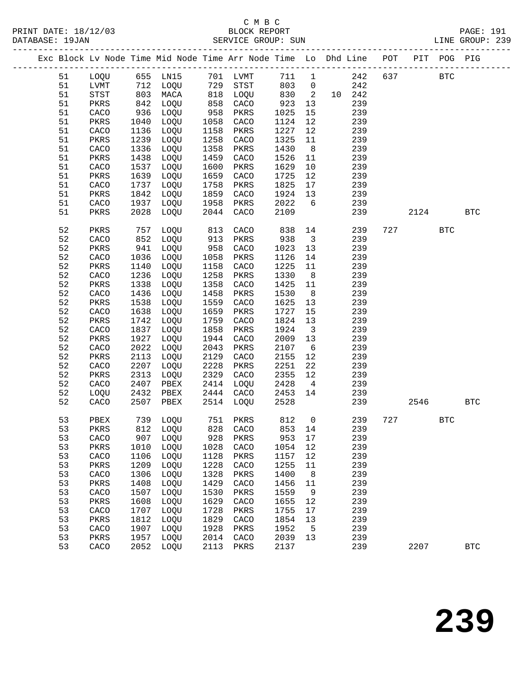|  |          |                            |              | Exc Block Lv Node Time Mid Node Time Arr Node Time Lo Dhd Line POT |             |              |              |                         |            |     |      | PIT POG PIG  |              |  |
|--|----------|----------------------------|--------------|--------------------------------------------------------------------|-------------|--------------|--------------|-------------------------|------------|-----|------|--------------|--------------|--|
|  | 51       | LOQU                       |              | 655 LN15                                                           |             | 701 LVMT     | 711          | $\mathbf{1}$            | 242        | 637 |      | $_{\rm BTC}$ |              |  |
|  | 51       | LVMT                       | 712          | LOQU                                                               | 729         | STST         | 803          | $\overline{0}$          | 242        |     |      |              |              |  |
|  | 51       | $_{\footnotesize\rm STST}$ | 803          | MACA                                                               | 818         | LOQU         | 830          | $\overline{2}$          | 10 242     |     |      |              |              |  |
|  | 51       | PKRS                       | 842          | LOQU                                                               | 858         | CACO         | 923          | 13                      | 239        |     |      |              |              |  |
|  | 51       | CACO                       | 936          | LOQU                                                               | 958         | PKRS         | 1025         | 15                      | 239        |     |      |              |              |  |
|  | 51       | PKRS                       | 1040         | LOQU                                                               | 1058        | CACO         | 1124         | 12                      | 239        |     |      |              |              |  |
|  | 51       | CACO                       | 1136         | LOQU                                                               | 1158        | PKRS         | 1227         | 12                      | 239        |     |      |              |              |  |
|  | 51       | PKRS                       | 1239         | LOQU                                                               | 1258        | CACO         | 1325         | 11                      | 239        |     |      |              |              |  |
|  | 51       | CACO                       | 1336         | LOQU                                                               | 1358        | PKRS         | 1430         | 8                       | 239        |     |      |              |              |  |
|  | 51       | PKRS                       | 1438         | LOQU                                                               | 1459        | CACO         | 1526         | 11                      | 239        |     |      |              |              |  |
|  | 51       | CACO                       | 1537         | LOQU                                                               | 1600        | PKRS         | 1629         | 10                      | 239        |     |      |              |              |  |
|  | 51       | PKRS                       | 1639         | LOQU                                                               | 1659        | CACO         | 1725         | 12                      | 239        |     |      |              |              |  |
|  | 51       | CACO                       | 1737         | LOQU                                                               | 1758        | PKRS         | 1825         | 17                      | 239        |     |      |              |              |  |
|  | 51       | PKRS                       | 1842         | LOQU                                                               | 1859        | CACO         | 1924         | 13                      | 239        |     |      |              |              |  |
|  | 51       | CACO                       | 1937         | LOQU                                                               | 1958        | PKRS         | 2022         | 6                       | 239        |     |      |              |              |  |
|  | 51       | PKRS                       | 2028         | LOQU                                                               | 2044        | CACO         | 2109         |                         | 239        |     | 2124 |              | <b>BTC</b>   |  |
|  |          |                            |              |                                                                    |             |              |              |                         |            |     |      |              |              |  |
|  | 52       | PKRS                       | 757          | LOQU                                                               | 813         | CACO         | 838          | 14                      | 239        | 727 |      | <b>BTC</b>   |              |  |
|  | 52       | CACO                       | 852          | LOQU                                                               | 913         | PKRS         | 938          | $\overline{\mathbf{3}}$ | 239        |     |      |              |              |  |
|  | 52       | PKRS                       | 941          | LOQU                                                               | 958         | CACO         | 1023         | 13                      | 239        |     |      |              |              |  |
|  | 52       | CACO                       | 1036         | LOQU                                                               | 1058        | PKRS         | 1126         | 14                      | 239        |     |      |              |              |  |
|  | 52       | PKRS                       | 1140         | LOQU                                                               | 1158        | CACO         | 1225         | 11                      | 239        |     |      |              |              |  |
|  | 52       | CACO                       | 1236         | LOQU                                                               | 1258        | PKRS         | 1330         | 8                       | 239        |     |      |              |              |  |
|  | 52       | PKRS                       | 1338         | LOQU                                                               | 1358        | CACO         | 1425         | 11                      | 239        |     |      |              |              |  |
|  | 52       | CACO                       | 1436         | LOQU                                                               | 1458        | PKRS         | 1530         | 8                       | 239        |     |      |              |              |  |
|  | 52       | PKRS                       | 1538         | LOQU                                                               | 1559        | CACO         | 1625         | 13                      | 239        |     |      |              |              |  |
|  | 52       | CACO                       | 1638         | LOQU                                                               | 1659        | PKRS         | 1727         | 15                      | 239        |     |      |              |              |  |
|  | 52       | PKRS                       | 1742         | LOQU                                                               | 1759        | CACO         | 1824         | 13                      | 239        |     |      |              |              |  |
|  | 52       | CACO                       | 1837         | LOQU                                                               | 1858        | PKRS         | 1924         | $\overline{\mathbf{3}}$ | 239        |     |      |              |              |  |
|  | 52       | PKRS                       | 1927         | LOQU                                                               | 1944        | CACO         | 2009         | 13                      | 239        |     |      |              |              |  |
|  | 52       | CACO                       | 2022         | LOQU                                                               | 2043        | PKRS         | 2107         | $6\overline{6}$         | 239        |     |      |              |              |  |
|  | 52       | PKRS                       | 2113         | LOQU                                                               | 2129        | CACO         | 2155         | 12                      | 239        |     |      |              |              |  |
|  | 52       | CACO                       | 2207         | LOQU                                                               | 2228        | PKRS         | 2251         | 22                      | 239        |     |      |              |              |  |
|  | 52       | PKRS                       | 2313         | LOQU                                                               | 2329        | CACO         | 2355         | 12                      | 239        |     |      |              |              |  |
|  | 52       | CACO                       | 2407         | PBEX                                                               | 2414        | LOQU         | 2428         | $\overline{4}$          | 239        |     |      |              |              |  |
|  | 52       | LOQU                       | 2432         | PBEX                                                               | 2444        | CACO         | 2453         | 14                      | 239        |     |      |              |              |  |
|  | 52       | CACO                       | 2507         | PBEX                                                               | 2514        | LOQU         | 2528         |                         | 239        |     | 2546 |              | <b>BTC</b>   |  |
|  |          |                            |              | 739 LOQU                                                           |             | 751 PKRS     |              |                         |            |     |      |              |              |  |
|  | 53       | PBEX                       |              |                                                                    |             |              | 812          | $\overline{0}$          | 239        | 727 |      | <b>BTC</b>   |              |  |
|  | 53       | PKRS                       | 812          | LOQU                                                               | 828         | CACO         | 853 14       |                         | 239        |     |      |              |              |  |
|  | 53<br>53 | CACO                       | 907          | LOQU                                                               | 928<br>1028 | PKRS<br>CACO | 953<br>1054  | $17$<br>12              | 239<br>239 |     |      |              |              |  |
|  | 53       | PKRS                       | 1010         | LOQU<br>LOQU                                                       | 1128        |              |              |                         | 239        |     |      |              |              |  |
|  | 53       | CACO                       | 1106<br>1209 |                                                                    | 1228        | PKRS         | 1157<br>1255 | 12                      | 239        |     |      |              |              |  |
|  | 53       | PKRS<br>CACO               | 1306         | LOQU<br>LOQU                                                       | 1328        | CACO<br>PKRS | 1400         | 11<br>8                 | 239        |     |      |              |              |  |
|  | 53       |                            |              |                                                                    | 1429        |              | 1456         |                         | 239        |     |      |              |              |  |
|  | 53       | PKRS                       | 1408<br>1507 | LOQU<br>LOQU                                                       | 1530        | CACO<br>PKRS | 1559         | $11\,$                  | 239        |     |      |              |              |  |
|  | 53       | CACO<br>PKRS               | 1608         | LOQU                                                               | 1629        | CACO         | 1655         | 9<br>12                 | 239        |     |      |              |              |  |
|  | 53       | CACO                       | 1707         | LOQU                                                               | 1728        | PKRS         | 1755         | 17                      | 239        |     |      |              |              |  |
|  | 53       | PKRS                       | 1812         | LOQU                                                               | 1829        | CACO         | 1854         | 13                      | 239        |     |      |              |              |  |
|  | 53       | CACO                       | 1907         | LOQU                                                               | 1928        | PKRS         | 1952         | 5                       | 239        |     |      |              |              |  |
|  | 53       | PKRS                       | 1957         | LOQU                                                               | 2014        | CACO         | 2039         | 13                      | 239        |     |      |              |              |  |
|  | 53       | CACO                       | 2052         | LOQU                                                               | 2113        | PKRS         | 2137         |                         | 239        |     | 2207 |              | $_{\rm BTC}$ |  |
|  |          |                            |              |                                                                    |             |              |              |                         |            |     |      |              |              |  |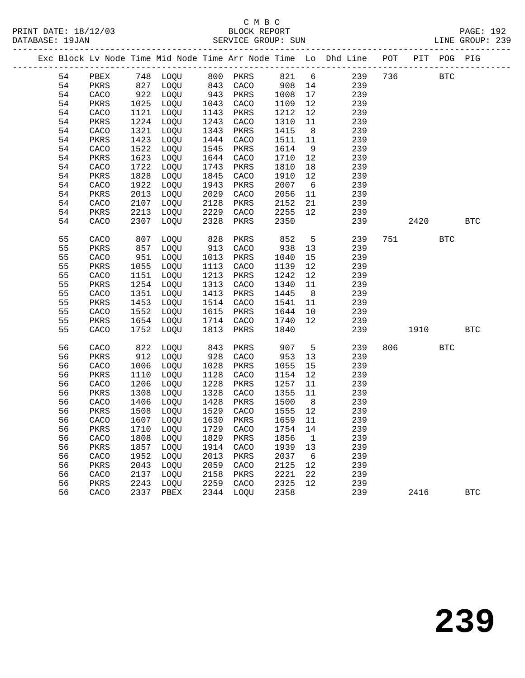|  |    |      |      |                             |      |      |        |                 | Exc Block Lv Node Time Mid Node Time Arr Node Time Lo Dhd Line POT |     |      | PIT POG PIG |              |
|--|----|------|------|-----------------------------|------|------|--------|-----------------|--------------------------------------------------------------------|-----|------|-------------|--------------|
|  | 54 | PBEX |      | 748 LOQU 800 PKRS           |      |      |        |                 | 821 6 239                                                          | 736 |      | <b>BTC</b>  |              |
|  | 54 | PKRS |      | 827 LOQU                    | 843  | CACO | 908 14 |                 | 239                                                                |     |      |             |              |
|  | 54 | CACO | 922  | LOQU                        | 943  | PKRS | 1008   | 17              | 239                                                                |     |      |             |              |
|  | 54 | PKRS | 1025 | LOQU                        | 1043 | CACO | 1109   | 12              | 239                                                                |     |      |             |              |
|  | 54 | CACO | 1121 | LOQU                        | 1143 | PKRS | 1212   | 12              | 239                                                                |     |      |             |              |
|  | 54 | PKRS | 1224 | LOQU                        | 1243 | CACO | 1310   | 11              | 239                                                                |     |      |             |              |
|  | 54 | CACO | 1321 | LOQU                        | 1343 | PKRS | 1415   | 8 <sup>8</sup>  | 239                                                                |     |      |             |              |
|  | 54 | PKRS | 1423 | LOQU                        | 1444 | CACO | 1511   | 11              | 239                                                                |     |      |             |              |
|  | 54 | CACO | 1522 | LOQU                        | 1545 | PKRS | 1614   | 9               | 239                                                                |     |      |             |              |
|  | 54 | PKRS | 1623 | LOQU                        | 1644 | CACO | 1710   | 12              | 239                                                                |     |      |             |              |
|  | 54 | CACO | 1722 | LOQU                        | 1743 | PKRS | 1810   | 18              | 239                                                                |     |      |             |              |
|  | 54 | PKRS | 1828 | LOQU                        | 1845 | CACO | 1910   | 12              | 239                                                                |     |      |             |              |
|  | 54 | CACO | 1922 | LOQU                        | 1943 | PKRS | 2007   | $6\overline{6}$ | 239                                                                |     |      |             |              |
|  | 54 | PKRS | 2013 | LOQU                        | 2029 | CACO | 2056   | 11              | 239                                                                |     |      |             |              |
|  | 54 | CACO | 2107 | LOQU                        | 2128 | PKRS | 2152   | 21              | 239                                                                |     |      |             |              |
|  | 54 | PKRS | 2213 | LOQU                        | 2229 | CACO | 2255   | 12              | 239                                                                |     |      |             |              |
|  | 54 | CACO | 2307 | LOQU                        | 2328 | PKRS | 2350   |                 | 239                                                                |     | 2420 |             | <b>BTC</b>   |
|  | 55 | CACO | 807  | LOQU                        | 828  | PKRS | 852    | $5^{\circ}$     | 239                                                                |     | 751  | <b>BTC</b>  |              |
|  | 55 | PKRS | 857  | LOQU                        | 913  | CACO | 938    | 13              | 239                                                                |     |      |             |              |
|  | 55 | CACO | 951  | LOQU                        | 1013 | PKRS | 1040   | 15              | 239                                                                |     |      |             |              |
|  | 55 | PKRS | 1055 | LOQU                        | 1113 | CACO | 1139   | 12              | 239                                                                |     |      |             |              |
|  | 55 | CACO | 1151 | LOQU                        | 1213 | PKRS | 1242   | 12              | 239                                                                |     |      |             |              |
|  | 55 | PKRS | 1254 | LOQU                        | 1313 | CACO | 1340   | 11              | 239                                                                |     |      |             |              |
|  | 55 | CACO | 1351 | LOQU                        | 1413 | PKRS | 1445   | 8 <sup>8</sup>  | 239                                                                |     |      |             |              |
|  | 55 | PKRS | 1453 | LOQU                        | 1514 | CACO | 1541   | 11              | 239                                                                |     |      |             |              |
|  | 55 | CACO | 1552 | LOQU                        | 1615 | PKRS | 1644   | 10              | 239                                                                |     |      |             |              |
|  | 55 | PKRS | 1654 | LOQU                        | 1714 | CACO | 1740   | 12              | 239                                                                |     |      |             |              |
|  | 55 | CACO | 1752 | LOQU                        | 1813 | PKRS | 1840   |                 | 239                                                                |     | 1910 |             | $_{\rm BTC}$ |
|  | 56 | CACO | 822  | LOQU                        | 843  | PKRS | 907    | $5^{\circ}$     | 239                                                                | 806 |      | <b>BTC</b>  |              |
|  | 56 | PKRS | 912  | LOQU                        | 928  | CACO | 953    | 13              | 239                                                                |     |      |             |              |
|  | 56 | CACO | 1006 | LOQU                        | 1028 | PKRS | 1055   | 15              | 239                                                                |     |      |             |              |
|  | 56 | PKRS | 1110 | LOQU                        | 1128 | CACO | 1154   | 12              | 239                                                                |     |      |             |              |
|  | 56 | CACO | 1206 | LOQU                        | 1228 | PKRS | 1257   | 11              | 239                                                                |     |      |             |              |
|  | 56 | PKRS | 1308 | LOQU                        | 1328 | CACO | 1355   | 11              | 239                                                                |     |      |             |              |
|  | 56 | CACO | 1406 | LOQU                        | 1428 | PKRS | 1500   | 8 <sup>8</sup>  | 239                                                                |     |      |             |              |
|  | 56 | PKRS | 1508 | LOQU                        | 1529 | CACO | 1555   | 12              | 239                                                                |     |      |             |              |
|  | 56 | CACO | 1607 | LOQU                        | 1630 | PKRS | 1659   | 11              | 239                                                                |     |      |             |              |
|  | 56 | PKRS |      | 1710 LOQU 1729 CACO 1754 14 |      |      |        |                 | 239                                                                |     |      |             |              |
|  | 56 | CACO | 1808 | LOQU                        | 1829 | PKRS | 1856   | $\mathbf{1}$    | 239                                                                |     |      |             |              |
|  | 56 | PKRS | 1857 | LOQU                        | 1914 | CACO | 1939   | 13              | 239                                                                |     |      |             |              |
|  | 56 | CACO | 1952 | LOQU                        | 2013 | PKRS | 2037   | 6               | 239                                                                |     |      |             |              |
|  | 56 | PKRS | 2043 | LOQU                        | 2059 | CACO | 2125   | 12              | 239                                                                |     |      |             |              |
|  | 56 | CACO | 2137 | LOQU                        | 2158 | PKRS | 2221   | 22              | 239                                                                |     |      |             |              |
|  | 56 | PKRS | 2243 | LOQU                        | 2259 | CACO | 2325   | 12              | 239                                                                |     |      |             |              |
|  | 56 | CACO | 2337 | PBEX                        | 2344 | LOQU | 2358   |                 | 239                                                                |     | 2416 |             | <b>BTC</b>   |